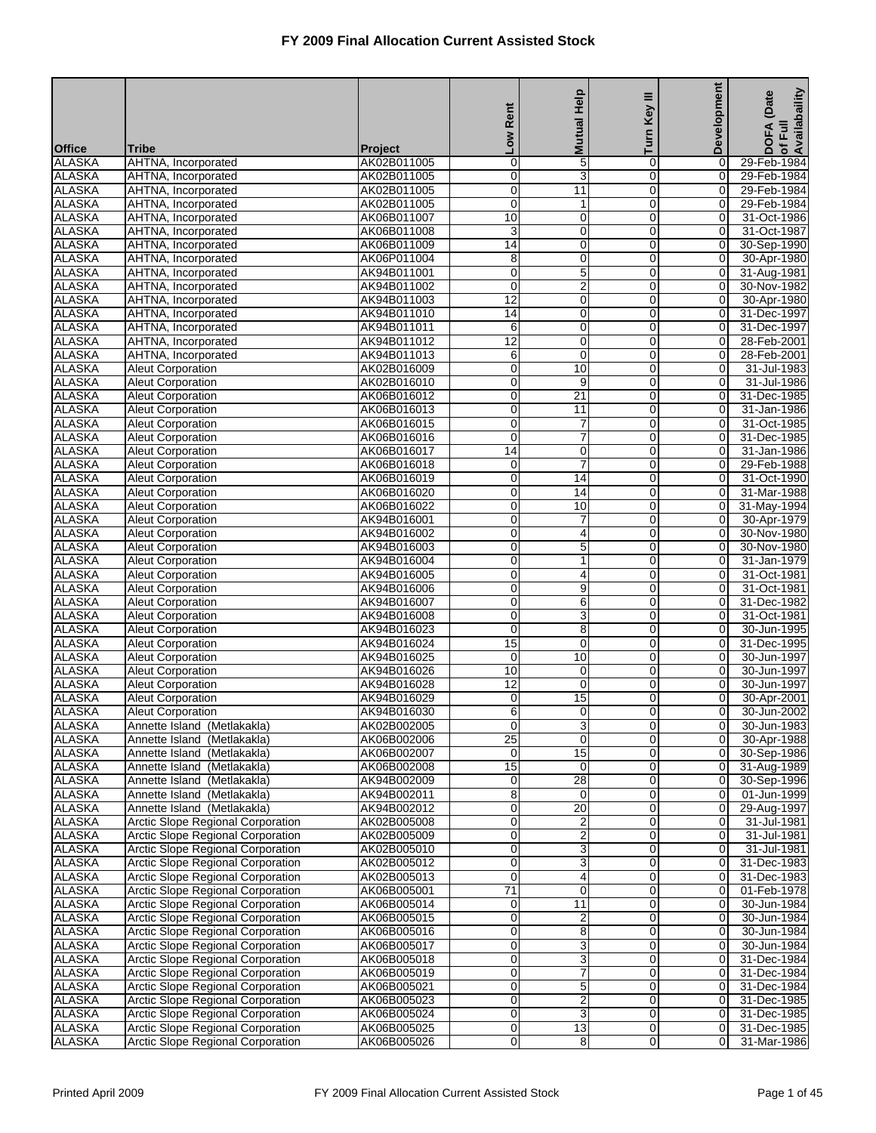| <b>Development</b><br><b>Mutual Help</b><br>Turn I<br><b>No</b><br><b>Office</b><br><b>Tribe</b><br><b>Project</b><br><b>ALASKA</b><br>$\mathbf 0$<br>5<br>$\pmb{0}$<br>AHTNA, Incorporated<br>AK02B011005<br>0<br><b>ALASKA</b><br>3<br>$\overline{0}$<br>$\overline{0}$<br>AK02B011005<br>0<br>AHTNA, Incorporated<br><b>ALASKA</b><br>0<br>11<br>0<br>0<br>AHTNA, Incorporated<br>AK02B011005<br><b>ALASKA</b><br>0<br>$\mathbf 0$<br>0<br>AHTNA, Incorporated<br>AK02B011005<br>1<br><b>ALASKA</b><br>10<br>0<br>0<br>0<br>31-Oct-1986<br>AHTNA, Incorporated<br>AK06B011007<br><b>ALASKA</b><br>3<br>$\mathbf 0$<br>$\mathbf 0$<br>AHTNA, Incorporated<br>AK06B011008<br>0<br><b>ALASKA</b><br>14<br>$\overline{0}$<br>$\overline{0}$<br>$\overline{0}$<br>AHTNA, Incorporated<br>AK06B011009<br><b>ALASKA</b><br>8<br>0<br>0<br>0<br>AHTNA, Incorporated<br>AK06P011004<br><b>ALASKA</b><br>$\overline{5}$<br>0<br>$\mathbf 0$<br>0<br>AHTNA, Incorporated<br>AK94B011001<br><b>ALASKA</b><br>$\overline{2}$<br>0<br>0<br>0<br>AHTNA, Incorporated<br>AK94B011002<br>12<br><b>ALASKA</b><br>$\mathbf 0$<br>$\pmb{0}$<br>AHTNA, Incorporated<br>AK94B011003<br>$\mathbf 0$<br>30-Apr-1980<br><b>ALASKA</b><br>14<br>$\overline{0}$<br>$\overline{0}$<br>$\overline{0}$<br>AHTNA, Incorporated<br>AK94B011010<br>31-Dec-1997<br><b>ALASKA</b><br>6<br>0<br>0<br>0<br>AHTNA, Incorporated<br>AK94B011011<br><b>ALASKA</b><br>12<br>$\overline{0}$<br>$\mathbf 0$<br>0<br>AHTNA, Incorporated<br>AK94B011012<br><b>ALASKA</b><br>6<br>0<br>0<br>0<br>AHTNA, Incorporated<br>AK94B011013<br><b>ALASKA</b><br>$\mathbf 0$<br>10<br>$\pmb{0}$<br>Aleut Corporation<br>AK02B016009<br>0<br><b>ALASKA</b><br>$\overline{0}$<br>$\overline{9}$<br>$\overline{0}$<br>$\overline{0}$<br>AK02B016010<br><b>Aleut Corporation</b><br><b>ALASKA</b><br>0<br>21<br>0<br>0<br>31-Dec-1985<br><b>Aleut Corporation</b><br>AK06B016012<br><b>ALASKA</b><br>$\overline{0}$<br>$\overline{11}$<br>$\mathbf 0$<br>$\mathbf 0$<br><b>Aleut Corporation</b><br>AK06B016013<br><b>ALASKA</b><br>0<br>7<br>0<br>0<br><b>Aleut Corporation</b><br>AK06B016015<br>7<br><b>ALASKA</b><br>$\mathbf 0$<br>$\pmb{0}$<br><b>Aleut Corporation</b><br>AK06B016016<br>0<br><b>ALASKA</b><br>14<br>$\overline{0}$<br>AK06B016017<br>0<br>$\overline{0}$<br><b>Aleut Corporation</b><br><b>ALASKA</b><br>7<br>0<br>0<br>0<br><b>Aleut Corporation</b><br>AK06B016018<br><b>ALASKA</b><br>0<br>14<br>$\mathbf 0$<br>0<br><b>Aleut Corporation</b><br>AK06B016019<br><b>ALASKA</b><br>0<br>$\overline{14}$<br>0<br>0<br><b>Aleut Corporation</b><br>AK06B016020<br><b>ALASKA</b><br>$\mathbf 0$<br>10<br>$\mathbf 0$<br>AK06B016022<br>0<br>31-May-1994<br><b>Aleut Corporation</b><br><b>ALASKA</b><br>$\overline{0}$<br>0<br>AK94B016001<br>0<br>7<br><b>Aleut Corporation</b><br><b>ALASKA</b><br>0<br>4<br>0<br>0<br><b>Aleut Corporation</b><br>AK94B016002<br><b>ALASKA</b><br>$\overline{5}$<br>0<br>$\mathbf 0$<br>$\mathbf 0$<br><b>Aleut Corporation</b><br>AK94B016003<br><b>ALASKA</b><br>0<br>1<br>0<br>0<br><b>Aleut Corporation</b><br>AK94B016004<br><b>ALASKA</b><br>$\mathbf 0$<br>$\pmb{0}$<br><b>Aleut Corporation</b><br>4<br>0<br>AK94B016005<br><b>ALASKA</b><br>$\overline{0}$<br>9<br>$\overline{0}$<br>0<br>AK94B016006<br><b>Aleut Corporation</b><br><b>ALASKA</b><br>0<br>6<br>0<br>0<br>31-Dec-1982<br><b>Aleut Corporation</b><br>AK94B016007<br><b>ALASKA</b><br>$\overline{3}$<br>0<br>$\mathbf 0$<br>$\mathbf 0$<br>31-Oct-1981<br><b>Aleut Corporation</b><br>AK94B016008 | Availabaility<br>(Date     |
|-----------------------------------------------------------------------------------------------------------------------------------------------------------------------------------------------------------------------------------------------------------------------------------------------------------------------------------------------------------------------------------------------------------------------------------------------------------------------------------------------------------------------------------------------------------------------------------------------------------------------------------------------------------------------------------------------------------------------------------------------------------------------------------------------------------------------------------------------------------------------------------------------------------------------------------------------------------------------------------------------------------------------------------------------------------------------------------------------------------------------------------------------------------------------------------------------------------------------------------------------------------------------------------------------------------------------------------------------------------------------------------------------------------------------------------------------------------------------------------------------------------------------------------------------------------------------------------------------------------------------------------------------------------------------------------------------------------------------------------------------------------------------------------------------------------------------------------------------------------------------------------------------------------------------------------------------------------------------------------------------------------------------------------------------------------------------------------------------------------------------------------------------------------------------------------------------------------------------------------------------------------------------------------------------------------------------------------------------------------------------------------------------------------------------------------------------------------------------------------------------------------------------------------------------------------------------------------------------------------------------------------------------------------------------------------------------------------------------------------------------------------------------------------------------------------------------------------------------------------------------------------------------------------------------------------------------------------------------------------------------------------------------------------------------------------------------------------------------------------------------------------------------------------------------------------------------------------------------------------------------------------------------------------------------------------------------------------------------------------------------------------------------------------------------------------------------------------------------------------------------------------------------------------------------------------------------------|----------------------------|
|                                                                                                                                                                                                                                                                                                                                                                                                                                                                                                                                                                                                                                                                                                                                                                                                                                                                                                                                                                                                                                                                                                                                                                                                                                                                                                                                                                                                                                                                                                                                                                                                                                                                                                                                                                                                                                                                                                                                                                                                                                                                                                                                                                                                                                                                                                                                                                                                                                                                                                                                                                                                                                                                                                                                                                                                                                                                                                                                                                                                                                                                                                                                                                                                                                                                                                                                                                                                                                                                                                                                                                             | DOFA<br>of Full            |
|                                                                                                                                                                                                                                                                                                                                                                                                                                                                                                                                                                                                                                                                                                                                                                                                                                                                                                                                                                                                                                                                                                                                                                                                                                                                                                                                                                                                                                                                                                                                                                                                                                                                                                                                                                                                                                                                                                                                                                                                                                                                                                                                                                                                                                                                                                                                                                                                                                                                                                                                                                                                                                                                                                                                                                                                                                                                                                                                                                                                                                                                                                                                                                                                                                                                                                                                                                                                                                                                                                                                                                             | 29-Feb-1984                |
|                                                                                                                                                                                                                                                                                                                                                                                                                                                                                                                                                                                                                                                                                                                                                                                                                                                                                                                                                                                                                                                                                                                                                                                                                                                                                                                                                                                                                                                                                                                                                                                                                                                                                                                                                                                                                                                                                                                                                                                                                                                                                                                                                                                                                                                                                                                                                                                                                                                                                                                                                                                                                                                                                                                                                                                                                                                                                                                                                                                                                                                                                                                                                                                                                                                                                                                                                                                                                                                                                                                                                                             | 29-Feb-1984                |
|                                                                                                                                                                                                                                                                                                                                                                                                                                                                                                                                                                                                                                                                                                                                                                                                                                                                                                                                                                                                                                                                                                                                                                                                                                                                                                                                                                                                                                                                                                                                                                                                                                                                                                                                                                                                                                                                                                                                                                                                                                                                                                                                                                                                                                                                                                                                                                                                                                                                                                                                                                                                                                                                                                                                                                                                                                                                                                                                                                                                                                                                                                                                                                                                                                                                                                                                                                                                                                                                                                                                                                             | 29-Feb-1984                |
|                                                                                                                                                                                                                                                                                                                                                                                                                                                                                                                                                                                                                                                                                                                                                                                                                                                                                                                                                                                                                                                                                                                                                                                                                                                                                                                                                                                                                                                                                                                                                                                                                                                                                                                                                                                                                                                                                                                                                                                                                                                                                                                                                                                                                                                                                                                                                                                                                                                                                                                                                                                                                                                                                                                                                                                                                                                                                                                                                                                                                                                                                                                                                                                                                                                                                                                                                                                                                                                                                                                                                                             | 29-Feb-1984                |
|                                                                                                                                                                                                                                                                                                                                                                                                                                                                                                                                                                                                                                                                                                                                                                                                                                                                                                                                                                                                                                                                                                                                                                                                                                                                                                                                                                                                                                                                                                                                                                                                                                                                                                                                                                                                                                                                                                                                                                                                                                                                                                                                                                                                                                                                                                                                                                                                                                                                                                                                                                                                                                                                                                                                                                                                                                                                                                                                                                                                                                                                                                                                                                                                                                                                                                                                                                                                                                                                                                                                                                             | 31-Oct-1987                |
|                                                                                                                                                                                                                                                                                                                                                                                                                                                                                                                                                                                                                                                                                                                                                                                                                                                                                                                                                                                                                                                                                                                                                                                                                                                                                                                                                                                                                                                                                                                                                                                                                                                                                                                                                                                                                                                                                                                                                                                                                                                                                                                                                                                                                                                                                                                                                                                                                                                                                                                                                                                                                                                                                                                                                                                                                                                                                                                                                                                                                                                                                                                                                                                                                                                                                                                                                                                                                                                                                                                                                                             | 30-Sep-1990                |
|                                                                                                                                                                                                                                                                                                                                                                                                                                                                                                                                                                                                                                                                                                                                                                                                                                                                                                                                                                                                                                                                                                                                                                                                                                                                                                                                                                                                                                                                                                                                                                                                                                                                                                                                                                                                                                                                                                                                                                                                                                                                                                                                                                                                                                                                                                                                                                                                                                                                                                                                                                                                                                                                                                                                                                                                                                                                                                                                                                                                                                                                                                                                                                                                                                                                                                                                                                                                                                                                                                                                                                             | 30-Apr-1980                |
|                                                                                                                                                                                                                                                                                                                                                                                                                                                                                                                                                                                                                                                                                                                                                                                                                                                                                                                                                                                                                                                                                                                                                                                                                                                                                                                                                                                                                                                                                                                                                                                                                                                                                                                                                                                                                                                                                                                                                                                                                                                                                                                                                                                                                                                                                                                                                                                                                                                                                                                                                                                                                                                                                                                                                                                                                                                                                                                                                                                                                                                                                                                                                                                                                                                                                                                                                                                                                                                                                                                                                                             | 31-Aug-1981                |
|                                                                                                                                                                                                                                                                                                                                                                                                                                                                                                                                                                                                                                                                                                                                                                                                                                                                                                                                                                                                                                                                                                                                                                                                                                                                                                                                                                                                                                                                                                                                                                                                                                                                                                                                                                                                                                                                                                                                                                                                                                                                                                                                                                                                                                                                                                                                                                                                                                                                                                                                                                                                                                                                                                                                                                                                                                                                                                                                                                                                                                                                                                                                                                                                                                                                                                                                                                                                                                                                                                                                                                             | 30-Nov-1982                |
|                                                                                                                                                                                                                                                                                                                                                                                                                                                                                                                                                                                                                                                                                                                                                                                                                                                                                                                                                                                                                                                                                                                                                                                                                                                                                                                                                                                                                                                                                                                                                                                                                                                                                                                                                                                                                                                                                                                                                                                                                                                                                                                                                                                                                                                                                                                                                                                                                                                                                                                                                                                                                                                                                                                                                                                                                                                                                                                                                                                                                                                                                                                                                                                                                                                                                                                                                                                                                                                                                                                                                                             |                            |
|                                                                                                                                                                                                                                                                                                                                                                                                                                                                                                                                                                                                                                                                                                                                                                                                                                                                                                                                                                                                                                                                                                                                                                                                                                                                                                                                                                                                                                                                                                                                                                                                                                                                                                                                                                                                                                                                                                                                                                                                                                                                                                                                                                                                                                                                                                                                                                                                                                                                                                                                                                                                                                                                                                                                                                                                                                                                                                                                                                                                                                                                                                                                                                                                                                                                                                                                                                                                                                                                                                                                                                             | 31-Dec-1997                |
|                                                                                                                                                                                                                                                                                                                                                                                                                                                                                                                                                                                                                                                                                                                                                                                                                                                                                                                                                                                                                                                                                                                                                                                                                                                                                                                                                                                                                                                                                                                                                                                                                                                                                                                                                                                                                                                                                                                                                                                                                                                                                                                                                                                                                                                                                                                                                                                                                                                                                                                                                                                                                                                                                                                                                                                                                                                                                                                                                                                                                                                                                                                                                                                                                                                                                                                                                                                                                                                                                                                                                                             | 28-Feb-2001                |
|                                                                                                                                                                                                                                                                                                                                                                                                                                                                                                                                                                                                                                                                                                                                                                                                                                                                                                                                                                                                                                                                                                                                                                                                                                                                                                                                                                                                                                                                                                                                                                                                                                                                                                                                                                                                                                                                                                                                                                                                                                                                                                                                                                                                                                                                                                                                                                                                                                                                                                                                                                                                                                                                                                                                                                                                                                                                                                                                                                                                                                                                                                                                                                                                                                                                                                                                                                                                                                                                                                                                                                             | 28-Feb-2001                |
|                                                                                                                                                                                                                                                                                                                                                                                                                                                                                                                                                                                                                                                                                                                                                                                                                                                                                                                                                                                                                                                                                                                                                                                                                                                                                                                                                                                                                                                                                                                                                                                                                                                                                                                                                                                                                                                                                                                                                                                                                                                                                                                                                                                                                                                                                                                                                                                                                                                                                                                                                                                                                                                                                                                                                                                                                                                                                                                                                                                                                                                                                                                                                                                                                                                                                                                                                                                                                                                                                                                                                                             | 31-Jul-1983                |
|                                                                                                                                                                                                                                                                                                                                                                                                                                                                                                                                                                                                                                                                                                                                                                                                                                                                                                                                                                                                                                                                                                                                                                                                                                                                                                                                                                                                                                                                                                                                                                                                                                                                                                                                                                                                                                                                                                                                                                                                                                                                                                                                                                                                                                                                                                                                                                                                                                                                                                                                                                                                                                                                                                                                                                                                                                                                                                                                                                                                                                                                                                                                                                                                                                                                                                                                                                                                                                                                                                                                                                             | 31-Jul-1986                |
|                                                                                                                                                                                                                                                                                                                                                                                                                                                                                                                                                                                                                                                                                                                                                                                                                                                                                                                                                                                                                                                                                                                                                                                                                                                                                                                                                                                                                                                                                                                                                                                                                                                                                                                                                                                                                                                                                                                                                                                                                                                                                                                                                                                                                                                                                                                                                                                                                                                                                                                                                                                                                                                                                                                                                                                                                                                                                                                                                                                                                                                                                                                                                                                                                                                                                                                                                                                                                                                                                                                                                                             | 31-Jan-1986                |
|                                                                                                                                                                                                                                                                                                                                                                                                                                                                                                                                                                                                                                                                                                                                                                                                                                                                                                                                                                                                                                                                                                                                                                                                                                                                                                                                                                                                                                                                                                                                                                                                                                                                                                                                                                                                                                                                                                                                                                                                                                                                                                                                                                                                                                                                                                                                                                                                                                                                                                                                                                                                                                                                                                                                                                                                                                                                                                                                                                                                                                                                                                                                                                                                                                                                                                                                                                                                                                                                                                                                                                             | 31-Oct-1985                |
|                                                                                                                                                                                                                                                                                                                                                                                                                                                                                                                                                                                                                                                                                                                                                                                                                                                                                                                                                                                                                                                                                                                                                                                                                                                                                                                                                                                                                                                                                                                                                                                                                                                                                                                                                                                                                                                                                                                                                                                                                                                                                                                                                                                                                                                                                                                                                                                                                                                                                                                                                                                                                                                                                                                                                                                                                                                                                                                                                                                                                                                                                                                                                                                                                                                                                                                                                                                                                                                                                                                                                                             | 31-Dec-1985                |
|                                                                                                                                                                                                                                                                                                                                                                                                                                                                                                                                                                                                                                                                                                                                                                                                                                                                                                                                                                                                                                                                                                                                                                                                                                                                                                                                                                                                                                                                                                                                                                                                                                                                                                                                                                                                                                                                                                                                                                                                                                                                                                                                                                                                                                                                                                                                                                                                                                                                                                                                                                                                                                                                                                                                                                                                                                                                                                                                                                                                                                                                                                                                                                                                                                                                                                                                                                                                                                                                                                                                                                             | 31-Jan-1986                |
|                                                                                                                                                                                                                                                                                                                                                                                                                                                                                                                                                                                                                                                                                                                                                                                                                                                                                                                                                                                                                                                                                                                                                                                                                                                                                                                                                                                                                                                                                                                                                                                                                                                                                                                                                                                                                                                                                                                                                                                                                                                                                                                                                                                                                                                                                                                                                                                                                                                                                                                                                                                                                                                                                                                                                                                                                                                                                                                                                                                                                                                                                                                                                                                                                                                                                                                                                                                                                                                                                                                                                                             | 29-Feb-1988                |
|                                                                                                                                                                                                                                                                                                                                                                                                                                                                                                                                                                                                                                                                                                                                                                                                                                                                                                                                                                                                                                                                                                                                                                                                                                                                                                                                                                                                                                                                                                                                                                                                                                                                                                                                                                                                                                                                                                                                                                                                                                                                                                                                                                                                                                                                                                                                                                                                                                                                                                                                                                                                                                                                                                                                                                                                                                                                                                                                                                                                                                                                                                                                                                                                                                                                                                                                                                                                                                                                                                                                                                             | 31-Oct-1990                |
|                                                                                                                                                                                                                                                                                                                                                                                                                                                                                                                                                                                                                                                                                                                                                                                                                                                                                                                                                                                                                                                                                                                                                                                                                                                                                                                                                                                                                                                                                                                                                                                                                                                                                                                                                                                                                                                                                                                                                                                                                                                                                                                                                                                                                                                                                                                                                                                                                                                                                                                                                                                                                                                                                                                                                                                                                                                                                                                                                                                                                                                                                                                                                                                                                                                                                                                                                                                                                                                                                                                                                                             | 31-Mar-1988                |
|                                                                                                                                                                                                                                                                                                                                                                                                                                                                                                                                                                                                                                                                                                                                                                                                                                                                                                                                                                                                                                                                                                                                                                                                                                                                                                                                                                                                                                                                                                                                                                                                                                                                                                                                                                                                                                                                                                                                                                                                                                                                                                                                                                                                                                                                                                                                                                                                                                                                                                                                                                                                                                                                                                                                                                                                                                                                                                                                                                                                                                                                                                                                                                                                                                                                                                                                                                                                                                                                                                                                                                             | 30-Apr-1979                |
|                                                                                                                                                                                                                                                                                                                                                                                                                                                                                                                                                                                                                                                                                                                                                                                                                                                                                                                                                                                                                                                                                                                                                                                                                                                                                                                                                                                                                                                                                                                                                                                                                                                                                                                                                                                                                                                                                                                                                                                                                                                                                                                                                                                                                                                                                                                                                                                                                                                                                                                                                                                                                                                                                                                                                                                                                                                                                                                                                                                                                                                                                                                                                                                                                                                                                                                                                                                                                                                                                                                                                                             | 30-Nov-1980                |
|                                                                                                                                                                                                                                                                                                                                                                                                                                                                                                                                                                                                                                                                                                                                                                                                                                                                                                                                                                                                                                                                                                                                                                                                                                                                                                                                                                                                                                                                                                                                                                                                                                                                                                                                                                                                                                                                                                                                                                                                                                                                                                                                                                                                                                                                                                                                                                                                                                                                                                                                                                                                                                                                                                                                                                                                                                                                                                                                                                                                                                                                                                                                                                                                                                                                                                                                                                                                                                                                                                                                                                             | 30-Nov-1980                |
|                                                                                                                                                                                                                                                                                                                                                                                                                                                                                                                                                                                                                                                                                                                                                                                                                                                                                                                                                                                                                                                                                                                                                                                                                                                                                                                                                                                                                                                                                                                                                                                                                                                                                                                                                                                                                                                                                                                                                                                                                                                                                                                                                                                                                                                                                                                                                                                                                                                                                                                                                                                                                                                                                                                                                                                                                                                                                                                                                                                                                                                                                                                                                                                                                                                                                                                                                                                                                                                                                                                                                                             | 31-Jan-1979                |
|                                                                                                                                                                                                                                                                                                                                                                                                                                                                                                                                                                                                                                                                                                                                                                                                                                                                                                                                                                                                                                                                                                                                                                                                                                                                                                                                                                                                                                                                                                                                                                                                                                                                                                                                                                                                                                                                                                                                                                                                                                                                                                                                                                                                                                                                                                                                                                                                                                                                                                                                                                                                                                                                                                                                                                                                                                                                                                                                                                                                                                                                                                                                                                                                                                                                                                                                                                                                                                                                                                                                                                             | 31-Oct-1981                |
|                                                                                                                                                                                                                                                                                                                                                                                                                                                                                                                                                                                                                                                                                                                                                                                                                                                                                                                                                                                                                                                                                                                                                                                                                                                                                                                                                                                                                                                                                                                                                                                                                                                                                                                                                                                                                                                                                                                                                                                                                                                                                                                                                                                                                                                                                                                                                                                                                                                                                                                                                                                                                                                                                                                                                                                                                                                                                                                                                                                                                                                                                                                                                                                                                                                                                                                                                                                                                                                                                                                                                                             | 31-Oct-1981                |
|                                                                                                                                                                                                                                                                                                                                                                                                                                                                                                                                                                                                                                                                                                                                                                                                                                                                                                                                                                                                                                                                                                                                                                                                                                                                                                                                                                                                                                                                                                                                                                                                                                                                                                                                                                                                                                                                                                                                                                                                                                                                                                                                                                                                                                                                                                                                                                                                                                                                                                                                                                                                                                                                                                                                                                                                                                                                                                                                                                                                                                                                                                                                                                                                                                                                                                                                                                                                                                                                                                                                                                             |                            |
| <b>ALASKA</b><br>0<br>8<br>0<br>0<br><b>Aleut Corporation</b><br>AK94B016023                                                                                                                                                                                                                                                                                                                                                                                                                                                                                                                                                                                                                                                                                                                                                                                                                                                                                                                                                                                                                                                                                                                                                                                                                                                                                                                                                                                                                                                                                                                                                                                                                                                                                                                                                                                                                                                                                                                                                                                                                                                                                                                                                                                                                                                                                                                                                                                                                                                                                                                                                                                                                                                                                                                                                                                                                                                                                                                                                                                                                                                                                                                                                                                                                                                                                                                                                                                                                                                                                                | 30-Jun-1995                |
| <b>ALASKA</b><br>15<br>0<br>$\mathbf 0$<br>Aleut Corporation<br>0<br>AK94B016024                                                                                                                                                                                                                                                                                                                                                                                                                                                                                                                                                                                                                                                                                                                                                                                                                                                                                                                                                                                                                                                                                                                                                                                                                                                                                                                                                                                                                                                                                                                                                                                                                                                                                                                                                                                                                                                                                                                                                                                                                                                                                                                                                                                                                                                                                                                                                                                                                                                                                                                                                                                                                                                                                                                                                                                                                                                                                                                                                                                                                                                                                                                                                                                                                                                                                                                                                                                                                                                                                            | 31-Dec-1995                |
| <b>ALASKA</b><br>10<br>$\overline{0}$<br>$\overline{0}$<br>AK94B016025<br><b>Aleut Corporation</b><br>0                                                                                                                                                                                                                                                                                                                                                                                                                                                                                                                                                                                                                                                                                                                                                                                                                                                                                                                                                                                                                                                                                                                                                                                                                                                                                                                                                                                                                                                                                                                                                                                                                                                                                                                                                                                                                                                                                                                                                                                                                                                                                                                                                                                                                                                                                                                                                                                                                                                                                                                                                                                                                                                                                                                                                                                                                                                                                                                                                                                                                                                                                                                                                                                                                                                                                                                                                                                                                                                                     | 30-Jun-1997                |
| <b>ALASKA</b><br>10<br>$\pmb{0}$<br>0<br>$\mathbf 0$<br><b>Aleut Corporation</b><br>AK94B016026                                                                                                                                                                                                                                                                                                                                                                                                                                                                                                                                                                                                                                                                                                                                                                                                                                                                                                                                                                                                                                                                                                                                                                                                                                                                                                                                                                                                                                                                                                                                                                                                                                                                                                                                                                                                                                                                                                                                                                                                                                                                                                                                                                                                                                                                                                                                                                                                                                                                                                                                                                                                                                                                                                                                                                                                                                                                                                                                                                                                                                                                                                                                                                                                                                                                                                                                                                                                                                                                             | 30-Jun-1997                |
| $\overline{0}$<br><b>ALASKA</b><br>$\overline{12}$<br>$\mathbf 0$<br>$\mathbf 0$<br>AK94B016028<br><b>Aleut Corporation</b>                                                                                                                                                                                                                                                                                                                                                                                                                                                                                                                                                                                                                                                                                                                                                                                                                                                                                                                                                                                                                                                                                                                                                                                                                                                                                                                                                                                                                                                                                                                                                                                                                                                                                                                                                                                                                                                                                                                                                                                                                                                                                                                                                                                                                                                                                                                                                                                                                                                                                                                                                                                                                                                                                                                                                                                                                                                                                                                                                                                                                                                                                                                                                                                                                                                                                                                                                                                                                                                 | 30-Jun-1997                |
| <b>ALASKA</b><br>15<br>0<br>0<br><b>Aleut Corporation</b><br>AK94B016029<br>0<br><b>ALASKA</b><br>6<br>$\mathbf 0$<br>0<br>AK94B016030<br>$\mathbf 0$                                                                                                                                                                                                                                                                                                                                                                                                                                                                                                                                                                                                                                                                                                                                                                                                                                                                                                                                                                                                                                                                                                                                                                                                                                                                                                                                                                                                                                                                                                                                                                                                                                                                                                                                                                                                                                                                                                                                                                                                                                                                                                                                                                                                                                                                                                                                                                                                                                                                                                                                                                                                                                                                                                                                                                                                                                                                                                                                                                                                                                                                                                                                                                                                                                                                                                                                                                                                                       | 30-Apr-2001                |
| Aleut Corporation<br><b>ALASKA</b><br>Annette Island (Metlakakla)<br>AK02B002005<br>$\mathbf 0$<br>3<br>$\mathbf 0$<br>0                                                                                                                                                                                                                                                                                                                                                                                                                                                                                                                                                                                                                                                                                                                                                                                                                                                                                                                                                                                                                                                                                                                                                                                                                                                                                                                                                                                                                                                                                                                                                                                                                                                                                                                                                                                                                                                                                                                                                                                                                                                                                                                                                                                                                                                                                                                                                                                                                                                                                                                                                                                                                                                                                                                                                                                                                                                                                                                                                                                                                                                                                                                                                                                                                                                                                                                                                                                                                                                    | 30-Jun-2002<br>30-Jun-1983 |
| 25<br>$\mathbf 0$<br>$\mathbf 0$<br><b>ALASKA</b><br>$\overline{0}$<br>Annette Island (Metlakakla)<br>AK06B002006                                                                                                                                                                                                                                                                                                                                                                                                                                                                                                                                                                                                                                                                                                                                                                                                                                                                                                                                                                                                                                                                                                                                                                                                                                                                                                                                                                                                                                                                                                                                                                                                                                                                                                                                                                                                                                                                                                                                                                                                                                                                                                                                                                                                                                                                                                                                                                                                                                                                                                                                                                                                                                                                                                                                                                                                                                                                                                                                                                                                                                                                                                                                                                                                                                                                                                                                                                                                                                                           | 30-Apr-1988                |
| 15<br>$\mathbf 0$<br><b>ALASKA</b><br>Annette Island (Metlakakla)<br>0<br>$\overline{0}$<br>AK06B002007                                                                                                                                                                                                                                                                                                                                                                                                                                                                                                                                                                                                                                                                                                                                                                                                                                                                                                                                                                                                                                                                                                                                                                                                                                                                                                                                                                                                                                                                                                                                                                                                                                                                                                                                                                                                                                                                                                                                                                                                                                                                                                                                                                                                                                                                                                                                                                                                                                                                                                                                                                                                                                                                                                                                                                                                                                                                                                                                                                                                                                                                                                                                                                                                                                                                                                                                                                                                                                                                     | 30-Sep-1986                |
| <b>ALASKA</b><br>$\overline{15}$<br>0<br>Annette Island (Metlakakla)<br>AK06B002008<br>0<br>0                                                                                                                                                                                                                                                                                                                                                                                                                                                                                                                                                                                                                                                                                                                                                                                                                                                                                                                                                                                                                                                                                                                                                                                                                                                                                                                                                                                                                                                                                                                                                                                                                                                                                                                                                                                                                                                                                                                                                                                                                                                                                                                                                                                                                                                                                                                                                                                                                                                                                                                                                                                                                                                                                                                                                                                                                                                                                                                                                                                                                                                                                                                                                                                                                                                                                                                                                                                                                                                                               | 31-Aug-1989                |
| $\pmb{0}$<br><b>ALASKA</b><br>Annette Island (Metlakakla)<br>0<br>28<br>0<br>AK94B002009                                                                                                                                                                                                                                                                                                                                                                                                                                                                                                                                                                                                                                                                                                                                                                                                                                                                                                                                                                                                                                                                                                                                                                                                                                                                                                                                                                                                                                                                                                                                                                                                                                                                                                                                                                                                                                                                                                                                                                                                                                                                                                                                                                                                                                                                                                                                                                                                                                                                                                                                                                                                                                                                                                                                                                                                                                                                                                                                                                                                                                                                                                                                                                                                                                                                                                                                                                                                                                                                                    | 30-Sep-1996                |
| <b>ALASKA</b><br>$\overline{0}$<br>8<br>$\mathbf 0$<br>$\overline{0}$<br>Annette Island (Metlakakla)<br>AK94B002011<br><b>ALASKA</b>                                                                                                                                                                                                                                                                                                                                                                                                                                                                                                                                                                                                                                                                                                                                                                                                                                                                                                                                                                                                                                                                                                                                                                                                                                                                                                                                                                                                                                                                                                                                                                                                                                                                                                                                                                                                                                                                                                                                                                                                                                                                                                                                                                                                                                                                                                                                                                                                                                                                                                                                                                                                                                                                                                                                                                                                                                                                                                                                                                                                                                                                                                                                                                                                                                                                                                                                                                                                                                        | 01-Jun-1999                |
| 0<br>20<br>0<br>Annette Island (Metlakakla)<br>0<br>AK94B002012<br>$\overline{\mathbf{c}}$<br>$\mathbf 0$<br><b>ALASKA</b><br><b>Arctic Slope Regional Corporation</b><br>0<br>AK02B005008<br>$\overline{0}$                                                                                                                                                                                                                                                                                                                                                                                                                                                                                                                                                                                                                                                                                                                                                                                                                                                                                                                                                                                                                                                                                                                                                                                                                                                                                                                                                                                                                                                                                                                                                                                                                                                                                                                                                                                                                                                                                                                                                                                                                                                                                                                                                                                                                                                                                                                                                                                                                                                                                                                                                                                                                                                                                                                                                                                                                                                                                                                                                                                                                                                                                                                                                                                                                                                                                                                                                                | 29-Aug-1997<br>31-Jul-1981 |
| $\overline{2}$<br><b>ALASKA</b><br>Arctic Slope Regional Corporation<br>0<br>0<br>AK02B005009<br>$\overline{0}$                                                                                                                                                                                                                                                                                                                                                                                                                                                                                                                                                                                                                                                                                                                                                                                                                                                                                                                                                                                                                                                                                                                                                                                                                                                                                                                                                                                                                                                                                                                                                                                                                                                                                                                                                                                                                                                                                                                                                                                                                                                                                                                                                                                                                                                                                                                                                                                                                                                                                                                                                                                                                                                                                                                                                                                                                                                                                                                                                                                                                                                                                                                                                                                                                                                                                                                                                                                                                                                             | 31-Jul-1981                |
| 0<br>3<br>$\pmb{0}$<br><b>ALASKA</b><br><b>Arctic Slope Regional Corporation</b><br>$\overline{0}$<br>AK02B005010                                                                                                                                                                                                                                                                                                                                                                                                                                                                                                                                                                                                                                                                                                                                                                                                                                                                                                                                                                                                                                                                                                                                                                                                                                                                                                                                                                                                                                                                                                                                                                                                                                                                                                                                                                                                                                                                                                                                                                                                                                                                                                                                                                                                                                                                                                                                                                                                                                                                                                                                                                                                                                                                                                                                                                                                                                                                                                                                                                                                                                                                                                                                                                                                                                                                                                                                                                                                                                                           | 31-Jul-1981                |
| <b>ALASKA</b><br>$\overline{0}$<br>$\overline{3}$<br>$\overline{0}$<br>Arctic Slope Regional Corporation<br>$\overline{0}$<br>AK02B005012                                                                                                                                                                                                                                                                                                                                                                                                                                                                                                                                                                                                                                                                                                                                                                                                                                                                                                                                                                                                                                                                                                                                                                                                                                                                                                                                                                                                                                                                                                                                                                                                                                                                                                                                                                                                                                                                                                                                                                                                                                                                                                                                                                                                                                                                                                                                                                                                                                                                                                                                                                                                                                                                                                                                                                                                                                                                                                                                                                                                                                                                                                                                                                                                                                                                                                                                                                                                                                   | 31-Dec-1983                |
| <b>ALASKA</b><br>0<br>4<br>0<br>Arctic Slope Regional Corporation<br>$\overline{0}$<br>AK02B005013                                                                                                                                                                                                                                                                                                                                                                                                                                                                                                                                                                                                                                                                                                                                                                                                                                                                                                                                                                                                                                                                                                                                                                                                                                                                                                                                                                                                                                                                                                                                                                                                                                                                                                                                                                                                                                                                                                                                                                                                                                                                                                                                                                                                                                                                                                                                                                                                                                                                                                                                                                                                                                                                                                                                                                                                                                                                                                                                                                                                                                                                                                                                                                                                                                                                                                                                                                                                                                                                          | 31-Dec-1983                |
| $\overline{71}$<br>0<br>$\mathbf 0$<br><b>ALASKA</b><br>Arctic Slope Regional Corporation<br>$\mathbf 0$<br>AK06B005001                                                                                                                                                                                                                                                                                                                                                                                                                                                                                                                                                                                                                                                                                                                                                                                                                                                                                                                                                                                                                                                                                                                                                                                                                                                                                                                                                                                                                                                                                                                                                                                                                                                                                                                                                                                                                                                                                                                                                                                                                                                                                                                                                                                                                                                                                                                                                                                                                                                                                                                                                                                                                                                                                                                                                                                                                                                                                                                                                                                                                                                                                                                                                                                                                                                                                                                                                                                                                                                     | 01-Feb-1978                |
| <b>ALASKA</b><br>Arctic Slope Regional Corporation<br>0<br>AK06B005014<br>0<br>11<br>$\overline{0}$<br>$\mathbf 0$<br>$\overline{c}$<br>$\pmb{0}$<br><b>ALASKA</b><br>Arctic Slope Regional Corporation<br>$\mathbf 0$<br>AK06B005015                                                                                                                                                                                                                                                                                                                                                                                                                                                                                                                                                                                                                                                                                                                                                                                                                                                                                                                                                                                                                                                                                                                                                                                                                                                                                                                                                                                                                                                                                                                                                                                                                                                                                                                                                                                                                                                                                                                                                                                                                                                                                                                                                                                                                                                                                                                                                                                                                                                                                                                                                                                                                                                                                                                                                                                                                                                                                                                                                                                                                                                                                                                                                                                                                                                                                                                                       | 30-Jun-1984<br>30-Jun-1984 |
| <b>ALASKA</b><br>$\overline{8}$<br>$\overline{0}$<br>0<br>$\overline{0}$<br>Arctic Slope Regional Corporation<br>AK06B005016                                                                                                                                                                                                                                                                                                                                                                                                                                                                                                                                                                                                                                                                                                                                                                                                                                                                                                                                                                                                                                                                                                                                                                                                                                                                                                                                                                                                                                                                                                                                                                                                                                                                                                                                                                                                                                                                                                                                                                                                                                                                                                                                                                                                                                                                                                                                                                                                                                                                                                                                                                                                                                                                                                                                                                                                                                                                                                                                                                                                                                                                                                                                                                                                                                                                                                                                                                                                                                                | 30-Jun-1984                |
| <b>ALASKA</b><br>0<br>3<br>0<br>$\overline{0}$<br>Arctic Slope Regional Corporation<br>AK06B005017                                                                                                                                                                                                                                                                                                                                                                                                                                                                                                                                                                                                                                                                                                                                                                                                                                                                                                                                                                                                                                                                                                                                                                                                                                                                                                                                                                                                                                                                                                                                                                                                                                                                                                                                                                                                                                                                                                                                                                                                                                                                                                                                                                                                                                                                                                                                                                                                                                                                                                                                                                                                                                                                                                                                                                                                                                                                                                                                                                                                                                                                                                                                                                                                                                                                                                                                                                                                                                                                          | 30-Jun-1984                |
| 3<br>$\mathbf 0$<br><b>ALASKA</b><br>Arctic Slope Regional Corporation<br>0<br>AK06B005018<br>$\overline{0}$                                                                                                                                                                                                                                                                                                                                                                                                                                                                                                                                                                                                                                                                                                                                                                                                                                                                                                                                                                                                                                                                                                                                                                                                                                                                                                                                                                                                                                                                                                                                                                                                                                                                                                                                                                                                                                                                                                                                                                                                                                                                                                                                                                                                                                                                                                                                                                                                                                                                                                                                                                                                                                                                                                                                                                                                                                                                                                                                                                                                                                                                                                                                                                                                                                                                                                                                                                                                                                                                | 31-Dec-1984                |
| <b>ALASKA</b><br>Arctic Slope Regional Corporation<br>7<br>AK06B005019<br>0<br>0<br>0                                                                                                                                                                                                                                                                                                                                                                                                                                                                                                                                                                                                                                                                                                                                                                                                                                                                                                                                                                                                                                                                                                                                                                                                                                                                                                                                                                                                                                                                                                                                                                                                                                                                                                                                                                                                                                                                                                                                                                                                                                                                                                                                                                                                                                                                                                                                                                                                                                                                                                                                                                                                                                                                                                                                                                                                                                                                                                                                                                                                                                                                                                                                                                                                                                                                                                                                                                                                                                                                                       | 31-Dec-1984                |
| $\mathbf 0$<br>5<br><b>ALASKA</b><br>Arctic Slope Regional Corporation<br>0<br>AK06B005021<br>0                                                                                                                                                                                                                                                                                                                                                                                                                                                                                                                                                                                                                                                                                                                                                                                                                                                                                                                                                                                                                                                                                                                                                                                                                                                                                                                                                                                                                                                                                                                                                                                                                                                                                                                                                                                                                                                                                                                                                                                                                                                                                                                                                                                                                                                                                                                                                                                                                                                                                                                                                                                                                                                                                                                                                                                                                                                                                                                                                                                                                                                                                                                                                                                                                                                                                                                                                                                                                                                                             | 31-Dec-1984                |
| <b>ALASKA</b><br>$\overline{2}$<br>$\overline{0}$<br>Arctic Slope Regional Corporation<br>0<br>AK06B005023<br>$\overline{0}$<br><b>ALASKA</b><br>0<br>3<br>0<br>Arctic Slope Regional Corporation<br>$\overline{0}$                                                                                                                                                                                                                                                                                                                                                                                                                                                                                                                                                                                                                                                                                                                                                                                                                                                                                                                                                                                                                                                                                                                                                                                                                                                                                                                                                                                                                                                                                                                                                                                                                                                                                                                                                                                                                                                                                                                                                                                                                                                                                                                                                                                                                                                                                                                                                                                                                                                                                                                                                                                                                                                                                                                                                                                                                                                                                                                                                                                                                                                                                                                                                                                                                                                                                                                                                         | 31-Dec-1985<br>31-Dec-1985 |
| AK06B005024<br>$\overline{0}$<br><b>ALASKA</b><br>0<br>13<br>$\mathbf 0$<br>Arctic Slope Regional Corporation<br>AK06B005025                                                                                                                                                                                                                                                                                                                                                                                                                                                                                                                                                                                                                                                                                                                                                                                                                                                                                                                                                                                                                                                                                                                                                                                                                                                                                                                                                                                                                                                                                                                                                                                                                                                                                                                                                                                                                                                                                                                                                                                                                                                                                                                                                                                                                                                                                                                                                                                                                                                                                                                                                                                                                                                                                                                                                                                                                                                                                                                                                                                                                                                                                                                                                                                                                                                                                                                                                                                                                                                | 31-Dec-1985                |
| <b>ALASKA</b><br>Arctic Slope Regional Corporation<br>0<br>$\overline{0}$<br>AK06B005026<br>8<br>0                                                                                                                                                                                                                                                                                                                                                                                                                                                                                                                                                                                                                                                                                                                                                                                                                                                                                                                                                                                                                                                                                                                                                                                                                                                                                                                                                                                                                                                                                                                                                                                                                                                                                                                                                                                                                                                                                                                                                                                                                                                                                                                                                                                                                                                                                                                                                                                                                                                                                                                                                                                                                                                                                                                                                                                                                                                                                                                                                                                                                                                                                                                                                                                                                                                                                                                                                                                                                                                                          | 31-Mar-1986                |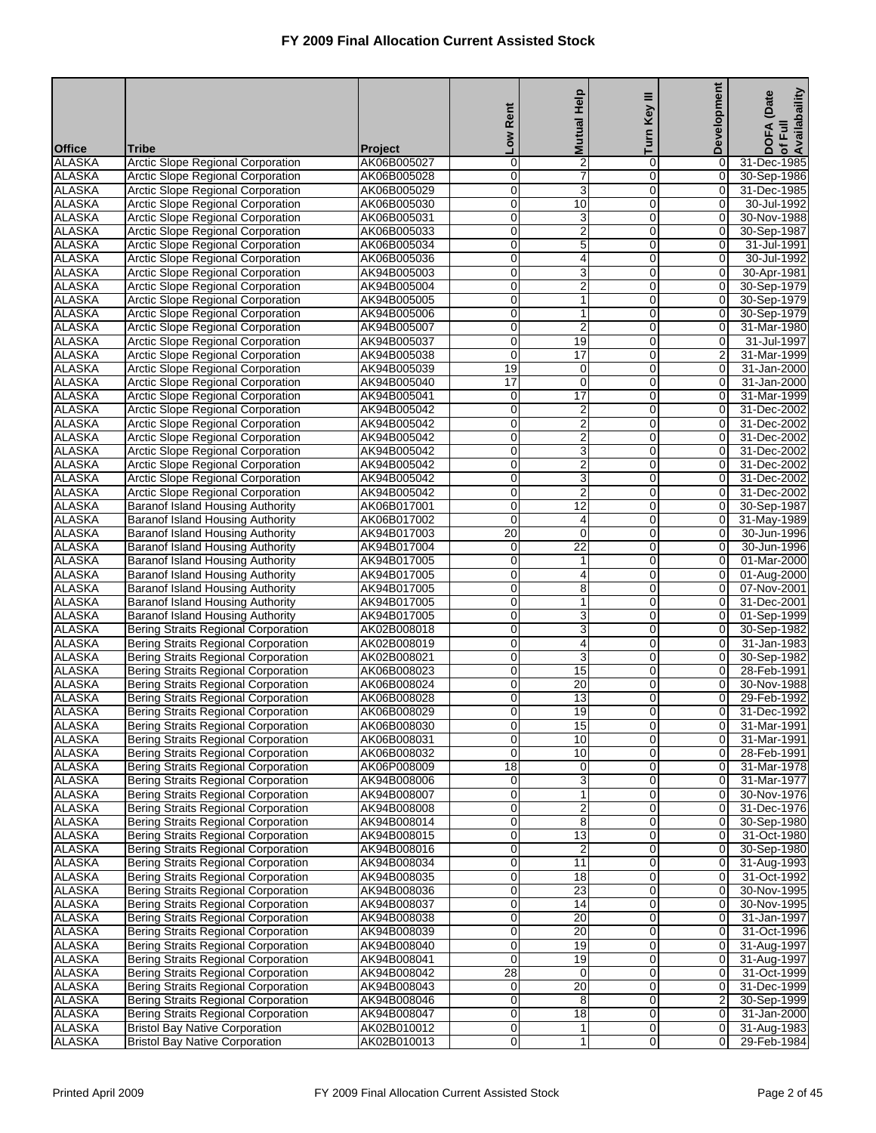|                                |                                                                                   |                            | Rent                     | <b>Mutual Help</b>                 | Key III             | Development                      | of Full<br>Availabaility<br>(Date |
|--------------------------------|-----------------------------------------------------------------------------------|----------------------------|--------------------------|------------------------------------|---------------------|----------------------------------|-----------------------------------|
|                                |                                                                                   |                            | $\overline{\phantom{0}}$ |                                    | Turn                |                                  | DOFA                              |
| <b>Office</b>                  | Tribe                                                                             | Project                    |                          |                                    |                     |                                  |                                   |
| <b>ALASKA</b><br><b>ALASKA</b> | Arctic Slope Regional Corporation<br><b>Arctic Slope Regional Corporation</b>     | AK06B005027<br>AK06B005028 | 0<br>$\overline{0}$      | $\overline{2}$<br>7                | 0<br>$\overline{0}$ | 0<br>0                           | 31-Dec-1985<br>30-Sep-1986        |
| <b>ALASKA</b>                  | Arctic Slope Regional Corporation                                                 | AK06B005029                | 0                        | 3                                  | $\mathbf 0$         | $\mathbf 0$                      | 31-Dec-1985                       |
| <b>ALASKA</b>                  | Arctic Slope Regional Corporation                                                 | AK06B005030                | 0                        | 10                                 | $\mathbf 0$         | $\mathbf 0$                      | 30-Jul-1992                       |
| <b>ALASKA</b>                  | Arctic Slope Regional Corporation                                                 | AK06B005031                | 0                        | 3                                  | 0                   | $\overline{O}$                   | 30-Nov-1988                       |
| <b>ALASKA</b>                  | Arctic Slope Regional Corporation                                                 | AK06B005033                | $\mathbf 0$              | $\overline{2}$                     | $\mathbf 0$         | 0                                | 30-Sep-1987                       |
| <b>ALASKA</b>                  | <b>Arctic Slope Regional Corporation</b>                                          | AK06B005034                | $\overline{0}$           | 5                                  | 0                   | 0                                | 31-Jul-1991                       |
| <b>ALASKA</b><br><b>ALASKA</b> | Arctic Slope Regional Corporation<br>Arctic Slope Regional Corporation            | AK06B005036<br>AK94B005003 | 0<br>0                   | 4<br>3                             | 0<br>$\mathbf 0$    | $\mathbf 0$<br>$\mathbf 0$       | 30-Jul-1992<br>30-Apr-1981        |
| <b>ALASKA</b>                  | <b>Arctic Slope Regional Corporation</b>                                          | AK94B005004                | 0                        | $\overline{2}$                     | 0                   | $\overline{0}$                   | 30-Sep-1979                       |
| <b>ALASKA</b>                  | Arctic Slope Regional Corporation                                                 | AK94B005005                | 0                        | $\mathbf{1}$                       | $\mathbf 0$         | 0                                | 30-Sep-1979                       |
| <b>ALASKA</b>                  | Arctic Slope Regional Corporation                                                 | AK94B005006                | $\overline{0}$           | 1                                  | $\overline{0}$      | 0                                | 30-Sep-1979                       |
| <b>ALASKA</b>                  | <b>Arctic Slope Regional Corporation</b>                                          | AK94B005007                | 0                        | $\overline{\mathbf{c}}$            | 0                   | $\mathbf 0$                      | 31-Mar-1980                       |
| <b>ALASKA</b>                  | <b>Arctic Slope Regional Corporation</b>                                          | AK94B005037                | 0                        | $\overline{19}$                    | $\mathbf 0$         | $\mathbf 0$                      | 31-Jul-1997                       |
| <b>ALASKA</b>                  | Arctic Slope Regional Corporation                                                 | AK94B005038                | 0                        | $\overline{17}$                    | 0                   | $\overline{a}$                   | 31-Mar-1999                       |
| <b>ALASKA</b><br><b>ALASKA</b> | Arctic Slope Regional Corporation<br><b>Arctic Slope Regional Corporation</b>     | AK94B005039<br>AK94B005040 | 19<br>$\overline{17}$    | 0<br>$\overline{0}$                | 0<br>$\overline{0}$ | 0<br>0                           | 31-Jan-2000<br>31-Jan-2000        |
| <b>ALASKA</b>                  | <b>Arctic Slope Regional Corporation</b>                                          | AK94B005041                | 0                        | 17                                 | $\mathbf 0$         | $\overline{0}$                   | 31-Mar-1999                       |
| <b>ALASKA</b>                  | Arctic Slope Regional Corporation                                                 | AK94B005042                | 0                        | $\overline{2}$                     | $\mathbf 0$         | $\mathbf 0$                      | 31-Dec-2002                       |
| <b>ALASKA</b>                  | Arctic Slope Regional Corporation                                                 | AK94B005042                | 0                        | $\overline{\mathbf{c}}$            | 0                   | $\overline{0}$                   | 31-Dec-2002                       |
| <b>ALASKA</b>                  | Arctic Slope Regional Corporation                                                 | AK94B005042                | $\mathbf 0$              | $\overline{2}$                     | $\mathbf 0$         | 0                                | 31-Dec-2002                       |
| <b>ALASKA</b>                  | <b>Arctic Slope Regional Corporation</b>                                          | AK94B005042                | $\overline{0}$           | 3                                  | $\overline{0}$      | $\overline{0}$                   | 31-Dec-2002                       |
| <b>ALASKA</b>                  | Arctic Slope Regional Corporation                                                 | AK94B005042                | 0                        | $\overline{2}$                     | $\mathbf 0$         | $\mathbf 0$                      | 31-Dec-2002                       |
| <b>ALASKA</b><br><b>ALASKA</b> | Arctic Slope Regional Corporation<br>Arctic Slope Regional Corporation            | AK94B005042<br>AK94B005042 | 0<br>0                   | 3<br>$\overline{2}$                | $\mathbf 0$<br>0    | $\mathbf 0$<br>$\overline{O}$    | 31-Dec-2002<br>31-Dec-2002        |
| <b>ALASKA</b>                  | Baranof Island Housing Authority                                                  | AK06B017001                | $\mathbf 0$              | $\overline{12}$                    | $\mathbf 0$         | 0                                | 30-Sep-1987                       |
| <b>ALASKA</b>                  | Baranof Island Housing Authority                                                  | AK06B017002                | $\overline{0}$           | 4                                  | 0                   | 0                                | 31-May-1989                       |
| <b>ALASKA</b>                  | Baranof Island Housing Authority                                                  | AK94B017003                | $\overline{20}$          | $\mathbf 0$                        | 0                   | $\pmb{0}$                        | 30-Jun-1996                       |
| <b>ALASKA</b>                  | <b>Baranof Island Housing Authority</b>                                           | AK94B017004                | $\mathbf 0$              | $\overline{22}$                    | $\mathbf 0$         | $\mathbf 0$                      | 30-Jun-1996                       |
| <b>ALASKA</b>                  | <b>Baranof Island Housing Authority</b>                                           | AK94B017005                | 0                        | 1                                  | 0                   | $\overline{0}$                   | 01-Mar-2000                       |
| <b>ALASKA</b>                  | Baranof Island Housing Authority                                                  | AK94B017005                | 0                        | 4                                  | $\mathbf 0$         | 0                                | 01-Aug-2000                       |
| <b>ALASKA</b><br><b>ALASKA</b> | Baranof Island Housing Authority                                                  | AK94B017005                | $\overline{0}$<br>0      | 8                                  | $\overline{0}$<br>0 | 0<br>$\mathbf 0$                 | 07-Nov-2001                       |
| <b>ALASKA</b>                  | Baranof Island Housing Authority<br><b>Baranof Island Housing Authority</b>       | AK94B017005<br>AK94B017005 | 0                        | $\mathbf{1}$<br>3                  | $\mathbf 0$         | $\mathbf 0$                      | 31-Dec-2001<br>01-Sep-1999        |
| <b>ALASKA</b>                  | Bering Straits Regional Corporation                                               | AK02B008018                | 0                        | 3                                  | 0                   | $\overline{0}$                   | 30-Sep-1982                       |
| <b>ALASKA</b>                  | Bering Straits Regional Corporation                                               | AK02B008019                | 0                        | 4                                  | 0                   | 0                                | 31-Jan-1983                       |
| <b>ALASKA</b>                  | <b>Bering Straits Regional Corporation</b>                                        | AK02B008021                | $\overline{0}$           | 3                                  | $\overline{0}$      | $\overline{0}$                   | 30-Sep-1982                       |
| <b>ALASKA</b>                  | Bering Straits Regional Corporation                                               | AK06B008023                | 0                        | 15                                 | 0                   | $\mathbf 0$                      | 28-Feb-1991                       |
| <b>ALASKA</b>                  | Bering Straits Regional Corporation                                               | AK06B008024                | 0                        | 20                                 | $\mathbf 0$         | $\mathbf 0$                      | 30-Nov-1988                       |
| <b>ALASKA</b><br><b>ALASKA</b> | Bering Straits Regional Corporation<br><b>Bering Straits Regional Corporation</b> | AK06B008028<br>AK06B008029 | 0<br>0                   | $\overline{13}$<br>$\overline{19}$ | 0<br>0              | $\overline{0}$<br>0              | 29-Feb-1992<br>31-Dec-1992        |
| <b>ALASKA</b>                  | Bering Straits Regional Corporation                                               | AK06B008030                | $\mathbf{O}$             | 15                                 | $\overline{0}$      | 01                               | 31-Mar-1991                       |
| <b>ALASKA</b>                  | Bering Straits Regional Corporation                                               | AK06B008031                | $\mathbf 0$              | 10                                 | 0                   | $\overline{0}$                   | 31-Mar-1991                       |
| <b>ALASKA</b>                  | <b>Bering Straits Regional Corporation</b>                                        | AK06B008032                | 0                        | 10                                 | $\mathbf 0$         | $\overline{0}$                   | 28-Feb-1991                       |
| <b>ALASKA</b>                  | Bering Straits Regional Corporation                                               | AK06P008009                | $\overline{18}$          | 0                                  | 0                   | $\overline{0}$                   | 31-Mar-1978                       |
| <b>ALASKA</b>                  | Bering Straits Regional Corporation                                               | AK94B008006                | 0                        | 3                                  | 0                   | 0                                | 31-Mar-1977                       |
| <b>ALASKA</b>                  | <b>Bering Straits Regional Corporation</b>                                        | AK94B008007                | 0                        | 1                                  | 0                   | 0                                | 30-Nov-1976                       |
| <b>ALASKA</b><br><b>ALASKA</b> | Bering Straits Regional Corporation<br>Bering Straits Regional Corporation        | AK94B008008<br>AK94B008014 | $\mathbf 0$<br>0         | 2<br>8                             | 0<br>$\mathbf 0$    | $\overline{0}$<br>$\overline{0}$ | 31-Dec-1976<br>30-Sep-1980        |
| <b>ALASKA</b>                  | Bering Straits Regional Corporation                                               | AK94B008015                | 0                        | 13                                 | 0                   | $\overline{0}$                   | 31-Oct-1980                       |
| <b>ALASKA</b>                  | Bering Straits Regional Corporation                                               | AK94B008016                | 0                        | 2                                  | 0                   | 0                                | 30-Sep-1980                       |
| <b>ALASKA</b>                  | <b>Bering Straits Regional Corporation</b>                                        | AK94B008034                | $\overline{0}$           | 11                                 | 0                   | 0                                | 31-Aug-1993                       |
| <b>ALASKA</b>                  | <b>Bering Straits Regional Corporation</b>                                        | AK94B008035                | $\mathsf{O}\xspace$      | 18                                 | 0                   | $\overline{0}$                   | 31-Oct-1992                       |
| <b>ALASKA</b>                  | Bering Straits Regional Corporation                                               | AK94B008036                | 0                        | 23                                 | $\mathbf 0$         | $\overline{0}$                   | 30-Nov-1995                       |
| <b>ALASKA</b>                  | Bering Straits Regional Corporation                                               | AK94B008037                | 0                        | 14                                 | 0                   | $\overline{0}$                   | 30-Nov-1995                       |
| <b>ALASKA</b><br><b>ALASKA</b> | Bering Straits Regional Corporation<br><b>Bering Straits Regional Corporation</b> | AK94B008038<br>AK94B008039 | 0<br>$\overline{0}$      | 20<br>20                           | 0<br>$\overline{0}$ | $\mathbf 0$<br>0                 | 31-Jan-1997<br>31-Oct-1996        |
| <b>ALASKA</b>                  | Bering Straits Regional Corporation                                               | AK94B008040                | $\pmb{0}$                | 19                                 | 0                   | $\overline{0}$                   | 31-Aug-1997                       |
| <b>ALASKA</b>                  | Bering Straits Regional Corporation                                               | AK94B008041                | $\mathbf 0$              | 19                                 | $\mathbf 0$         | $\overline{0}$                   | 31-Aug-1997                       |
| <b>ALASKA</b>                  | Bering Straits Regional Corporation                                               | AK94B008042                | 28                       | 0                                  | 0                   | $\overline{0}$                   | 31-Oct-1999                       |
| <b>ALASKA</b>                  | Bering Straits Regional Corporation                                               | AK94B008043                | 0                        | 20                                 | 0                   | 0                                | 31-Dec-1999                       |
| <b>ALASKA</b>                  | <b>Bering Straits Regional Corporation</b>                                        | AK94B008046                | 0                        | 8                                  | 0                   | 2                                | 30-Sep-1999                       |
| <b>ALASKA</b>                  | Bering Straits Regional Corporation                                               | AK94B008047                | $\mathbf 0$              | 18                                 | 0                   | $\mathbf 0$                      | 31-Jan-2000                       |
| <b>ALASKA</b><br><b>ALASKA</b> | <b>Bristol Bay Native Corporation</b><br><b>Bristol Bay Native Corporation</b>    | AK02B010012<br>AK02B010013 | 0<br>0                   | 1<br>1                             | $\mathbf 0$<br>0    | $\overline{0}$<br>$\overline{0}$ | 31-Aug-1983<br>29-Feb-1984        |
|                                |                                                                                   |                            |                          |                                    |                     |                                  |                                   |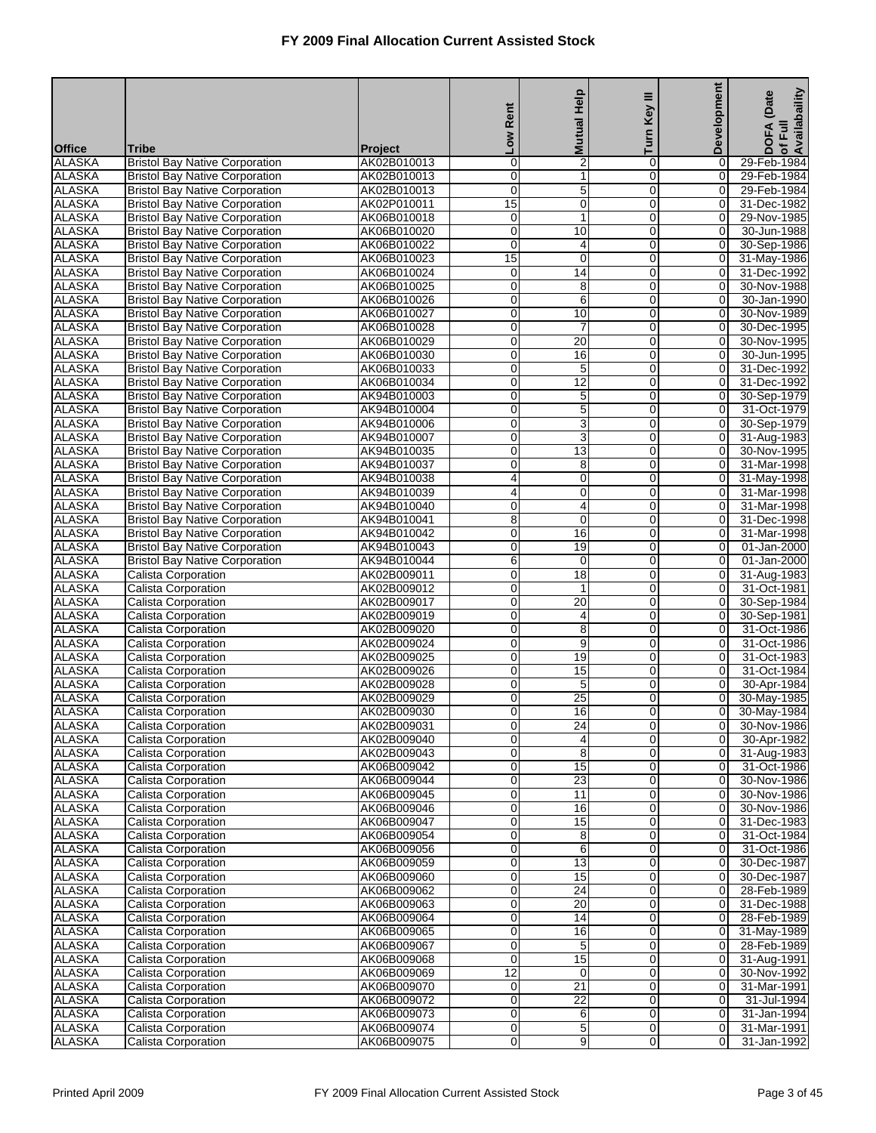|                                |                                                                                |                               |                               |                                   | Ξ                          | <b>Development</b>               | of Full<br>Availabaility<br>(Date |
|--------------------------------|--------------------------------------------------------------------------------|-------------------------------|-------------------------------|-----------------------------------|----------------------------|----------------------------------|-----------------------------------|
|                                |                                                                                |                               | Rent                          | <b>Mutual Help</b>                | Key                        |                                  |                                   |
|                                |                                                                                |                               | <b>No7</b>                    |                                   | Turn                       |                                  | <b>DOFA</b>                       |
| <b>Office</b><br><b>ALASKA</b> | <b>Tribe</b><br><b>Bristol Bay Native Corporation</b>                          | <b>Project</b><br>AK02B010013 | 0                             | $\overline{2}$                    | 0                          | 0                                | 29-Feb-1984                       |
| <b>ALASKA</b>                  | <b>Bristol Bay Native Corporation</b>                                          | AK02B010013                   | $\overline{0}$                | $\overline{1}$                    | $\mathbf 0$                | $\overline{0}$                   | 29-Feb-1984                       |
| <b>ALASKA</b>                  | <b>Bristol Bay Native Corporation</b>                                          | AK02B010013                   | 0                             | 5                                 | 0                          | 0                                | 29-Feb-1984                       |
| <b>ALASKA</b>                  | <b>Bristol Bay Native Corporation</b>                                          | AK02P010011                   | $\overline{15}$               | $\mathbf 0$                       | $\mathbf 0$                | $\mathbf 0$                      | 31-Dec-1982                       |
| <b>ALASKA</b>                  | <b>Bristol Bay Native Corporation</b>                                          | AK06B010018                   | 0                             | 1                                 | 0                          | 0                                | 29-Nov-1985                       |
| <b>ALASKA</b><br><b>ALASKA</b> | <b>Bristol Bay Native Corporation</b>                                          | AK06B010020<br>AK06B010022    | $\mathbf 0$<br>$\overline{0}$ | 10                                | 0<br>$\mathbf 0$           | 0<br>$\overline{O}$              | 30-Jun-1988                       |
| <b>ALASKA</b>                  | <b>Bristol Bay Native Corporation</b><br><b>Bristol Bay Native Corporation</b> | AK06B010023                   | 15                            | 4<br>$\mathbf 0$                  | 0                          | 0                                | 30-Sep-1986<br>31-May-1986        |
| <b>ALASKA</b>                  | <b>Bristol Bay Native Corporation</b>                                          | AK06B010024                   | $\mathbf 0$                   | $\overline{14}$                   | $\mathbf 0$                | $\mathbf 0$                      | 31-Dec-1992                       |
| <b>ALASKA</b>                  | <b>Bristol Bay Native Corporation</b>                                          | AK06B010025                   | 0                             | 8                                 | 0                          | 0                                | 30-Nov-1988                       |
| <b>ALASKA</b>                  | <b>Bristol Bay Native Corporation</b>                                          | AK06B010026                   | $\mathbf 0$                   | 6                                 | 0                          | 0                                | 30-Jan-1990                       |
| <b>ALASKA</b>                  | <b>Bristol Bay Native Corporation</b>                                          | AK06B010027                   | $\overline{0}$                | 10                                | $\mathbf 0$                | $\overline{O}$                   | 30-Nov-1989                       |
| <b>ALASKA</b><br><b>ALASKA</b> | <b>Bristol Bay Native Corporation</b>                                          | AK06B010028<br>AK06B010029    | 0<br>$\mathbf 0$              | $\overline{7}$<br>$\overline{20}$ | 0<br>$\mathbf 0$           | 0<br>$\mathbf 0$                 | 30-Dec-1995<br>30-Nov-1995        |
| <b>ALASKA</b>                  | <b>Bristol Bay Native Corporation</b><br><b>Bristol Bay Native Corporation</b> | AK06B010030                   | 0                             | 16                                | 0                          | 0                                | 30-Jun-1995                       |
| <b>ALASKA</b>                  | <b>Bristol Bay Native Corporation</b>                                          | AK06B010033                   | $\mathbf 0$                   | $\mathbf 5$                       | 0                          | 0                                | 31-Dec-1992                       |
| <b>ALASKA</b>                  | <b>Bristol Bay Native Corporation</b>                                          | AK06B010034                   | $\mathbf 0$                   | 12                                | $\mathbf 0$                | $\overline{O}$                   | 31-Dec-1992                       |
| <b>ALASKA</b>                  | <b>Bristol Bay Native Corporation</b>                                          | AK94B010003                   | 0                             | 5                                 | 0                          | 0                                | 30-Sep-1979                       |
| <b>ALASKA</b>                  | <b>Bristol Bay Native Corporation</b>                                          | AK94B010004                   | $\mathbf 0$                   | $\overline{5}$                    | $\mathbf 0$                | $\mathbf 0$                      | 31-Oct-1979                       |
| <b>ALASKA</b>                  | <b>Bristol Bay Native Corporation</b>                                          | AK94B010006                   | 0                             | 3                                 | 0                          | 0                                | 30-Sep-1979                       |
| <b>ALASKA</b><br><b>ALASKA</b> | <b>Bristol Bay Native Corporation</b><br><b>Bristol Bay Native Corporation</b> | AK94B010007<br>AK94B010035    | $\mathbf 0$<br>$\mathbf 0$    | 3<br>13                           | 0<br>$\mathbf 0$           | $\mathbf 0$<br>$\overline{O}$    | 31-Aug-1983<br>30-Nov-1995        |
| <b>ALASKA</b>                  | <b>Bristol Bay Native Corporation</b>                                          | AK94B010037                   | 0                             | 8                                 | 0                          | 0                                | 31-Mar-1998                       |
| <b>ALASKA</b>                  | <b>Bristol Bay Native Corporation</b>                                          | AK94B010038                   | 4                             | $\mathbf 0$                       | $\mathbf 0$                | 0                                | 31-May-1998                       |
| <b>ALASKA</b>                  | <b>Bristol Bay Native Corporation</b>                                          | AK94B010039                   | 4                             | 0                                 | 0                          | 0                                | 31-Mar-1998                       |
| <b>ALASKA</b>                  | <b>Bristol Bay Native Corporation</b>                                          | AK94B010040                   | $\mathbf 0$                   | 4                                 | 0                          | 0                                | 31-Mar-1998                       |
| <b>ALASKA</b>                  | <b>Bristol Bay Native Corporation</b>                                          | AK94B010041                   | 8                             | $\overline{0}$                    | $\mathbf 0$                | 0                                | 31-Dec-1998                       |
| <b>ALASKA</b>                  | <b>Bristol Bay Native Corporation</b>                                          | AK94B010042                   | 0                             | 16                                | 0                          | 0                                | 31-Mar-1998                       |
| <b>ALASKA</b><br><b>ALASKA</b> | <b>Bristol Bay Native Corporation</b><br><b>Bristol Bay Native Corporation</b> | AK94B010043<br>AK94B010044    | $\mathbf 0$<br>6              | 19<br>0                           | $\mathbf 0$<br>0           | 0<br>0                           | 01-Jan-2000<br>01-Jan-2000        |
| <b>ALASKA</b>                  | Calista Corporation                                                            | AK02B009011                   | $\mathbf 0$                   | $\overline{18}$                   | 0                          | 0                                | 31-Aug-1983                       |
| <b>ALASKA</b>                  | Calista Corporation                                                            | AK02B009012                   | $\mathbf 0$                   | 1                                 | $\mathbf 0$                | 0                                | 31-Oct-1981                       |
| <b>ALASKA</b>                  | Calista Corporation                                                            | AK02B009017                   | 0                             | 20                                | 0                          | 0                                | 30-Sep-1984                       |
| <b>ALASKA</b>                  | Calista Corporation                                                            | AK02B009019                   | $\mathbf 0$                   | 4                                 | $\mathbf 0$                | $\mathbf 0$                      | 30-Sep-1981                       |
| <b>ALASKA</b>                  | Calista Corporation                                                            | AK02B009020                   | 0                             | 8                                 | 0                          | 0                                | 31-Oct-1986                       |
| <b>ALASKA</b><br><b>ALASKA</b> | Calista Corporation<br><b>Calista Corporation</b>                              | AK02B009024<br>AK02B009025    | $\mathbf 0$<br>$\mathbf 0$    | 9<br>19                           | 0<br>$\mathbf 0$           | 0<br>0                           | 31-Oct-1986<br>31-Oct-1983        |
| <b>ALASKA</b>                  | Calista Corporation                                                            | AK02B009026                   | 0                             | 15                                | 0                          | 0                                | 31-Oct-1984                       |
| <b>ALASKA</b>                  | Calista Corporation                                                            | AK02B009028                   | $\mathbf 0$                   | $\overline{5}$                    | $\mathbf 0$                | 0                                | 30-Apr-1984                       |
| <b>ALASKA</b>                  | Calista Corporation                                                            | AK02B009029                   | 0                             | $\overline{25}$                   | 0                          | 0                                | 30-May-1985                       |
| <b>ALASKA</b>                  | <b>Calista Corporation</b>                                                     | AK02B009030                   | $\mathbf 0$                   | 16                                | $\overline{0}$             | $\mathbf 0$                      | 30-May-1984                       |
| <b>ALASKA</b>                  | <b>Calista Corporation</b>                                                     | AK02B009031                   | $\overline{0}$                | 24                                | $\overline{0}$             | 0                                | 30-Nov-1986                       |
| <b>ALASKA</b>                  | Calista Corporation                                                            | AK02B009040                   | 0                             | 4                                 | 0                          | $\overline{0}$                   | 30-Apr-1982                       |
| <b>ALASKA</b><br><b>ALASKA</b> | Calista Corporation<br>Calista Corporation                                     | AK02B009043<br>AK06B009042    | 0<br>0                        | 8<br>15                           | $\mathbf 0$<br>0           | $\mathbf 0$<br>0                 | 31-Aug-1983<br>31-Oct-1986        |
| <b>ALASKA</b>                  | Calista Corporation                                                            | AK06B009044                   | $\pmb{0}$                     | 23                                | $\mathbf 0$                | 0                                | 30-Nov-1986                       |
| <b>ALASKA</b>                  | <b>Calista Corporation</b>                                                     | AK06B009045                   | 0                             | 11                                | $\mathbf 0$                | $\overline{0}$                   | 30-Nov-1986                       |
| <b>ALASKA</b>                  | Calista Corporation                                                            | AK06B009046                   | 0                             | 16                                | $\mathbf 0$                | $\overline{0}$                   | 30-Nov-1986                       |
| <b>ALASKA</b>                  | Calista Corporation                                                            | AK06B009047                   | 0                             | 15                                | $\mathbf 0$                | 0                                | 31-Dec-1983                       |
| <b>ALASKA</b>                  | Calista Corporation                                                            | AK06B009054                   | 0                             | 8                                 | 0                          | 0                                | 31-Oct-1984                       |
| <b>ALASKA</b><br><b>ALASKA</b> | Calista Corporation<br><b>Calista Corporation</b>                              | AK06B009056                   | $\pmb{0}$                     | 6                                 | $\mathbf 0$                | 0                                | 31-Oct-1986<br>30-Dec-1987        |
| <b>ALASKA</b>                  | Calista Corporation                                                            | AK06B009059<br>AK06B009060    | 0<br>0                        | 13<br>15                          | $\mathbf 0$<br>$\mathbf 0$ | $\overline{0}$<br>$\overline{0}$ | 30-Dec-1987                       |
| <b>ALASKA</b>                  | Calista Corporation                                                            | AK06B009062                   | 0                             | $\overline{24}$                   | $\mathbf 0$                | $\mathbf 0$                      | 28-Feb-1989                       |
| <b>ALASKA</b>                  | Calista Corporation                                                            | AK06B009063                   | 0                             | $\overline{20}$                   | 0                          | 0                                | 31-Dec-1988                       |
| <b>ALASKA</b>                  | Calista Corporation                                                            | AK06B009064                   | 0                             | 14                                | $\mathbf 0$                | 0                                | 28-Feb-1989                       |
| <b>ALASKA</b>                  | Calista Corporation                                                            | AK06B009065                   | 0                             | 16                                | $\mathbf 0$                | $\overline{0}$                   | 31-May-1989                       |
| <b>ALASKA</b>                  | Calista Corporation                                                            | AK06B009067                   | 0                             | 5                                 | $\mathbf 0$                | $\overline{0}$                   | 28-Feb-1989                       |
| <b>ALASKA</b>                  | Calista Corporation                                                            | AK06B009068                   | $\mathbf 0$                   | 15                                | $\mathbf 0$                | 0                                | 31-Aug-1991                       |
| <b>ALASKA</b><br><b>ALASKA</b> | Calista Corporation<br>Calista Corporation                                     | AK06B009069<br>AK06B009070    | $\overline{12}$<br>$\pmb{0}$  | 0<br>21                           | 0<br>$\mathbf 0$           | 0<br>0                           | 30-Nov-1992<br>31-Mar-1991        |
| <b>ALASKA</b>                  | Calista Corporation                                                            | AK06B009072                   | $\overline{0}$                | 22                                | $\mathbf 0$                | $\overline{0}$                   | 31-Jul-1994                       |
| <b>ALASKA</b>                  | Calista Corporation                                                            | AK06B009073                   | 0                             | 6                                 | $\mathbf 0$                | 0                                | 31-Jan-1994                       |
| <b>ALASKA</b>                  | Calista Corporation                                                            | AK06B009074                   | $\mathbf 0$                   | 5                                 | $\mathbf 0$                | $\mathbf 0$                      | 31-Mar-1991                       |
| <b>ALASKA</b>                  | Calista Corporation                                                            | AK06B009075                   | 0                             | 9                                 | 0                          | 0                                | 31-Jan-1992                       |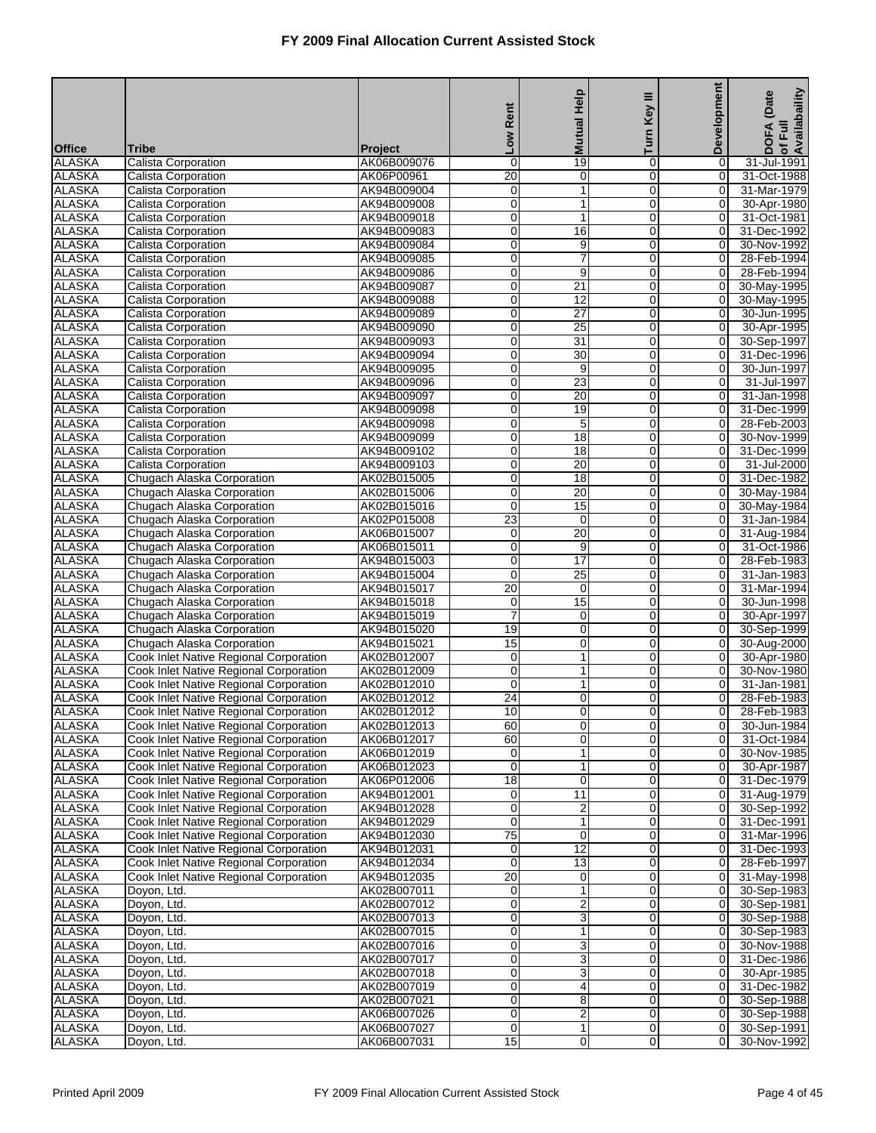|                                |                                                                                  |                               | Rent             | <b>Mutual Help</b> | Key III                     | <b>Development</b>               | of Full<br>Availabaility<br>(Date |
|--------------------------------|----------------------------------------------------------------------------------|-------------------------------|------------------|--------------------|-----------------------------|----------------------------------|-----------------------------------|
|                                |                                                                                  |                               | <b>No7</b>       |                    | Turn                        |                                  | DOFA                              |
| <b>Office</b><br><b>ALASKA</b> | Tribe<br>Calista Corporation                                                     | <b>Project</b><br>AK06B009076 | $\mathbf 0$      | $\overline{19}$    | $\mathbf 0$                 | 0                                | 31-Jul-1991                       |
| <b>ALASKA</b>                  | Calista Corporation                                                              | AK06P00961                    | 20               | 0                  | $\overline{0}$              | $\overline{0}$                   | 31-Oct-1988                       |
| <b>ALASKA</b>                  | <b>Calista Corporation</b>                                                       | AK94B009004                   | 0                | 1                  | 0                           | $\mathbf 0$                      | 31-Mar-1979                       |
| <b>ALASKA</b>                  | <b>Calista Corporation</b>                                                       | AK94B009008                   | 0                | 1                  | $\mathbf 0$                 | $\mathbf 0$                      | 30-Apr-1980                       |
| <b>ALASKA</b>                  | Calista Corporation                                                              | AK94B009018                   | 0                | 1                  | 0                           | 0                                | 31-Oct-1981                       |
| <b>ALASKA</b>                  | Calista Corporation                                                              | AK94B009083                   | $\mathbf 0$      | 16                 | $\mathbf 0$                 | 0                                | 31-Dec-1992                       |
| <b>ALASKA</b>                  | Calista Corporation                                                              | AK94B009084                   | 0                | 9                  | $\overline{0}$              | $\overline{0}$                   | 30-Nov-1992                       |
| <b>ALASKA</b>                  | <b>Calista Corporation</b>                                                       | AK94B009085                   | 0                | 7                  | 0                           | 0                                | 28-Feb-1994                       |
| <b>ALASKA</b>                  | <b>Calista Corporation</b>                                                       | AK94B009086                   | 0                | 9                  | $\mathbf 0$                 | $\mathbf 0$                      | 28-Feb-1994                       |
| <b>ALASKA</b>                  | Calista Corporation                                                              | AK94B009087                   | 0                | $\overline{21}$    | 0                           | 0                                | 30-May-1995                       |
| <b>ALASKA</b>                  | Calista Corporation                                                              | AK94B009088                   | $\mathbf 0$      | $\overline{12}$    | $\mathbf 0$                 | $\mathbf 0$                      | 30-May-1995                       |
| <b>ALASKA</b>                  | <b>Calista Corporation</b>                                                       | AK94B009089                   | 0                | $\overline{27}$    | $\overline{0}$              | $\overline{0}$                   | 30-Jun-1995                       |
| <b>ALASKA</b>                  | <b>Calista Corporation</b>                                                       | AK94B009090                   | 0                | 25                 | 0                           | $\overline{0}$                   | 30-Apr-1995                       |
| <b>ALASKA</b>                  | <b>Calista Corporation</b>                                                       | AK94B009093                   | 0                | 31                 | $\mathbf 0$                 | $\mathbf 0$                      | 30-Sep-1997                       |
| <b>ALASKA</b>                  | Calista Corporation                                                              | AK94B009094                   | 0                | 30                 | 0                           | 0                                | 31-Dec-1996                       |
| <b>ALASKA</b><br><b>ALASKA</b> | Calista Corporation                                                              | AK94B009095                   | $\mathbf 0$      | 9                  | $\mathbf 0$                 | $\mathbf 0$                      | 30-Jun-1997                       |
|                                | <b>Calista Corporation</b>                                                       | AK94B009096                   | 0                | 23                 | $\overline{0}$              | $\overline{0}$                   | 31-Jul-1997                       |
| <b>ALASKA</b><br><b>ALASKA</b> | <b>Calista Corporation</b><br><b>Calista Corporation</b>                         | AK94B009097<br>AK94B009098    | 0<br>0           | 20<br>19           | 0<br>$\mathbf 0$            | $\overline{0}$<br>$\mathbf 0$    | 31-Jan-1998<br>31-Dec-1999        |
| <b>ALASKA</b>                  | <b>Calista Corporation</b>                                                       | AK94B009098                   | 0                | 5                  | 0                           | 0                                | 28-Feb-2003                       |
| <b>ALASKA</b>                  | Calista Corporation                                                              | AK94B009099                   | $\mathbf 0$      | $\overline{18}$    | $\mathbf 0$                 | 0                                | 30-Nov-1999                       |
| <b>ALASKA</b>                  | <b>Calista Corporation</b>                                                       | AK94B009102                   | 0                | 18                 | $\overline{0}$              | $\overline{0}$                   | 31-Dec-1999                       |
| <b>ALASKA</b>                  | <b>Calista Corporation</b>                                                       | AK94B009103                   | 0                | 20                 | 0                           | $\mathbf 0$                      | 31-Jul-2000                       |
| <b>ALASKA</b>                  | Chugach Alaska Corporation                                                       | AK02B015005                   | 0                | 18                 | $\mathbf 0$                 | 0                                | 31-Dec-1982                       |
| <b>ALASKA</b>                  | Chugach Alaska Corporation                                                       | AK02B015006                   | 0                | $\overline{20}$    | 0                           | 0                                | 30-May-1984                       |
| <b>ALASKA</b>                  | Chugach Alaska Corporation                                                       | AK02B015016                   | $\mathbf 0$      | 15                 | $\mathbf 0$                 | 0                                | 30-May-1984                       |
| <b>ALASKA</b>                  | Chugach Alaska Corporation                                                       | AK02P015008                   | 23               | $\mathbf 0$        | $\overline{0}$              | $\overline{0}$                   | 31-Jan-1984                       |
| <b>ALASKA</b>                  | Chugach Alaska Corporation                                                       | AK06B015007                   | 0                | 20                 | 0                           | 0                                | 31-Aug-1984                       |
| <b>ALASKA</b>                  | Chugach Alaska Corporation                                                       | AK06B015011                   | 0                | $\overline{9}$     | $\overline{0}$              | $\mathbf 0$                      | 31-Oct-1986                       |
| <b>ALASKA</b>                  | Chugach Alaska Corporation                                                       | AK94B015003                   | 0                | $\overline{17}$    | 0                           | 0                                | 28-Feb-1983                       |
| <b>ALASKA</b>                  | Chugach Alaska Corporation                                                       | AK94B015004                   | $\mathbf 0$      | $\overline{25}$    | $\mathbf 0$                 | 0                                | 31-Jan-1983                       |
| <b>ALASKA</b>                  | Chugach Alaska Corporation                                                       | AK94B015017                   | 20               | $\overline{0}$     | $\overline{0}$              | $\overline{0}$                   | 31-Mar-1994                       |
| <b>ALASKA</b>                  | Chugach Alaska Corporation                                                       | AK94B015018                   | 0                | 15                 | 0                           | $\overline{0}$                   | 30-Jun-1998                       |
| <b>ALASKA</b>                  | Chugach Alaska Corporation                                                       | AK94B015019                   | 7                | 0                  | $\overline{0}$              | $\overline{0}$                   | 30-Apr-1997                       |
| <b>ALASKA</b>                  | Chugach Alaska Corporation                                                       | AK94B015020                   | $\overline{19}$  | 0                  | 0                           | $\overline{0}$                   | 30-Sep-1999                       |
| <b>ALASKA</b>                  | Chugach Alaska Corporation                                                       | AK94B015021                   | 15               | $\mathbf 0$        | $\mathbf 0$                 | $\mathbf 0$                      | 30-Aug-2000                       |
| <b>ALASKA</b>                  | Cook Inlet Native Regional Corporation                                           | AK02B012007                   | 0                | 1                  | 0                           | $\overline{0}$                   | 30-Apr-1980                       |
| <b>ALASKA</b>                  | Cook Inlet Native Regional Corporation                                           | AK02B012009                   | 0<br>$\mathbf 0$ | 1<br>1             | 0<br>$\overline{0}$         | $\overline{0}$<br>$\mathbf 0$    | 30-Nov-1980                       |
| <b>ALASKA</b><br><b>ALASKA</b> | Cook Inlet Native Regional Corporation<br>Cook Inlet Native Regional Corporation | AK02B012010<br>AK02B012012    | $\overline{24}$  | 0                  | 0                           | $\overline{0}$                   | 31-Jan-1981<br>28-Feb-1983        |
| <b>ALASKA</b>                  | Cook Inlet Native Regional Corporation                                           | AK02B012012                   | 10               | $\mathbf 0$        | $\mathbf 0$                 | 0                                | 28-Feb-1983                       |
| <b>ALASKA</b>                  | Cook Inlet Native Regional Corporation                                           | AK02B012013                   | 60               | $\overline{0}$     | $\mathbf 0$                 | $\overline{O}$                   | 30-Jun-1984                       |
| <b>ALASKA</b>                  | Cook Inlet Native Regional Corporation                                           | AK06B012017                   | 60               | 0                  | 0                           | $\overline{0}$                   | 31-Oct-1984                       |
| <b>ALASKA</b>                  | Cook Inlet Native Regional Corporation                                           | AK06B012019                   | 0                | 1                  | $\mathbf 0$                 | $\overline{0}$                   | 30-Nov-1985                       |
| <b>ALASKA</b>                  | Cook Inlet Native Regional Corporation                                           | AK06B012023                   | 0                | 1                  | 0                           | 0                                | 30-Apr-1987                       |
| <b>ALASKA</b>                  | Cook Inlet Native Regional Corporation                                           | AK06P012006                   | 18               | $\mathbf 0$        | $\pmb{0}$                   | $\overline{0}$                   | 31-Dec-1979                       |
| <b>ALASKA</b>                  | Cook Inlet Native Regional Corporation                                           | AK94B012001                   | $\overline{0}$   | 11                 | $\overline{0}$              | $\overline{0}$                   | 31-Aug-1979                       |
| <b>ALASKA</b>                  | Cook Inlet Native Regional Corporation                                           | AK94B012028                   | 0                | 2                  | 0                           | $\overline{0}$                   | 30-Sep-1992                       |
| <b>ALASKA</b>                  | Cook Inlet Native Regional Corporation                                           | AK94B012029                   | $\mathbf 0$      | 1                  | $\mathbf 0$                 | $\mathbf 0$                      | 31-Dec-1991                       |
| <b>ALASKA</b>                  | Cook Inlet Native Regional Corporation                                           | AK94B012030                   | $\overline{75}$  | 0                  | 0                           | 0                                | 31-Mar-1996                       |
| <b>ALASKA</b>                  | Cook Inlet Native Regional Corporation                                           | AK94B012031                   | 0                | 12                 | $\pmb{0}$                   | $\overline{0}$                   | 31-Dec-1993                       |
| <b>ALASKA</b>                  | Cook Inlet Native Regional Corporation                                           | AK94B012034                   | $\overline{0}$   | 13                 | $\overline{0}$              | $\overline{0}$                   | 28-Feb-1997                       |
| <b>ALASKA</b>                  | Cook Inlet Native Regional Corporation                                           | AK94B012035                   | 20               | 0                  | 0                           | $\overline{0}$                   | 31-May-1998                       |
| <b>ALASKA</b>                  | Doyon, Ltd.                                                                      | AK02B007011                   | 0                | 1                  | $\mathbf 0$                 | $\overline{O}$                   | 30-Sep-1983                       |
| <b>ALASKA</b>                  | Doyon, Ltd.                                                                      | AK02B007012                   | 0                | 2                  | 0                           | $\overline{0}$                   | 30-Sep-1981                       |
| <b>ALASKA</b>                  | Doyon, Ltd.                                                                      | AK02B007013                   | 0                | 3                  | $\pmb{0}$                   | $\mathbf 0$                      | 30-Sep-1988                       |
| <b>ALASKA</b>                  | Doyon, Ltd.                                                                      | AK02B007015                   | 0                | 1                  | $\overline{0}$              | $\overline{0}$                   | 30-Sep-1983                       |
| <b>ALASKA</b>                  | Doyon, Ltd.                                                                      | AK02B007016                   | 0                | 3                  | 0                           | $\overline{0}$                   | 30-Nov-1988                       |
| <b>ALASKA</b>                  | Doyon, Ltd.                                                                      | AK02B007017                   | 0                | $\overline{3}$     | $\mathbf 0$                 | $\mathbf 0$                      | 31-Dec-1986                       |
| <b>ALASKA</b>                  | Doyon, Ltd.                                                                      | AK02B007018                   | 0                | 3                  | 0                           | $\overline{0}$                   | 30-Apr-1985                       |
| <b>ALASKA</b><br><b>ALASKA</b> | Doyon, Ltd.<br>Doyon, Ltd.                                                       | AK02B007019<br>AK02B007021    | 0<br>0           | 4<br>8             | $\pmb{0}$<br>$\overline{0}$ | $\overline{0}$<br>$\overline{0}$ | 31-Dec-1982<br>30-Sep-1988        |
| <b>ALASKA</b>                  | Doyon, Ltd.                                                                      | AK06B007026                   | 0                | 2                  | 0                           | $\overline{0}$                   | 30-Sep-1988                       |
| <b>ALASKA</b>                  | Doyon, Ltd.                                                                      | AK06B007027                   | 0                | 1                  | $\mathbf 0$                 | $\overline{0}$                   | 30-Sep-1991                       |
| <b>ALASKA</b>                  | Doyon, Ltd.                                                                      | AK06B007031                   | $\overline{15}$  | 0                  | 0                           | <sub>0</sub>                     | 30-Nov-1992                       |
|                                |                                                                                  |                               |                  |                    |                             |                                  |                                   |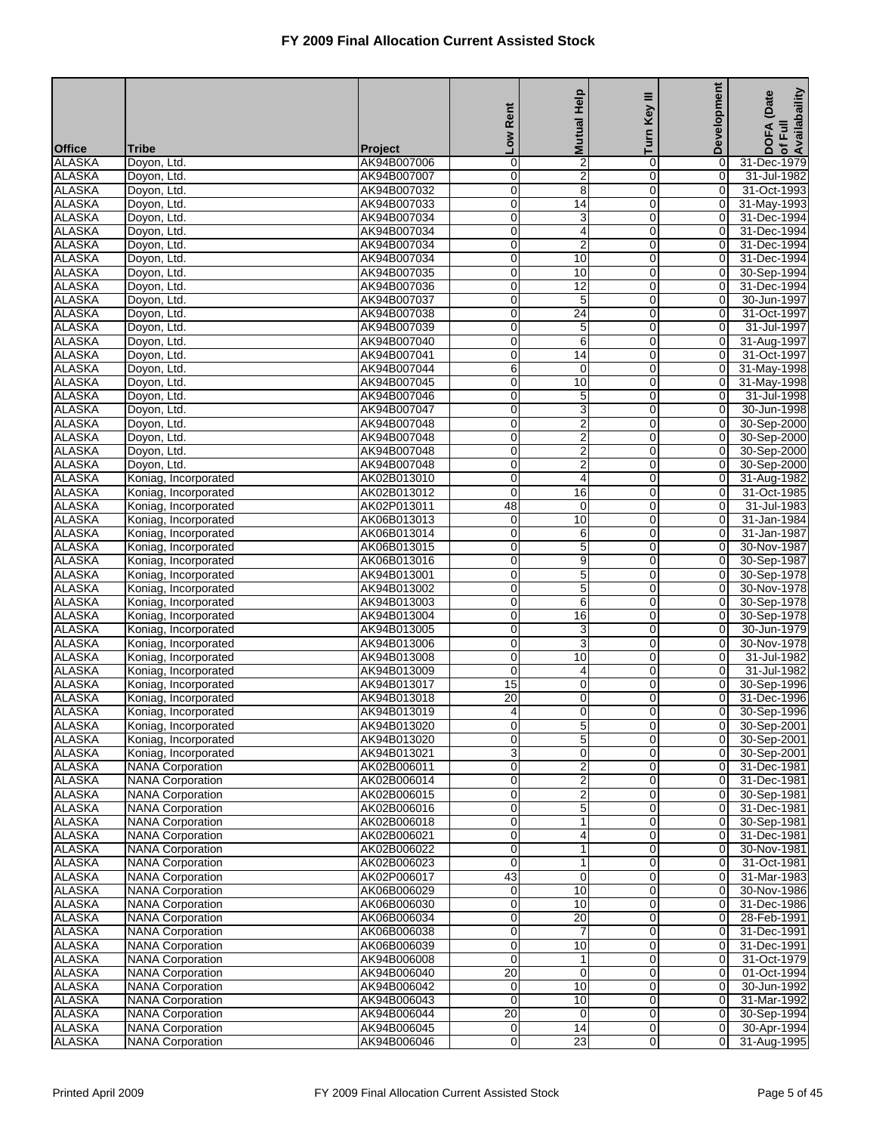| Turn<br><b>No</b><br><b>Office</b><br><b>Tribe</b><br><b>Project</b><br><b>ALASKA</b><br>$\overline{2}$<br>$\pmb{0}$<br>Doyon, Ltd.<br>AK94B007006<br>0<br>31-Dec-1979<br>0<br><b>ALASKA</b><br>2<br>$\overline{0}$<br>$\overline{0}$<br>31-Jul-1982<br>AK94B007007<br>0<br>Doyon, Ltd.<br><b>ALASKA</b><br>0<br>8<br>0<br>0<br>31-Oct-1993<br>Doyon, Ltd.<br>AK94B007032<br><b>ALASKA</b><br>0<br>$\mathbf 0$<br>0<br>Doyon, Ltd.<br>AK94B007033<br>14<br>31-May-1993<br><b>ALASKA</b><br>AK94B007034<br>0<br>3<br>0<br>0<br>Doyon, Ltd.<br>31-Dec-1994<br><b>ALASKA</b><br>$\mathbf 0$<br>4<br>$\mathbf 0$<br>Doyon, Ltd.<br>AK94B007034<br>0<br>31-Dec-1994<br><b>ALASKA</b><br>$\overline{2}$<br>$\overline{0}$<br>$\overline{0}$<br>31-Dec-1994<br>AK94B007034<br>0<br>Doyon, Ltd.<br><b>ALASKA</b><br>0<br>10<br>0<br>0<br>31-Dec-1994<br>Doyon, Ltd.<br>AK94B007034<br><b>ALASKA</b><br>0<br>10<br>$\mathbf 0$<br>0<br>Doyon, Ltd.<br>AK94B007035<br><b>ALASKA</b><br>0<br>$\overline{12}$<br>0<br>0<br>Doyon, Ltd.<br>AK94B007036<br><b>ALASKA</b><br>$\mathbf 0$<br>5<br>$\mathbf 0$<br>Doyon, Ltd.<br>AK94B007037<br>0<br>30-Jun-1997<br><b>ALASKA</b><br>24<br>$\overline{0}$<br>$\overline{0}$<br>AK94B007038<br>0<br>31-Oct-1997<br>Doyon, Ltd.<br><b>ALASKA</b><br>0<br>5<br>0<br>0<br>31-Jul-1997<br>Doyon, Ltd.<br>AK94B007039<br><b>ALASKA</b><br>$\overline{6}$<br>$\overline{0}$<br>$\mathbf 0$<br>0<br>Doyon, Ltd.<br>AK94B007040<br>31-Aug-1997<br><b>ALASKA</b><br>AK94B007041<br>0<br>$\overline{14}$<br>0<br>$\overline{0}$<br>31-Oct-1997<br>Doyon, Ltd.<br><b>ALASKA</b><br>6<br>$\mathbf 0$<br>Doyon, Ltd.<br>AK94B007044<br>$\mathbf 0$<br>0<br>31-May-1998<br><b>ALASKA</b><br>10<br>$\overline{0}$<br>$\overline{0}$<br>AK94B007045<br>0<br>31-May-1998<br>Doyon, Ltd.<br><b>ALASKA</b><br>0<br>5<br>0<br>$\overline{0}$<br>Doyon, Ltd.<br>AK94B007046<br><b>ALASKA</b><br>$\overline{3}$<br>$\overline{0}$<br>$\mathbf 0$<br>0<br>Doyon, Ltd.<br>AK94B007047<br><b>ALASKA</b><br>$\overline{2}$<br>0<br>0<br>0<br>Doyon, Ltd.<br>AK94B007048<br>$\overline{2}$<br><b>ALASKA</b><br>$\mathbf 0$<br>$\mathbf 0$<br>Doyon, Ltd.<br>AK94B007048<br>$\overline{O}$<br>30-Sep-2000<br><b>ALASKA</b><br>$\overline{2}$<br>$\overline{0}$<br>$\overline{0}$<br>AK94B007048<br>0<br>30-Sep-2000<br>Doyon, Ltd.<br><b>ALASKA</b><br>Doyon, Ltd.<br>0<br>2<br>0<br>0<br>30-Sep-2000<br>AK94B007048<br><b>ALASKA</b><br>0<br>4<br>$\overline{0}$<br>0<br>31-Aug-1982<br>AK02B013010<br>Koniag, Incorporated<br><b>ALASKA</b><br>AK02B013012<br>0<br>16<br>0<br>0<br>Koniag, Incorporated<br>31-Oct-1985<br><b>ALASKA</b><br>48<br>$\mathbf 0$<br>Koniag, Incorporated<br>AK02P013011<br>$\mathbf 0$<br>0<br>31-Jul-1983<br><b>ALASKA</b><br>10<br>$\overline{0}$<br>AK06B013013<br>0<br>$\overline{0}$<br>31-Jan-1984<br>Koniag, Incorporated<br><b>ALASKA</b><br>0<br>6<br>0<br>0<br>31-Jan-1987<br>Koniag, Incorporated<br>AK06B013014<br><b>ALASKA</b><br>$\overline{5}$<br>0<br>$\mathbf 0$<br>$\mathbf 0$<br>Koniag, Incorporated<br>AK06B013015<br><b>ALASKA</b><br>9<br>0<br>0<br>$\overline{0}$<br>30-Sep-1987<br>Koniag, Incorporated<br>AK06B013016<br><b>ALASKA</b><br>$\mathbf 0$<br>5<br>$\mathbf 0$<br>Koniag, Incorporated<br>$\mathbf 0$<br>30-Sep-1978<br>AK94B013001<br><b>ALASKA</b><br>5<br>$\overline{0}$<br>$\overline{0}$<br>30-Nov-1978<br>AK94B013002<br>0<br>Koniag, Incorporated<br><b>ALASKA</b><br>0<br>6<br>0<br>0<br>30-Sep-1978<br>Koniag, Incorporated<br>AK94B013003<br><b>ALASKA</b><br>$\overline{0}$<br>16<br>$\mathbf 0$<br>$\mathbf 0$<br>Koniag, Incorporated<br>AK94B013004<br>30-Sep-1978<br><b>ALASKA</b><br>0<br>3<br>0<br>0<br>30-Jun-1979<br>Koniag, Incorporated<br>AK94B013005<br>3<br><b>ALASKA</b><br>$\mathbf 0$<br>$\mathbf 0$<br>Koniag, Incorporated<br>0<br>30-Nov-1978<br>AK94B013006<br><b>ALASKA</b><br>$\overline{0}$<br>$\overline{0}$<br>AK94B013008<br>0<br>10<br>Koniag, Incorporated<br><b>ALASKA</b><br>0<br>0<br>$\mathbf 0$<br>Koniag, Incorporated<br>AK94B013009<br>4<br>15<br>$\overline{0}$<br><b>ALASKA</b><br>$\overline{0}$<br>$\overline{0}$<br>AK94B013017<br>Koniag, Incorporated<br><b>ALASKA</b><br>$\overline{20}$<br>0<br>$\overline{0}$<br>Koniag, Incorporated<br>AK94B013018<br>0<br>31-Dec-1996<br><b>ALASKA</b><br>$\mathbf 0$<br>$\mathbf 0$<br>30-Sep-1996<br>Koniag, Incorporated<br>AK94B013019<br>$\overline{4}$<br>0<br>30-Sep-2001<br><b>ALASKA</b><br>Koniag, Incorporated<br>AK94B013020<br>0<br>5<br>0<br>$\overline{O}$<br>$\overline{5}$<br>0<br>$\mathbf 0$<br><b>ALASKA</b><br>$\overline{0}$<br>30-Sep-2001<br>Koniag, Incorporated<br>AK94B013020<br><b>ALASKA</b><br>3<br>0<br>$\mathbf 0$<br>$\mathbf 0$<br>Koniag, Incorporated<br>30-Sep-2001<br>AK94B013021<br><b>ALASKA</b><br>AK02B006011<br>0<br>2<br>0<br>0<br><b>NANA Corporation</b><br>31-Dec-1981<br>$\overline{2}$<br><b>ALASKA</b><br>$\mathbf 0$<br>$\pmb{0}$<br><b>NANA Corporation</b><br>AK02B006014<br>$\mathbf 0$<br>31-Dec-1981<br><b>ALASKA</b><br>$\overline{\mathbf{c}}$<br>$\overline{0}$<br>$\overline{0}$<br>$\overline{0}$<br><b>NANA Corporation</b><br>AK02B006015<br><b>ALASKA</b><br>5<br><b>NANA Corporation</b><br>0<br>0<br>$\overline{0}$<br>AK02B006016<br><b>ALASKA</b><br>0<br>$\mathbf 0$<br>$\mathbf 0$<br><b>NANA Corporation</b><br>AK02B006018<br>1<br>30-Sep-1981<br><b>ALASKA</b><br>AK02B006021<br>0<br>0<br>0<br>31-Dec-1981<br><b>NANA Corporation</b><br>4<br><b>ALASKA</b><br>$\pmb{0}$<br>$\mathbf{1}$<br>$\pmb{0}$<br><b>NANA Corporation</b><br>AK02B006022<br>$\mathbf 0$<br>30-Nov-1981<br><b>ALASKA</b><br>$\overline{0}$<br>$\overline{0}$<br>$\overline{1}$<br>$\overline{0}$<br><b>NANA Corporation</b><br>AK02B006023<br>31-Oct-1981<br><b>ALASKA</b><br><b>NANA Corporation</b><br>43<br>$\mathbf 0$<br>0<br>$\overline{0}$<br>31-Mar-1983<br>AK02P006017<br><b>ALASKA</b><br>0<br>10<br>$\mathbf 0$<br>$\mathbf 0$<br><b>NANA Corporation</b><br>AK06B006029<br>30-Nov-1986<br><b>ALASKA</b><br>0<br>10<br>0<br>$\overline{0}$<br>31-Dec-1986<br><b>NANA Corporation</b><br>AK06B006030<br><b>ALASKA</b><br>$\pmb{0}$<br>20<br>$\pmb{0}$<br><b>NANA Corporation</b><br>AK06B006034<br>$\mathbf 0$<br>28-Feb-1991<br><b>ALASKA</b><br>$\overline{0}$<br>7<br>$\overline{0}$<br><b>NANA Corporation</b><br>$\overline{0}$<br>AK06B006038<br><b>ALASKA</b><br>0<br>10<br>0<br>$\overline{0}$<br><b>NANA Corporation</b><br>AK06B006039<br><b>ALASKA</b><br>$\mathbf 0$<br>$\mathbf 0$<br><b>NANA Corporation</b><br>AK94B006008<br>1<br>$\mathbf 0$<br><b>ALASKA</b><br>AK94B006040<br>20<br>0<br>0<br>$\overline{0}$<br><b>NANA Corporation</b><br>01-Oct-1994<br>10<br>$\pmb{0}$<br><b>ALASKA</b><br><b>NANA Corporation</b><br>AK94B006042<br>0<br>$\pmb{0}$<br>30-Jun-1992<br><b>ALASKA</b><br>$\overline{0}$<br>10<br>$\overline{0}$<br>$\overline{0}$<br>31-Mar-1992<br><b>NANA Corporation</b><br>AK94B006043<br><b>ALASKA</b><br>20<br>0<br>$\overline{0}$<br>30-Sep-1994<br><b>NANA Corporation</b><br>AK94B006044<br>0 |               |                         |             | Rent | <b>Mutual Help</b> | Key III     | <b>Development</b> | of Full<br>Availabaility<br>(Date<br>DOFA |
|------------------------------------------------------------------------------------------------------------------------------------------------------------------------------------------------------------------------------------------------------------------------------------------------------------------------------------------------------------------------------------------------------------------------------------------------------------------------------------------------------------------------------------------------------------------------------------------------------------------------------------------------------------------------------------------------------------------------------------------------------------------------------------------------------------------------------------------------------------------------------------------------------------------------------------------------------------------------------------------------------------------------------------------------------------------------------------------------------------------------------------------------------------------------------------------------------------------------------------------------------------------------------------------------------------------------------------------------------------------------------------------------------------------------------------------------------------------------------------------------------------------------------------------------------------------------------------------------------------------------------------------------------------------------------------------------------------------------------------------------------------------------------------------------------------------------------------------------------------------------------------------------------------------------------------------------------------------------------------------------------------------------------------------------------------------------------------------------------------------------------------------------------------------------------------------------------------------------------------------------------------------------------------------------------------------------------------------------------------------------------------------------------------------------------------------------------------------------------------------------------------------------------------------------------------------------------------------------------------------------------------------------------------------------------------------------------------------------------------------------------------------------------------------------------------------------------------------------------------------------------------------------------------------------------------------------------------------------------------------------------------------------------------------------------------------------------------------------------------------------------------------------------------------------------------------------------------------------------------------------------------------------------------------------------------------------------------------------------------------------------------------------------------------------------------------------------------------------------------------------------------------------------------------------------------------------------------------------------------------------------------------------------------------------------------------------------------------------------------------------------------------------------------------------------------------------------------------------------------------------------------------------------------------------------------------------------------------------------------------------------------------------------------------------------------------------------------------------------------------------------------------------------------------------------------------------------------------------------------------------------------------------------------------------------------------------------------------------------------------------------------------------------------------------------------------------------------------------------------------------------------------------------------------------------------------------------------------------------------------------------------------------------------------------------------------------------------------------------------------------------------------------------------------------------------------------------------------------------------------------------------------------------------------------------------------------------------------------------------------------------------------------------------------------------------------------------------------------------------------------------------------------------------------------------------------------------------------------------------------------------------------------------------------------------------------------------------------------------------------------------------------------------------------------------------------------------------------------------------------------------------------------------------------------------------------------------------------------------------------------------------------------------------------------------------------------------------------------------------------------------------------------------------------------------------------------------------------------------------------------------------------------------------------------------------------------------------------------------------------------------------------------------------------------------------------------------------------------------------------------------------------------------------------------------------------------------------------------------------------------------------------------------------------------------------------------------------------------------------------------------------------------------------------------------------------------------------------------------------------------------------------------------------------------------------------------------------------------------------------------------------------------------------------------------------------------------------------------------------------------------------------------------------------------------------------------------------------------------------------------------------------------------------------------------------------------------------------------------------------------------------------------------------------------------------------------|---------------|-------------------------|-------------|------|--------------------|-------------|--------------------|-------------------------------------------|
|                                                                                                                                                                                                                                                                                                                                                                                                                                                                                                                                                                                                                                                                                                                                                                                                                                                                                                                                                                                                                                                                                                                                                                                                                                                                                                                                                                                                                                                                                                                                                                                                                                                                                                                                                                                                                                                                                                                                                                                                                                                                                                                                                                                                                                                                                                                                                                                                                                                                                                                                                                                                                                                                                                                                                                                                                                                                                                                                                                                                                                                                                                                                                                                                                                                                                                                                                                                                                                                                                                                                                                                                                                                                                                                                                                                                                                                                                                                                                                                                                                                                                                                                                                                                                                                                                                                                                                                                                                                                                                                                                                                                                                                                                                                                                                                                                                                                                                                                                                                                                                                                                                                                                                                                                                                                                                                                                                                                                                                                                                                                                                                                                                                                                                                                                                                                                                                                                                                                                                                                                                                                                                                                                                                                                                                                                                                                                                                                                                                                                                                                                                                                                                                                                                                                                                                                                                                                                                                                                                                                                                                                        |               |                         |             |      |                    |             |                    |                                           |
|                                                                                                                                                                                                                                                                                                                                                                                                                                                                                                                                                                                                                                                                                                                                                                                                                                                                                                                                                                                                                                                                                                                                                                                                                                                                                                                                                                                                                                                                                                                                                                                                                                                                                                                                                                                                                                                                                                                                                                                                                                                                                                                                                                                                                                                                                                                                                                                                                                                                                                                                                                                                                                                                                                                                                                                                                                                                                                                                                                                                                                                                                                                                                                                                                                                                                                                                                                                                                                                                                                                                                                                                                                                                                                                                                                                                                                                                                                                                                                                                                                                                                                                                                                                                                                                                                                                                                                                                                                                                                                                                                                                                                                                                                                                                                                                                                                                                                                                                                                                                                                                                                                                                                                                                                                                                                                                                                                                                                                                                                                                                                                                                                                                                                                                                                                                                                                                                                                                                                                                                                                                                                                                                                                                                                                                                                                                                                                                                                                                                                                                                                                                                                                                                                                                                                                                                                                                                                                                                                                                                                                                                        |               |                         |             |      |                    |             |                    |                                           |
|                                                                                                                                                                                                                                                                                                                                                                                                                                                                                                                                                                                                                                                                                                                                                                                                                                                                                                                                                                                                                                                                                                                                                                                                                                                                                                                                                                                                                                                                                                                                                                                                                                                                                                                                                                                                                                                                                                                                                                                                                                                                                                                                                                                                                                                                                                                                                                                                                                                                                                                                                                                                                                                                                                                                                                                                                                                                                                                                                                                                                                                                                                                                                                                                                                                                                                                                                                                                                                                                                                                                                                                                                                                                                                                                                                                                                                                                                                                                                                                                                                                                                                                                                                                                                                                                                                                                                                                                                                                                                                                                                                                                                                                                                                                                                                                                                                                                                                                                                                                                                                                                                                                                                                                                                                                                                                                                                                                                                                                                                                                                                                                                                                                                                                                                                                                                                                                                                                                                                                                                                                                                                                                                                                                                                                                                                                                                                                                                                                                                                                                                                                                                                                                                                                                                                                                                                                                                                                                                                                                                                                                                        |               |                         |             |      |                    |             |                    |                                           |
|                                                                                                                                                                                                                                                                                                                                                                                                                                                                                                                                                                                                                                                                                                                                                                                                                                                                                                                                                                                                                                                                                                                                                                                                                                                                                                                                                                                                                                                                                                                                                                                                                                                                                                                                                                                                                                                                                                                                                                                                                                                                                                                                                                                                                                                                                                                                                                                                                                                                                                                                                                                                                                                                                                                                                                                                                                                                                                                                                                                                                                                                                                                                                                                                                                                                                                                                                                                                                                                                                                                                                                                                                                                                                                                                                                                                                                                                                                                                                                                                                                                                                                                                                                                                                                                                                                                                                                                                                                                                                                                                                                                                                                                                                                                                                                                                                                                                                                                                                                                                                                                                                                                                                                                                                                                                                                                                                                                                                                                                                                                                                                                                                                                                                                                                                                                                                                                                                                                                                                                                                                                                                                                                                                                                                                                                                                                                                                                                                                                                                                                                                                                                                                                                                                                                                                                                                                                                                                                                                                                                                                                                        |               |                         |             |      |                    |             |                    |                                           |
|                                                                                                                                                                                                                                                                                                                                                                                                                                                                                                                                                                                                                                                                                                                                                                                                                                                                                                                                                                                                                                                                                                                                                                                                                                                                                                                                                                                                                                                                                                                                                                                                                                                                                                                                                                                                                                                                                                                                                                                                                                                                                                                                                                                                                                                                                                                                                                                                                                                                                                                                                                                                                                                                                                                                                                                                                                                                                                                                                                                                                                                                                                                                                                                                                                                                                                                                                                                                                                                                                                                                                                                                                                                                                                                                                                                                                                                                                                                                                                                                                                                                                                                                                                                                                                                                                                                                                                                                                                                                                                                                                                                                                                                                                                                                                                                                                                                                                                                                                                                                                                                                                                                                                                                                                                                                                                                                                                                                                                                                                                                                                                                                                                                                                                                                                                                                                                                                                                                                                                                                                                                                                                                                                                                                                                                                                                                                                                                                                                                                                                                                                                                                                                                                                                                                                                                                                                                                                                                                                                                                                                                                        |               |                         |             |      |                    |             |                    |                                           |
|                                                                                                                                                                                                                                                                                                                                                                                                                                                                                                                                                                                                                                                                                                                                                                                                                                                                                                                                                                                                                                                                                                                                                                                                                                                                                                                                                                                                                                                                                                                                                                                                                                                                                                                                                                                                                                                                                                                                                                                                                                                                                                                                                                                                                                                                                                                                                                                                                                                                                                                                                                                                                                                                                                                                                                                                                                                                                                                                                                                                                                                                                                                                                                                                                                                                                                                                                                                                                                                                                                                                                                                                                                                                                                                                                                                                                                                                                                                                                                                                                                                                                                                                                                                                                                                                                                                                                                                                                                                                                                                                                                                                                                                                                                                                                                                                                                                                                                                                                                                                                                                                                                                                                                                                                                                                                                                                                                                                                                                                                                                                                                                                                                                                                                                                                                                                                                                                                                                                                                                                                                                                                                                                                                                                                                                                                                                                                                                                                                                                                                                                                                                                                                                                                                                                                                                                                                                                                                                                                                                                                                                                        |               |                         |             |      |                    |             |                    |                                           |
|                                                                                                                                                                                                                                                                                                                                                                                                                                                                                                                                                                                                                                                                                                                                                                                                                                                                                                                                                                                                                                                                                                                                                                                                                                                                                                                                                                                                                                                                                                                                                                                                                                                                                                                                                                                                                                                                                                                                                                                                                                                                                                                                                                                                                                                                                                                                                                                                                                                                                                                                                                                                                                                                                                                                                                                                                                                                                                                                                                                                                                                                                                                                                                                                                                                                                                                                                                                                                                                                                                                                                                                                                                                                                                                                                                                                                                                                                                                                                                                                                                                                                                                                                                                                                                                                                                                                                                                                                                                                                                                                                                                                                                                                                                                                                                                                                                                                                                                                                                                                                                                                                                                                                                                                                                                                                                                                                                                                                                                                                                                                                                                                                                                                                                                                                                                                                                                                                                                                                                                                                                                                                                                                                                                                                                                                                                                                                                                                                                                                                                                                                                                                                                                                                                                                                                                                                                                                                                                                                                                                                                                                        |               |                         |             |      |                    |             |                    |                                           |
|                                                                                                                                                                                                                                                                                                                                                                                                                                                                                                                                                                                                                                                                                                                                                                                                                                                                                                                                                                                                                                                                                                                                                                                                                                                                                                                                                                                                                                                                                                                                                                                                                                                                                                                                                                                                                                                                                                                                                                                                                                                                                                                                                                                                                                                                                                                                                                                                                                                                                                                                                                                                                                                                                                                                                                                                                                                                                                                                                                                                                                                                                                                                                                                                                                                                                                                                                                                                                                                                                                                                                                                                                                                                                                                                                                                                                                                                                                                                                                                                                                                                                                                                                                                                                                                                                                                                                                                                                                                                                                                                                                                                                                                                                                                                                                                                                                                                                                                                                                                                                                                                                                                                                                                                                                                                                                                                                                                                                                                                                                                                                                                                                                                                                                                                                                                                                                                                                                                                                                                                                                                                                                                                                                                                                                                                                                                                                                                                                                                                                                                                                                                                                                                                                                                                                                                                                                                                                                                                                                                                                                                                        |               |                         |             |      |                    |             |                    |                                           |
|                                                                                                                                                                                                                                                                                                                                                                                                                                                                                                                                                                                                                                                                                                                                                                                                                                                                                                                                                                                                                                                                                                                                                                                                                                                                                                                                                                                                                                                                                                                                                                                                                                                                                                                                                                                                                                                                                                                                                                                                                                                                                                                                                                                                                                                                                                                                                                                                                                                                                                                                                                                                                                                                                                                                                                                                                                                                                                                                                                                                                                                                                                                                                                                                                                                                                                                                                                                                                                                                                                                                                                                                                                                                                                                                                                                                                                                                                                                                                                                                                                                                                                                                                                                                                                                                                                                                                                                                                                                                                                                                                                                                                                                                                                                                                                                                                                                                                                                                                                                                                                                                                                                                                                                                                                                                                                                                                                                                                                                                                                                                                                                                                                                                                                                                                                                                                                                                                                                                                                                                                                                                                                                                                                                                                                                                                                                                                                                                                                                                                                                                                                                                                                                                                                                                                                                                                                                                                                                                                                                                                                                                        |               |                         |             |      |                    |             |                    | 30-Sep-1994                               |
|                                                                                                                                                                                                                                                                                                                                                                                                                                                                                                                                                                                                                                                                                                                                                                                                                                                                                                                                                                                                                                                                                                                                                                                                                                                                                                                                                                                                                                                                                                                                                                                                                                                                                                                                                                                                                                                                                                                                                                                                                                                                                                                                                                                                                                                                                                                                                                                                                                                                                                                                                                                                                                                                                                                                                                                                                                                                                                                                                                                                                                                                                                                                                                                                                                                                                                                                                                                                                                                                                                                                                                                                                                                                                                                                                                                                                                                                                                                                                                                                                                                                                                                                                                                                                                                                                                                                                                                                                                                                                                                                                                                                                                                                                                                                                                                                                                                                                                                                                                                                                                                                                                                                                                                                                                                                                                                                                                                                                                                                                                                                                                                                                                                                                                                                                                                                                                                                                                                                                                                                                                                                                                                                                                                                                                                                                                                                                                                                                                                                                                                                                                                                                                                                                                                                                                                                                                                                                                                                                                                                                                                                        |               |                         |             |      |                    |             |                    | 31-Dec-1994                               |
|                                                                                                                                                                                                                                                                                                                                                                                                                                                                                                                                                                                                                                                                                                                                                                                                                                                                                                                                                                                                                                                                                                                                                                                                                                                                                                                                                                                                                                                                                                                                                                                                                                                                                                                                                                                                                                                                                                                                                                                                                                                                                                                                                                                                                                                                                                                                                                                                                                                                                                                                                                                                                                                                                                                                                                                                                                                                                                                                                                                                                                                                                                                                                                                                                                                                                                                                                                                                                                                                                                                                                                                                                                                                                                                                                                                                                                                                                                                                                                                                                                                                                                                                                                                                                                                                                                                                                                                                                                                                                                                                                                                                                                                                                                                                                                                                                                                                                                                                                                                                                                                                                                                                                                                                                                                                                                                                                                                                                                                                                                                                                                                                                                                                                                                                                                                                                                                                                                                                                                                                                                                                                                                                                                                                                                                                                                                                                                                                                                                                                                                                                                                                                                                                                                                                                                                                                                                                                                                                                                                                                                                                        |               |                         |             |      |                    |             |                    |                                           |
|                                                                                                                                                                                                                                                                                                                                                                                                                                                                                                                                                                                                                                                                                                                                                                                                                                                                                                                                                                                                                                                                                                                                                                                                                                                                                                                                                                                                                                                                                                                                                                                                                                                                                                                                                                                                                                                                                                                                                                                                                                                                                                                                                                                                                                                                                                                                                                                                                                                                                                                                                                                                                                                                                                                                                                                                                                                                                                                                                                                                                                                                                                                                                                                                                                                                                                                                                                                                                                                                                                                                                                                                                                                                                                                                                                                                                                                                                                                                                                                                                                                                                                                                                                                                                                                                                                                                                                                                                                                                                                                                                                                                                                                                                                                                                                                                                                                                                                                                                                                                                                                                                                                                                                                                                                                                                                                                                                                                                                                                                                                                                                                                                                                                                                                                                                                                                                                                                                                                                                                                                                                                                                                                                                                                                                                                                                                                                                                                                                                                                                                                                                                                                                                                                                                                                                                                                                                                                                                                                                                                                                                                        |               |                         |             |      |                    |             |                    |                                           |
|                                                                                                                                                                                                                                                                                                                                                                                                                                                                                                                                                                                                                                                                                                                                                                                                                                                                                                                                                                                                                                                                                                                                                                                                                                                                                                                                                                                                                                                                                                                                                                                                                                                                                                                                                                                                                                                                                                                                                                                                                                                                                                                                                                                                                                                                                                                                                                                                                                                                                                                                                                                                                                                                                                                                                                                                                                                                                                                                                                                                                                                                                                                                                                                                                                                                                                                                                                                                                                                                                                                                                                                                                                                                                                                                                                                                                                                                                                                                                                                                                                                                                                                                                                                                                                                                                                                                                                                                                                                                                                                                                                                                                                                                                                                                                                                                                                                                                                                                                                                                                                                                                                                                                                                                                                                                                                                                                                                                                                                                                                                                                                                                                                                                                                                                                                                                                                                                                                                                                                                                                                                                                                                                                                                                                                                                                                                                                                                                                                                                                                                                                                                                                                                                                                                                                                                                                                                                                                                                                                                                                                                                        |               |                         |             |      |                    |             |                    |                                           |
|                                                                                                                                                                                                                                                                                                                                                                                                                                                                                                                                                                                                                                                                                                                                                                                                                                                                                                                                                                                                                                                                                                                                                                                                                                                                                                                                                                                                                                                                                                                                                                                                                                                                                                                                                                                                                                                                                                                                                                                                                                                                                                                                                                                                                                                                                                                                                                                                                                                                                                                                                                                                                                                                                                                                                                                                                                                                                                                                                                                                                                                                                                                                                                                                                                                                                                                                                                                                                                                                                                                                                                                                                                                                                                                                                                                                                                                                                                                                                                                                                                                                                                                                                                                                                                                                                                                                                                                                                                                                                                                                                                                                                                                                                                                                                                                                                                                                                                                                                                                                                                                                                                                                                                                                                                                                                                                                                                                                                                                                                                                                                                                                                                                                                                                                                                                                                                                                                                                                                                                                                                                                                                                                                                                                                                                                                                                                                                                                                                                                                                                                                                                                                                                                                                                                                                                                                                                                                                                                                                                                                                                                        |               |                         |             |      |                    |             |                    |                                           |
|                                                                                                                                                                                                                                                                                                                                                                                                                                                                                                                                                                                                                                                                                                                                                                                                                                                                                                                                                                                                                                                                                                                                                                                                                                                                                                                                                                                                                                                                                                                                                                                                                                                                                                                                                                                                                                                                                                                                                                                                                                                                                                                                                                                                                                                                                                                                                                                                                                                                                                                                                                                                                                                                                                                                                                                                                                                                                                                                                                                                                                                                                                                                                                                                                                                                                                                                                                                                                                                                                                                                                                                                                                                                                                                                                                                                                                                                                                                                                                                                                                                                                                                                                                                                                                                                                                                                                                                                                                                                                                                                                                                                                                                                                                                                                                                                                                                                                                                                                                                                                                                                                                                                                                                                                                                                                                                                                                                                                                                                                                                                                                                                                                                                                                                                                                                                                                                                                                                                                                                                                                                                                                                                                                                                                                                                                                                                                                                                                                                                                                                                                                                                                                                                                                                                                                                                                                                                                                                                                                                                                                                                        |               |                         |             |      |                    |             |                    |                                           |
|                                                                                                                                                                                                                                                                                                                                                                                                                                                                                                                                                                                                                                                                                                                                                                                                                                                                                                                                                                                                                                                                                                                                                                                                                                                                                                                                                                                                                                                                                                                                                                                                                                                                                                                                                                                                                                                                                                                                                                                                                                                                                                                                                                                                                                                                                                                                                                                                                                                                                                                                                                                                                                                                                                                                                                                                                                                                                                                                                                                                                                                                                                                                                                                                                                                                                                                                                                                                                                                                                                                                                                                                                                                                                                                                                                                                                                                                                                                                                                                                                                                                                                                                                                                                                                                                                                                                                                                                                                                                                                                                                                                                                                                                                                                                                                                                                                                                                                                                                                                                                                                                                                                                                                                                                                                                                                                                                                                                                                                                                                                                                                                                                                                                                                                                                                                                                                                                                                                                                                                                                                                                                                                                                                                                                                                                                                                                                                                                                                                                                                                                                                                                                                                                                                                                                                                                                                                                                                                                                                                                                                                                        |               |                         |             |      |                    |             |                    |                                           |
|                                                                                                                                                                                                                                                                                                                                                                                                                                                                                                                                                                                                                                                                                                                                                                                                                                                                                                                                                                                                                                                                                                                                                                                                                                                                                                                                                                                                                                                                                                                                                                                                                                                                                                                                                                                                                                                                                                                                                                                                                                                                                                                                                                                                                                                                                                                                                                                                                                                                                                                                                                                                                                                                                                                                                                                                                                                                                                                                                                                                                                                                                                                                                                                                                                                                                                                                                                                                                                                                                                                                                                                                                                                                                                                                                                                                                                                                                                                                                                                                                                                                                                                                                                                                                                                                                                                                                                                                                                                                                                                                                                                                                                                                                                                                                                                                                                                                                                                                                                                                                                                                                                                                                                                                                                                                                                                                                                                                                                                                                                                                                                                                                                                                                                                                                                                                                                                                                                                                                                                                                                                                                                                                                                                                                                                                                                                                                                                                                                                                                                                                                                                                                                                                                                                                                                                                                                                                                                                                                                                                                                                                        |               |                         |             |      |                    |             |                    | 31-Jul-1998                               |
|                                                                                                                                                                                                                                                                                                                                                                                                                                                                                                                                                                                                                                                                                                                                                                                                                                                                                                                                                                                                                                                                                                                                                                                                                                                                                                                                                                                                                                                                                                                                                                                                                                                                                                                                                                                                                                                                                                                                                                                                                                                                                                                                                                                                                                                                                                                                                                                                                                                                                                                                                                                                                                                                                                                                                                                                                                                                                                                                                                                                                                                                                                                                                                                                                                                                                                                                                                                                                                                                                                                                                                                                                                                                                                                                                                                                                                                                                                                                                                                                                                                                                                                                                                                                                                                                                                                                                                                                                                                                                                                                                                                                                                                                                                                                                                                                                                                                                                                                                                                                                                                                                                                                                                                                                                                                                                                                                                                                                                                                                                                                                                                                                                                                                                                                                                                                                                                                                                                                                                                                                                                                                                                                                                                                                                                                                                                                                                                                                                                                                                                                                                                                                                                                                                                                                                                                                                                                                                                                                                                                                                                                        |               |                         |             |      |                    |             |                    | 30-Jun-1998                               |
|                                                                                                                                                                                                                                                                                                                                                                                                                                                                                                                                                                                                                                                                                                                                                                                                                                                                                                                                                                                                                                                                                                                                                                                                                                                                                                                                                                                                                                                                                                                                                                                                                                                                                                                                                                                                                                                                                                                                                                                                                                                                                                                                                                                                                                                                                                                                                                                                                                                                                                                                                                                                                                                                                                                                                                                                                                                                                                                                                                                                                                                                                                                                                                                                                                                                                                                                                                                                                                                                                                                                                                                                                                                                                                                                                                                                                                                                                                                                                                                                                                                                                                                                                                                                                                                                                                                                                                                                                                                                                                                                                                                                                                                                                                                                                                                                                                                                                                                                                                                                                                                                                                                                                                                                                                                                                                                                                                                                                                                                                                                                                                                                                                                                                                                                                                                                                                                                                                                                                                                                                                                                                                                                                                                                                                                                                                                                                                                                                                                                                                                                                                                                                                                                                                                                                                                                                                                                                                                                                                                                                                                                        |               |                         |             |      |                    |             |                    | 30-Sep-2000                               |
|                                                                                                                                                                                                                                                                                                                                                                                                                                                                                                                                                                                                                                                                                                                                                                                                                                                                                                                                                                                                                                                                                                                                                                                                                                                                                                                                                                                                                                                                                                                                                                                                                                                                                                                                                                                                                                                                                                                                                                                                                                                                                                                                                                                                                                                                                                                                                                                                                                                                                                                                                                                                                                                                                                                                                                                                                                                                                                                                                                                                                                                                                                                                                                                                                                                                                                                                                                                                                                                                                                                                                                                                                                                                                                                                                                                                                                                                                                                                                                                                                                                                                                                                                                                                                                                                                                                                                                                                                                                                                                                                                                                                                                                                                                                                                                                                                                                                                                                                                                                                                                                                                                                                                                                                                                                                                                                                                                                                                                                                                                                                                                                                                                                                                                                                                                                                                                                                                                                                                                                                                                                                                                                                                                                                                                                                                                                                                                                                                                                                                                                                                                                                                                                                                                                                                                                                                                                                                                                                                                                                                                                                        |               |                         |             |      |                    |             |                    |                                           |
|                                                                                                                                                                                                                                                                                                                                                                                                                                                                                                                                                                                                                                                                                                                                                                                                                                                                                                                                                                                                                                                                                                                                                                                                                                                                                                                                                                                                                                                                                                                                                                                                                                                                                                                                                                                                                                                                                                                                                                                                                                                                                                                                                                                                                                                                                                                                                                                                                                                                                                                                                                                                                                                                                                                                                                                                                                                                                                                                                                                                                                                                                                                                                                                                                                                                                                                                                                                                                                                                                                                                                                                                                                                                                                                                                                                                                                                                                                                                                                                                                                                                                                                                                                                                                                                                                                                                                                                                                                                                                                                                                                                                                                                                                                                                                                                                                                                                                                                                                                                                                                                                                                                                                                                                                                                                                                                                                                                                                                                                                                                                                                                                                                                                                                                                                                                                                                                                                                                                                                                                                                                                                                                                                                                                                                                                                                                                                                                                                                                                                                                                                                                                                                                                                                                                                                                                                                                                                                                                                                                                                                                                        |               |                         |             |      |                    |             |                    |                                           |
|                                                                                                                                                                                                                                                                                                                                                                                                                                                                                                                                                                                                                                                                                                                                                                                                                                                                                                                                                                                                                                                                                                                                                                                                                                                                                                                                                                                                                                                                                                                                                                                                                                                                                                                                                                                                                                                                                                                                                                                                                                                                                                                                                                                                                                                                                                                                                                                                                                                                                                                                                                                                                                                                                                                                                                                                                                                                                                                                                                                                                                                                                                                                                                                                                                                                                                                                                                                                                                                                                                                                                                                                                                                                                                                                                                                                                                                                                                                                                                                                                                                                                                                                                                                                                                                                                                                                                                                                                                                                                                                                                                                                                                                                                                                                                                                                                                                                                                                                                                                                                                                                                                                                                                                                                                                                                                                                                                                                                                                                                                                                                                                                                                                                                                                                                                                                                                                                                                                                                                                                                                                                                                                                                                                                                                                                                                                                                                                                                                                                                                                                                                                                                                                                                                                                                                                                                                                                                                                                                                                                                                                                        |               |                         |             |      |                    |             |                    |                                           |
|                                                                                                                                                                                                                                                                                                                                                                                                                                                                                                                                                                                                                                                                                                                                                                                                                                                                                                                                                                                                                                                                                                                                                                                                                                                                                                                                                                                                                                                                                                                                                                                                                                                                                                                                                                                                                                                                                                                                                                                                                                                                                                                                                                                                                                                                                                                                                                                                                                                                                                                                                                                                                                                                                                                                                                                                                                                                                                                                                                                                                                                                                                                                                                                                                                                                                                                                                                                                                                                                                                                                                                                                                                                                                                                                                                                                                                                                                                                                                                                                                                                                                                                                                                                                                                                                                                                                                                                                                                                                                                                                                                                                                                                                                                                                                                                                                                                                                                                                                                                                                                                                                                                                                                                                                                                                                                                                                                                                                                                                                                                                                                                                                                                                                                                                                                                                                                                                                                                                                                                                                                                                                                                                                                                                                                                                                                                                                                                                                                                                                                                                                                                                                                                                                                                                                                                                                                                                                                                                                                                                                                                                        |               |                         |             |      |                    |             |                    |                                           |
|                                                                                                                                                                                                                                                                                                                                                                                                                                                                                                                                                                                                                                                                                                                                                                                                                                                                                                                                                                                                                                                                                                                                                                                                                                                                                                                                                                                                                                                                                                                                                                                                                                                                                                                                                                                                                                                                                                                                                                                                                                                                                                                                                                                                                                                                                                                                                                                                                                                                                                                                                                                                                                                                                                                                                                                                                                                                                                                                                                                                                                                                                                                                                                                                                                                                                                                                                                                                                                                                                                                                                                                                                                                                                                                                                                                                                                                                                                                                                                                                                                                                                                                                                                                                                                                                                                                                                                                                                                                                                                                                                                                                                                                                                                                                                                                                                                                                                                                                                                                                                                                                                                                                                                                                                                                                                                                                                                                                                                                                                                                                                                                                                                                                                                                                                                                                                                                                                                                                                                                                                                                                                                                                                                                                                                                                                                                                                                                                                                                                                                                                                                                                                                                                                                                                                                                                                                                                                                                                                                                                                                                                        |               |                         |             |      |                    |             |                    |                                           |
|                                                                                                                                                                                                                                                                                                                                                                                                                                                                                                                                                                                                                                                                                                                                                                                                                                                                                                                                                                                                                                                                                                                                                                                                                                                                                                                                                                                                                                                                                                                                                                                                                                                                                                                                                                                                                                                                                                                                                                                                                                                                                                                                                                                                                                                                                                                                                                                                                                                                                                                                                                                                                                                                                                                                                                                                                                                                                                                                                                                                                                                                                                                                                                                                                                                                                                                                                                                                                                                                                                                                                                                                                                                                                                                                                                                                                                                                                                                                                                                                                                                                                                                                                                                                                                                                                                                                                                                                                                                                                                                                                                                                                                                                                                                                                                                                                                                                                                                                                                                                                                                                                                                                                                                                                                                                                                                                                                                                                                                                                                                                                                                                                                                                                                                                                                                                                                                                                                                                                                                                                                                                                                                                                                                                                                                                                                                                                                                                                                                                                                                                                                                                                                                                                                                                                                                                                                                                                                                                                                                                                                                                        |               |                         |             |      |                    |             |                    |                                           |
|                                                                                                                                                                                                                                                                                                                                                                                                                                                                                                                                                                                                                                                                                                                                                                                                                                                                                                                                                                                                                                                                                                                                                                                                                                                                                                                                                                                                                                                                                                                                                                                                                                                                                                                                                                                                                                                                                                                                                                                                                                                                                                                                                                                                                                                                                                                                                                                                                                                                                                                                                                                                                                                                                                                                                                                                                                                                                                                                                                                                                                                                                                                                                                                                                                                                                                                                                                                                                                                                                                                                                                                                                                                                                                                                                                                                                                                                                                                                                                                                                                                                                                                                                                                                                                                                                                                                                                                                                                                                                                                                                                                                                                                                                                                                                                                                                                                                                                                                                                                                                                                                                                                                                                                                                                                                                                                                                                                                                                                                                                                                                                                                                                                                                                                                                                                                                                                                                                                                                                                                                                                                                                                                                                                                                                                                                                                                                                                                                                                                                                                                                                                                                                                                                                                                                                                                                                                                                                                                                                                                                                                                        |               |                         |             |      |                    |             |                    |                                           |
|                                                                                                                                                                                                                                                                                                                                                                                                                                                                                                                                                                                                                                                                                                                                                                                                                                                                                                                                                                                                                                                                                                                                                                                                                                                                                                                                                                                                                                                                                                                                                                                                                                                                                                                                                                                                                                                                                                                                                                                                                                                                                                                                                                                                                                                                                                                                                                                                                                                                                                                                                                                                                                                                                                                                                                                                                                                                                                                                                                                                                                                                                                                                                                                                                                                                                                                                                                                                                                                                                                                                                                                                                                                                                                                                                                                                                                                                                                                                                                                                                                                                                                                                                                                                                                                                                                                                                                                                                                                                                                                                                                                                                                                                                                                                                                                                                                                                                                                                                                                                                                                                                                                                                                                                                                                                                                                                                                                                                                                                                                                                                                                                                                                                                                                                                                                                                                                                                                                                                                                                                                                                                                                                                                                                                                                                                                                                                                                                                                                                                                                                                                                                                                                                                                                                                                                                                                                                                                                                                                                                                                                                        |               |                         |             |      |                    |             |                    | 30-Nov-1987                               |
|                                                                                                                                                                                                                                                                                                                                                                                                                                                                                                                                                                                                                                                                                                                                                                                                                                                                                                                                                                                                                                                                                                                                                                                                                                                                                                                                                                                                                                                                                                                                                                                                                                                                                                                                                                                                                                                                                                                                                                                                                                                                                                                                                                                                                                                                                                                                                                                                                                                                                                                                                                                                                                                                                                                                                                                                                                                                                                                                                                                                                                                                                                                                                                                                                                                                                                                                                                                                                                                                                                                                                                                                                                                                                                                                                                                                                                                                                                                                                                                                                                                                                                                                                                                                                                                                                                                                                                                                                                                                                                                                                                                                                                                                                                                                                                                                                                                                                                                                                                                                                                                                                                                                                                                                                                                                                                                                                                                                                                                                                                                                                                                                                                                                                                                                                                                                                                                                                                                                                                                                                                                                                                                                                                                                                                                                                                                                                                                                                                                                                                                                                                                                                                                                                                                                                                                                                                                                                                                                                                                                                                                                        |               |                         |             |      |                    |             |                    |                                           |
|                                                                                                                                                                                                                                                                                                                                                                                                                                                                                                                                                                                                                                                                                                                                                                                                                                                                                                                                                                                                                                                                                                                                                                                                                                                                                                                                                                                                                                                                                                                                                                                                                                                                                                                                                                                                                                                                                                                                                                                                                                                                                                                                                                                                                                                                                                                                                                                                                                                                                                                                                                                                                                                                                                                                                                                                                                                                                                                                                                                                                                                                                                                                                                                                                                                                                                                                                                                                                                                                                                                                                                                                                                                                                                                                                                                                                                                                                                                                                                                                                                                                                                                                                                                                                                                                                                                                                                                                                                                                                                                                                                                                                                                                                                                                                                                                                                                                                                                                                                                                                                                                                                                                                                                                                                                                                                                                                                                                                                                                                                                                                                                                                                                                                                                                                                                                                                                                                                                                                                                                                                                                                                                                                                                                                                                                                                                                                                                                                                                                                                                                                                                                                                                                                                                                                                                                                                                                                                                                                                                                                                                                        |               |                         |             |      |                    |             |                    |                                           |
|                                                                                                                                                                                                                                                                                                                                                                                                                                                                                                                                                                                                                                                                                                                                                                                                                                                                                                                                                                                                                                                                                                                                                                                                                                                                                                                                                                                                                                                                                                                                                                                                                                                                                                                                                                                                                                                                                                                                                                                                                                                                                                                                                                                                                                                                                                                                                                                                                                                                                                                                                                                                                                                                                                                                                                                                                                                                                                                                                                                                                                                                                                                                                                                                                                                                                                                                                                                                                                                                                                                                                                                                                                                                                                                                                                                                                                                                                                                                                                                                                                                                                                                                                                                                                                                                                                                                                                                                                                                                                                                                                                                                                                                                                                                                                                                                                                                                                                                                                                                                                                                                                                                                                                                                                                                                                                                                                                                                                                                                                                                                                                                                                                                                                                                                                                                                                                                                                                                                                                                                                                                                                                                                                                                                                                                                                                                                                                                                                                                                                                                                                                                                                                                                                                                                                                                                                                                                                                                                                                                                                                                                        |               |                         |             |      |                    |             |                    |                                           |
|                                                                                                                                                                                                                                                                                                                                                                                                                                                                                                                                                                                                                                                                                                                                                                                                                                                                                                                                                                                                                                                                                                                                                                                                                                                                                                                                                                                                                                                                                                                                                                                                                                                                                                                                                                                                                                                                                                                                                                                                                                                                                                                                                                                                                                                                                                                                                                                                                                                                                                                                                                                                                                                                                                                                                                                                                                                                                                                                                                                                                                                                                                                                                                                                                                                                                                                                                                                                                                                                                                                                                                                                                                                                                                                                                                                                                                                                                                                                                                                                                                                                                                                                                                                                                                                                                                                                                                                                                                                                                                                                                                                                                                                                                                                                                                                                                                                                                                                                                                                                                                                                                                                                                                                                                                                                                                                                                                                                                                                                                                                                                                                                                                                                                                                                                                                                                                                                                                                                                                                                                                                                                                                                                                                                                                                                                                                                                                                                                                                                                                                                                                                                                                                                                                                                                                                                                                                                                                                                                                                                                                                                        |               |                         |             |      |                    |             |                    |                                           |
|                                                                                                                                                                                                                                                                                                                                                                                                                                                                                                                                                                                                                                                                                                                                                                                                                                                                                                                                                                                                                                                                                                                                                                                                                                                                                                                                                                                                                                                                                                                                                                                                                                                                                                                                                                                                                                                                                                                                                                                                                                                                                                                                                                                                                                                                                                                                                                                                                                                                                                                                                                                                                                                                                                                                                                                                                                                                                                                                                                                                                                                                                                                                                                                                                                                                                                                                                                                                                                                                                                                                                                                                                                                                                                                                                                                                                                                                                                                                                                                                                                                                                                                                                                                                                                                                                                                                                                                                                                                                                                                                                                                                                                                                                                                                                                                                                                                                                                                                                                                                                                                                                                                                                                                                                                                                                                                                                                                                                                                                                                                                                                                                                                                                                                                                                                                                                                                                                                                                                                                                                                                                                                                                                                                                                                                                                                                                                                                                                                                                                                                                                                                                                                                                                                                                                                                                                                                                                                                                                                                                                                                                        |               |                         |             |      |                    |             |                    |                                           |
|                                                                                                                                                                                                                                                                                                                                                                                                                                                                                                                                                                                                                                                                                                                                                                                                                                                                                                                                                                                                                                                                                                                                                                                                                                                                                                                                                                                                                                                                                                                                                                                                                                                                                                                                                                                                                                                                                                                                                                                                                                                                                                                                                                                                                                                                                                                                                                                                                                                                                                                                                                                                                                                                                                                                                                                                                                                                                                                                                                                                                                                                                                                                                                                                                                                                                                                                                                                                                                                                                                                                                                                                                                                                                                                                                                                                                                                                                                                                                                                                                                                                                                                                                                                                                                                                                                                                                                                                                                                                                                                                                                                                                                                                                                                                                                                                                                                                                                                                                                                                                                                                                                                                                                                                                                                                                                                                                                                                                                                                                                                                                                                                                                                                                                                                                                                                                                                                                                                                                                                                                                                                                                                                                                                                                                                                                                                                                                                                                                                                                                                                                                                                                                                                                                                                                                                                                                                                                                                                                                                                                                                                        |               |                         |             |      |                    |             |                    |                                           |
|                                                                                                                                                                                                                                                                                                                                                                                                                                                                                                                                                                                                                                                                                                                                                                                                                                                                                                                                                                                                                                                                                                                                                                                                                                                                                                                                                                                                                                                                                                                                                                                                                                                                                                                                                                                                                                                                                                                                                                                                                                                                                                                                                                                                                                                                                                                                                                                                                                                                                                                                                                                                                                                                                                                                                                                                                                                                                                                                                                                                                                                                                                                                                                                                                                                                                                                                                                                                                                                                                                                                                                                                                                                                                                                                                                                                                                                                                                                                                                                                                                                                                                                                                                                                                                                                                                                                                                                                                                                                                                                                                                                                                                                                                                                                                                                                                                                                                                                                                                                                                                                                                                                                                                                                                                                                                                                                                                                                                                                                                                                                                                                                                                                                                                                                                                                                                                                                                                                                                                                                                                                                                                                                                                                                                                                                                                                                                                                                                                                                                                                                                                                                                                                                                                                                                                                                                                                                                                                                                                                                                                                                        |               |                         |             |      |                    |             |                    | 31-Jul-1982                               |
|                                                                                                                                                                                                                                                                                                                                                                                                                                                                                                                                                                                                                                                                                                                                                                                                                                                                                                                                                                                                                                                                                                                                                                                                                                                                                                                                                                                                                                                                                                                                                                                                                                                                                                                                                                                                                                                                                                                                                                                                                                                                                                                                                                                                                                                                                                                                                                                                                                                                                                                                                                                                                                                                                                                                                                                                                                                                                                                                                                                                                                                                                                                                                                                                                                                                                                                                                                                                                                                                                                                                                                                                                                                                                                                                                                                                                                                                                                                                                                                                                                                                                                                                                                                                                                                                                                                                                                                                                                                                                                                                                                                                                                                                                                                                                                                                                                                                                                                                                                                                                                                                                                                                                                                                                                                                                                                                                                                                                                                                                                                                                                                                                                                                                                                                                                                                                                                                                                                                                                                                                                                                                                                                                                                                                                                                                                                                                                                                                                                                                                                                                                                                                                                                                                                                                                                                                                                                                                                                                                                                                                                                        |               |                         |             |      |                    |             |                    | 31-Jul-1982                               |
|                                                                                                                                                                                                                                                                                                                                                                                                                                                                                                                                                                                                                                                                                                                                                                                                                                                                                                                                                                                                                                                                                                                                                                                                                                                                                                                                                                                                                                                                                                                                                                                                                                                                                                                                                                                                                                                                                                                                                                                                                                                                                                                                                                                                                                                                                                                                                                                                                                                                                                                                                                                                                                                                                                                                                                                                                                                                                                                                                                                                                                                                                                                                                                                                                                                                                                                                                                                                                                                                                                                                                                                                                                                                                                                                                                                                                                                                                                                                                                                                                                                                                                                                                                                                                                                                                                                                                                                                                                                                                                                                                                                                                                                                                                                                                                                                                                                                                                                                                                                                                                                                                                                                                                                                                                                                                                                                                                                                                                                                                                                                                                                                                                                                                                                                                                                                                                                                                                                                                                                                                                                                                                                                                                                                                                                                                                                                                                                                                                                                                                                                                                                                                                                                                                                                                                                                                                                                                                                                                                                                                                                                        |               |                         |             |      |                    |             |                    | 30-Sep-1996                               |
|                                                                                                                                                                                                                                                                                                                                                                                                                                                                                                                                                                                                                                                                                                                                                                                                                                                                                                                                                                                                                                                                                                                                                                                                                                                                                                                                                                                                                                                                                                                                                                                                                                                                                                                                                                                                                                                                                                                                                                                                                                                                                                                                                                                                                                                                                                                                                                                                                                                                                                                                                                                                                                                                                                                                                                                                                                                                                                                                                                                                                                                                                                                                                                                                                                                                                                                                                                                                                                                                                                                                                                                                                                                                                                                                                                                                                                                                                                                                                                                                                                                                                                                                                                                                                                                                                                                                                                                                                                                                                                                                                                                                                                                                                                                                                                                                                                                                                                                                                                                                                                                                                                                                                                                                                                                                                                                                                                                                                                                                                                                                                                                                                                                                                                                                                                                                                                                                                                                                                                                                                                                                                                                                                                                                                                                                                                                                                                                                                                                                                                                                                                                                                                                                                                                                                                                                                                                                                                                                                                                                                                                                        |               |                         |             |      |                    |             |                    |                                           |
|                                                                                                                                                                                                                                                                                                                                                                                                                                                                                                                                                                                                                                                                                                                                                                                                                                                                                                                                                                                                                                                                                                                                                                                                                                                                                                                                                                                                                                                                                                                                                                                                                                                                                                                                                                                                                                                                                                                                                                                                                                                                                                                                                                                                                                                                                                                                                                                                                                                                                                                                                                                                                                                                                                                                                                                                                                                                                                                                                                                                                                                                                                                                                                                                                                                                                                                                                                                                                                                                                                                                                                                                                                                                                                                                                                                                                                                                                                                                                                                                                                                                                                                                                                                                                                                                                                                                                                                                                                                                                                                                                                                                                                                                                                                                                                                                                                                                                                                                                                                                                                                                                                                                                                                                                                                                                                                                                                                                                                                                                                                                                                                                                                                                                                                                                                                                                                                                                                                                                                                                                                                                                                                                                                                                                                                                                                                                                                                                                                                                                                                                                                                                                                                                                                                                                                                                                                                                                                                                                                                                                                                                        |               |                         |             |      |                    |             |                    |                                           |
|                                                                                                                                                                                                                                                                                                                                                                                                                                                                                                                                                                                                                                                                                                                                                                                                                                                                                                                                                                                                                                                                                                                                                                                                                                                                                                                                                                                                                                                                                                                                                                                                                                                                                                                                                                                                                                                                                                                                                                                                                                                                                                                                                                                                                                                                                                                                                                                                                                                                                                                                                                                                                                                                                                                                                                                                                                                                                                                                                                                                                                                                                                                                                                                                                                                                                                                                                                                                                                                                                                                                                                                                                                                                                                                                                                                                                                                                                                                                                                                                                                                                                                                                                                                                                                                                                                                                                                                                                                                                                                                                                                                                                                                                                                                                                                                                                                                                                                                                                                                                                                                                                                                                                                                                                                                                                                                                                                                                                                                                                                                                                                                                                                                                                                                                                                                                                                                                                                                                                                                                                                                                                                                                                                                                                                                                                                                                                                                                                                                                                                                                                                                                                                                                                                                                                                                                                                                                                                                                                                                                                                                                        |               |                         |             |      |                    |             |                    |                                           |
|                                                                                                                                                                                                                                                                                                                                                                                                                                                                                                                                                                                                                                                                                                                                                                                                                                                                                                                                                                                                                                                                                                                                                                                                                                                                                                                                                                                                                                                                                                                                                                                                                                                                                                                                                                                                                                                                                                                                                                                                                                                                                                                                                                                                                                                                                                                                                                                                                                                                                                                                                                                                                                                                                                                                                                                                                                                                                                                                                                                                                                                                                                                                                                                                                                                                                                                                                                                                                                                                                                                                                                                                                                                                                                                                                                                                                                                                                                                                                                                                                                                                                                                                                                                                                                                                                                                                                                                                                                                                                                                                                                                                                                                                                                                                                                                                                                                                                                                                                                                                                                                                                                                                                                                                                                                                                                                                                                                                                                                                                                                                                                                                                                                                                                                                                                                                                                                                                                                                                                                                                                                                                                                                                                                                                                                                                                                                                                                                                                                                                                                                                                                                                                                                                                                                                                                                                                                                                                                                                                                                                                                                        |               |                         |             |      |                    |             |                    |                                           |
|                                                                                                                                                                                                                                                                                                                                                                                                                                                                                                                                                                                                                                                                                                                                                                                                                                                                                                                                                                                                                                                                                                                                                                                                                                                                                                                                                                                                                                                                                                                                                                                                                                                                                                                                                                                                                                                                                                                                                                                                                                                                                                                                                                                                                                                                                                                                                                                                                                                                                                                                                                                                                                                                                                                                                                                                                                                                                                                                                                                                                                                                                                                                                                                                                                                                                                                                                                                                                                                                                                                                                                                                                                                                                                                                                                                                                                                                                                                                                                                                                                                                                                                                                                                                                                                                                                                                                                                                                                                                                                                                                                                                                                                                                                                                                                                                                                                                                                                                                                                                                                                                                                                                                                                                                                                                                                                                                                                                                                                                                                                                                                                                                                                                                                                                                                                                                                                                                                                                                                                                                                                                                                                                                                                                                                                                                                                                                                                                                                                                                                                                                                                                                                                                                                                                                                                                                                                                                                                                                                                                                                                                        |               |                         |             |      |                    |             |                    |                                           |
|                                                                                                                                                                                                                                                                                                                                                                                                                                                                                                                                                                                                                                                                                                                                                                                                                                                                                                                                                                                                                                                                                                                                                                                                                                                                                                                                                                                                                                                                                                                                                                                                                                                                                                                                                                                                                                                                                                                                                                                                                                                                                                                                                                                                                                                                                                                                                                                                                                                                                                                                                                                                                                                                                                                                                                                                                                                                                                                                                                                                                                                                                                                                                                                                                                                                                                                                                                                                                                                                                                                                                                                                                                                                                                                                                                                                                                                                                                                                                                                                                                                                                                                                                                                                                                                                                                                                                                                                                                                                                                                                                                                                                                                                                                                                                                                                                                                                                                                                                                                                                                                                                                                                                                                                                                                                                                                                                                                                                                                                                                                                                                                                                                                                                                                                                                                                                                                                                                                                                                                                                                                                                                                                                                                                                                                                                                                                                                                                                                                                                                                                                                                                                                                                                                                                                                                                                                                                                                                                                                                                                                                                        |               |                         |             |      |                    |             |                    |                                           |
|                                                                                                                                                                                                                                                                                                                                                                                                                                                                                                                                                                                                                                                                                                                                                                                                                                                                                                                                                                                                                                                                                                                                                                                                                                                                                                                                                                                                                                                                                                                                                                                                                                                                                                                                                                                                                                                                                                                                                                                                                                                                                                                                                                                                                                                                                                                                                                                                                                                                                                                                                                                                                                                                                                                                                                                                                                                                                                                                                                                                                                                                                                                                                                                                                                                                                                                                                                                                                                                                                                                                                                                                                                                                                                                                                                                                                                                                                                                                                                                                                                                                                                                                                                                                                                                                                                                                                                                                                                                                                                                                                                                                                                                                                                                                                                                                                                                                                                                                                                                                                                                                                                                                                                                                                                                                                                                                                                                                                                                                                                                                                                                                                                                                                                                                                                                                                                                                                                                                                                                                                                                                                                                                                                                                                                                                                                                                                                                                                                                                                                                                                                                                                                                                                                                                                                                                                                                                                                                                                                                                                                                                        |               |                         |             |      |                    |             |                    | 30-Sep-1981                               |
|                                                                                                                                                                                                                                                                                                                                                                                                                                                                                                                                                                                                                                                                                                                                                                                                                                                                                                                                                                                                                                                                                                                                                                                                                                                                                                                                                                                                                                                                                                                                                                                                                                                                                                                                                                                                                                                                                                                                                                                                                                                                                                                                                                                                                                                                                                                                                                                                                                                                                                                                                                                                                                                                                                                                                                                                                                                                                                                                                                                                                                                                                                                                                                                                                                                                                                                                                                                                                                                                                                                                                                                                                                                                                                                                                                                                                                                                                                                                                                                                                                                                                                                                                                                                                                                                                                                                                                                                                                                                                                                                                                                                                                                                                                                                                                                                                                                                                                                                                                                                                                                                                                                                                                                                                                                                                                                                                                                                                                                                                                                                                                                                                                                                                                                                                                                                                                                                                                                                                                                                                                                                                                                                                                                                                                                                                                                                                                                                                                                                                                                                                                                                                                                                                                                                                                                                                                                                                                                                                                                                                                                                        |               |                         |             |      |                    |             |                    | 31-Dec-1981                               |
|                                                                                                                                                                                                                                                                                                                                                                                                                                                                                                                                                                                                                                                                                                                                                                                                                                                                                                                                                                                                                                                                                                                                                                                                                                                                                                                                                                                                                                                                                                                                                                                                                                                                                                                                                                                                                                                                                                                                                                                                                                                                                                                                                                                                                                                                                                                                                                                                                                                                                                                                                                                                                                                                                                                                                                                                                                                                                                                                                                                                                                                                                                                                                                                                                                                                                                                                                                                                                                                                                                                                                                                                                                                                                                                                                                                                                                                                                                                                                                                                                                                                                                                                                                                                                                                                                                                                                                                                                                                                                                                                                                                                                                                                                                                                                                                                                                                                                                                                                                                                                                                                                                                                                                                                                                                                                                                                                                                                                                                                                                                                                                                                                                                                                                                                                                                                                                                                                                                                                                                                                                                                                                                                                                                                                                                                                                                                                                                                                                                                                                                                                                                                                                                                                                                                                                                                                                                                                                                                                                                                                                                                        |               |                         |             |      |                    |             |                    |                                           |
|                                                                                                                                                                                                                                                                                                                                                                                                                                                                                                                                                                                                                                                                                                                                                                                                                                                                                                                                                                                                                                                                                                                                                                                                                                                                                                                                                                                                                                                                                                                                                                                                                                                                                                                                                                                                                                                                                                                                                                                                                                                                                                                                                                                                                                                                                                                                                                                                                                                                                                                                                                                                                                                                                                                                                                                                                                                                                                                                                                                                                                                                                                                                                                                                                                                                                                                                                                                                                                                                                                                                                                                                                                                                                                                                                                                                                                                                                                                                                                                                                                                                                                                                                                                                                                                                                                                                                                                                                                                                                                                                                                                                                                                                                                                                                                                                                                                                                                                                                                                                                                                                                                                                                                                                                                                                                                                                                                                                                                                                                                                                                                                                                                                                                                                                                                                                                                                                                                                                                                                                                                                                                                                                                                                                                                                                                                                                                                                                                                                                                                                                                                                                                                                                                                                                                                                                                                                                                                                                                                                                                                                                        |               |                         |             |      |                    |             |                    |                                           |
|                                                                                                                                                                                                                                                                                                                                                                                                                                                                                                                                                                                                                                                                                                                                                                                                                                                                                                                                                                                                                                                                                                                                                                                                                                                                                                                                                                                                                                                                                                                                                                                                                                                                                                                                                                                                                                                                                                                                                                                                                                                                                                                                                                                                                                                                                                                                                                                                                                                                                                                                                                                                                                                                                                                                                                                                                                                                                                                                                                                                                                                                                                                                                                                                                                                                                                                                                                                                                                                                                                                                                                                                                                                                                                                                                                                                                                                                                                                                                                                                                                                                                                                                                                                                                                                                                                                                                                                                                                                                                                                                                                                                                                                                                                                                                                                                                                                                                                                                                                                                                                                                                                                                                                                                                                                                                                                                                                                                                                                                                                                                                                                                                                                                                                                                                                                                                                                                                                                                                                                                                                                                                                                                                                                                                                                                                                                                                                                                                                                                                                                                                                                                                                                                                                                                                                                                                                                                                                                                                                                                                                                                        |               |                         |             |      |                    |             |                    |                                           |
|                                                                                                                                                                                                                                                                                                                                                                                                                                                                                                                                                                                                                                                                                                                                                                                                                                                                                                                                                                                                                                                                                                                                                                                                                                                                                                                                                                                                                                                                                                                                                                                                                                                                                                                                                                                                                                                                                                                                                                                                                                                                                                                                                                                                                                                                                                                                                                                                                                                                                                                                                                                                                                                                                                                                                                                                                                                                                                                                                                                                                                                                                                                                                                                                                                                                                                                                                                                                                                                                                                                                                                                                                                                                                                                                                                                                                                                                                                                                                                                                                                                                                                                                                                                                                                                                                                                                                                                                                                                                                                                                                                                                                                                                                                                                                                                                                                                                                                                                                                                                                                                                                                                                                                                                                                                                                                                                                                                                                                                                                                                                                                                                                                                                                                                                                                                                                                                                                                                                                                                                                                                                                                                                                                                                                                                                                                                                                                                                                                                                                                                                                                                                                                                                                                                                                                                                                                                                                                                                                                                                                                                                        |               |                         |             |      |                    |             |                    |                                           |
|                                                                                                                                                                                                                                                                                                                                                                                                                                                                                                                                                                                                                                                                                                                                                                                                                                                                                                                                                                                                                                                                                                                                                                                                                                                                                                                                                                                                                                                                                                                                                                                                                                                                                                                                                                                                                                                                                                                                                                                                                                                                                                                                                                                                                                                                                                                                                                                                                                                                                                                                                                                                                                                                                                                                                                                                                                                                                                                                                                                                                                                                                                                                                                                                                                                                                                                                                                                                                                                                                                                                                                                                                                                                                                                                                                                                                                                                                                                                                                                                                                                                                                                                                                                                                                                                                                                                                                                                                                                                                                                                                                                                                                                                                                                                                                                                                                                                                                                                                                                                                                                                                                                                                                                                                                                                                                                                                                                                                                                                                                                                                                                                                                                                                                                                                                                                                                                                                                                                                                                                                                                                                                                                                                                                                                                                                                                                                                                                                                                                                                                                                                                                                                                                                                                                                                                                                                                                                                                                                                                                                                                                        |               |                         |             |      |                    |             |                    |                                           |
|                                                                                                                                                                                                                                                                                                                                                                                                                                                                                                                                                                                                                                                                                                                                                                                                                                                                                                                                                                                                                                                                                                                                                                                                                                                                                                                                                                                                                                                                                                                                                                                                                                                                                                                                                                                                                                                                                                                                                                                                                                                                                                                                                                                                                                                                                                                                                                                                                                                                                                                                                                                                                                                                                                                                                                                                                                                                                                                                                                                                                                                                                                                                                                                                                                                                                                                                                                                                                                                                                                                                                                                                                                                                                                                                                                                                                                                                                                                                                                                                                                                                                                                                                                                                                                                                                                                                                                                                                                                                                                                                                                                                                                                                                                                                                                                                                                                                                                                                                                                                                                                                                                                                                                                                                                                                                                                                                                                                                                                                                                                                                                                                                                                                                                                                                                                                                                                                                                                                                                                                                                                                                                                                                                                                                                                                                                                                                                                                                                                                                                                                                                                                                                                                                                                                                                                                                                                                                                                                                                                                                                                                        |               |                         |             |      |                    |             |                    |                                           |
|                                                                                                                                                                                                                                                                                                                                                                                                                                                                                                                                                                                                                                                                                                                                                                                                                                                                                                                                                                                                                                                                                                                                                                                                                                                                                                                                                                                                                                                                                                                                                                                                                                                                                                                                                                                                                                                                                                                                                                                                                                                                                                                                                                                                                                                                                                                                                                                                                                                                                                                                                                                                                                                                                                                                                                                                                                                                                                                                                                                                                                                                                                                                                                                                                                                                                                                                                                                                                                                                                                                                                                                                                                                                                                                                                                                                                                                                                                                                                                                                                                                                                                                                                                                                                                                                                                                                                                                                                                                                                                                                                                                                                                                                                                                                                                                                                                                                                                                                                                                                                                                                                                                                                                                                                                                                                                                                                                                                                                                                                                                                                                                                                                                                                                                                                                                                                                                                                                                                                                                                                                                                                                                                                                                                                                                                                                                                                                                                                                                                                                                                                                                                                                                                                                                                                                                                                                                                                                                                                                                                                                                                        |               |                         |             |      |                    |             |                    |                                           |
|                                                                                                                                                                                                                                                                                                                                                                                                                                                                                                                                                                                                                                                                                                                                                                                                                                                                                                                                                                                                                                                                                                                                                                                                                                                                                                                                                                                                                                                                                                                                                                                                                                                                                                                                                                                                                                                                                                                                                                                                                                                                                                                                                                                                                                                                                                                                                                                                                                                                                                                                                                                                                                                                                                                                                                                                                                                                                                                                                                                                                                                                                                                                                                                                                                                                                                                                                                                                                                                                                                                                                                                                                                                                                                                                                                                                                                                                                                                                                                                                                                                                                                                                                                                                                                                                                                                                                                                                                                                                                                                                                                                                                                                                                                                                                                                                                                                                                                                                                                                                                                                                                                                                                                                                                                                                                                                                                                                                                                                                                                                                                                                                                                                                                                                                                                                                                                                                                                                                                                                                                                                                                                                                                                                                                                                                                                                                                                                                                                                                                                                                                                                                                                                                                                                                                                                                                                                                                                                                                                                                                                                                        |               |                         |             |      |                    |             |                    | 31-Dec-1991                               |
|                                                                                                                                                                                                                                                                                                                                                                                                                                                                                                                                                                                                                                                                                                                                                                                                                                                                                                                                                                                                                                                                                                                                                                                                                                                                                                                                                                                                                                                                                                                                                                                                                                                                                                                                                                                                                                                                                                                                                                                                                                                                                                                                                                                                                                                                                                                                                                                                                                                                                                                                                                                                                                                                                                                                                                                                                                                                                                                                                                                                                                                                                                                                                                                                                                                                                                                                                                                                                                                                                                                                                                                                                                                                                                                                                                                                                                                                                                                                                                                                                                                                                                                                                                                                                                                                                                                                                                                                                                                                                                                                                                                                                                                                                                                                                                                                                                                                                                                                                                                                                                                                                                                                                                                                                                                                                                                                                                                                                                                                                                                                                                                                                                                                                                                                                                                                                                                                                                                                                                                                                                                                                                                                                                                                                                                                                                                                                                                                                                                                                                                                                                                                                                                                                                                                                                                                                                                                                                                                                                                                                                                                        |               |                         |             |      |                    |             |                    | 31-Dec-1991                               |
|                                                                                                                                                                                                                                                                                                                                                                                                                                                                                                                                                                                                                                                                                                                                                                                                                                                                                                                                                                                                                                                                                                                                                                                                                                                                                                                                                                                                                                                                                                                                                                                                                                                                                                                                                                                                                                                                                                                                                                                                                                                                                                                                                                                                                                                                                                                                                                                                                                                                                                                                                                                                                                                                                                                                                                                                                                                                                                                                                                                                                                                                                                                                                                                                                                                                                                                                                                                                                                                                                                                                                                                                                                                                                                                                                                                                                                                                                                                                                                                                                                                                                                                                                                                                                                                                                                                                                                                                                                                                                                                                                                                                                                                                                                                                                                                                                                                                                                                                                                                                                                                                                                                                                                                                                                                                                                                                                                                                                                                                                                                                                                                                                                                                                                                                                                                                                                                                                                                                                                                                                                                                                                                                                                                                                                                                                                                                                                                                                                                                                                                                                                                                                                                                                                                                                                                                                                                                                                                                                                                                                                                                        |               |                         |             |      |                    |             |                    | 31-Oct-1979                               |
|                                                                                                                                                                                                                                                                                                                                                                                                                                                                                                                                                                                                                                                                                                                                                                                                                                                                                                                                                                                                                                                                                                                                                                                                                                                                                                                                                                                                                                                                                                                                                                                                                                                                                                                                                                                                                                                                                                                                                                                                                                                                                                                                                                                                                                                                                                                                                                                                                                                                                                                                                                                                                                                                                                                                                                                                                                                                                                                                                                                                                                                                                                                                                                                                                                                                                                                                                                                                                                                                                                                                                                                                                                                                                                                                                                                                                                                                                                                                                                                                                                                                                                                                                                                                                                                                                                                                                                                                                                                                                                                                                                                                                                                                                                                                                                                                                                                                                                                                                                                                                                                                                                                                                                                                                                                                                                                                                                                                                                                                                                                                                                                                                                                                                                                                                                                                                                                                                                                                                                                                                                                                                                                                                                                                                                                                                                                                                                                                                                                                                                                                                                                                                                                                                                                                                                                                                                                                                                                                                                                                                                                                        |               |                         |             |      |                    |             |                    |                                           |
|                                                                                                                                                                                                                                                                                                                                                                                                                                                                                                                                                                                                                                                                                                                                                                                                                                                                                                                                                                                                                                                                                                                                                                                                                                                                                                                                                                                                                                                                                                                                                                                                                                                                                                                                                                                                                                                                                                                                                                                                                                                                                                                                                                                                                                                                                                                                                                                                                                                                                                                                                                                                                                                                                                                                                                                                                                                                                                                                                                                                                                                                                                                                                                                                                                                                                                                                                                                                                                                                                                                                                                                                                                                                                                                                                                                                                                                                                                                                                                                                                                                                                                                                                                                                                                                                                                                                                                                                                                                                                                                                                                                                                                                                                                                                                                                                                                                                                                                                                                                                                                                                                                                                                                                                                                                                                                                                                                                                                                                                                                                                                                                                                                                                                                                                                                                                                                                                                                                                                                                                                                                                                                                                                                                                                                                                                                                                                                                                                                                                                                                                                                                                                                                                                                                                                                                                                                                                                                                                                                                                                                                                        |               |                         |             |      |                    |             |                    |                                           |
|                                                                                                                                                                                                                                                                                                                                                                                                                                                                                                                                                                                                                                                                                                                                                                                                                                                                                                                                                                                                                                                                                                                                                                                                                                                                                                                                                                                                                                                                                                                                                                                                                                                                                                                                                                                                                                                                                                                                                                                                                                                                                                                                                                                                                                                                                                                                                                                                                                                                                                                                                                                                                                                                                                                                                                                                                                                                                                                                                                                                                                                                                                                                                                                                                                                                                                                                                                                                                                                                                                                                                                                                                                                                                                                                                                                                                                                                                                                                                                                                                                                                                                                                                                                                                                                                                                                                                                                                                                                                                                                                                                                                                                                                                                                                                                                                                                                                                                                                                                                                                                                                                                                                                                                                                                                                                                                                                                                                                                                                                                                                                                                                                                                                                                                                                                                                                                                                                                                                                                                                                                                                                                                                                                                                                                                                                                                                                                                                                                                                                                                                                                                                                                                                                                                                                                                                                                                                                                                                                                                                                                                                        |               |                         |             |      |                    |             |                    |                                           |
|                                                                                                                                                                                                                                                                                                                                                                                                                                                                                                                                                                                                                                                                                                                                                                                                                                                                                                                                                                                                                                                                                                                                                                                                                                                                                                                                                                                                                                                                                                                                                                                                                                                                                                                                                                                                                                                                                                                                                                                                                                                                                                                                                                                                                                                                                                                                                                                                                                                                                                                                                                                                                                                                                                                                                                                                                                                                                                                                                                                                                                                                                                                                                                                                                                                                                                                                                                                                                                                                                                                                                                                                                                                                                                                                                                                                                                                                                                                                                                                                                                                                                                                                                                                                                                                                                                                                                                                                                                                                                                                                                                                                                                                                                                                                                                                                                                                                                                                                                                                                                                                                                                                                                                                                                                                                                                                                                                                                                                                                                                                                                                                                                                                                                                                                                                                                                                                                                                                                                                                                                                                                                                                                                                                                                                                                                                                                                                                                                                                                                                                                                                                                                                                                                                                                                                                                                                                                                                                                                                                                                                                                        | <b>ALASKA</b> | <b>NANA Corporation</b> | AK94B006045 | 0    | 14                 | $\mathbf 0$ | $\mathbf 0$        | 30-Apr-1994                               |
| <b>ALASKA</b><br><b>NANA Corporation</b><br>AK94B006046<br>0<br>23<br>0<br>$\overline{0}$                                                                                                                                                                                                                                                                                                                                                                                                                                                                                                                                                                                                                                                                                                                                                                                                                                                                                                                                                                                                                                                                                                                                                                                                                                                                                                                                                                                                                                                                                                                                                                                                                                                                                                                                                                                                                                                                                                                                                                                                                                                                                                                                                                                                                                                                                                                                                                                                                                                                                                                                                                                                                                                                                                                                                                                                                                                                                                                                                                                                                                                                                                                                                                                                                                                                                                                                                                                                                                                                                                                                                                                                                                                                                                                                                                                                                                                                                                                                                                                                                                                                                                                                                                                                                                                                                                                                                                                                                                                                                                                                                                                                                                                                                                                                                                                                                                                                                                                                                                                                                                                                                                                                                                                                                                                                                                                                                                                                                                                                                                                                                                                                                                                                                                                                                                                                                                                                                                                                                                                                                                                                                                                                                                                                                                                                                                                                                                                                                                                                                                                                                                                                                                                                                                                                                                                                                                                                                                                                                                              |               |                         |             |      |                    |             |                    | 31-Aug-1995                               |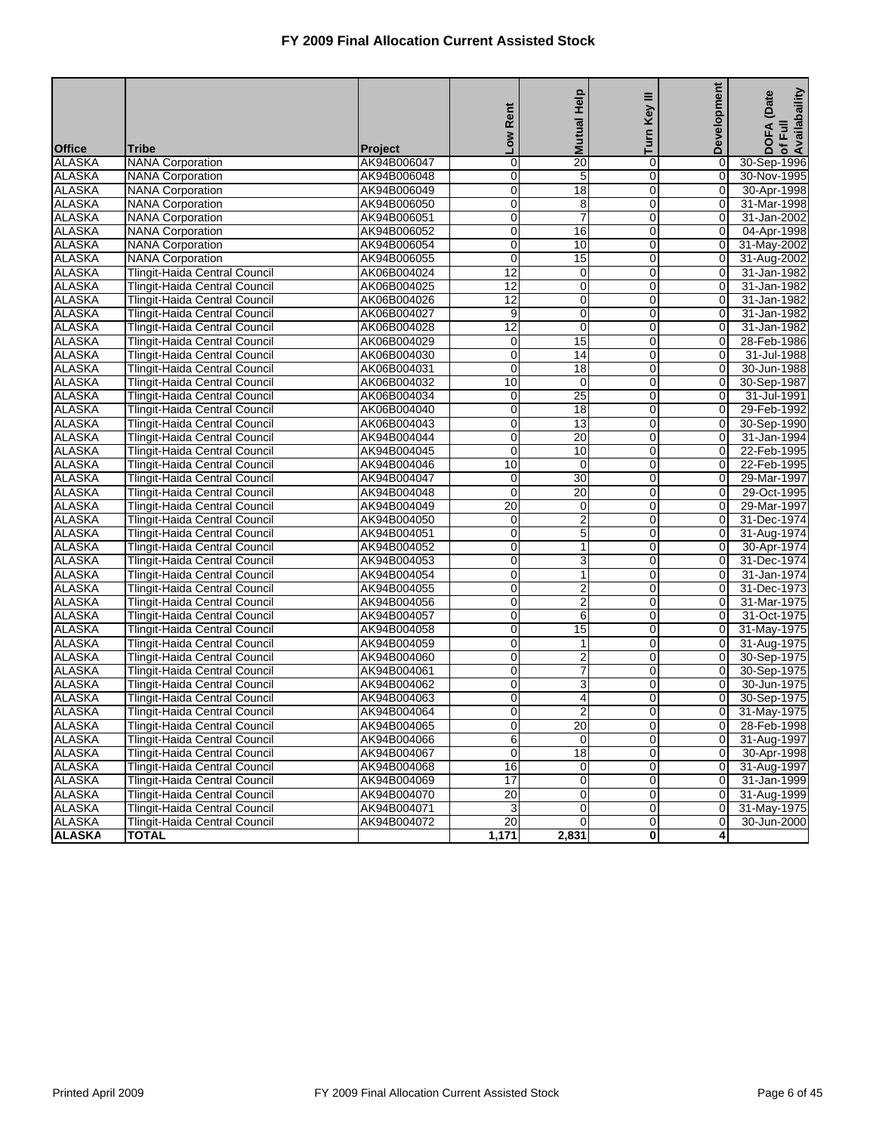| <b>Tribe</b><br><b>Project</b><br>$\overline{20}$<br><b>ALASKA</b><br><b>NANA Corporation</b><br>AK94B006047<br>$\mathbf 0$<br>$\overline{0}$<br>0<br>30-Sep-1996<br><b>ALASKA</b><br>0<br>0<br>5<br>$\overline{0}$<br>30-Nov-1995<br><b>NANA Corporation</b><br>AK94B006048<br><b>ALASKA</b><br>0<br>$\overline{18}$<br><b>NANA Corporation</b><br>$\overline{0}$<br>$\mathbf 0$<br>30-Apr-1998<br>AK94B006049<br><b>ALASKA</b><br>$\mathbf{0}$<br><b>NANA Corporation</b><br>AK94B006050<br>0<br>8<br>0<br>31-Mar-1998<br><b>ALASKA</b><br>0<br>7<br>$\overline{0}$<br>$\overline{0}$<br>31-Jan-2002<br><b>NANA Corporation</b><br>AK94B006051<br><b>ALASKA</b><br>0<br>16<br>$\overline{0}$<br>04-Apr-1998<br><b>NANA Corporation</b><br>AK94B006052<br>$\overline{0}$<br><b>ALASKA</b><br>0<br>10<br>$\overline{0}$<br>$\overline{0}$<br>31-May-2002<br><b>NANA Corporation</b><br>AK94B006054<br><b>ALASKA</b><br>$\mathbf 0$<br>15<br>$\overline{0}$<br>0<br><b>NANA Corporation</b><br>AK94B006055<br>31-Aug-2002<br>12<br><b>ALASKA</b><br>Tlingit-Haida Central Council<br>AK06B004024<br>0<br>$\overline{0}$<br>0<br>31-Jan-1982<br><b>ALASKA</b><br>12<br>AK06B004025<br>0<br>$\overline{0}$<br>0<br>31-Jan-1982<br>Tlingit-Haida Central Council<br><b>ALASKA</b><br>$\overline{12}$<br>0<br>Tlingit-Haida Central Council<br>AK06B004026<br>$\overline{0}$<br>31-Jan-1982<br>0<br><b>ALASKA</b><br>9<br>0<br>$\overline{0}$<br>$\overline{0}$<br>Tlingit-Haida Central Council<br>AK06B004027<br>31-Jan-1982<br><b>ALASKA</b><br>$\overline{12}$<br>$\pmb{0}$<br><b>Tlingit-Haida Central Council</b><br>$\mathbf 0$<br>0<br>31-Jan-1982<br>AK06B004028<br>15<br><b>ALASKA</b><br>Tlingit-Haida Central Council<br>AK06B004029<br>$\overline{0}$<br>0<br>28-Feb-1986<br>0<br><b>ALASKA</b><br>0<br>14<br>$\overline{0}$<br>0<br>31-Jul-1988<br>Tlingit-Haida Central Council<br>AK06B004030<br><b>ALASKA</b><br>$\mathbf 0$<br>Tlingit-Haida Central Council<br>AK06B004031<br>18<br>$\overline{0}$<br>30-Jun-1988<br>0<br><b>ALASKA</b><br>10<br>0<br>$\overline{0}$<br>$\overline{0}$<br>30-Sep-1987<br>Tlingit-Haida Central Council<br>AK06B004032<br><b>ALASKA</b><br><b>Tlingit-Haida Central Council</b><br>$\mathbf 0$<br>25<br>$\mathbf 0$<br>$\mathbf 0$<br>31-Jul-1991<br>AK06B004034<br><b>ALASKA</b><br>$\overline{18}$<br>Tlingit-Haida Central Council<br>AK06B004040<br>0<br>$\overline{0}$<br>0<br>29-Feb-1992<br><b>ALASKA</b><br>AK06B004043<br>0<br>13<br>$\overline{0}$<br>$\overline{0}$<br>30-Sep-1990<br>Tlingit-Haida Central Council<br><b>ALASKA</b><br>0<br>20<br>$\overline{0}$<br>Tlingit-Haida Central Council<br>AK94B004044<br>31-Jan-1994<br>0<br><b>ALASKA</b><br>0<br>10<br>$\overline{0}$<br>$\overline{0}$<br>22-Feb-1995<br>Tlingit-Haida Central Council<br>AK94B004045<br><b>ALASKA</b><br>10<br>Tlingit-Haida Central Council<br>0<br>$\mathbf 0$<br>$\mathbf 0$<br>22-Feb-1995<br>AK94B004046<br>30<br><b>ALASKA</b><br>$\mathbf{0}$<br>Tlingit-Haida Central Council<br>AK94B004047<br>$\mathbf 0$<br>0<br>29-Mar-1997<br><b>ALASKA</b><br>20<br>AK94B004048<br>0<br>$\overline{0}$<br>$\overline{0}$<br>29-Oct-1995<br>Tlingit-Haida Central Council<br><b>ALASKA</b><br>$\overline{20}$<br>$\overline{0}$<br>Tlingit-Haida Central Council<br>AK94B004049<br>0<br>29-Mar-1997<br>0<br><b>ALASKA</b><br>0<br>2<br>$\overline{0}$<br>$\overline{0}$<br>31-Dec-1974<br>Tlingit-Haida Central Council<br>AK94B004050<br><b>ALASKA</b><br>0<br>5<br>Tlingit-Haida Central Council<br>$\mathbf 0$<br>0<br>31-Aug-1974<br>AK94B004051<br><b>ALASKA</b><br>$\mathbf{1}$<br>$\mathbf{0}$<br>Tlingit-Haida Central Council<br>AK94B004052<br>0<br>0<br>30-Apr-1974<br><b>ALASKA</b><br>0<br>3<br>$\overline{0}$<br>$\overline{0}$<br>31-Dec-1974<br>Tlingit-Haida Central Council<br>AK94B004053<br><b>ALASKA</b><br>0<br>$\overline{0}$<br>Tlingit-Haida Central Council<br>AK94B004054<br>$\mathbf{1}$<br>31-Jan-1974<br>$\overline{0}$<br><b>ALASKA</b><br>0<br>2<br>$\overline{0}$<br>$\overline{0}$<br>31-Dec-1973<br>Tlingit-Haida Central Council<br>AK94B004055<br><b>ALASKA</b><br>0<br>$\overline{2}$<br>$\overline{0}$<br>0<br>31-Mar-1975<br>Tlingit-Haida Central Council<br>AK94B004056<br>$\overline{6}$<br><b>ALASKA</b><br>$\mathbf{0}$<br>Tlingit-Haida Central Council<br>AK94B004057<br>0<br>0<br>31-Oct-1975<br><b>ALASKA</b><br>0<br>15<br>$\overline{0}$<br>31-May-1975<br>Tlingit-Haida Central Council<br>AK94B004058<br>$\Omega$<br><b>ALASKA</b><br>Tlingit-Haida Central Council<br>0<br>$\overline{0}$<br>31-Aug-1975<br>AK94B004059<br>1<br>$\overline{0}$<br><b>ALASKA</b><br>0<br>2<br>$\overline{0}$<br>$\overline{0}$<br>30-Sep-1975<br>Tlingit-Haida Central Council<br>AK94B004060<br><b>ALASKA</b><br>7<br>0<br>$\overline{0}$<br>$\mathbf 0$<br>Tlingit-Haida Central Council<br>AK94B004061<br>30-Sep-1975<br>$\overline{3}$<br><b>ALASKA</b><br>0<br>Tlingit-Haida Central Council<br>AK94B004062<br>0<br>$\Omega$<br>30-Jun-1975<br><b>ALASKA</b><br>AK94B004063<br>0<br>4<br>$\overline{0}$<br>$\overline{0}$<br>30-Sep-1975<br>Tlingit-Haida Central Council<br>0<br>$\overline{2}$<br>$\overline{0}$<br><b>ALASKA</b><br><b>Tlingit-Haida Central Council</b><br>AK94B004064<br>$\overline{0}$<br>31-May-1975<br><b>ALASKA</b><br>$\overline{0}$<br>Tlingit-Haida Central Council<br>AK94B004065<br>20<br>$\overline{0}$<br>28-Feb-1998<br>0<br>6<br>$\overline{0}$<br><b>ALASKA</b><br>0<br>$\overline{0}$<br>31-Aug-1997<br>Tlingit-Haida Central Council<br>AK94B004066<br><b>ALASKA</b><br>$\boldsymbol{0}$<br>18<br>$\overline{0}$<br>Tlingit-Haida Central Council<br>AK94B004067<br>$\overline{0}$<br>30-Apr-1998<br><b>ALASKA</b><br>Tlingit-Haida Central Council<br>AK94B004068<br>16<br>0<br>$\overline{0}$<br>31-Aug-1997<br>$\overline{0}$<br>17<br><b>ALASKA</b><br>$\overline{0}$<br>31-Jan-1999<br>Tlingit-Haida Central Council<br>AK94B004069<br>$\mathbf 0$<br>$\overline{0}$<br>20<br>$\overline{0}$<br><b>ALASKA</b><br>AK94B004070<br>0<br>$\overline{0}$<br>Tlingit-Haida Central Council<br><b>ALASKA</b><br>3<br>0<br>$\overline{0}$<br>$\overline{0}$<br>Tlingit-Haida Central Council<br>AK94B004071<br>20<br><b>ALASKA</b><br>$\pmb{0}$<br>$\overline{0}$<br><b>Tlingit-Haida Central Council</b><br>AK94B004072<br>$\mathbf 0$<br>30-Jun-2000<br>1,171<br><b>ALASKA</b><br><b>TOTAL</b><br>2,831<br>$\mathbf{0}$<br>4 |               |  | Rent<br><b>NOT</b> | <b>Mutual Help</b> | ≡<br>Key<br>Turn | Development | of Full<br>Availabaility<br>(Date<br><b>DOFA</b> |
|-------------------------------------------------------------------------------------------------------------------------------------------------------------------------------------------------------------------------------------------------------------------------------------------------------------------------------------------------------------------------------------------------------------------------------------------------------------------------------------------------------------------------------------------------------------------------------------------------------------------------------------------------------------------------------------------------------------------------------------------------------------------------------------------------------------------------------------------------------------------------------------------------------------------------------------------------------------------------------------------------------------------------------------------------------------------------------------------------------------------------------------------------------------------------------------------------------------------------------------------------------------------------------------------------------------------------------------------------------------------------------------------------------------------------------------------------------------------------------------------------------------------------------------------------------------------------------------------------------------------------------------------------------------------------------------------------------------------------------------------------------------------------------------------------------------------------------------------------------------------------------------------------------------------------------------------------------------------------------------------------------------------------------------------------------------------------------------------------------------------------------------------------------------------------------------------------------------------------------------------------------------------------------------------------------------------------------------------------------------------------------------------------------------------------------------------------------------------------------------------------------------------------------------------------------------------------------------------------------------------------------------------------------------------------------------------------------------------------------------------------------------------------------------------------------------------------------------------------------------------------------------------------------------------------------------------------------------------------------------------------------------------------------------------------------------------------------------------------------------------------------------------------------------------------------------------------------------------------------------------------------------------------------------------------------------------------------------------------------------------------------------------------------------------------------------------------------------------------------------------------------------------------------------------------------------------------------------------------------------------------------------------------------------------------------------------------------------------------------------------------------------------------------------------------------------------------------------------------------------------------------------------------------------------------------------------------------------------------------------------------------------------------------------------------------------------------------------------------------------------------------------------------------------------------------------------------------------------------------------------------------------------------------------------------------------------------------------------------------------------------------------------------------------------------------------------------------------------------------------------------------------------------------------------------------------------------------------------------------------------------------------------------------------------------------------------------------------------------------------------------------------------------------------------------------------------------------------------------------------------------------------------------------------------------------------------------------------------------------------------------------------------------------------------------------------------------------------------------------------------------------------------------------------------------------------------------------------------------------------------------------------------------------------------------------------------------------------------------------------------------------------------------------------------------------------------------------------------------------------------------------------------------------------------------------------------------------------------------------------------------------------------------------------------------------------------------------------------------------------------------------------------------------------------------------------------------------------------------------------------------------------------------------------------------------------------------------------------------------------------------------------------------------------------------------------------------------------------------------------------------------------------------------------------------------------------------------------------------------------------------------------------------------------------------------------------------------------------------------------------------------------------------------------------------------------------------|---------------|--|--------------------|--------------------|------------------|-------------|--------------------------------------------------|
| 31-Aug-1999<br>31-May-1975                                                                                                                                                                                                                                                                                                                                                                                                                                                                                                                                                                                                                                                                                                                                                                                                                                                                                                                                                                                                                                                                                                                                                                                                                                                                                                                                                                                                                                                                                                                                                                                                                                                                                                                                                                                                                                                                                                                                                                                                                                                                                                                                                                                                                                                                                                                                                                                                                                                                                                                                                                                                                                                                                                                                                                                                                                                                                                                                                                                                                                                                                                                                                                                                                                                                                                                                                                                                                                                                                                                                                                                                                                                                                                                                                                                                                                                                                                                                                                                                                                                                                                                                                                                                                                                                                                                                                                                                                                                                                                                                                                                                                                                                                                                                                                                                                                                                                                                                                                                                                                                                                                                                                                                                                                                                                                                                                                                                                                                                                                                                                                                                                                                                                                                                                                                                                                                                                                                                                                                                                                                                                                                                                                                                                                                                                                                                                                                                                      | <b>Office</b> |  |                    |                    |                  |             |                                                  |
|                                                                                                                                                                                                                                                                                                                                                                                                                                                                                                                                                                                                                                                                                                                                                                                                                                                                                                                                                                                                                                                                                                                                                                                                                                                                                                                                                                                                                                                                                                                                                                                                                                                                                                                                                                                                                                                                                                                                                                                                                                                                                                                                                                                                                                                                                                                                                                                                                                                                                                                                                                                                                                                                                                                                                                                                                                                                                                                                                                                                                                                                                                                                                                                                                                                                                                                                                                                                                                                                                                                                                                                                                                                                                                                                                                                                                                                                                                                                                                                                                                                                                                                                                                                                                                                                                                                                                                                                                                                                                                                                                                                                                                                                                                                                                                                                                                                                                                                                                                                                                                                                                                                                                                                                                                                                                                                                                                                                                                                                                                                                                                                                                                                                                                                                                                                                                                                                                                                                                                                                                                                                                                                                                                                                                                                                                                                                                                                                                                                 |               |  |                    |                    |                  |             |                                                  |
|                                                                                                                                                                                                                                                                                                                                                                                                                                                                                                                                                                                                                                                                                                                                                                                                                                                                                                                                                                                                                                                                                                                                                                                                                                                                                                                                                                                                                                                                                                                                                                                                                                                                                                                                                                                                                                                                                                                                                                                                                                                                                                                                                                                                                                                                                                                                                                                                                                                                                                                                                                                                                                                                                                                                                                                                                                                                                                                                                                                                                                                                                                                                                                                                                                                                                                                                                                                                                                                                                                                                                                                                                                                                                                                                                                                                                                                                                                                                                                                                                                                                                                                                                                                                                                                                                                                                                                                                                                                                                                                                                                                                                                                                                                                                                                                                                                                                                                                                                                                                                                                                                                                                                                                                                                                                                                                                                                                                                                                                                                                                                                                                                                                                                                                                                                                                                                                                                                                                                                                                                                                                                                                                                                                                                                                                                                                                                                                                                                                 |               |  |                    |                    |                  |             |                                                  |
|                                                                                                                                                                                                                                                                                                                                                                                                                                                                                                                                                                                                                                                                                                                                                                                                                                                                                                                                                                                                                                                                                                                                                                                                                                                                                                                                                                                                                                                                                                                                                                                                                                                                                                                                                                                                                                                                                                                                                                                                                                                                                                                                                                                                                                                                                                                                                                                                                                                                                                                                                                                                                                                                                                                                                                                                                                                                                                                                                                                                                                                                                                                                                                                                                                                                                                                                                                                                                                                                                                                                                                                                                                                                                                                                                                                                                                                                                                                                                                                                                                                                                                                                                                                                                                                                                                                                                                                                                                                                                                                                                                                                                                                                                                                                                                                                                                                                                                                                                                                                                                                                                                                                                                                                                                                                                                                                                                                                                                                                                                                                                                                                                                                                                                                                                                                                                                                                                                                                                                                                                                                                                                                                                                                                                                                                                                                                                                                                                                                 |               |  |                    |                    |                  |             |                                                  |
|                                                                                                                                                                                                                                                                                                                                                                                                                                                                                                                                                                                                                                                                                                                                                                                                                                                                                                                                                                                                                                                                                                                                                                                                                                                                                                                                                                                                                                                                                                                                                                                                                                                                                                                                                                                                                                                                                                                                                                                                                                                                                                                                                                                                                                                                                                                                                                                                                                                                                                                                                                                                                                                                                                                                                                                                                                                                                                                                                                                                                                                                                                                                                                                                                                                                                                                                                                                                                                                                                                                                                                                                                                                                                                                                                                                                                                                                                                                                                                                                                                                                                                                                                                                                                                                                                                                                                                                                                                                                                                                                                                                                                                                                                                                                                                                                                                                                                                                                                                                                                                                                                                                                                                                                                                                                                                                                                                                                                                                                                                                                                                                                                                                                                                                                                                                                                                                                                                                                                                                                                                                                                                                                                                                                                                                                                                                                                                                                                                                 |               |  |                    |                    |                  |             |                                                  |
|                                                                                                                                                                                                                                                                                                                                                                                                                                                                                                                                                                                                                                                                                                                                                                                                                                                                                                                                                                                                                                                                                                                                                                                                                                                                                                                                                                                                                                                                                                                                                                                                                                                                                                                                                                                                                                                                                                                                                                                                                                                                                                                                                                                                                                                                                                                                                                                                                                                                                                                                                                                                                                                                                                                                                                                                                                                                                                                                                                                                                                                                                                                                                                                                                                                                                                                                                                                                                                                                                                                                                                                                                                                                                                                                                                                                                                                                                                                                                                                                                                                                                                                                                                                                                                                                                                                                                                                                                                                                                                                                                                                                                                                                                                                                                                                                                                                                                                                                                                                                                                                                                                                                                                                                                                                                                                                                                                                                                                                                                                                                                                                                                                                                                                                                                                                                                                                                                                                                                                                                                                                                                                                                                                                                                                                                                                                                                                                                                                                 |               |  |                    |                    |                  |             |                                                  |
|                                                                                                                                                                                                                                                                                                                                                                                                                                                                                                                                                                                                                                                                                                                                                                                                                                                                                                                                                                                                                                                                                                                                                                                                                                                                                                                                                                                                                                                                                                                                                                                                                                                                                                                                                                                                                                                                                                                                                                                                                                                                                                                                                                                                                                                                                                                                                                                                                                                                                                                                                                                                                                                                                                                                                                                                                                                                                                                                                                                                                                                                                                                                                                                                                                                                                                                                                                                                                                                                                                                                                                                                                                                                                                                                                                                                                                                                                                                                                                                                                                                                                                                                                                                                                                                                                                                                                                                                                                                                                                                                                                                                                                                                                                                                                                                                                                                                                                                                                                                                                                                                                                                                                                                                                                                                                                                                                                                                                                                                                                                                                                                                                                                                                                                                                                                                                                                                                                                                                                                                                                                                                                                                                                                                                                                                                                                                                                                                                                                 |               |  |                    |                    |                  |             |                                                  |
|                                                                                                                                                                                                                                                                                                                                                                                                                                                                                                                                                                                                                                                                                                                                                                                                                                                                                                                                                                                                                                                                                                                                                                                                                                                                                                                                                                                                                                                                                                                                                                                                                                                                                                                                                                                                                                                                                                                                                                                                                                                                                                                                                                                                                                                                                                                                                                                                                                                                                                                                                                                                                                                                                                                                                                                                                                                                                                                                                                                                                                                                                                                                                                                                                                                                                                                                                                                                                                                                                                                                                                                                                                                                                                                                                                                                                                                                                                                                                                                                                                                                                                                                                                                                                                                                                                                                                                                                                                                                                                                                                                                                                                                                                                                                                                                                                                                                                                                                                                                                                                                                                                                                                                                                                                                                                                                                                                                                                                                                                                                                                                                                                                                                                                                                                                                                                                                                                                                                                                                                                                                                                                                                                                                                                                                                                                                                                                                                                                                 |               |  |                    |                    |                  |             |                                                  |
|                                                                                                                                                                                                                                                                                                                                                                                                                                                                                                                                                                                                                                                                                                                                                                                                                                                                                                                                                                                                                                                                                                                                                                                                                                                                                                                                                                                                                                                                                                                                                                                                                                                                                                                                                                                                                                                                                                                                                                                                                                                                                                                                                                                                                                                                                                                                                                                                                                                                                                                                                                                                                                                                                                                                                                                                                                                                                                                                                                                                                                                                                                                                                                                                                                                                                                                                                                                                                                                                                                                                                                                                                                                                                                                                                                                                                                                                                                                                                                                                                                                                                                                                                                                                                                                                                                                                                                                                                                                                                                                                                                                                                                                                                                                                                                                                                                                                                                                                                                                                                                                                                                                                                                                                                                                                                                                                                                                                                                                                                                                                                                                                                                                                                                                                                                                                                                                                                                                                                                                                                                                                                                                                                                                                                                                                                                                                                                                                                                                 |               |  |                    |                    |                  |             |                                                  |
|                                                                                                                                                                                                                                                                                                                                                                                                                                                                                                                                                                                                                                                                                                                                                                                                                                                                                                                                                                                                                                                                                                                                                                                                                                                                                                                                                                                                                                                                                                                                                                                                                                                                                                                                                                                                                                                                                                                                                                                                                                                                                                                                                                                                                                                                                                                                                                                                                                                                                                                                                                                                                                                                                                                                                                                                                                                                                                                                                                                                                                                                                                                                                                                                                                                                                                                                                                                                                                                                                                                                                                                                                                                                                                                                                                                                                                                                                                                                                                                                                                                                                                                                                                                                                                                                                                                                                                                                                                                                                                                                                                                                                                                                                                                                                                                                                                                                                                                                                                                                                                                                                                                                                                                                                                                                                                                                                                                                                                                                                                                                                                                                                                                                                                                                                                                                                                                                                                                                                                                                                                                                                                                                                                                                                                                                                                                                                                                                                                                 |               |  |                    |                    |                  |             |                                                  |
|                                                                                                                                                                                                                                                                                                                                                                                                                                                                                                                                                                                                                                                                                                                                                                                                                                                                                                                                                                                                                                                                                                                                                                                                                                                                                                                                                                                                                                                                                                                                                                                                                                                                                                                                                                                                                                                                                                                                                                                                                                                                                                                                                                                                                                                                                                                                                                                                                                                                                                                                                                                                                                                                                                                                                                                                                                                                                                                                                                                                                                                                                                                                                                                                                                                                                                                                                                                                                                                                                                                                                                                                                                                                                                                                                                                                                                                                                                                                                                                                                                                                                                                                                                                                                                                                                                                                                                                                                                                                                                                                                                                                                                                                                                                                                                                                                                                                                                                                                                                                                                                                                                                                                                                                                                                                                                                                                                                                                                                                                                                                                                                                                                                                                                                                                                                                                                                                                                                                                                                                                                                                                                                                                                                                                                                                                                                                                                                                                                                 |               |  |                    |                    |                  |             |                                                  |
|                                                                                                                                                                                                                                                                                                                                                                                                                                                                                                                                                                                                                                                                                                                                                                                                                                                                                                                                                                                                                                                                                                                                                                                                                                                                                                                                                                                                                                                                                                                                                                                                                                                                                                                                                                                                                                                                                                                                                                                                                                                                                                                                                                                                                                                                                                                                                                                                                                                                                                                                                                                                                                                                                                                                                                                                                                                                                                                                                                                                                                                                                                                                                                                                                                                                                                                                                                                                                                                                                                                                                                                                                                                                                                                                                                                                                                                                                                                                                                                                                                                                                                                                                                                                                                                                                                                                                                                                                                                                                                                                                                                                                                                                                                                                                                                                                                                                                                                                                                                                                                                                                                                                                                                                                                                                                                                                                                                                                                                                                                                                                                                                                                                                                                                                                                                                                                                                                                                                                                                                                                                                                                                                                                                                                                                                                                                                                                                                                                                 |               |  |                    |                    |                  |             |                                                  |
|                                                                                                                                                                                                                                                                                                                                                                                                                                                                                                                                                                                                                                                                                                                                                                                                                                                                                                                                                                                                                                                                                                                                                                                                                                                                                                                                                                                                                                                                                                                                                                                                                                                                                                                                                                                                                                                                                                                                                                                                                                                                                                                                                                                                                                                                                                                                                                                                                                                                                                                                                                                                                                                                                                                                                                                                                                                                                                                                                                                                                                                                                                                                                                                                                                                                                                                                                                                                                                                                                                                                                                                                                                                                                                                                                                                                                                                                                                                                                                                                                                                                                                                                                                                                                                                                                                                                                                                                                                                                                                                                                                                                                                                                                                                                                                                                                                                                                                                                                                                                                                                                                                                                                                                                                                                                                                                                                                                                                                                                                                                                                                                                                                                                                                                                                                                                                                                                                                                                                                                                                                                                                                                                                                                                                                                                                                                                                                                                                                                 |               |  |                    |                    |                  |             |                                                  |
|                                                                                                                                                                                                                                                                                                                                                                                                                                                                                                                                                                                                                                                                                                                                                                                                                                                                                                                                                                                                                                                                                                                                                                                                                                                                                                                                                                                                                                                                                                                                                                                                                                                                                                                                                                                                                                                                                                                                                                                                                                                                                                                                                                                                                                                                                                                                                                                                                                                                                                                                                                                                                                                                                                                                                                                                                                                                                                                                                                                                                                                                                                                                                                                                                                                                                                                                                                                                                                                                                                                                                                                                                                                                                                                                                                                                                                                                                                                                                                                                                                                                                                                                                                                                                                                                                                                                                                                                                                                                                                                                                                                                                                                                                                                                                                                                                                                                                                                                                                                                                                                                                                                                                                                                                                                                                                                                                                                                                                                                                                                                                                                                                                                                                                                                                                                                                                                                                                                                                                                                                                                                                                                                                                                                                                                                                                                                                                                                                                                 |               |  |                    |                    |                  |             |                                                  |
|                                                                                                                                                                                                                                                                                                                                                                                                                                                                                                                                                                                                                                                                                                                                                                                                                                                                                                                                                                                                                                                                                                                                                                                                                                                                                                                                                                                                                                                                                                                                                                                                                                                                                                                                                                                                                                                                                                                                                                                                                                                                                                                                                                                                                                                                                                                                                                                                                                                                                                                                                                                                                                                                                                                                                                                                                                                                                                                                                                                                                                                                                                                                                                                                                                                                                                                                                                                                                                                                                                                                                                                                                                                                                                                                                                                                                                                                                                                                                                                                                                                                                                                                                                                                                                                                                                                                                                                                                                                                                                                                                                                                                                                                                                                                                                                                                                                                                                                                                                                                                                                                                                                                                                                                                                                                                                                                                                                                                                                                                                                                                                                                                                                                                                                                                                                                                                                                                                                                                                                                                                                                                                                                                                                                                                                                                                                                                                                                                                                 |               |  |                    |                    |                  |             |                                                  |
|                                                                                                                                                                                                                                                                                                                                                                                                                                                                                                                                                                                                                                                                                                                                                                                                                                                                                                                                                                                                                                                                                                                                                                                                                                                                                                                                                                                                                                                                                                                                                                                                                                                                                                                                                                                                                                                                                                                                                                                                                                                                                                                                                                                                                                                                                                                                                                                                                                                                                                                                                                                                                                                                                                                                                                                                                                                                                                                                                                                                                                                                                                                                                                                                                                                                                                                                                                                                                                                                                                                                                                                                                                                                                                                                                                                                                                                                                                                                                                                                                                                                                                                                                                                                                                                                                                                                                                                                                                                                                                                                                                                                                                                                                                                                                                                                                                                                                                                                                                                                                                                                                                                                                                                                                                                                                                                                                                                                                                                                                                                                                                                                                                                                                                                                                                                                                                                                                                                                                                                                                                                                                                                                                                                                                                                                                                                                                                                                                                                 |               |  |                    |                    |                  |             |                                                  |
|                                                                                                                                                                                                                                                                                                                                                                                                                                                                                                                                                                                                                                                                                                                                                                                                                                                                                                                                                                                                                                                                                                                                                                                                                                                                                                                                                                                                                                                                                                                                                                                                                                                                                                                                                                                                                                                                                                                                                                                                                                                                                                                                                                                                                                                                                                                                                                                                                                                                                                                                                                                                                                                                                                                                                                                                                                                                                                                                                                                                                                                                                                                                                                                                                                                                                                                                                                                                                                                                                                                                                                                                                                                                                                                                                                                                                                                                                                                                                                                                                                                                                                                                                                                                                                                                                                                                                                                                                                                                                                                                                                                                                                                                                                                                                                                                                                                                                                                                                                                                                                                                                                                                                                                                                                                                                                                                                                                                                                                                                                                                                                                                                                                                                                                                                                                                                                                                                                                                                                                                                                                                                                                                                                                                                                                                                                                                                                                                                                                 |               |  |                    |                    |                  |             |                                                  |
|                                                                                                                                                                                                                                                                                                                                                                                                                                                                                                                                                                                                                                                                                                                                                                                                                                                                                                                                                                                                                                                                                                                                                                                                                                                                                                                                                                                                                                                                                                                                                                                                                                                                                                                                                                                                                                                                                                                                                                                                                                                                                                                                                                                                                                                                                                                                                                                                                                                                                                                                                                                                                                                                                                                                                                                                                                                                                                                                                                                                                                                                                                                                                                                                                                                                                                                                                                                                                                                                                                                                                                                                                                                                                                                                                                                                                                                                                                                                                                                                                                                                                                                                                                                                                                                                                                                                                                                                                                                                                                                                                                                                                                                                                                                                                                                                                                                                                                                                                                                                                                                                                                                                                                                                                                                                                                                                                                                                                                                                                                                                                                                                                                                                                                                                                                                                                                                                                                                                                                                                                                                                                                                                                                                                                                                                                                                                                                                                                                                 |               |  |                    |                    |                  |             |                                                  |
|                                                                                                                                                                                                                                                                                                                                                                                                                                                                                                                                                                                                                                                                                                                                                                                                                                                                                                                                                                                                                                                                                                                                                                                                                                                                                                                                                                                                                                                                                                                                                                                                                                                                                                                                                                                                                                                                                                                                                                                                                                                                                                                                                                                                                                                                                                                                                                                                                                                                                                                                                                                                                                                                                                                                                                                                                                                                                                                                                                                                                                                                                                                                                                                                                                                                                                                                                                                                                                                                                                                                                                                                                                                                                                                                                                                                                                                                                                                                                                                                                                                                                                                                                                                                                                                                                                                                                                                                                                                                                                                                                                                                                                                                                                                                                                                                                                                                                                                                                                                                                                                                                                                                                                                                                                                                                                                                                                                                                                                                                                                                                                                                                                                                                                                                                                                                                                                                                                                                                                                                                                                                                                                                                                                                                                                                                                                                                                                                                                                 |               |  |                    |                    |                  |             |                                                  |
|                                                                                                                                                                                                                                                                                                                                                                                                                                                                                                                                                                                                                                                                                                                                                                                                                                                                                                                                                                                                                                                                                                                                                                                                                                                                                                                                                                                                                                                                                                                                                                                                                                                                                                                                                                                                                                                                                                                                                                                                                                                                                                                                                                                                                                                                                                                                                                                                                                                                                                                                                                                                                                                                                                                                                                                                                                                                                                                                                                                                                                                                                                                                                                                                                                                                                                                                                                                                                                                                                                                                                                                                                                                                                                                                                                                                                                                                                                                                                                                                                                                                                                                                                                                                                                                                                                                                                                                                                                                                                                                                                                                                                                                                                                                                                                                                                                                                                                                                                                                                                                                                                                                                                                                                                                                                                                                                                                                                                                                                                                                                                                                                                                                                                                                                                                                                                                                                                                                                                                                                                                                                                                                                                                                                                                                                                                                                                                                                                                                 |               |  |                    |                    |                  |             |                                                  |
|                                                                                                                                                                                                                                                                                                                                                                                                                                                                                                                                                                                                                                                                                                                                                                                                                                                                                                                                                                                                                                                                                                                                                                                                                                                                                                                                                                                                                                                                                                                                                                                                                                                                                                                                                                                                                                                                                                                                                                                                                                                                                                                                                                                                                                                                                                                                                                                                                                                                                                                                                                                                                                                                                                                                                                                                                                                                                                                                                                                                                                                                                                                                                                                                                                                                                                                                                                                                                                                                                                                                                                                                                                                                                                                                                                                                                                                                                                                                                                                                                                                                                                                                                                                                                                                                                                                                                                                                                                                                                                                                                                                                                                                                                                                                                                                                                                                                                                                                                                                                                                                                                                                                                                                                                                                                                                                                                                                                                                                                                                                                                                                                                                                                                                                                                                                                                                                                                                                                                                                                                                                                                                                                                                                                                                                                                                                                                                                                                                                 |               |  |                    |                    |                  |             |                                                  |
|                                                                                                                                                                                                                                                                                                                                                                                                                                                                                                                                                                                                                                                                                                                                                                                                                                                                                                                                                                                                                                                                                                                                                                                                                                                                                                                                                                                                                                                                                                                                                                                                                                                                                                                                                                                                                                                                                                                                                                                                                                                                                                                                                                                                                                                                                                                                                                                                                                                                                                                                                                                                                                                                                                                                                                                                                                                                                                                                                                                                                                                                                                                                                                                                                                                                                                                                                                                                                                                                                                                                                                                                                                                                                                                                                                                                                                                                                                                                                                                                                                                                                                                                                                                                                                                                                                                                                                                                                                                                                                                                                                                                                                                                                                                                                                                                                                                                                                                                                                                                                                                                                                                                                                                                                                                                                                                                                                                                                                                                                                                                                                                                                                                                                                                                                                                                                                                                                                                                                                                                                                                                                                                                                                                                                                                                                                                                                                                                                                                 |               |  |                    |                    |                  |             |                                                  |
|                                                                                                                                                                                                                                                                                                                                                                                                                                                                                                                                                                                                                                                                                                                                                                                                                                                                                                                                                                                                                                                                                                                                                                                                                                                                                                                                                                                                                                                                                                                                                                                                                                                                                                                                                                                                                                                                                                                                                                                                                                                                                                                                                                                                                                                                                                                                                                                                                                                                                                                                                                                                                                                                                                                                                                                                                                                                                                                                                                                                                                                                                                                                                                                                                                                                                                                                                                                                                                                                                                                                                                                                                                                                                                                                                                                                                                                                                                                                                                                                                                                                                                                                                                                                                                                                                                                                                                                                                                                                                                                                                                                                                                                                                                                                                                                                                                                                                                                                                                                                                                                                                                                                                                                                                                                                                                                                                                                                                                                                                                                                                                                                                                                                                                                                                                                                                                                                                                                                                                                                                                                                                                                                                                                                                                                                                                                                                                                                                                                 |               |  |                    |                    |                  |             |                                                  |
|                                                                                                                                                                                                                                                                                                                                                                                                                                                                                                                                                                                                                                                                                                                                                                                                                                                                                                                                                                                                                                                                                                                                                                                                                                                                                                                                                                                                                                                                                                                                                                                                                                                                                                                                                                                                                                                                                                                                                                                                                                                                                                                                                                                                                                                                                                                                                                                                                                                                                                                                                                                                                                                                                                                                                                                                                                                                                                                                                                                                                                                                                                                                                                                                                                                                                                                                                                                                                                                                                                                                                                                                                                                                                                                                                                                                                                                                                                                                                                                                                                                                                                                                                                                                                                                                                                                                                                                                                                                                                                                                                                                                                                                                                                                                                                                                                                                                                                                                                                                                                                                                                                                                                                                                                                                                                                                                                                                                                                                                                                                                                                                                                                                                                                                                                                                                                                                                                                                                                                                                                                                                                                                                                                                                                                                                                                                                                                                                                                                 |               |  |                    |                    |                  |             |                                                  |
|                                                                                                                                                                                                                                                                                                                                                                                                                                                                                                                                                                                                                                                                                                                                                                                                                                                                                                                                                                                                                                                                                                                                                                                                                                                                                                                                                                                                                                                                                                                                                                                                                                                                                                                                                                                                                                                                                                                                                                                                                                                                                                                                                                                                                                                                                                                                                                                                                                                                                                                                                                                                                                                                                                                                                                                                                                                                                                                                                                                                                                                                                                                                                                                                                                                                                                                                                                                                                                                                                                                                                                                                                                                                                                                                                                                                                                                                                                                                                                                                                                                                                                                                                                                                                                                                                                                                                                                                                                                                                                                                                                                                                                                                                                                                                                                                                                                                                                                                                                                                                                                                                                                                                                                                                                                                                                                                                                                                                                                                                                                                                                                                                                                                                                                                                                                                                                                                                                                                                                                                                                                                                                                                                                                                                                                                                                                                                                                                                                                 |               |  |                    |                    |                  |             |                                                  |
|                                                                                                                                                                                                                                                                                                                                                                                                                                                                                                                                                                                                                                                                                                                                                                                                                                                                                                                                                                                                                                                                                                                                                                                                                                                                                                                                                                                                                                                                                                                                                                                                                                                                                                                                                                                                                                                                                                                                                                                                                                                                                                                                                                                                                                                                                                                                                                                                                                                                                                                                                                                                                                                                                                                                                                                                                                                                                                                                                                                                                                                                                                                                                                                                                                                                                                                                                                                                                                                                                                                                                                                                                                                                                                                                                                                                                                                                                                                                                                                                                                                                                                                                                                                                                                                                                                                                                                                                                                                                                                                                                                                                                                                                                                                                                                                                                                                                                                                                                                                                                                                                                                                                                                                                                                                                                                                                                                                                                                                                                                                                                                                                                                                                                                                                                                                                                                                                                                                                                                                                                                                                                                                                                                                                                                                                                                                                                                                                                                                 |               |  |                    |                    |                  |             |                                                  |
|                                                                                                                                                                                                                                                                                                                                                                                                                                                                                                                                                                                                                                                                                                                                                                                                                                                                                                                                                                                                                                                                                                                                                                                                                                                                                                                                                                                                                                                                                                                                                                                                                                                                                                                                                                                                                                                                                                                                                                                                                                                                                                                                                                                                                                                                                                                                                                                                                                                                                                                                                                                                                                                                                                                                                                                                                                                                                                                                                                                                                                                                                                                                                                                                                                                                                                                                                                                                                                                                                                                                                                                                                                                                                                                                                                                                                                                                                                                                                                                                                                                                                                                                                                                                                                                                                                                                                                                                                                                                                                                                                                                                                                                                                                                                                                                                                                                                                                                                                                                                                                                                                                                                                                                                                                                                                                                                                                                                                                                                                                                                                                                                                                                                                                                                                                                                                                                                                                                                                                                                                                                                                                                                                                                                                                                                                                                                                                                                                                                 |               |  |                    |                    |                  |             |                                                  |
|                                                                                                                                                                                                                                                                                                                                                                                                                                                                                                                                                                                                                                                                                                                                                                                                                                                                                                                                                                                                                                                                                                                                                                                                                                                                                                                                                                                                                                                                                                                                                                                                                                                                                                                                                                                                                                                                                                                                                                                                                                                                                                                                                                                                                                                                                                                                                                                                                                                                                                                                                                                                                                                                                                                                                                                                                                                                                                                                                                                                                                                                                                                                                                                                                                                                                                                                                                                                                                                                                                                                                                                                                                                                                                                                                                                                                                                                                                                                                                                                                                                                                                                                                                                                                                                                                                                                                                                                                                                                                                                                                                                                                                                                                                                                                                                                                                                                                                                                                                                                                                                                                                                                                                                                                                                                                                                                                                                                                                                                                                                                                                                                                                                                                                                                                                                                                                                                                                                                                                                                                                                                                                                                                                                                                                                                                                                                                                                                                                                 |               |  |                    |                    |                  |             |                                                  |
|                                                                                                                                                                                                                                                                                                                                                                                                                                                                                                                                                                                                                                                                                                                                                                                                                                                                                                                                                                                                                                                                                                                                                                                                                                                                                                                                                                                                                                                                                                                                                                                                                                                                                                                                                                                                                                                                                                                                                                                                                                                                                                                                                                                                                                                                                                                                                                                                                                                                                                                                                                                                                                                                                                                                                                                                                                                                                                                                                                                                                                                                                                                                                                                                                                                                                                                                                                                                                                                                                                                                                                                                                                                                                                                                                                                                                                                                                                                                                                                                                                                                                                                                                                                                                                                                                                                                                                                                                                                                                                                                                                                                                                                                                                                                                                                                                                                                                                                                                                                                                                                                                                                                                                                                                                                                                                                                                                                                                                                                                                                                                                                                                                                                                                                                                                                                                                                                                                                                                                                                                                                                                                                                                                                                                                                                                                                                                                                                                                                 |               |  |                    |                    |                  |             |                                                  |
|                                                                                                                                                                                                                                                                                                                                                                                                                                                                                                                                                                                                                                                                                                                                                                                                                                                                                                                                                                                                                                                                                                                                                                                                                                                                                                                                                                                                                                                                                                                                                                                                                                                                                                                                                                                                                                                                                                                                                                                                                                                                                                                                                                                                                                                                                                                                                                                                                                                                                                                                                                                                                                                                                                                                                                                                                                                                                                                                                                                                                                                                                                                                                                                                                                                                                                                                                                                                                                                                                                                                                                                                                                                                                                                                                                                                                                                                                                                                                                                                                                                                                                                                                                                                                                                                                                                                                                                                                                                                                                                                                                                                                                                                                                                                                                                                                                                                                                                                                                                                                                                                                                                                                                                                                                                                                                                                                                                                                                                                                                                                                                                                                                                                                                                                                                                                                                                                                                                                                                                                                                                                                                                                                                                                                                                                                                                                                                                                                                                 |               |  |                    |                    |                  |             |                                                  |
|                                                                                                                                                                                                                                                                                                                                                                                                                                                                                                                                                                                                                                                                                                                                                                                                                                                                                                                                                                                                                                                                                                                                                                                                                                                                                                                                                                                                                                                                                                                                                                                                                                                                                                                                                                                                                                                                                                                                                                                                                                                                                                                                                                                                                                                                                                                                                                                                                                                                                                                                                                                                                                                                                                                                                                                                                                                                                                                                                                                                                                                                                                                                                                                                                                                                                                                                                                                                                                                                                                                                                                                                                                                                                                                                                                                                                                                                                                                                                                                                                                                                                                                                                                                                                                                                                                                                                                                                                                                                                                                                                                                                                                                                                                                                                                                                                                                                                                                                                                                                                                                                                                                                                                                                                                                                                                                                                                                                                                                                                                                                                                                                                                                                                                                                                                                                                                                                                                                                                                                                                                                                                                                                                                                                                                                                                                                                                                                                                                                 |               |  |                    |                    |                  |             |                                                  |
|                                                                                                                                                                                                                                                                                                                                                                                                                                                                                                                                                                                                                                                                                                                                                                                                                                                                                                                                                                                                                                                                                                                                                                                                                                                                                                                                                                                                                                                                                                                                                                                                                                                                                                                                                                                                                                                                                                                                                                                                                                                                                                                                                                                                                                                                                                                                                                                                                                                                                                                                                                                                                                                                                                                                                                                                                                                                                                                                                                                                                                                                                                                                                                                                                                                                                                                                                                                                                                                                                                                                                                                                                                                                                                                                                                                                                                                                                                                                                                                                                                                                                                                                                                                                                                                                                                                                                                                                                                                                                                                                                                                                                                                                                                                                                                                                                                                                                                                                                                                                                                                                                                                                                                                                                                                                                                                                                                                                                                                                                                                                                                                                                                                                                                                                                                                                                                                                                                                                                                                                                                                                                                                                                                                                                                                                                                                                                                                                                                                 |               |  |                    |                    |                  |             |                                                  |
|                                                                                                                                                                                                                                                                                                                                                                                                                                                                                                                                                                                                                                                                                                                                                                                                                                                                                                                                                                                                                                                                                                                                                                                                                                                                                                                                                                                                                                                                                                                                                                                                                                                                                                                                                                                                                                                                                                                                                                                                                                                                                                                                                                                                                                                                                                                                                                                                                                                                                                                                                                                                                                                                                                                                                                                                                                                                                                                                                                                                                                                                                                                                                                                                                                                                                                                                                                                                                                                                                                                                                                                                                                                                                                                                                                                                                                                                                                                                                                                                                                                                                                                                                                                                                                                                                                                                                                                                                                                                                                                                                                                                                                                                                                                                                                                                                                                                                                                                                                                                                                                                                                                                                                                                                                                                                                                                                                                                                                                                                                                                                                                                                                                                                                                                                                                                                                                                                                                                                                                                                                                                                                                                                                                                                                                                                                                                                                                                                                                 |               |  |                    |                    |                  |             |                                                  |
|                                                                                                                                                                                                                                                                                                                                                                                                                                                                                                                                                                                                                                                                                                                                                                                                                                                                                                                                                                                                                                                                                                                                                                                                                                                                                                                                                                                                                                                                                                                                                                                                                                                                                                                                                                                                                                                                                                                                                                                                                                                                                                                                                                                                                                                                                                                                                                                                                                                                                                                                                                                                                                                                                                                                                                                                                                                                                                                                                                                                                                                                                                                                                                                                                                                                                                                                                                                                                                                                                                                                                                                                                                                                                                                                                                                                                                                                                                                                                                                                                                                                                                                                                                                                                                                                                                                                                                                                                                                                                                                                                                                                                                                                                                                                                                                                                                                                                                                                                                                                                                                                                                                                                                                                                                                                                                                                                                                                                                                                                                                                                                                                                                                                                                                                                                                                                                                                                                                                                                                                                                                                                                                                                                                                                                                                                                                                                                                                                                                 |               |  |                    |                    |                  |             |                                                  |
|                                                                                                                                                                                                                                                                                                                                                                                                                                                                                                                                                                                                                                                                                                                                                                                                                                                                                                                                                                                                                                                                                                                                                                                                                                                                                                                                                                                                                                                                                                                                                                                                                                                                                                                                                                                                                                                                                                                                                                                                                                                                                                                                                                                                                                                                                                                                                                                                                                                                                                                                                                                                                                                                                                                                                                                                                                                                                                                                                                                                                                                                                                                                                                                                                                                                                                                                                                                                                                                                                                                                                                                                                                                                                                                                                                                                                                                                                                                                                                                                                                                                                                                                                                                                                                                                                                                                                                                                                                                                                                                                                                                                                                                                                                                                                                                                                                                                                                                                                                                                                                                                                                                                                                                                                                                                                                                                                                                                                                                                                                                                                                                                                                                                                                                                                                                                                                                                                                                                                                                                                                                                                                                                                                                                                                                                                                                                                                                                                                                 |               |  |                    |                    |                  |             |                                                  |
|                                                                                                                                                                                                                                                                                                                                                                                                                                                                                                                                                                                                                                                                                                                                                                                                                                                                                                                                                                                                                                                                                                                                                                                                                                                                                                                                                                                                                                                                                                                                                                                                                                                                                                                                                                                                                                                                                                                                                                                                                                                                                                                                                                                                                                                                                                                                                                                                                                                                                                                                                                                                                                                                                                                                                                                                                                                                                                                                                                                                                                                                                                                                                                                                                                                                                                                                                                                                                                                                                                                                                                                                                                                                                                                                                                                                                                                                                                                                                                                                                                                                                                                                                                                                                                                                                                                                                                                                                                                                                                                                                                                                                                                                                                                                                                                                                                                                                                                                                                                                                                                                                                                                                                                                                                                                                                                                                                                                                                                                                                                                                                                                                                                                                                                                                                                                                                                                                                                                                                                                                                                                                                                                                                                                                                                                                                                                                                                                                                                 |               |  |                    |                    |                  |             |                                                  |
|                                                                                                                                                                                                                                                                                                                                                                                                                                                                                                                                                                                                                                                                                                                                                                                                                                                                                                                                                                                                                                                                                                                                                                                                                                                                                                                                                                                                                                                                                                                                                                                                                                                                                                                                                                                                                                                                                                                                                                                                                                                                                                                                                                                                                                                                                                                                                                                                                                                                                                                                                                                                                                                                                                                                                                                                                                                                                                                                                                                                                                                                                                                                                                                                                                                                                                                                                                                                                                                                                                                                                                                                                                                                                                                                                                                                                                                                                                                                                                                                                                                                                                                                                                                                                                                                                                                                                                                                                                                                                                                                                                                                                                                                                                                                                                                                                                                                                                                                                                                                                                                                                                                                                                                                                                                                                                                                                                                                                                                                                                                                                                                                                                                                                                                                                                                                                                                                                                                                                                                                                                                                                                                                                                                                                                                                                                                                                                                                                                                 |               |  |                    |                    |                  |             |                                                  |
|                                                                                                                                                                                                                                                                                                                                                                                                                                                                                                                                                                                                                                                                                                                                                                                                                                                                                                                                                                                                                                                                                                                                                                                                                                                                                                                                                                                                                                                                                                                                                                                                                                                                                                                                                                                                                                                                                                                                                                                                                                                                                                                                                                                                                                                                                                                                                                                                                                                                                                                                                                                                                                                                                                                                                                                                                                                                                                                                                                                                                                                                                                                                                                                                                                                                                                                                                                                                                                                                                                                                                                                                                                                                                                                                                                                                                                                                                                                                                                                                                                                                                                                                                                                                                                                                                                                                                                                                                                                                                                                                                                                                                                                                                                                                                                                                                                                                                                                                                                                                                                                                                                                                                                                                                                                                                                                                                                                                                                                                                                                                                                                                                                                                                                                                                                                                                                                                                                                                                                                                                                                                                                                                                                                                                                                                                                                                                                                                                                                 |               |  |                    |                    |                  |             |                                                  |
|                                                                                                                                                                                                                                                                                                                                                                                                                                                                                                                                                                                                                                                                                                                                                                                                                                                                                                                                                                                                                                                                                                                                                                                                                                                                                                                                                                                                                                                                                                                                                                                                                                                                                                                                                                                                                                                                                                                                                                                                                                                                                                                                                                                                                                                                                                                                                                                                                                                                                                                                                                                                                                                                                                                                                                                                                                                                                                                                                                                                                                                                                                                                                                                                                                                                                                                                                                                                                                                                                                                                                                                                                                                                                                                                                                                                                                                                                                                                                                                                                                                                                                                                                                                                                                                                                                                                                                                                                                                                                                                                                                                                                                                                                                                                                                                                                                                                                                                                                                                                                                                                                                                                                                                                                                                                                                                                                                                                                                                                                                                                                                                                                                                                                                                                                                                                                                                                                                                                                                                                                                                                                                                                                                                                                                                                                                                                                                                                                                                 |               |  |                    |                    |                  |             |                                                  |
|                                                                                                                                                                                                                                                                                                                                                                                                                                                                                                                                                                                                                                                                                                                                                                                                                                                                                                                                                                                                                                                                                                                                                                                                                                                                                                                                                                                                                                                                                                                                                                                                                                                                                                                                                                                                                                                                                                                                                                                                                                                                                                                                                                                                                                                                                                                                                                                                                                                                                                                                                                                                                                                                                                                                                                                                                                                                                                                                                                                                                                                                                                                                                                                                                                                                                                                                                                                                                                                                                                                                                                                                                                                                                                                                                                                                                                                                                                                                                                                                                                                                                                                                                                                                                                                                                                                                                                                                                                                                                                                                                                                                                                                                                                                                                                                                                                                                                                                                                                                                                                                                                                                                                                                                                                                                                                                                                                                                                                                                                                                                                                                                                                                                                                                                                                                                                                                                                                                                                                                                                                                                                                                                                                                                                                                                                                                                                                                                                                                 |               |  |                    |                    |                  |             |                                                  |
|                                                                                                                                                                                                                                                                                                                                                                                                                                                                                                                                                                                                                                                                                                                                                                                                                                                                                                                                                                                                                                                                                                                                                                                                                                                                                                                                                                                                                                                                                                                                                                                                                                                                                                                                                                                                                                                                                                                                                                                                                                                                                                                                                                                                                                                                                                                                                                                                                                                                                                                                                                                                                                                                                                                                                                                                                                                                                                                                                                                                                                                                                                                                                                                                                                                                                                                                                                                                                                                                                                                                                                                                                                                                                                                                                                                                                                                                                                                                                                                                                                                                                                                                                                                                                                                                                                                                                                                                                                                                                                                                                                                                                                                                                                                                                                                                                                                                                                                                                                                                                                                                                                                                                                                                                                                                                                                                                                                                                                                                                                                                                                                                                                                                                                                                                                                                                                                                                                                                                                                                                                                                                                                                                                                                                                                                                                                                                                                                                                                 |               |  |                    |                    |                  |             |                                                  |
|                                                                                                                                                                                                                                                                                                                                                                                                                                                                                                                                                                                                                                                                                                                                                                                                                                                                                                                                                                                                                                                                                                                                                                                                                                                                                                                                                                                                                                                                                                                                                                                                                                                                                                                                                                                                                                                                                                                                                                                                                                                                                                                                                                                                                                                                                                                                                                                                                                                                                                                                                                                                                                                                                                                                                                                                                                                                                                                                                                                                                                                                                                                                                                                                                                                                                                                                                                                                                                                                                                                                                                                                                                                                                                                                                                                                                                                                                                                                                                                                                                                                                                                                                                                                                                                                                                                                                                                                                                                                                                                                                                                                                                                                                                                                                                                                                                                                                                                                                                                                                                                                                                                                                                                                                                                                                                                                                                                                                                                                                                                                                                                                                                                                                                                                                                                                                                                                                                                                                                                                                                                                                                                                                                                                                                                                                                                                                                                                                                                 |               |  |                    |                    |                  |             |                                                  |
|                                                                                                                                                                                                                                                                                                                                                                                                                                                                                                                                                                                                                                                                                                                                                                                                                                                                                                                                                                                                                                                                                                                                                                                                                                                                                                                                                                                                                                                                                                                                                                                                                                                                                                                                                                                                                                                                                                                                                                                                                                                                                                                                                                                                                                                                                                                                                                                                                                                                                                                                                                                                                                                                                                                                                                                                                                                                                                                                                                                                                                                                                                                                                                                                                                                                                                                                                                                                                                                                                                                                                                                                                                                                                                                                                                                                                                                                                                                                                                                                                                                                                                                                                                                                                                                                                                                                                                                                                                                                                                                                                                                                                                                                                                                                                                                                                                                                                                                                                                                                                                                                                                                                                                                                                                                                                                                                                                                                                                                                                                                                                                                                                                                                                                                                                                                                                                                                                                                                                                                                                                                                                                                                                                                                                                                                                                                                                                                                                                                 |               |  |                    |                    |                  |             |                                                  |
|                                                                                                                                                                                                                                                                                                                                                                                                                                                                                                                                                                                                                                                                                                                                                                                                                                                                                                                                                                                                                                                                                                                                                                                                                                                                                                                                                                                                                                                                                                                                                                                                                                                                                                                                                                                                                                                                                                                                                                                                                                                                                                                                                                                                                                                                                                                                                                                                                                                                                                                                                                                                                                                                                                                                                                                                                                                                                                                                                                                                                                                                                                                                                                                                                                                                                                                                                                                                                                                                                                                                                                                                                                                                                                                                                                                                                                                                                                                                                                                                                                                                                                                                                                                                                                                                                                                                                                                                                                                                                                                                                                                                                                                                                                                                                                                                                                                                                                                                                                                                                                                                                                                                                                                                                                                                                                                                                                                                                                                                                                                                                                                                                                                                                                                                                                                                                                                                                                                                                                                                                                                                                                                                                                                                                                                                                                                                                                                                                                                 |               |  |                    |                    |                  |             |                                                  |
|                                                                                                                                                                                                                                                                                                                                                                                                                                                                                                                                                                                                                                                                                                                                                                                                                                                                                                                                                                                                                                                                                                                                                                                                                                                                                                                                                                                                                                                                                                                                                                                                                                                                                                                                                                                                                                                                                                                                                                                                                                                                                                                                                                                                                                                                                                                                                                                                                                                                                                                                                                                                                                                                                                                                                                                                                                                                                                                                                                                                                                                                                                                                                                                                                                                                                                                                                                                                                                                                                                                                                                                                                                                                                                                                                                                                                                                                                                                                                                                                                                                                                                                                                                                                                                                                                                                                                                                                                                                                                                                                                                                                                                                                                                                                                                                                                                                                                                                                                                                                                                                                                                                                                                                                                                                                                                                                                                                                                                                                                                                                                                                                                                                                                                                                                                                                                                                                                                                                                                                                                                                                                                                                                                                                                                                                                                                                                                                                                                                 |               |  |                    |                    |                  |             |                                                  |
|                                                                                                                                                                                                                                                                                                                                                                                                                                                                                                                                                                                                                                                                                                                                                                                                                                                                                                                                                                                                                                                                                                                                                                                                                                                                                                                                                                                                                                                                                                                                                                                                                                                                                                                                                                                                                                                                                                                                                                                                                                                                                                                                                                                                                                                                                                                                                                                                                                                                                                                                                                                                                                                                                                                                                                                                                                                                                                                                                                                                                                                                                                                                                                                                                                                                                                                                                                                                                                                                                                                                                                                                                                                                                                                                                                                                                                                                                                                                                                                                                                                                                                                                                                                                                                                                                                                                                                                                                                                                                                                                                                                                                                                                                                                                                                                                                                                                                                                                                                                                                                                                                                                                                                                                                                                                                                                                                                                                                                                                                                                                                                                                                                                                                                                                                                                                                                                                                                                                                                                                                                                                                                                                                                                                                                                                                                                                                                                                                                                 |               |  |                    |                    |                  |             |                                                  |
|                                                                                                                                                                                                                                                                                                                                                                                                                                                                                                                                                                                                                                                                                                                                                                                                                                                                                                                                                                                                                                                                                                                                                                                                                                                                                                                                                                                                                                                                                                                                                                                                                                                                                                                                                                                                                                                                                                                                                                                                                                                                                                                                                                                                                                                                                                                                                                                                                                                                                                                                                                                                                                                                                                                                                                                                                                                                                                                                                                                                                                                                                                                                                                                                                                                                                                                                                                                                                                                                                                                                                                                                                                                                                                                                                                                                                                                                                                                                                                                                                                                                                                                                                                                                                                                                                                                                                                                                                                                                                                                                                                                                                                                                                                                                                                                                                                                                                                                                                                                                                                                                                                                                                                                                                                                                                                                                                                                                                                                                                                                                                                                                                                                                                                                                                                                                                                                                                                                                                                                                                                                                                                                                                                                                                                                                                                                                                                                                                                                 |               |  |                    |                    |                  |             |                                                  |
|                                                                                                                                                                                                                                                                                                                                                                                                                                                                                                                                                                                                                                                                                                                                                                                                                                                                                                                                                                                                                                                                                                                                                                                                                                                                                                                                                                                                                                                                                                                                                                                                                                                                                                                                                                                                                                                                                                                                                                                                                                                                                                                                                                                                                                                                                                                                                                                                                                                                                                                                                                                                                                                                                                                                                                                                                                                                                                                                                                                                                                                                                                                                                                                                                                                                                                                                                                                                                                                                                                                                                                                                                                                                                                                                                                                                                                                                                                                                                                                                                                                                                                                                                                                                                                                                                                                                                                                                                                                                                                                                                                                                                                                                                                                                                                                                                                                                                                                                                                                                                                                                                                                                                                                                                                                                                                                                                                                                                                                                                                                                                                                                                                                                                                                                                                                                                                                                                                                                                                                                                                                                                                                                                                                                                                                                                                                                                                                                                                                 |               |  |                    |                    |                  |             |                                                  |
|                                                                                                                                                                                                                                                                                                                                                                                                                                                                                                                                                                                                                                                                                                                                                                                                                                                                                                                                                                                                                                                                                                                                                                                                                                                                                                                                                                                                                                                                                                                                                                                                                                                                                                                                                                                                                                                                                                                                                                                                                                                                                                                                                                                                                                                                                                                                                                                                                                                                                                                                                                                                                                                                                                                                                                                                                                                                                                                                                                                                                                                                                                                                                                                                                                                                                                                                                                                                                                                                                                                                                                                                                                                                                                                                                                                                                                                                                                                                                                                                                                                                                                                                                                                                                                                                                                                                                                                                                                                                                                                                                                                                                                                                                                                                                                                                                                                                                                                                                                                                                                                                                                                                                                                                                                                                                                                                                                                                                                                                                                                                                                                                                                                                                                                                                                                                                                                                                                                                                                                                                                                                                                                                                                                                                                                                                                                                                                                                                                                 |               |  |                    |                    |                  |             |                                                  |
|                                                                                                                                                                                                                                                                                                                                                                                                                                                                                                                                                                                                                                                                                                                                                                                                                                                                                                                                                                                                                                                                                                                                                                                                                                                                                                                                                                                                                                                                                                                                                                                                                                                                                                                                                                                                                                                                                                                                                                                                                                                                                                                                                                                                                                                                                                                                                                                                                                                                                                                                                                                                                                                                                                                                                                                                                                                                                                                                                                                                                                                                                                                                                                                                                                                                                                                                                                                                                                                                                                                                                                                                                                                                                                                                                                                                                                                                                                                                                                                                                                                                                                                                                                                                                                                                                                                                                                                                                                                                                                                                                                                                                                                                                                                                                                                                                                                                                                                                                                                                                                                                                                                                                                                                                                                                                                                                                                                                                                                                                                                                                                                                                                                                                                                                                                                                                                                                                                                                                                                                                                                                                                                                                                                                                                                                                                                                                                                                                                                 |               |  |                    |                    |                  |             |                                                  |
|                                                                                                                                                                                                                                                                                                                                                                                                                                                                                                                                                                                                                                                                                                                                                                                                                                                                                                                                                                                                                                                                                                                                                                                                                                                                                                                                                                                                                                                                                                                                                                                                                                                                                                                                                                                                                                                                                                                                                                                                                                                                                                                                                                                                                                                                                                                                                                                                                                                                                                                                                                                                                                                                                                                                                                                                                                                                                                                                                                                                                                                                                                                                                                                                                                                                                                                                                                                                                                                                                                                                                                                                                                                                                                                                                                                                                                                                                                                                                                                                                                                                                                                                                                                                                                                                                                                                                                                                                                                                                                                                                                                                                                                                                                                                                                                                                                                                                                                                                                                                                                                                                                                                                                                                                                                                                                                                                                                                                                                                                                                                                                                                                                                                                                                                                                                                                                                                                                                                                                                                                                                                                                                                                                                                                                                                                                                                                                                                                                                 |               |  |                    |                    |                  |             |                                                  |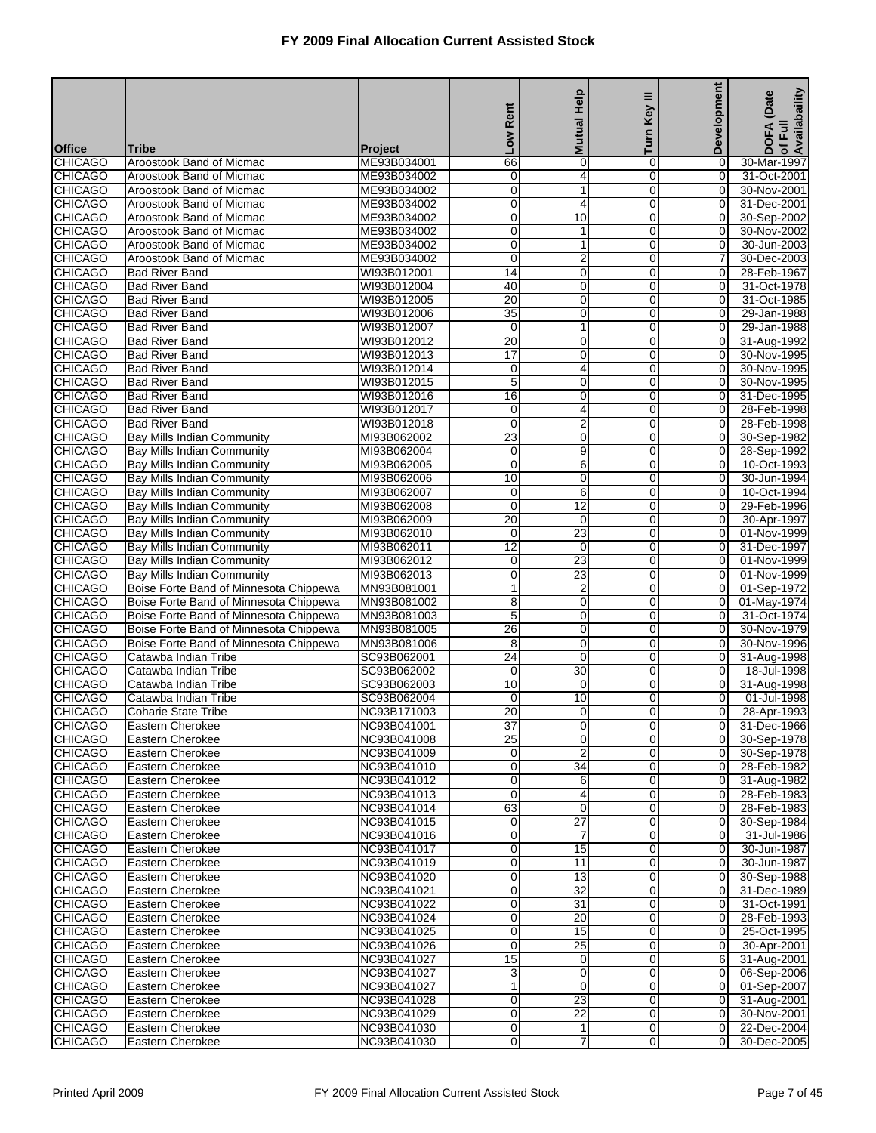|                                  |                                                                                  |                            | Rent                 | Mutual Help          | Key III                    | Development                      | Availabaility<br>(Date<br>DOFA<br>of Full |
|----------------------------------|----------------------------------------------------------------------------------|----------------------------|----------------------|----------------------|----------------------------|----------------------------------|-------------------------------------------|
| <b>Office</b>                    | <b>Tribe</b>                                                                     | <b>Project</b>             | <b>No7</b>           |                      | Turn                       |                                  |                                           |
| <b>CHICAGO</b>                   | Aroostook Band of Micmac                                                         | ME93B034001                | 66                   | 0                    | 0                          | 0                                | 30-Mar-1997                               |
| <b>CHICAGO</b>                   | Aroostook Band of Micmac                                                         | ME93B034002                | 0                    | 4                    | 0                          | $\overline{0}$                   | 31-Oct-2001                               |
| <b>CHICAGO</b>                   | Aroostook Band of Micmac                                                         | ME93B034002                | 0                    | 1                    | 0                          | $\overline{0}$                   | 30-Nov-2001                               |
| <b>CHICAGO</b><br><b>CHICAGO</b> | Aroostook Band of Micmac<br>Aroostook Band of Micmac                             | ME93B034002<br>ME93B034002 | 0<br>0               | 4<br>10              | $\mathbf 0$<br>0           | 0<br>0                           | 31-Dec-2001<br>30-Sep-2002                |
| <b>CHICAGO</b>                   | Aroostook Band of Micmac                                                         | ME93B034002                | $\mathbf 0$          | 1                    | $\mathbf 0$                | 0                                | 30-Nov-2002                               |
| <b>CHICAGO</b>                   | Aroostook Band of Micmac                                                         | ME93B034002                | 0                    | 1                    | 0                          | $\overline{0}$                   | 30-Jun-2003                               |
| <b>CHICAGO</b>                   | Aroostook Band of Micmac                                                         | ME93B034002                | 0                    | 2                    | 0                          | 7                                | 30-Dec-2003                               |
| <b>CHICAGO</b>                   | <b>Bad River Band</b>                                                            | WI93B012001                | $\overline{14}$      | $\overline{0}$       | $\mathbf 0$                | 0                                | 28-Feb-1967                               |
| <b>CHICAGO</b>                   | <b>Bad River Band</b>                                                            | WI93B012004                | 40                   | 0                    | $\mathbf 0$                | $\overline{0}$                   | 31-Oct-1978                               |
| <b>CHICAGO</b>                   | <b>Bad River Band</b>                                                            | WI93B012005                | $\overline{20}$      | 0                    | $\mathbf 0$                | 0                                | 31-Oct-1985                               |
| <b>CHICAGO</b>                   | <b>Bad River Band</b>                                                            | WI93B012006                | $\overline{35}$      | $\overline{0}$       | $\mathbf 0$                | $\overline{0}$                   | 29-Jan-1988                               |
| <b>CHICAGO</b><br><b>CHICAGO</b> | <b>Bad River Band</b><br><b>Bad River Band</b>                                   | WI93B012007<br>WI93B012012 | 0<br>20              | 1<br>0               | 0<br>$\mathbf 0$           | 0<br>$\mathbf 0$                 | 29-Jan-1988<br>31-Aug-1992                |
| <b>CHICAGO</b>                   | <b>Bad River Band</b>                                                            | WI93B012013                | $\overline{17}$      | 0                    | $\mathbf 0$                | $\overline{0}$                   | 30-Nov-1995                               |
| <b>CHICAGO</b>                   | <b>Bad River Band</b>                                                            | WI93B012014                | $\mathbf 0$          | 4                    | $\mathbf 0$                | 0                                | 30-Nov-1995                               |
| <b>CHICAGO</b>                   | <b>Bad River Band</b>                                                            | WI93B012015                | 5                    | $\overline{0}$       | 0                          | $\overline{0}$                   | 30-Nov-1995                               |
| <b>CHICAGO</b>                   | <b>Bad River Band</b>                                                            | WI93B012016                | 16                   | 0                    | 0                          | 0                                | 31-Dec-1995                               |
| <b>CHICAGO</b>                   | <b>Bad River Band</b>                                                            | WI93B012017                | $\mathbf 0$          | 4                    | $\mathbf 0$                | $\mathbf 0$                      | 28-Feb-1998                               |
| <b>CHICAGO</b>                   | <b>Bad River Band</b>                                                            | WI93B012018                | 0                    | $\overline{2}$       | 0                          | $\overline{0}$                   | 28-Feb-1998                               |
| <b>CHICAGO</b>                   | <b>Bay Mills Indian Community</b>                                                | MI93B062002                | 23                   | 0                    | $\mathbf 0$                | 0                                | 30-Sep-1982                               |
| <b>CHICAGO</b><br><b>CHICAGO</b> | Bay Mills Indian Community<br>Bay Mills Indian Community                         | MI93B062004<br>MI93B062005 | 0<br>0               | $\overline{9}$<br>6  | 0<br>0                     | $\overline{0}$<br>$\mathbf 0$    | 28-Sep-1992<br>10-Oct-1993                |
| <b>CHICAGO</b>                   | <b>Bay Mills Indian Community</b>                                                | MI93B062006                | 10                   | $\mathbf 0$          | $\mathbf 0$                | $\mathbf 0$                      | 30-Jun-1994                               |
| <b>CHICAGO</b>                   | <b>Bay Mills Indian Community</b>                                                | MI93B062007                | 0                    | 6                    | 0                          | $\overline{0}$                   | 10-Oct-1994                               |
| <b>CHICAGO</b>                   | <b>Bay Mills Indian Community</b>                                                | MI93B062008                | $\mathbf 0$          | $\overline{12}$      | $\mathbf 0$                | 0                                | 29-Feb-1996                               |
| <b>CHICAGO</b>                   | <b>Bay Mills Indian Community</b>                                                | MI93B062009                | 20                   | 0                    | 0                          | $\overline{0}$                   | 30-Apr-1997                               |
| <b>CHICAGO</b>                   | Bay Mills Indian Community                                                       | MI93B062010                | 0                    | 23                   | 0                          | 0                                | 01-Nov-1999                               |
| <b>CHICAGO</b>                   | Bay Mills Indian Community                                                       | MI93B062011                | 12                   | $\mathbf 0$          | $\mathbf 0$                | 0                                | 31-Dec-1997                               |
| <b>CHICAGO</b>                   | <b>Bay Mills Indian Community</b>                                                | MI93B062012                | 0                    | $\overline{23}$      | $\mathbf 0$                | $\overline{0}$                   | 01-Nov-1999                               |
| <b>CHICAGO</b><br><b>CHICAGO</b> | Bay Mills Indian Community                                                       | MI93B062013<br>MN93B081001 | $\mathbf 0$          | 23                   | $\mathbf 0$<br>$\mathbf 0$ | 0<br>$\overline{0}$              | 01-Nov-1999                               |
| <b>CHICAGO</b>                   | Boise Forte Band of Minnesota Chippewa<br>Boise Forte Band of Minnesota Chippewa | MN93B081002                | 1<br>8               | $\overline{2}$<br>0  | 0                          | 0                                | 01-Sep-1972<br>01-May-1974                |
| <b>CHICAGO</b>                   | Boise Forte Band of Minnesota Chippewa                                           | MN93B081003                | 5                    | 0                    | $\mathbf 0$                | 0                                | 31-Oct-1974                               |
| <b>CHICAGO</b>                   | Boise Forte Band of Minnesota Chippewa                                           | MN93B081005                | 26                   | 0                    | $\mathbf 0$                | $\overline{0}$                   | 30-Nov-1979                               |
| <b>CHICAGO</b>                   | Boise Forte Band of Minnesota Chippewa                                           | MN93B081006                | 8                    | 0                    | $\mathbf 0$                | 0                                | 30-Nov-1996                               |
| <b>CHICAGO</b>                   | Catawba Indian Tribe                                                             | SC93B062001                | 24                   | $\overline{0}$       | $\mathbf 0$                | $\overline{0}$                   | 31-Aug-1998                               |
| <b>CHICAGO</b>                   | Catawba Indian Tribe                                                             | SC93B062002                | $\mathbf 0$          | 30                   | 0                          | $\mathbf 0$                      | 18-Jul-1998                               |
| CHICAGO                          | Catawba Indian Tribe                                                             | SC93B062003                | 10                   | 0                    | $\mathbf 0$                | 0                                | 31-Aug-1998                               |
| <b>CHICAGO</b><br><b>CHICAGO</b> | Catawba Indian Tribe<br><b>Coharie State Tribe</b>                               | SC93B062004<br>NC93B171003 | 0<br>$\overline{20}$ | 10                   | $\mathbf 0$<br>$\mathbf 0$ | 0                                | 01-Jul-1998                               |
| <b>CHICAGO</b>                   | Eastern Cherokee                                                                 | NC93B041001                | 37                   | $\mathbf 0$<br>0     | 0                          | 0<br>0                           | 28-Apr-1993<br>31-Dec-1966                |
| <b>CHICAGO</b>                   | Eastern Cherokee                                                                 | NC93B041008                | 25                   | 0                    | $\mathbf 0$                | $\overline{0}$                   | 30-Sep-1978                               |
| <b>CHICAGO</b>                   | Eastern Cherokee                                                                 | NC93B041009                | 0                    | $\overline{2}$       | 0                          | $\overline{0}$                   | 30-Sep-1978                               |
| <b>CHICAGO</b>                   | Eastern Cherokee                                                                 | NC93B041010                | 0                    | $\overline{34}$      | 0                          | $\overline{0}$                   | 28-Feb-1982                               |
| <b>CHICAGO</b>                   | Eastern Cherokee                                                                 | NC93B041012                | 0                    | 6                    | 0                          | $\mathbf 0$                      | 31-Aug-1982                               |
| <b>CHICAGO</b>                   | Eastern Cherokee                                                                 | NC93B041013                | 0                    | 4                    | $\overline{0}$             | $\overline{0}$                   | 28-Feb-1983                               |
| <b>CHICAGO</b>                   | Eastern Cherokee                                                                 | NC93B041014                | 63                   | 0                    | 0                          | $\overline{0}$                   | 28-Feb-1983                               |
| <b>CHICAGO</b><br><b>CHICAGO</b> | Eastern Cherokee<br>Eastern Cherokee                                             | NC93B041015<br>NC93B041016 | 0<br>0               | $\overline{27}$<br>7 | $\mathbf 0$<br>0           | $\overline{O}$<br>$\overline{0}$ | 30-Sep-1984<br>31-Jul-1986                |
| <b>CHICAGO</b>                   | Eastern Cherokee                                                                 | NC93B041017                | 0                    | 15                   | 0                          | $\overline{0}$                   | 30-Jun-1987                               |
| <b>CHICAGO</b>                   | Eastern Cherokee                                                                 | NC93B041019                | 0                    | 11                   | $\overline{0}$             | $\overline{0}$                   | 30-Jun-1987                               |
| <b>CHICAGO</b>                   | Eastern Cherokee                                                                 | NC93B041020                | 0                    | 13                   | 0                          | $\overline{0}$                   | 30-Sep-1988                               |
| <b>CHICAGO</b>                   | Eastern Cherokee                                                                 | NC93B041021                | 0                    | $\overline{32}$      | $\mathbf 0$                | $\overline{O}$                   | 31-Dec-1989                               |
| <b>CHICAGO</b>                   | Eastern Cherokee                                                                 | NC93B041022                | 0                    | 31                   | 0                          | $\overline{0}$                   | 31-Oct-1991                               |
| <b>CHICAGO</b>                   | Eastern Cherokee                                                                 | NC93B041024                | $\mathbf 0$          | 20                   | 0                          | $\overline{0}$                   | 28-Feb-1993                               |
| <b>CHICAGO</b>                   | Eastern Cherokee                                                                 | NC93B041025                | 0                    | 15                   | $\overline{0}$             | $\overline{0}$                   | 25-Oct-1995                               |
| <b>CHICAGO</b>                   | Eastern Cherokee                                                                 | NC93B041026                | 0                    | 25                   | 0                          | $\overline{0}$                   | 30-Apr-2001                               |
| <b>CHICAGO</b><br><b>CHICAGO</b> | Eastern Cherokee<br>Eastern Cherokee                                             | NC93B041027<br>NC93B041027 | 15                   | $\mathbf 0$<br>0     | $\mathbf 0$<br>0           | 6<br>0                           | 31-Aug-2001<br>06-Sep-2006                |
| <b>CHICAGO</b>                   | Eastern Cherokee                                                                 | NC93B041027                | 3<br>$\mathbf{1}$    | $\mathbf 0$          | 0                          | $\overline{0}$                   | 01-Sep-2007                               |
| <b>CHICAGO</b>                   | Eastern Cherokee                                                                 | NC93B041028                | 0                    | 23                   | 0                          | $\overline{0}$                   | 31-Aug-2001                               |
| <b>CHICAGO</b>                   | Eastern Cherokee                                                                 | NC93B041029                | 0                    | 22                   | 0                          | $\overline{0}$                   | 30-Nov-2001                               |
| <b>CHICAGO</b>                   | Eastern Cherokee                                                                 | NC93B041030                | 0                    | 1                    | 0                          | $\overline{0}$                   | 22-Dec-2004                               |
| <b>CHICAGO</b>                   | Eastern Cherokee                                                                 | NC93B041030                | 0                    | 7                    | 0                          | 0                                | 30-Dec-2005                               |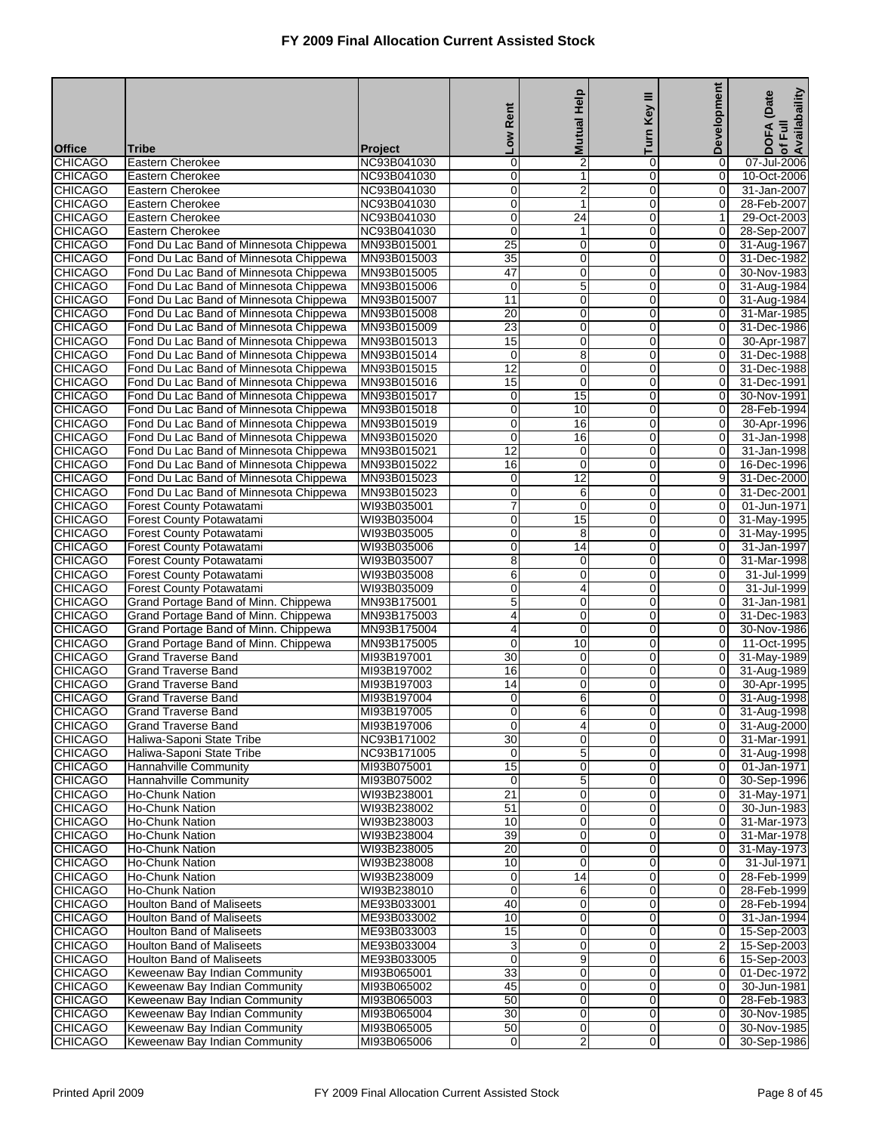|                                  |                                                      |                            | Rent             | <b>Mutual Help</b>             | Key III             | Development                      | of Full<br>Availabaility<br>(Date |
|----------------------------------|------------------------------------------------------|----------------------------|------------------|--------------------------------|---------------------|----------------------------------|-----------------------------------|
|                                  |                                                      |                            |                  |                                | Turn                |                                  | <b>DOFA</b>                       |
| <b>Office</b>                    | Tribe                                                | <b>Project</b>             | <b>No7</b>       |                                |                     |                                  |                                   |
| <b>CHICAGO</b>                   | Eastern Cherokee                                     | NC93B041030                | 0                | $\overline{2}$                 | 0                   | 0                                | 07-Jul-2006                       |
| <b>CHICAGO</b>                   | Eastern Cherokee                                     | NC93B041030                | 0                | 1                              | $\mathbf 0$         | $\overline{0}$                   | 10-Oct-2006                       |
| <b>CHICAGO</b>                   | Eastern Cherokee                                     | NC93B041030                | $\mathbf 0$      | $\overline{2}$<br>1            | 0<br>$\overline{0}$ | 0                                | 31-Jan-2007                       |
| <b>CHICAGO</b><br><b>CHICAGO</b> | Eastern Cherokee<br>Eastern Cherokee                 | NC93B041030<br>NC93B041030 | $\mathbf 0$<br>0 | $\overline{24}$                | 0                   | $\boldsymbol{0}$<br>1            | 28-Feb-2007<br>29-Oct-2003        |
| <b>CHICAGO</b>                   | Eastern Cherokee                                     | NC93B041030                | 0                | $\mathbf{1}$                   | $\mathbf 0$         | 0                                | 28-Sep-2007                       |
| <b>CHICAGO</b>                   | Fond Du Lac Band of Minnesota Chippewa               | MN93B015001                | 25               | $\mathbf 0$                    | $\mathbf 0$         | $\overline{0}$                   | 31-Aug-1967                       |
| <b>CHICAGO</b>                   | Fond Du Lac Band of Minnesota Chippewa               | MN93B015003                | $\overline{35}$  | $\mathbf 0$                    | 0                   | $\mathbf 0$                      | 31-Dec-1982                       |
| <b>CHICAGO</b>                   | Fond Du Lac Band of Minnesota Chippewa               | MN93B015005                | 47               | $\mathbf 0$                    | $\overline{0}$      | $\mathbf 0$                      | 30-Nov-1983                       |
| <b>CHICAGO</b>                   | Fond Du Lac Band of Minnesota Chippewa               | MN93B015006                | $\mathbf 0$      | 5                              | 0                   | 0                                | 31-Aug-1984                       |
| <b>CHICAGO</b>                   | Fond Du Lac Band of Minnesota Chippewa               | MN93B015007                | 11               | $\pmb{0}$                      | $\mathbf 0$         | $\mathbf 0$                      | 31-Aug-1984                       |
| <b>CHICAGO</b>                   | Fond Du Lac Band of Minnesota Chippewa               | MN93B015008                | 20               | $\mathbf 0$                    | $\mathbf 0$         | $\overline{0}$                   | 31-Mar-1985                       |
| <b>CHICAGO</b>                   | Fond Du Lac Band of Minnesota Chippewa               | MN93B015009                | $\overline{23}$  | $\mathbf 0$                    | 0                   | $\mathbf 0$                      | 31-Dec-1986                       |
| <b>CHICAGO</b>                   | Fond Du Lac Band of Minnesota Chippewa               | MN93B015013                | 15               | $\mathbf 0$                    | $\overline{0}$      | $\mathbf 0$                      | 30-Apr-1987                       |
| <b>CHICAGO</b>                   | Fond Du Lac Band of Minnesota Chippewa               | MN93B015014                | $\mathbf 0$      | 8                              | 0                   | $\overline{0}$                   | 31-Dec-1988                       |
| <b>CHICAGO</b>                   | Fond Du Lac Band of Minnesota Chippewa               | MN93B015015                | 12               | $\mathbf 0$                    | $\mathbf 0$         | 0                                | 31-Dec-1988                       |
| <b>CHICAGO</b>                   | Fond Du Lac Band of Minnesota Chippewa               | MN93B015016                | 15               | $\mathbf 0$                    | $\mathbf 0$         | $\overline{0}$                   | 31-Dec-1991                       |
| <b>CHICAGO</b>                   | Fond Du Lac Band of Minnesota Chippewa               | MN93B015017                | $\mathbf 0$      | 15                             | 0                   | 0                                | 30-Nov-1991                       |
| <b>CHICAGO</b>                   | Fond Du Lac Band of Minnesota Chippewa               | MN93B015018                | $\mathbf 0$      | 10                             | $\overline{0}$      | $\mathbf 0$                      | 28-Feb-1994                       |
| <b>CHICAGO</b>                   | Fond Du Lac Band of Minnesota Chippewa               | MN93B015019                | 0                | 16                             | 0                   | 0                                | 30-Apr-1996                       |
| <b>CHICAGO</b>                   | Fond Du Lac Band of Minnesota Chippewa               | MN93B015020                | 0                | 16                             | $\mathbf 0$         | 0                                | 31-Jan-1998                       |
| <b>CHICAGO</b>                   | Fond Du Lac Band of Minnesota Chippewa               | MN93B015021                | $\overline{12}$  | $\mathbf 0$                    | $\mathbf 0$         | 0                                | 31-Jan-1998                       |
| <b>CHICAGO</b>                   | Fond Du Lac Band of Minnesota Chippewa               | MN93B015022                | 16               | $\mathbf 0$                    | 0                   | 0                                | 16-Dec-1996                       |
| <b>CHICAGO</b>                   | Fond Du Lac Band of Minnesota Chippewa               | MN93B015023                | $\mathbf 0$      | 12                             | $\mathbf 0$         | 9                                | 31-Dec-2000                       |
| <b>CHICAGO</b>                   | Fond Du Lac Band of Minnesota Chippewa               | MN93B015023                | 0                | 6                              | 0                   | 0                                | 31-Dec-2001                       |
| <b>CHICAGO</b>                   | Forest County Potawatami                             | WI93B035001                | 7                | $\pmb{0}$                      | 0                   | $\mathbf 0$                      | 01-Jun-1971                       |
| <b>CHICAGO</b>                   | <b>Forest County Potawatami</b>                      | WI93B035004                | 0                | 15                             | $\mathbf 0$         | $\overline{0}$                   | 31-May-1995                       |
| <b>CHICAGO</b>                   | Forest County Potawatami                             | WI93B035005                | 0                | 8                              | 0                   | 0                                | 31-May-1995                       |
| <b>CHICAGO</b><br><b>CHICAGO</b> | Forest County Potawatami<br>Forest County Potawatami | WI93B035006<br>WI93B035007 | $\mathbf 0$<br>8 | $\overline{14}$<br>$\mathbf 0$ | $\mathbf 0$<br>0    | 0<br>0                           | 31-Jan-1997<br>31-Mar-1998        |
| <b>CHICAGO</b>                   | Forest County Potawatami                             | WI93B035008                | 6                | $\pmb{0}$                      | 0                   | 0                                | 31-Jul-1999                       |
| <b>CHICAGO</b>                   | <b>Forest County Potawatami</b>                      | WI93B035009                | 0                | 4                              | $\mathbf 0$         | 0                                | 31-Jul-1999                       |
| <b>CHICAGO</b>                   | Grand Portage Band of Minn. Chippewa                 | MN93B175001                | 5                | $\mathbf 0$                    | 0                   | 0                                | 31-Jan-1981                       |
| <b>CHICAGO</b>                   | Grand Portage Band of Minn. Chippewa                 | MN93B175003                | 4                | $\mathbf 0$                    | $\mathbf 0$         | 0                                | 31-Dec-1983                       |
| <b>CHICAGO</b>                   | Grand Portage Band of Minn. Chippewa                 | MN93B175004                | 4                | $\mathbf 0$                    | 0                   | 0                                | 30-Nov-1986                       |
| <b>CHICAGO</b>                   | Grand Portage Band of Minn. Chippewa                 | MN93B175005                | 0                | 10                             | 0                   | 0                                | 11-Oct-1995                       |
| <b>CHICAGO</b>                   | <b>Grand Traverse Band</b>                           | MI93B197001                | $\overline{30}$  | $\mathbf 0$                    | $\mathbf 0$         | $\overline{0}$                   | 31-May-1989                       |
| <b>CHICAGO</b>                   | <b>Grand Traverse Band</b>                           | MI93B197002                | 16               | $\mathbf 0$                    | 0                   | 0                                | 31-Aug-1989                       |
| <b>CHICAGO</b>                   | <b>Grand Traverse Band</b>                           | MI93B197003                | 14               | $\mathbf 0$                    | $\mathbf 0$         | $\mathbf 0$                      | 30-Apr-1995                       |
| <b>CHICAGO</b>                   | <b>Grand Traverse Band</b>                           | MI93B197004                | 0                | 6                              | 0                   | $\overline{0}$                   | 31-Aug-1998                       |
| <b>CHICAGO</b>                   | <b>Grand Traverse Band</b>                           | MI93B197005                | 0                | 6                              | $\mathbf{O}$        | $\overline{0}$                   | 31-Aug-1998                       |
| <b>CHICAGO</b>                   | <b>Grand Traverse Band</b>                           | MI93B197006                | $\overline{0}$   | 4                              | $\overline{0}$      | 0                                | 31-Aug-2000                       |
| <b>CHICAGO</b>                   | Haliwa-Saponi State Tribe                            | NC93B171002                | 30               | 0                              | $\overline{0}$      | $\overline{0}$                   | 31-Mar-1991                       |
| <b>CHICAGO</b>                   | Haliwa-Saponi State Tribe                            | NC93B171005                | 0                | $\mathbf 5$                    | $\mathbf 0$         | $\overline{0}$                   | 31-Aug-1998                       |
| <b>CHICAGO</b>                   | Hannahville Community                                | MI93B075001                | 15               | 0                              | 0                   | $\overline{0}$                   | 01-Jan-1971                       |
| <b>CHICAGO</b>                   | Hannahville Community                                | MI93B075002                | $\mathbf 0$      | $\overline{5}$                 | $\mathbf 0$         | $\overline{0}$                   | 30-Sep-1996                       |
| <b>CHICAGO</b>                   | Ho-Chunk Nation                                      | WI93B238001                | $\overline{21}$  | $\mathbf 0$                    | 0                   | $\overline{0}$                   | 31-May-1971                       |
| <b>CHICAGO</b>                   | <b>Ho-Chunk Nation</b>                               | WI93B238002                | 51               | 0                              | $\mathbf 0$         | $\overline{0}$                   | 30-Jun-1983                       |
| <b>CHICAGO</b>                   | Ho-Chunk Nation                                      | WI93B238003                | 10               | $\mathbf 0$                    | $\mathbf 0$         | $\overline{0}$                   | 31-Mar-1973                       |
| <b>CHICAGO</b>                   | Ho-Chunk Nation                                      | WI93B238004                | 39<br>20         | 0                              | 0                   | $\overline{0}$                   | 31-Mar-1978                       |
| <b>CHICAGO</b><br><b>CHICAGO</b> | Ho-Chunk Nation<br><b>Ho-Chunk Nation</b>            | WI93B238005<br>WI93B238008 | 10               | 0<br>$\mathbf 0$               | 0<br>0              | $\overline{0}$<br>$\overline{0}$ | 31-May-1973<br>31-Jul-1971        |
| <b>CHICAGO</b>                   | <b>Ho-Chunk Nation</b>                               | WI93B238009                | 0                | 14                             | 0                   | $\overline{0}$                   | 28-Feb-1999                       |
| <b>CHICAGO</b>                   | Ho-Chunk Nation                                      | WI93B238010                | $\mathbf 0$      | 6                              | $\mathbf 0$         | $\overline{0}$                   | 28-Feb-1999                       |
| <b>CHICAGO</b>                   | <b>Houlton Band of Maliseets</b>                     | ME93B033001                | 40               | $\mathbf 0$                    | 0                   | $\overline{0}$                   | 28-Feb-1994                       |
| <b>CHICAGO</b>                   | <b>Houlton Band of Maliseets</b>                     | ME93B033002                | 10               | 0                              | 0                   | $\overline{0}$                   | 31-Jan-1994                       |
| <b>CHICAGO</b>                   | <b>Houlton Band of Maliseets</b>                     | ME93B033003                | 15               | $\mathbf 0$                    | 0                   | $\overline{0}$                   | 15-Sep-2003                       |
| <b>CHICAGO</b>                   | <b>Houlton Band of Maliseets</b>                     | ME93B033004                | 3                | 0                              | 0                   | 2                                | 15-Sep-2003                       |
| <b>CHICAGO</b>                   | <b>Houlton Band of Maliseets</b>                     | ME93B033005                | $\mathbf 0$      | 9                              | $\mathbf 0$         | 6                                | 15-Sep-2003                       |
| <b>CHICAGO</b>                   | Keweenaw Bay Indian Community                        | MI93B065001                | 33               | $\mathbf 0$                    | 0                   | $\overline{0}$                   | 01-Dec-1972                       |
| <b>CHICAGO</b>                   | Keweenaw Bay Indian Community                        | MI93B065002                | 45               | 0                              | 0                   | $\overline{0}$                   | 30-Jun-1981                       |
| <b>CHICAGO</b>                   | Keweenaw Bay Indian Community                        | MI93B065003                | 50               | $\mathbf 0$                    | 0                   | $\overline{O}$                   | 28-Feb-1983                       |
| <b>CHICAGO</b>                   | Keweenaw Bay Indian Community                        | MI93B065004                | 30               | 0                              | 0                   | $\mathbf 0$                      | 30-Nov-1985                       |
| <b>CHICAGO</b>                   | Keweenaw Bay Indian Community                        | MI93B065005                | 50               | $\mathbf 0$                    | 0                   | $\overline{0}$                   | 30-Nov-1985                       |
| <b>CHICAGO</b>                   | Keweenaw Bay Indian Community                        | MI93B065006                | 0                | 2                              | 0                   | $\overline{O}$                   | 30-Sep-1986                       |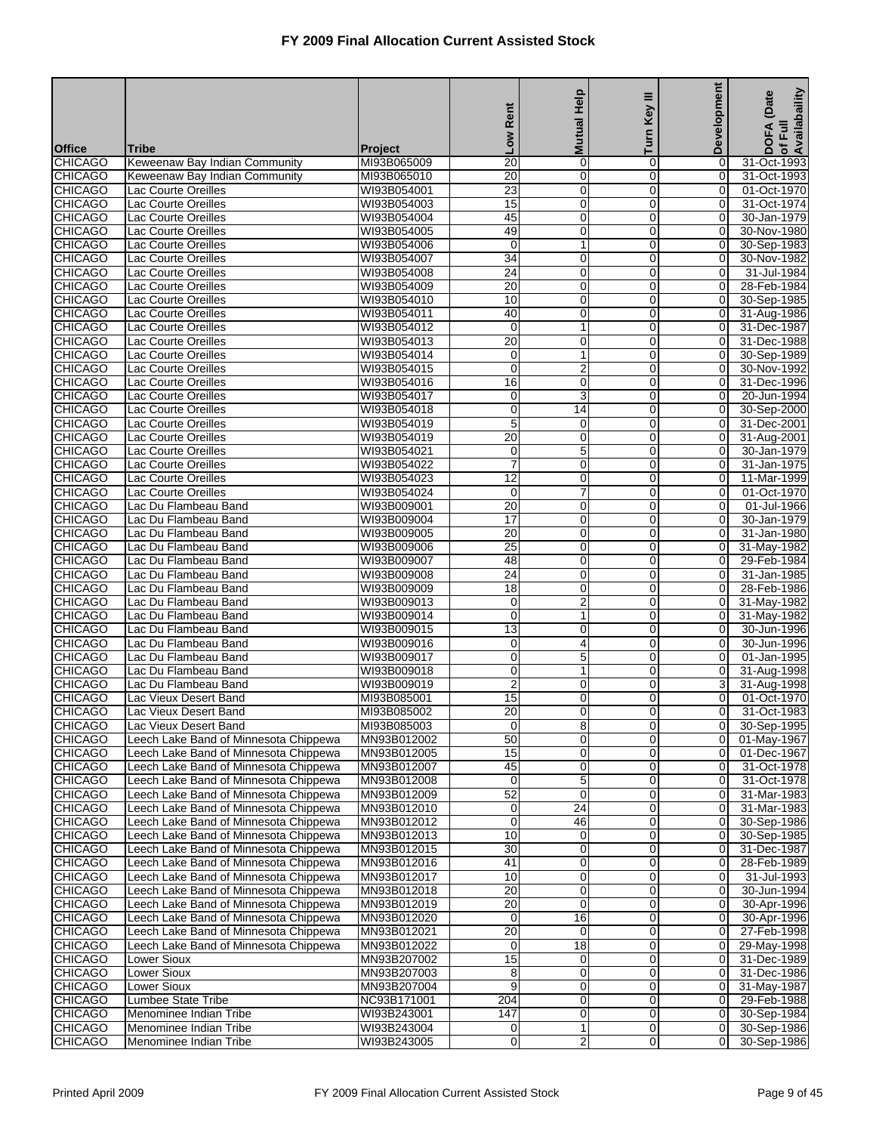|                                  |                                                                                |                               |                                    |                     | Ξ                             | <b>Development</b>               | of Full<br>Availabaility<br>(Date |
|----------------------------------|--------------------------------------------------------------------------------|-------------------------------|------------------------------------|---------------------|-------------------------------|----------------------------------|-----------------------------------|
|                                  |                                                                                |                               | Rent                               | <b>Mutual Help</b>  | Key                           |                                  |                                   |
|                                  |                                                                                |                               | <b>Low</b>                         |                     | Turn                          |                                  | <b>DOFA</b>                       |
| <b>Office</b><br><b>CHICAGO</b>  | <b>Tribe</b><br>Keweenaw Bay Indian Community                                  | <b>Project</b><br>MI93B065009 | $\overline{20}$                    | $\pmb{0}$           | 0                             | 0                                | 31-Oct-1993                       |
| <b>CHICAGO</b>                   | Keweenaw Bay Indian Community                                                  | MI93B065010                   | 20                                 | 0                   | $\mathbf 0$                   | $\overline{0}$                   | 31-Oct-1993                       |
| <b>CHICAGO</b>                   | Lac Courte Oreilles                                                            | WI93B054001                   | 23                                 | $\pmb{0}$           | 0                             | 0                                | 01-Oct-1970                       |
| <b>CHICAGO</b>                   | Lac Courte Oreilles                                                            | WI93B054003                   | 15                                 | $\boldsymbol{0}$    | $\mathbf 0$                   | 0                                | 31-Oct-1974                       |
| <b>CHICAGO</b>                   | Lac Courte Oreilles                                                            | WI93B054004                   | 45                                 | 0                   | 0                             | 0                                | 30-Jan-1979                       |
| <b>CHICAGO</b>                   | Lac Courte Oreilles                                                            | WI93B054005                   | 49                                 | 0                   | $\mathbf 0$                   | 0                                | 30-Nov-1980                       |
| <b>CHICAGO</b>                   | Lac Courte Oreilles                                                            | WI93B054006                   | 0                                  | 1                   | $\mathbf 0$                   | 0                                | 30-Sep-1983                       |
| <b>CHICAGO</b>                   | Lac Courte Oreilles                                                            | WI93B054007                   | 34                                 | 0                   | 0                             | 0                                | 30-Nov-1982                       |
| <b>CHICAGO</b><br><b>CHICAGO</b> | Lac Courte Oreilles<br>Lac Courte Oreilles                                     | WI93B054008<br>WI93B054009    | 24<br>20                           | 0<br>0              | $\mathbf 0$<br>$\mathbf 0$    | 0<br>0                           | 31-Jul-1984<br>28-Feb-1984        |
| <b>CHICAGO</b>                   | Lac Courte Oreilles                                                            | WI93B054010                   | 10                                 | 0                   | $\mathbf 0$                   | 0                                | 30-Sep-1985                       |
| <b>CHICAGO</b>                   | Lac Courte Oreilles                                                            | WI93B054011                   | 40                                 | 0                   | $\mathbf 0$                   | 0                                | 31-Aug-1986                       |
| <b>CHICAGO</b>                   | Lac Courte Oreilles                                                            | WI93B054012                   | $\mathbf 0$                        | $\mathbf{1}$        | 0                             | $\mathbf 0$                      | 31-Dec-1987                       |
| <b>CHICAGO</b>                   | Lac Courte Oreilles                                                            | WI93B054013                   | $\overline{20}$                    | 0                   | $\mathbf 0$                   | 0                                | 31-Dec-1988                       |
| <b>CHICAGO</b>                   | Lac Courte Oreilles                                                            | WI93B054014                   | 0                                  | 1                   | 0                             | 0                                | 30-Sep-1989                       |
| <b>CHICAGO</b>                   | Lac Courte Oreilles                                                            | WI93B054015                   | $\mathbf 0$                        | $\overline{2}$      | $\mathbf 0$                   | 0                                | 30-Nov-1992                       |
| <b>CHICAGO</b>                   | Lac Courte Oreilles                                                            | WI93B054016                   | 16                                 | 0                   | $\mathbf 0$                   | 0                                | 31-Dec-1996                       |
| <b>CHICAGO</b>                   | Lac Courte Oreilles                                                            | WI93B054017                   | 0                                  | 3                   | 0                             | 0                                | 20-Jun-1994                       |
| <b>CHICAGO</b>                   | Lac Courte Oreilles                                                            | WI93B054018                   | 0                                  | 14                  | $\mathbf 0$                   | 0                                | 30-Sep-2000                       |
| <b>CHICAGO</b><br><b>CHICAGO</b> | Lac Courte Oreilles<br>Lac Courte Oreilles                                     | WI93B054019<br>WI93B054019    | 5<br>$\overline{20}$               | 0<br>0              | $\mathbf 0$<br>$\mathbf 0$    | 0<br>0                           | 31-Dec-2001<br>31-Aug-2001        |
| <b>CHICAGO</b>                   | Lac Courte Oreilles                                                            | WI93B054021                   | 0                                  | 5                   | $\mathbf 0$                   | 0                                | 30-Jan-1979                       |
| <b>CHICAGO</b>                   | Lac Courte Oreilles                                                            | WI93B054022                   | 7                                  | $\pmb{0}$           | 0                             | 0                                | 31-Jan-1975                       |
| <b>CHICAGO</b>                   | Lac Courte Oreilles                                                            | WI93B054023                   | $\overline{12}$                    | 0                   | $\mathbf 0$                   | 0                                | 11-Mar-1999                       |
| <b>CHICAGO</b>                   | Lac Courte Oreilles                                                            | WI93B054024                   | 0                                  | 7                   | 0                             | 0                                | 01-Oct-1970                       |
| <b>CHICAGO</b>                   | Lac Du Flambeau Band                                                           | WI93B009001                   | $\overline{20}$                    | 0                   | 0                             | 0                                | 01-Jul-1966                       |
| <b>CHICAGO</b>                   | Lac Du Flambeau Band                                                           | WI93B009004                   | 17                                 | 0                   | $\mathbf 0$                   | 0                                | 30-Jan-1979                       |
| <b>CHICAGO</b>                   | Lac Du Flambeau Band                                                           | WI93B009005                   | 20                                 | $\pmb{0}$           | 0                             | 0                                | 31-Jan-1980                       |
| <b>CHICAGO</b>                   | Lac Du Flambeau Band                                                           | WI93B009006                   | $\overline{25}$                    | 0                   | $\mathbf 0$                   | 0                                | 31-May-1982                       |
| <b>CHICAGO</b>                   | Lac Du Flambeau Band                                                           | WI93B009007                   | 48                                 | 0                   | 0                             | 0                                | 29-Feb-1984                       |
| <b>CHICAGO</b>                   | Lac Du Flambeau Band<br>Lac Du Flambeau Band                                   | WI93B009008<br>WI93B009009    | $\overline{24}$<br>$\overline{18}$ | 0                   | 0<br>$\mathbf 0$              | 0<br>0                           | 31-Jan-1985<br>28-Feb-1986        |
| <b>CHICAGO</b><br><b>CHICAGO</b> | Lac Du Flambeau Band                                                           | WI93B009013                   | 0                                  | 0<br>$\overline{2}$ | 0                             | 0                                | 31-May-1982                       |
| <b>CHICAGO</b>                   | Lac Du Flambeau Band                                                           | WI93B009014                   | 0                                  | $\mathbf 1$         | $\mathbf 0$                   | 0                                | 31-May-1982                       |
| <b>CHICAGO</b>                   | Lac Du Flambeau Band                                                           | WI93B009015                   | 13                                 | 0                   | 0                             | 0                                | 30-Jun-1996                       |
| <b>CHICAGO</b>                   | Lac Du Flambeau Band                                                           | WI93B009016                   | 0                                  | 4                   | $\mathbf 0$                   | 0                                | 30-Jun-1996                       |
| <b>CHICAGO</b>                   | Lac Du Flambeau Band                                                           | WI93B009017                   | 0                                  | 5                   | $\mathbf 0$                   | 0                                | 01-Jan-1995                       |
| <b>CHICAGO</b>                   | Lac Du Flambeau Band                                                           | WI93B009018                   | 0                                  | 1                   | 0                             | 0                                | 31-Aug-1998                       |
| <b>CHICAGO</b>                   | Lac Du Flambeau Band                                                           | WI93B009019                   | $\overline{2}$                     | 0                   | $\mathbf 0$                   | 3                                | 31-Aug-1998                       |
| <b>CHICAGO</b>                   | Lac Vieux Desert Band                                                          | MI93B085001                   | 15                                 | 0                   | 0                             | 0                                | 01-Oct-1970                       |
| <b>CHICAGO</b>                   | Lac Vieux Desert Band                                                          | MI93B085002                   | $\overline{20}$                    | 0                   | $\overline{0}$                | 0                                | 31-Oct-1983                       |
| <b>CHICAGO</b><br><b>CHICAGO</b> | Lac Vieux Desert Band<br>Leech Lake Band of Minnesota Chippewa                 | MI93B085003<br>MN93B012002    | $\overline{0}$<br>50               | 8                   | 0<br>$\mathbf 0$              | 0                                | 30-Sep-1995                       |
| <b>CHICAGO</b>                   | Leech Lake Band of Minnesota Chippewa                                          | MN93B012005                   | 15                                 | 0<br>0              | $\mathbf 0$                   | $\overline{0}$<br>$\overline{0}$ | 01-May-1967<br>01-Dec-1967        |
| <b>CHICAGO</b>                   | Leech Lake Band of Minnesota Chippewa                                          | MN93B012007                   | 45                                 | 0                   | 0                             | $\overline{0}$                   | 31-Oct-1978                       |
| <b>CHICAGO</b>                   | Leech Lake Band of Minnesota Chippewa                                          | MN93B012008                   | 0                                  | 5                   | $\mathbf 0$                   | $\overline{0}$                   | 31-Oct-1978                       |
| <b>CHICAGO</b>                   | Leech Lake Band of Minnesota Chippewa                                          | MN93B012009                   | 52                                 | 0                   | 0                             | $\overline{0}$                   | 31-Mar-1983                       |
| <b>CHICAGO</b>                   | Leech Lake Band of Minnesota Chippewa                                          | MN93B012010                   | 0                                  | 24                  | 0                             | $\overline{0}$                   | 31-Mar-1983                       |
| <b>CHICAGO</b>                   | Leech Lake Band of Minnesota Chippewa                                          | MN93B012012                   | $\mathbf 0$                        | 46                  | $\mathbf 0$                   | $\overline{0}$                   | 30-Sep-1986                       |
| <b>CHICAGO</b>                   | Leech Lake Band of Minnesota Chippewa                                          | MN93B012013                   | 10                                 | 0                   | 0                             | $\overline{0}$                   | 30-Sep-1985                       |
| <b>CHICAGO</b>                   | Leech Lake Band of Minnesota Chippewa                                          | MN93B012015                   | $\overline{30}$                    | 0                   | $\mathbf 0$                   | 0                                | 31-Dec-1987                       |
| <b>CHICAGO</b>                   | Leech Lake Band of Minnesota Chippewa                                          | MN93B012016                   | 41                                 | 0                   | 0                             | $\overline{0}$                   | 28-Feb-1989                       |
| <b>CHICAGO</b>                   | Leech Lake Band of Minnesota Chippewa                                          | MN93B012017                   | 10<br>$\overline{20}$              | 0<br>0              | 0<br>$\mathbf 0$              | 0                                | 31-Jul-1993                       |
| <b>CHICAGO</b><br><b>CHICAGO</b> | Leech Lake Band of Minnesota Chippewa<br>Leech Lake Band of Minnesota Chippewa | MN93B012018<br>MN93B012019    | 20                                 | 0                   | 0                             | $\mathbf 0$<br>$\overline{0}$    | 30-Jun-1994<br>30-Apr-1996        |
| <b>CHICAGO</b>                   | Leech Lake Band of Minnesota Chippewa                                          | MN93B012020                   | 0                                  | 16                  | $\mathbf 0$                   | $\overline{0}$                   | 30-Apr-1996                       |
| <b>CHICAGO</b>                   | Leech Lake Band of Minnesota Chippewa                                          | MN93B012021                   | 20                                 | 0                   | 0                             | $\overline{O}$                   | 27-Feb-1998                       |
| <b>CHICAGO</b>                   | Leech Lake Band of Minnesota Chippewa                                          | MN93B012022                   | 0                                  | 18                  | 0                             | $\overline{0}$                   | 29-May-1998                       |
| <b>CHICAGO</b>                   | Lower Sioux                                                                    | MN93B207002                   | 15                                 | 0                   | $\mathbf 0$                   | $\overline{0}$                   | 31-Dec-1989                       |
| <b>CHICAGO</b>                   | Lower Sioux                                                                    | MN93B207003                   | 8                                  | 0                   | 0                             | $\overline{0}$                   | 31-Dec-1986                       |
| <b>CHICAGO</b>                   | Lower Sioux                                                                    | MN93B207004                   | 9                                  | 0                   | $\mathbf 0$                   | $\overline{0}$                   | 31-May-1987                       |
| <b>CHICAGO</b>                   | Lumbee State Tribe                                                             | NC93B171001                   | 204                                | 0                   | 0                             | $\overline{0}$                   | 29-Feb-1988                       |
| <b>CHICAGO</b>                   | Menominee Indian Tribe                                                         | WI93B243001                   | 147                                | 0                   | 0                             | $\overline{0}$                   | 30-Sep-1984                       |
| <b>CHICAGO</b><br><b>CHICAGO</b> | Menominee Indian Tribe<br>Menominee Indian Tribe                               | WI93B243004<br>WI93B243005    | 0<br>0                             | 1<br>2              | $\mathbf 0$<br>$\overline{0}$ | $\overline{0}$<br>0              | 30-Sep-1986<br>30-Sep-1986        |
|                                  |                                                                                |                               |                                    |                     |                               |                                  |                                   |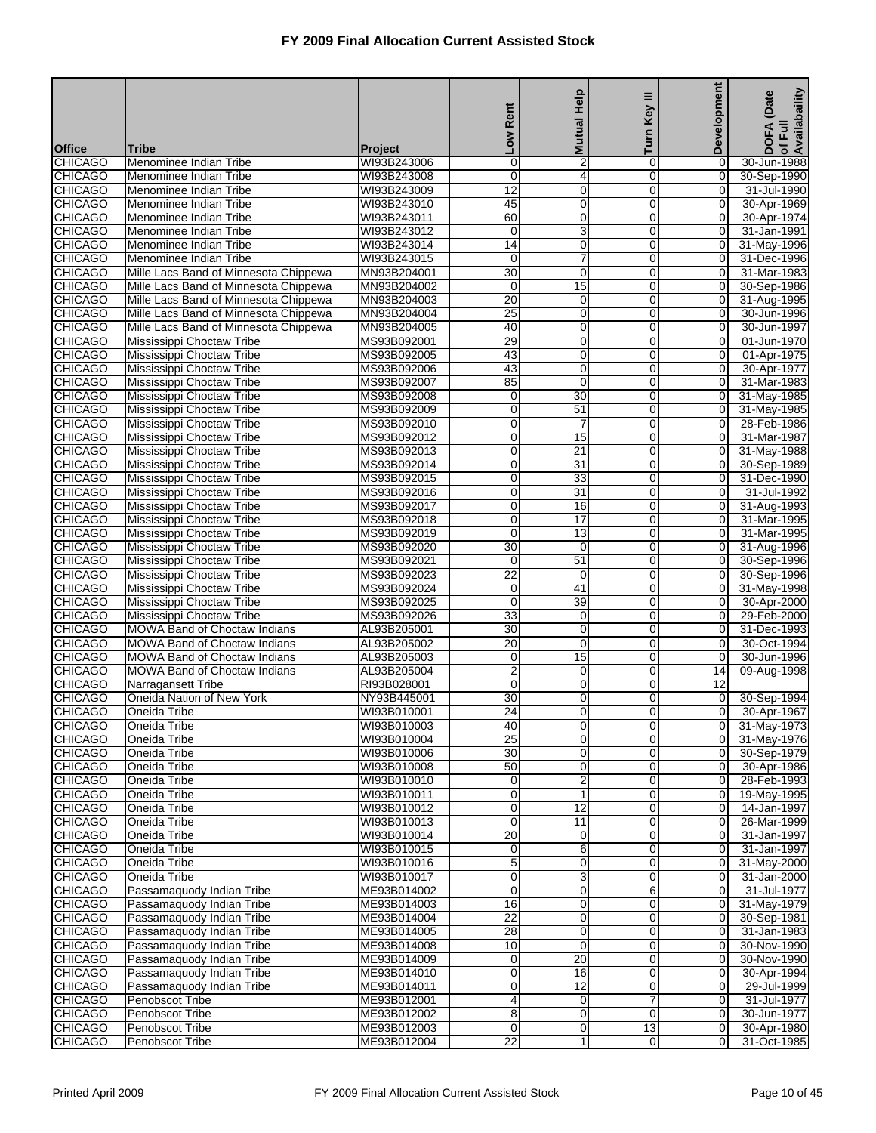|                                  |                                                                                |                            | Low Rent                               | <b>Mutual Help</b>              | Key III             | <b>Development</b>              | Availabaility<br>(Date     |
|----------------------------------|--------------------------------------------------------------------------------|----------------------------|----------------------------------------|---------------------------------|---------------------|---------------------------------|----------------------------|
|                                  |                                                                                |                            |                                        |                                 | Turn                |                                 | <b>DOFA</b><br>of Full     |
| <b>Office</b><br><b>CHICAGO</b>  | <b>Tribe</b><br>Menominee Indian Tribe                                         | Project<br>WI93B243006     | 0                                      | $\overline{2}$                  | 0                   | 0                               | 30-Jun-1988                |
| <b>CHICAGO</b>                   | Menominee Indian Tribe                                                         | WI93B243008                | $\mathbf 0$                            | $\overline{4}$                  | 0                   | 0                               | 30-Sep-1990                |
| <b>CHICAGO</b>                   | Menominee Indian Tribe                                                         | WI93B243009                | $\overline{12}$                        | $\mathbf 0$                     | 0                   | 0                               | 31-Jul-1990                |
| <b>CHICAGO</b>                   | Menominee Indian Tribe                                                         | WI93B243010                | 45                                     | $\mathbf 0$                     | 0                   | 0                               | 30-Apr-1969                |
| <b>CHICAGO</b>                   | Menominee Indian Tribe                                                         | WI93B243011                | 60                                     | $\mathbf 0$                     | 0                   | 0                               | 30-Apr-1974                |
| <b>CHICAGO</b>                   | Menominee Indian Tribe                                                         | WI93B243012                | $\mathbf 0$                            | 3                               | 0                   | 0                               | 31-Jan-1991                |
| <b>CHICAGO</b>                   | Menominee Indian Tribe                                                         | WI93B243014                | 14                                     | $\mathbf 0$                     | 0                   | 0                               | 31-May-1996                |
| <b>CHICAGO</b><br><b>CHICAGO</b> | Menominee Indian Tribe                                                         | WI93B243015                | 0<br>$\overline{30}$                   | $\boldsymbol{7}$<br>$\mathbf 0$ | 0<br>0              | 0<br>$\mathbf 0$                | 31-Dec-1996<br>31-Mar-1983 |
| <b>CHICAGO</b>                   | Mille Lacs Band of Minnesota Chippewa<br>Mille Lacs Band of Minnesota Chippewa | MN93B204001<br>MN93B204002 | 0                                      | 15                              | 0                   | 0                               | 30-Sep-1986                |
| <b>CHICAGO</b>                   | Mille Lacs Band of Minnesota Chippewa                                          | MN93B204003                | $\overline{20}$                        | $\mathbf 0$                     | 0                   | 0                               | 31-Aug-1995                |
| <b>CHICAGO</b>                   | Mille Lacs Band of Minnesota Chippewa                                          | MN93B204004                | $\overline{25}$                        | $\mathbf 0$                     | 0                   | 0                               | 30-Jun-1996                |
| <b>CHICAGO</b>                   | Mille Lacs Band of Minnesota Chippewa                                          | MN93B204005                | 40                                     | $\mathbf 0$                     | 0                   | 0                               | 30-Jun-1997                |
| <b>CHICAGO</b>                   | Mississippi Choctaw Tribe                                                      | MS93B092001                | 29                                     | $\mathbf 0$                     | 0                   | $\boldsymbol{0}$                | 01-Jun-1970                |
| <b>CHICAGO</b>                   | Mississippi Choctaw Tribe                                                      | MS93B092005                | 43                                     | $\mathbf 0$                     | 0                   | 0                               | 01-Apr-1975                |
| <b>CHICAGO</b>                   | Mississippi Choctaw Tribe                                                      | MS93B092006                | 43                                     | $\mathbf 0$                     | 0                   | 0                               | 30-Apr-1977                |
| <b>CHICAGO</b>                   | Mississippi Choctaw Tribe                                                      | MS93B092007                | 85                                     | $\mathbf 0$                     | 0                   | 0                               | 31-Mar-1983                |
| <b>CHICAGO</b><br><b>CHICAGO</b> | Mississippi Choctaw Tribe<br>Mississippi Choctaw Tribe                         | MS93B092008<br>MS93B092009 | 0<br>$\mathbf 0$                       | 30<br>$\overline{51}$           | 0<br>0              | 0<br>0                          | 31-May-1985<br>31-May-1985 |
| <b>CHICAGO</b>                   | Mississippi Choctaw Tribe                                                      | MS93B092010                | $\mathbf 0$                            | 7                               | 0                   | 0                               | 28-Feb-1986                |
| <b>CHICAGO</b>                   | Mississippi Choctaw Tribe                                                      | MS93B092012                | 0                                      | 15                              | 0                   | 0                               | 31-Mar-1987                |
| <b>CHICAGO</b>                   | Mississippi Choctaw Tribe                                                      | MS93B092013                | $\mathbf 0$                            | 21                              | 0                   | 0                               | 31-May-1988                |
| <b>CHICAGO</b>                   | Mississippi Choctaw Tribe                                                      | MS93B092014                | $\mathbf 0$                            | 31                              | 0                   | 0                               | 30-Sep-1989                |
| <b>CHICAGO</b>                   | Mississippi Choctaw Tribe                                                      | MS93B092015                | $\mathbf 0$                            | $\overline{33}$                 | 0                   | $\mathbf 0$                     | 31-Dec-1990                |
| <b>CHICAGO</b>                   | Mississippi Choctaw Tribe                                                      | MS93B092016                | $\mathbf 0$                            | 31                              | 0                   | 0                               | 31-Jul-1992                |
| <b>CHICAGO</b>                   | Mississippi Choctaw Tribe                                                      | MS93B092017                | 0                                      | 16                              | 0                   | 0                               | 31-Aug-1993                |
| <b>CHICAGO</b>                   | Mississippi Choctaw Tribe                                                      | MS93B092018                | $\mathbf 0$                            | 17                              | 0                   | 0                               | 31-Mar-1995                |
| <b>CHICAGO</b><br><b>CHICAGO</b> | Mississippi Choctaw Tribe<br>Mississippi Choctaw Tribe                         | MS93B092019<br>MS93B092020 | $\mathbf 0$<br>$\overline{30}$         | 13<br>$\mathbf 0$               | 0<br>0              | 0<br>$\boldsymbol{0}$           | 31-Mar-1995<br>31-Aug-1996 |
| <b>CHICAGO</b>                   | Mississippi Choctaw Tribe                                                      | MS93B092021                | 0                                      | 51                              | 0                   | $\mathbf 0$                     | 30-Sep-1996                |
| <b>CHICAGO</b>                   | Mississippi Choctaw Tribe                                                      | MS93B092023                | $\overline{22}$                        | $\mathbf 0$                     | 0                   | 0                               | 30-Sep-1996                |
| <b>CHICAGO</b>                   | Mississippi Choctaw Tribe                                                      | MS93B092024                | $\mathbf 0$                            | 41                              | 0                   | 0                               | 31-May-1998                |
| <b>CHICAGO</b>                   | Mississippi Choctaw Tribe                                                      | MS93B092025                | $\mathbf 0$                            | 39                              | 0                   | 0                               | 30-Apr-2000                |
| <b>CHICAGO</b>                   | Mississippi Choctaw Tribe                                                      | MS93B092026                | $\overline{33}$                        | $\mathbf 0$                     | 0                   | $\boldsymbol{0}$                | 29-Feb-2000                |
| <b>CHICAGO</b>                   | <b>MOWA Band of Choctaw Indians</b>                                            | AL93B205001                | 30                                     | $\mathbf 0$                     | 0                   | 0                               | 31-Dec-1993                |
| <b>CHICAGO</b>                   | <b>MOWA Band of Choctaw Indians</b>                                            | AL93B205002                | $\overline{20}$                        | $\mathbf 0$                     | 0                   | 0                               | 30-Oct-1994                |
| <b>CHICAGO</b>                   | <b>MOWA Band of Choctaw Indians</b>                                            | AL93B205003                | 0                                      | 15                              | 0                   | 0                               | 30-Jun-1996                |
| <b>CHICAGO</b><br><b>CHICAGO</b> | MOWA Band of Choctaw Indians<br>Narragansett Tribe                             | AL93B205004<br>RI93B028001 | $\overline{\mathbf{c}}$<br>$\mathbf 0$ | $\mathbf 0$<br>$\mathbf 0$      | 0<br>0              | 14<br>12                        | 09-Aug-1998                |
| <b>CHICAGO</b>                   | Oneida Nation of New York                                                      | NY93B445001                | 30                                     | $\overline{0}$                  | 0                   | 0                               | 30-Sep-1994                |
| <b>CHICAGO</b>                   | Oneida Tribe                                                                   | WI93B010001                | $\overline{24}$                        | 0                               | 0                   | 0                               | 30-Apr-1967                |
| <b>CHICAGO</b>                   | Oneida Tribe                                                                   | WI93B010003                | 40                                     | $\overline{0}$                  | 0                   | $\overline{0}$                  | 31-May-1973                |
| <b>CHICAGO</b>                   | Oneida Tribe                                                                   | WI93B010004                | 25                                     | $\mathbf 0$                     | $\overline{0}$      | $\overline{0}$                  | 31-May-1976                |
| <b>CHICAGO</b>                   | Oneida Tribe                                                                   | WI93B010006                | $\overline{30}$                        | $\mathbf 0$                     | 0                   | $\overline{0}$                  | 30-Sep-1979                |
| <b>CHICAGO</b>                   | Oneida Tribe                                                                   | WI93B010008                | 50                                     | $\overline{0}$                  | 0                   | $\overline{0}$                  | 30-Apr-1986                |
| <b>CHICAGO</b>                   | Oneida Tribe                                                                   | WI93B010010                | $\mathbf 0$                            | $\overline{2}$                  | 0                   | 0                               | 28-Feb-1993                |
| <b>CHICAGO</b>                   | Oneida Tribe                                                                   | WI93B010011                | $\mathbf 0$                            | $\mathbf{1}$                    | 0                   | 0                               | 19-May-1995                |
| <b>CHICAGO</b><br><b>CHICAGO</b> | Oneida Tribe<br>Oneida Tribe                                                   | WI93B010012<br>WI93B010013 | $\mathbf 0$<br>$\mathbf 0$             | 12<br>11                        | $\overline{0}$<br>0 | $\mathbf 0$<br>$\mathbf 0$      | 14-Jan-1997<br>26-Mar-1999 |
| <b>CHICAGO</b>                   | Oneida Tribe                                                                   | WI93B010014                | 20                                     | $\overline{0}$                  | 0                   | $\overline{0}$                  | 31-Jan-1997                |
| <b>CHICAGO</b>                   | Oneida Tribe                                                                   | WI93B010015                | $\mathbf 0$                            | 6                               | 0                   | 0                               | 31-Jan-1997                |
| <b>CHICAGO</b>                   | Oneida Tribe                                                                   | WI93B010016                | 5                                      | $\mathbf 0$                     | 0                   | 0                               | 31-May-2000                |
| <b>CHICAGO</b>                   | Oneida Tribe                                                                   | WI93B010017                | $\mathbf 0$                            | $\sqrt{3}$                      | $\overline{0}$      | $\mathbf 0$                     | 31-Jan-2000                |
| <b>CHICAGO</b>                   | Passamaquody Indian Tribe                                                      | ME93B014002                | $\mathbf 0$                            | $\mathbf 0$                     | 6                   | $\mathbf 0$                     | 31-Jul-1977                |
| <b>CHICAGO</b>                   | Passamaquody Indian Tribe                                                      | ME93B014003                | 16                                     | $\overline{0}$                  | 0                   | $\overline{0}$                  | 31-May-1979                |
| <b>CHICAGO</b>                   | Passamaquody Indian Tribe                                                      | ME93B014004                | $\overline{22}$                        | $\mathbf 0$                     | 0                   | 0                               | 30-Sep-1981                |
| <b>CHICAGO</b>                   | Passamaquody Indian Tribe                                                      | ME93B014005                | 28                                     | $\mathbf 0$                     | 0                   | 0                               | 31-Jan-1983                |
| <b>CHICAGO</b><br><b>CHICAGO</b> | Passamaquody Indian Tribe                                                      | ME93B014008                | 10                                     | $\mathbf 0$<br>20               | $\overline{0}$<br>0 | $\mathbf 0$<br>$\boldsymbol{0}$ | 30-Nov-1990<br>30-Nov-1990 |
| <b>CHICAGO</b>                   | Passamaquody Indian Tribe<br>Passamaquody Indian Tribe                         | ME93B014009<br>ME93B014010 | $\mathbf 0$<br>$\mathbf 0$             | 16                              | 0                   | $\mathbf 0$                     | 30-Apr-1994                |
| <b>CHICAGO</b>                   | Passamaquody Indian Tribe                                                      | ME93B014011                | $\mathbf 0$                            | 12                              | 0                   | 0                               | 29-Jul-1999                |
| <b>CHICAGO</b>                   | Penobscot Tribe                                                                | ME93B012001                | 4                                      | $\overline{0}$                  | 7                   | 0                               | 31-Jul-1977                |
| <b>CHICAGO</b>                   | Penobscot Tribe                                                                | ME93B012002                | 8                                      | $\overline{0}$                  | $\overline{0}$      | $\overline{0}$                  | 30-Jun-1977                |
| <b>CHICAGO</b>                   | Penobscot Tribe                                                                | ME93B012003                | $\mathbf 0$                            | $\mathbf 0$                     | $\overline{13}$     | $\mathbf 0$                     | 30-Apr-1980                |
| <b>CHICAGO</b>                   | Penobscot Tribe                                                                | ME93B012004                | $\overline{22}$                        | 1                               | $\overline{0}$      | $\overline{0}$                  | 31-Oct-1985                |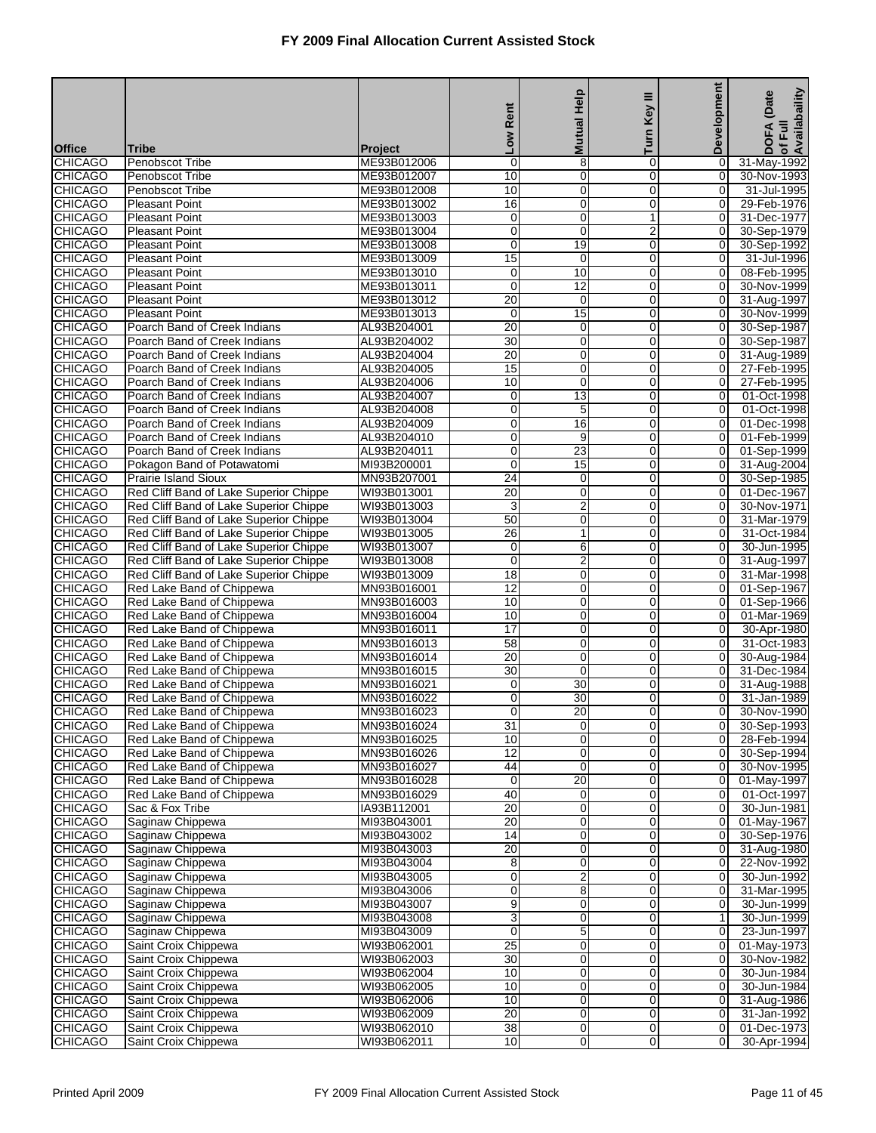|                                  |                                                                                  |                            | Low Rent                           | <b>Mutual Help</b>             | Key III             | Development                | of Full<br>Availabaility<br>(Date |
|----------------------------------|----------------------------------------------------------------------------------|----------------------------|------------------------------------|--------------------------------|---------------------|----------------------------|-----------------------------------|
| <b>Office</b>                    | Tribe                                                                            | Project                    |                                    |                                | Turn                |                            | <b>DOFA</b>                       |
| <b>CHICAGO</b>                   | Penobscot Tribe                                                                  | ME93B012006                | $\mathbf 0$                        | 8                              | 0                   | 0                          | 31-May-1992                       |
| <b>CHICAGO</b>                   | Penobscot Tribe                                                                  | ME93B012007                | 10                                 | $\mathbf 0$                    | 0                   | 0                          | 30-Nov-1993                       |
| <b>CHICAGO</b>                   | Penobscot Tribe                                                                  | ME93B012008                | 10                                 | $\mathbf 0$                    | $\overline{0}$      | 0                          | 31-Jul-1995                       |
| <b>CHICAGO</b>                   | <b>Pleasant Point</b>                                                            | ME93B013002                | 16                                 | $\mathbf 0$                    | 0                   | $\mathbf 0$                | 29-Feb-1976                       |
| <b>CHICAGO</b>                   | <b>Pleasant Point</b>                                                            | ME93B013003                | $\mathbf 0$                        | $\mathbf 0$                    | $\mathbf{1}$        | 0                          | 31-Dec-1977                       |
| <b>CHICAGO</b>                   | <b>Pleasant Point</b>                                                            | ME93B013004                | 0                                  | $\mathbf 0$                    | 2                   | 0                          | 30-Sep-1979                       |
| <b>CHICAGO</b>                   | <b>Pleasant Point</b>                                                            | ME93B013008                | $\mathbf 0$                        | 19                             | 0                   | 0                          | 30-Sep-1992                       |
| <b>CHICAGO</b><br><b>CHICAGO</b> | <b>Pleasant Point</b><br><b>Pleasant Point</b>                                   | ME93B013009<br>ME93B013010 | 15<br>$\mathbf 0$                  | $\mathbf 0$<br>10              | $\overline{0}$<br>0 | 0<br>0                     | 31-Jul-1996<br>08-Feb-1995        |
| <b>CHICAGO</b>                   | <b>Pleasant Point</b>                                                            | ME93B013011                | $\mathbf 0$                        | 12                             | 0                   | 0                          | 30-Nov-1999                       |
| <b>CHICAGO</b>                   | <b>Pleasant Point</b>                                                            | ME93B013012                | $\overline{20}$                    | $\mathbf 0$                    | 0                   | 0                          | 31-Aug-1997                       |
| <b>CHICAGO</b>                   | <b>Pleasant Point</b>                                                            | ME93B013013                | $\mathbf 0$                        | 15                             | 0                   | 0                          | 30-Nov-1999                       |
| <b>CHICAGO</b>                   | Poarch Band of Creek Indians                                                     | AL93B204001                | $\overline{20}$                    | $\mathbf 0$                    | 0                   | 0                          | 30-Sep-1987                       |
| <b>CHICAGO</b>                   | Poarch Band of Creek Indians                                                     | AL93B204002                | $\overline{30}$                    | $\mathbf 0$                    | 0                   | 0                          | 30-Sep-1987                       |
| <b>CHICAGO</b>                   | Poarch Band of Creek Indians                                                     | AL93B204004                | 20                                 | $\mathbf 0$                    | 0                   | 0                          | 31-Aug-1989                       |
| <b>CHICAGO</b>                   | Poarch Band of Creek Indians                                                     | AL93B204005                | 15                                 | $\mathbf 0$                    | 0                   | 0                          | 27-Feb-1995                       |
| <b>CHICAGO</b>                   | Poarch Band of Creek Indians                                                     | AL93B204006                | 10                                 | $\mathbf 0$                    | 0                   | 0                          | 27-Feb-1995                       |
| <b>CHICAGO</b><br><b>CHICAGO</b> | Poarch Band of Creek Indians<br>Poarch Band of Creek Indians                     | AL93B204007<br>AL93B204008 | 0<br>$\mathbf 0$                   | 13<br>5                        | 0<br>0              | 0<br>0                     | 01-Oct-1998<br>01-Oct-1998        |
| <b>CHICAGO</b>                   | Poarch Band of Creek Indians                                                     | AL93B204009                | 0                                  | 16                             | 0                   | 0                          | 01-Dec-1998                       |
| <b>CHICAGO</b>                   | Poarch Band of Creek Indians                                                     | AL93B204010                | 0                                  | 9                              | 0                   | 0                          | 01-Feb-1999                       |
| <b>CHICAGO</b>                   | Poarch Band of Creek Indians                                                     | AL93B204011                | $\mathbf 0$                        | 23                             | 0                   | 0                          | 01-Sep-1999                       |
| <b>CHICAGO</b>                   | Pokagon Band of Potawatomi                                                       | MI93B200001                | $\mathbf 0$                        | 15                             | 0                   | 0                          | 31-Aug-2004                       |
| <b>CHICAGO</b>                   | <b>Prairie Island Sioux</b>                                                      | MN93B207001                | $\overline{24}$                    | $\mathbf 0$                    | 0                   | $\boldsymbol{0}$           | 30-Sep-1985                       |
| <b>CHICAGO</b>                   | Red Cliff Band of Lake Superior Chippe                                           | WI93B013001                | $\overline{20}$                    | $\mathbf 0$                    | 0                   | 0                          | 01-Dec-1967                       |
| <b>CHICAGO</b>                   | Red Cliff Band of Lake Superior Chippe                                           | WI93B013003                | 3                                  | $\boldsymbol{2}$               | 0                   | 0                          | 30-Nov-1971                       |
| <b>CHICAGO</b>                   | Red Cliff Band of Lake Superior Chippe                                           | WI93B013004                | 50                                 | $\mathbf 0$                    | 0                   | 0                          | 31-Mar-1979                       |
| <b>CHICAGO</b><br><b>CHICAGO</b> | Red Cliff Band of Lake Superior Chippe<br>Red Cliff Band of Lake Superior Chippe | WI93B013005<br>WI93B013007 | $\overline{26}$<br>$\mathbf 0$     | $\mathbf{1}$<br>6              | 0<br>0              | 0<br>0                     | 31-Oct-1984<br>30-Jun-1995        |
| <b>CHICAGO</b>                   | Red Cliff Band of Lake Superior Chippe                                           | WI93B013008                | $\mathbf 0$                        | $\overline{\mathbf{c}}$        | 0                   | 0                          | 31-Aug-1997                       |
| <b>CHICAGO</b>                   | Red Cliff Band of Lake Superior Chippe                                           | WI93B013009                | $\overline{18}$                    | $\mathbf 0$                    | 0                   | 0                          | 31-Mar-1998                       |
| <b>CHICAGO</b>                   | Red Lake Band of Chippewa                                                        | MN93B016001                | 12                                 | $\mathbf 0$                    | 0                   | 0                          | 01-Sep-1967                       |
| <b>CHICAGO</b>                   | Red Lake Band of Chippewa                                                        | MN93B016003                | 10                                 | $\pmb{0}$                      | 0                   | 0                          | 01-Sep-1966                       |
| <b>CHICAGO</b>                   | Red Lake Band of Chippewa                                                        | MN93B016004                | 10                                 | $\mathbf 0$                    | 0                   | $\boldsymbol{0}$           | 01-Mar-1969                       |
| <b>CHICAGO</b>                   | Red Lake Band of Chippewa                                                        | MN93B016011                | $\overline{17}$                    | $\mathbf 0$                    | 0                   | 0                          | 30-Apr-1980                       |
| <b>CHICAGO</b>                   | Red Lake Band of Chippewa                                                        | MN93B016013                | $\overline{58}$                    | $\mathbf 0$                    | 0                   | 0                          | 31-Oct-1983                       |
| <b>CHICAGO</b>                   | Red Lake Band of Chippewa                                                        | MN93B016014                | 20                                 | $\mathbf 0$                    | 0                   | 0                          | 30-Aug-1984                       |
| <b>CHICAGO</b><br><b>CHICAGO</b> | Red Lake Band of Chippewa<br>Red Lake Band of Chippewa                           | MN93B016015<br>MN93B016021 | $\overline{30}$<br>$\mathbf 0$     | $\mathbf 0$<br>$\overline{30}$ | 0<br>0              | 0<br>0                     | 31-Dec-1984<br>31-Aug-1988        |
| <b>CHICAGO</b>                   | Red Lake Band of Chippewa                                                        | MN93B016022                | $\mathbf 0$                        | $\overline{30}$                | 0                   | 0                          | 31-Jan-1989                       |
| <b>CHICAGO</b>                   | Red Lake Band of Chippewa                                                        | MN93B016023                | $\mathbf 0$                        | $\overline{20}$                | 0                   | 0                          | 30-Nov-1990                       |
| <b>CHICAGO</b>                   | Red Lake Band of Chippewa                                                        | MN93B016024                | 31                                 | $\overline{0}$                 | $\overline{0}$      | 0                          | 30-Sep-1993                       |
| <b>CHICAGO</b>                   | Red Lake Band of Chippewa                                                        | MN93B016025                | 10                                 | $\mathbf 0$                    | $\overline{0}$      | $\mathbf 0$                | 28-Feb-1994                       |
| <b>CHICAGO</b>                   | Red Lake Band of Chippewa                                                        | MN93B016026                | $\overline{12}$                    | $\mathbf 0$                    | 0                   | $\mathbf 0$                | 30-Sep-1994                       |
| <b>CHICAGO</b>                   | Red Lake Band of Chippewa                                                        | MN93B016027                | 44                                 | $\overline{0}$                 | 0                   | 0                          | 30-Nov-1995                       |
| <b>CHICAGO</b>                   | Red Lake Band of Chippewa                                                        | MN93B016028                | $\mathbf 0$                        | 20                             | 0                   | 0                          | 01-May-1997                       |
| <b>CHICAGO</b>                   | Red Lake Band of Chippewa                                                        | MN93B016029                | 40                                 | $\mathbf 0$                    | $\overline{0}$      | 0                          | 01-Oct-1997                       |
| <b>CHICAGO</b>                   | Sac & Fox Tribe<br>Saginaw Chippewa                                              | IA93B112001                | $\overline{20}$<br>$\overline{20}$ | $\pmb{0}$<br>$\mathbf 0$       | $\mathbf 0$<br>0    | $\mathbf 0$<br>$\mathbf 0$ | 30-Jun-1981                       |
| <b>CHICAGO</b><br><b>CHICAGO</b> | Saginaw Chippewa                                                                 | MI93B043001<br>MI93B043002 | 14                                 | $\mathbf 0$                    | 0                   | 0                          | 01-May-1967<br>30-Sep-1976        |
| <b>CHICAGO</b>                   | Saginaw Chippewa                                                                 | MI93B043003                | $\overline{20}$                    | $\pmb{0}$                      | 0                   | 0                          | 31-Aug-1980                       |
| <b>CHICAGO</b>                   | Saginaw Chippewa                                                                 | MI93B043004                | 8                                  | $\mathbf 0$                    | $\overline{0}$      | 0                          | 22-Nov-1992                       |
| <b>CHICAGO</b>                   | Saginaw Chippewa                                                                 | MI93B043005                | $\pmb{0}$                          | $\overline{2}$                 | $\mathbf 0$         | $\mathbf 0$                | 30-Jun-1992                       |
| <b>CHICAGO</b>                   | Saginaw Chippewa                                                                 | MI93B043006                | $\mathbf 0$                        | 8                              | 0                   | $\boldsymbol{0}$           | 31-Mar-1995                       |
| <b>CHICAGO</b>                   | Saginaw Chippewa                                                                 | MI93B043007                | $\overline{9}$                     | $\mathbf 0$                    | 0                   | $\mathbf 0$                | 30-Jun-1999                       |
| <b>CHICAGO</b>                   | Saginaw Chippewa                                                                 | MI93B043008                | $\overline{3}$                     | $\pmb{0}$                      | 0                   | $\mathbf{1}$               | 30-Jun-1999                       |
| <b>CHICAGO</b>                   | Saginaw Chippewa                                                                 | MI93B043009                | $\overline{0}$                     | 5                              | $\overline{0}$      | 0                          | 23-Jun-1997                       |
| <b>CHICAGO</b>                   | Saint Croix Chippewa                                                             | WI93B062001                | $\overline{25}$<br>30              | $\overline{0}$                 | $\mathbf 0$         | $\mathbf 0$                | 01-May-1973                       |
| <b>CHICAGO</b><br><b>CHICAGO</b> | Saint Croix Chippewa<br>Saint Croix Chippewa                                     | WI93B062003<br>WI93B062004 | 10                                 | $\mathbf 0$<br>$\mathbf 0$     | 0<br>0              | $\boldsymbol{0}$<br>0      | 30-Nov-1982<br>30-Jun-1984        |
| <b>CHICAGO</b>                   | Saint Croix Chippewa                                                             | WI93B062005                | 10                                 | $\pmb{0}$                      | 0                   | 0                          | 30-Jun-1984                       |
| <b>CHICAGO</b>                   | Saint Croix Chippewa                                                             | WI93B062006                | 10                                 | $\overline{\mathbf{0}}$        | $\overline{0}$      | 0                          | 31-Aug-1986                       |
| <b>CHICAGO</b>                   | Saint Croix Chippewa                                                             | WI93B062009                | $\overline{20}$                    | $\overline{0}$                 | $\overline{0}$      | $\mathbf 0$                | 31-Jan-1992                       |
| <b>CHICAGO</b>                   | Saint Croix Chippewa                                                             | WI93B062010                | $\overline{38}$                    | $\mathbf 0$                    | $\mathbf 0$         | $\mathbf 0$                | 01-Dec-1973                       |
| <b>CHICAGO</b>                   | Saint Croix Chippewa                                                             | WI93B062011                | 10                                 | $\mathbf 0$                    | $\overline{0}$      | $\mathbf 0$                | 30-Apr-1994                       |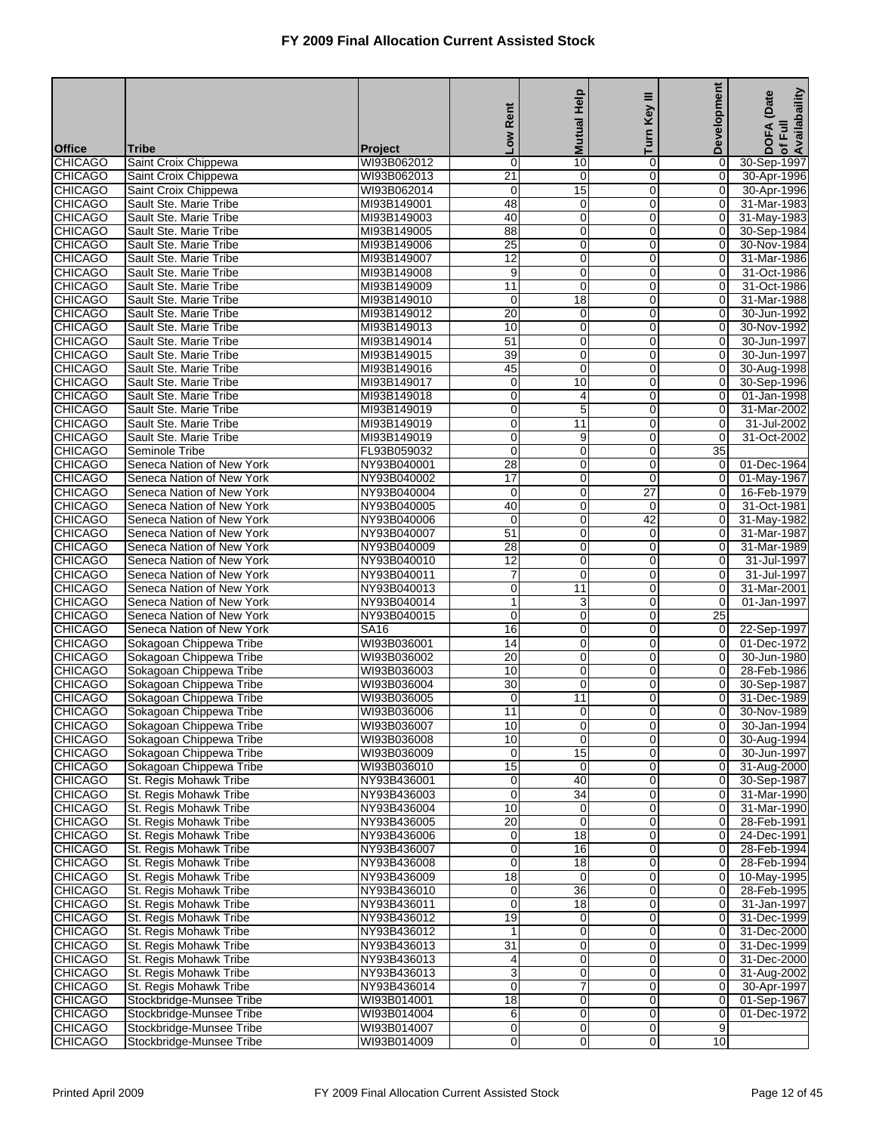|                                  |                                                        |                            | Rent                           | <b>Mutual Help</b>             | Key III             | <b>Development</b>               | Availabaility<br>(Date     |
|----------------------------------|--------------------------------------------------------|----------------------------|--------------------------------|--------------------------------|---------------------|----------------------------------|----------------------------|
|                                  |                                                        |                            | $\overline{\phantom{0}}$       |                                | Turn                |                                  | DOFA<br>of Full            |
| <b>Office</b><br><b>CHICAGO</b>  | <b>Tribe</b>                                           | Project<br>WI93B062012     |                                | 10                             |                     |                                  |                            |
| <b>CHICAGO</b>                   | Saint Croix Chippewa<br>Saint Croix Chippewa           | WI93B062013                | 0<br>21                        | 0                              | 0<br>$\overline{0}$ | 0<br>0                           | 30-Sep-1997<br>30-Apr-1996 |
| <b>CHICAGO</b>                   | Saint Croix Chippewa                                   | WI93B062014                | 0                              | 15                             | 0                   | $\mathbf 0$                      | 30-Apr-1996                |
| <b>CHICAGO</b>                   | Sault Ste. Marie Tribe                                 | MI93B149001                | 48                             | 0                              | $\mathbf 0$         | $\mathbf 0$                      | 31-Mar-1983                |
| <b>CHICAGO</b>                   | Sault Ste. Marie Tribe                                 | MI93B149003                | 40                             | $\mathbf 0$                    | $\mathbf 0$         | $\overline{0}$                   | 31-May-1983                |
| <b>CHICAGO</b>                   | Sault Ste. Marie Tribe                                 | MI93B149005                | $\overline{88}$                | 0                              | $\mathbf 0$         | $\overline{0}$                   | 30-Sep-1984                |
| <b>CHICAGO</b>                   | Sault Ste. Marie Tribe                                 | MI93B149006                | $\overline{25}$                | 0                              | 0                   | $\overline{0}$                   | 30-Nov-1984                |
| <b>CHICAGO</b>                   | Sault Ste. Marie Tribe                                 | MI93B149007                | $\overline{12}$                | $\pmb{0}$                      | 0                   | $\mathbf 0$                      | 31-Mar-1986                |
| <b>CHICAGO</b>                   | Sault Ste. Marie Tribe                                 | MI93B149008                | 9                              | 0                              | $\mathbf 0$         | $\mathbf 0$                      | 31-Oct-1986                |
| <b>CHICAGO</b>                   | Sault Ste. Marie Tribe                                 | MI93B149009                | 11                             | $\mathbf 0$                    | $\mathbf 0$         | $\overline{0}$                   | 31-Oct-1986                |
| <b>CHICAGO</b>                   | Sault Ste. Marie Tribe                                 | MI93B149010                | 0                              | 18                             | $\mathbf 0$         | 0                                | 31-Mar-1988                |
| <b>CHICAGO</b><br><b>CHICAGO</b> | Sault Ste. Marie Tribe<br>Sault Ste. Marie Tribe       | MI93B149012<br>MI93B149013 | 20<br>$\overline{10}$          | 0<br>$\mathbf 0$               | $\overline{0}$<br>0 | $\overline{0}$<br>$\mathbf 0$    | 30-Jun-1992<br>30-Nov-1992 |
| <b>CHICAGO</b>                   | Sault Ste. Marie Tribe                                 | MI93B149014                | 51                             | 0                              | $\mathbf 0$         | $\mathbf 0$                      | 30-Jun-1997                |
| <b>CHICAGO</b>                   | Sault Ste. Marie Tribe                                 | MI93B149015                | 39                             | 0                              | $\mathbf 0$         | $\overline{0}$                   | 30-Jun-1997                |
| <b>CHICAGO</b>                   | Sault Ste. Marie Tribe                                 | MI93B149016                | 45                             | 0                              | 0                   | 0                                | 30-Aug-1998                |
| <b>CHICAGO</b>                   | Sault Ste. Marie Tribe                                 | MI93B149017                | 0                              | 10                             | $\overline{0}$      | $\overline{0}$                   | 30-Sep-1996                |
| <b>CHICAGO</b>                   | Sault Ste. Marie Tribe                                 | MI93B149018                | 0                              | 4                              | $\mathbf 0$         | $\mathbf 0$                      | 01-Jan-1998                |
| <b>CHICAGO</b>                   | Sault Ste. Marie Tribe                                 | MI93B149019                | $\overline{0}$                 | $\overline{5}$                 | $\mathbf 0$         | $\mathbf 0$                      | 31-Mar-2002                |
| <b>CHICAGO</b>                   | Sault Ste. Marie Tribe                                 | MI93B149019                | 0                              | 11                             | $\mathbf 0$         | $\overline{O}$                   | 31-Jul-2002                |
| <b>CHICAGO</b>                   | Sault Ste. Marie Tribe                                 | MI93B149019                | $\mathbf 0$                    | 9                              | $\mathbf 0$         | 0                                | 31-Oct-2002                |
| <b>CHICAGO</b>                   | Seminole Tribe                                         | FL93B059032                | $\overline{0}$                 | 0                              | $\overline{0}$      | 35                               |                            |
| <b>CHICAGO</b>                   | Seneca Nation of New York                              | NY93B040001                | $\overline{28}$                | $\pmb{0}$                      | 0                   | $\overline{0}$                   | 01-Dec-1964                |
| <b>CHICAGO</b>                   | Seneca Nation of New York                              | NY93B040002                | $\overline{17}$                | 0                              | $\mathbf 0$         | $\mathbf 0$                      | 01-May-1967                |
| <b>CHICAGO</b>                   | Seneca Nation of New York                              | NY93B040004                | 0<br>40                        | 0                              | 27                  | $\overline{O}$                   | 16-Feb-1979                |
| <b>CHICAGO</b><br><b>CHICAGO</b> | Seneca Nation of New York<br>Seneca Nation of New York | NY93B040005<br>NY93B040006 | 0                              | 0<br>0                         | 0<br>42             | 0<br>0                           | 31-Oct-1981<br>31-May-1982 |
| <b>CHICAGO</b>                   | Seneca Nation of New York                              | NY93B040007                | $\overline{51}$                | $\mathbf 0$                    | 0                   | $\mathbf 0$                      | 31-Mar-1987                |
| <b>CHICAGO</b>                   | Seneca Nation of New York                              | NY93B040009                | $\overline{28}$                | 0                              | $\mathbf 0$         | $\mathbf 0$                      | 31-Mar-1989                |
| <b>CHICAGO</b>                   | Seneca Nation of New York                              | NY93B040010                | $\overline{12}$                | 0                              | $\mathbf 0$         | $\mathbf 0$                      | 31-Jul-1997                |
| <b>CHICAGO</b>                   | Seneca Nation of New York                              | NY93B040011                | 7                              | 0                              | 0                   | $\overline{0}$                   | 31-Jul-1997                |
| <b>CHICAGO</b>                   | Seneca Nation of New York                              | NY93B040013                | 0                              | 11                             | $\overline{0}$      | 0                                | 31-Mar-2001                |
| <b>CHICAGO</b>                   | Seneca Nation of New York                              | NY93B040014                | 1                              | 3                              | 0                   | $\mathbf 0$                      | 01-Jan-1997                |
| <b>CHICAGO</b>                   | Seneca Nation of New York                              | NY93B040015                | $\mathbf 0$                    | 0                              | $\mathbf 0$         | $\overline{25}$                  |                            |
| <b>CHICAGO</b>                   | Seneca Nation of New York                              | <b>SA16</b>                | 16                             | 0                              | 0                   | $\overline{0}$                   | 22-Sep-1997                |
| <b>CHICAGO</b>                   | Sokagoan Chippewa Tribe                                | WI93B036001                | $\overline{14}$                | 0                              | 0                   | 0                                | 01-Dec-1972                |
| <b>CHICAGO</b>                   | Sokagoan Chippewa Tribe<br>Sokagoan Chippewa Tribe     | WI93B036002                | 20<br>10                       | 0<br>$\mathbf 0$               | 0<br>0              | 0<br>$\mathbf 0$                 | 30-Jun-1980                |
| <b>CHICAGO</b><br><b>CHICAGO</b> | Sokagoan Chippewa Tribe                                | WI93B036003<br>WI93B036004 | $\overline{30}$                | 0                              | $\mathbf 0$         | $\mathbf 0$                      | 28-Feb-1986<br>30-Sep-1987 |
| <b>CHICAGO</b>                   | Sokagoan Chippewa Tribe                                | WI93B036005                | 0                              | 11                             | $\mathbf 0$         | $\overline{0}$                   | 31-Dec-1989                |
| <b>CHICAGO</b>                   | Sokagoan Chippewa Tribe                                | WI93B036006                | $\overline{11}$                | 0                              | $\mathbf 0$         | 0                                | 30-Nov-1989                |
| <b>CHICAGO</b>                   | Sokagoan Chippewa Tribe                                | WI93B036007                | 10                             | $\overline{0}$                 | $\overline{0}$      | 0                                | 30-Jan-1994                |
| <b>CHICAGO</b>                   | Sokagoan Chippewa Tribe                                | WI93B036008                | $\overline{10}$                | $\overline{\mathbf{0}}$        | $\overline{0}$      | $\overline{0}$                   | 30-Aug-1994                |
| <b>CHICAGO</b>                   | Sokagoan Chippewa Tribe                                | WI93B036009                | 0                              | 15                             | $\mathbf 0$         | $\overline{0}$                   | 30-Jun-1997                |
| <b>CHICAGO</b>                   | Sokagoan Chippewa Tribe                                | WI93B036010                | 15                             | 0                              | 0                   | $\overline{0}$                   | 31-Aug-2000                |
| <b>CHICAGO</b>                   | St. Regis Mohawk Tribe                                 | NY93B436001                | 0                              | 40                             | $\pmb{0}$           | $\overline{0}$                   | 30-Sep-1987                |
| <b>CHICAGO</b>                   | St. Regis Mohawk Tribe                                 | NY93B436003                | $\overline{0}$                 | 34                             | $\overline{0}$      | $\overline{0}$                   | 31-Mar-1990                |
| <b>CHICAGO</b>                   | St. Regis Mohawk Tribe                                 | NY93B436004                | $\overline{10}$                | $\mathbf 0$                    | 0                   | $\overline{0}$                   | 31-Mar-1990                |
| <b>CHICAGO</b><br><b>CHICAGO</b> | St. Regis Mohawk Tribe<br>St. Regis Mohawk Tribe       | NY93B436005<br>NY93B436006 | $\overline{20}$<br>$\mathbf 0$ | $\mathbf 0$<br>$\overline{18}$ | $\mathbf 0$<br>0    | $\overline{0}$<br>$\overline{0}$ | 28-Feb-1991<br>24-Dec-1991 |
| <b>CHICAGO</b>                   | St. Regis Mohawk Tribe                                 | NY93B436007                | 0                              | 16                             | $\pmb{0}$           | $\mathbf 0$                      | 28-Feb-1994                |
| <b>CHICAGO</b>                   | St. Regis Mohawk Tribe                                 | NY93B436008                | $\overline{0}$                 | $\overline{18}$                | $\overline{0}$      | $\overline{0}$                   | 28-Feb-1994                |
| <b>CHICAGO</b>                   | St. Regis Mohawk Tribe                                 | NY93B436009                | 18                             | $\mathbf 0$                    | 0                   | $\overline{0}$                   | 10-May-1995                |
| <b>CHICAGO</b>                   | St. Regis Mohawk Tribe                                 | NY93B436010                | 0                              | $\overline{36}$                | $\mathbf 0$         | $\overline{0}$                   | 28-Feb-1995                |
| <b>CHICAGO</b>                   | St. Regis Mohawk Tribe                                 | NY93B436011                | $\mathbf 0$                    | $\overline{18}$                | $\overline{0}$      | $\overline{0}$                   | 31-Jan-1997                |
| <b>CHICAGO</b>                   | St. Regis Mohawk Tribe                                 | NY93B436012                | 19                             | 0                              | $\pmb{0}$           | $\overline{0}$                   | 31-Dec-1999                |
| <b>CHICAGO</b>                   | St. Regis Mohawk Tribe                                 | NY93B436012                | $\mathbf{1}$                   | 0                              | $\overline{0}$      | $\overline{0}$                   | 31-Dec-2000                |
| <b>CHICAGO</b>                   | St. Regis Mohawk Tribe                                 | NY93B436013                | 31                             | $\pmb{0}$                      | 0                   | $\overline{0}$                   | 31-Dec-1999                |
| <b>CHICAGO</b>                   | St. Regis Mohawk Tribe                                 | NY93B436013                | 4                              | 0                              | $\mathbf 0$         | $\overline{0}$                   | 31-Dec-2000                |
| <b>CHICAGO</b>                   | St. Regis Mohawk Tribe                                 | NY93B436013                | 3                              | $\pmb{0}$                      | 0                   | $\overline{0}$                   | 31-Aug-2002                |
| <b>CHICAGO</b>                   | St. Regis Mohawk Tribe                                 | NY93B436014                | $\boldsymbol{0}$               | 7                              | $\mathbf 0$         | $\overline{0}$                   | 30-Apr-1997                |
| <b>CHICAGO</b><br><b>CHICAGO</b> | Stockbridge-Munsee Tribe<br>Stockbridge-Munsee Tribe   | WI93B014001<br>WI93B014004 | 18<br>6                        | 0<br>$\overline{0}$            | $\overline{0}$<br>0 | $\overline{0}$<br>$\overline{0}$ | 01-Sep-1967<br>01-Dec-1972 |
| <b>CHICAGO</b>                   | Stockbridge-Munsee Tribe                               | WI93B014007                | 0                              | $\mathbf 0$                    | 0                   | $\boldsymbol{9}$                 |                            |
| <b>CHICAGO</b>                   | Stockbridge-Munsee Tribe                               | WI93B014009                | $\overline{0}$                 | 0                              | 0                   | 10                               |                            |
|                                  |                                                        |                            |                                |                                |                     |                                  |                            |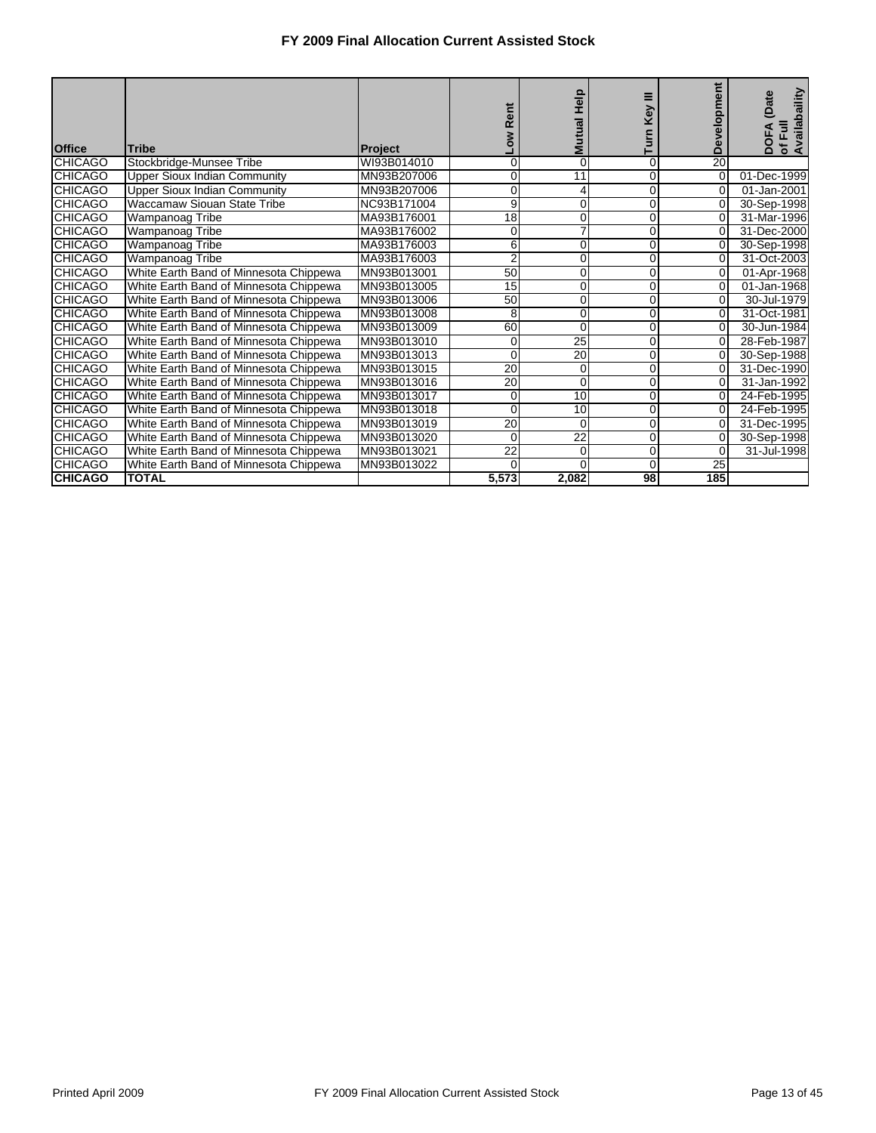| <b>Office</b>  | Tribe                                  | <b>Project</b> | ä<br>œ          | Mutual Help     | Key          | <b>Development</b> | of Full<br>Availabaility<br>(Date<br>DOF |
|----------------|----------------------------------------|----------------|-----------------|-----------------|--------------|--------------------|------------------------------------------|
| <b>CHICAGO</b> | Stockbridge-Munsee Tribe               | WI93B014010    | 0               | $\mathbf 0$     | 0            | $\overline{20}$    |                                          |
| <b>CHICAGO</b> | <b>Upper Sioux Indian Community</b>    | MN93B207006    | 0               | 11              | 0            | $\overline{0}$     | 01-Dec-1999                              |
| <b>CHICAGO</b> | <b>Upper Sioux Indian Community</b>    | MN93B207006    | $\Omega$        | 4               | 0            | $\Omega$           | 01-Jan-2001                              |
| <b>CHICAGO</b> | Waccamaw Siouan State Tribe            | NC93B171004    | 9               | 0               | 0            | $\Omega$           | 30-Sep-1998                              |
| <b>CHICAGO</b> | Wampanoag Tribe                        | MA93B176001    | $\overline{18}$ | $\mathbf 0$     | 0            | $\overline{0}$     | 31-Mar-1996                              |
| <b>CHICAGO</b> | Wampanoag Tribe                        | MA93B176002    | 0               | $\overline{7}$  | 0            | $\Omega$           | 31-Dec-2000                              |
| <b>CHICAGO</b> | Wampanoag Tribe                        | MA93B176003    | 6               | $\mathbf 0$     | 0            | $\overline{0}$     | 30-Sep-1998                              |
| <b>CHICAGO</b> | Wampanoag Tribe                        | MA93B176003    | $\overline{2}$  | $\mathbf 0$     | 0            | $\Omega$           | 31-Oct-2003                              |
| <b>CHICAGO</b> | White Earth Band of Minnesota Chippewa | MN93B013001    | $\overline{50}$ | $\mathbf 0$     | 0            | $\Omega$           | 01-Apr-1968                              |
| <b>CHICAGO</b> | White Earth Band of Minnesota Chippewa | MN93B013005    | 15              | 0               | 0            | $\Omega$           | 01-Jan-1968                              |
| <b>CHICAGO</b> | White Earth Band of Minnesota Chippewa | MN93B013006    | 50              | $\mathbf 0$     | 0            | $\overline{0}$     | 30-Jul-1979                              |
| <b>CHICAGO</b> | White Earth Band of Minnesota Chippewa | MN93B013008    | 8               | $\overline{0}$  | 0            | $\Omega$           | 31-Oct-1981                              |
| <b>CHICAGO</b> | White Earth Band of Minnesota Chippewa | MN93B013009    | 60              | $\mathbf 0$     | $\mathbf{0}$ | $\overline{0}$     | 30-Jun-1984                              |
| <b>CHICAGO</b> | White Earth Band of Minnesota Chippewa | MN93B013010    | 0               | $\overline{25}$ | 0            | $\Omega$           | 28-Feb-1987                              |
| <b>CHICAGO</b> | White Earth Band of Minnesota Chippewa | MN93B013013    | 0               | 20              | 0            | $\overline{0}$     | 30-Sep-1988                              |
| <b>CHICAGO</b> | White Earth Band of Minnesota Chippewa | MN93B013015    | 20              | $\mathbf 0$     | 0            | $\Omega$           | 31-Dec-1990                              |
| <b>CHICAGO</b> | White Earth Band of Minnesota Chippewa | MN93B013016    | 20              | $\overline{0}$  | $\mathbf{0}$ | $\overline{0}$     | 31-Jan-1992                              |
| <b>CHICAGO</b> | White Earth Band of Minnesota Chippewa | MN93B013017    | 0               | 10              | 0            | $\Omega$           | 24-Feb-1995                              |
| <b>CHICAGO</b> | White Earth Band of Minnesota Chippewa | MN93B013018    | $\Omega$        | 10              | $\mathbf{0}$ | $\Omega$           | 24-Feb-1995                              |
| <b>CHICAGO</b> | White Earth Band of Minnesota Chippewa | MN93B013019    | $\overline{20}$ | $\Omega$        | 0            | $\Omega$           | 31-Dec-1995                              |
| <b>CHICAGO</b> | White Earth Band of Minnesota Chippewa | MN93B013020    | 0               | 22              | 0            | 0                  | 30-Sep-1998                              |
| <b>CHICAGO</b> | White Earth Band of Minnesota Chippewa | MN93B013021    | $\overline{22}$ | $\mathbf 0$     | 0            | 0                  | 31-Jul-1998                              |
| <b>CHICAGO</b> | White Earth Band of Minnesota Chippewa | MN93B013022    | $\Omega$        | $\Omega$        | $\mathbf{0}$ | 25                 |                                          |
| <b>CHICAGO</b> | <b>TOTAL</b>                           |                | 5,573           | 2,082           | 98           | 185                |                                          |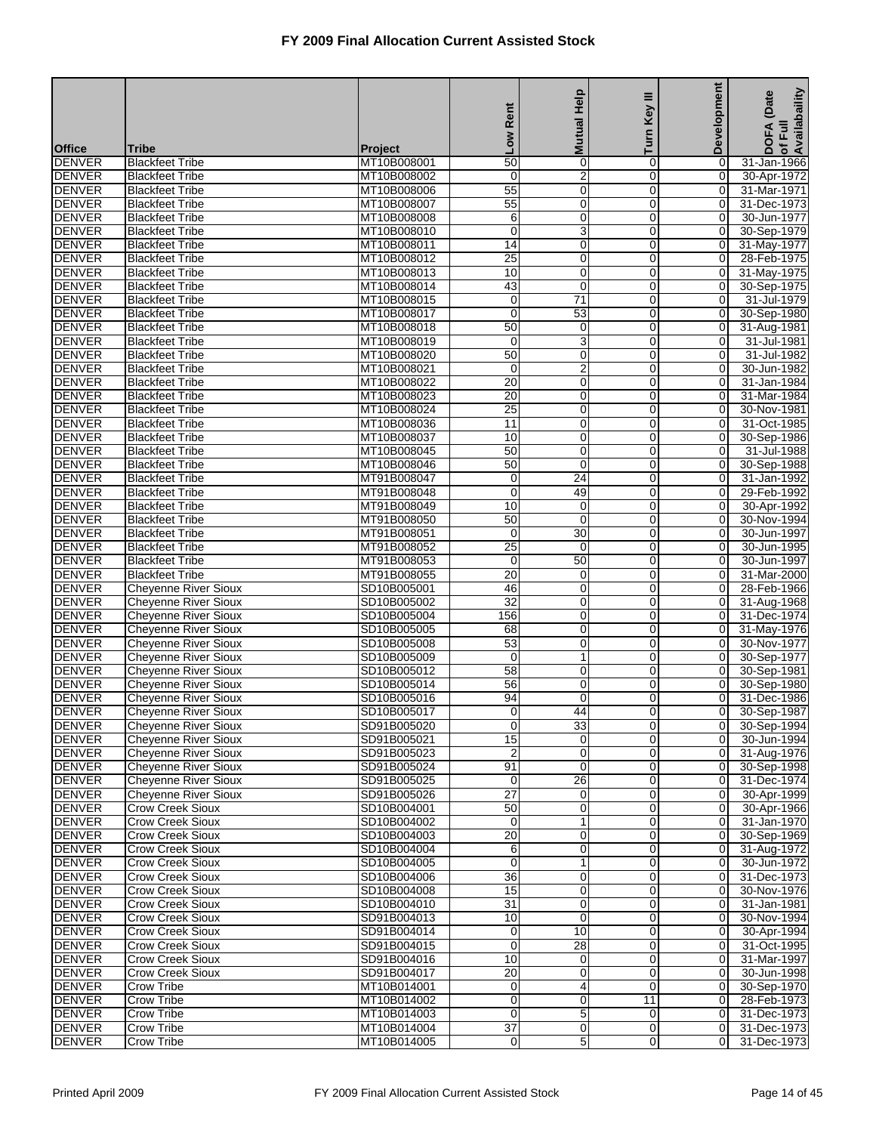|                                |                                                            |                               | Rent                          | <b>Mutual Help</b>             | Ξ<br>Key                   | Development                      | of Full<br>Availabaility<br>(Date |
|--------------------------------|------------------------------------------------------------|-------------------------------|-------------------------------|--------------------------------|----------------------------|----------------------------------|-----------------------------------|
|                                |                                                            |                               | <b>No7</b>                    |                                | Turn                       |                                  | DOFA                              |
| <b>Office</b><br><b>DENVER</b> | <b>Tribe</b><br><b>Blackfeet Tribe</b>                     | <b>Project</b><br>MT10B008001 | $\overline{50}$               | $\pmb{0}$                      | 0                          | 0                                | 31-Jan-1966                       |
| <b>DENVER</b>                  | <b>Blackfeet Tribe</b>                                     | MT10B008002                   | 0                             | $\overline{\mathbf{c}}$        | $\mathbf 0$                | $\overline{0}$                   | 30-Apr-1972                       |
| <b>DENVER</b>                  | <b>Blackfeet Tribe</b>                                     | MT10B008006                   | 55                            | $\mathbf 0$                    | $\mathbf 0$                | 0                                | 31-Mar-1971                       |
| <b>DENVER</b>                  | <b>Blackfeet Tribe</b>                                     | MT10B008007                   | 55                            | $\mathbf 0$                    | $\Omega$                   | $\mathbf 0$                      | 31-Dec-1973                       |
| <b>DENVER</b>                  | <b>Blackfeet Tribe</b>                                     | MT10B008008                   | 6                             | $\mathbf 0$                    | 0                          | 0                                | 30-Jun-1977                       |
| <b>DENVER</b>                  | <b>Blackfeet Tribe</b>                                     | MT10B008010                   | 0                             | 3                              | 0                          | 0                                | 30-Sep-1979                       |
| <b>DENVER</b>                  | <b>Blackfeet Tribe</b>                                     | MT10B008011                   | 14                            | $\overline{0}$                 | $\mathbf 0$                | $\overline{O}$                   | 31-May-1977                       |
| <b>DENVER</b>                  | <b>Blackfeet Tribe</b>                                     | MT10B008012                   | 25                            | $\mathbf 0$                    | 0                          | 0                                | 28-Feb-1975                       |
| <b>DENVER</b>                  | <b>Blackfeet Tribe</b>                                     | MT10B008013                   | 10                            | $\mathbf 0$                    | $\Omega$                   | $\mathbf 0$                      | 31-May-1975                       |
| <b>DENVER</b><br><b>DENVER</b> | <b>Blackfeet Tribe</b><br><b>Blackfeet Tribe</b>           | MT10B008014<br>MT10B008015    | 43<br>$\mathbf 0$             | $\mathbf 0$<br>$\overline{71}$ | 0<br>0                     | 0<br>0                           | 30-Sep-1975<br>31-Jul-1979        |
| <b>DENVER</b>                  | <b>Blackfeet Tribe</b>                                     | MT10B008017                   | $\mathbf 0$                   | 53                             | $\mathbf 0$                | 0                                | 30-Sep-1980                       |
| <b>DENVER</b>                  | <b>Blackfeet Tribe</b>                                     | MT10B008018                   | 50                            | 0                              | 0                          | 0                                | 31-Aug-1981                       |
| <b>DENVER</b>                  | <b>Blackfeet Tribe</b>                                     | MT10B008019                   | $\mathbf 0$                   | $\overline{3}$                 | $\Omega$                   | 0                                | 31-Jul-1981                       |
| <b>DENVER</b>                  | <b>Blackfeet Tribe</b>                                     | MT10B008020                   | 50                            | $\mathbf 0$                    | 0                          | 0                                | 31-Jul-1982                       |
| <b>DENVER</b>                  | <b>Blackfeet Tribe</b>                                     | MT10B008021                   | 0                             | $\overline{2}$                 | $\mathbf 0$                | $\mathbf 0$                      | 30-Jun-1982                       |
| <b>DENVER</b>                  | <b>Blackfeet Tribe</b>                                     | MT10B008022                   | 20                            | $\overline{0}$                 | $\mathbf 0$                | $\overline{O}$                   | 31-Jan-1984                       |
| <b>DENVER</b>                  | <b>Blackfeet Tribe</b>                                     | MT10B008023                   | 20                            | $\mathbf 0$                    | 0                          | 0                                | 31-Mar-1984                       |
| <b>DENVER</b>                  | <b>Blackfeet Tribe</b>                                     | MT10B008024                   | $\overline{25}$               | $\mathbf 0$                    | $\Omega$                   | $\mathbf 0$                      | 30-Nov-1981                       |
| <b>DENVER</b>                  | <b>Blackfeet Tribe</b>                                     | MT10B008036                   | 11                            | $\mathbf 0$                    | 0                          | 0                                | 31-Oct-1985                       |
| <b>DENVER</b>                  | <b>Blackfeet Tribe</b>                                     | MT10B008037                   | 10                            | $\mathbf 0$                    | $\mathbf 0$                | $\mathbf 0$                      | 30-Sep-1986                       |
| <b>DENVER</b>                  | <b>Blackfeet Tribe</b>                                     | MT10B008045                   | 50                            | $\overline{0}$                 | 0                          | $\overline{O}$                   | 31-Jul-1988                       |
| <b>DENVER</b>                  | <b>Blackfeet Tribe</b>                                     | MT10B008046                   | 50                            | $\mathbf 0$<br>$\overline{24}$ | 0<br>$\Omega$              | 0<br>$\mathbf 0$                 | 30-Sep-1988<br>31-Jan-1992        |
| <b>DENVER</b><br><b>DENVER</b> | <b>Blackfeet Tribe</b><br><b>Blackfeet Tribe</b>           | MT91B008047<br>MT91B008048    | $\mathbf 0$<br>$\mathbf 0$    | 49                             | $\mathbf 0$                | 0                                | 29-Feb-1992                       |
| <b>DENVER</b>                  | <b>Blackfeet Tribe</b>                                     | MT91B008049                   | 10                            | $\mathbf 0$                    | 0                          | $\mathbf 0$                      | 30-Apr-1992                       |
| <b>DENVER</b>                  | <b>Blackfeet Tribe</b>                                     | MT91B008050                   | 50                            | $\overline{0}$                 | 0                          | $\overline{O}$                   | 30-Nov-1994                       |
| <b>DENVER</b>                  | <b>Blackfeet Tribe</b>                                     | MT91B008051                   | 0                             | 30                             | 0                          | 0                                | 30-Jun-1997                       |
| <b>DENVER</b>                  | <b>Blackfeet Tribe</b>                                     | MT91B008052                   | $\overline{25}$               | $\mathbf 0$                    | $\Omega$                   | $\mathbf 0$                      | 30-Jun-1995                       |
| <b>DENVER</b>                  | <b>Blackfeet Tribe</b>                                     | MT91B008053                   | 0                             | 50                             | $\mathbf 0$                | 0                                | 30-Jun-1997                       |
| <b>DENVER</b>                  | <b>Blackfeet Tribe</b>                                     | MT91B008055                   | $\overline{20}$               | $\mathbf 0$                    | 0                          | $\mathbf 0$                      | 31-Mar-2000                       |
| <b>DENVER</b>                  | <b>Cheyenne River Sioux</b>                                | SD10B005001                   | 46                            | $\overline{0}$                 | $\mathbf 0$                | $\overline{O}$                   | 28-Feb-1966                       |
| <b>DENVER</b>                  | <b>Cheyenne River Sioux</b>                                | SD10B005002                   | $\overline{32}$               | $\pmb{0}$                      | 0                          | 0                                | 31-Aug-1968                       |
| <b>DENVER</b>                  | <b>Cheyenne River Sioux</b>                                | SD10B005004                   | 156                           | $\mathbf 0$                    | $\Omega$                   | $\mathbf 0$                      | 31-Dec-1974                       |
| <b>DENVER</b>                  | <b>Cheyenne River Sioux</b>                                | SD10B005005                   | 68                            | $\mathbf 0$                    | 0                          | 0                                | 31-May-1976                       |
| <b>DENVER</b><br><b>DENVER</b> | <b>Chevenne River Sioux</b><br><b>Cheyenne River Sioux</b> | SD10B005008<br>SD10B005009    | 53<br>0                       | $\mathbf 0$<br>$\mathbf{1}$    | 0<br>0                     | 0<br>$\overline{O}$              | 30-Nov-1977<br>30-Sep-1977        |
| <b>DENVER</b>                  | <b>Cheyenne River Sioux</b>                                | SD10B005012                   | 58                            | $\pmb{0}$                      | 0                          | 0                                | 30-Sep-1981                       |
| <b>DENVER</b>                  | <b>Cheyenne River Sioux</b>                                | SD10B005014                   | $\overline{56}$               | $\mathbf 0$                    | $\Omega$                   | $\mathbf 0$                      | 30-Sep-1980                       |
| <b>DENVER</b>                  | <b>Cheyenne River Sioux</b>                                | SD10B005016                   | 94                            | $\mathbf 0$                    | 0                          | 0                                | 31-Dec-1986                       |
| <b>DENVER</b>                  | <b>Cheyenne River Sioux</b>                                | SD10B005017                   | $\overline{O}$                | 44                             | $\overline{0}$             | 0                                | 30-Sep-1987                       |
| <b>DENVER</b>                  | <b>Cheyenne River Sioux</b>                                | SD91B005020                   | 0                             | 33                             | $\overline{0}$             | 01                               | 30-Sep-1994                       |
| <b>DENVER</b>                  | <b>Chevenne River Sioux</b>                                | SD91B005021                   | 15                            | $\mathbf 0$                    | $\overline{0}$             | $\overline{0}$                   | 30-Jun-1994                       |
| <b>DENVER</b>                  | <b>Chevenne River Sioux</b>                                | SD91B005023                   | $\overline{2}$                | $\mathbf 0$                    | 0                          | $\overline{0}$                   | 31-Aug-1976                       |
| <b>DENVER</b>                  | <b>Cheyenne River Sioux</b>                                | SD91B005024                   | 91                            | 0                              | $\overline{0}$             | 0                                | 30-Sep-1998                       |
| <b>DENVER</b>                  | <b>Cheyenne River Sioux</b>                                | SD91B005025                   | $\mathbf 0$                   | 26                             | $\mathbf 0$                | $\overline{0}$                   | 31-Dec-1974                       |
| <b>DENVER</b>                  | <b>Cheyenne River Sioux</b>                                | SD91B005026                   | 27                            | $\pmb{0}$                      | $\overline{0}$             | $\overline{0}$                   | 30-Apr-1999                       |
| <b>DENVER</b><br><b>DENVER</b> | <b>Crow Creek Sioux</b><br><b>Crow Creek Sioux</b>         | SD10B004001<br>SD10B004002    | 50<br>$\mathbf 0$             | $\pmb{0}$<br>$\mathbf{1}$      | $\mathbf 0$<br>$\mathbf 0$ | $\overline{0}$<br>$\overline{O}$ | 30-Apr-1966<br>31-Jan-1970        |
| <b>DENVER</b>                  | Crow Creek Sioux                                           | SD10B004003                   | $\overline{20}$               | $\pmb{0}$                      | 0                          | 0                                | 30-Sep-1969                       |
| <b>DENVER</b>                  | Crow Creek Sioux                                           | SD10B004004                   | 6                             | $\boldsymbol{0}$               | $\mathbf 0$                | $\overline{0}$                   | 31-Aug-1972                       |
| <b>DENVER</b>                  | <b>Crow Creek Sioux</b>                                    | SD10B004005                   | $\overline{0}$                | $\overline{\mathbf{1}}$        | $\overline{0}$             | $\overline{0}$                   | 30-Jun-1972                       |
| <b>DENVER</b>                  | <b>Crow Creek Sioux</b>                                    | SD10B004006                   | 36                            | $\pmb{0}$                      | $\mathbf 0$                | $\overline{0}$                   | 31-Dec-1973                       |
| <b>DENVER</b>                  | <b>Crow Creek Sioux</b>                                    | SD10B004008                   | 15                            | $\mathbf 0$                    | 0                          | 0                                | 30-Nov-1976                       |
| <b>DENVER</b>                  | Crow Creek Sioux                                           | SD10B004010                   | $\overline{31}$               | $\mathbf 0$                    | 0                          | 0                                | 31-Jan-1981                       |
| <b>DENVER</b>                  | Crow Creek Sioux                                           | SD91B004013                   | 10                            | $\mathbf 0$                    | $\mathbf 0$                | $\overline{0}$                   | 30-Nov-1994                       |
| <b>DENVER</b>                  | <b>Crow Creek Sioux</b>                                    | SD91B004014                   | 0                             | 10                             | $\overline{0}$             | $\overline{0}$                   | 30-Apr-1994                       |
| <b>DENVER</b>                  | <b>Crow Creek Sioux</b>                                    | SD91B004015                   | 0                             | 28                             | $\mathbf 0$                | $\overline{0}$                   | 31-Oct-1995                       |
| <b>DENVER</b>                  | <b>Crow Creek Sioux</b>                                    | SD91B004016                   | 10                            | $\mathbf 0$                    | 0                          | $\overline{O}$                   | 31-Mar-1997                       |
| <b>DENVER</b>                  | Crow Creek Sioux                                           | SD91B004017                   | 20                            | $\mathbf 0$                    | 0                          | 0                                | 30-Jun-1998                       |
| <b>DENVER</b><br><b>DENVER</b> | Crow Tribe<br><b>Crow Tribe</b>                            | MT10B014001<br>MT10B014002    | $\mathbf 0$<br>$\overline{0}$ | 4<br>$\overline{0}$            | $\mathbf 0$<br>11          | $\overline{0}$<br>$\overline{0}$ | 30-Sep-1970<br>28-Feb-1973        |
| <b>DENVER</b>                  | Crow Tribe                                                 | MT10B014003                   | 0                             | 5                              | $\overline{0}$             | $\overline{0}$                   | 31-Dec-1973                       |
| <b>DENVER</b>                  | <b>Crow Tribe</b>                                          | MT10B014004                   | $\overline{37}$               | $\mathbf 0$                    | $\overline{0}$             | $\overline{0}$                   | 31-Dec-1973                       |
| <b>DENVER</b>                  | <b>Crow Tribe</b>                                          | MT10B014005                   | $\overline{0}$                | 5                              | $\overline{0}$             | $\Omega$                         | 31-Dec-1973                       |
|                                |                                                            |                               |                               |                                |                            |                                  |                                   |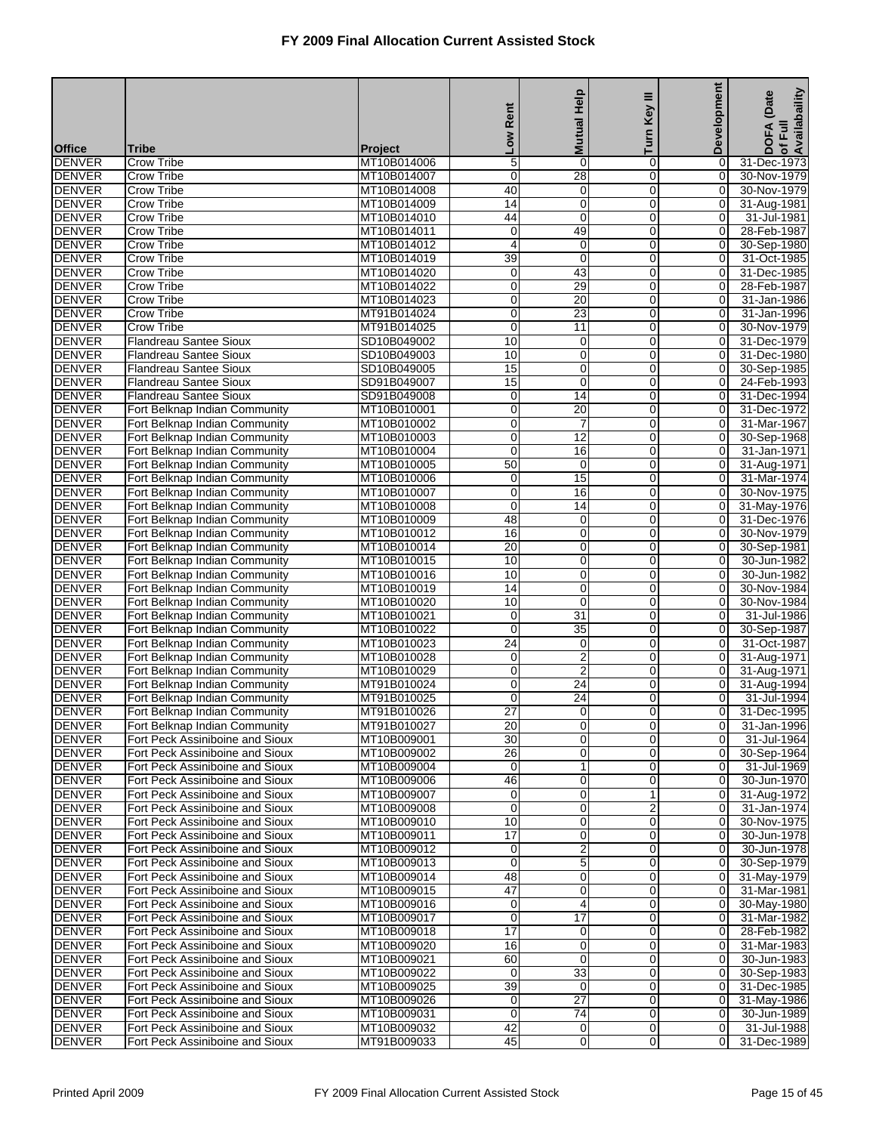|                                |                                                                    |                            | Low Rent                   | <b>Mutual Help</b>               | Key III<br>Turn     | Development         | of Full<br>Availabaility<br>(Date<br><b>DOFA</b> |
|--------------------------------|--------------------------------------------------------------------|----------------------------|----------------------------|----------------------------------|---------------------|---------------------|--------------------------------------------------|
| <b>Office</b>                  | <b>Tribe</b>                                                       | <b>Project</b>             |                            |                                  |                     |                     |                                                  |
| <b>DENVER</b>                  | <b>Crow Tribe</b>                                                  | MT10B014006                | 5                          | $\mathbf 0$                      | 0                   | 0                   | 31-Dec-1973                                      |
| <b>DENVER</b><br><b>DENVER</b> | <b>Crow Tribe</b><br>Crow Tribe                                    | MT10B014007                | $\mathbf 0$<br>40          | 28<br>$\mathbf 0$                | $\overline{0}$<br>0 | $\overline{0}$<br>0 | 30-Nov-1979<br>30-Nov-1979                       |
| <b>DENVER</b>                  | Crow Tribe                                                         | MT10B014008<br>MT10B014009 | $\overline{14}$            | $\mathbf 0$                      | 0                   | 0                   | 31-Aug-1981                                      |
| <b>DENVER</b>                  | Crow Tribe                                                         | MT10B014010                | 44                         | $\mathbf 0$                      | 0                   | 0                   | 31-Jul-1981                                      |
| <b>DENVER</b>                  | Crow Tribe                                                         | MT10B014011                | $\mathbf 0$                | 49                               | 0                   | 0                   | 28-Feb-1987                                      |
| <b>DENVER</b>                  | <b>Crow Tribe</b>                                                  | MT10B014012                | 4                          | $\mathbf 0$                      | 0                   | $\mathbf 0$         | 30-Sep-1980                                      |
| <b>DENVER</b>                  | Crow Tribe                                                         | MT10B014019                | 39                         | $\mathbf 0$                      | 0                   | 0                   | 31-Oct-1985                                      |
| <b>DENVER</b>                  | Crow Tribe                                                         | MT10B014020                | $\mathbf 0$                | 43                               | 0                   | 0                   | 31-Dec-1985                                      |
| <b>DENVER</b>                  | Crow Tribe                                                         | MT10B014022                | 0                          | 29                               | 0                   | 0                   | 28-Feb-1987                                      |
| <b>DENVER</b><br><b>DENVER</b> | Crow Tribe<br><b>Crow Tribe</b>                                    | MT10B014023                | $\mathbf 0$<br>$\mathbf 0$ | 20<br>23                         | 0<br>0              | 0<br>$\overline{O}$ | 31-Jan-1986                                      |
| <b>DENVER</b>                  | Crow Tribe                                                         | MT91B014024<br>MT91B014025 | $\mathbf 0$                | 11                               | 0                   | 0                   | 31-Jan-1996<br>30-Nov-1979                       |
| <b>DENVER</b>                  | <b>Flandreau Santee Sioux</b>                                      | SD10B049002                | 10                         | $\mathbf 0$                      | 0                   | 0                   | 31-Dec-1979                                      |
| <b>DENVER</b>                  | Flandreau Santee Sioux                                             | SD10B049003                | 10                         | 0                                | 0                   | 0                   | 31-Dec-1980                                      |
| <b>DENVER</b>                  | <b>Flandreau Santee Sioux</b>                                      | SD10B049005                | 15                         | $\mathbf 0$                      | 0                   | 0                   | 30-Sep-1985                                      |
| <b>DENVER</b>                  | <b>Flandreau Santee Sioux</b>                                      | SD91B049007                | 15                         | $\mathbf 0$                      | 0                   | $\overline{O}$      | 24-Feb-1993                                      |
| <b>DENVER</b>                  | <b>Flandreau Santee Sioux</b>                                      | SD91B049008                | 0                          | 14                               | 0                   | 0                   | 31-Dec-1994                                      |
| <b>DENVER</b>                  | Fort Belknap Indian Community                                      | MT10B010001                | $\mathbf 0$                | $\overline{20}$                  | 0                   | 0                   | 31-Dec-1972                                      |
| <b>DENVER</b>                  | Fort Belknap Indian Community                                      | MT10B010002                | 0                          | 7                                | 0                   | 0                   | 31-Mar-1967                                      |
| <b>DENVER</b><br><b>DENVER</b> | Fort Belknap Indian Community                                      | MT10B010003<br>MT10B010004 | $\mathbf 0$<br>$\mathbf 0$ | $\overline{12}$<br>16            | 0                   | 0<br>$\overline{O}$ | 30-Sep-1968<br>31-Jan-1971                       |
| <b>DENVER</b>                  | Fort Belknap Indian Community<br>Fort Belknap Indian Community     | MT10B010005                | 50                         | 0                                | 0<br>0              | 0                   | 31-Aug-1971                                      |
| <b>DENVER</b>                  | Fort Belknap Indian Community                                      | MT10B010006                | $\mathbf 0$                | 15                               | 0                   | 0                   | 31-Mar-1974                                      |
| <b>DENVER</b>                  | Fort Belknap Indian Community                                      | MT10B010007                | 0                          | 16                               | 0                   | 0                   | 30-Nov-1975                                      |
| <b>DENVER</b>                  | Fort Belknap Indian Community                                      | MT10B010008                | $\mathbf 0$                | $\overline{14}$                  | 0                   | 0                   | 31-May-1976                                      |
| <b>DENVER</b>                  | Fort Belknap Indian Community                                      | MT10B010009                | 48                         | $\mathbf 0$                      | 0                   | $\overline{O}$      | 31-Dec-1976                                      |
| <b>DENVER</b>                  | Fort Belknap Indian Community                                      | MT10B010012                | 16                         | $\mathbf 0$                      | 0                   | 0                   | 30-Nov-1979                                      |
| <b>DENVER</b>                  | Fort Belknap Indian Community                                      | MT10B010014                | $\overline{20}$            | $\mathbf 0$                      | 0                   | 0                   | 30-Sep-1981                                      |
| <b>DENVER</b>                  | Fort Belknap Indian Community                                      | MT10B010015                | 10                         | 0                                | 0                   | 0                   | 30-Jun-1982                                      |
| <b>DENVER</b><br><b>DENVER</b> | Fort Belknap Indian Community<br>Fort Belknap Indian Community     | MT10B010016<br>MT10B010019 | 10<br>14                   | $\mathbf 0$<br>$\mathbf 0$       | 0<br>0              | 0<br>$\overline{O}$ | 30-Jun-1982<br>30-Nov-1984                       |
| <b>DENVER</b>                  | Fort Belknap Indian Community                                      | MT10B010020                | 10                         | $\mathbf 0$                      | 0                   | 0                   | 30-Nov-1984                                      |
| <b>DENVER</b>                  | Fort Belknap Indian Community                                      | MT10B010021                | $\mathbf 0$                | $\overline{31}$                  | 0                   | 0                   | 31-Jul-1986                                      |
| <b>DENVER</b>                  | Fort Belknap Indian Community                                      | MT10B010022                | 0                          | 35                               | 0                   | 0                   | 30-Sep-1987                                      |
| <b>DENVER</b>                  | Fort Belknap Indian Community                                      | MT10B010023                | $\overline{24}$            | $\mathbf 0$                      | 0                   | 0                   | 31-Oct-1987                                      |
| <b>DENVER</b>                  | Fort Belknap Indian Community                                      | MT10B010028                | 0                          | 2                                | 0                   | $\overline{0}$      | 31-Aug-1971                                      |
| <b>DENVER</b>                  | Fort Belknap Indian Community                                      | MT10B010029                | 0                          | $\overline{2}$                   | 0                   | 0                   | 31-Aug-1971                                      |
| <b>DENVER</b>                  | Fort Belknap Indian Community                                      | MT91B010024                | $\mathbf 0$                | $\overline{24}$                  | 0                   | 0                   | 31-Aug-1994                                      |
| <b>DENVER</b>                  | Fort Belknap Indian Community                                      | MT91B010025                | 0                          | $\overline{24}$                  | 0                   | 0                   | 31-Jul-1994<br>31-Dec-1995                       |
| <b>DENVER</b><br><b>DENVER</b> | Fort Belknap Indian Community<br>Fort Belknap Indian Community     | MT91B010026<br>MT91B010027 | $\overline{27}$<br>20      | $\overline{0}$<br>$\overline{0}$ | 0<br>0              | 0<br>0              | 31-Jan-1996                                      |
| <b>DENVER</b>                  | Fort Peck Assiniboine and Sioux                                    | MT10B009001                | 30                         | $\mathbf 0$                      | $\overline{0}$      | $\overline{0}$      | 31-Jul-1964                                      |
| <b>DENVER</b>                  | Fort Peck Assiniboine and Sioux                                    | MT10B009002                | 26                         | $\mathbf 0$                      | 0                   | 0                   | 30-Sep-1964                                      |
| <b>DENVER</b>                  | Fort Peck Assiniboine and Sioux                                    | MT10B009004                | 0                          | 1                                | 0                   | $\overline{0}$      | 31-Jul-1969                                      |
| <b>DENVER</b>                  | Fort Peck Assiniboine and Sioux                                    | MT10B009006                | 46                         | $\mathbf 0$                      | 0                   | 0                   | 30-Jun-1970                                      |
| <b>DENVER</b>                  | Fort Peck Assiniboine and Sioux                                    | MT10B009007                | $\mathbf 0$                | $\mathbf 0$                      | 1                   | $\mathbf 0$         | 31-Aug-1972                                      |
| DENVER                         | Fort Peck Assiniboine and Sioux                                    | MT10B009008                | $\mathbf 0$                | $\mathbf 0$                      | 2                   | $\mathbf 0$         | 31-Jan-1974                                      |
| <b>DENVER</b>                  | Fort Peck Assiniboine and Sioux                                    | MT10B009010                | 10                         | $\mathbf 0$                      | 0                   | 0                   | 30-Nov-1975                                      |
| <b>DENVER</b>                  | Fort Peck Assiniboine and Sioux                                    | MT10B009011                | 17                         | 0                                | 0                   | $\overline{0}$      | 30-Jun-1978                                      |
| <b>DENVER</b>                  | Fort Peck Assiniboine and Sioux                                    | MT10B009012                | $\mathbf 0$<br>$\mathbf 0$ | $\overline{2}$                   | 0<br>0              | 0<br>$\overline{0}$ | 30-Jun-1978                                      |
| <b>DENVER</b><br>DENVER        | Fort Peck Assiniboine and Sioux<br>Fort Peck Assiniboine and Sioux | MT10B009013<br>MT10B009014 | 48                         | 5<br>$\mathbf 0$                 | 0                   | $\mathbf 0$         | 30-Sep-1979<br>31-May-1979                       |
| <b>DENVER</b>                  | Fort Peck Assiniboine and Sioux                                    | MT10B009015                | $\overline{47}$            | $\mathbf 0$                      | 0                   | $\mathbf 0$         | 31-Mar-1981                                      |
| <b>DENVER</b>                  | Fort Peck Assiniboine and Sioux                                    | MT10B009016                | 0                          | 4                                | 0                   | $\overline{0}$      | 30-May-1980                                      |
| <b>DENVER</b>                  | Fort Peck Assiniboine and Sioux                                    | MT10B009017                | $\mathbf 0$                | 17                               | 0                   | 0                   | 31-Mar-1982                                      |
| <b>DENVER</b>                  | Fort Peck Assiniboine and Sioux                                    | MT10B009018                | 17                         | $\overline{0}$                   | 0                   | $\overline{0}$      | 28-Feb-1982                                      |
| DENVER                         | Fort Peck Assiniboine and Sioux                                    | MT10B009020                | 16                         | $\mathbf 0$                      | 0                   | $\mathbf 0$         | 31-Mar-1983                                      |
| <b>DENVER</b>                  | Fort Peck Assiniboine and Sioux                                    | MT10B009021                | 60                         | $\mathbf 0$                      | 0                   | $\mathbf 0$         | 30-Jun-1983                                      |
| <b>DENVER</b>                  | Fort Peck Assiniboine and Sioux                                    | MT10B009022                | $\mathbf 0$                | 33                               | 0                   | $\overline{0}$      | 30-Sep-1983                                      |
| <b>DENVER</b>                  | Fort Peck Assiniboine and Sioux                                    | MT10B009025                | $\overline{39}$<br>0       | $\mathbf 0$                      | 0<br>0              | 0<br>$\overline{0}$ | 31-Dec-1985                                      |
| <b>DENVER</b><br>DENVER        | Fort Peck Assiniboine and Sioux<br>Fort Peck Assiniboine and Sioux | MT10B009026<br>MT10B009031 | $\mathbf 0$                | $\overline{27}$<br>74            | $\overline{0}$      | $\mathbf 0$         | 31-May-1986<br>30-Jun-1989                       |
| <b>DENVER</b>                  | Fort Peck Assiniboine and Sioux                                    | MT10B009032                | 42                         | $\overline{0}$                   | 0                   | $\mathbf 0$         | 31-Jul-1988                                      |
| <b>DENVER</b>                  | Fort Peck Assiniboine and Sioux                                    | MT91B009033                | 45                         | 0                                | 0                   | $\overline{0}$      | 31-Dec-1989                                      |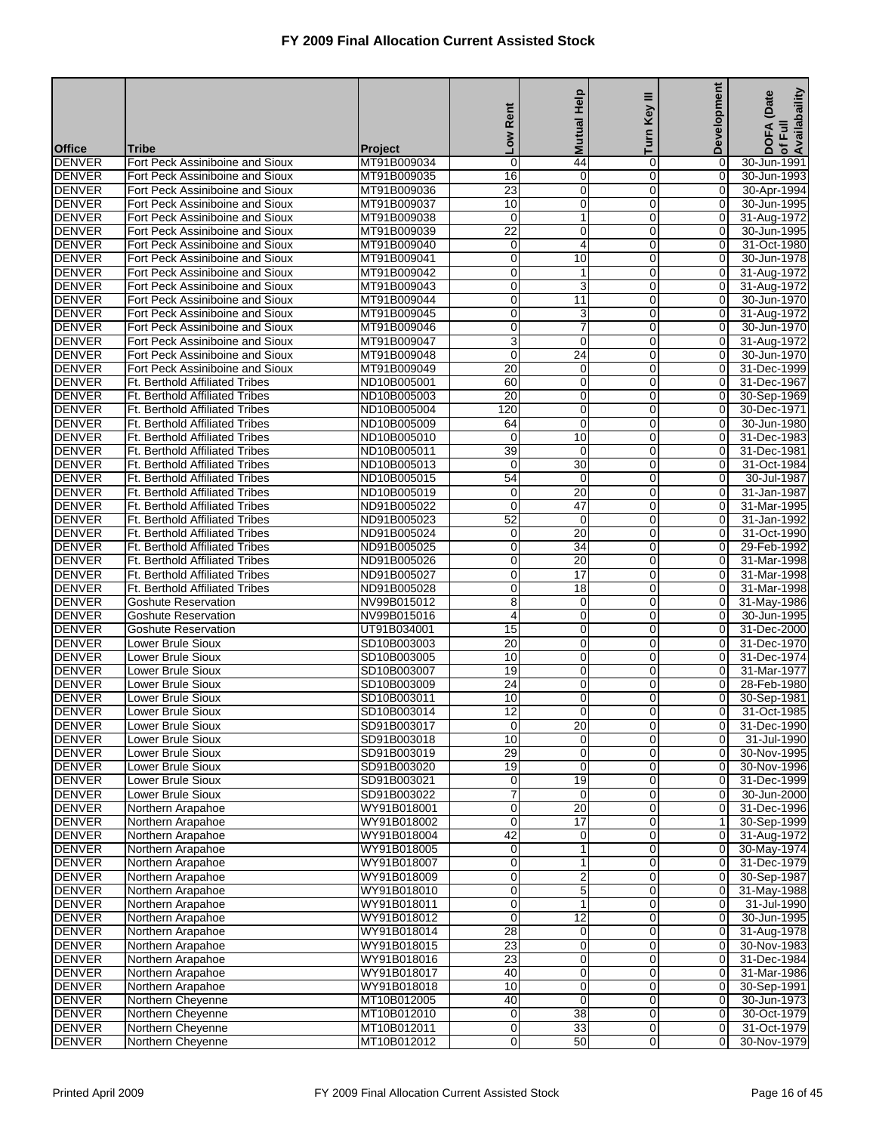|                                |                                                                         |                            | Low Rent                            | <b>Mutual Help</b>                 | Ξ<br>Turn Key            | Development                      | of Full<br>Availabaility<br>DOFA (Date |
|--------------------------------|-------------------------------------------------------------------------|----------------------------|-------------------------------------|------------------------------------|--------------------------|----------------------------------|----------------------------------------|
| <b>Office</b>                  |                                                                         |                            |                                     |                                    |                          |                                  |                                        |
| <b>DENVER</b>                  | <b>Tribe</b><br>Fort Peck Assiniboine and Sioux                         | Project<br>MT91B009034     | 0                                   | 44                                 | 0                        | 0                                | 30-Jun-1991                            |
| <b>DENVER</b>                  | Fort Peck Assiniboine and Sioux                                         | MT91B009035                | 16                                  | 0                                  | 0                        | 0                                | 30-Jun-1993                            |
| <b>DENVER</b>                  | Fort Peck Assiniboine and Sioux                                         | MT91B009036                | 23                                  | 0                                  | $\pmb{0}$                | 0                                | 30-Apr-1994                            |
| <b>DENVER</b>                  | Fort Peck Assiniboine and Sioux                                         | MT91B009037                | 10                                  | 0                                  | $\mathbf 0$              | $\overline{0}$                   | 30-Jun-1995                            |
| <b>DENVER</b>                  | Fort Peck Assiniboine and Sioux                                         | MT91B009038                | $\mathbf 0$                         | 1                                  | 0                        | $\mathbf 0$                      | 31-Aug-1972                            |
| <b>DENVER</b><br><b>DENVER</b> | Fort Peck Assiniboine and Sioux<br>Fort Peck Assiniboine and Sioux      | MT91B009039<br>MT91B009040 | $\overline{22}$<br>0                | 0<br>4                             | $\mathbf 0$<br>0         | $\mathbf 0$<br>$\overline{0}$    | 30-Jun-1995<br>31-Oct-1980             |
| <b>DENVER</b>                  | Fort Peck Assiniboine and Sioux                                         | MT91B009041                | 0                                   | 10                                 | $\pmb{0}$                | 0                                | 30-Jun-1978                            |
| <b>DENVER</b>                  | Fort Peck Assiniboine and Sioux                                         | MT91B009042                | 0                                   | 1                                  | $\mathbf 0$              | $\overline{0}$                   | 31-Aug-1972                            |
| <b>DENVER</b>                  | Fort Peck Assiniboine and Sioux                                         | MT91B009043                | 0                                   | 3                                  | 0                        | $\overline{0}$                   | 31-Aug-1972                            |
| <b>DENVER</b>                  | Fort Peck Assiniboine and Sioux                                         | MT91B009044                | 0                                   | $\overline{11}$                    | $\mathbf 0$              | 0                                | 30-Jun-1970                            |
| <b>DENVER</b>                  | Fort Peck Assiniboine and Sioux                                         | MT91B009045                | 0                                   | 3                                  | 0                        | 0                                | 31-Aug-1972                            |
| <b>DENVER</b>                  | Fort Peck Assiniboine and Sioux                                         | MT91B009046                | 0                                   | 7                                  | $\pmb{0}$                | 0                                | 30-Jun-1970                            |
| <b>DENVER</b><br><b>DENVER</b> | Fort Peck Assiniboine and Sioux<br>Fort Peck Assiniboine and Sioux      | MT91B009047<br>MT91B009048 | 3<br>0                              | 0<br>$\overline{24}$               | $\mathbf 0$<br>0         | $\overline{0}$<br>$\mathbf 0$    | 31-Aug-1972<br>30-Jun-1970             |
| <b>DENVER</b>                  | Fort Peck Assiniboine and Sioux                                         | MT91B009049                | $\overline{20}$                     | 0                                  | $\mathbf 0$              | $\overline{O}$                   | 31-Dec-1999                            |
| <b>DENVER</b>                  | Ft. Berthold Affiliated Tribes                                          | ND10B005001                | 60                                  | 0                                  | 0                        | 0                                | 31-Dec-1967                            |
| <b>DENVER</b>                  | <b>Ft. Berthold Affiliated Tribes</b>                                   | ND10B005003                | $\overline{20}$                     | 0                                  | $\pmb{0}$                | 0                                | 30-Sep-1969                            |
| <b>DENVER</b>                  | Ft. Berthold Affiliated Tribes                                          | ND10B005004                | 120                                 | 0                                  | $\mathbf 0$              | $\overline{0}$                   | 30-Dec-1971                            |
| <b>DENVER</b>                  | <b>Ft. Berthold Affiliated Tribes</b>                                   | ND10B005009                | 64                                  | $\mathbf 0$                        | 0                        | $\mathbf 0$                      | 30-Jun-1980                            |
| <b>DENVER</b>                  | Ft. Berthold Affiliated Tribes                                          | ND10B005010                | $\mathbf 0$                         | 10                                 | $\mathbf 0$              | 0                                | 31-Dec-1983                            |
| <b>DENVER</b>                  | Ft. Berthold Affiliated Tribes                                          | ND10B005011                | 39                                  | 0                                  | 0                        | 0                                | 31-Dec-1981                            |
| <b>DENVER</b><br><b>DENVER</b> | <b>Ft. Berthold Affiliated Tribes</b><br>Ft. Berthold Affiliated Tribes | ND10B005013<br>ND10B005015 | 0<br>54                             | $\overline{30}$<br>0               | $\pmb{0}$<br>$\mathbf 0$ | 0<br>$\mathbf 0$                 | 31-Oct-1984<br>30-Jul-1987             |
| <b>DENVER</b>                  | <b>Ft. Berthold Affiliated Tribes</b>                                   | ND10B005019                | $\mathbf 0$                         | $\overline{20}$                    | 0                        | 0                                | 31-Jan-1987                            |
| <b>DENVER</b>                  | Ft. Berthold Affiliated Tribes                                          | ND91B005022                | $\mathbf 0$                         | 47                                 | $\mathbf 0$              | $\overline{O}$                   | 31-Mar-1995                            |
| <b>DENVER</b>                  | Ft. Berthold Affiliated Tribes                                          | ND91B005023                | 52                                  | $\mathbf 0$                        | 0                        | $\Omega$                         | 31-Jan-1992                            |
| <b>DENVER</b>                  | Ft. Berthold Affiliated Tribes                                          | ND91B005024                | 0                                   | 20                                 | $\pmb{0}$                | 0                                | 31-Oct-1990                            |
| <b>DENVER</b>                  | Ft. Berthold Affiliated Tribes                                          | ND91B005025                | 0                                   | $\overline{34}$                    | $\mathbf 0$              | 0                                | 29-Feb-1992                            |
| <b>DENVER</b>                  | <b>Ft. Berthold Affiliated Tribes</b>                                   | ND91B005026                | 0                                   | $\overline{20}$                    | 0                        | 0                                | 31-Mar-1998                            |
| <b>DENVER</b><br><b>DENVER</b> | Ft. Berthold Affiliated Tribes<br>Ft. Berthold Affiliated Tribes        | ND91B005027<br>ND91B005028 | 0<br>0                              | $\overline{17}$<br>$\overline{18}$ | $\mathbf 0$<br>0         | 0<br>0                           | 31-Mar-1998<br>31-Mar-1998             |
| <b>DENVER</b>                  | <b>Goshute Reservation</b>                                              | NV99B015012                | 8                                   | 0                                  | $\pmb{0}$                | 0                                | 31-May-1986                            |
| <b>DENVER</b>                  | <b>Goshute Reservation</b>                                              | NV99B015016                | 4                                   | 0                                  | $\mathbf 0$              | $\overline{0}$                   | 30-Jun-1995                            |
| <b>DENVER</b>                  | <b>Goshute Reservation</b>                                              | UT91B034001                | 15                                  | 0                                  | 0                        | 0                                | 31-Dec-2000                            |
| <b>DENVER</b>                  | <b>Lower Brule Sioux</b>                                                | SD10B003003                | $\overline{20}$                     | 0                                  | 0                        | 0                                | 31-Dec-1970                            |
| <b>DENVER</b>                  | Lower Brule Sioux                                                       | SD10B003005                | 10                                  | 0                                  | 0                        | 0                                | 31-Dec-1974                            |
| <b>DENVER</b>                  | Lower Brule Sioux                                                       | SD10B003007                | 19                                  | 0                                  | $\mathbf 0$              | $\overline{0}$                   | 31-Mar-1977                            |
| <b>DENVER</b><br><b>DENVER</b> | Lower Brule Sioux                                                       | SD10B003009                | $\overline{24}$<br>10               | 0                                  | $\mathbf 0$<br>0         | $\overline{0}$                   | 28-Feb-1980                            |
| <b>DENVER</b>                  | Lower Brule Sioux<br>Lower Brule Sioux                                  | SD10B003011<br>SD10B003014 | $\overline{12}$                     | 0<br>0                             | $\mathbf 0$              | 0<br>0                           | 30-Sep-1981<br>31-Oct-1985             |
| <b>DENVER</b>                  | Lower Brule Sioux                                                       | SD91B003017                | $\overline{0}$                      | 20                                 | $\overline{0}$           | 01                               | 31-Dec-1990                            |
| <b>DENVER</b>                  | Lower Brule Sioux                                                       | SD91B003018                | 10                                  | $\mathbf 0$                        | $\overline{0}$           | $\overline{0}$                   | 31-Jul-1990                            |
| <b>DENVER</b>                  | <b>Lower Brule Sioux</b>                                                | SD91B003019                | 29                                  | 0                                  | $\mathbf 0$              | $\overline{0}$                   | 30-Nov-1995                            |
| <b>DENVER</b>                  | Lower Brule Sioux                                                       | SD91B003020                | 19                                  | 0                                  | 0                        | $\overline{0}$                   | 30-Nov-1996                            |
| <b>DENVER</b>                  | Lower Brule Sioux                                                       | SD91B003021                | 0                                   | 19                                 | $\mathbf 0$              | $\mathbf 0$                      | 31-Dec-1999                            |
| <b>DENVER</b>                  | Lower Brule Sioux                                                       | SD91B003022                | 7                                   | 0                                  | 0                        | 0<br>$\overline{0}$              | 30-Jun-2000                            |
| <b>DENVER</b><br><b>DENVER</b> | Northern Arapahoe<br>Northern Arapahoe                                  | WY91B018001<br>WY91B018002 | 0<br>0                              | 20<br>$\overline{17}$              | $\pmb{0}$<br>0           | 1                                | 31-Dec-1996<br>30-Sep-1999             |
| <b>DENVER</b>                  | Northern Arapahoe                                                       | WY91B018004                | 42                                  | 0                                  | 0                        | $\overline{0}$                   | 31-Aug-1972                            |
| <b>DENVER</b>                  | Northern Arapahoe                                                       | WY91B018005                | 0                                   | 1                                  | $\mathbf 0$              | $\overline{O}$                   | 30-May-1974                            |
| <b>DENVER</b>                  | Northern Arapahoe                                                       | WY91B018007                | 0                                   | 1                                  | 0                        | $\overline{0}$                   | 31-Dec-1979                            |
| <b>DENVER</b>                  | Northern Arapahoe                                                       | WY91B018009                | 0                                   | $\overline{2}$                     | 0                        | 0                                | 30-Sep-1987                            |
| <b>DENVER</b>                  | Northern Arapahoe                                                       | WY91B018010                | 0                                   | 5                                  | $\mathbf 0$              | $\overline{0}$                   | 31-May-1988                            |
| <b>DENVER</b>                  | Northern Arapahoe                                                       | WY91B018011                | 0                                   | 1                                  | 0                        | $\overline{0}$                   | 31-Jul-1990                            |
| <b>DENVER</b><br><b>DENVER</b> | Northern Arapahoe<br>Northern Arapahoe                                  | WY91B018012<br>WY91B018014 | $\boldsymbol{0}$<br>$\overline{28}$ | 12<br>0                            | $\mathbf 0$<br>0         | $\mathbf 0$<br>$\overline{0}$    | 30-Jun-1995<br>31-Aug-1978             |
| <b>DENVER</b>                  | Northern Arapahoe                                                       | WY91B018015                | 23                                  | $\mathbf 0$                        | $\pmb{0}$                | $\overline{0}$                   | 30-Nov-1983                            |
| <b>DENVER</b>                  | Northern Arapahoe                                                       | WY91B018016                | 23                                  | 0                                  | $\mathbf 0$              | $\overline{0}$                   | 31-Dec-1984                            |
| <b>DENVER</b>                  | Northern Arapahoe                                                       | WY91B018017                | 40                                  | $\pmb{0}$                          | 0                        | $\overline{0}$                   | 31-Mar-1986                            |
| <b>DENVER</b>                  | Northern Arapahoe                                                       | WY91B018018                | 10                                  | $\mathbf 0$                        | $\mathbf 0$              | $\mathbf 0$                      | 30-Sep-1991                            |
| <b>DENVER</b>                  | Northern Cheyenne                                                       | MT10B012005                | 40                                  | 0                                  | 0                        | $\overline{0}$                   | 30-Jun-1973                            |
| <b>DENVER</b>                  | Northern Cheyenne                                                       | MT10B012010                | $\mathbf 0$                         | 38                                 | $\pmb{0}$                | $\overline{0}$                   | 30-Oct-1979                            |
| <b>DENVER</b><br><b>DENVER</b> | Northern Cheyenne<br>Northern Cheyenne                                  | MT10B012011<br>MT10B012012 | 0<br>0                              | 33<br>50                           | $\mathbf 0$<br>0         | $\overline{0}$<br>$\overline{0}$ | 31-Oct-1979<br>30-Nov-1979             |
|                                |                                                                         |                            |                                     |                                    |                          |                                  |                                        |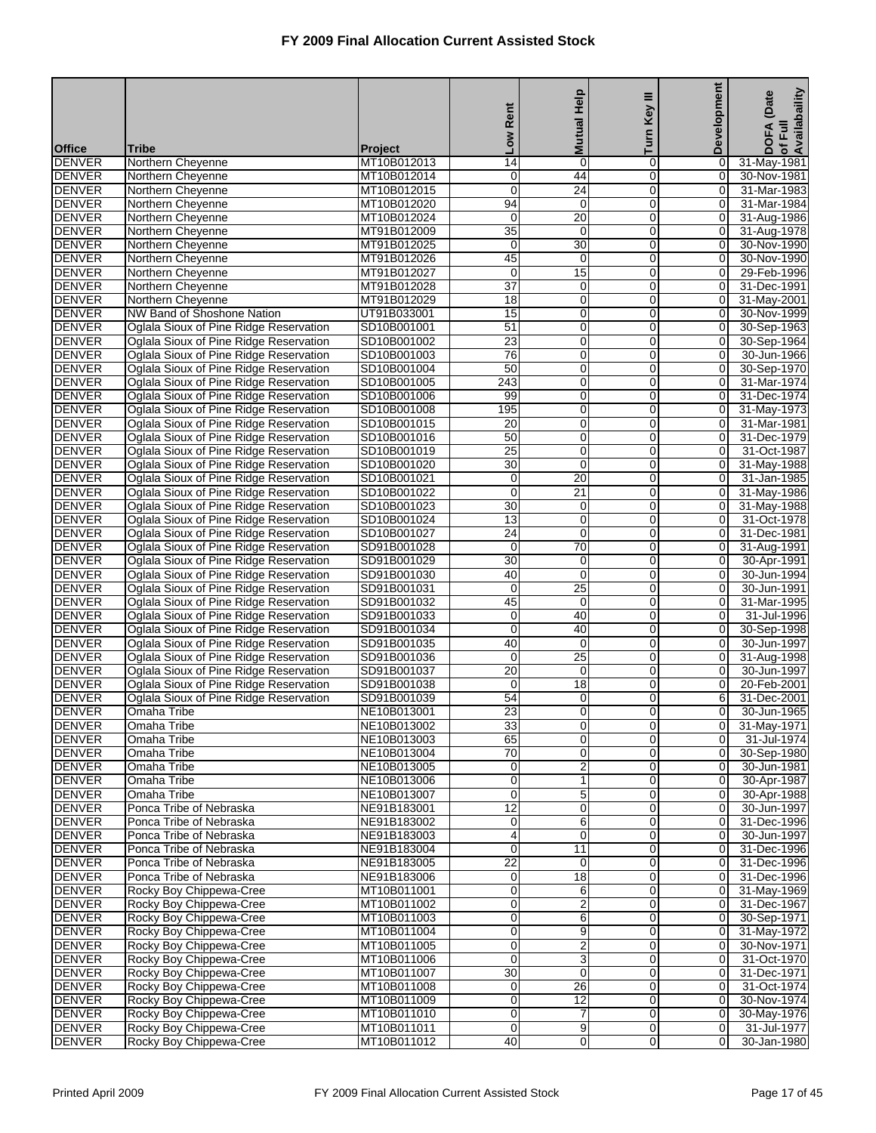|                                |                                                                                  |                               | Rent                           | <b>Mutual Help</b>                      | Key III                    | <b>Development</b>               | of Full<br>Availabaility<br>(Date |
|--------------------------------|----------------------------------------------------------------------------------|-------------------------------|--------------------------------|-----------------------------------------|----------------------------|----------------------------------|-----------------------------------|
|                                |                                                                                  |                               | Low                            |                                         | Turn                       |                                  | <b>DOFA</b>                       |
| <b>Office</b><br><b>DENVER</b> | <b>Tribe</b>                                                                     | <b>Project</b><br>MT10B012013 | $\overline{14}$                | $\mathbf 0$                             | $\overline{0}$             |                                  |                                   |
| <b>DENVER</b>                  | Northern Cheyenne<br>Northern Cheyenne                                           | MT10B012014                   | 0                              | 44                                      | $\mathbf 0$                | 0<br>0                           | 31-May-1981<br>30-Nov-1981        |
| <b>DENVER</b>                  | Northern Cheyenne                                                                | MT10B012015                   | 0                              | 24                                      | 0                          | 0                                | 31-Mar-1983                       |
| <b>DENVER</b>                  | Northern Cheyenne                                                                | MT10B012020                   | 94                             | $\mathbf 0$                             | $\mathbf 0$                | 0                                | 31-Mar-1984                       |
| <b>DENVER</b>                  | Northern Cheyenne                                                                | MT10B012024                   | 0                              | 20                                      | 0                          | 0                                | 31-Aug-1986                       |
| <b>DENVER</b>                  | Northern Cheyenne                                                                | MT91B012009                   | $\overline{35}$                | $\mathbf 0$                             | $\mathbf 0$                | $\mathbf 0$                      | 31-Aug-1978                       |
| <b>DENVER</b>                  | Northern Cheyenne                                                                | MT91B012025                   | 0                              | 30                                      | $\mathbf 0$                | $\overline{O}$                   | 30-Nov-1990                       |
| <b>DENVER</b>                  | Northern Cheyenne                                                                | MT91B012026                   | 45                             | 0                                       | 0                          | $\mathbf 0$                      | 30-Nov-1990                       |
| <b>DENVER</b>                  | Northern Cheyenne                                                                | MT91B012027                   | $\mathbf 0$<br>$\overline{37}$ | 15                                      | $\mathbf 0$<br>0           | 0<br>0                           | 29-Feb-1996                       |
| <b>DENVER</b><br><b>DENVER</b> | Northern Cheyenne<br>Northern Cheyenne                                           | MT91B012028<br>MT91B012029    | $\overline{18}$                | $\pmb{0}$<br>$\pmb{0}$                  | $\mathbf 0$                | $\mathbf 0$                      | 31-Dec-1991<br>31-May-2001        |
| <b>DENVER</b>                  | NW Band of Shoshone Nation                                                       | UT91B033001                   | 15                             | $\mathbf 0$                             | 0                          | 0                                | 30-Nov-1999                       |
| <b>DENVER</b>                  | Oglala Sioux of Pine Ridge Reservation                                           | SD10B001001                   | $\overline{51}$                | $\mathbf 0$                             | 0                          | $\mathbf 0$                      | 30-Sep-1963                       |
| <b>DENVER</b>                  | Oglala Sioux of Pine Ridge Reservation                                           | SD10B001002                   | 23                             | $\mathbf 0$                             | $\mathbf 0$                | 0                                | 30-Sep-1964                       |
| <b>DENVER</b>                  | Oglala Sioux of Pine Ridge Reservation                                           | SD10B001003                   | 76                             | $\mathbf 0$                             | 0                          | 0                                | 30-Jun-1966                       |
| <b>DENVER</b>                  | Oglala Sioux of Pine Ridge Reservation                                           | SD10B001004                   | 50                             | $\boldsymbol{0}$                        | $\mathbf 0$                | $\mathbf 0$                      | 30-Sep-1970                       |
| <b>DENVER</b>                  | Oglala Sioux of Pine Ridge Reservation                                           | SD10B001005                   | 243                            | $\mathbf 0$                             | 0                          | 0                                | 31-Mar-1974                       |
| <b>DENVER</b>                  | Oglala Sioux of Pine Ridge Reservation                                           | SD10B001006                   | 99                             | $\mathbf 0$                             | 0                          | 0                                | 31-Dec-1974                       |
| <b>DENVER</b>                  | Oglala Sioux of Pine Ridge Reservation                                           | SD10B001008                   | 195                            | $\pmb{0}$                               | $\mathbf 0$                | 0                                | 31-May-1973                       |
| <b>DENVER</b>                  | Oglala Sioux of Pine Ridge Reservation                                           | SD10B001015                   | $\overline{20}$                | $\mathbf 0$                             | 0                          | 0                                | 31-Mar-1981                       |
| <b>DENVER</b>                  | Oglala Sioux of Pine Ridge Reservation                                           | SD10B001016                   | 50                             | $\boldsymbol{0}$                        | $\mathbf 0$                | $\pmb{0}$                        | 31-Dec-1979                       |
| <b>DENVER</b><br><b>DENVER</b> | Oglala Sioux of Pine Ridge Reservation<br>Oglala Sioux of Pine Ridge Reservation | SD10B001019<br>SD10B001020    | 25<br>30                       | $\mathbf 0$<br>$\mathbf 0$              | 0<br>0                     | 0<br>$\mathbf 0$                 | 31-Oct-1987<br>31-May-1988        |
| <b>DENVER</b>                  | Oglala Sioux of Pine Ridge Reservation                                           | SD10B001021                   | $\mathbf 0$                    | $\overline{20}$                         | $\mathbf 0$                | 0                                | 31-Jan-1985                       |
| <b>DENVER</b>                  | Oglala Sioux of Pine Ridge Reservation                                           | SD10B001022                   | 0                              | 21                                      | 0                          | 0                                | 31-May-1986                       |
| <b>DENVER</b>                  | Oglala Sioux of Pine Ridge Reservation                                           | SD10B001023                   | $\overline{30}$                | $\pmb{0}$                               | $\mathbf 0$                | $\mathbf 0$                      | 31-May-1988                       |
| <b>DENVER</b>                  | Oglala Sioux of Pine Ridge Reservation                                           | SD10B001024                   | 13                             | $\mathbf 0$                             | 0                          | $\overline{0}$                   | 31-Oct-1978                       |
| <b>DENVER</b>                  | Oglala Sioux of Pine Ridge Reservation                                           | SD10B001027                   | 24                             | $\mathbf 0$                             | 0                          | $\mathbf 0$                      | 31-Dec-1981                       |
| <b>DENVER</b>                  | Oglala Sioux of Pine Ridge Reservation                                           | SD91B001028                   | $\mathbf 0$                    | $\overline{70}$                         | $\mathbf 0$                | 0                                | 31-Aug-1991                       |
| <b>DENVER</b>                  | Oglala Sioux of Pine Ridge Reservation                                           | SD91B001029                   | 30                             | $\pmb{0}$                               | 0                          | 0                                | 30-Apr-1991                       |
| <b>DENVER</b>                  | Oglala Sioux of Pine Ridge Reservation                                           | SD91B001030                   | 40                             | $\mathbf 0$                             | $\mathbf 0$                | $\mathbf 0$                      | 30-Jun-1994                       |
| <b>DENVER</b>                  | Oglala Sioux of Pine Ridge Reservation                                           | SD91B001031                   | 0                              | 25                                      | $\mathbf 0$                | 0                                | 30-Jun-1991                       |
| <b>DENVER</b>                  | Oglala Sioux of Pine Ridge Reservation                                           | SD91B001032                   | 45                             | $\mathbf 0$<br>40                       | 0                          | 0                                | 31-Mar-1995                       |
| <b>DENVER</b><br><b>DENVER</b> | Oglala Sioux of Pine Ridge Reservation<br>Oglala Sioux of Pine Ridge Reservation | SD91B001033<br>SD91B001034    | 0<br>0                         | 40                                      | $\mathbf 0$<br>0           | 0<br>0                           | 31-Jul-1996<br>30-Sep-1998        |
| <b>DENVER</b>                  | Oglala Sioux of Pine Ridge Reservation                                           | SD91B001035                   | 40                             | $\mathbf 0$                             | $\mathbf 0$                | $\mathbf 0$                      | 30-Jun-1997                       |
| <b>DENVER</b>                  | Oglala Sioux of Pine Ridge Reservation                                           | SD91B001036                   | 0                              | 25                                      | $\mathbf 0$                | 0                                | 31-Aug-1998                       |
| <b>DENVER</b>                  | Oglala Sioux of Pine Ridge Reservation                                           | SD91B001037                   | 20                             | 0                                       | 0                          | $\mathbf 0$                      | 30-Jun-1997                       |
| <b>DENVER</b>                  | Oglala Sioux of Pine Ridge Reservation                                           | SD91B001038                   | $\mathbf 0$                    | 18                                      | $\mathbf 0$                | 0                                | 20-Feb-2001                       |
| <b>DENVER</b>                  | Oglala Sioux of Pine Ridge Reservation                                           | SD91B001039                   | 54                             | $\pmb{0}$                               | 0                          | 6                                | 31-Dec-2001                       |
| <b>DENVER</b>                  | Omaha Tribe                                                                      | NE10B013001                   | $\overline{23}$                | $\mathbf 0$                             | $\overline{0}$             | $\overline{O}$                   | 30-Jun-1965                       |
| <b>DENVER</b>                  | Omaha Tribe                                                                      | NE10B013002                   | 33                             | 0                                       | 0                          | 0                                | 31-May-1971                       |
| <b>DENVER</b>                  | Omaha Tribe                                                                      | NE10B013003                   | 65                             | $\mathbf 0$                             | $\mathbf{O}$               | $\overline{0}$                   | 31-Jul-1974                       |
| <b>DENVER</b>                  | Omaha Tribe                                                                      | NE10B013004                   | $\overline{70}$                | $\mathbf 0$                             | $\mathbf 0$                | $\overline{0}$                   | 30-Sep-1980<br>30-Jun-1981        |
| <b>DENVER</b><br><b>DENVER</b> | Omaha Tribe<br>Omaha Tribe                                                       | NE10B013005<br>NE10B013006    | 0<br>0                         | $\overline{\mathbf{c}}$<br>$\mathbf{1}$ | 0<br>$\mathbf 0$           | $\overline{0}$<br>$\mathbf 0$    | 30-Apr-1987                       |
| <b>DENVER</b>                  | Omaha Tribe                                                                      | NE10B013007                   | 0                              | 5                                       | $\mathbf 0$                | $\mathbf 0$                      | 30-Apr-1988                       |
| <b>DENVER</b>                  | Ponca Tribe of Nebraska                                                          | NE91B183001                   | 12                             | $\mathbf 0$                             | $\mathbf 0$                | $\mathbf 0$                      | 30-Jun-1997                       |
| <b>DENVER</b>                  | Ponca Tribe of Nebraska                                                          | NE91B183002                   | 0                              | 6                                       | $\mathbf 0$                | $\mathbf 0$                      | 31-Dec-1996                       |
| <b>DENVER</b>                  | Ponca Tribe of Nebraska                                                          | NE91B183003                   | 4                              | $\mathbf 0$                             | 0                          | $\overline{0}$                   | 30-Jun-1997                       |
| <b>DENVER</b>                  | Ponca Tribe of Nebraska                                                          | NE91B183004                   | 0                              | 11                                      | $\mathbf 0$                | $\overline{0}$                   | 31-Dec-1996                       |
| <b>DENVER</b>                  | Ponca Tribe of Nebraska                                                          | NE91B183005                   | $\overline{22}$                | 0                                       | $\mathbf 0$                | $\overline{0}$                   | 31-Dec-1996                       |
| <b>DENVER</b>                  | Ponca Tribe of Nebraska                                                          | NE91B183006                   | 0                              | 18                                      | $\mathbf 0$                | $\mathbf 0$                      | 31-Dec-1996                       |
| <b>DENVER</b>                  | Rocky Boy Chippewa-Cree                                                          | MT10B011001                   | $\mathbf 0$                    | 6                                       | $\mathbf 0$                | $\overline{O}$                   | 31-May-1969                       |
| <b>DENVER</b>                  | Rocky Boy Chippewa-Cree                                                          | MT10B011002                   | 0                              | $\overline{\mathbf{c}}$                 | 0                          | 0                                | 31-Dec-1967                       |
| <b>DENVER</b><br><b>DENVER</b> | Rocky Boy Chippewa-Cree<br>Rocky Boy Chippewa-Cree                               | MT10B011003<br>MT10B011004    | 0<br>0                         | 6<br>9                                  | $\mathbf 0$<br>$\mathbf 0$ | $\overline{0}$<br>$\overline{0}$ | 30-Sep-1971<br>31-May-1972        |
| <b>DENVER</b>                  | Rocky Boy Chippewa-Cree                                                          | MT10B011005                   | 0                              | $\overline{2}$                          | $\mathbf 0$                | $\overline{0}$                   | 30-Nov-1971                       |
| <b>DENVER</b>                  | Rocky Boy Chippewa-Cree                                                          | MT10B011006                   | $\mathbf 0$                    | $\overline{3}$                          | 0                          | $\mathbf 0$                      | 31-Oct-1970                       |
| <b>DENVER</b>                  | Rocky Boy Chippewa-Cree                                                          | MT10B011007                   | 30                             | $\mathbf 0$                             | 0                          | $\overline{0}$                   | 31-Dec-1971                       |
| <b>DENVER</b>                  | Rocky Boy Chippewa-Cree                                                          | MT10B011008                   | 0                              | 26                                      | $\mathbf 0$                | $\overline{0}$                   | 31-Oct-1974                       |
| <b>DENVER</b>                  | Rocky Boy Chippewa-Cree                                                          | MT10B011009                   | 0                              | $\overline{12}$                         | $\mathbf 0$                | $\overline{O}$                   | 30-Nov-1974                       |
| <b>DENVER</b>                  | Rocky Boy Chippewa-Cree                                                          | MT10B011010                   | 0                              | 7                                       | $\mathbf 0$                | $\mathbf 0$                      | 30-May-1976                       |
| <b>DENVER</b>                  | Rocky Boy Chippewa-Cree                                                          | MT10B011011                   | 0                              | 9                                       | $\mathbf 0$                | $\overline{0}$                   | 31-Jul-1977                       |
| <b>DENVER</b>                  | Rocky Boy Chippewa-Cree                                                          | MT10B011012                   | 40                             | $\mathbf 0$                             | $\overline{0}$             | $\Omega$                         | 30-Jan-1980                       |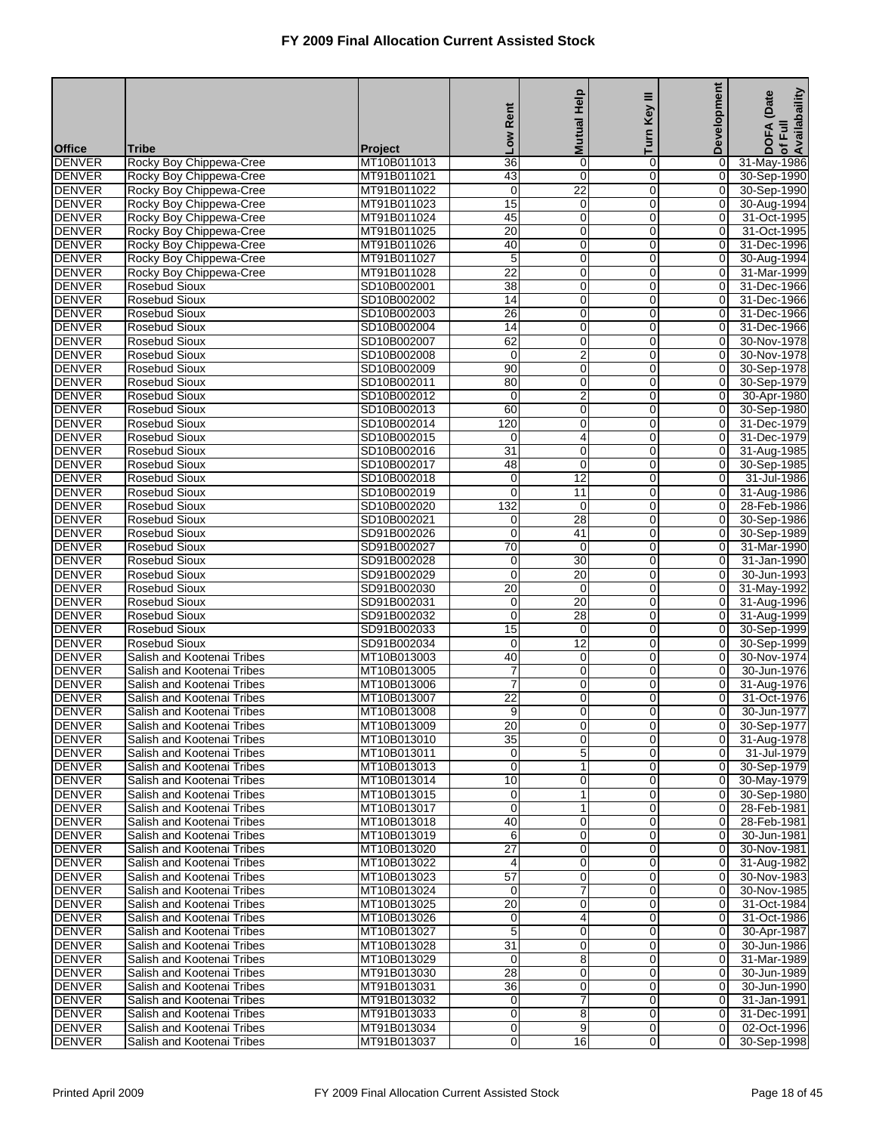|                                |                                                          |                            | Rent                           | <b>Mutual Help</b> | Ξ                             | <b>Development</b>               | of Full<br>Availabaility<br>DOFA (Date |
|--------------------------------|----------------------------------------------------------|----------------------------|--------------------------------|--------------------|-------------------------------|----------------------------------|----------------------------------------|
|                                |                                                          |                            | <b>No</b>                      |                    | Turn Key                      |                                  |                                        |
| <b>Office</b>                  | <b>Tribe</b>                                             | Project                    |                                |                    |                               |                                  |                                        |
| <b>DENVER</b><br><b>DENVER</b> | Rocky Boy Chippewa-Cree<br>Rocky Boy Chippewa-Cree       | MT10B011013<br>MT91B011021 | $\overline{36}$<br>43          | $\mathbf 0$<br>0   | 0<br>0                        | 0<br>0                           | 31-May-1986<br>30-Sep-1990             |
| <b>DENVER</b>                  | Rocky Boy Chippewa-Cree                                  | MT91B011022                | $\boldsymbol{0}$               | $\overline{22}$    | $\mathbf 0$                   | 0                                | 30-Sep-1990                            |
| <b>DENVER</b>                  | Rocky Boy Chippewa-Cree                                  | MT91B011023                | 15                             | 0                  | $\mathbf 0$                   | o                                | 30-Aug-1994                            |
| <b>DENVER</b>                  | Rocky Boy Chippewa-Cree                                  | MT91B011024                | 45                             | $\mathbf 0$        | 0                             | $\mathbf 0$                      | 31-Oct-1995                            |
| <b>DENVER</b>                  | Rocky Boy Chippewa-Cree                                  | MT91B011025                | 20                             | 0                  | $\mathbf 0$                   | $\mathbf 0$                      | 31-Oct-1995                            |
| <b>DENVER</b>                  | Rocky Boy Chippewa-Cree                                  | MT91B011026                | 40                             | 0                  | 0                             | 0                                | 31-Dec-1996                            |
| <b>DENVER</b>                  | Rocky Boy Chippewa-Cree                                  | MT91B011027                | 5                              | 0                  | $\mathbf 0$                   | 0                                | 30-Aug-1994                            |
| <b>DENVER</b><br><b>DENVER</b> | Rocky Boy Chippewa-Cree                                  | MT91B011028                | $\overline{22}$                | 0                  | $\mathbf 0$                   | $\overline{0}$                   | 31-Mar-1999                            |
| <b>DENVER</b>                  | <b>Rosebud Sioux</b><br><b>Rosebud Sioux</b>             | SD10B002001<br>SD10B002002 | 38<br>$\overline{14}$          | $\pmb{0}$<br>0     | 0<br>$\mathbf 0$              | 0<br>$\mathbf 0$                 | 31-Dec-1966<br>31-Dec-1966             |
| <b>DENVER</b>                  | <b>Rosebud Sioux</b>                                     | SD10B002003                | 26                             | 0                  | 0                             | 0                                | 31-Dec-1966                            |
| <b>DENVER</b>                  | Rosebud Sioux                                            | SD10B002004                | $\overline{14}$                | 0                  | $\mathbf 0$                   | 0                                | 31-Dec-1966                            |
| <b>DENVER</b>                  | <b>Rosebud Sioux</b>                                     | SD10B002007                | 62                             | 0                  | $\mathbf 0$                   | $\overline{0}$                   | 30-Nov-1978                            |
| <b>DENVER</b>                  | <b>Rosebud Sioux</b>                                     | SD10B002008                | $\mathbf 0$                    | $\overline{2}$     | 0                             | 0                                | 30-Nov-1978                            |
| <b>DENVER</b>                  | <b>Rosebud Sioux</b>                                     | SD10B002009                | $\overline{90}$                | 0                  | $\mathbf 0$                   | $\overline{O}$                   | 30-Sep-1978                            |
| <b>DENVER</b>                  | <b>Rosebud Sioux</b>                                     | SD10B002011                | 80                             | 0                  | 0                             | $\overline{0}$                   | 30-Sep-1979                            |
| <b>DENVER</b>                  | Rosebud Sioux                                            | SD10B002012                | 0                              | $\overline{2}$     | $\mathbf 0$                   | 0                                | 30-Apr-1980                            |
| <b>DENVER</b>                  | <b>Rosebud Sioux</b><br><b>Rosebud Sioux</b>             | SD10B002013<br>SD10B002014 | 60<br>120                      | 0<br>0             | $\mathbf 0$<br>0              | $\overline{0}$<br>0              | 30-Sep-1980<br>31-Dec-1979             |
| <b>DENVER</b><br><b>DENVER</b> | <b>Rosebud Sioux</b>                                     | SD10B002015                | $\mathbf 0$                    | 4                  | $\mathbf 0$                   | $\mathbf 0$                      | 31-Dec-1979                            |
| <b>DENVER</b>                  | <b>Rosebud Sioux</b>                                     | SD10B002016                | $\overline{31}$                | 0                  | 0                             | 0                                | 31-Aug-1985                            |
| <b>DENVER</b>                  | Rosebud Sioux                                            | SD10B002017                | $\overline{48}$                | 0                  | $\pmb{0}$                     | 0                                | 30-Sep-1985                            |
| <b>DENVER</b>                  | <b>Rosebud Sioux</b>                                     | SD10B002018                | $\mathbf 0$                    | $\overline{12}$    | $\mathbf 0$                   | $\overline{0}$                   | 31-Jul-1986                            |
| <b>DENVER</b>                  | <b>Rosebud Sioux</b>                                     | SD10B002019                | $\overline{0}$                 | 11                 | 0                             | 0                                | 31-Aug-1986                            |
| <b>DENVER</b>                  | <b>Rosebud Sioux</b>                                     | SD10B002020                | 132                            | $\mathbf 0$        | $\mathbf 0$                   | $\mathbf 0$                      | 28-Feb-1986                            |
| <b>DENVER</b>                  | <b>Rosebud Sioux</b>                                     | SD10B002021                | 0                              | $\overline{28}$    | 0                             | 0                                | 30-Sep-1986                            |
| <b>DENVER</b>                  | Rosebud Sioux                                            | SD91B002026                | 0                              | 41                 | $\mathbf 0$                   | 0                                | 30-Sep-1989                            |
| <b>DENVER</b><br><b>DENVER</b> | <b>Rosebud Sioux</b><br><b>Rosebud Sioux</b>             | SD91B002027<br>SD91B002028 | $\overline{70}$<br>$\mathbf 0$ | $\mathbf 0$<br>30  | $\mathbf 0$<br>0              | 0<br>0                           | 31-Mar-1990<br>31-Jan-1990             |
| <b>DENVER</b>                  | <b>Rosebud Sioux</b>                                     | SD91B002029                | $\mathbf 0$                    | $\overline{20}$    | $\overline{0}$                | $\mathbf 0$                      | 30-Jun-1993                            |
| <b>DENVER</b>                  | <b>Rosebud Sioux</b>                                     | SD91B002030                | 20                             | $\mathbf 0$        | 0                             | 0                                | 31-May-1992                            |
| <b>DENVER</b>                  | <b>Rosebud Sioux</b>                                     | SD91B002031                | 0                              | $\overline{20}$    | $\mathbf 0$                   | 0                                | 31-Aug-1996                            |
| <b>DENVER</b>                  | <b>Rosebud Sioux</b>                                     | SD91B002032                | 0                              | $\overline{28}$    | $\mathbf 0$                   | $\overline{0}$                   | 31-Aug-1999                            |
| <b>DENVER</b>                  | <b>Rosebud Sioux</b>                                     | SD91B002033                | 15                             | 0                  | 0                             | 0                                | 30-Sep-1999                            |
| <b>DENVER</b>                  | <b>Rosebud Sioux</b>                                     | SD91B002034                | $\mathbf 0$                    | $\overline{12}$    | $\mathbf 0$                   | $\mathbf 0$                      | 30-Sep-1999                            |
| <b>DENVER</b>                  | Salish and Kootenai Tribes                               | MT10B013003                | 40                             | 0                  | 0                             | 0                                | 30-Nov-1974                            |
| <b>DENVER</b><br><b>DENVER</b> | Salish and Kootenai Tribes                               | MT10B013005                | 7                              | 0                  | $\mathbf 0$<br>$\overline{0}$ | 0                                | 30-Jun-1976                            |
| <b>DENVER</b>                  | Salish and Kootenai Tribes<br>Salish and Kootenai Tribes | MT10B013006<br>MT10B013007 | $\overline{7}$<br>22           | 0<br>0             | 0                             | $\overline{0}$<br>0              | 31-Aug-1976<br>31-Oct-1976             |
| <b>DENVER</b>                  | Salish and Kootenai Tribes                               | MT10B013008                | 9                              | 0                  | $\overline{0}$                | 0                                | 30-Jun-1977                            |
| <b>DENVER</b>                  | Salish and Kootenai Tribes                               | MT10B013009                | 20                             | 0                  | 0                             | 01                               | 30-Sep-1977                            |
| <b>DENVER</b>                  | Salish and Kootenai Tribes                               | MT10B013010                | 35                             | $\mathbf 0$        | $\mathbf 0$                   | $\overline{0}$                   | 31-Aug-1978                            |
| <b>DENVER</b>                  | Salish and Kootenai Tribes                               | MT10B013011                | 0                              | 5                  | $\mathbf 0$                   | $\overline{0}$                   | 31-Jul-1979                            |
| <b>DENVER</b>                  | Salish and Kootenai Tribes                               | MT10B013013                | 0                              | 1                  | 0                             | $\overline{0}$                   | 30-Sep-1979                            |
| <b>DENVER</b>                  | Salish and Kootenai Tribes                               | MT10B013014                | 10                             | 0                  | $\mathbf 0$                   | $\overline{0}$                   | 30-May-1979                            |
| <b>DENVER</b>                  | Salish and Kootenai Tribes                               | MT10B013015                | 0                              | 1                  | 0                             | 0                                | 30-Sep-1980                            |
| <b>DENVER</b>                  | Salish and Kootenai Tribes<br>Salish and Kootenai Tribes | MT10B013017                | $\mathbf 0$                    | 1                  | 0                             | $\overline{0}$                   | 28-Feb-1981                            |
| <b>DENVER</b><br><b>DENVER</b> | Salish and Kootenai Tribes                               | MT10B013018<br>MT10B013019 | 40<br>6                        | 0<br>0             | 0<br>0                        | $\overline{0}$<br>$\overline{0}$ | 28-Feb-1981<br>30-Jun-1981             |
| <b>DENVER</b>                  | Salish and Kootenai Tribes                               | MT10B013020                | $\overline{27}$                | 0                  | $\mathbf 0$                   | $\overline{O}$                   | 30-Nov-1981                            |
| <b>DENVER</b>                  | Salish and Kootenai Tribes                               | MT10B013022                | 4                              | 0                  | 0                             | 0                                | 31-Aug-1982                            |
| <b>DENVER</b>                  | Salish and Kootenai Tribes                               | MT10B013023                | 57                             | $\mathbf 0$        | 0                             | $\overline{0}$                   | 30-Nov-1983                            |
| <b>DENVER</b>                  | Salish and Kootenai Tribes                               | MT10B013024                | 0                              | 7                  | 0                             | $\overline{0}$                   | 30-Nov-1985                            |
| <b>DENVER</b>                  | Salish and Kootenai Tribes                               | MT10B013025                | $\overline{20}$                | 0                  | 0                             | $\overline{0}$                   | 31-Oct-1984                            |
| <b>DENVER</b>                  | Salish and Kootenai Tribes                               | MT10B013026                | 0                              | 4                  | 0                             | $\overline{0}$                   | 31-Oct-1986                            |
| <b>DENVER</b>                  | Salish and Kootenai Tribes                               | MT10B013027                | 5                              | 0                  | 0                             | $\overline{0}$                   | 30-Apr-1987                            |
| <b>DENVER</b>                  | Salish and Kootenai Tribes                               | MT10B013028                | 31                             | $\mathbf 0$        | 0                             | $\overline{0}$                   | 30-Jun-1986                            |
| <b>DENVER</b><br><b>DENVER</b> | Salish and Kootenai Tribes<br>Salish and Kootenai Tribes | MT10B013029<br>MT91B013030 | $\mathbf 0$<br>28              | 8<br>0             | 0<br>0                        | $\overline{0}$<br>$\overline{0}$ | 31-Mar-1989<br>30-Jun-1989             |
| <b>DENVER</b>                  | Salish and Kootenai Tribes                               | MT91B013031                | 36                             | 0                  | $\mathbf 0$                   | $\overline{O}$                   | 30-Jun-1990                            |
| <b>DENVER</b>                  | Salish and Kootenai Tribes                               | MT91B013032                | 0                              | 7                  | 0                             | $\overline{0}$                   | 31-Jan-1991                            |
| <b>DENVER</b>                  | Salish and Kootenai Tribes                               | MT91B013033                | 0                              | 8                  | 0                             | $\overline{0}$                   | 31-Dec-1991                            |
| <b>DENVER</b>                  | Salish and Kootenai Tribes                               | MT91B013034                | 0                              | 9                  | 0                             | $\overline{0}$                   | 02-Oct-1996                            |
| <b>DENVER</b>                  | Salish and Kootenai Tribes                               | MT91B013037                | 0                              | 16                 | 0                             | $\overline{0}$                   | 30-Sep-1998                            |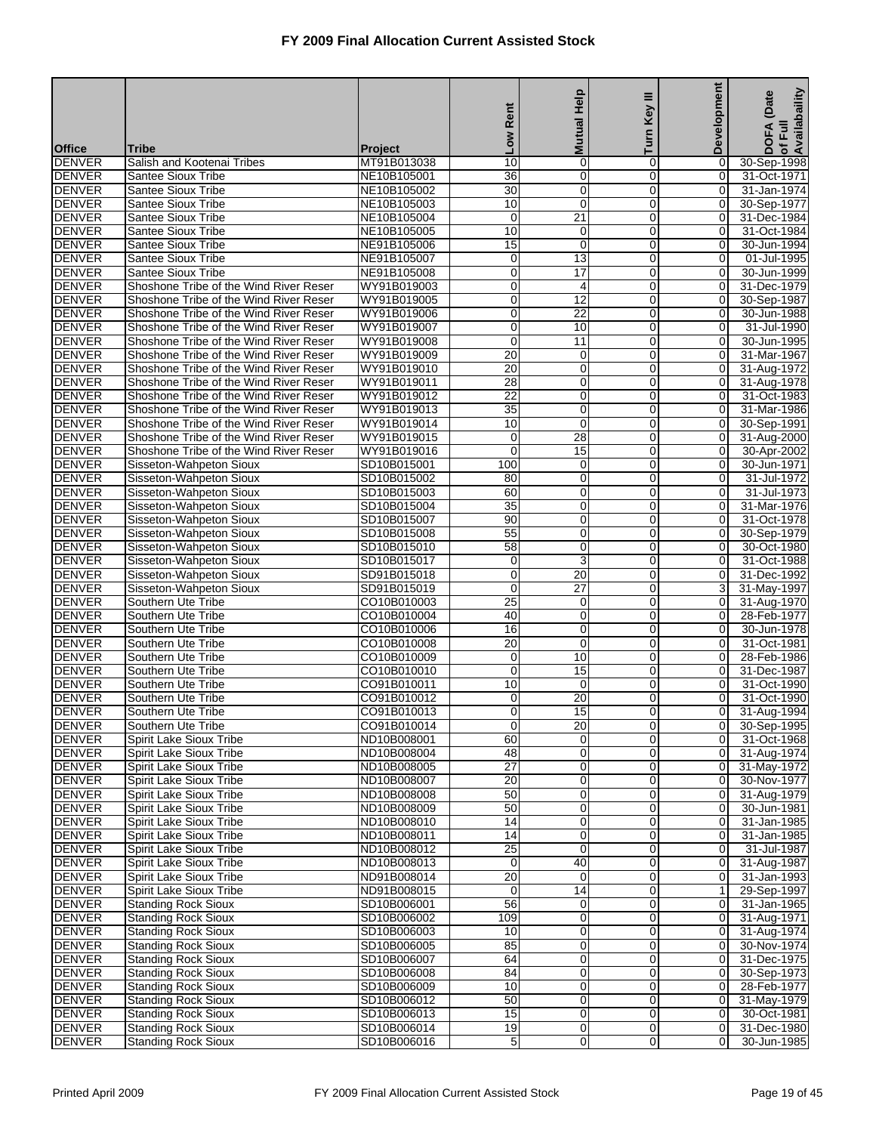|                                |                                                                                  |                            | Rent                  | <b>Mutual Help</b>                 | Ξ<br>Key I                    | Development                      | of Full<br>Availabaility<br>(Date |
|--------------------------------|----------------------------------------------------------------------------------|----------------------------|-----------------------|------------------------------------|-------------------------------|----------------------------------|-----------------------------------|
| <b>Office</b>                  | <b>Tribe</b>                                                                     | <b>Project</b>             | <b>Mo7</b>            |                                    | Turn                          |                                  | <b>DOFA</b>                       |
| <b>DENVER</b>                  | Salish and Kootenai Tribes                                                       | MT91B013038                | 10                    | $\mathbf 0$                        | $\overline{0}$                | 0                                | 30-Sep-1998                       |
| <b>DENVER</b>                  | <b>Santee Sioux Tribe</b>                                                        | NE10B105001                | 36                    | $\mathbf 0$                        | $\Omega$                      | 0                                | 31-Oct-1971                       |
| <b>DENVER</b>                  | <b>Santee Sioux Tribe</b>                                                        | NE10B105002                | 30                    | $\mathbf 0$                        | $\mathbf 0$                   | 0                                | 31-Jan-1974                       |
| <b>DENVER</b>                  | Santee Sioux Tribe                                                               | NE10B105003                | 10<br>0               | $\mathbf 0$<br>$\overline{21}$     | $\Omega$<br>0                 | 0                                | 30-Sep-1977                       |
| <b>DENVER</b><br><b>DENVER</b> | Santee Sioux Tribe<br>Santee Sioux Tribe                                         | NE10B105004<br>NE10B105005 | 10                    | $\mathbf 0$                        | $\overline{0}$                | 0<br>0                           | 31-Dec-1984<br>31-Oct-1984        |
| <b>DENVER</b>                  | <b>Santee Sioux Tribe</b>                                                        | NE91B105006                | 15                    | $\mathbf 0$                        | $\mathbf 0$                   | 0                                | 30-Jun-1994                       |
| <b>DENVER</b>                  | Santee Sioux Tribe                                                               | NE91B105007                | 0                     | 13                                 | $\mathbf 0$                   | 0                                | 01-Jul-1995                       |
| <b>DENVER</b>                  | <b>Santee Sioux Tribe</b>                                                        | NE91B105008                | 0                     | $\overline{17}$                    | $\Omega$                      | 0                                | 30-Jun-1999                       |
| <b>DENVER</b>                  | Shoshone Tribe of the Wind River Reser                                           | WY91B019003                | 0                     | 4                                  | 0                             | 0                                | 31-Dec-1979                       |
| <b>DENVER</b><br><b>DENVER</b> | Shoshone Tribe of the Wind River Reser<br>Shoshone Tribe of the Wind River Reser | WY91B019005<br>WY91B019006 | 0<br>0                | $\overline{12}$<br>$\overline{22}$ | $\overline{0}$<br>$\mathbf 0$ | 0<br>0                           | 30-Sep-1987<br>30-Jun-1988        |
| <b>DENVER</b>                  | Shoshone Tribe of the Wind River Reser                                           | WY91B019007                | 0                     | 10                                 | $\mathbf 0$                   | 0                                | 31-Jul-1990                       |
| <b>DENVER</b>                  | Shoshone Tribe of the Wind River Reser                                           | WY91B019008                | 0                     | $\overline{11}$                    | $\Omega$                      | 0                                | 30-Jun-1995                       |
| <b>DENVER</b>                  | Shoshone Tribe of the Wind River Reser                                           | WY91B019009                | $\overline{20}$       | $\mathbf 0$                        | 0                             | 0                                | 31-Mar-1967                       |
| <b>DENVER</b>                  | Shoshone Tribe of the Wind River Reser                                           | WY91B019010                | $\overline{20}$       | $\pmb{0}$                          | $\overline{0}$                | 0                                | 31-Aug-1972                       |
| <b>DENVER</b>                  | Shoshone Tribe of the Wind River Reser                                           | WY91B019011                | 28                    | $\mathbf 0$                        | 0                             | $\overline{0}$                   | 31-Aug-1978                       |
| <b>DENVER</b>                  | Shoshone Tribe of the Wind River Reser<br>Shoshone Tribe of the Wind River Reser | WY91B019012                | 22<br>$\overline{35}$ | $\mathbf 0$                        | $\mathbf 0$                   | $\mathbf 0$                      | 31-Oct-1983                       |
| <b>DENVER</b><br><b>DENVER</b> | Shoshone Tribe of the Wind River Reser                                           | WY91B019013<br>WY91B019014 | 10                    | $\mathbf 0$<br>$\mathbf 0$         | $\mathbf 0$<br>0              | 0<br>0                           | 31-Mar-1986<br>30-Sep-1991        |
| <b>DENVER</b>                  | Shoshone Tribe of the Wind River Reser                                           | WY91B019015                | 0                     | $\overline{28}$                    | $\overline{0}$                | 0                                | 31-Aug-2000                       |
| <b>DENVER</b>                  | Shoshone Tribe of the Wind River Reser                                           | WY91B019016                | $\Omega$              | 15                                 | 0                             | 0                                | 30-Apr-2002                       |
| <b>DENVER</b>                  | Sisseton-Wahpeton Sioux                                                          | SD10B015001                | 100                   | $\mathbf 0$                        | $\mathbf 0$                   | 0                                | 30-Jun-1971                       |
| <b>DENVER</b>                  | Sisseton-Wahpeton Sioux                                                          | SD10B015002                | $\overline{80}$       | $\mathbf 0$                        | $\mathbf 0$                   | 0                                | 31-Jul-1972                       |
| <b>DENVER</b>                  | Sisseton-Wahpeton Sioux                                                          | SD10B015003                | 60                    | $\mathbf 0$                        | 0                             | 0                                | 31-Jul-1973                       |
| <b>DENVER</b>                  | Sisseton-Wahpeton Sioux                                                          | SD10B015004                | $\overline{35}$       | $\boldsymbol{0}$                   | $\overline{0}$                | 0                                | 31-Mar-1976                       |
| <b>DENVER</b>                  | Sisseton-Wahpeton Sioux<br>Sisseton-Wahpeton Sioux                               | SD10B015007                | 90<br>55              | $\mathbf 0$<br>$\mathbf 0$         | $\mathbf 0$<br>$\mathbf 0$    | 0<br>0                           | 31-Oct-1978                       |
| <b>DENVER</b><br><b>DENVER</b> | Sisseton-Wahpeton Sioux                                                          | SD10B015008<br>SD10B015010 | $\overline{58}$       | $\mathbf 0$                        | $\Omega$                      | 0                                | 30-Sep-1979<br>30-Oct-1980        |
| <b>DENVER</b>                  | Sisseton-Wahpeton Sioux                                                          | SD10B015017                | 0                     | 3                                  | 0                             | 0                                | 31-Oct-1988                       |
| <b>DENVER</b>                  | Sisseton-Wahpeton Sioux                                                          | SD91B015018                | 0                     | $\overline{20}$                    | $\overline{0}$                | 0                                | 31-Dec-1992                       |
| <b>DENVER</b>                  | Sisseton-Wahpeton Sioux                                                          | SD91B015019                | 0                     | $\overline{27}$                    | $\mathbf 0$                   | 3                                | 31-May-1997                       |
| <b>DENVER</b>                  | Southern Ute Tribe                                                               | CO10B010003                | $\overline{25}$       | $\mathbf 0$                        | $\mathbf 0$                   | $\mathbf 0$                      | 31-Aug-1970                       |
| <b>DENVER</b>                  | Southern Ute Tribe                                                               | CO10B010004                | 40                    | $\mathbf 0$                        | $\Omega$                      | 0                                | 28-Feb-1977                       |
| <b>DENVER</b><br><b>DENVER</b> | Southern Ute Tribe<br>Southern Ute Tribe                                         | CO10B010006<br>CO10B010008 | 16<br>$\overline{20}$ | $\mathbf 0$<br>$\mathbf 0$         | 0<br>$\overline{0}$           | 0<br>0                           | 30-Jun-1978<br>31-Oct-1981        |
| <b>DENVER</b>                  | Southern Ute Tribe                                                               | CO10B010009                | 0                     | 10                                 | 0                             | 0                                | 28-Feb-1986                       |
| <b>DENVER</b>                  | Southern Ute Tribe                                                               | CO10B010010                | 0                     | 15                                 | $\mathbf 0$                   | 0                                | 31-Dec-1987                       |
| <b>DENVER</b>                  | Southern Ute Tribe                                                               | CO91B010011                | 10                    | $\mathbf 0$                        | $\Omega$                      | $\Omega$                         | 31-Oct-1990                       |
| <b>DENVER</b>                  | Southern Ute Tribe                                                               | CO91B010012                | 0                     | $\overline{20}$                    | 0                             | 0                                | 31-Oct-1990                       |
| <b>DENVER</b>                  | Southern Ute Tribe                                                               | CO91B010013                | 0                     | $\overline{15}$                    | $\overline{0}$                | $\overline{O}$                   | 31-Aug-1994                       |
| <b>DENVER</b>                  | Southern Ute Tribe                                                               | CO91B010014                | $\overline{0}$        | 20                                 | $\overline{0}$                | 01                               | 30-Sep-1995                       |
| <b>DENVER</b><br><b>DENVER</b> | Spirit Lake Sioux Tribe<br>Spirit Lake Sioux Tribe                               | ND10B008001<br>ND10B008004 | 60<br>48              | $\mathbf 0$<br>$\mathbf 0$         | $\overline{0}$<br>$\mathbf 0$ | $\overline{0}$<br>$\overline{0}$ | 31-Oct-1968<br>31-Aug-1974        |
| <b>DENVER</b>                  | <b>Spirit Lake Sioux Tribe</b>                                                   | ND10B008005                | $\overline{27}$       | $\mathbf 0$                        | 0                             | 0                                | 31-May-1972                       |
| <b>DENVER</b>                  | Spirit Lake Sioux Tribe                                                          | ND10B008007                | 20                    | $\pmb{0}$                          | $\mathbf 0$                   | $\overline{0}$                   | 30-Nov-1977                       |
| <b>DENVER</b>                  | Spirit Lake Sioux Tribe                                                          | ND10B008008                | 50                    | $\mathbf 0$                        | $\mathbf 0$                   | $\overline{0}$                   | 31-Aug-1979                       |
| <b>DENVER</b>                  | <b>Spirit Lake Sioux Tribe</b>                                                   | ND10B008009                | 50                    | $\mathbf 0$                        | $\mathbf 0$                   | $\mathbf 0$                      | 30-Jun-1981                       |
| <b>DENVER</b>                  | Spirit Lake Sioux Tribe                                                          | ND10B008010                | 14                    | $\mathbf 0$                        | $\mathbf 0$                   | $\mathbf 0$                      | 31-Jan-1985                       |
| <b>DENVER</b>                  | Spirit Lake Sioux Tribe                                                          | ND10B008011                | 14                    | $\mathbf 0$                        | 0                             | $\overline{0}$                   | 31-Jan-1985                       |
| <b>DENVER</b><br><b>DENVER</b> | Spirit Lake Sioux Tribe<br><b>Spirit Lake Sioux Tribe</b>                        | ND10B008012<br>ND10B008013 | 25<br>0               | $\mathbf 0$<br>40                  | $\mathbf 0$<br>$\mathbf 0$    | $\overline{0}$<br>$\Omega$       | 31-Jul-1987<br>31-Aug-1987        |
| <b>DENVER</b>                  | <b>Spirit Lake Sioux Tribe</b>                                                   | ND91B008014                | 20                    | 0                                  | $\mathbf 0$                   | $\mathbf 0$                      | 31-Jan-1993                       |
| <b>DENVER</b>                  | Spirit Lake Sioux Tribe                                                          | ND91B008015                | 0                     | $\overline{14}$                    | $\mathbf 0$                   | 1                                | 29-Sep-1997                       |
| <b>DENVER</b>                  | <b>Standing Rock Sioux</b>                                                       | SD10B006001                | 56                    | $\mathbf 0$                        | 0                             | $\overline{0}$                   | 31-Jan-1965                       |
| <b>DENVER</b>                  | <b>Standing Rock Sioux</b>                                                       | SD10B006002                | 109                   | $\pmb{0}$                          | $\mathbf 0$                   | $\overline{0}$                   | 31-Aug-1971                       |
| <b>DENVER</b>                  | <b>Standing Rock Sioux</b>                                                       | SD10B006003                | 10                    | $\mathbf 0$                        | $\mathbf 0$                   | $\overline{0}$                   | 31-Aug-1974                       |
| <b>DENVER</b>                  | <b>Standing Rock Sioux</b>                                                       | SD10B006005                | 85                    | $\mathbf 0$                        | $\mathbf 0$                   | $\overline{0}$                   | 30-Nov-1974                       |
| <b>DENVER</b><br><b>DENVER</b> | <b>Standing Rock Sioux</b><br><b>Standing Rock Sioux</b>                         | SD10B006007<br>SD10B006008 | 64<br>84              | $\mathbf 0$<br>$\pmb{0}$           | 0<br>0                        | $\mathbf 0$<br>$\Omega$          | 31-Dec-1975<br>30-Sep-1973        |
| <b>DENVER</b>                  | <b>Standing Rock Sioux</b>                                                       | SD10B006009                | 10                    | $\pmb{0}$                          | $\mathbf 0$                   | $\overline{0}$                   | 28-Feb-1977                       |
| <b>DENVER</b>                  | <b>Standing Rock Sioux</b>                                                       | SD10B006012                | 50                    | $\mathbf 0$                        | $\mathbf 0$                   | $\overline{O}$                   | 31-May-1979                       |
| <b>DENVER</b>                  | <b>Standing Rock Sioux</b>                                                       | SD10B006013                | 15                    | $\mathbf 0$                        | $\mathbf 0$                   | $\overline{0}$                   | 30-Oct-1981                       |
| <b>DENVER</b>                  | <b>Standing Rock Sioux</b>                                                       | SD10B006014                | 19                    | $\mathbf 0$                        | $\mathbf 0$                   | $\overline{O}$                   | 31-Dec-1980                       |
| <b>DENVER</b>                  | <b>Standing Rock Sioux</b>                                                       | SD10B006016                | 5                     | $\mathbf 0$                        | $\overline{0}$                | 0                                | 30-Jun-1985                       |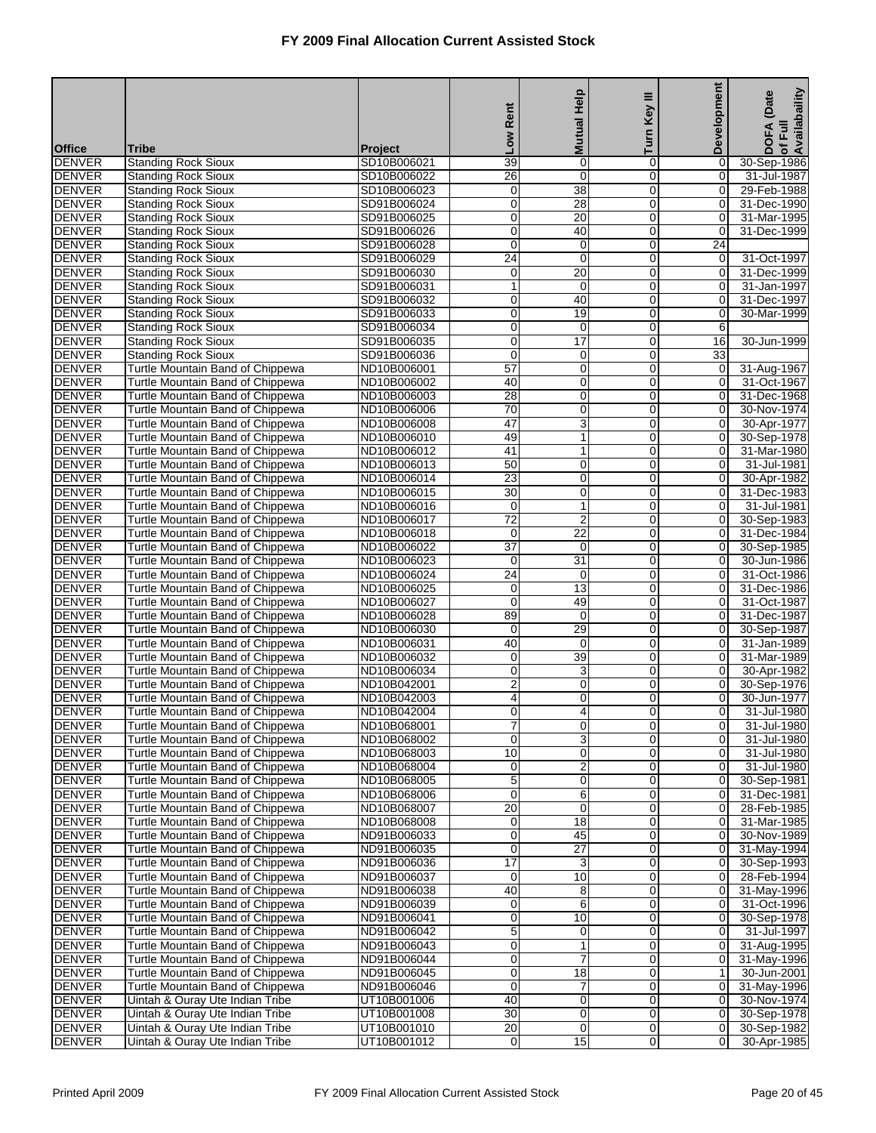| Turn<br><b>Mo7</b><br><b>Office</b><br>Tribe<br><b>Project</b><br>$\overline{39}$<br>$\mathbf 0$<br><b>DENVER</b><br><b>Standing Rock Sioux</b><br>SD10B006021<br>0<br>30-Sep-1986<br>0<br><b>DENVER</b><br><b>Standing Rock Sioux</b><br>26<br>0<br>0<br>$\mathbf 0$<br>31-Jul-1987<br>SD10B006022<br><b>DENVER</b><br>$\mathbf 0$<br>38<br>0<br>0<br>29-Feb-1988<br><b>Standing Rock Sioux</b><br>SD10B006023<br>$\overline{28}$<br>31-Dec-1990<br><b>DENVER</b><br><b>Standing Rock Sioux</b><br>SD91B006024<br>0<br>0<br>0<br><b>DENVER</b><br><b>Standing Rock Sioux</b><br>0<br>$\overline{20}$<br>0<br>0<br>31-Mar-1995<br>SD91B006025<br><b>DENVER</b><br>40<br>$\pmb{0}$<br>31-Dec-1999<br><b>Standing Rock Sioux</b><br>0<br>0<br>SD91B006026<br><b>DENVER</b><br><b>Standing Rock Sioux</b><br>0<br>0<br>0<br>24<br>SD91B006028<br>$\mathbf 0$<br><b>DENVER</b><br><b>Standing Rock Sioux</b><br>24<br>0<br>31-Oct-1997<br>SD91B006029<br>$\overline{0}$<br>$\overline{20}$<br>$\mathbf 0$<br><b>DENVER</b><br><b>Standing Rock Sioux</b><br>SD91B006030<br>0<br>$\mathbf 0$<br>31-Dec-1999<br><b>DENVER</b><br><b>Standing Rock Sioux</b><br>1<br>$\mathbf 0$<br>0<br>$\overline{0}$<br>31-Jan-1997<br>SD91B006031<br><b>DENVER</b><br>40<br>$\pmb{0}$<br><b>Standing Rock Sioux</b><br>0<br>0<br>31-Dec-1997<br>SD91B006032<br>19<br>30-Mar-1999<br><b>DENVER</b><br><b>Standing Rock Sioux</b><br>0<br>0<br>0<br>SD91B006033<br>$\mathbf 0$<br><b>DENVER</b><br><b>Standing Rock Sioux</b><br>$\mathbf 0$<br>0<br>6<br>SD91B006034<br>$\overline{17}$<br><b>DENVER</b><br>$\mathbf 0$<br>$\mathbf 0$<br><b>Standing Rock Sioux</b><br>SD91B006035<br>16<br>30-Jun-1999<br><b>DENVER</b><br><b>Standing Rock Sioux</b><br>0<br>0<br>0<br>33<br>SD91B006036<br>57<br><b>DENVER</b><br>$\mathbf 0$<br>$\pmb{0}$<br>Turtle Mountain Band of Chippewa<br>$\overline{0}$<br>31-Aug-1967<br>ND10B006001<br><b>DENVER</b><br>40<br>0<br>0<br>$\overline{0}$<br>Turtle Mountain Band of Chippewa<br>ND10B006002<br>31-Oct-1967<br>$\overline{28}$<br>0<br><b>DENVER</b><br>0<br>$\overline{0}$<br>Turtle Mountain Band of Chippewa<br>ND10B006003<br>31-Dec-1968<br><b>DENVER</b><br>$\overline{70}$<br>0<br>$\mathbf 0$<br>$\mathbf 0$<br>30-Nov-1974<br>Turtle Mountain Band of Chippewa<br>ND10B006006<br><b>DENVER</b><br>47<br>3<br>0<br>$\overline{0}$<br>30-Apr-1977<br>Turtle Mountain Band of Chippewa<br>ND10B006008<br><b>DENVER</b><br>49<br>Turtle Mountain Band of Chippewa<br>1<br>0<br>$\overline{0}$<br>30-Sep-1978<br>ND10B006010<br><b>DENVER</b><br>41<br>0<br>0<br>Turtle Mountain Band of Chippewa<br>ND10B006012<br>1<br>31-Mar-1980<br>50<br><b>DENVER</b><br>0<br>0<br>$\mathbf 0$<br>31-Jul-1981<br>Turtle Mountain Band of Chippewa<br>ND10B006013<br><b>DENVER</b><br>$\overline{23}$<br>0<br>Turtle Mountain Band of Chippewa<br>ND10B006014<br>0<br>$\overline{O}$<br>30-Apr-1982<br><b>DENVER</b><br>30<br>0<br>0<br>$\overline{0}$<br>31-Dec-1983<br>Turtle Mountain Band of Chippewa<br>ND10B006015<br><b>DENVER</b><br>Turtle Mountain Band of Chippewa<br>0<br>1<br>0<br>0<br>31-Jul-1981<br>ND10B006016<br>72<br>$\overline{2}$<br><b>DENVER</b><br>0<br>$\overline{0}$<br>30-Sep-1983<br>Turtle Mountain Band of Chippewa<br>ND10B006017<br><b>DENVER</b><br>$\mathbf 0$<br>22<br>0<br>0<br>31-Dec-1984<br>Turtle Mountain Band of Chippewa<br>ND10B006018<br>$\overline{37}$<br>$\mathbf 0$<br><b>DENVER</b><br>Turtle Mountain Band of Chippewa<br>ND10B006022<br>$\mathbf 0$<br>0<br>30-Sep-1985<br>31<br><b>DENVER</b><br>0<br>0<br>$\overline{0}$<br>30-Jun-1986<br>Turtle Mountain Band of Chippewa<br>ND10B006023<br><b>DENVER</b><br>$\overline{24}$<br>$\pmb{0}$<br>$\mathbf 0$<br>0<br>31-Oct-1986<br>Turtle Mountain Band of Chippewa<br>ND10B006024<br>13<br><b>DENVER</b><br>0<br>0<br>$\overline{0}$<br>31-Dec-1986<br>Turtle Mountain Band of Chippewa<br>ND10B006025<br>$\mathbf 0$<br><b>DENVER</b><br>49<br>0<br>$\mathbf 0$<br>31-Oct-1987<br>Turtle Mountain Band of Chippewa<br>ND10B006027<br><b>DENVER</b><br>89<br>$\mathbf 0$<br>$\mathbf 0$<br>$\mathbf 0$<br>Turtle Mountain Band of Chippewa<br>ND10B006028<br>31-Dec-1987<br>29<br><b>DENVER</b><br>$\mathbf 0$<br>0<br>$\overline{0}$<br>30-Sep-1987<br>Turtle Mountain Band of Chippewa<br>ND10B006030<br><b>DENVER</b><br>40<br>$\mathbf 0$<br>0<br>0<br>31-Jan-1989<br>Turtle Mountain Band of Chippewa<br>ND10B006031<br><b>DENVER</b><br>0<br>39<br>0<br>$\overline{O}$<br>31-Mar-1989<br>Turtle Mountain Band of Chippewa<br>ND10B006032<br><b>DENVER</b><br>0<br>3<br>0<br>$\mathbf 0$<br>30-Apr-1982<br>Turtle Mountain Band of Chippewa<br>ND10B006034<br><b>DENVER</b><br>$\overline{2}$<br>$\mathbf 0$<br>$\mathbf 0$<br>Turtle Mountain Band of Chippewa<br>ND10B042001<br>$\mathbf 0$<br>30-Sep-1976<br><b>DENVER</b><br>ND10B042003<br>4<br>0<br>$\mathbf 0$<br>0<br>30-Jun-1977<br>Turtle Mountain Band of Chippewa<br>0<br>4<br>$\mathbf{0}$<br><b>DENVER</b><br>Turtle Mountain Band of Chippewa<br>ND10B042004<br>$\mathbf 0$<br>31-Jul-1980<br><b>DENVER</b><br>Turtle Mountain Band of Chippewa<br>ND10B068001<br>7<br>$\overline{0}$<br>$\mathbf 0$<br>$\overline{0}$<br>31-Jul-1980<br>$\boldsymbol{0}$<br>3<br>0<br><b>DENVER</b><br>$\overline{0}$<br>Turtle Mountain Band of Chippewa<br>ND10B068002<br>31-Jul-1980<br>$\overline{10}$<br>0<br><b>DENVER</b><br>Turtle Mountain Band of Chippewa<br>0<br>$\overline{0}$<br>31-Jul-1980<br>ND10B068003<br><b>DENVER</b><br>Turtle Mountain Band of Chippewa<br>0<br>2<br>0<br>31-Jul-1980<br>ND10B068004<br>0<br>5<br>$\mathbf 0$<br>$\pmb{0}$<br><b>DENVER</b><br>Turtle Mountain Band of Chippewa<br>30-Sep-1981<br>ND10B068005<br>0<br><b>DENVER</b><br>Turtle Mountain Band of Chippewa<br>0<br>6<br>0<br>$\overline{0}$<br>31-Dec-1981<br>ND10B068006<br><b>DENVER</b><br>20<br>$\mathbf 0$<br>0<br>Turtle Mountain Band of Chippewa<br>ND10B068007<br>$\overline{0}$<br>28-Feb-1985<br>18<br>$\mathbf 0$<br><b>DENVER</b><br>Turtle Mountain Band of Chippewa<br>ND10B068008<br>0<br>$\mathbf 0$<br>31-Mar-1985<br><b>DENVER</b><br>0<br>45<br>0<br>$\overline{0}$<br>30-Nov-1989<br>Turtle Mountain Band of Chippewa<br>ND91B006033<br>0<br>$\pmb{0}$<br><b>DENVER</b><br>Turtle Mountain Band of Chippewa<br>27<br>31-May-1994<br>ND91B006035<br>0<br>$\overline{17}$<br><b>DENVER</b><br>Turtle Mountain Band of Chippewa<br>3<br>0<br>$\overline{0}$<br>30-Sep-1993<br>ND91B006036<br>0<br><b>DENVER</b><br>0<br>10<br>$\overline{0}$<br>28-Feb-1994<br>Turtle Mountain Band of Chippewa<br>ND91B006037<br>40<br>$\mathbf 0$<br><b>DENVER</b><br>Turtle Mountain Band of Chippewa<br>ND91B006038<br>8<br>$\mathbf 0$<br>31-May-1996<br><b>DENVER</b><br>0<br>6<br>0<br>Turtle Mountain Band of Chippewa<br>ND91B006039<br>0<br>31-Oct-1996<br>$\pmb{0}$<br><b>DENVER</b><br>Turtle Mountain Band of Chippewa<br>0<br>10<br>30-Sep-1978<br>ND91B006041<br>0<br><b>DENVER</b><br>5<br>0<br>$\overline{0}$<br>31-Jul-1997<br>Turtle Mountain Band of Chippewa<br>ND91B006042<br>0<br><b>DENVER</b><br>0<br>1<br>0<br>31-Aug-1995<br>Turtle Mountain Band of Chippewa<br>ND91B006043<br>0<br>7<br><b>DENVER</b><br>Turtle Mountain Band of Chippewa<br>ND91B006044<br>0<br>0<br>$\overline{O}$<br>31-May-1996<br><b>DENVER</b><br>0<br>18<br>0<br>1<br>30-Jun-2001<br>Turtle Mountain Band of Chippewa<br>ND91B006045<br>$\mathbf 0$<br><b>DENVER</b><br>Turtle Mountain Band of Chippewa<br>7<br>0<br>31-May-1996<br>ND91B006046<br>0<br>40<br><b>DENVER</b><br>0<br>0<br>$\overline{0}$<br>30-Nov-1974<br>Uintah & Ouray Ute Indian Tribe<br>UT10B001006<br><b>DENVER</b><br>30<br>$\mathbf 0$<br>0<br>30-Sep-1978<br>Uintah & Ouray Ute Indian Tribe<br>UT10B001008<br>$\overline{0}$<br>20<br>$\mathbf 0$<br><b>DENVER</b><br>Uintah & Ouray Ute Indian Tribe<br>UT10B001010<br>$\mathbf 0$<br>$\overline{O}$<br>30-Sep-1982<br><b>DENVER</b><br>Uintah & Ouray Ute Indian Tribe<br>UT10B001012<br>$\pmb{0}$<br>15<br>0<br>$\overline{0}$<br>30-Apr-1985 |  | Rent | <b>Mutual Help</b> | Key III | Development | of Full<br>Availabaility<br>(Date<br><b>DOFA</b> |
|--------------------------------------------------------------------------------------------------------------------------------------------------------------------------------------------------------------------------------------------------------------------------------------------------------------------------------------------------------------------------------------------------------------------------------------------------------------------------------------------------------------------------------------------------------------------------------------------------------------------------------------------------------------------------------------------------------------------------------------------------------------------------------------------------------------------------------------------------------------------------------------------------------------------------------------------------------------------------------------------------------------------------------------------------------------------------------------------------------------------------------------------------------------------------------------------------------------------------------------------------------------------------------------------------------------------------------------------------------------------------------------------------------------------------------------------------------------------------------------------------------------------------------------------------------------------------------------------------------------------------------------------------------------------------------------------------------------------------------------------------------------------------------------------------------------------------------------------------------------------------------------------------------------------------------------------------------------------------------------------------------------------------------------------------------------------------------------------------------------------------------------------------------------------------------------------------------------------------------------------------------------------------------------------------------------------------------------------------------------------------------------------------------------------------------------------------------------------------------------------------------------------------------------------------------------------------------------------------------------------------------------------------------------------------------------------------------------------------------------------------------------------------------------------------------------------------------------------------------------------------------------------------------------------------------------------------------------------------------------------------------------------------------------------------------------------------------------------------------------------------------------------------------------------------------------------------------------------------------------------------------------------------------------------------------------------------------------------------------------------------------------------------------------------------------------------------------------------------------------------------------------------------------------------------------------------------------------------------------------------------------------------------------------------------------------------------------------------------------------------------------------------------------------------------------------------------------------------------------------------------------------------------------------------------------------------------------------------------------------------------------------------------------------------------------------------------------------------------------------------------------------------------------------------------------------------------------------------------------------------------------------------------------------------------------------------------------------------------------------------------------------------------------------------------------------------------------------------------------------------------------------------------------------------------------------------------------------------------------------------------------------------------------------------------------------------------------------------------------------------------------------------------------------------------------------------------------------------------------------------------------------------------------------------------------------------------------------------------------------------------------------------------------------------------------------------------------------------------------------------------------------------------------------------------------------------------------------------------------------------------------------------------------------------------------------------------------------------------------------------------------------------------------------------------------------------------------------------------------------------------------------------------------------------------------------------------------------------------------------------------------------------------------------------------------------------------------------------------------------------------------------------------------------------------------------------------------------------------------------------------------------------------------------------------------------------------------------------------------------------------------------------------------------------------------------------------------------------------------------------------------------------------------------------------------------------------------------------------------------------------------------------------------------------------------------------------------------------------------------------------------------------------------------------------------------------------------------------------------------------------------------------------------------------------------------------------------------------------------------------------------------------------------------------------------------------------------------------------------------------------------------------------------------------------------------------------------------------------------------------------------------------------------------------------------------------------------------------------------------------------------------------------------------------------------------------------------------------------------------------------------------------------------------------------------------------------------------------------------------------------------------------------------------------------------------------------------------------------------------------------------------------------------------------------------------------------------------------------------------------------------------------------------------------------------------------------------------------------------------------------------------------------------------------------------------------------------------------------------------------------------------------------------------------------------------------------------------------------------------------------------------------------------------------------------------------------------------------------------------------------------------------------------------------------------------------|--|------|--------------------|---------|-------------|--------------------------------------------------|
|                                                                                                                                                                                                                                                                                                                                                                                                                                                                                                                                                                                                                                                                                                                                                                                                                                                                                                                                                                                                                                                                                                                                                                                                                                                                                                                                                                                                                                                                                                                                                                                                                                                                                                                                                                                                                                                                                                                                                                                                                                                                                                                                                                                                                                                                                                                                                                                                                                                                                                                                                                                                                                                                                                                                                                                                                                                                                                                                                                                                                                                                                                                                                                                                                                                                                                                                                                                                                                                                                                                                                                                                                                                                                                                                                                                                                                                                                                                                                                                                                                                                                                                                                                                                                                                                                                                                                                                                                                                                                                                                                                                                                                                                                                                                                                                                                                                                                                                                                                                                                                                                                                                                                                                                                                                                                                                                                                                                                                                                                                                                                                                                                                                                                                                                                                                                                                                                                                                                                                                                                                                                                                                                                                                                                                                                                                                                                                                                                                                                                                                                                                                                                                                                                                                                                                                                                                                                                                                                                                                                                                                                                                                                                                                                                                                                                                                                                                                                                                                                                                                                                                                                                                                                                                                                                                                                                                                                                                                                                                                                                                                                    |  |      |                    |         |             |                                                  |
|                                                                                                                                                                                                                                                                                                                                                                                                                                                                                                                                                                                                                                                                                                                                                                                                                                                                                                                                                                                                                                                                                                                                                                                                                                                                                                                                                                                                                                                                                                                                                                                                                                                                                                                                                                                                                                                                                                                                                                                                                                                                                                                                                                                                                                                                                                                                                                                                                                                                                                                                                                                                                                                                                                                                                                                                                                                                                                                                                                                                                                                                                                                                                                                                                                                                                                                                                                                                                                                                                                                                                                                                                                                                                                                                                                                                                                                                                                                                                                                                                                                                                                                                                                                                                                                                                                                                                                                                                                                                                                                                                                                                                                                                                                                                                                                                                                                                                                                                                                                                                                                                                                                                                                                                                                                                                                                                                                                                                                                                                                                                                                                                                                                                                                                                                                                                                                                                                                                                                                                                                                                                                                                                                                                                                                                                                                                                                                                                                                                                                                                                                                                                                                                                                                                                                                                                                                                                                                                                                                                                                                                                                                                                                                                                                                                                                                                                                                                                                                                                                                                                                                                                                                                                                                                                                                                                                                                                                                                                                                                                                                                                    |  |      |                    |         |             |                                                  |
|                                                                                                                                                                                                                                                                                                                                                                                                                                                                                                                                                                                                                                                                                                                                                                                                                                                                                                                                                                                                                                                                                                                                                                                                                                                                                                                                                                                                                                                                                                                                                                                                                                                                                                                                                                                                                                                                                                                                                                                                                                                                                                                                                                                                                                                                                                                                                                                                                                                                                                                                                                                                                                                                                                                                                                                                                                                                                                                                                                                                                                                                                                                                                                                                                                                                                                                                                                                                                                                                                                                                                                                                                                                                                                                                                                                                                                                                                                                                                                                                                                                                                                                                                                                                                                                                                                                                                                                                                                                                                                                                                                                                                                                                                                                                                                                                                                                                                                                                                                                                                                                                                                                                                                                                                                                                                                                                                                                                                                                                                                                                                                                                                                                                                                                                                                                                                                                                                                                                                                                                                                                                                                                                                                                                                                                                                                                                                                                                                                                                                                                                                                                                                                                                                                                                                                                                                                                                                                                                                                                                                                                                                                                                                                                                                                                                                                                                                                                                                                                                                                                                                                                                                                                                                                                                                                                                                                                                                                                                                                                                                                                                    |  |      |                    |         |             |                                                  |
|                                                                                                                                                                                                                                                                                                                                                                                                                                                                                                                                                                                                                                                                                                                                                                                                                                                                                                                                                                                                                                                                                                                                                                                                                                                                                                                                                                                                                                                                                                                                                                                                                                                                                                                                                                                                                                                                                                                                                                                                                                                                                                                                                                                                                                                                                                                                                                                                                                                                                                                                                                                                                                                                                                                                                                                                                                                                                                                                                                                                                                                                                                                                                                                                                                                                                                                                                                                                                                                                                                                                                                                                                                                                                                                                                                                                                                                                                                                                                                                                                                                                                                                                                                                                                                                                                                                                                                                                                                                                                                                                                                                                                                                                                                                                                                                                                                                                                                                                                                                                                                                                                                                                                                                                                                                                                                                                                                                                                                                                                                                                                                                                                                                                                                                                                                                                                                                                                                                                                                                                                                                                                                                                                                                                                                                                                                                                                                                                                                                                                                                                                                                                                                                                                                                                                                                                                                                                                                                                                                                                                                                                                                                                                                                                                                                                                                                                                                                                                                                                                                                                                                                                                                                                                                                                                                                                                                                                                                                                                                                                                                                                    |  |      |                    |         |             |                                                  |
|                                                                                                                                                                                                                                                                                                                                                                                                                                                                                                                                                                                                                                                                                                                                                                                                                                                                                                                                                                                                                                                                                                                                                                                                                                                                                                                                                                                                                                                                                                                                                                                                                                                                                                                                                                                                                                                                                                                                                                                                                                                                                                                                                                                                                                                                                                                                                                                                                                                                                                                                                                                                                                                                                                                                                                                                                                                                                                                                                                                                                                                                                                                                                                                                                                                                                                                                                                                                                                                                                                                                                                                                                                                                                                                                                                                                                                                                                                                                                                                                                                                                                                                                                                                                                                                                                                                                                                                                                                                                                                                                                                                                                                                                                                                                                                                                                                                                                                                                                                                                                                                                                                                                                                                                                                                                                                                                                                                                                                                                                                                                                                                                                                                                                                                                                                                                                                                                                                                                                                                                                                                                                                                                                                                                                                                                                                                                                                                                                                                                                                                                                                                                                                                                                                                                                                                                                                                                                                                                                                                                                                                                                                                                                                                                                                                                                                                                                                                                                                                                                                                                                                                                                                                                                                                                                                                                                                                                                                                                                                                                                                                                    |  |      |                    |         |             |                                                  |
|                                                                                                                                                                                                                                                                                                                                                                                                                                                                                                                                                                                                                                                                                                                                                                                                                                                                                                                                                                                                                                                                                                                                                                                                                                                                                                                                                                                                                                                                                                                                                                                                                                                                                                                                                                                                                                                                                                                                                                                                                                                                                                                                                                                                                                                                                                                                                                                                                                                                                                                                                                                                                                                                                                                                                                                                                                                                                                                                                                                                                                                                                                                                                                                                                                                                                                                                                                                                                                                                                                                                                                                                                                                                                                                                                                                                                                                                                                                                                                                                                                                                                                                                                                                                                                                                                                                                                                                                                                                                                                                                                                                                                                                                                                                                                                                                                                                                                                                                                                                                                                                                                                                                                                                                                                                                                                                                                                                                                                                                                                                                                                                                                                                                                                                                                                                                                                                                                                                                                                                                                                                                                                                                                                                                                                                                                                                                                                                                                                                                                                                                                                                                                                                                                                                                                                                                                                                                                                                                                                                                                                                                                                                                                                                                                                                                                                                                                                                                                                                                                                                                                                                                                                                                                                                                                                                                                                                                                                                                                                                                                                                                    |  |      |                    |         |             |                                                  |
|                                                                                                                                                                                                                                                                                                                                                                                                                                                                                                                                                                                                                                                                                                                                                                                                                                                                                                                                                                                                                                                                                                                                                                                                                                                                                                                                                                                                                                                                                                                                                                                                                                                                                                                                                                                                                                                                                                                                                                                                                                                                                                                                                                                                                                                                                                                                                                                                                                                                                                                                                                                                                                                                                                                                                                                                                                                                                                                                                                                                                                                                                                                                                                                                                                                                                                                                                                                                                                                                                                                                                                                                                                                                                                                                                                                                                                                                                                                                                                                                                                                                                                                                                                                                                                                                                                                                                                                                                                                                                                                                                                                                                                                                                                                                                                                                                                                                                                                                                                                                                                                                                                                                                                                                                                                                                                                                                                                                                                                                                                                                                                                                                                                                                                                                                                                                                                                                                                                                                                                                                                                                                                                                                                                                                                                                                                                                                                                                                                                                                                                                                                                                                                                                                                                                                                                                                                                                                                                                                                                                                                                                                                                                                                                                                                                                                                                                                                                                                                                                                                                                                                                                                                                                                                                                                                                                                                                                                                                                                                                                                                                                    |  |      |                    |         |             |                                                  |
|                                                                                                                                                                                                                                                                                                                                                                                                                                                                                                                                                                                                                                                                                                                                                                                                                                                                                                                                                                                                                                                                                                                                                                                                                                                                                                                                                                                                                                                                                                                                                                                                                                                                                                                                                                                                                                                                                                                                                                                                                                                                                                                                                                                                                                                                                                                                                                                                                                                                                                                                                                                                                                                                                                                                                                                                                                                                                                                                                                                                                                                                                                                                                                                                                                                                                                                                                                                                                                                                                                                                                                                                                                                                                                                                                                                                                                                                                                                                                                                                                                                                                                                                                                                                                                                                                                                                                                                                                                                                                                                                                                                                                                                                                                                                                                                                                                                                                                                                                                                                                                                                                                                                                                                                                                                                                                                                                                                                                                                                                                                                                                                                                                                                                                                                                                                                                                                                                                                                                                                                                                                                                                                                                                                                                                                                                                                                                                                                                                                                                                                                                                                                                                                                                                                                                                                                                                                                                                                                                                                                                                                                                                                                                                                                                                                                                                                                                                                                                                                                                                                                                                                                                                                                                                                                                                                                                                                                                                                                                                                                                                                                    |  |      |                    |         |             |                                                  |
|                                                                                                                                                                                                                                                                                                                                                                                                                                                                                                                                                                                                                                                                                                                                                                                                                                                                                                                                                                                                                                                                                                                                                                                                                                                                                                                                                                                                                                                                                                                                                                                                                                                                                                                                                                                                                                                                                                                                                                                                                                                                                                                                                                                                                                                                                                                                                                                                                                                                                                                                                                                                                                                                                                                                                                                                                                                                                                                                                                                                                                                                                                                                                                                                                                                                                                                                                                                                                                                                                                                                                                                                                                                                                                                                                                                                                                                                                                                                                                                                                                                                                                                                                                                                                                                                                                                                                                                                                                                                                                                                                                                                                                                                                                                                                                                                                                                                                                                                                                                                                                                                                                                                                                                                                                                                                                                                                                                                                                                                                                                                                                                                                                                                                                                                                                                                                                                                                                                                                                                                                                                                                                                                                                                                                                                                                                                                                                                                                                                                                                                                                                                                                                                                                                                                                                                                                                                                                                                                                                                                                                                                                                                                                                                                                                                                                                                                                                                                                                                                                                                                                                                                                                                                                                                                                                                                                                                                                                                                                                                                                                                                    |  |      |                    |         |             |                                                  |
|                                                                                                                                                                                                                                                                                                                                                                                                                                                                                                                                                                                                                                                                                                                                                                                                                                                                                                                                                                                                                                                                                                                                                                                                                                                                                                                                                                                                                                                                                                                                                                                                                                                                                                                                                                                                                                                                                                                                                                                                                                                                                                                                                                                                                                                                                                                                                                                                                                                                                                                                                                                                                                                                                                                                                                                                                                                                                                                                                                                                                                                                                                                                                                                                                                                                                                                                                                                                                                                                                                                                                                                                                                                                                                                                                                                                                                                                                                                                                                                                                                                                                                                                                                                                                                                                                                                                                                                                                                                                                                                                                                                                                                                                                                                                                                                                                                                                                                                                                                                                                                                                                                                                                                                                                                                                                                                                                                                                                                                                                                                                                                                                                                                                                                                                                                                                                                                                                                                                                                                                                                                                                                                                                                                                                                                                                                                                                                                                                                                                                                                                                                                                                                                                                                                                                                                                                                                                                                                                                                                                                                                                                                                                                                                                                                                                                                                                                                                                                                                                                                                                                                                                                                                                                                                                                                                                                                                                                                                                                                                                                                                                    |  |      |                    |         |             |                                                  |
|                                                                                                                                                                                                                                                                                                                                                                                                                                                                                                                                                                                                                                                                                                                                                                                                                                                                                                                                                                                                                                                                                                                                                                                                                                                                                                                                                                                                                                                                                                                                                                                                                                                                                                                                                                                                                                                                                                                                                                                                                                                                                                                                                                                                                                                                                                                                                                                                                                                                                                                                                                                                                                                                                                                                                                                                                                                                                                                                                                                                                                                                                                                                                                                                                                                                                                                                                                                                                                                                                                                                                                                                                                                                                                                                                                                                                                                                                                                                                                                                                                                                                                                                                                                                                                                                                                                                                                                                                                                                                                                                                                                                                                                                                                                                                                                                                                                                                                                                                                                                                                                                                                                                                                                                                                                                                                                                                                                                                                                                                                                                                                                                                                                                                                                                                                                                                                                                                                                                                                                                                                                                                                                                                                                                                                                                                                                                                                                                                                                                                                                                                                                                                                                                                                                                                                                                                                                                                                                                                                                                                                                                                                                                                                                                                                                                                                                                                                                                                                                                                                                                                                                                                                                                                                                                                                                                                                                                                                                                                                                                                                                                    |  |      |                    |         |             |                                                  |
|                                                                                                                                                                                                                                                                                                                                                                                                                                                                                                                                                                                                                                                                                                                                                                                                                                                                                                                                                                                                                                                                                                                                                                                                                                                                                                                                                                                                                                                                                                                                                                                                                                                                                                                                                                                                                                                                                                                                                                                                                                                                                                                                                                                                                                                                                                                                                                                                                                                                                                                                                                                                                                                                                                                                                                                                                                                                                                                                                                                                                                                                                                                                                                                                                                                                                                                                                                                                                                                                                                                                                                                                                                                                                                                                                                                                                                                                                                                                                                                                                                                                                                                                                                                                                                                                                                                                                                                                                                                                                                                                                                                                                                                                                                                                                                                                                                                                                                                                                                                                                                                                                                                                                                                                                                                                                                                                                                                                                                                                                                                                                                                                                                                                                                                                                                                                                                                                                                                                                                                                                                                                                                                                                                                                                                                                                                                                                                                                                                                                                                                                                                                                                                                                                                                                                                                                                                                                                                                                                                                                                                                                                                                                                                                                                                                                                                                                                                                                                                                                                                                                                                                                                                                                                                                                                                                                                                                                                                                                                                                                                                                                    |  |      |                    |         |             |                                                  |
|                                                                                                                                                                                                                                                                                                                                                                                                                                                                                                                                                                                                                                                                                                                                                                                                                                                                                                                                                                                                                                                                                                                                                                                                                                                                                                                                                                                                                                                                                                                                                                                                                                                                                                                                                                                                                                                                                                                                                                                                                                                                                                                                                                                                                                                                                                                                                                                                                                                                                                                                                                                                                                                                                                                                                                                                                                                                                                                                                                                                                                                                                                                                                                                                                                                                                                                                                                                                                                                                                                                                                                                                                                                                                                                                                                                                                                                                                                                                                                                                                                                                                                                                                                                                                                                                                                                                                                                                                                                                                                                                                                                                                                                                                                                                                                                                                                                                                                                                                                                                                                                                                                                                                                                                                                                                                                                                                                                                                                                                                                                                                                                                                                                                                                                                                                                                                                                                                                                                                                                                                                                                                                                                                                                                                                                                                                                                                                                                                                                                                                                                                                                                                                                                                                                                                                                                                                                                                                                                                                                                                                                                                                                                                                                                                                                                                                                                                                                                                                                                                                                                                                                                                                                                                                                                                                                                                                                                                                                                                                                                                                                                    |  |      |                    |         |             |                                                  |
|                                                                                                                                                                                                                                                                                                                                                                                                                                                                                                                                                                                                                                                                                                                                                                                                                                                                                                                                                                                                                                                                                                                                                                                                                                                                                                                                                                                                                                                                                                                                                                                                                                                                                                                                                                                                                                                                                                                                                                                                                                                                                                                                                                                                                                                                                                                                                                                                                                                                                                                                                                                                                                                                                                                                                                                                                                                                                                                                                                                                                                                                                                                                                                                                                                                                                                                                                                                                                                                                                                                                                                                                                                                                                                                                                                                                                                                                                                                                                                                                                                                                                                                                                                                                                                                                                                                                                                                                                                                                                                                                                                                                                                                                                                                                                                                                                                                                                                                                                                                                                                                                                                                                                                                                                                                                                                                                                                                                                                                                                                                                                                                                                                                                                                                                                                                                                                                                                                                                                                                                                                                                                                                                                                                                                                                                                                                                                                                                                                                                                                                                                                                                                                                                                                                                                                                                                                                                                                                                                                                                                                                                                                                                                                                                                                                                                                                                                                                                                                                                                                                                                                                                                                                                                                                                                                                                                                                                                                                                                                                                                                                                    |  |      |                    |         |             |                                                  |
|                                                                                                                                                                                                                                                                                                                                                                                                                                                                                                                                                                                                                                                                                                                                                                                                                                                                                                                                                                                                                                                                                                                                                                                                                                                                                                                                                                                                                                                                                                                                                                                                                                                                                                                                                                                                                                                                                                                                                                                                                                                                                                                                                                                                                                                                                                                                                                                                                                                                                                                                                                                                                                                                                                                                                                                                                                                                                                                                                                                                                                                                                                                                                                                                                                                                                                                                                                                                                                                                                                                                                                                                                                                                                                                                                                                                                                                                                                                                                                                                                                                                                                                                                                                                                                                                                                                                                                                                                                                                                                                                                                                                                                                                                                                                                                                                                                                                                                                                                                                                                                                                                                                                                                                                                                                                                                                                                                                                                                                                                                                                                                                                                                                                                                                                                                                                                                                                                                                                                                                                                                                                                                                                                                                                                                                                                                                                                                                                                                                                                                                                                                                                                                                                                                                                                                                                                                                                                                                                                                                                                                                                                                                                                                                                                                                                                                                                                                                                                                                                                                                                                                                                                                                                                                                                                                                                                                                                                                                                                                                                                                                                    |  |      |                    |         |             |                                                  |
|                                                                                                                                                                                                                                                                                                                                                                                                                                                                                                                                                                                                                                                                                                                                                                                                                                                                                                                                                                                                                                                                                                                                                                                                                                                                                                                                                                                                                                                                                                                                                                                                                                                                                                                                                                                                                                                                                                                                                                                                                                                                                                                                                                                                                                                                                                                                                                                                                                                                                                                                                                                                                                                                                                                                                                                                                                                                                                                                                                                                                                                                                                                                                                                                                                                                                                                                                                                                                                                                                                                                                                                                                                                                                                                                                                                                                                                                                                                                                                                                                                                                                                                                                                                                                                                                                                                                                                                                                                                                                                                                                                                                                                                                                                                                                                                                                                                                                                                                                                                                                                                                                                                                                                                                                                                                                                                                                                                                                                                                                                                                                                                                                                                                                                                                                                                                                                                                                                                                                                                                                                                                                                                                                                                                                                                                                                                                                                                                                                                                                                                                                                                                                                                                                                                                                                                                                                                                                                                                                                                                                                                                                                                                                                                                                                                                                                                                                                                                                                                                                                                                                                                                                                                                                                                                                                                                                                                                                                                                                                                                                                                                    |  |      |                    |         |             |                                                  |
|                                                                                                                                                                                                                                                                                                                                                                                                                                                                                                                                                                                                                                                                                                                                                                                                                                                                                                                                                                                                                                                                                                                                                                                                                                                                                                                                                                                                                                                                                                                                                                                                                                                                                                                                                                                                                                                                                                                                                                                                                                                                                                                                                                                                                                                                                                                                                                                                                                                                                                                                                                                                                                                                                                                                                                                                                                                                                                                                                                                                                                                                                                                                                                                                                                                                                                                                                                                                                                                                                                                                                                                                                                                                                                                                                                                                                                                                                                                                                                                                                                                                                                                                                                                                                                                                                                                                                                                                                                                                                                                                                                                                                                                                                                                                                                                                                                                                                                                                                                                                                                                                                                                                                                                                                                                                                                                                                                                                                                                                                                                                                                                                                                                                                                                                                                                                                                                                                                                                                                                                                                                                                                                                                                                                                                                                                                                                                                                                                                                                                                                                                                                                                                                                                                                                                                                                                                                                                                                                                                                                                                                                                                                                                                                                                                                                                                                                                                                                                                                                                                                                                                                                                                                                                                                                                                                                                                                                                                                                                                                                                                                                    |  |      |                    |         |             |                                                  |
|                                                                                                                                                                                                                                                                                                                                                                                                                                                                                                                                                                                                                                                                                                                                                                                                                                                                                                                                                                                                                                                                                                                                                                                                                                                                                                                                                                                                                                                                                                                                                                                                                                                                                                                                                                                                                                                                                                                                                                                                                                                                                                                                                                                                                                                                                                                                                                                                                                                                                                                                                                                                                                                                                                                                                                                                                                                                                                                                                                                                                                                                                                                                                                                                                                                                                                                                                                                                                                                                                                                                                                                                                                                                                                                                                                                                                                                                                                                                                                                                                                                                                                                                                                                                                                                                                                                                                                                                                                                                                                                                                                                                                                                                                                                                                                                                                                                                                                                                                                                                                                                                                                                                                                                                                                                                                                                                                                                                                                                                                                                                                                                                                                                                                                                                                                                                                                                                                                                                                                                                                                                                                                                                                                                                                                                                                                                                                                                                                                                                                                                                                                                                                                                                                                                                                                                                                                                                                                                                                                                                                                                                                                                                                                                                                                                                                                                                                                                                                                                                                                                                                                                                                                                                                                                                                                                                                                                                                                                                                                                                                                                                    |  |      |                    |         |             |                                                  |
|                                                                                                                                                                                                                                                                                                                                                                                                                                                                                                                                                                                                                                                                                                                                                                                                                                                                                                                                                                                                                                                                                                                                                                                                                                                                                                                                                                                                                                                                                                                                                                                                                                                                                                                                                                                                                                                                                                                                                                                                                                                                                                                                                                                                                                                                                                                                                                                                                                                                                                                                                                                                                                                                                                                                                                                                                                                                                                                                                                                                                                                                                                                                                                                                                                                                                                                                                                                                                                                                                                                                                                                                                                                                                                                                                                                                                                                                                                                                                                                                                                                                                                                                                                                                                                                                                                                                                                                                                                                                                                                                                                                                                                                                                                                                                                                                                                                                                                                                                                                                                                                                                                                                                                                                                                                                                                                                                                                                                                                                                                                                                                                                                                                                                                                                                                                                                                                                                                                                                                                                                                                                                                                                                                                                                                                                                                                                                                                                                                                                                                                                                                                                                                                                                                                                                                                                                                                                                                                                                                                                                                                                                                                                                                                                                                                                                                                                                                                                                                                                                                                                                                                                                                                                                                                                                                                                                                                                                                                                                                                                                                                                    |  |      |                    |         |             |                                                  |
|                                                                                                                                                                                                                                                                                                                                                                                                                                                                                                                                                                                                                                                                                                                                                                                                                                                                                                                                                                                                                                                                                                                                                                                                                                                                                                                                                                                                                                                                                                                                                                                                                                                                                                                                                                                                                                                                                                                                                                                                                                                                                                                                                                                                                                                                                                                                                                                                                                                                                                                                                                                                                                                                                                                                                                                                                                                                                                                                                                                                                                                                                                                                                                                                                                                                                                                                                                                                                                                                                                                                                                                                                                                                                                                                                                                                                                                                                                                                                                                                                                                                                                                                                                                                                                                                                                                                                                                                                                                                                                                                                                                                                                                                                                                                                                                                                                                                                                                                                                                                                                                                                                                                                                                                                                                                                                                                                                                                                                                                                                                                                                                                                                                                                                                                                                                                                                                                                                                                                                                                                                                                                                                                                                                                                                                                                                                                                                                                                                                                                                                                                                                                                                                                                                                                                                                                                                                                                                                                                                                                                                                                                                                                                                                                                                                                                                                                                                                                                                                                                                                                                                                                                                                                                                                                                                                                                                                                                                                                                                                                                                                                    |  |      |                    |         |             |                                                  |
|                                                                                                                                                                                                                                                                                                                                                                                                                                                                                                                                                                                                                                                                                                                                                                                                                                                                                                                                                                                                                                                                                                                                                                                                                                                                                                                                                                                                                                                                                                                                                                                                                                                                                                                                                                                                                                                                                                                                                                                                                                                                                                                                                                                                                                                                                                                                                                                                                                                                                                                                                                                                                                                                                                                                                                                                                                                                                                                                                                                                                                                                                                                                                                                                                                                                                                                                                                                                                                                                                                                                                                                                                                                                                                                                                                                                                                                                                                                                                                                                                                                                                                                                                                                                                                                                                                                                                                                                                                                                                                                                                                                                                                                                                                                                                                                                                                                                                                                                                                                                                                                                                                                                                                                                                                                                                                                                                                                                                                                                                                                                                                                                                                                                                                                                                                                                                                                                                                                                                                                                                                                                                                                                                                                                                                                                                                                                                                                                                                                                                                                                                                                                                                                                                                                                                                                                                                                                                                                                                                                                                                                                                                                                                                                                                                                                                                                                                                                                                                                                                                                                                                                                                                                                                                                                                                                                                                                                                                                                                                                                                                                                    |  |      |                    |         |             |                                                  |
|                                                                                                                                                                                                                                                                                                                                                                                                                                                                                                                                                                                                                                                                                                                                                                                                                                                                                                                                                                                                                                                                                                                                                                                                                                                                                                                                                                                                                                                                                                                                                                                                                                                                                                                                                                                                                                                                                                                                                                                                                                                                                                                                                                                                                                                                                                                                                                                                                                                                                                                                                                                                                                                                                                                                                                                                                                                                                                                                                                                                                                                                                                                                                                                                                                                                                                                                                                                                                                                                                                                                                                                                                                                                                                                                                                                                                                                                                                                                                                                                                                                                                                                                                                                                                                                                                                                                                                                                                                                                                                                                                                                                                                                                                                                                                                                                                                                                                                                                                                                                                                                                                                                                                                                                                                                                                                                                                                                                                                                                                                                                                                                                                                                                                                                                                                                                                                                                                                                                                                                                                                                                                                                                                                                                                                                                                                                                                                                                                                                                                                                                                                                                                                                                                                                                                                                                                                                                                                                                                                                                                                                                                                                                                                                                                                                                                                                                                                                                                                                                                                                                                                                                                                                                                                                                                                                                                                                                                                                                                                                                                                                                    |  |      |                    |         |             |                                                  |
|                                                                                                                                                                                                                                                                                                                                                                                                                                                                                                                                                                                                                                                                                                                                                                                                                                                                                                                                                                                                                                                                                                                                                                                                                                                                                                                                                                                                                                                                                                                                                                                                                                                                                                                                                                                                                                                                                                                                                                                                                                                                                                                                                                                                                                                                                                                                                                                                                                                                                                                                                                                                                                                                                                                                                                                                                                                                                                                                                                                                                                                                                                                                                                                                                                                                                                                                                                                                                                                                                                                                                                                                                                                                                                                                                                                                                                                                                                                                                                                                                                                                                                                                                                                                                                                                                                                                                                                                                                                                                                                                                                                                                                                                                                                                                                                                                                                                                                                                                                                                                                                                                                                                                                                                                                                                                                                                                                                                                                                                                                                                                                                                                                                                                                                                                                                                                                                                                                                                                                                                                                                                                                                                                                                                                                                                                                                                                                                                                                                                                                                                                                                                                                                                                                                                                                                                                                                                                                                                                                                                                                                                                                                                                                                                                                                                                                                                                                                                                                                                                                                                                                                                                                                                                                                                                                                                                                                                                                                                                                                                                                                                    |  |      |                    |         |             |                                                  |
|                                                                                                                                                                                                                                                                                                                                                                                                                                                                                                                                                                                                                                                                                                                                                                                                                                                                                                                                                                                                                                                                                                                                                                                                                                                                                                                                                                                                                                                                                                                                                                                                                                                                                                                                                                                                                                                                                                                                                                                                                                                                                                                                                                                                                                                                                                                                                                                                                                                                                                                                                                                                                                                                                                                                                                                                                                                                                                                                                                                                                                                                                                                                                                                                                                                                                                                                                                                                                                                                                                                                                                                                                                                                                                                                                                                                                                                                                                                                                                                                                                                                                                                                                                                                                                                                                                                                                                                                                                                                                                                                                                                                                                                                                                                                                                                                                                                                                                                                                                                                                                                                                                                                                                                                                                                                                                                                                                                                                                                                                                                                                                                                                                                                                                                                                                                                                                                                                                                                                                                                                                                                                                                                                                                                                                                                                                                                                                                                                                                                                                                                                                                                                                                                                                                                                                                                                                                                                                                                                                                                                                                                                                                                                                                                                                                                                                                                                                                                                                                                                                                                                                                                                                                                                                                                                                                                                                                                                                                                                                                                                                                                    |  |      |                    |         |             |                                                  |
|                                                                                                                                                                                                                                                                                                                                                                                                                                                                                                                                                                                                                                                                                                                                                                                                                                                                                                                                                                                                                                                                                                                                                                                                                                                                                                                                                                                                                                                                                                                                                                                                                                                                                                                                                                                                                                                                                                                                                                                                                                                                                                                                                                                                                                                                                                                                                                                                                                                                                                                                                                                                                                                                                                                                                                                                                                                                                                                                                                                                                                                                                                                                                                                                                                                                                                                                                                                                                                                                                                                                                                                                                                                                                                                                                                                                                                                                                                                                                                                                                                                                                                                                                                                                                                                                                                                                                                                                                                                                                                                                                                                                                                                                                                                                                                                                                                                                                                                                                                                                                                                                                                                                                                                                                                                                                                                                                                                                                                                                                                                                                                                                                                                                                                                                                                                                                                                                                                                                                                                                                                                                                                                                                                                                                                                                                                                                                                                                                                                                                                                                                                                                                                                                                                                                                                                                                                                                                                                                                                                                                                                                                                                                                                                                                                                                                                                                                                                                                                                                                                                                                                                                                                                                                                                                                                                                                                                                                                                                                                                                                                                                    |  |      |                    |         |             |                                                  |
|                                                                                                                                                                                                                                                                                                                                                                                                                                                                                                                                                                                                                                                                                                                                                                                                                                                                                                                                                                                                                                                                                                                                                                                                                                                                                                                                                                                                                                                                                                                                                                                                                                                                                                                                                                                                                                                                                                                                                                                                                                                                                                                                                                                                                                                                                                                                                                                                                                                                                                                                                                                                                                                                                                                                                                                                                                                                                                                                                                                                                                                                                                                                                                                                                                                                                                                                                                                                                                                                                                                                                                                                                                                                                                                                                                                                                                                                                                                                                                                                                                                                                                                                                                                                                                                                                                                                                                                                                                                                                                                                                                                                                                                                                                                                                                                                                                                                                                                                                                                                                                                                                                                                                                                                                                                                                                                                                                                                                                                                                                                                                                                                                                                                                                                                                                                                                                                                                                                                                                                                                                                                                                                                                                                                                                                                                                                                                                                                                                                                                                                                                                                                                                                                                                                                                                                                                                                                                                                                                                                                                                                                                                                                                                                                                                                                                                                                                                                                                                                                                                                                                                                                                                                                                                                                                                                                                                                                                                                                                                                                                                                                    |  |      |                    |         |             |                                                  |
|                                                                                                                                                                                                                                                                                                                                                                                                                                                                                                                                                                                                                                                                                                                                                                                                                                                                                                                                                                                                                                                                                                                                                                                                                                                                                                                                                                                                                                                                                                                                                                                                                                                                                                                                                                                                                                                                                                                                                                                                                                                                                                                                                                                                                                                                                                                                                                                                                                                                                                                                                                                                                                                                                                                                                                                                                                                                                                                                                                                                                                                                                                                                                                                                                                                                                                                                                                                                                                                                                                                                                                                                                                                                                                                                                                                                                                                                                                                                                                                                                                                                                                                                                                                                                                                                                                                                                                                                                                                                                                                                                                                                                                                                                                                                                                                                                                                                                                                                                                                                                                                                                                                                                                                                                                                                                                                                                                                                                                                                                                                                                                                                                                                                                                                                                                                                                                                                                                                                                                                                                                                                                                                                                                                                                                                                                                                                                                                                                                                                                                                                                                                                                                                                                                                                                                                                                                                                                                                                                                                                                                                                                                                                                                                                                                                                                                                                                                                                                                                                                                                                                                                                                                                                                                                                                                                                                                                                                                                                                                                                                                                                    |  |      |                    |         |             |                                                  |
|                                                                                                                                                                                                                                                                                                                                                                                                                                                                                                                                                                                                                                                                                                                                                                                                                                                                                                                                                                                                                                                                                                                                                                                                                                                                                                                                                                                                                                                                                                                                                                                                                                                                                                                                                                                                                                                                                                                                                                                                                                                                                                                                                                                                                                                                                                                                                                                                                                                                                                                                                                                                                                                                                                                                                                                                                                                                                                                                                                                                                                                                                                                                                                                                                                                                                                                                                                                                                                                                                                                                                                                                                                                                                                                                                                                                                                                                                                                                                                                                                                                                                                                                                                                                                                                                                                                                                                                                                                                                                                                                                                                                                                                                                                                                                                                                                                                                                                                                                                                                                                                                                                                                                                                                                                                                                                                                                                                                                                                                                                                                                                                                                                                                                                                                                                                                                                                                                                                                                                                                                                                                                                                                                                                                                                                                                                                                                                                                                                                                                                                                                                                                                                                                                                                                                                                                                                                                                                                                                                                                                                                                                                                                                                                                                                                                                                                                                                                                                                                                                                                                                                                                                                                                                                                                                                                                                                                                                                                                                                                                                                                                    |  |      |                    |         |             |                                                  |
|                                                                                                                                                                                                                                                                                                                                                                                                                                                                                                                                                                                                                                                                                                                                                                                                                                                                                                                                                                                                                                                                                                                                                                                                                                                                                                                                                                                                                                                                                                                                                                                                                                                                                                                                                                                                                                                                                                                                                                                                                                                                                                                                                                                                                                                                                                                                                                                                                                                                                                                                                                                                                                                                                                                                                                                                                                                                                                                                                                                                                                                                                                                                                                                                                                                                                                                                                                                                                                                                                                                                                                                                                                                                                                                                                                                                                                                                                                                                                                                                                                                                                                                                                                                                                                                                                                                                                                                                                                                                                                                                                                                                                                                                                                                                                                                                                                                                                                                                                                                                                                                                                                                                                                                                                                                                                                                                                                                                                                                                                                                                                                                                                                                                                                                                                                                                                                                                                                                                                                                                                                                                                                                                                                                                                                                                                                                                                                                                                                                                                                                                                                                                                                                                                                                                                                                                                                                                                                                                                                                                                                                                                                                                                                                                                                                                                                                                                                                                                                                                                                                                                                                                                                                                                                                                                                                                                                                                                                                                                                                                                                                                    |  |      |                    |         |             |                                                  |
|                                                                                                                                                                                                                                                                                                                                                                                                                                                                                                                                                                                                                                                                                                                                                                                                                                                                                                                                                                                                                                                                                                                                                                                                                                                                                                                                                                                                                                                                                                                                                                                                                                                                                                                                                                                                                                                                                                                                                                                                                                                                                                                                                                                                                                                                                                                                                                                                                                                                                                                                                                                                                                                                                                                                                                                                                                                                                                                                                                                                                                                                                                                                                                                                                                                                                                                                                                                                                                                                                                                                                                                                                                                                                                                                                                                                                                                                                                                                                                                                                                                                                                                                                                                                                                                                                                                                                                                                                                                                                                                                                                                                                                                                                                                                                                                                                                                                                                                                                                                                                                                                                                                                                                                                                                                                                                                                                                                                                                                                                                                                                                                                                                                                                                                                                                                                                                                                                                                                                                                                                                                                                                                                                                                                                                                                                                                                                                                                                                                                                                                                                                                                                                                                                                                                                                                                                                                                                                                                                                                                                                                                                                                                                                                                                                                                                                                                                                                                                                                                                                                                                                                                                                                                                                                                                                                                                                                                                                                                                                                                                                                                    |  |      |                    |         |             |                                                  |
|                                                                                                                                                                                                                                                                                                                                                                                                                                                                                                                                                                                                                                                                                                                                                                                                                                                                                                                                                                                                                                                                                                                                                                                                                                                                                                                                                                                                                                                                                                                                                                                                                                                                                                                                                                                                                                                                                                                                                                                                                                                                                                                                                                                                                                                                                                                                                                                                                                                                                                                                                                                                                                                                                                                                                                                                                                                                                                                                                                                                                                                                                                                                                                                                                                                                                                                                                                                                                                                                                                                                                                                                                                                                                                                                                                                                                                                                                                                                                                                                                                                                                                                                                                                                                                                                                                                                                                                                                                                                                                                                                                                                                                                                                                                                                                                                                                                                                                                                                                                                                                                                                                                                                                                                                                                                                                                                                                                                                                                                                                                                                                                                                                                                                                                                                                                                                                                                                                                                                                                                                                                                                                                                                                                                                                                                                                                                                                                                                                                                                                                                                                                                                                                                                                                                                                                                                                                                                                                                                                                                                                                                                                                                                                                                                                                                                                                                                                                                                                                                                                                                                                                                                                                                                                                                                                                                                                                                                                                                                                                                                                                                    |  |      |                    |         |             |                                                  |
|                                                                                                                                                                                                                                                                                                                                                                                                                                                                                                                                                                                                                                                                                                                                                                                                                                                                                                                                                                                                                                                                                                                                                                                                                                                                                                                                                                                                                                                                                                                                                                                                                                                                                                                                                                                                                                                                                                                                                                                                                                                                                                                                                                                                                                                                                                                                                                                                                                                                                                                                                                                                                                                                                                                                                                                                                                                                                                                                                                                                                                                                                                                                                                                                                                                                                                                                                                                                                                                                                                                                                                                                                                                                                                                                                                                                                                                                                                                                                                                                                                                                                                                                                                                                                                                                                                                                                                                                                                                                                                                                                                                                                                                                                                                                                                                                                                                                                                                                                                                                                                                                                                                                                                                                                                                                                                                                                                                                                                                                                                                                                                                                                                                                                                                                                                                                                                                                                                                                                                                                                                                                                                                                                                                                                                                                                                                                                                                                                                                                                                                                                                                                                                                                                                                                                                                                                                                                                                                                                                                                                                                                                                                                                                                                                                                                                                                                                                                                                                                                                                                                                                                                                                                                                                                                                                                                                                                                                                                                                                                                                                                                    |  |      |                    |         |             |                                                  |
|                                                                                                                                                                                                                                                                                                                                                                                                                                                                                                                                                                                                                                                                                                                                                                                                                                                                                                                                                                                                                                                                                                                                                                                                                                                                                                                                                                                                                                                                                                                                                                                                                                                                                                                                                                                                                                                                                                                                                                                                                                                                                                                                                                                                                                                                                                                                                                                                                                                                                                                                                                                                                                                                                                                                                                                                                                                                                                                                                                                                                                                                                                                                                                                                                                                                                                                                                                                                                                                                                                                                                                                                                                                                                                                                                                                                                                                                                                                                                                                                                                                                                                                                                                                                                                                                                                                                                                                                                                                                                                                                                                                                                                                                                                                                                                                                                                                                                                                                                                                                                                                                                                                                                                                                                                                                                                                                                                                                                                                                                                                                                                                                                                                                                                                                                                                                                                                                                                                                                                                                                                                                                                                                                                                                                                                                                                                                                                                                                                                                                                                                                                                                                                                                                                                                                                                                                                                                                                                                                                                                                                                                                                                                                                                                                                                                                                                                                                                                                                                                                                                                                                                                                                                                                                                                                                                                                                                                                                                                                                                                                                                                    |  |      |                    |         |             |                                                  |
|                                                                                                                                                                                                                                                                                                                                                                                                                                                                                                                                                                                                                                                                                                                                                                                                                                                                                                                                                                                                                                                                                                                                                                                                                                                                                                                                                                                                                                                                                                                                                                                                                                                                                                                                                                                                                                                                                                                                                                                                                                                                                                                                                                                                                                                                                                                                                                                                                                                                                                                                                                                                                                                                                                                                                                                                                                                                                                                                                                                                                                                                                                                                                                                                                                                                                                                                                                                                                                                                                                                                                                                                                                                                                                                                                                                                                                                                                                                                                                                                                                                                                                                                                                                                                                                                                                                                                                                                                                                                                                                                                                                                                                                                                                                                                                                                                                                                                                                                                                                                                                                                                                                                                                                                                                                                                                                                                                                                                                                                                                                                                                                                                                                                                                                                                                                                                                                                                                                                                                                                                                                                                                                                                                                                                                                                                                                                                                                                                                                                                                                                                                                                                                                                                                                                                                                                                                                                                                                                                                                                                                                                                                                                                                                                                                                                                                                                                                                                                                                                                                                                                                                                                                                                                                                                                                                                                                                                                                                                                                                                                                                                    |  |      |                    |         |             |                                                  |
|                                                                                                                                                                                                                                                                                                                                                                                                                                                                                                                                                                                                                                                                                                                                                                                                                                                                                                                                                                                                                                                                                                                                                                                                                                                                                                                                                                                                                                                                                                                                                                                                                                                                                                                                                                                                                                                                                                                                                                                                                                                                                                                                                                                                                                                                                                                                                                                                                                                                                                                                                                                                                                                                                                                                                                                                                                                                                                                                                                                                                                                                                                                                                                                                                                                                                                                                                                                                                                                                                                                                                                                                                                                                                                                                                                                                                                                                                                                                                                                                                                                                                                                                                                                                                                                                                                                                                                                                                                                                                                                                                                                                                                                                                                                                                                                                                                                                                                                                                                                                                                                                                                                                                                                                                                                                                                                                                                                                                                                                                                                                                                                                                                                                                                                                                                                                                                                                                                                                                                                                                                                                                                                                                                                                                                                                                                                                                                                                                                                                                                                                                                                                                                                                                                                                                                                                                                                                                                                                                                                                                                                                                                                                                                                                                                                                                                                                                                                                                                                                                                                                                                                                                                                                                                                                                                                                                                                                                                                                                                                                                                                                    |  |      |                    |         |             |                                                  |
|                                                                                                                                                                                                                                                                                                                                                                                                                                                                                                                                                                                                                                                                                                                                                                                                                                                                                                                                                                                                                                                                                                                                                                                                                                                                                                                                                                                                                                                                                                                                                                                                                                                                                                                                                                                                                                                                                                                                                                                                                                                                                                                                                                                                                                                                                                                                                                                                                                                                                                                                                                                                                                                                                                                                                                                                                                                                                                                                                                                                                                                                                                                                                                                                                                                                                                                                                                                                                                                                                                                                                                                                                                                                                                                                                                                                                                                                                                                                                                                                                                                                                                                                                                                                                                                                                                                                                                                                                                                                                                                                                                                                                                                                                                                                                                                                                                                                                                                                                                                                                                                                                                                                                                                                                                                                                                                                                                                                                                                                                                                                                                                                                                                                                                                                                                                                                                                                                                                                                                                                                                                                                                                                                                                                                                                                                                                                                                                                                                                                                                                                                                                                                                                                                                                                                                                                                                                                                                                                                                                                                                                                                                                                                                                                                                                                                                                                                                                                                                                                                                                                                                                                                                                                                                                                                                                                                                                                                                                                                                                                                                                                    |  |      |                    |         |             |                                                  |
|                                                                                                                                                                                                                                                                                                                                                                                                                                                                                                                                                                                                                                                                                                                                                                                                                                                                                                                                                                                                                                                                                                                                                                                                                                                                                                                                                                                                                                                                                                                                                                                                                                                                                                                                                                                                                                                                                                                                                                                                                                                                                                                                                                                                                                                                                                                                                                                                                                                                                                                                                                                                                                                                                                                                                                                                                                                                                                                                                                                                                                                                                                                                                                                                                                                                                                                                                                                                                                                                                                                                                                                                                                                                                                                                                                                                                                                                                                                                                                                                                                                                                                                                                                                                                                                                                                                                                                                                                                                                                                                                                                                                                                                                                                                                                                                                                                                                                                                                                                                                                                                                                                                                                                                                                                                                                                                                                                                                                                                                                                                                                                                                                                                                                                                                                                                                                                                                                                                                                                                                                                                                                                                                                                                                                                                                                                                                                                                                                                                                                                                                                                                                                                                                                                                                                                                                                                                                                                                                                                                                                                                                                                                                                                                                                                                                                                                                                                                                                                                                                                                                                                                                                                                                                                                                                                                                                                                                                                                                                                                                                                                                    |  |      |                    |         |             |                                                  |
|                                                                                                                                                                                                                                                                                                                                                                                                                                                                                                                                                                                                                                                                                                                                                                                                                                                                                                                                                                                                                                                                                                                                                                                                                                                                                                                                                                                                                                                                                                                                                                                                                                                                                                                                                                                                                                                                                                                                                                                                                                                                                                                                                                                                                                                                                                                                                                                                                                                                                                                                                                                                                                                                                                                                                                                                                                                                                                                                                                                                                                                                                                                                                                                                                                                                                                                                                                                                                                                                                                                                                                                                                                                                                                                                                                                                                                                                                                                                                                                                                                                                                                                                                                                                                                                                                                                                                                                                                                                                                                                                                                                                                                                                                                                                                                                                                                                                                                                                                                                                                                                                                                                                                                                                                                                                                                                                                                                                                                                                                                                                                                                                                                                                                                                                                                                                                                                                                                                                                                                                                                                                                                                                                                                                                                                                                                                                                                                                                                                                                                                                                                                                                                                                                                                                                                                                                                                                                                                                                                                                                                                                                                                                                                                                                                                                                                                                                                                                                                                                                                                                                                                                                                                                                                                                                                                                                                                                                                                                                                                                                                                                    |  |      |                    |         |             |                                                  |
|                                                                                                                                                                                                                                                                                                                                                                                                                                                                                                                                                                                                                                                                                                                                                                                                                                                                                                                                                                                                                                                                                                                                                                                                                                                                                                                                                                                                                                                                                                                                                                                                                                                                                                                                                                                                                                                                                                                                                                                                                                                                                                                                                                                                                                                                                                                                                                                                                                                                                                                                                                                                                                                                                                                                                                                                                                                                                                                                                                                                                                                                                                                                                                                                                                                                                                                                                                                                                                                                                                                                                                                                                                                                                                                                                                                                                                                                                                                                                                                                                                                                                                                                                                                                                                                                                                                                                                                                                                                                                                                                                                                                                                                                                                                                                                                                                                                                                                                                                                                                                                                                                                                                                                                                                                                                                                                                                                                                                                                                                                                                                                                                                                                                                                                                                                                                                                                                                                                                                                                                                                                                                                                                                                                                                                                                                                                                                                                                                                                                                                                                                                                                                                                                                                                                                                                                                                                                                                                                                                                                                                                                                                                                                                                                                                                                                                                                                                                                                                                                                                                                                                                                                                                                                                                                                                                                                                                                                                                                                                                                                                                                    |  |      |                    |         |             |                                                  |
|                                                                                                                                                                                                                                                                                                                                                                                                                                                                                                                                                                                                                                                                                                                                                                                                                                                                                                                                                                                                                                                                                                                                                                                                                                                                                                                                                                                                                                                                                                                                                                                                                                                                                                                                                                                                                                                                                                                                                                                                                                                                                                                                                                                                                                                                                                                                                                                                                                                                                                                                                                                                                                                                                                                                                                                                                                                                                                                                                                                                                                                                                                                                                                                                                                                                                                                                                                                                                                                                                                                                                                                                                                                                                                                                                                                                                                                                                                                                                                                                                                                                                                                                                                                                                                                                                                                                                                                                                                                                                                                                                                                                                                                                                                                                                                                                                                                                                                                                                                                                                                                                                                                                                                                                                                                                                                                                                                                                                                                                                                                                                                                                                                                                                                                                                                                                                                                                                                                                                                                                                                                                                                                                                                                                                                                                                                                                                                                                                                                                                                                                                                                                                                                                                                                                                                                                                                                                                                                                                                                                                                                                                                                                                                                                                                                                                                                                                                                                                                                                                                                                                                                                                                                                                                                                                                                                                                                                                                                                                                                                                                                                    |  |      |                    |         |             |                                                  |
|                                                                                                                                                                                                                                                                                                                                                                                                                                                                                                                                                                                                                                                                                                                                                                                                                                                                                                                                                                                                                                                                                                                                                                                                                                                                                                                                                                                                                                                                                                                                                                                                                                                                                                                                                                                                                                                                                                                                                                                                                                                                                                                                                                                                                                                                                                                                                                                                                                                                                                                                                                                                                                                                                                                                                                                                                                                                                                                                                                                                                                                                                                                                                                                                                                                                                                                                                                                                                                                                                                                                                                                                                                                                                                                                                                                                                                                                                                                                                                                                                                                                                                                                                                                                                                                                                                                                                                                                                                                                                                                                                                                                                                                                                                                                                                                                                                                                                                                                                                                                                                                                                                                                                                                                                                                                                                                                                                                                                                                                                                                                                                                                                                                                                                                                                                                                                                                                                                                                                                                                                                                                                                                                                                                                                                                                                                                                                                                                                                                                                                                                                                                                                                                                                                                                                                                                                                                                                                                                                                                                                                                                                                                                                                                                                                                                                                                                                                                                                                                                                                                                                                                                                                                                                                                                                                                                                                                                                                                                                                                                                                                                    |  |      |                    |         |             |                                                  |
|                                                                                                                                                                                                                                                                                                                                                                                                                                                                                                                                                                                                                                                                                                                                                                                                                                                                                                                                                                                                                                                                                                                                                                                                                                                                                                                                                                                                                                                                                                                                                                                                                                                                                                                                                                                                                                                                                                                                                                                                                                                                                                                                                                                                                                                                                                                                                                                                                                                                                                                                                                                                                                                                                                                                                                                                                                                                                                                                                                                                                                                                                                                                                                                                                                                                                                                                                                                                                                                                                                                                                                                                                                                                                                                                                                                                                                                                                                                                                                                                                                                                                                                                                                                                                                                                                                                                                                                                                                                                                                                                                                                                                                                                                                                                                                                                                                                                                                                                                                                                                                                                                                                                                                                                                                                                                                                                                                                                                                                                                                                                                                                                                                                                                                                                                                                                                                                                                                                                                                                                                                                                                                                                                                                                                                                                                                                                                                                                                                                                                                                                                                                                                                                                                                                                                                                                                                                                                                                                                                                                                                                                                                                                                                                                                                                                                                                                                                                                                                                                                                                                                                                                                                                                                                                                                                                                                                                                                                                                                                                                                                                                    |  |      |                    |         |             |                                                  |
|                                                                                                                                                                                                                                                                                                                                                                                                                                                                                                                                                                                                                                                                                                                                                                                                                                                                                                                                                                                                                                                                                                                                                                                                                                                                                                                                                                                                                                                                                                                                                                                                                                                                                                                                                                                                                                                                                                                                                                                                                                                                                                                                                                                                                                                                                                                                                                                                                                                                                                                                                                                                                                                                                                                                                                                                                                                                                                                                                                                                                                                                                                                                                                                                                                                                                                                                                                                                                                                                                                                                                                                                                                                                                                                                                                                                                                                                                                                                                                                                                                                                                                                                                                                                                                                                                                                                                                                                                                                                                                                                                                                                                                                                                                                                                                                                                                                                                                                                                                                                                                                                                                                                                                                                                                                                                                                                                                                                                                                                                                                                                                                                                                                                                                                                                                                                                                                                                                                                                                                                                                                                                                                                                                                                                                                                                                                                                                                                                                                                                                                                                                                                                                                                                                                                                                                                                                                                                                                                                                                                                                                                                                                                                                                                                                                                                                                                                                                                                                                                                                                                                                                                                                                                                                                                                                                                                                                                                                                                                                                                                                                                    |  |      |                    |         |             |                                                  |
|                                                                                                                                                                                                                                                                                                                                                                                                                                                                                                                                                                                                                                                                                                                                                                                                                                                                                                                                                                                                                                                                                                                                                                                                                                                                                                                                                                                                                                                                                                                                                                                                                                                                                                                                                                                                                                                                                                                                                                                                                                                                                                                                                                                                                                                                                                                                                                                                                                                                                                                                                                                                                                                                                                                                                                                                                                                                                                                                                                                                                                                                                                                                                                                                                                                                                                                                                                                                                                                                                                                                                                                                                                                                                                                                                                                                                                                                                                                                                                                                                                                                                                                                                                                                                                                                                                                                                                                                                                                                                                                                                                                                                                                                                                                                                                                                                                                                                                                                                                                                                                                                                                                                                                                                                                                                                                                                                                                                                                                                                                                                                                                                                                                                                                                                                                                                                                                                                                                                                                                                                                                                                                                                                                                                                                                                                                                                                                                                                                                                                                                                                                                                                                                                                                                                                                                                                                                                                                                                                                                                                                                                                                                                                                                                                                                                                                                                                                                                                                                                                                                                                                                                                                                                                                                                                                                                                                                                                                                                                                                                                                                                    |  |      |                    |         |             |                                                  |
|                                                                                                                                                                                                                                                                                                                                                                                                                                                                                                                                                                                                                                                                                                                                                                                                                                                                                                                                                                                                                                                                                                                                                                                                                                                                                                                                                                                                                                                                                                                                                                                                                                                                                                                                                                                                                                                                                                                                                                                                                                                                                                                                                                                                                                                                                                                                                                                                                                                                                                                                                                                                                                                                                                                                                                                                                                                                                                                                                                                                                                                                                                                                                                                                                                                                                                                                                                                                                                                                                                                                                                                                                                                                                                                                                                                                                                                                                                                                                                                                                                                                                                                                                                                                                                                                                                                                                                                                                                                                                                                                                                                                                                                                                                                                                                                                                                                                                                                                                                                                                                                                                                                                                                                                                                                                                                                                                                                                                                                                                                                                                                                                                                                                                                                                                                                                                                                                                                                                                                                                                                                                                                                                                                                                                                                                                                                                                                                                                                                                                                                                                                                                                                                                                                                                                                                                                                                                                                                                                                                                                                                                                                                                                                                                                                                                                                                                                                                                                                                                                                                                                                                                                                                                                                                                                                                                                                                                                                                                                                                                                                                                    |  |      |                    |         |             |                                                  |
|                                                                                                                                                                                                                                                                                                                                                                                                                                                                                                                                                                                                                                                                                                                                                                                                                                                                                                                                                                                                                                                                                                                                                                                                                                                                                                                                                                                                                                                                                                                                                                                                                                                                                                                                                                                                                                                                                                                                                                                                                                                                                                                                                                                                                                                                                                                                                                                                                                                                                                                                                                                                                                                                                                                                                                                                                                                                                                                                                                                                                                                                                                                                                                                                                                                                                                                                                                                                                                                                                                                                                                                                                                                                                                                                                                                                                                                                                                                                                                                                                                                                                                                                                                                                                                                                                                                                                                                                                                                                                                                                                                                                                                                                                                                                                                                                                                                                                                                                                                                                                                                                                                                                                                                                                                                                                                                                                                                                                                                                                                                                                                                                                                                                                                                                                                                                                                                                                                                                                                                                                                                                                                                                                                                                                                                                                                                                                                                                                                                                                                                                                                                                                                                                                                                                                                                                                                                                                                                                                                                                                                                                                                                                                                                                                                                                                                                                                                                                                                                                                                                                                                                                                                                                                                                                                                                                                                                                                                                                                                                                                                                                    |  |      |                    |         |             |                                                  |
|                                                                                                                                                                                                                                                                                                                                                                                                                                                                                                                                                                                                                                                                                                                                                                                                                                                                                                                                                                                                                                                                                                                                                                                                                                                                                                                                                                                                                                                                                                                                                                                                                                                                                                                                                                                                                                                                                                                                                                                                                                                                                                                                                                                                                                                                                                                                                                                                                                                                                                                                                                                                                                                                                                                                                                                                                                                                                                                                                                                                                                                                                                                                                                                                                                                                                                                                                                                                                                                                                                                                                                                                                                                                                                                                                                                                                                                                                                                                                                                                                                                                                                                                                                                                                                                                                                                                                                                                                                                                                                                                                                                                                                                                                                                                                                                                                                                                                                                                                                                                                                                                                                                                                                                                                                                                                                                                                                                                                                                                                                                                                                                                                                                                                                                                                                                                                                                                                                                                                                                                                                                                                                                                                                                                                                                                                                                                                                                                                                                                                                                                                                                                                                                                                                                                                                                                                                                                                                                                                                                                                                                                                                                                                                                                                                                                                                                                                                                                                                                                                                                                                                                                                                                                                                                                                                                                                                                                                                                                                                                                                                                                    |  |      |                    |         |             |                                                  |
|                                                                                                                                                                                                                                                                                                                                                                                                                                                                                                                                                                                                                                                                                                                                                                                                                                                                                                                                                                                                                                                                                                                                                                                                                                                                                                                                                                                                                                                                                                                                                                                                                                                                                                                                                                                                                                                                                                                                                                                                                                                                                                                                                                                                                                                                                                                                                                                                                                                                                                                                                                                                                                                                                                                                                                                                                                                                                                                                                                                                                                                                                                                                                                                                                                                                                                                                                                                                                                                                                                                                                                                                                                                                                                                                                                                                                                                                                                                                                                                                                                                                                                                                                                                                                                                                                                                                                                                                                                                                                                                                                                                                                                                                                                                                                                                                                                                                                                                                                                                                                                                                                                                                                                                                                                                                                                                                                                                                                                                                                                                                                                                                                                                                                                                                                                                                                                                                                                                                                                                                                                                                                                                                                                                                                                                                                                                                                                                                                                                                                                                                                                                                                                                                                                                                                                                                                                                                                                                                                                                                                                                                                                                                                                                                                                                                                                                                                                                                                                                                                                                                                                                                                                                                                                                                                                                                                                                                                                                                                                                                                                                                    |  |      |                    |         |             |                                                  |
|                                                                                                                                                                                                                                                                                                                                                                                                                                                                                                                                                                                                                                                                                                                                                                                                                                                                                                                                                                                                                                                                                                                                                                                                                                                                                                                                                                                                                                                                                                                                                                                                                                                                                                                                                                                                                                                                                                                                                                                                                                                                                                                                                                                                                                                                                                                                                                                                                                                                                                                                                                                                                                                                                                                                                                                                                                                                                                                                                                                                                                                                                                                                                                                                                                                                                                                                                                                                                                                                                                                                                                                                                                                                                                                                                                                                                                                                                                                                                                                                                                                                                                                                                                                                                                                                                                                                                                                                                                                                                                                                                                                                                                                                                                                                                                                                                                                                                                                                                                                                                                                                                                                                                                                                                                                                                                                                                                                                                                                                                                                                                                                                                                                                                                                                                                                                                                                                                                                                                                                                                                                                                                                                                                                                                                                                                                                                                                                                                                                                                                                                                                                                                                                                                                                                                                                                                                                                                                                                                                                                                                                                                                                                                                                                                                                                                                                                                                                                                                                                                                                                                                                                                                                                                                                                                                                                                                                                                                                                                                                                                                                                    |  |      |                    |         |             |                                                  |
|                                                                                                                                                                                                                                                                                                                                                                                                                                                                                                                                                                                                                                                                                                                                                                                                                                                                                                                                                                                                                                                                                                                                                                                                                                                                                                                                                                                                                                                                                                                                                                                                                                                                                                                                                                                                                                                                                                                                                                                                                                                                                                                                                                                                                                                                                                                                                                                                                                                                                                                                                                                                                                                                                                                                                                                                                                                                                                                                                                                                                                                                                                                                                                                                                                                                                                                                                                                                                                                                                                                                                                                                                                                                                                                                                                                                                                                                                                                                                                                                                                                                                                                                                                                                                                                                                                                                                                                                                                                                                                                                                                                                                                                                                                                                                                                                                                                                                                                                                                                                                                                                                                                                                                                                                                                                                                                                                                                                                                                                                                                                                                                                                                                                                                                                                                                                                                                                                                                                                                                                                                                                                                                                                                                                                                                                                                                                                                                                                                                                                                                                                                                                                                                                                                                                                                                                                                                                                                                                                                                                                                                                                                                                                                                                                                                                                                                                                                                                                                                                                                                                                                                                                                                                                                                                                                                                                                                                                                                                                                                                                                                                    |  |      |                    |         |             |                                                  |
|                                                                                                                                                                                                                                                                                                                                                                                                                                                                                                                                                                                                                                                                                                                                                                                                                                                                                                                                                                                                                                                                                                                                                                                                                                                                                                                                                                                                                                                                                                                                                                                                                                                                                                                                                                                                                                                                                                                                                                                                                                                                                                                                                                                                                                                                                                                                                                                                                                                                                                                                                                                                                                                                                                                                                                                                                                                                                                                                                                                                                                                                                                                                                                                                                                                                                                                                                                                                                                                                                                                                                                                                                                                                                                                                                                                                                                                                                                                                                                                                                                                                                                                                                                                                                                                                                                                                                                                                                                                                                                                                                                                                                                                                                                                                                                                                                                                                                                                                                                                                                                                                                                                                                                                                                                                                                                                                                                                                                                                                                                                                                                                                                                                                                                                                                                                                                                                                                                                                                                                                                                                                                                                                                                                                                                                                                                                                                                                                                                                                                                                                                                                                                                                                                                                                                                                                                                                                                                                                                                                                                                                                                                                                                                                                                                                                                                                                                                                                                                                                                                                                                                                                                                                                                                                                                                                                                                                                                                                                                                                                                                                                    |  |      |                    |         |             |                                                  |
|                                                                                                                                                                                                                                                                                                                                                                                                                                                                                                                                                                                                                                                                                                                                                                                                                                                                                                                                                                                                                                                                                                                                                                                                                                                                                                                                                                                                                                                                                                                                                                                                                                                                                                                                                                                                                                                                                                                                                                                                                                                                                                                                                                                                                                                                                                                                                                                                                                                                                                                                                                                                                                                                                                                                                                                                                                                                                                                                                                                                                                                                                                                                                                                                                                                                                                                                                                                                                                                                                                                                                                                                                                                                                                                                                                                                                                                                                                                                                                                                                                                                                                                                                                                                                                                                                                                                                                                                                                                                                                                                                                                                                                                                                                                                                                                                                                                                                                                                                                                                                                                                                                                                                                                                                                                                                                                                                                                                                                                                                                                                                                                                                                                                                                                                                                                                                                                                                                                                                                                                                                                                                                                                                                                                                                                                                                                                                                                                                                                                                                                                                                                                                                                                                                                                                                                                                                                                                                                                                                                                                                                                                                                                                                                                                                                                                                                                                                                                                                                                                                                                                                                                                                                                                                                                                                                                                                                                                                                                                                                                                                                                    |  |      |                    |         |             |                                                  |
|                                                                                                                                                                                                                                                                                                                                                                                                                                                                                                                                                                                                                                                                                                                                                                                                                                                                                                                                                                                                                                                                                                                                                                                                                                                                                                                                                                                                                                                                                                                                                                                                                                                                                                                                                                                                                                                                                                                                                                                                                                                                                                                                                                                                                                                                                                                                                                                                                                                                                                                                                                                                                                                                                                                                                                                                                                                                                                                                                                                                                                                                                                                                                                                                                                                                                                                                                                                                                                                                                                                                                                                                                                                                                                                                                                                                                                                                                                                                                                                                                                                                                                                                                                                                                                                                                                                                                                                                                                                                                                                                                                                                                                                                                                                                                                                                                                                                                                                                                                                                                                                                                                                                                                                                                                                                                                                                                                                                                                                                                                                                                                                                                                                                                                                                                                                                                                                                                                                                                                                                                                                                                                                                                                                                                                                                                                                                                                                                                                                                                                                                                                                                                                                                                                                                                                                                                                                                                                                                                                                                                                                                                                                                                                                                                                                                                                                                                                                                                                                                                                                                                                                                                                                                                                                                                                                                                                                                                                                                                                                                                                                                    |  |      |                    |         |             |                                                  |
|                                                                                                                                                                                                                                                                                                                                                                                                                                                                                                                                                                                                                                                                                                                                                                                                                                                                                                                                                                                                                                                                                                                                                                                                                                                                                                                                                                                                                                                                                                                                                                                                                                                                                                                                                                                                                                                                                                                                                                                                                                                                                                                                                                                                                                                                                                                                                                                                                                                                                                                                                                                                                                                                                                                                                                                                                                                                                                                                                                                                                                                                                                                                                                                                                                                                                                                                                                                                                                                                                                                                                                                                                                                                                                                                                                                                                                                                                                                                                                                                                                                                                                                                                                                                                                                                                                                                                                                                                                                                                                                                                                                                                                                                                                                                                                                                                                                                                                                                                                                                                                                                                                                                                                                                                                                                                                                                                                                                                                                                                                                                                                                                                                                                                                                                                                                                                                                                                                                                                                                                                                                                                                                                                                                                                                                                                                                                                                                                                                                                                                                                                                                                                                                                                                                                                                                                                                                                                                                                                                                                                                                                                                                                                                                                                                                                                                                                                                                                                                                                                                                                                                                                                                                                                                                                                                                                                                                                                                                                                                                                                                                                    |  |      |                    |         |             |                                                  |
|                                                                                                                                                                                                                                                                                                                                                                                                                                                                                                                                                                                                                                                                                                                                                                                                                                                                                                                                                                                                                                                                                                                                                                                                                                                                                                                                                                                                                                                                                                                                                                                                                                                                                                                                                                                                                                                                                                                                                                                                                                                                                                                                                                                                                                                                                                                                                                                                                                                                                                                                                                                                                                                                                                                                                                                                                                                                                                                                                                                                                                                                                                                                                                                                                                                                                                                                                                                                                                                                                                                                                                                                                                                                                                                                                                                                                                                                                                                                                                                                                                                                                                                                                                                                                                                                                                                                                                                                                                                                                                                                                                                                                                                                                                                                                                                                                                                                                                                                                                                                                                                                                                                                                                                                                                                                                                                                                                                                                                                                                                                                                                                                                                                                                                                                                                                                                                                                                                                                                                                                                                                                                                                                                                                                                                                                                                                                                                                                                                                                                                                                                                                                                                                                                                                                                                                                                                                                                                                                                                                                                                                                                                                                                                                                                                                                                                                                                                                                                                                                                                                                                                                                                                                                                                                                                                                                                                                                                                                                                                                                                                                                    |  |      |                    |         |             |                                                  |
|                                                                                                                                                                                                                                                                                                                                                                                                                                                                                                                                                                                                                                                                                                                                                                                                                                                                                                                                                                                                                                                                                                                                                                                                                                                                                                                                                                                                                                                                                                                                                                                                                                                                                                                                                                                                                                                                                                                                                                                                                                                                                                                                                                                                                                                                                                                                                                                                                                                                                                                                                                                                                                                                                                                                                                                                                                                                                                                                                                                                                                                                                                                                                                                                                                                                                                                                                                                                                                                                                                                                                                                                                                                                                                                                                                                                                                                                                                                                                                                                                                                                                                                                                                                                                                                                                                                                                                                                                                                                                                                                                                                                                                                                                                                                                                                                                                                                                                                                                                                                                                                                                                                                                                                                                                                                                                                                                                                                                                                                                                                                                                                                                                                                                                                                                                                                                                                                                                                                                                                                                                                                                                                                                                                                                                                                                                                                                                                                                                                                                                                                                                                                                                                                                                                                                                                                                                                                                                                                                                                                                                                                                                                                                                                                                                                                                                                                                                                                                                                                                                                                                                                                                                                                                                                                                                                                                                                                                                                                                                                                                                                                    |  |      |                    |         |             |                                                  |
|                                                                                                                                                                                                                                                                                                                                                                                                                                                                                                                                                                                                                                                                                                                                                                                                                                                                                                                                                                                                                                                                                                                                                                                                                                                                                                                                                                                                                                                                                                                                                                                                                                                                                                                                                                                                                                                                                                                                                                                                                                                                                                                                                                                                                                                                                                                                                                                                                                                                                                                                                                                                                                                                                                                                                                                                                                                                                                                                                                                                                                                                                                                                                                                                                                                                                                                                                                                                                                                                                                                                                                                                                                                                                                                                                                                                                                                                                                                                                                                                                                                                                                                                                                                                                                                                                                                                                                                                                                                                                                                                                                                                                                                                                                                                                                                                                                                                                                                                                                                                                                                                                                                                                                                                                                                                                                                                                                                                                                                                                                                                                                                                                                                                                                                                                                                                                                                                                                                                                                                                                                                                                                                                                                                                                                                                                                                                                                                                                                                                                                                                                                                                                                                                                                                                                                                                                                                                                                                                                                                                                                                                                                                                                                                                                                                                                                                                                                                                                                                                                                                                                                                                                                                                                                                                                                                                                                                                                                                                                                                                                                                                    |  |      |                    |         |             |                                                  |
|                                                                                                                                                                                                                                                                                                                                                                                                                                                                                                                                                                                                                                                                                                                                                                                                                                                                                                                                                                                                                                                                                                                                                                                                                                                                                                                                                                                                                                                                                                                                                                                                                                                                                                                                                                                                                                                                                                                                                                                                                                                                                                                                                                                                                                                                                                                                                                                                                                                                                                                                                                                                                                                                                                                                                                                                                                                                                                                                                                                                                                                                                                                                                                                                                                                                                                                                                                                                                                                                                                                                                                                                                                                                                                                                                                                                                                                                                                                                                                                                                                                                                                                                                                                                                                                                                                                                                                                                                                                                                                                                                                                                                                                                                                                                                                                                                                                                                                                                                                                                                                                                                                                                                                                                                                                                                                                                                                                                                                                                                                                                                                                                                                                                                                                                                                                                                                                                                                                                                                                                                                                                                                                                                                                                                                                                                                                                                                                                                                                                                                                                                                                                                                                                                                                                                                                                                                                                                                                                                                                                                                                                                                                                                                                                                                                                                                                                                                                                                                                                                                                                                                                                                                                                                                                                                                                                                                                                                                                                                                                                                                                                    |  |      |                    |         |             |                                                  |
|                                                                                                                                                                                                                                                                                                                                                                                                                                                                                                                                                                                                                                                                                                                                                                                                                                                                                                                                                                                                                                                                                                                                                                                                                                                                                                                                                                                                                                                                                                                                                                                                                                                                                                                                                                                                                                                                                                                                                                                                                                                                                                                                                                                                                                                                                                                                                                                                                                                                                                                                                                                                                                                                                                                                                                                                                                                                                                                                                                                                                                                                                                                                                                                                                                                                                                                                                                                                                                                                                                                                                                                                                                                                                                                                                                                                                                                                                                                                                                                                                                                                                                                                                                                                                                                                                                                                                                                                                                                                                                                                                                                                                                                                                                                                                                                                                                                                                                                                                                                                                                                                                                                                                                                                                                                                                                                                                                                                                                                                                                                                                                                                                                                                                                                                                                                                                                                                                                                                                                                                                                                                                                                                                                                                                                                                                                                                                                                                                                                                                                                                                                                                                                                                                                                                                                                                                                                                                                                                                                                                                                                                                                                                                                                                                                                                                                                                                                                                                                                                                                                                                                                                                                                                                                                                                                                                                                                                                                                                                                                                                                                                    |  |      |                    |         |             |                                                  |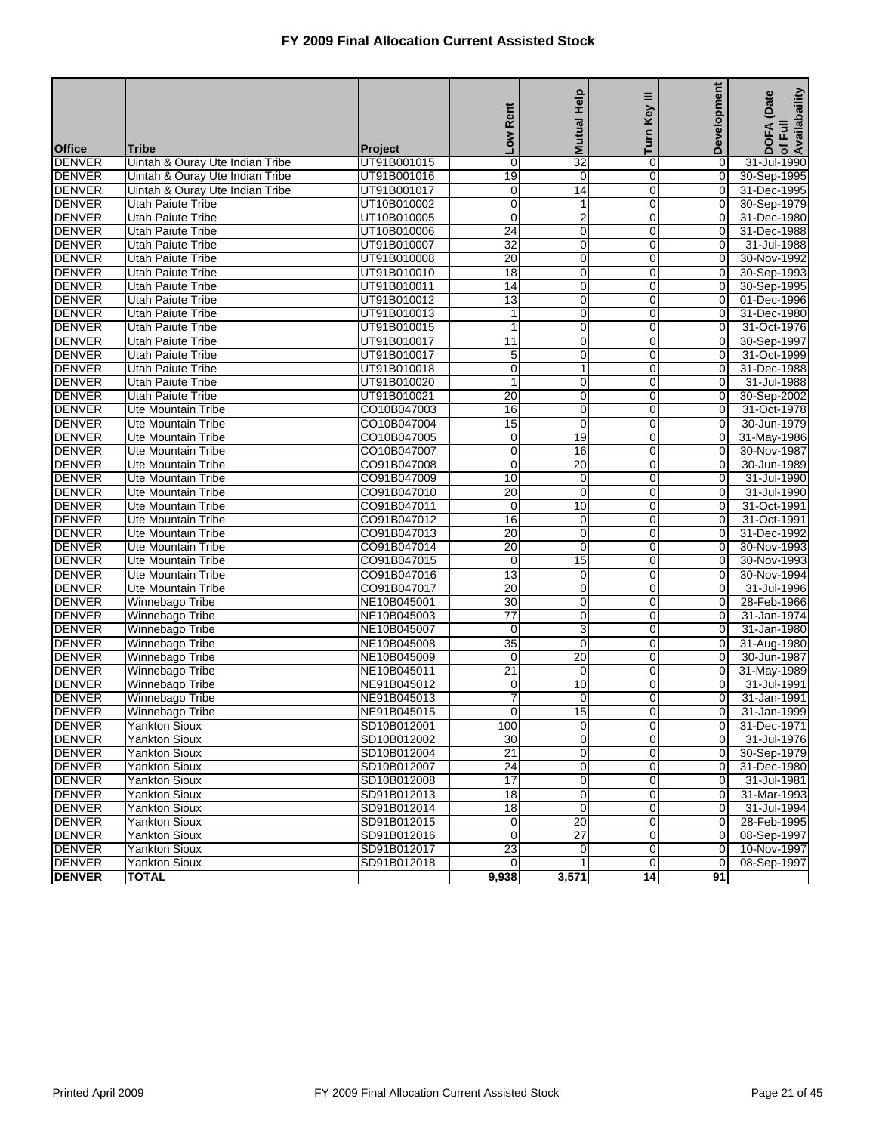|               |                                 |                | Rent<br><b>NOT</b> | <b>Mutual Help</b> | Key III<br>Turn | <b>Development</b> | of Full<br>Availabaility<br>DOFA (Date |
|---------------|---------------------------------|----------------|--------------------|--------------------|-----------------|--------------------|----------------------------------------|
| <b>Office</b> | <b>Tribe</b>                    | <b>Project</b> |                    |                    |                 |                    |                                        |
| <b>DENVER</b> | Uintah & Ouray Ute Indian Tribe | UT91B001015    | $\mathbf 0$        | $\overline{32}$    | 0               | 0                  | 31-Jul-1990                            |
| <b>DENVER</b> | Uintah & Ouray Ute Indian Tribe | UT91B001016    | 19                 | $\overline{0}$     | $\overline{0}$  | $\overline{0}$     | 30-Sep-1995                            |
| <b>DENVER</b> | Uintah & Ouray Ute Indian Tribe | UT91B001017    | 0                  | 14                 | 0               | 0                  | 31-Dec-1995                            |
| <b>DENVER</b> | <b>Utah Paiute Tribe</b>        | UT10B010002    | $\overline{0}$     | $\mathbf{1}$       | $\mathbf 0$     | 0                  | 30-Sep-1979                            |
| <b>DENVER</b> | <b>Utah Paiute Tribe</b>        | UT10B010005    | 0                  | $\overline{2}$     | 0               | $\overline{0}$     | 31-Dec-1980                            |
| <b>DENVER</b> | <b>Utah Paiute Tribe</b>        | UT10B010006    | $\overline{24}$    | $\pmb{0}$          | $\mathbf 0$     | 0                  | 31-Dec-1988                            |
| <b>DENVER</b> | <b>Utah Paiute Tribe</b>        | UT91B010007    | 32                 | $\overline{0}$     | $\overline{0}$  | $\overline{O}$     | 31-Jul-1988                            |
| <b>DENVER</b> | <b>Utah Paiute Tribe</b>        | UT91B010008    | 20                 | 0                  | 0               | 0                  | 30-Nov-1992                            |
| <b>DENVER</b> | <b>Utah Paiute Tribe</b>        | UT91B010010    | $\overline{18}$    | $\mathbf 0$        | $\mathbf 0$     | 0                  | 30-Sep-1993                            |
| <b>DENVER</b> | <b>Utah Paiute Tribe</b>        | UT91B010011    | 14                 | $\mathbf 0$        | 0               | 0                  | 30-Sep-1995                            |
| <b>DENVER</b> | Utah Paiute Tribe               | UT91B010012    | $\overline{13}$    | $\pmb{0}$          | $\mathbf 0$     | 0                  | 01-Dec-1996                            |
| <b>DENVER</b> | <b>Utah Paiute Tribe</b>        | UT91B010013    | 1                  | 0                  | $\overline{0}$  | $\overline{O}$     | 31-Dec-1980                            |
| <b>DENVER</b> | Utah Paiute Tribe               | UT91B010015    | 1                  | 0                  | 0               | 0                  | 31-Oct-1976                            |
| <b>DENVER</b> | <b>Utah Paiute Tribe</b>        | UT91B010017    | $\overline{11}$    | $\mathbf 0$        | $\mathbf 0$     | 0                  | 30-Sep-1997                            |
| <b>DENVER</b> | <b>Utah Paiute Tribe</b>        | UT91B010017    | 5                  | $\mathbf 0$        | 0               | 0                  | 31-Oct-1999                            |
| <b>DENVER</b> | Utah Paiute Tribe               | UT91B010018    | $\mathbf 0$        | $\mathbf{1}$       | $\mathbf 0$     | 0                  | 31-Dec-1988                            |
| <b>DENVER</b> | <b>Utah Paiute Tribe</b>        | UT91B010020    | $\mathbf{1}$       | 0                  | $\overline{0}$  | $\mathbf 0$        | 31-Jul-1988                            |
| <b>DENVER</b> | <b>Utah Paiute Tribe</b>        | UT91B010021    | 20                 | 0                  | 0               | 0                  | 30-Sep-2002                            |
| <b>DENVER</b> | Ute Mountain Tribe              | CO10B047003    | 16                 | $\mathbf 0$        | $\mathbf 0$     | 0                  | 31-Oct-1978                            |
| <b>DENVER</b> | Ute Mountain Tribe              | CO10B047004    | 15                 | $\mathbf 0$        | $\mathbf 0$     | $\overline{0}$     | 30-Jun-1979                            |
| <b>DENVER</b> | Ute Mountain Tribe              | CO10B047005    | $\mathbf 0$        | 19                 | $\mathbf 0$     | 0                  | 31-May-1986                            |
| <b>DENVER</b> | <b>Ute Mountain Tribe</b>       | CO10B047007    | 0                  | 16                 | $\overline{0}$  | $\mathbf 0$        | 30-Nov-1987                            |
| <b>DENVER</b> | Ute Mountain Tribe              | CO91B047008    | 0                  | 20                 | $\mathbf 0$     | 0                  | 30-Jun-1989                            |
| <b>DENVER</b> | <b>Ute Mountain Tribe</b>       | CO91B047009    | 10                 | $\mathbf 0$        | $\mathbf 0$     | 0                  | 31-Jul-1990                            |
| <b>DENVER</b> | <b>Ute Mountain Tribe</b>       | CO91B047010    | 20                 | $\mathbf 0$        | $\mathbf 0$     | 0                  | 31-Jul-1990                            |
| <b>DENVER</b> | Ute Mountain Tribe              | CO91B047011    | $\mathbf 0$        | 10                 | $\mathbf 0$     | 0                  | 31-Oct-1991                            |
| <b>DENVER</b> | <b>Ute Mountain Tribe</b>       | CO91B047012    | 16                 | 0                  | $\overline{0}$  | $\overline{0}$     | 31-Oct-1991                            |
| <b>DENVER</b> | Ute Mountain Tribe              | CO91B047013    | 20                 | 0                  | 0               | 0                  | 31-Dec-1992                            |
| <b>DENVER</b> | <b>Ute Mountain Tribe</b>       | CO91B047014    | 20                 | $\mathbf 0$        | $\mathbf 0$     | 0                  | 30-Nov-1993                            |
| <b>DENVER</b> | Ute Mountain Tribe              | CO91B047015    | 0                  | 15                 | $\mathbf 0$     | $\overline{0}$     | 30-Nov-1993                            |
| <b>DENVER</b> | Ute Mountain Tribe              | CO91B047016    | $\overline{13}$    | 0                  | $\mathbf 0$     | 0                  | 30-Nov-1994                            |
| <b>DENVER</b> | <b>Ute Mountain Tribe</b>       | CO91B047017    | 20                 | $\overline{0}$     | $\overline{0}$  | $\overline{O}$     | 31-Jul-1996                            |
| <b>DENVER</b> | Winnebago Tribe                 | NE10B045001    | 30                 | 0                  | 0               | 0                  | 28-Feb-1966                            |
| <b>DENVER</b> | Winnebago Tribe                 | NE10B045003    | $\overline{77}$    | $\mathbf 0$        | $\mathbf 0$     | 0                  | 31-Jan-1974                            |
| <b>DENVER</b> | Winnebago Tribe                 | NE10B045007    | 0                  | 3                  | $\mathbf 0$     | 0                  | 31-Jan-1980                            |
| <b>DENVER</b> | Winnebago Tribe                 | NE10B045008    | $\overline{35}$    | $\pmb{0}$          | $\mathbf 0$     | 0                  | 31-Aug-1980                            |
| <b>DENVER</b> | Winnebago Tribe                 | NE10B045009    | 0                  | $\overline{20}$    | $\mathbf 0$     | $\overline{O}$     | 30-Jun-1987                            |
| <b>DENVER</b> | Winnebago Tribe                 | NE10B045011    | 21                 | 0                  | 0               | 0                  | 31-May-1989                            |
| <b>DENVER</b> | Winnebago Tribe                 | NE91B045012    | $\mathbf 0$        | 10                 | $\mathbf{0}$    | 0                  | 31-Jul-1991                            |
| <b>DENVER</b> | Winnebago Tribe                 | NE91B045013    | 7                  | 0                  | 0               | 0                  | 31-Jan-1991                            |
| <b>DENVER</b> | Winnebago Tribe                 | NE91B045015    | 0                  | $\overline{15}$    | $\overline{0}$  | 0                  | 31-Jan-1999                            |
| <b>DENVER</b> | <b>Yankton Sioux</b>            | SD10B012001    | 100                | $\overline{0}$     | $\overline{0}$  | 0                  | 31-Dec-1971                            |
| <b>DENVER</b> | <b>Yankton Sioux</b>            | SD10B012002    | 30                 | $\pmb{0}$          | $\overline{0}$  | $\overline{0}$     | 31-Jul-1976                            |
| <b>DENVER</b> | Yankton Sioux                   | SD10B012004    | $\overline{21}$    | 0                  | $\overline{0}$  | $\overline{0}$     | 30-Sep-1979                            |
| <b>DENVER</b> | Yankton Sioux                   | SD10B012007    | 24                 | 0                  | $\mathbf 0$     | 0                  | 31-Dec-1980                            |
| <b>DENVER</b> | Yankton Sioux                   | SD10B012008    | 17                 | $\pmb{0}$          | $\mathbf 0$     | 0                  | 31-Jul-1981                            |
| <b>DENVER</b> | Yankton Sioux                   | SD91B012013    | $\overline{18}$    | $\overline{0}$     | $\mathbf 0$     | $\overline{0}$     | 31-Mar-1993                            |
| <b>DENVER</b> | Yankton Sioux                   | SD91B012014    | 18                 | 0                  | $\mathbf 0$     | $\overline{0}$     | 31-Jul-1994                            |
| <b>DENVER</b> | Yankton Sioux                   | SD91B012015    | 0                  | $\overline{20}$    | 0               | $\overline{0}$     | 28-Feb-1995                            |
| <b>DENVER</b> | Yankton Sioux                   | SD91B012016    | 0                  | $\overline{27}$    | $\overline{0}$  | $\overline{0}$     | 08-Sep-1997                            |
| <b>DENVER</b> | <b>Yankton Sioux</b>            | SD91B012017    | 23                 | $\mathbf 0$        | $\overline{0}$  | $\mathbf 0$        | 10-Nov-1997                            |
| <b>DENVER</b> | <b>Yankton Sioux</b>            | SD91B012018    | $\Omega$           | $\mathbf{1}$       | $\overline{0}$  | $\overline{O}$     | 08-Sep-1997                            |
| <b>DENVER</b> | <b>TOTAL</b>                    |                | 9,938              | 3,571              | $\overline{14}$ | 91                 |                                        |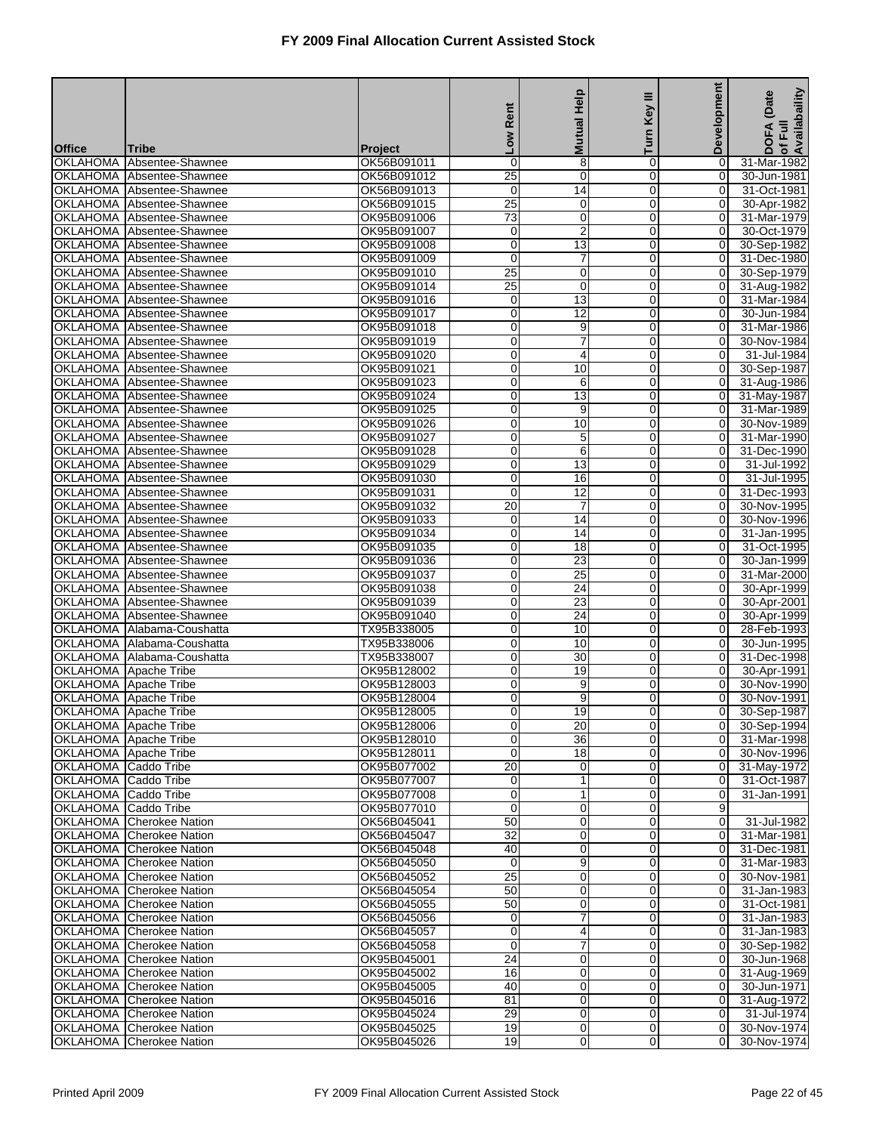| <b>DOFA</b><br><b>No7</b><br><b>Office</b><br><b>Tribe</b><br>Project<br>8<br>OK56B091011<br>0<br>0<br>31-Mar-1982<br><b>OKLAHOMA</b><br>Absentee-Shawnee<br>0<br>25<br>$\overline{0}$<br>$\overline{0}$<br><b>OKLAHOMA</b><br>OK56B091012<br>0<br>30-Jun-1981<br>Absentee-Shawnee<br>OKLAHOMA Absentee-Shawnee<br>$\mathbf 0$<br>14<br>0<br>0<br>31-Oct-1981<br>OK56B091013<br>$\overline{25}$<br>$\mathbf 0$<br>$\mathbf 0$<br>$\mathbf 0$<br>OKLAHOMA Absentee-Shawnee<br>OK56B091015<br>30-Apr-1982<br><b>OKLAHOMA</b><br>$\overline{73}$<br>$\mathbf 0$<br>0<br>0<br>Absentee-Shawnee<br>OK95B091006<br>31-Mar-1979<br>$\overline{2}$<br>0<br><b>OKLAHOMA</b><br>0<br>0<br>30-Oct-1979<br>Absentee-Shawnee<br>OK95B091007<br>13<br><b>OKLAHOMA</b><br>OK95B091008<br>$\mathbf 0$<br>0<br>$\overline{O}$<br>30-Sep-1982<br>Absentee-Shawnee<br>OKLAHOMA Absentee-Shawnee<br>0<br>7<br>0<br>OK95B091009<br>0<br>31-Dec-1980<br>$\overline{25}$<br>$\mathbf 0$<br>$\Omega$<br>$\mathbf 0$<br>OKLAHOMA Absentee-Shawnee<br>OK95B091010<br>30-Sep-1979<br><b>OKLAHOMA</b><br>$\overline{25}$<br>$\mathbf 0$<br>0<br>0<br>Absentee-Shawnee<br>OK95B091014<br>31-Aug-1982<br>$\mathbf 0$<br>$\overline{13}$<br><b>OKLAHOMA</b><br>OK95B091016<br>0<br>0<br>31-Mar-1984<br>Absentee-Shawnee<br>12<br><b>OKLAHOMA</b><br>OK95B091017<br>0<br>0<br>$\mathbf 0$<br>30-Jun-1984<br>Absentee-Shawnee<br>OKLAHOMA Absentee-Shawnee<br>9<br>0<br>OK95B091018<br>0<br>0<br>31-Mar-1986<br>$\overline{7}$<br>$\mathbf 0$<br>$\Omega$<br>$\mathbf 0$<br>OKLAHOMA Absentee-Shawnee<br>OK95B091019<br>30-Nov-1984<br><b>OKLAHOMA</b><br>OK95B091020<br>0<br>4<br>0<br>0<br>Absentee-Shawnee<br>31-Jul-1984<br>$\mathbf 0$<br>10<br><b>OKLAHOMA</b><br>OK95B091021<br>0<br>0<br>30-Sep-1987<br>Absentee-Shawnee<br><b>OKLAHOMA</b><br>OK95B091023<br>0<br>6<br>0<br>$\overline{0}$<br>Absentee-Shawnee<br>31-Aug-1986<br>13<br>OKLAHOMA Absentee-Shawnee<br>0<br>OK95B091024<br>0<br>0<br>31-May-1987<br>$\overline{0}$<br>9<br>$\Omega$<br>$\mathbf 0$<br>OKLAHOMA Absentee-Shawnee<br>OK95B091025<br>31-Mar-1989<br><b>OKLAHOMA</b><br>OK95B091026<br>0<br>10<br>0<br>0<br>30-Nov-1989<br>Absentee-Shawnee<br>$\mathbf 0$<br>$\mathbf 5$<br>0<br>OK95B091027<br>0<br>31-Mar-1990<br>OKLAHOMA<br>Absentee-Shawnee<br>$\overline{6}$<br>OKLAHOMA Absentee-Shawnee<br>OK95B091028<br>0<br>0<br>$\overline{O}$<br>31-Dec-1990<br>OKLAHOMA Absentee-Shawnee<br>13<br>0<br>31-Jul-1992<br>OK95B091029<br>0<br>0<br>$\mathbf 0$<br>16<br>$\mathbf 0$<br>$\mathbf 0$<br>OKLAHOMA Absentee-Shawnee<br>OK95B091030<br>31-Jul-1995<br><b>OKLAHOMA</b><br>OK95B091031<br>$\mathbf 0$<br>$\overline{12}$<br>$\mathbf 0$<br>0<br>31-Dec-1993<br>Absentee-Shawnee<br>$\overline{20}$<br>$\overline{7}$<br>0<br><b>OKLAHOMA</b><br>OK95B091032<br>0<br>30-Nov-1995<br>Absentee-Shawnee<br>14<br>OKLAHOMA Absentee-Shawnee<br>OK95B091033<br>0<br>0<br>$\overline{O}$<br>30-Nov-1996<br>OKLAHOMA Absentee-Shawnee<br>14<br>0<br>OK95B091034<br>0<br>0<br>31-Jan-1995<br>$\overline{0}$<br>$\overline{18}$<br>0<br>$\mathbf 0$<br>OKLAHOMA Absentee-Shawnee<br>OK95B091035<br>31-Oct-1995<br><b>OKLAHOMA</b><br>0<br>$\overline{23}$<br>$\mathbf 0$<br>0<br>Absentee-Shawnee<br>OK95B091036<br>30-Jan-1999<br>$\mathbf 0$<br>$\overline{25}$<br>0<br><b>OKLAHOMA</b><br>0<br>31-Mar-2000<br>Absentee-Shawnee<br>OK95B091037<br>24<br><b>OKLAHOMA</b><br>OK95B091038<br>0<br>0<br>$\overline{O}$<br>30-Apr-1999<br>Absentee-Shawnee<br>23<br><b>OKLAHOMA</b><br>0<br>0<br>0<br>30-Apr-2001<br>Absentee-Shawnee<br>OK95B091039<br>$\overline{24}$<br>$\mathbf 0$<br>$\overline{0}$<br>0<br>OKLAHOMA Absentee-Shawnee<br>OK95B091040<br>30-Apr-1999<br><b>OKLAHOMA</b><br>TX95B338005<br>0<br>10<br>$\mathbf 0$<br>0<br>Alabama-Coushatta<br>28-Feb-1993<br>$\mathbf 0$<br>10<br><b>OKLAHOMA</b><br>TX95B338006<br>$\mathbf 0$<br>0<br>Alabama-Coushatta<br>30-Jun-1995<br>30<br><b>OKLAHOMA</b><br>TX95B338007<br>0<br>0<br>0<br>31-Dec-1998<br>Alabama-Coushatta<br><b>OKLAHOMA</b> Apache Tribe<br>0<br>19<br>0<br>30-Apr-1991<br>OK95B128002<br>0<br>$\overline{0}$<br>9<br>$\overline{0}$<br>$\mathbf 0$<br>OKLAHOMA Apache Tribe<br>OK95B128003<br>30-Nov-1990<br>0<br>9<br>OKLAHOMA<br>Apache Tribe<br>OK95B128004<br>0<br>0<br>30-Nov-1991<br>0<br>19<br>30-Sep-1987<br><b>OKLAHOMA</b><br>Apache Tribe<br>OK95B128005<br>$\overline{0}$<br>0<br><b>OKLAHOMA</b> Apache Tribe<br>OK95B128006<br>0<br>20<br>0<br>01<br>0<br>36<br>$\overline{0}$<br>OKLAHOMA Apache Tribe<br>OK95B128010<br>$\overline{0}$<br>$\Omega$<br>18<br>$\Omega$<br>$\overline{0}$<br>OKLAHOMA Apache Tribe<br>OK95B128011<br>OKLAHOMA Caddo Tribe<br>OK95B077002<br>20<br>0<br>0<br>0<br>OKLAHOMA Caddo Tribe<br>0<br>$\mathbf{1}$<br>$\mathbf 0$<br>OK95B077007<br>$\overline{0}$<br>OKLAHOMA Caddo Tribe<br>0<br>$\mathbf{1}$<br>$\overline{0}$<br>$\overline{O}$<br>31-Jan-1991<br>OK95B077008<br>$\mathbf 0$<br>$\mathbf 0$<br>OKLAHOMA Caddo Tribe<br>OK95B077010<br>0<br>9<br>$\overline{50}$<br>OKLAHOMA Cherokee Nation<br>$\mathbf 0$<br>$\Omega$<br>$\mathbf 0$<br>OK56B045041<br>31-Jul-1982<br>OKLAHOMA Cherokee Nation<br>OK56B045047<br>32<br>0<br>0<br>0<br>31-Mar-1981<br>40<br>$\pmb{0}$<br>$\mathbf 0$<br>OKLAHOMA Cherokee Nation<br>OK56B045048<br>31-Dec-1981<br>0<br><b>OKLAHOMA</b> Cherokee Nation<br>$\mathbf 0$<br>9<br>$\overline{0}$<br>OK56B045050<br>$\overline{0}$<br>25<br>$\mathbf 0$<br>OKLAHOMA Cherokee Nation<br>OK56B045052<br>0<br>30-Nov-1981<br>$\overline{0}$<br>$\overline{50}$<br>$\mathbf 0$<br>OKLAHOMA Cherokee Nation<br>$\mathbf 0$<br>$\overline{O}$<br>OK56B045054<br><b>OKLAHOMA</b> Cherokee Nation<br>OK56B045055<br>50<br>0<br>0<br>0<br>31-Oct-1981<br>$\overline{7}$<br>0<br>$\mathbf 0$<br>OKLAHOMA Cherokee Nation<br>OK56B045056<br>$\overline{0}$<br><b>OKLAHOMA</b> Cherokee Nation<br>0<br>4<br>$\overline{0}$<br>$\overline{0}$<br>OK56B045057<br>7<br>$\mathbf 0$<br>OKLAHOMA Cherokee Nation<br>OK56B045058<br>0<br>$\overline{0}$<br>$\overline{24}$<br>$\mathbf 0$<br>OKLAHOMA Cherokee Nation<br>$\mathbf 0$<br>$\mathbf 0$<br>OK95B045001<br>30-Jun-1968<br>OKLAHOMA Cherokee Nation<br>OK95B045002<br>16<br>0<br>0<br>0<br>40<br>$\mathbf 0$<br>$\mathbf 0$<br>30-Jun-1971<br>OKLAHOMA Cherokee Nation<br>OK95B045005<br>$\overline{0}$<br><b>OKLAHOMA</b> Cherokee Nation<br>81<br>$\mathbf 0$<br>$\overline{0}$<br>$\overline{0}$<br>OK95B045016<br>$\mathbf 0$<br>$\mathbf 0$<br>OKLAHOMA Cherokee Nation<br>OK95B045024<br>29<br>$\overline{0}$<br>OKLAHOMA Cherokee Nation<br>OK95B045025<br>19<br>$\mathbf 0$<br>$\mathbf 0$<br>$\overline{O}$<br>$\Omega$<br>OKLAHOMA Cherokee Nation<br>OK95B045026<br>19<br>0<br>$\overline{0}$ |  | Rent | <b>Mutual Help</b> | Turn Key III | <b>Development</b> | of Full<br>Availabaility<br>(Date |
|--------------------------------------------------------------------------------------------------------------------------------------------------------------------------------------------------------------------------------------------------------------------------------------------------------------------------------------------------------------------------------------------------------------------------------------------------------------------------------------------------------------------------------------------------------------------------------------------------------------------------------------------------------------------------------------------------------------------------------------------------------------------------------------------------------------------------------------------------------------------------------------------------------------------------------------------------------------------------------------------------------------------------------------------------------------------------------------------------------------------------------------------------------------------------------------------------------------------------------------------------------------------------------------------------------------------------------------------------------------------------------------------------------------------------------------------------------------------------------------------------------------------------------------------------------------------------------------------------------------------------------------------------------------------------------------------------------------------------------------------------------------------------------------------------------------------------------------------------------------------------------------------------------------------------------------------------------------------------------------------------------------------------------------------------------------------------------------------------------------------------------------------------------------------------------------------------------------------------------------------------------------------------------------------------------------------------------------------------------------------------------------------------------------------------------------------------------------------------------------------------------------------------------------------------------------------------------------------------------------------------------------------------------------------------------------------------------------------------------------------------------------------------------------------------------------------------------------------------------------------------------------------------------------------------------------------------------------------------------------------------------------------------------------------------------------------------------------------------------------------------------------------------------------------------------------------------------------------------------------------------------------------------------------------------------------------------------------------------------------------------------------------------------------------------------------------------------------------------------------------------------------------------------------------------------------------------------------------------------------------------------------------------------------------------------------------------------------------------------------------------------------------------------------------------------------------------------------------------------------------------------------------------------------------------------------------------------------------------------------------------------------------------------------------------------------------------------------------------------------------------------------------------------------------------------------------------------------------------------------------------------------------------------------------------------------------------------------------------------------------------------------------------------------------------------------------------------------------------------------------------------------------------------------------------------------------------------------------------------------------------------------------------------------------------------------------------------------------------------------------------------------------------------------------------------------------------------------------------------------------------------------------------------------------------------------------------------------------------------------------------------------------------------------------------------------------------------------------------------------------------------------------------------------------------------------------------------------------------------------------------------------------------------------------------------------------------------------------------------------------------------------------------------------------------------------------------------------------------------------------------------------------------------------------------------------------------------------------------------------------------------------------------------------------------------------------------------------------------------------------------------------------------------------------------------------------------------------------------------------------------------------------------------------------------------------------------------------------------------------------------------------------------------------------------------------------------------------------------------------------------------------------------------------------------------------------------------------------------------------------------------------------------------------------------------------------------------------------------------------------------------------------------------------------------------------------------------------------------------------------------------------------------------------------------------------------------------------------------------------------------------------------------------------------------------------------------------------------------------------------------------------|--|------|--------------------|--------------|--------------------|-----------------------------------|
|                                                                                                                                                                                                                                                                                                                                                                                                                                                                                                                                                                                                                                                                                                                                                                                                                                                                                                                                                                                                                                                                                                                                                                                                                                                                                                                                                                                                                                                                                                                                                                                                                                                                                                                                                                                                                                                                                                                                                                                                                                                                                                                                                                                                                                                                                                                                                                                                                                                                                                                                                                                                                                                                                                                                                                                                                                                                                                                                                                                                                                                                                                                                                                                                                                                                                                                                                                                                                                                                                                                                                                                                                                                                                                                                                                                                                                                                                                                                                                                                                                                                                                                                                                                                                                                                                                                                                                                                                                                                                                                                                                                                                                                                                                                                                                                                                                                                                                                                                                                                                                                                                                                                                                                                                                                                                                                                                                                                                                                                                                                                                                                                                                                                                                                                                                                                                                                                                                                                                                                                                                                                                                                                                                                                                                                                                                                                                                                                                                                                                                                                                                                                                                                                                                                                                              |  |      |                    |              |                    |                                   |
|                                                                                                                                                                                                                                                                                                                                                                                                                                                                                                                                                                                                                                                                                                                                                                                                                                                                                                                                                                                                                                                                                                                                                                                                                                                                                                                                                                                                                                                                                                                                                                                                                                                                                                                                                                                                                                                                                                                                                                                                                                                                                                                                                                                                                                                                                                                                                                                                                                                                                                                                                                                                                                                                                                                                                                                                                                                                                                                                                                                                                                                                                                                                                                                                                                                                                                                                                                                                                                                                                                                                                                                                                                                                                                                                                                                                                                                                                                                                                                                                                                                                                                                                                                                                                                                                                                                                                                                                                                                                                                                                                                                                                                                                                                                                                                                                                                                                                                                                                                                                                                                                                                                                                                                                                                                                                                                                                                                                                                                                                                                                                                                                                                                                                                                                                                                                                                                                                                                                                                                                                                                                                                                                                                                                                                                                                                                                                                                                                                                                                                                                                                                                                                                                                                                                                              |  |      |                    |              |                    |                                   |
|                                                                                                                                                                                                                                                                                                                                                                                                                                                                                                                                                                                                                                                                                                                                                                                                                                                                                                                                                                                                                                                                                                                                                                                                                                                                                                                                                                                                                                                                                                                                                                                                                                                                                                                                                                                                                                                                                                                                                                                                                                                                                                                                                                                                                                                                                                                                                                                                                                                                                                                                                                                                                                                                                                                                                                                                                                                                                                                                                                                                                                                                                                                                                                                                                                                                                                                                                                                                                                                                                                                                                                                                                                                                                                                                                                                                                                                                                                                                                                                                                                                                                                                                                                                                                                                                                                                                                                                                                                                                                                                                                                                                                                                                                                                                                                                                                                                                                                                                                                                                                                                                                                                                                                                                                                                                                                                                                                                                                                                                                                                                                                                                                                                                                                                                                                                                                                                                                                                                                                                                                                                                                                                                                                                                                                                                                                                                                                                                                                                                                                                                                                                                                                                                                                                                                              |  |      |                    |              |                    |                                   |
|                                                                                                                                                                                                                                                                                                                                                                                                                                                                                                                                                                                                                                                                                                                                                                                                                                                                                                                                                                                                                                                                                                                                                                                                                                                                                                                                                                                                                                                                                                                                                                                                                                                                                                                                                                                                                                                                                                                                                                                                                                                                                                                                                                                                                                                                                                                                                                                                                                                                                                                                                                                                                                                                                                                                                                                                                                                                                                                                                                                                                                                                                                                                                                                                                                                                                                                                                                                                                                                                                                                                                                                                                                                                                                                                                                                                                                                                                                                                                                                                                                                                                                                                                                                                                                                                                                                                                                                                                                                                                                                                                                                                                                                                                                                                                                                                                                                                                                                                                                                                                                                                                                                                                                                                                                                                                                                                                                                                                                                                                                                                                                                                                                                                                                                                                                                                                                                                                                                                                                                                                                                                                                                                                                                                                                                                                                                                                                                                                                                                                                                                                                                                                                                                                                                                                              |  |      |                    |              |                    |                                   |
| 30-Sep-1994<br>31-Mar-1998<br>30-Nov-1996<br>31-May-1972<br>31-Oct-1987<br>31-Mar-1983<br>31-Jan-1983<br>31-Jan-1983<br>31-Jan-1983<br>30-Sep-1982<br>31-Aug-1969<br>31-Aug-1972<br>31-Jul-1974<br>30-Nov-1974<br>30-Nov-1974                                                                                                                                                                                                                                                                                                                                                                                                                                                                                                                                                                                                                                                                                                                                                                                                                                                                                                                                                                                                                                                                                                                                                                                                                                                                                                                                                                                                                                                                                                                                                                                                                                                                                                                                                                                                                                                                                                                                                                                                                                                                                                                                                                                                                                                                                                                                                                                                                                                                                                                                                                                                                                                                                                                                                                                                                                                                                                                                                                                                                                                                                                                                                                                                                                                                                                                                                                                                                                                                                                                                                                                                                                                                                                                                                                                                                                                                                                                                                                                                                                                                                                                                                                                                                                                                                                                                                                                                                                                                                                                                                                                                                                                                                                                                                                                                                                                                                                                                                                                                                                                                                                                                                                                                                                                                                                                                                                                                                                                                                                                                                                                                                                                                                                                                                                                                                                                                                                                                                                                                                                                                                                                                                                                                                                                                                                                                                                                                                                                                                                                                |  |      |                    |              |                    |                                   |
|                                                                                                                                                                                                                                                                                                                                                                                                                                                                                                                                                                                                                                                                                                                                                                                                                                                                                                                                                                                                                                                                                                                                                                                                                                                                                                                                                                                                                                                                                                                                                                                                                                                                                                                                                                                                                                                                                                                                                                                                                                                                                                                                                                                                                                                                                                                                                                                                                                                                                                                                                                                                                                                                                                                                                                                                                                                                                                                                                                                                                                                                                                                                                                                                                                                                                                                                                                                                                                                                                                                                                                                                                                                                                                                                                                                                                                                                                                                                                                                                                                                                                                                                                                                                                                                                                                                                                                                                                                                                                                                                                                                                                                                                                                                                                                                                                                                                                                                                                                                                                                                                                                                                                                                                                                                                                                                                                                                                                                                                                                                                                                                                                                                                                                                                                                                                                                                                                                                                                                                                                                                                                                                                                                                                                                                                                                                                                                                                                                                                                                                                                                                                                                                                                                                                                              |  |      |                    |              |                    |                                   |
|                                                                                                                                                                                                                                                                                                                                                                                                                                                                                                                                                                                                                                                                                                                                                                                                                                                                                                                                                                                                                                                                                                                                                                                                                                                                                                                                                                                                                                                                                                                                                                                                                                                                                                                                                                                                                                                                                                                                                                                                                                                                                                                                                                                                                                                                                                                                                                                                                                                                                                                                                                                                                                                                                                                                                                                                                                                                                                                                                                                                                                                                                                                                                                                                                                                                                                                                                                                                                                                                                                                                                                                                                                                                                                                                                                                                                                                                                                                                                                                                                                                                                                                                                                                                                                                                                                                                                                                                                                                                                                                                                                                                                                                                                                                                                                                                                                                                                                                                                                                                                                                                                                                                                                                                                                                                                                                                                                                                                                                                                                                                                                                                                                                                                                                                                                                                                                                                                                                                                                                                                                                                                                                                                                                                                                                                                                                                                                                                                                                                                                                                                                                                                                                                                                                                                              |  |      |                    |              |                    |                                   |
|                                                                                                                                                                                                                                                                                                                                                                                                                                                                                                                                                                                                                                                                                                                                                                                                                                                                                                                                                                                                                                                                                                                                                                                                                                                                                                                                                                                                                                                                                                                                                                                                                                                                                                                                                                                                                                                                                                                                                                                                                                                                                                                                                                                                                                                                                                                                                                                                                                                                                                                                                                                                                                                                                                                                                                                                                                                                                                                                                                                                                                                                                                                                                                                                                                                                                                                                                                                                                                                                                                                                                                                                                                                                                                                                                                                                                                                                                                                                                                                                                                                                                                                                                                                                                                                                                                                                                                                                                                                                                                                                                                                                                                                                                                                                                                                                                                                                                                                                                                                                                                                                                                                                                                                                                                                                                                                                                                                                                                                                                                                                                                                                                                                                                                                                                                                                                                                                                                                                                                                                                                                                                                                                                                                                                                                                                                                                                                                                                                                                                                                                                                                                                                                                                                                                                              |  |      |                    |              |                    |                                   |
|                                                                                                                                                                                                                                                                                                                                                                                                                                                                                                                                                                                                                                                                                                                                                                                                                                                                                                                                                                                                                                                                                                                                                                                                                                                                                                                                                                                                                                                                                                                                                                                                                                                                                                                                                                                                                                                                                                                                                                                                                                                                                                                                                                                                                                                                                                                                                                                                                                                                                                                                                                                                                                                                                                                                                                                                                                                                                                                                                                                                                                                                                                                                                                                                                                                                                                                                                                                                                                                                                                                                                                                                                                                                                                                                                                                                                                                                                                                                                                                                                                                                                                                                                                                                                                                                                                                                                                                                                                                                                                                                                                                                                                                                                                                                                                                                                                                                                                                                                                                                                                                                                                                                                                                                                                                                                                                                                                                                                                                                                                                                                                                                                                                                                                                                                                                                                                                                                                                                                                                                                                                                                                                                                                                                                                                                                                                                                                                                                                                                                                                                                                                                                                                                                                                                                              |  |      |                    |              |                    |                                   |
|                                                                                                                                                                                                                                                                                                                                                                                                                                                                                                                                                                                                                                                                                                                                                                                                                                                                                                                                                                                                                                                                                                                                                                                                                                                                                                                                                                                                                                                                                                                                                                                                                                                                                                                                                                                                                                                                                                                                                                                                                                                                                                                                                                                                                                                                                                                                                                                                                                                                                                                                                                                                                                                                                                                                                                                                                                                                                                                                                                                                                                                                                                                                                                                                                                                                                                                                                                                                                                                                                                                                                                                                                                                                                                                                                                                                                                                                                                                                                                                                                                                                                                                                                                                                                                                                                                                                                                                                                                                                                                                                                                                                                                                                                                                                                                                                                                                                                                                                                                                                                                                                                                                                                                                                                                                                                                                                                                                                                                                                                                                                                                                                                                                                                                                                                                                                                                                                                                                                                                                                                                                                                                                                                                                                                                                                                                                                                                                                                                                                                                                                                                                                                                                                                                                                                              |  |      |                    |              |                    |                                   |
|                                                                                                                                                                                                                                                                                                                                                                                                                                                                                                                                                                                                                                                                                                                                                                                                                                                                                                                                                                                                                                                                                                                                                                                                                                                                                                                                                                                                                                                                                                                                                                                                                                                                                                                                                                                                                                                                                                                                                                                                                                                                                                                                                                                                                                                                                                                                                                                                                                                                                                                                                                                                                                                                                                                                                                                                                                                                                                                                                                                                                                                                                                                                                                                                                                                                                                                                                                                                                                                                                                                                                                                                                                                                                                                                                                                                                                                                                                                                                                                                                                                                                                                                                                                                                                                                                                                                                                                                                                                                                                                                                                                                                                                                                                                                                                                                                                                                                                                                                                                                                                                                                                                                                                                                                                                                                                                                                                                                                                                                                                                                                                                                                                                                                                                                                                                                                                                                                                                                                                                                                                                                                                                                                                                                                                                                                                                                                                                                                                                                                                                                                                                                                                                                                                                                                              |  |      |                    |              |                    |                                   |
|                                                                                                                                                                                                                                                                                                                                                                                                                                                                                                                                                                                                                                                                                                                                                                                                                                                                                                                                                                                                                                                                                                                                                                                                                                                                                                                                                                                                                                                                                                                                                                                                                                                                                                                                                                                                                                                                                                                                                                                                                                                                                                                                                                                                                                                                                                                                                                                                                                                                                                                                                                                                                                                                                                                                                                                                                                                                                                                                                                                                                                                                                                                                                                                                                                                                                                                                                                                                                                                                                                                                                                                                                                                                                                                                                                                                                                                                                                                                                                                                                                                                                                                                                                                                                                                                                                                                                                                                                                                                                                                                                                                                                                                                                                                                                                                                                                                                                                                                                                                                                                                                                                                                                                                                                                                                                                                                                                                                                                                                                                                                                                                                                                                                                                                                                                                                                                                                                                                                                                                                                                                                                                                                                                                                                                                                                                                                                                                                                                                                                                                                                                                                                                                                                                                                                              |  |      |                    |              |                    |                                   |
|                                                                                                                                                                                                                                                                                                                                                                                                                                                                                                                                                                                                                                                                                                                                                                                                                                                                                                                                                                                                                                                                                                                                                                                                                                                                                                                                                                                                                                                                                                                                                                                                                                                                                                                                                                                                                                                                                                                                                                                                                                                                                                                                                                                                                                                                                                                                                                                                                                                                                                                                                                                                                                                                                                                                                                                                                                                                                                                                                                                                                                                                                                                                                                                                                                                                                                                                                                                                                                                                                                                                                                                                                                                                                                                                                                                                                                                                                                                                                                                                                                                                                                                                                                                                                                                                                                                                                                                                                                                                                                                                                                                                                                                                                                                                                                                                                                                                                                                                                                                                                                                                                                                                                                                                                                                                                                                                                                                                                                                                                                                                                                                                                                                                                                                                                                                                                                                                                                                                                                                                                                                                                                                                                                                                                                                                                                                                                                                                                                                                                                                                                                                                                                                                                                                                                              |  |      |                    |              |                    |                                   |
|                                                                                                                                                                                                                                                                                                                                                                                                                                                                                                                                                                                                                                                                                                                                                                                                                                                                                                                                                                                                                                                                                                                                                                                                                                                                                                                                                                                                                                                                                                                                                                                                                                                                                                                                                                                                                                                                                                                                                                                                                                                                                                                                                                                                                                                                                                                                                                                                                                                                                                                                                                                                                                                                                                                                                                                                                                                                                                                                                                                                                                                                                                                                                                                                                                                                                                                                                                                                                                                                                                                                                                                                                                                                                                                                                                                                                                                                                                                                                                                                                                                                                                                                                                                                                                                                                                                                                                                                                                                                                                                                                                                                                                                                                                                                                                                                                                                                                                                                                                                                                                                                                                                                                                                                                                                                                                                                                                                                                                                                                                                                                                                                                                                                                                                                                                                                                                                                                                                                                                                                                                                                                                                                                                                                                                                                                                                                                                                                                                                                                                                                                                                                                                                                                                                                                              |  |      |                    |              |                    |                                   |
|                                                                                                                                                                                                                                                                                                                                                                                                                                                                                                                                                                                                                                                                                                                                                                                                                                                                                                                                                                                                                                                                                                                                                                                                                                                                                                                                                                                                                                                                                                                                                                                                                                                                                                                                                                                                                                                                                                                                                                                                                                                                                                                                                                                                                                                                                                                                                                                                                                                                                                                                                                                                                                                                                                                                                                                                                                                                                                                                                                                                                                                                                                                                                                                                                                                                                                                                                                                                                                                                                                                                                                                                                                                                                                                                                                                                                                                                                                                                                                                                                                                                                                                                                                                                                                                                                                                                                                                                                                                                                                                                                                                                                                                                                                                                                                                                                                                                                                                                                                                                                                                                                                                                                                                                                                                                                                                                                                                                                                                                                                                                                                                                                                                                                                                                                                                                                                                                                                                                                                                                                                                                                                                                                                                                                                                                                                                                                                                                                                                                                                                                                                                                                                                                                                                                                              |  |      |                    |              |                    |                                   |
|                                                                                                                                                                                                                                                                                                                                                                                                                                                                                                                                                                                                                                                                                                                                                                                                                                                                                                                                                                                                                                                                                                                                                                                                                                                                                                                                                                                                                                                                                                                                                                                                                                                                                                                                                                                                                                                                                                                                                                                                                                                                                                                                                                                                                                                                                                                                                                                                                                                                                                                                                                                                                                                                                                                                                                                                                                                                                                                                                                                                                                                                                                                                                                                                                                                                                                                                                                                                                                                                                                                                                                                                                                                                                                                                                                                                                                                                                                                                                                                                                                                                                                                                                                                                                                                                                                                                                                                                                                                                                                                                                                                                                                                                                                                                                                                                                                                                                                                                                                                                                                                                                                                                                                                                                                                                                                                                                                                                                                                                                                                                                                                                                                                                                                                                                                                                                                                                                                                                                                                                                                                                                                                                                                                                                                                                                                                                                                                                                                                                                                                                                                                                                                                                                                                                                              |  |      |                    |              |                    |                                   |
|                                                                                                                                                                                                                                                                                                                                                                                                                                                                                                                                                                                                                                                                                                                                                                                                                                                                                                                                                                                                                                                                                                                                                                                                                                                                                                                                                                                                                                                                                                                                                                                                                                                                                                                                                                                                                                                                                                                                                                                                                                                                                                                                                                                                                                                                                                                                                                                                                                                                                                                                                                                                                                                                                                                                                                                                                                                                                                                                                                                                                                                                                                                                                                                                                                                                                                                                                                                                                                                                                                                                                                                                                                                                                                                                                                                                                                                                                                                                                                                                                                                                                                                                                                                                                                                                                                                                                                                                                                                                                                                                                                                                                                                                                                                                                                                                                                                                                                                                                                                                                                                                                                                                                                                                                                                                                                                                                                                                                                                                                                                                                                                                                                                                                                                                                                                                                                                                                                                                                                                                                                                                                                                                                                                                                                                                                                                                                                                                                                                                                                                                                                                                                                                                                                                                                              |  |      |                    |              |                    |                                   |
|                                                                                                                                                                                                                                                                                                                                                                                                                                                                                                                                                                                                                                                                                                                                                                                                                                                                                                                                                                                                                                                                                                                                                                                                                                                                                                                                                                                                                                                                                                                                                                                                                                                                                                                                                                                                                                                                                                                                                                                                                                                                                                                                                                                                                                                                                                                                                                                                                                                                                                                                                                                                                                                                                                                                                                                                                                                                                                                                                                                                                                                                                                                                                                                                                                                                                                                                                                                                                                                                                                                                                                                                                                                                                                                                                                                                                                                                                                                                                                                                                                                                                                                                                                                                                                                                                                                                                                                                                                                                                                                                                                                                                                                                                                                                                                                                                                                                                                                                                                                                                                                                                                                                                                                                                                                                                                                                                                                                                                                                                                                                                                                                                                                                                                                                                                                                                                                                                                                                                                                                                                                                                                                                                                                                                                                                                                                                                                                                                                                                                                                                                                                                                                                                                                                                                              |  |      |                    |              |                    |                                   |
|                                                                                                                                                                                                                                                                                                                                                                                                                                                                                                                                                                                                                                                                                                                                                                                                                                                                                                                                                                                                                                                                                                                                                                                                                                                                                                                                                                                                                                                                                                                                                                                                                                                                                                                                                                                                                                                                                                                                                                                                                                                                                                                                                                                                                                                                                                                                                                                                                                                                                                                                                                                                                                                                                                                                                                                                                                                                                                                                                                                                                                                                                                                                                                                                                                                                                                                                                                                                                                                                                                                                                                                                                                                                                                                                                                                                                                                                                                                                                                                                                                                                                                                                                                                                                                                                                                                                                                                                                                                                                                                                                                                                                                                                                                                                                                                                                                                                                                                                                                                                                                                                                                                                                                                                                                                                                                                                                                                                                                                                                                                                                                                                                                                                                                                                                                                                                                                                                                                                                                                                                                                                                                                                                                                                                                                                                                                                                                                                                                                                                                                                                                                                                                                                                                                                                              |  |      |                    |              |                    |                                   |
|                                                                                                                                                                                                                                                                                                                                                                                                                                                                                                                                                                                                                                                                                                                                                                                                                                                                                                                                                                                                                                                                                                                                                                                                                                                                                                                                                                                                                                                                                                                                                                                                                                                                                                                                                                                                                                                                                                                                                                                                                                                                                                                                                                                                                                                                                                                                                                                                                                                                                                                                                                                                                                                                                                                                                                                                                                                                                                                                                                                                                                                                                                                                                                                                                                                                                                                                                                                                                                                                                                                                                                                                                                                                                                                                                                                                                                                                                                                                                                                                                                                                                                                                                                                                                                                                                                                                                                                                                                                                                                                                                                                                                                                                                                                                                                                                                                                                                                                                                                                                                                                                                                                                                                                                                                                                                                                                                                                                                                                                                                                                                                                                                                                                                                                                                                                                                                                                                                                                                                                                                                                                                                                                                                                                                                                                                                                                                                                                                                                                                                                                                                                                                                                                                                                                                              |  |      |                    |              |                    |                                   |
|                                                                                                                                                                                                                                                                                                                                                                                                                                                                                                                                                                                                                                                                                                                                                                                                                                                                                                                                                                                                                                                                                                                                                                                                                                                                                                                                                                                                                                                                                                                                                                                                                                                                                                                                                                                                                                                                                                                                                                                                                                                                                                                                                                                                                                                                                                                                                                                                                                                                                                                                                                                                                                                                                                                                                                                                                                                                                                                                                                                                                                                                                                                                                                                                                                                                                                                                                                                                                                                                                                                                                                                                                                                                                                                                                                                                                                                                                                                                                                                                                                                                                                                                                                                                                                                                                                                                                                                                                                                                                                                                                                                                                                                                                                                                                                                                                                                                                                                                                                                                                                                                                                                                                                                                                                                                                                                                                                                                                                                                                                                                                                                                                                                                                                                                                                                                                                                                                                                                                                                                                                                                                                                                                                                                                                                                                                                                                                                                                                                                                                                                                                                                                                                                                                                                                              |  |      |                    |              |                    |                                   |
|                                                                                                                                                                                                                                                                                                                                                                                                                                                                                                                                                                                                                                                                                                                                                                                                                                                                                                                                                                                                                                                                                                                                                                                                                                                                                                                                                                                                                                                                                                                                                                                                                                                                                                                                                                                                                                                                                                                                                                                                                                                                                                                                                                                                                                                                                                                                                                                                                                                                                                                                                                                                                                                                                                                                                                                                                                                                                                                                                                                                                                                                                                                                                                                                                                                                                                                                                                                                                                                                                                                                                                                                                                                                                                                                                                                                                                                                                                                                                                                                                                                                                                                                                                                                                                                                                                                                                                                                                                                                                                                                                                                                                                                                                                                                                                                                                                                                                                                                                                                                                                                                                                                                                                                                                                                                                                                                                                                                                                                                                                                                                                                                                                                                                                                                                                                                                                                                                                                                                                                                                                                                                                                                                                                                                                                                                                                                                                                                                                                                                                                                                                                                                                                                                                                                                              |  |      |                    |              |                    |                                   |
|                                                                                                                                                                                                                                                                                                                                                                                                                                                                                                                                                                                                                                                                                                                                                                                                                                                                                                                                                                                                                                                                                                                                                                                                                                                                                                                                                                                                                                                                                                                                                                                                                                                                                                                                                                                                                                                                                                                                                                                                                                                                                                                                                                                                                                                                                                                                                                                                                                                                                                                                                                                                                                                                                                                                                                                                                                                                                                                                                                                                                                                                                                                                                                                                                                                                                                                                                                                                                                                                                                                                                                                                                                                                                                                                                                                                                                                                                                                                                                                                                                                                                                                                                                                                                                                                                                                                                                                                                                                                                                                                                                                                                                                                                                                                                                                                                                                                                                                                                                                                                                                                                                                                                                                                                                                                                                                                                                                                                                                                                                                                                                                                                                                                                                                                                                                                                                                                                                                                                                                                                                                                                                                                                                                                                                                                                                                                                                                                                                                                                                                                                                                                                                                                                                                                                              |  |      |                    |              |                    |                                   |
|                                                                                                                                                                                                                                                                                                                                                                                                                                                                                                                                                                                                                                                                                                                                                                                                                                                                                                                                                                                                                                                                                                                                                                                                                                                                                                                                                                                                                                                                                                                                                                                                                                                                                                                                                                                                                                                                                                                                                                                                                                                                                                                                                                                                                                                                                                                                                                                                                                                                                                                                                                                                                                                                                                                                                                                                                                                                                                                                                                                                                                                                                                                                                                                                                                                                                                                                                                                                                                                                                                                                                                                                                                                                                                                                                                                                                                                                                                                                                                                                                                                                                                                                                                                                                                                                                                                                                                                                                                                                                                                                                                                                                                                                                                                                                                                                                                                                                                                                                                                                                                                                                                                                                                                                                                                                                                                                                                                                                                                                                                                                                                                                                                                                                                                                                                                                                                                                                                                                                                                                                                                                                                                                                                                                                                                                                                                                                                                                                                                                                                                                                                                                                                                                                                                                                              |  |      |                    |              |                    |                                   |
|                                                                                                                                                                                                                                                                                                                                                                                                                                                                                                                                                                                                                                                                                                                                                                                                                                                                                                                                                                                                                                                                                                                                                                                                                                                                                                                                                                                                                                                                                                                                                                                                                                                                                                                                                                                                                                                                                                                                                                                                                                                                                                                                                                                                                                                                                                                                                                                                                                                                                                                                                                                                                                                                                                                                                                                                                                                                                                                                                                                                                                                                                                                                                                                                                                                                                                                                                                                                                                                                                                                                                                                                                                                                                                                                                                                                                                                                                                                                                                                                                                                                                                                                                                                                                                                                                                                                                                                                                                                                                                                                                                                                                                                                                                                                                                                                                                                                                                                                                                                                                                                                                                                                                                                                                                                                                                                                                                                                                                                                                                                                                                                                                                                                                                                                                                                                                                                                                                                                                                                                                                                                                                                                                                                                                                                                                                                                                                                                                                                                                                                                                                                                                                                                                                                                                              |  |      |                    |              |                    |                                   |
|                                                                                                                                                                                                                                                                                                                                                                                                                                                                                                                                                                                                                                                                                                                                                                                                                                                                                                                                                                                                                                                                                                                                                                                                                                                                                                                                                                                                                                                                                                                                                                                                                                                                                                                                                                                                                                                                                                                                                                                                                                                                                                                                                                                                                                                                                                                                                                                                                                                                                                                                                                                                                                                                                                                                                                                                                                                                                                                                                                                                                                                                                                                                                                                                                                                                                                                                                                                                                                                                                                                                                                                                                                                                                                                                                                                                                                                                                                                                                                                                                                                                                                                                                                                                                                                                                                                                                                                                                                                                                                                                                                                                                                                                                                                                                                                                                                                                                                                                                                                                                                                                                                                                                                                                                                                                                                                                                                                                                                                                                                                                                                                                                                                                                                                                                                                                                                                                                                                                                                                                                                                                                                                                                                                                                                                                                                                                                                                                                                                                                                                                                                                                                                                                                                                                                              |  |      |                    |              |                    |                                   |
|                                                                                                                                                                                                                                                                                                                                                                                                                                                                                                                                                                                                                                                                                                                                                                                                                                                                                                                                                                                                                                                                                                                                                                                                                                                                                                                                                                                                                                                                                                                                                                                                                                                                                                                                                                                                                                                                                                                                                                                                                                                                                                                                                                                                                                                                                                                                                                                                                                                                                                                                                                                                                                                                                                                                                                                                                                                                                                                                                                                                                                                                                                                                                                                                                                                                                                                                                                                                                                                                                                                                                                                                                                                                                                                                                                                                                                                                                                                                                                                                                                                                                                                                                                                                                                                                                                                                                                                                                                                                                                                                                                                                                                                                                                                                                                                                                                                                                                                                                                                                                                                                                                                                                                                                                                                                                                                                                                                                                                                                                                                                                                                                                                                                                                                                                                                                                                                                                                                                                                                                                                                                                                                                                                                                                                                                                                                                                                                                                                                                                                                                                                                                                                                                                                                                                              |  |      |                    |              |                    |                                   |
|                                                                                                                                                                                                                                                                                                                                                                                                                                                                                                                                                                                                                                                                                                                                                                                                                                                                                                                                                                                                                                                                                                                                                                                                                                                                                                                                                                                                                                                                                                                                                                                                                                                                                                                                                                                                                                                                                                                                                                                                                                                                                                                                                                                                                                                                                                                                                                                                                                                                                                                                                                                                                                                                                                                                                                                                                                                                                                                                                                                                                                                                                                                                                                                                                                                                                                                                                                                                                                                                                                                                                                                                                                                                                                                                                                                                                                                                                                                                                                                                                                                                                                                                                                                                                                                                                                                                                                                                                                                                                                                                                                                                                                                                                                                                                                                                                                                                                                                                                                                                                                                                                                                                                                                                                                                                                                                                                                                                                                                                                                                                                                                                                                                                                                                                                                                                                                                                                                                                                                                                                                                                                                                                                                                                                                                                                                                                                                                                                                                                                                                                                                                                                                                                                                                                                              |  |      |                    |              |                    |                                   |
|                                                                                                                                                                                                                                                                                                                                                                                                                                                                                                                                                                                                                                                                                                                                                                                                                                                                                                                                                                                                                                                                                                                                                                                                                                                                                                                                                                                                                                                                                                                                                                                                                                                                                                                                                                                                                                                                                                                                                                                                                                                                                                                                                                                                                                                                                                                                                                                                                                                                                                                                                                                                                                                                                                                                                                                                                                                                                                                                                                                                                                                                                                                                                                                                                                                                                                                                                                                                                                                                                                                                                                                                                                                                                                                                                                                                                                                                                                                                                                                                                                                                                                                                                                                                                                                                                                                                                                                                                                                                                                                                                                                                                                                                                                                                                                                                                                                                                                                                                                                                                                                                                                                                                                                                                                                                                                                                                                                                                                                                                                                                                                                                                                                                                                                                                                                                                                                                                                                                                                                                                                                                                                                                                                                                                                                                                                                                                                                                                                                                                                                                                                                                                                                                                                                                                              |  |      |                    |              |                    |                                   |
|                                                                                                                                                                                                                                                                                                                                                                                                                                                                                                                                                                                                                                                                                                                                                                                                                                                                                                                                                                                                                                                                                                                                                                                                                                                                                                                                                                                                                                                                                                                                                                                                                                                                                                                                                                                                                                                                                                                                                                                                                                                                                                                                                                                                                                                                                                                                                                                                                                                                                                                                                                                                                                                                                                                                                                                                                                                                                                                                                                                                                                                                                                                                                                                                                                                                                                                                                                                                                                                                                                                                                                                                                                                                                                                                                                                                                                                                                                                                                                                                                                                                                                                                                                                                                                                                                                                                                                                                                                                                                                                                                                                                                                                                                                                                                                                                                                                                                                                                                                                                                                                                                                                                                                                                                                                                                                                                                                                                                                                                                                                                                                                                                                                                                                                                                                                                                                                                                                                                                                                                                                                                                                                                                                                                                                                                                                                                                                                                                                                                                                                                                                                                                                                                                                                                                              |  |      |                    |              |                    |                                   |
|                                                                                                                                                                                                                                                                                                                                                                                                                                                                                                                                                                                                                                                                                                                                                                                                                                                                                                                                                                                                                                                                                                                                                                                                                                                                                                                                                                                                                                                                                                                                                                                                                                                                                                                                                                                                                                                                                                                                                                                                                                                                                                                                                                                                                                                                                                                                                                                                                                                                                                                                                                                                                                                                                                                                                                                                                                                                                                                                                                                                                                                                                                                                                                                                                                                                                                                                                                                                                                                                                                                                                                                                                                                                                                                                                                                                                                                                                                                                                                                                                                                                                                                                                                                                                                                                                                                                                                                                                                                                                                                                                                                                                                                                                                                                                                                                                                                                                                                                                                                                                                                                                                                                                                                                                                                                                                                                                                                                                                                                                                                                                                                                                                                                                                                                                                                                                                                                                                                                                                                                                                                                                                                                                                                                                                                                                                                                                                                                                                                                                                                                                                                                                                                                                                                                                              |  |      |                    |              |                    |                                   |
|                                                                                                                                                                                                                                                                                                                                                                                                                                                                                                                                                                                                                                                                                                                                                                                                                                                                                                                                                                                                                                                                                                                                                                                                                                                                                                                                                                                                                                                                                                                                                                                                                                                                                                                                                                                                                                                                                                                                                                                                                                                                                                                                                                                                                                                                                                                                                                                                                                                                                                                                                                                                                                                                                                                                                                                                                                                                                                                                                                                                                                                                                                                                                                                                                                                                                                                                                                                                                                                                                                                                                                                                                                                                                                                                                                                                                                                                                                                                                                                                                                                                                                                                                                                                                                                                                                                                                                                                                                                                                                                                                                                                                                                                                                                                                                                                                                                                                                                                                                                                                                                                                                                                                                                                                                                                                                                                                                                                                                                                                                                                                                                                                                                                                                                                                                                                                                                                                                                                                                                                                                                                                                                                                                                                                                                                                                                                                                                                                                                                                                                                                                                                                                                                                                                                                              |  |      |                    |              |                    |                                   |
|                                                                                                                                                                                                                                                                                                                                                                                                                                                                                                                                                                                                                                                                                                                                                                                                                                                                                                                                                                                                                                                                                                                                                                                                                                                                                                                                                                                                                                                                                                                                                                                                                                                                                                                                                                                                                                                                                                                                                                                                                                                                                                                                                                                                                                                                                                                                                                                                                                                                                                                                                                                                                                                                                                                                                                                                                                                                                                                                                                                                                                                                                                                                                                                                                                                                                                                                                                                                                                                                                                                                                                                                                                                                                                                                                                                                                                                                                                                                                                                                                                                                                                                                                                                                                                                                                                                                                                                                                                                                                                                                                                                                                                                                                                                                                                                                                                                                                                                                                                                                                                                                                                                                                                                                                                                                                                                                                                                                                                                                                                                                                                                                                                                                                                                                                                                                                                                                                                                                                                                                                                                                                                                                                                                                                                                                                                                                                                                                                                                                                                                                                                                                                                                                                                                                                              |  |      |                    |              |                    |                                   |
|                                                                                                                                                                                                                                                                                                                                                                                                                                                                                                                                                                                                                                                                                                                                                                                                                                                                                                                                                                                                                                                                                                                                                                                                                                                                                                                                                                                                                                                                                                                                                                                                                                                                                                                                                                                                                                                                                                                                                                                                                                                                                                                                                                                                                                                                                                                                                                                                                                                                                                                                                                                                                                                                                                                                                                                                                                                                                                                                                                                                                                                                                                                                                                                                                                                                                                                                                                                                                                                                                                                                                                                                                                                                                                                                                                                                                                                                                                                                                                                                                                                                                                                                                                                                                                                                                                                                                                                                                                                                                                                                                                                                                                                                                                                                                                                                                                                                                                                                                                                                                                                                                                                                                                                                                                                                                                                                                                                                                                                                                                                                                                                                                                                                                                                                                                                                                                                                                                                                                                                                                                                                                                                                                                                                                                                                                                                                                                                                                                                                                                                                                                                                                                                                                                                                                              |  |      |                    |              |                    |                                   |
|                                                                                                                                                                                                                                                                                                                                                                                                                                                                                                                                                                                                                                                                                                                                                                                                                                                                                                                                                                                                                                                                                                                                                                                                                                                                                                                                                                                                                                                                                                                                                                                                                                                                                                                                                                                                                                                                                                                                                                                                                                                                                                                                                                                                                                                                                                                                                                                                                                                                                                                                                                                                                                                                                                                                                                                                                                                                                                                                                                                                                                                                                                                                                                                                                                                                                                                                                                                                                                                                                                                                                                                                                                                                                                                                                                                                                                                                                                                                                                                                                                                                                                                                                                                                                                                                                                                                                                                                                                                                                                                                                                                                                                                                                                                                                                                                                                                                                                                                                                                                                                                                                                                                                                                                                                                                                                                                                                                                                                                                                                                                                                                                                                                                                                                                                                                                                                                                                                                                                                                                                                                                                                                                                                                                                                                                                                                                                                                                                                                                                                                                                                                                                                                                                                                                                              |  |      |                    |              |                    |                                   |
|                                                                                                                                                                                                                                                                                                                                                                                                                                                                                                                                                                                                                                                                                                                                                                                                                                                                                                                                                                                                                                                                                                                                                                                                                                                                                                                                                                                                                                                                                                                                                                                                                                                                                                                                                                                                                                                                                                                                                                                                                                                                                                                                                                                                                                                                                                                                                                                                                                                                                                                                                                                                                                                                                                                                                                                                                                                                                                                                                                                                                                                                                                                                                                                                                                                                                                                                                                                                                                                                                                                                                                                                                                                                                                                                                                                                                                                                                                                                                                                                                                                                                                                                                                                                                                                                                                                                                                                                                                                                                                                                                                                                                                                                                                                                                                                                                                                                                                                                                                                                                                                                                                                                                                                                                                                                                                                                                                                                                                                                                                                                                                                                                                                                                                                                                                                                                                                                                                                                                                                                                                                                                                                                                                                                                                                                                                                                                                                                                                                                                                                                                                                                                                                                                                                                                              |  |      |                    |              |                    |                                   |
|                                                                                                                                                                                                                                                                                                                                                                                                                                                                                                                                                                                                                                                                                                                                                                                                                                                                                                                                                                                                                                                                                                                                                                                                                                                                                                                                                                                                                                                                                                                                                                                                                                                                                                                                                                                                                                                                                                                                                                                                                                                                                                                                                                                                                                                                                                                                                                                                                                                                                                                                                                                                                                                                                                                                                                                                                                                                                                                                                                                                                                                                                                                                                                                                                                                                                                                                                                                                                                                                                                                                                                                                                                                                                                                                                                                                                                                                                                                                                                                                                                                                                                                                                                                                                                                                                                                                                                                                                                                                                                                                                                                                                                                                                                                                                                                                                                                                                                                                                                                                                                                                                                                                                                                                                                                                                                                                                                                                                                                                                                                                                                                                                                                                                                                                                                                                                                                                                                                                                                                                                                                                                                                                                                                                                                                                                                                                                                                                                                                                                                                                                                                                                                                                                                                                                              |  |      |                    |              |                    |                                   |
|                                                                                                                                                                                                                                                                                                                                                                                                                                                                                                                                                                                                                                                                                                                                                                                                                                                                                                                                                                                                                                                                                                                                                                                                                                                                                                                                                                                                                                                                                                                                                                                                                                                                                                                                                                                                                                                                                                                                                                                                                                                                                                                                                                                                                                                                                                                                                                                                                                                                                                                                                                                                                                                                                                                                                                                                                                                                                                                                                                                                                                                                                                                                                                                                                                                                                                                                                                                                                                                                                                                                                                                                                                                                                                                                                                                                                                                                                                                                                                                                                                                                                                                                                                                                                                                                                                                                                                                                                                                                                                                                                                                                                                                                                                                                                                                                                                                                                                                                                                                                                                                                                                                                                                                                                                                                                                                                                                                                                                                                                                                                                                                                                                                                                                                                                                                                                                                                                                                                                                                                                                                                                                                                                                                                                                                                                                                                                                                                                                                                                                                                                                                                                                                                                                                                                              |  |      |                    |              |                    |                                   |
|                                                                                                                                                                                                                                                                                                                                                                                                                                                                                                                                                                                                                                                                                                                                                                                                                                                                                                                                                                                                                                                                                                                                                                                                                                                                                                                                                                                                                                                                                                                                                                                                                                                                                                                                                                                                                                                                                                                                                                                                                                                                                                                                                                                                                                                                                                                                                                                                                                                                                                                                                                                                                                                                                                                                                                                                                                                                                                                                                                                                                                                                                                                                                                                                                                                                                                                                                                                                                                                                                                                                                                                                                                                                                                                                                                                                                                                                                                                                                                                                                                                                                                                                                                                                                                                                                                                                                                                                                                                                                                                                                                                                                                                                                                                                                                                                                                                                                                                                                                                                                                                                                                                                                                                                                                                                                                                                                                                                                                                                                                                                                                                                                                                                                                                                                                                                                                                                                                                                                                                                                                                                                                                                                                                                                                                                                                                                                                                                                                                                                                                                                                                                                                                                                                                                                              |  |      |                    |              |                    |                                   |
|                                                                                                                                                                                                                                                                                                                                                                                                                                                                                                                                                                                                                                                                                                                                                                                                                                                                                                                                                                                                                                                                                                                                                                                                                                                                                                                                                                                                                                                                                                                                                                                                                                                                                                                                                                                                                                                                                                                                                                                                                                                                                                                                                                                                                                                                                                                                                                                                                                                                                                                                                                                                                                                                                                                                                                                                                                                                                                                                                                                                                                                                                                                                                                                                                                                                                                                                                                                                                                                                                                                                                                                                                                                                                                                                                                                                                                                                                                                                                                                                                                                                                                                                                                                                                                                                                                                                                                                                                                                                                                                                                                                                                                                                                                                                                                                                                                                                                                                                                                                                                                                                                                                                                                                                                                                                                                                                                                                                                                                                                                                                                                                                                                                                                                                                                                                                                                                                                                                                                                                                                                                                                                                                                                                                                                                                                                                                                                                                                                                                                                                                                                                                                                                                                                                                                              |  |      |                    |              |                    |                                   |
|                                                                                                                                                                                                                                                                                                                                                                                                                                                                                                                                                                                                                                                                                                                                                                                                                                                                                                                                                                                                                                                                                                                                                                                                                                                                                                                                                                                                                                                                                                                                                                                                                                                                                                                                                                                                                                                                                                                                                                                                                                                                                                                                                                                                                                                                                                                                                                                                                                                                                                                                                                                                                                                                                                                                                                                                                                                                                                                                                                                                                                                                                                                                                                                                                                                                                                                                                                                                                                                                                                                                                                                                                                                                                                                                                                                                                                                                                                                                                                                                                                                                                                                                                                                                                                                                                                                                                                                                                                                                                                                                                                                                                                                                                                                                                                                                                                                                                                                                                                                                                                                                                                                                                                                                                                                                                                                                                                                                                                                                                                                                                                                                                                                                                                                                                                                                                                                                                                                                                                                                                                                                                                                                                                                                                                                                                                                                                                                                                                                                                                                                                                                                                                                                                                                                                              |  |      |                    |              |                    |                                   |
|                                                                                                                                                                                                                                                                                                                                                                                                                                                                                                                                                                                                                                                                                                                                                                                                                                                                                                                                                                                                                                                                                                                                                                                                                                                                                                                                                                                                                                                                                                                                                                                                                                                                                                                                                                                                                                                                                                                                                                                                                                                                                                                                                                                                                                                                                                                                                                                                                                                                                                                                                                                                                                                                                                                                                                                                                                                                                                                                                                                                                                                                                                                                                                                                                                                                                                                                                                                                                                                                                                                                                                                                                                                                                                                                                                                                                                                                                                                                                                                                                                                                                                                                                                                                                                                                                                                                                                                                                                                                                                                                                                                                                                                                                                                                                                                                                                                                                                                                                                                                                                                                                                                                                                                                                                                                                                                                                                                                                                                                                                                                                                                                                                                                                                                                                                                                                                                                                                                                                                                                                                                                                                                                                                                                                                                                                                                                                                                                                                                                                                                                                                                                                                                                                                                                                              |  |      |                    |              |                    |                                   |
|                                                                                                                                                                                                                                                                                                                                                                                                                                                                                                                                                                                                                                                                                                                                                                                                                                                                                                                                                                                                                                                                                                                                                                                                                                                                                                                                                                                                                                                                                                                                                                                                                                                                                                                                                                                                                                                                                                                                                                                                                                                                                                                                                                                                                                                                                                                                                                                                                                                                                                                                                                                                                                                                                                                                                                                                                                                                                                                                                                                                                                                                                                                                                                                                                                                                                                                                                                                                                                                                                                                                                                                                                                                                                                                                                                                                                                                                                                                                                                                                                                                                                                                                                                                                                                                                                                                                                                                                                                                                                                                                                                                                                                                                                                                                                                                                                                                                                                                                                                                                                                                                                                                                                                                                                                                                                                                                                                                                                                                                                                                                                                                                                                                                                                                                                                                                                                                                                                                                                                                                                                                                                                                                                                                                                                                                                                                                                                                                                                                                                                                                                                                                                                                                                                                                                              |  |      |                    |              |                    |                                   |
|                                                                                                                                                                                                                                                                                                                                                                                                                                                                                                                                                                                                                                                                                                                                                                                                                                                                                                                                                                                                                                                                                                                                                                                                                                                                                                                                                                                                                                                                                                                                                                                                                                                                                                                                                                                                                                                                                                                                                                                                                                                                                                                                                                                                                                                                                                                                                                                                                                                                                                                                                                                                                                                                                                                                                                                                                                                                                                                                                                                                                                                                                                                                                                                                                                                                                                                                                                                                                                                                                                                                                                                                                                                                                                                                                                                                                                                                                                                                                                                                                                                                                                                                                                                                                                                                                                                                                                                                                                                                                                                                                                                                                                                                                                                                                                                                                                                                                                                                                                                                                                                                                                                                                                                                                                                                                                                                                                                                                                                                                                                                                                                                                                                                                                                                                                                                                                                                                                                                                                                                                                                                                                                                                                                                                                                                                                                                                                                                                                                                                                                                                                                                                                                                                                                                                              |  |      |                    |              |                    |                                   |
|                                                                                                                                                                                                                                                                                                                                                                                                                                                                                                                                                                                                                                                                                                                                                                                                                                                                                                                                                                                                                                                                                                                                                                                                                                                                                                                                                                                                                                                                                                                                                                                                                                                                                                                                                                                                                                                                                                                                                                                                                                                                                                                                                                                                                                                                                                                                                                                                                                                                                                                                                                                                                                                                                                                                                                                                                                                                                                                                                                                                                                                                                                                                                                                                                                                                                                                                                                                                                                                                                                                                                                                                                                                                                                                                                                                                                                                                                                                                                                                                                                                                                                                                                                                                                                                                                                                                                                                                                                                                                                                                                                                                                                                                                                                                                                                                                                                                                                                                                                                                                                                                                                                                                                                                                                                                                                                                                                                                                                                                                                                                                                                                                                                                                                                                                                                                                                                                                                                                                                                                                                                                                                                                                                                                                                                                                                                                                                                                                                                                                                                                                                                                                                                                                                                                                              |  |      |                    |              |                    |                                   |
|                                                                                                                                                                                                                                                                                                                                                                                                                                                                                                                                                                                                                                                                                                                                                                                                                                                                                                                                                                                                                                                                                                                                                                                                                                                                                                                                                                                                                                                                                                                                                                                                                                                                                                                                                                                                                                                                                                                                                                                                                                                                                                                                                                                                                                                                                                                                                                                                                                                                                                                                                                                                                                                                                                                                                                                                                                                                                                                                                                                                                                                                                                                                                                                                                                                                                                                                                                                                                                                                                                                                                                                                                                                                                                                                                                                                                                                                                                                                                                                                                                                                                                                                                                                                                                                                                                                                                                                                                                                                                                                                                                                                                                                                                                                                                                                                                                                                                                                                                                                                                                                                                                                                                                                                                                                                                                                                                                                                                                                                                                                                                                                                                                                                                                                                                                                                                                                                                                                                                                                                                                                                                                                                                                                                                                                                                                                                                                                                                                                                                                                                                                                                                                                                                                                                                              |  |      |                    |              |                    |                                   |
|                                                                                                                                                                                                                                                                                                                                                                                                                                                                                                                                                                                                                                                                                                                                                                                                                                                                                                                                                                                                                                                                                                                                                                                                                                                                                                                                                                                                                                                                                                                                                                                                                                                                                                                                                                                                                                                                                                                                                                                                                                                                                                                                                                                                                                                                                                                                                                                                                                                                                                                                                                                                                                                                                                                                                                                                                                                                                                                                                                                                                                                                                                                                                                                                                                                                                                                                                                                                                                                                                                                                                                                                                                                                                                                                                                                                                                                                                                                                                                                                                                                                                                                                                                                                                                                                                                                                                                                                                                                                                                                                                                                                                                                                                                                                                                                                                                                                                                                                                                                                                                                                                                                                                                                                                                                                                                                                                                                                                                                                                                                                                                                                                                                                                                                                                                                                                                                                                                                                                                                                                                                                                                                                                                                                                                                                                                                                                                                                                                                                                                                                                                                                                                                                                                                                                              |  |      |                    |              |                    |                                   |
|                                                                                                                                                                                                                                                                                                                                                                                                                                                                                                                                                                                                                                                                                                                                                                                                                                                                                                                                                                                                                                                                                                                                                                                                                                                                                                                                                                                                                                                                                                                                                                                                                                                                                                                                                                                                                                                                                                                                                                                                                                                                                                                                                                                                                                                                                                                                                                                                                                                                                                                                                                                                                                                                                                                                                                                                                                                                                                                                                                                                                                                                                                                                                                                                                                                                                                                                                                                                                                                                                                                                                                                                                                                                                                                                                                                                                                                                                                                                                                                                                                                                                                                                                                                                                                                                                                                                                                                                                                                                                                                                                                                                                                                                                                                                                                                                                                                                                                                                                                                                                                                                                                                                                                                                                                                                                                                                                                                                                                                                                                                                                                                                                                                                                                                                                                                                                                                                                                                                                                                                                                                                                                                                                                                                                                                                                                                                                                                                                                                                                                                                                                                                                                                                                                                                                              |  |      |                    |              |                    |                                   |
|                                                                                                                                                                                                                                                                                                                                                                                                                                                                                                                                                                                                                                                                                                                                                                                                                                                                                                                                                                                                                                                                                                                                                                                                                                                                                                                                                                                                                                                                                                                                                                                                                                                                                                                                                                                                                                                                                                                                                                                                                                                                                                                                                                                                                                                                                                                                                                                                                                                                                                                                                                                                                                                                                                                                                                                                                                                                                                                                                                                                                                                                                                                                                                                                                                                                                                                                                                                                                                                                                                                                                                                                                                                                                                                                                                                                                                                                                                                                                                                                                                                                                                                                                                                                                                                                                                                                                                                                                                                                                                                                                                                                                                                                                                                                                                                                                                                                                                                                                                                                                                                                                                                                                                                                                                                                                                                                                                                                                                                                                                                                                                                                                                                                                                                                                                                                                                                                                                                                                                                                                                                                                                                                                                                                                                                                                                                                                                                                                                                                                                                                                                                                                                                                                                                                                              |  |      |                    |              |                    |                                   |
|                                                                                                                                                                                                                                                                                                                                                                                                                                                                                                                                                                                                                                                                                                                                                                                                                                                                                                                                                                                                                                                                                                                                                                                                                                                                                                                                                                                                                                                                                                                                                                                                                                                                                                                                                                                                                                                                                                                                                                                                                                                                                                                                                                                                                                                                                                                                                                                                                                                                                                                                                                                                                                                                                                                                                                                                                                                                                                                                                                                                                                                                                                                                                                                                                                                                                                                                                                                                                                                                                                                                                                                                                                                                                                                                                                                                                                                                                                                                                                                                                                                                                                                                                                                                                                                                                                                                                                                                                                                                                                                                                                                                                                                                                                                                                                                                                                                                                                                                                                                                                                                                                                                                                                                                                                                                                                                                                                                                                                                                                                                                                                                                                                                                                                                                                                                                                                                                                                                                                                                                                                                                                                                                                                                                                                                                                                                                                                                                                                                                                                                                                                                                                                                                                                                                                              |  |      |                    |              |                    |                                   |
|                                                                                                                                                                                                                                                                                                                                                                                                                                                                                                                                                                                                                                                                                                                                                                                                                                                                                                                                                                                                                                                                                                                                                                                                                                                                                                                                                                                                                                                                                                                                                                                                                                                                                                                                                                                                                                                                                                                                                                                                                                                                                                                                                                                                                                                                                                                                                                                                                                                                                                                                                                                                                                                                                                                                                                                                                                                                                                                                                                                                                                                                                                                                                                                                                                                                                                                                                                                                                                                                                                                                                                                                                                                                                                                                                                                                                                                                                                                                                                                                                                                                                                                                                                                                                                                                                                                                                                                                                                                                                                                                                                                                                                                                                                                                                                                                                                                                                                                                                                                                                                                                                                                                                                                                                                                                                                                                                                                                                                                                                                                                                                                                                                                                                                                                                                                                                                                                                                                                                                                                                                                                                                                                                                                                                                                                                                                                                                                                                                                                                                                                                                                                                                                                                                                                                              |  |      |                    |              |                    |                                   |
|                                                                                                                                                                                                                                                                                                                                                                                                                                                                                                                                                                                                                                                                                                                                                                                                                                                                                                                                                                                                                                                                                                                                                                                                                                                                                                                                                                                                                                                                                                                                                                                                                                                                                                                                                                                                                                                                                                                                                                                                                                                                                                                                                                                                                                                                                                                                                                                                                                                                                                                                                                                                                                                                                                                                                                                                                                                                                                                                                                                                                                                                                                                                                                                                                                                                                                                                                                                                                                                                                                                                                                                                                                                                                                                                                                                                                                                                                                                                                                                                                                                                                                                                                                                                                                                                                                                                                                                                                                                                                                                                                                                                                                                                                                                                                                                                                                                                                                                                                                                                                                                                                                                                                                                                                                                                                                                                                                                                                                                                                                                                                                                                                                                                                                                                                                                                                                                                                                                                                                                                                                                                                                                                                                                                                                                                                                                                                                                                                                                                                                                                                                                                                                                                                                                                                              |  |      |                    |              |                    |                                   |
|                                                                                                                                                                                                                                                                                                                                                                                                                                                                                                                                                                                                                                                                                                                                                                                                                                                                                                                                                                                                                                                                                                                                                                                                                                                                                                                                                                                                                                                                                                                                                                                                                                                                                                                                                                                                                                                                                                                                                                                                                                                                                                                                                                                                                                                                                                                                                                                                                                                                                                                                                                                                                                                                                                                                                                                                                                                                                                                                                                                                                                                                                                                                                                                                                                                                                                                                                                                                                                                                                                                                                                                                                                                                                                                                                                                                                                                                                                                                                                                                                                                                                                                                                                                                                                                                                                                                                                                                                                                                                                                                                                                                                                                                                                                                                                                                                                                                                                                                                                                                                                                                                                                                                                                                                                                                                                                                                                                                                                                                                                                                                                                                                                                                                                                                                                                                                                                                                                                                                                                                                                                                                                                                                                                                                                                                                                                                                                                                                                                                                                                                                                                                                                                                                                                                                              |  |      |                    |              |                    |                                   |
|                                                                                                                                                                                                                                                                                                                                                                                                                                                                                                                                                                                                                                                                                                                                                                                                                                                                                                                                                                                                                                                                                                                                                                                                                                                                                                                                                                                                                                                                                                                                                                                                                                                                                                                                                                                                                                                                                                                                                                                                                                                                                                                                                                                                                                                                                                                                                                                                                                                                                                                                                                                                                                                                                                                                                                                                                                                                                                                                                                                                                                                                                                                                                                                                                                                                                                                                                                                                                                                                                                                                                                                                                                                                                                                                                                                                                                                                                                                                                                                                                                                                                                                                                                                                                                                                                                                                                                                                                                                                                                                                                                                                                                                                                                                                                                                                                                                                                                                                                                                                                                                                                                                                                                                                                                                                                                                                                                                                                                                                                                                                                                                                                                                                                                                                                                                                                                                                                                                                                                                                                                                                                                                                                                                                                                                                                                                                                                                                                                                                                                                                                                                                                                                                                                                                                              |  |      |                    |              |                    |                                   |
|                                                                                                                                                                                                                                                                                                                                                                                                                                                                                                                                                                                                                                                                                                                                                                                                                                                                                                                                                                                                                                                                                                                                                                                                                                                                                                                                                                                                                                                                                                                                                                                                                                                                                                                                                                                                                                                                                                                                                                                                                                                                                                                                                                                                                                                                                                                                                                                                                                                                                                                                                                                                                                                                                                                                                                                                                                                                                                                                                                                                                                                                                                                                                                                                                                                                                                                                                                                                                                                                                                                                                                                                                                                                                                                                                                                                                                                                                                                                                                                                                                                                                                                                                                                                                                                                                                                                                                                                                                                                                                                                                                                                                                                                                                                                                                                                                                                                                                                                                                                                                                                                                                                                                                                                                                                                                                                                                                                                                                                                                                                                                                                                                                                                                                                                                                                                                                                                                                                                                                                                                                                                                                                                                                                                                                                                                                                                                                                                                                                                                                                                                                                                                                                                                                                                                              |  |      |                    |              |                    |                                   |
|                                                                                                                                                                                                                                                                                                                                                                                                                                                                                                                                                                                                                                                                                                                                                                                                                                                                                                                                                                                                                                                                                                                                                                                                                                                                                                                                                                                                                                                                                                                                                                                                                                                                                                                                                                                                                                                                                                                                                                                                                                                                                                                                                                                                                                                                                                                                                                                                                                                                                                                                                                                                                                                                                                                                                                                                                                                                                                                                                                                                                                                                                                                                                                                                                                                                                                                                                                                                                                                                                                                                                                                                                                                                                                                                                                                                                                                                                                                                                                                                                                                                                                                                                                                                                                                                                                                                                                                                                                                                                                                                                                                                                                                                                                                                                                                                                                                                                                                                                                                                                                                                                                                                                                                                                                                                                                                                                                                                                                                                                                                                                                                                                                                                                                                                                                                                                                                                                                                                                                                                                                                                                                                                                                                                                                                                                                                                                                                                                                                                                                                                                                                                                                                                                                                                                              |  |      |                    |              |                    |                                   |
|                                                                                                                                                                                                                                                                                                                                                                                                                                                                                                                                                                                                                                                                                                                                                                                                                                                                                                                                                                                                                                                                                                                                                                                                                                                                                                                                                                                                                                                                                                                                                                                                                                                                                                                                                                                                                                                                                                                                                                                                                                                                                                                                                                                                                                                                                                                                                                                                                                                                                                                                                                                                                                                                                                                                                                                                                                                                                                                                                                                                                                                                                                                                                                                                                                                                                                                                                                                                                                                                                                                                                                                                                                                                                                                                                                                                                                                                                                                                                                                                                                                                                                                                                                                                                                                                                                                                                                                                                                                                                                                                                                                                                                                                                                                                                                                                                                                                                                                                                                                                                                                                                                                                                                                                                                                                                                                                                                                                                                                                                                                                                                                                                                                                                                                                                                                                                                                                                                                                                                                                                                                                                                                                                                                                                                                                                                                                                                                                                                                                                                                                                                                                                                                                                                                                                              |  |      |                    |              |                    |                                   |
|                                                                                                                                                                                                                                                                                                                                                                                                                                                                                                                                                                                                                                                                                                                                                                                                                                                                                                                                                                                                                                                                                                                                                                                                                                                                                                                                                                                                                                                                                                                                                                                                                                                                                                                                                                                                                                                                                                                                                                                                                                                                                                                                                                                                                                                                                                                                                                                                                                                                                                                                                                                                                                                                                                                                                                                                                                                                                                                                                                                                                                                                                                                                                                                                                                                                                                                                                                                                                                                                                                                                                                                                                                                                                                                                                                                                                                                                                                                                                                                                                                                                                                                                                                                                                                                                                                                                                                                                                                                                                                                                                                                                                                                                                                                                                                                                                                                                                                                                                                                                                                                                                                                                                                                                                                                                                                                                                                                                                                                                                                                                                                                                                                                                                                                                                                                                                                                                                                                                                                                                                                                                                                                                                                                                                                                                                                                                                                                                                                                                                                                                                                                                                                                                                                                                                              |  |      |                    |              |                    |                                   |
|                                                                                                                                                                                                                                                                                                                                                                                                                                                                                                                                                                                                                                                                                                                                                                                                                                                                                                                                                                                                                                                                                                                                                                                                                                                                                                                                                                                                                                                                                                                                                                                                                                                                                                                                                                                                                                                                                                                                                                                                                                                                                                                                                                                                                                                                                                                                                                                                                                                                                                                                                                                                                                                                                                                                                                                                                                                                                                                                                                                                                                                                                                                                                                                                                                                                                                                                                                                                                                                                                                                                                                                                                                                                                                                                                                                                                                                                                                                                                                                                                                                                                                                                                                                                                                                                                                                                                                                                                                                                                                                                                                                                                                                                                                                                                                                                                                                                                                                                                                                                                                                                                                                                                                                                                                                                                                                                                                                                                                                                                                                                                                                                                                                                                                                                                                                                                                                                                                                                                                                                                                                                                                                                                                                                                                                                                                                                                                                                                                                                                                                                                                                                                                                                                                                                                              |  |      |                    |              |                    |                                   |
|                                                                                                                                                                                                                                                                                                                                                                                                                                                                                                                                                                                                                                                                                                                                                                                                                                                                                                                                                                                                                                                                                                                                                                                                                                                                                                                                                                                                                                                                                                                                                                                                                                                                                                                                                                                                                                                                                                                                                                                                                                                                                                                                                                                                                                                                                                                                                                                                                                                                                                                                                                                                                                                                                                                                                                                                                                                                                                                                                                                                                                                                                                                                                                                                                                                                                                                                                                                                                                                                                                                                                                                                                                                                                                                                                                                                                                                                                                                                                                                                                                                                                                                                                                                                                                                                                                                                                                                                                                                                                                                                                                                                                                                                                                                                                                                                                                                                                                                                                                                                                                                                                                                                                                                                                                                                                                                                                                                                                                                                                                                                                                                                                                                                                                                                                                                                                                                                                                                                                                                                                                                                                                                                                                                                                                                                                                                                                                                                                                                                                                                                                                                                                                                                                                                                                              |  |      |                    |              |                    |                                   |
|                                                                                                                                                                                                                                                                                                                                                                                                                                                                                                                                                                                                                                                                                                                                                                                                                                                                                                                                                                                                                                                                                                                                                                                                                                                                                                                                                                                                                                                                                                                                                                                                                                                                                                                                                                                                                                                                                                                                                                                                                                                                                                                                                                                                                                                                                                                                                                                                                                                                                                                                                                                                                                                                                                                                                                                                                                                                                                                                                                                                                                                                                                                                                                                                                                                                                                                                                                                                                                                                                                                                                                                                                                                                                                                                                                                                                                                                                                                                                                                                                                                                                                                                                                                                                                                                                                                                                                                                                                                                                                                                                                                                                                                                                                                                                                                                                                                                                                                                                                                                                                                                                                                                                                                                                                                                                                                                                                                                                                                                                                                                                                                                                                                                                                                                                                                                                                                                                                                                                                                                                                                                                                                                                                                                                                                                                                                                                                                                                                                                                                                                                                                                                                                                                                                                                              |  |      |                    |              |                    |                                   |
|                                                                                                                                                                                                                                                                                                                                                                                                                                                                                                                                                                                                                                                                                                                                                                                                                                                                                                                                                                                                                                                                                                                                                                                                                                                                                                                                                                                                                                                                                                                                                                                                                                                                                                                                                                                                                                                                                                                                                                                                                                                                                                                                                                                                                                                                                                                                                                                                                                                                                                                                                                                                                                                                                                                                                                                                                                                                                                                                                                                                                                                                                                                                                                                                                                                                                                                                                                                                                                                                                                                                                                                                                                                                                                                                                                                                                                                                                                                                                                                                                                                                                                                                                                                                                                                                                                                                                                                                                                                                                                                                                                                                                                                                                                                                                                                                                                                                                                                                                                                                                                                                                                                                                                                                                                                                                                                                                                                                                                                                                                                                                                                                                                                                                                                                                                                                                                                                                                                                                                                                                                                                                                                                                                                                                                                                                                                                                                                                                                                                                                                                                                                                                                                                                                                                                              |  |      |                    |              |                    |                                   |
|                                                                                                                                                                                                                                                                                                                                                                                                                                                                                                                                                                                                                                                                                                                                                                                                                                                                                                                                                                                                                                                                                                                                                                                                                                                                                                                                                                                                                                                                                                                                                                                                                                                                                                                                                                                                                                                                                                                                                                                                                                                                                                                                                                                                                                                                                                                                                                                                                                                                                                                                                                                                                                                                                                                                                                                                                                                                                                                                                                                                                                                                                                                                                                                                                                                                                                                                                                                                                                                                                                                                                                                                                                                                                                                                                                                                                                                                                                                                                                                                                                                                                                                                                                                                                                                                                                                                                                                                                                                                                                                                                                                                                                                                                                                                                                                                                                                                                                                                                                                                                                                                                                                                                                                                                                                                                                                                                                                                                                                                                                                                                                                                                                                                                                                                                                                                                                                                                                                                                                                                                                                                                                                                                                                                                                                                                                                                                                                                                                                                                                                                                                                                                                                                                                                                                              |  |      |                    |              |                    |                                   |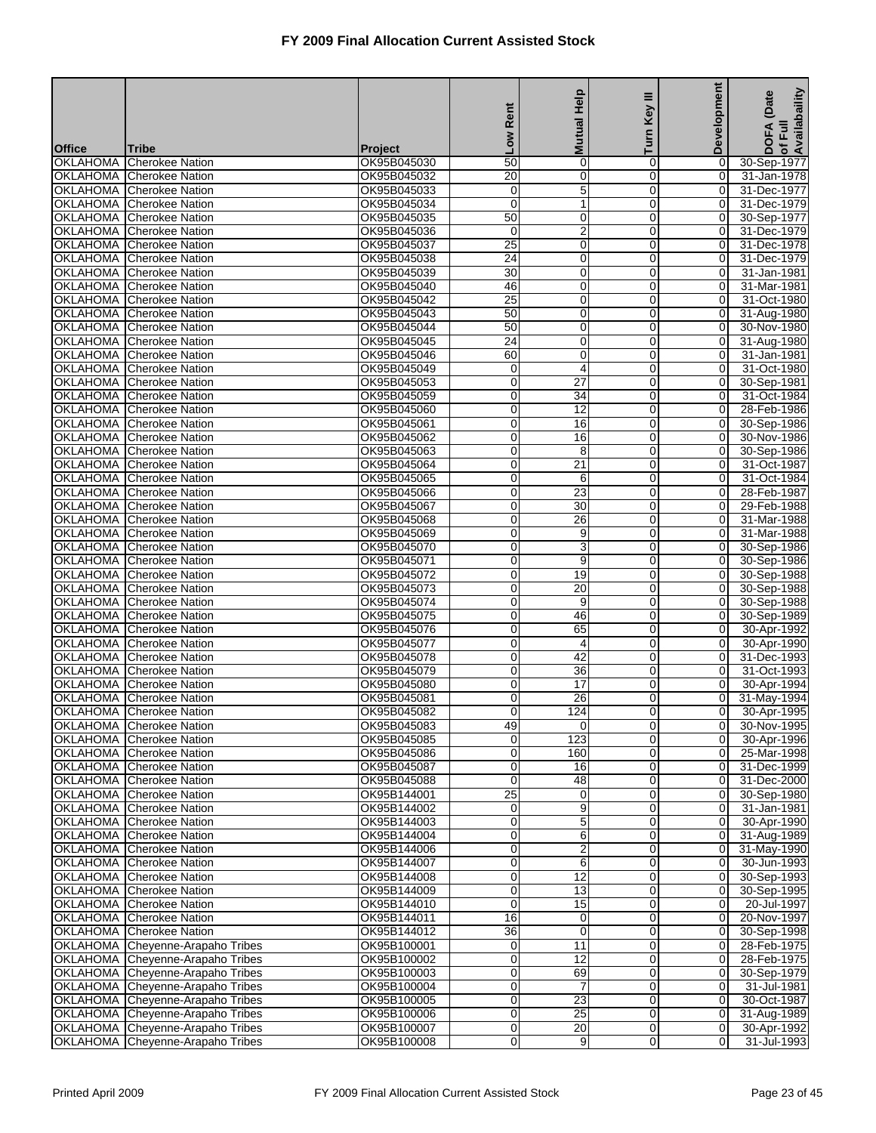|               |                                                                      |                            |                       | <b>Mutual Help</b>                 | Ξ                             | <b>Development</b>               | of Full<br>Availabaility<br>(Date |
|---------------|----------------------------------------------------------------------|----------------------------|-----------------------|------------------------------------|-------------------------------|----------------------------------|-----------------------------------|
|               |                                                                      |                            | Rent                  |                                    | Key                           |                                  |                                   |
|               |                                                                      |                            | <b>NOT</b>            |                                    | Turn                          |                                  | DOFA                              |
| <b>Office</b> | Tribe                                                                | <b>Project</b>             |                       |                                    |                               |                                  |                                   |
|               | <b>OKLAHOMA</b> Cherokee Nation<br><b>OKLAHOMA</b> Cherokee Nation   | OK95B045030<br>OK95B045032 | $\overline{50}$<br>20 | $\pmb{0}$<br>$\overline{0}$        | 0<br>$\overline{0}$           | 0<br>$\overline{0}$              | 30-Sep-1977<br>31-Jan-1978        |
|               | <b>OKLAHOMA</b> Cherokee Nation                                      | OK95B045033                | 0                     | 5                                  | 0                             | 0                                | 31-Dec-1977                       |
|               | <b>OKLAHOMA</b> Cherokee Nation                                      | OK95B045034                | $\overline{0}$        | $\mathbf{1}$                       | $\mathbf 0$                   | $\mathbf 0$                      | 31-Dec-1979                       |
|               | <b>OKLAHOMA</b> Cherokee Nation                                      | OK95B045035                | 50                    | 0                                  | 0                             | 0                                | 30-Sep-1977                       |
|               | OKLAHOMA Cherokee Nation                                             | OK95B045036                | $\mathbf 0$           | $\overline{2}$                     | $\mathbf 0$                   | 0                                | 31-Dec-1979                       |
|               | <b>OKLAHOMA</b> Cherokee Nation                                      | OK95B045037                | 25                    | 0                                  | $\mathbf 0$                   | $\overline{0}$                   | 31-Dec-1978                       |
|               | OKLAHOMA Cherokee Nation                                             | OK95B045038                | 24                    | 0                                  | 0                             | 0                                | 31-Dec-1979                       |
|               | OKLAHOMA Cherokee Nation                                             | OK95B045039                | 30                    | 0                                  | $\mathbf 0$                   | 0                                | 31-Jan-1981                       |
|               | <b>OKLAHOMA</b> Cherokee Nation                                      | OK95B045040                | 46                    | 0                                  | 0                             | 0                                | 31-Mar-1981                       |
|               | OKLAHOMA Cherokee Nation<br><b>OKLAHOMA</b> Cherokee Nation          | OK95B045042<br>OK95B045043 | $\overline{25}$<br>50 | 0<br>0                             | $\mathbf 0$<br>$\mathbf 0$    | 0<br>$\overline{0}$              | 31-Oct-1980<br>31-Aug-1980        |
|               | <b>OKLAHOMA</b> Cherokee Nation                                      | OK95B045044                | 50                    | 0                                  | 0                             | $\overline{0}$                   | 30-Nov-1980                       |
|               | OKLAHOMA Cherokee Nation                                             | OK95B045045                | $\overline{24}$       | 0                                  | $\mathbf 0$                   | 0                                | 31-Aug-1980                       |
|               | <b>OKLAHOMA</b> Cherokee Nation                                      | OK95B045046                | 60                    | 0                                  | 0                             | 0                                | 31-Jan-1981                       |
|               | OKLAHOMA Cherokee Nation                                             | OK95B045049                | 0                     | 4                                  | $\mathbf 0$                   | $\mathbf 0$                      | 31-Oct-1980                       |
|               | <b>OKLAHOMA</b> Cherokee Nation                                      | OK95B045053                | 0                     | $\overline{27}$                    | $\mathbf 0$                   | $\overline{0}$                   | 30-Sep-1981                       |
|               | <b>OKLAHOMA</b> Cherokee Nation                                      | OK95B045059                | 0                     | 34                                 | 0                             | 0                                | 31-Oct-1984                       |
|               | OKLAHOMA Cherokee Nation                                             | OK95B045060                | $\overline{0}$        | 12                                 | $\mathbf 0$                   | 0                                | 28-Feb-1986                       |
|               | <b>OKLAHOMA</b> Cherokee Nation                                      | OK95B045061                | 0                     | 16                                 | 0                             | 0                                | 30-Sep-1986                       |
|               | OKLAHOMA Cherokee Nation                                             | OK95B045062                | 0                     | 16                                 | $\mathbf 0$                   | 0                                | 30-Nov-1986                       |
|               | <b>OKLAHOMA</b> Cherokee Nation                                      | OK95B045063                | 0                     | 8                                  | $\mathbf 0$                   | $\overline{0}$                   | 30-Sep-1986                       |
|               | <b>OKLAHOMA</b> Cherokee Nation                                      | OK95B045064                | 0                     | 21                                 | 0                             | 0                                | 31-Oct-1987                       |
|               | OKLAHOMA Cherokee Nation                                             | OK95B045065                | $\overline{0}$        | 6                                  | $\Omega$                      | 0                                | 31-Oct-1984                       |
|               | <b>OKLAHOMA</b> Cherokee Nation<br>OKLAHOMA Cherokee Nation          | OK95B045066<br>OK95B045067 | 0<br>0                | $\overline{23}$<br>$\overline{30}$ | 0<br>$\mathbf 0$              | 0                                | 28-Feb-1987                       |
|               | <b>OKLAHOMA</b> Cherokee Nation                                      | OK95B045068                | 0                     | $\overline{26}$                    | $\mathbf 0$                   | 0<br>$\overline{O}$              | 29-Feb-1988<br>31-Mar-1988        |
|               | <b>OKLAHOMA</b> Cherokee Nation                                      | OK95B045069                | 0                     | 9                                  | 0                             | 0                                | 31-Mar-1988                       |
|               | OKLAHOMA Cherokee Nation                                             | OK95B045070                | $\overline{0}$        | $\overline{3}$                     | $\Omega$                      | 0                                | 30-Sep-1986                       |
|               | <b>OKLAHOMA</b> Cherokee Nation                                      | OK95B045071                | 0                     | 9                                  | 0                             | 0                                | 30-Sep-1986                       |
|               | OKLAHOMA Cherokee Nation                                             | OK95B045072                | 0                     | 19                                 | $\mathbf 0$                   | $\mathbf 0$                      | 30-Sep-1988                       |
|               | <b>OKLAHOMA</b> Cherokee Nation                                      | OK95B045073                | 0                     | $\overline{20}$                    | $\mathbf 0$                   | $\overline{0}$                   | 30-Sep-1988                       |
|               | <b>OKLAHOMA</b> Cherokee Nation                                      | OK95B045074                | 0                     | 9                                  | 0                             | 0                                | 30-Sep-1988                       |
|               | OKLAHOMA Cherokee Nation                                             | OK95B045075                | 0                     | 46                                 | $\Omega$                      | 0                                | 30-Sep-1989                       |
|               | <b>OKLAHOMA</b> Cherokee Nation                                      | OK95B045076                | 0                     | 65                                 | 0                             | 0                                | 30-Apr-1992                       |
|               | <b>OKLAHOMA</b> Cherokee Nation                                      | OK95B045077                | 0                     | 4<br>42                            | $\mathbf 0$                   | $\overline{0}$                   | 30-Apr-1990                       |
|               | <b>OKLAHOMA</b> Cherokee Nation                                      | OK95B045078                | 0<br>0                |                                    | $\mathbf 0$                   | $\overline{O}$                   | 31-Dec-1993                       |
|               | OKLAHOMA Cherokee Nation<br><b>OKLAHOMA Cherokee Nation</b>          | OK95B045079<br>OK95B045080 | 0                     | 36<br>$\overline{17}$              | 0<br>$\Omega$                 | 0<br>$\Omega$                    | 31-Oct-1993<br>30-Apr-1994        |
|               | <b>OKLAHOMA</b> Cherokee Nation                                      | OK95B045081                | 0                     | $\overline{26}$                    | 0                             | 0                                | 31-May-1994                       |
|               | OKLAHOMA Cherokee Nation                                             | OK95B045082                | 0                     | 124                                | $\overline{0}$                | $\mathbf 0$                      | 30-Apr-1995                       |
|               | <b>OKLAHOMA</b> Cherokee Nation                                      | OK95B045083                | 49                    | 0                                  | $\overline{0}$                | 0                                | 30-Nov-1995                       |
|               | OKLAHOMA Cherokee Nation                                             | OK95B045085                | 0                     | 123                                | $\overline{0}$                | $\overline{0}$                   | 30-Apr-1996                       |
|               | OKLAHOMA Cherokee Nation                                             | OK95B045086                | 0                     | 160                                | $\mathbf 0$                   | $\overline{0}$                   | 25-Mar-1998                       |
|               | OKLAHOMA Cherokee Nation                                             | OK95B045087                | 0                     | 16                                 | $\overline{0}$                | $\overline{0}$                   | 31-Dec-1999                       |
|               | OKLAHOMA Cherokee Nation                                             | OK95B045088                | $\mathbf 0$           | 48                                 | $\mathbf 0$                   | $\overline{0}$                   | 31-Dec-2000                       |
|               | OKLAHOMA Cherokee Nation                                             | OK95B144001                | 25                    | 0                                  | $\overline{0}$                | $\overline{0}$                   | 30-Sep-1980                       |
|               | OKLAHOMA Cherokee Nation                                             | OK95B144002                | 0                     | 9                                  | $\mathbf 0$                   | $\mathbf 0$                      | 31-Jan-1981                       |
|               | OKLAHOMA Cherokee Nation<br><b>OKLAHOMA</b> Cherokee Nation          | OK95B144003                | 0                     | 5                                  | $\mathbf 0$                   | $\overline{0}$                   | 30-Apr-1990                       |
|               | OKLAHOMA Cherokee Nation                                             | OK95B144004<br>OK95B144006 | 0<br>0                | 6<br>$\overline{2}$                | 0<br>$\mathbf 0$              | 0<br>$\overline{0}$              | 31-Aug-1989<br>31-May-1990        |
|               | OKLAHOMA Cherokee Nation                                             | OK95B144007                | 0                     | 6                                  | $\overline{0}$                | $\overline{0}$                   | 30-Jun-1993                       |
|               | OKLAHOMA Cherokee Nation                                             | OK95B144008                | 0                     | 12                                 | $\mathbf 0$                   | $\overline{0}$                   | 30-Sep-1993                       |
|               | OKLAHOMA Cherokee Nation                                             | OK95B144009                | 0                     | $\overline{13}$                    | $\mathbf 0$                   | $\mathbf 0$                      | 30-Sep-1995                       |
|               | <b>OKLAHOMA</b> Cherokee Nation                                      | OK95B144010                | 0                     | 15                                 | 0                             | $\overline{0}$                   | 20-Jul-1997                       |
|               | OKLAHOMA Cherokee Nation                                             | OK95B144011                | 16                    | 0                                  | $\mathbf 0$                   | $\overline{0}$                   | 20-Nov-1997                       |
|               | OKLAHOMA Cherokee Nation                                             | OK95B144012                | 36                    | 0                                  | $\overline{0}$                | $\overline{0}$                   | 30-Sep-1998                       |
|               | OKLAHOMA Cheyenne-Arapaho Tribes                                     | OK95B100001                | 0                     | 11                                 | $\mathbf 0$                   | $\overline{0}$                   | 28-Feb-1975                       |
|               | OKLAHOMA Cheyenne-Arapaho Tribes                                     | OK95B100002                | 0                     | $\overline{12}$                    | $\mathbf 0$                   | $\mathbf 0$                      | 28-Feb-1975                       |
|               | OKLAHOMA Cheyenne-Arapaho Tribes                                     | OK95B100003                | 0                     | 69                                 | 0                             | $\overline{0}$                   | 30-Sep-1979                       |
|               | OKLAHOMA Cheyenne-Arapaho Tribes                                     | OK95B100004                | 0                     | $\overline{7}$                     | $\mathbf 0$                   | $\overline{0}$                   | 31-Jul-1981                       |
|               | OKLAHOMA Cheyenne-Arapaho Tribes<br>OKLAHOMA Cheyenne-Arapaho Tribes | OK95B100005<br>OK95B100006 | $\overline{0}$<br>0   | $\overline{23}$<br>25              | $\overline{0}$<br>$\mathbf 0$ | $\overline{0}$<br>$\overline{0}$ | 30-Oct-1987<br>31-Aug-1989        |
|               | OKLAHOMA Cheyenne-Arapaho Tribes                                     | OK95B100007                | 0                     | 20                                 | $\mathbf 0$                   | $\mathbf 0$                      | 30-Apr-1992                       |
|               | OKLAHOMA Cheyenne-Arapaho Tribes                                     | OK95B100008                | 0                     | 9                                  | $\mathbf 0$                   | $\mathbf 0$                      | 31-Jul-1993                       |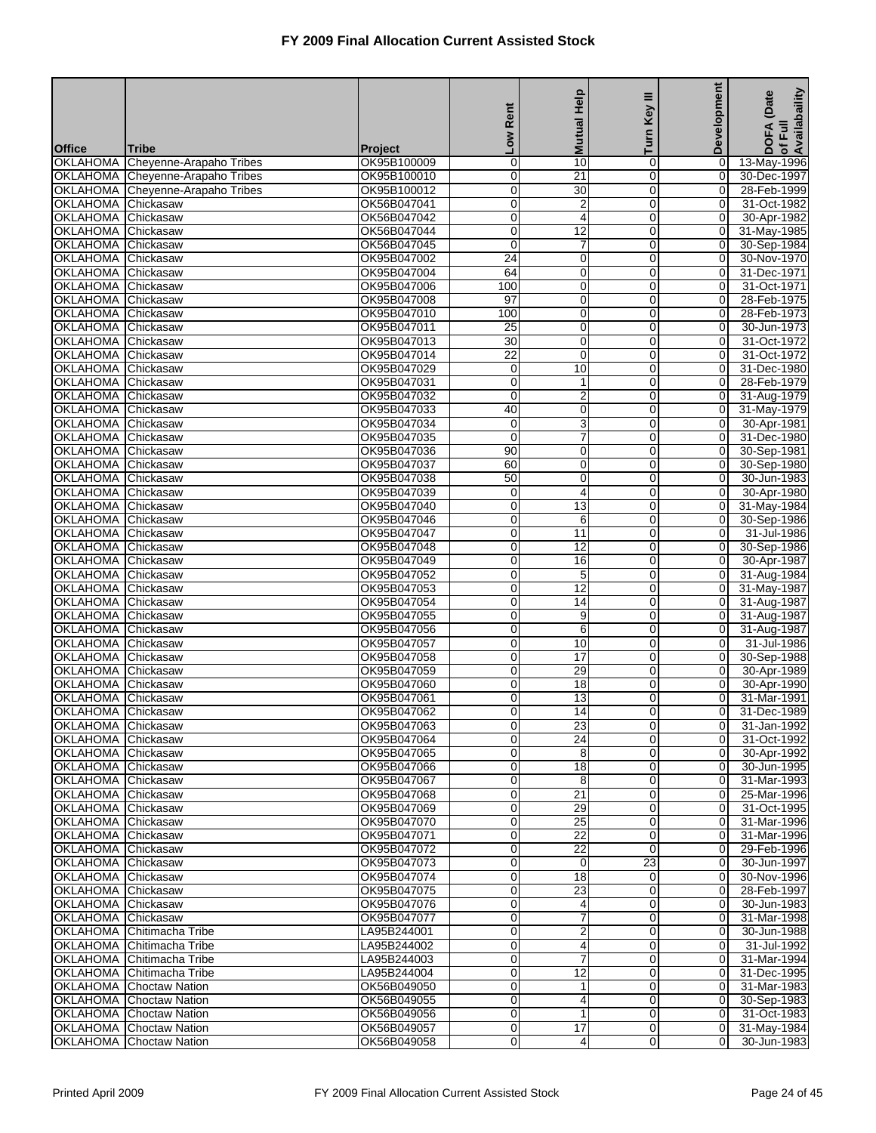|                                                 |                                                                  |                            | Rent                 | <b>Mutual Help</b>      | Ξ<br>Key                         | Development                      | of Full<br>Availabaility<br>(Date |
|-------------------------------------------------|------------------------------------------------------------------|----------------------------|----------------------|-------------------------|----------------------------------|----------------------------------|-----------------------------------|
| <b>Office</b>                                   | Tribe                                                            | Project                    | <b>NOT</b>           |                         | Turn                             |                                  | <b>DOFA</b>                       |
| <b>OKLAHOMA</b>                                 | Cheyenne-Arapaho Tribes                                          | OK95B100009                | 0                    | 10                      | $\mathbf 0$                      | 0                                | 13-May-1996                       |
|                                                 | OKLAHOMA Cheyenne-Arapaho Tribes                                 | OK95B100010                | 0                    | 21                      | $\Omega$                         | $\overline{0}$                   | 30-Dec-1997                       |
| OKLAHOMA                                        | Cheyenne-Arapaho Tribes                                          | OK95B100012                | 0                    | 30                      | 0                                | 0                                | 28-Feb-1999                       |
| <b>OKLAHOMA</b>                                 | Chickasaw                                                        | OK56B047041                | 0                    | $\overline{\mathbf{c}}$ | $\mathbf 0$                      | 0                                | 31-Oct-1982                       |
| <b>OKLAHOMA</b>                                 | Chickasaw                                                        | OK56B047042                | 0                    | 4                       | $\mathbf 0$                      | 0                                | 30-Apr-1982                       |
| <b>OKLAHOMA</b><br><b>OKLAHOMA</b>              | Chickasaw<br>Chickasaw                                           | OK56B047044<br>OK56B047045 | 0<br>$\mathbf 0$     | 12<br>$\overline{7}$    | $\overline{0}$<br>$\Omega$       | $\mathbf 0$<br>$\overline{O}$    | 31-May-1985<br>30-Sep-1984        |
| <b>OKLAHOMA</b>                                 | Chickasaw                                                        | OK95B047002                | 24                   | $\mathbf 0$             | 0                                | 0                                | 30-Nov-1970                       |
| <b>OKLAHOMA</b>                                 | Chickasaw                                                        | OK95B047004                | 64                   | $\mathbf 0$             | $\mathbf 0$                      | 0                                | 31-Dec-1971                       |
| <b>OKLAHOMA</b>                                 | Chickasaw                                                        | OK95B047006                | 100                  | $\overline{0}$          | $\mathbf 0$                      | 0                                | 31-Oct-1971                       |
| <b>OKLAHOMA</b>                                 | Chickasaw                                                        | OK95B047008                | 97                   | $\pmb{0}$               | $\overline{0}$                   | 0                                | 28-Feb-1975                       |
| <b>OKLAHOMA</b>                                 | Chickasaw                                                        | OK95B047010                | 100                  | $\mathbf 0$             | $\Omega$                         | 0                                | 28-Feb-1973                       |
| <b>OKLAHOMA</b>                                 | Chickasaw                                                        | OK95B047011                | 25                   | $\mathbf 0$             | 0                                | 0                                | 30-Jun-1973                       |
| <b>OKLAHOMA</b>                                 | Chickasaw                                                        | OK95B047013                | 30                   | $\mathbf 0$             | 0                                | 0                                | 31-Oct-1972                       |
| <b>OKLAHOMA</b><br><b>OKLAHOMA</b>              | Chickasaw                                                        | OK95B047014                | $\overline{22}$<br>0 | $\overline{0}$<br>10    | $\mathbf 0$<br>$\overline{0}$    | 0<br>$\mathbf 0$                 | 31-Oct-1972<br>31-Dec-1980        |
| <b>OKLAHOMA</b>                                 | Chickasaw<br>Chickasaw                                           | OK95B047029<br>OK95B047031 | 0                    | 1                       | $\Omega$                         | $\overline{0}$                   | 28-Feb-1979                       |
| <b>OKLAHOMA</b>                                 | Chickasaw                                                        | OK95B047032                | $\mathbf 0$          | $\overline{2}$          | 0                                | 0                                | 31-Aug-1979                       |
| <b>OKLAHOMA</b>                                 | Chickasaw                                                        | OK95B047033                | 40                   | $\pmb{0}$               | $\mathbf 0$                      | 0                                | 31-May-1979                       |
| <b>OKLAHOMA</b>                                 | Chickasaw                                                        | OK95B047034                | 0                    | 3                       | $\mathbf 0$                      | $\overline{\mathsf{o}}$          | 30-Apr-1981                       |
| <b>OKLAHOMA</b>                                 | Chickasaw                                                        | OK95B047035                | $\mathbf 0$          | $\overline{7}$          | $\overline{0}$                   | $\mathbf 0$                      | 31-Dec-1980                       |
| <b>OKLAHOMA</b>                                 | Chickasaw                                                        | OK95B047036                | 90                   | $\mathbf 0$             | $\Omega$                         | $\overline{O}$                   | 30-Sep-1981                       |
| <b>OKLAHOMA</b>                                 | Chickasaw                                                        | OK95B047037                | 60                   | $\mathbf 0$             | 0                                | 0                                | 30-Sep-1980                       |
| <b>OKLAHOMA</b>                                 | Chickasaw                                                        | OK95B047038                | 50                   | $\mathbf 0$             | $\mathbf 0$                      | 0                                | 30-Jun-1983                       |
| <b>OKLAHOMA</b><br><b>OKLAHOMA</b>              | Chickasaw<br>Chickasaw                                           | OK95B047039<br>OK95B047040 | 0<br>0               | 4<br>$\overline{13}$    | $\mathbf 0$<br>$\overline{0}$    | $\overline{0}$<br>$\overline{0}$ | 30-Apr-1980<br>31-May-1984        |
| <b>OKLAHOMA</b>                                 | Chickasaw                                                        | OK95B047046                | 0                    | 6                       | $\Omega$                         | $\overline{O}$                   | 30-Sep-1986                       |
| <b>OKLAHOMA</b>                                 | Chickasaw                                                        | OK95B047047                | $\mathbf 0$          | 11                      | 0                                | 0                                | 31-Jul-1986                       |
| <b>OKLAHOMA</b>                                 | Chickasaw                                                        | OK95B047048                | 0                    | $\overline{12}$         | $\mathbf 0$                      | 0                                | 30-Sep-1986                       |
| <b>OKLAHOMA</b>                                 | Chickasaw                                                        | OK95B047049                | 0                    | 16                      | $\mathbf 0$                      | $\mathbf 0$                      | 30-Apr-1987                       |
| <b>OKLAHOMA</b>                                 | Chickasaw                                                        | OK95B047052                | 0                    | 5                       | $\overline{0}$                   | $\mathbf 0$                      | 31-Aug-1984                       |
| <b>OKLAHOMA</b>                                 | Chickasaw                                                        | OK95B047053                | 0                    | 12                      | $\Omega$                         | $\overline{0}$                   | 31-May-1987                       |
| <b>OKLAHOMA</b>                                 | Chickasaw                                                        | OK95B047054                | 0                    | 14                      | 0                                | 0                                | 31-Aug-1987                       |
| <b>OKLAHOMA</b><br><b>OKLAHOMA</b>              | Chickasaw<br>Chickasaw                                           | OK95B047055<br>OK95B047056 | 0<br>0               | 9<br>6                  | $\mathbf 0$<br>$\mathbf 0$       | 0<br>$\mathbf 0$                 | 31-Aug-1987<br>31-Aug-1987        |
| <b>OKLAHOMA</b>                                 | Chickasaw                                                        | OK95B047057                | 0                    | 10                      | $\overline{0}$                   | $\mathbf 0$                      | 31-Jul-1986                       |
| <b>OKLAHOMA</b>                                 | Chickasaw                                                        | OK95B047058                | 0                    | $\overline{17}$         | $\Omega$                         | 0                                | 30-Sep-1988                       |
| <b>OKLAHOMA</b>                                 | Chickasaw                                                        | OK95B047059                | 0                    | 29                      | 0                                | 0                                | 30-Apr-1989                       |
| <b>OKLAHOMA</b>                                 | Chickasaw                                                        | OK95B047060                | 0                    | 18                      | 0                                | 0                                | 30-Apr-1990                       |
| <b>OKLAHOMA</b>                                 | Chickasaw                                                        | OK95B047061                | 0                    | 13                      | 0                                | 0                                | 31-Mar-1991                       |
| OKLAHOMA Chickasaw                              |                                                                  | OK95B047062                | $\overline{O}$       | 14                      | $\Omega$                         | $\overline{0}$                   | 31-Dec-1989                       |
| OKLAHOMA Chickasaw                              |                                                                  | OK95B047063                | 0                    | 23                      | $\overline{0}$                   | $\overline{0}$                   | 31-Jan-1992                       |
| OKLAHOMA Chickasaw                              |                                                                  | OK95B047064                | 0                    | 24                      | $\mathbf 0$                      | $\overline{O}$                   | 31-Oct-1992                       |
| OKLAHOMA Chickasaw<br><b>OKLAHOMA Chickasaw</b> |                                                                  | OK95B047065<br>OK95B047066 | 0<br>0               | 8<br>$\overline{18}$    | $\mathbf 0$<br>$\overline{0}$    | $\overline{0}$<br>$\overline{0}$ | 30-Apr-1992<br>30-Jun-1995        |
| OKLAHOMA Chickasaw                              |                                                                  | OK95B047067                | 0                    | 8                       | $\overline{0}$                   | $\overline{0}$                   | 31-Mar-1993                       |
| OKLAHOMA Chickasaw                              |                                                                  | OK95B047068                | 0                    | 21                      | 0                                | $\overline{0}$                   | 25-Mar-1996                       |
| <b>OKLAHOMA</b> Chickasaw                       |                                                                  | OK95B047069                | 0                    | 29                      | $\mathbf 0$                      | $\overline{0}$                   | 31-Oct-1995                       |
| OKLAHOMA Chickasaw                              |                                                                  | OK95B047070                | 0                    | 25                      | $\mathbf 0$                      | $\overline{0}$                   | 31-Mar-1996                       |
| OKLAHOMA Chickasaw                              |                                                                  | OK95B047071                | 0                    | $\overline{22}$         | $\mathbf 0$                      | $\overline{0}$                   | 31-Mar-1996                       |
| OKLAHOMA Chickasaw                              |                                                                  | OK95B047072                | 0                    | 22                      | $\overline{0}$                   | $\overline{0}$                   | 29-Feb-1996                       |
| OKLAHOMA Chickasaw                              |                                                                  | OK95B047073                | 0                    | $\mathbf 0$             | 23                               | $\overline{0}$                   | 30-Jun-1997                       |
| OKLAHOMA Chickasaw                              |                                                                  | OK95B047074                | 0                    | 18                      | 0                                | $\overline{O}$                   | 30-Nov-1996                       |
| OKLAHOMA Chickasaw<br>OKLAHOMA Chickasaw        |                                                                  | OK95B047075<br>OK95B047076 | 0<br>0               | $\overline{23}$         | $\mathbf 0$<br>0                 | 0<br>$\overline{0}$              | 28-Feb-1997<br>30-Jun-1983        |
| OKLAHOMA Chickasaw                              |                                                                  | OK95B047077                | 0                    | 4<br>7                  | $\overline{0}$                   | $\overline{0}$                   | 31-Mar-1998                       |
|                                                 | OKLAHOMA Chitimacha Tribe                                        | LA95B244001                | 0                    | $\overline{2}$          | $\mathbf 0$                      | $\overline{0}$                   | 30-Jun-1988                       |
|                                                 | OKLAHOMA Chitimacha Tribe                                        | LA95B244002                | 0                    | 4                       | $\mathbf 0$                      | $\overline{O}$                   | 31-Jul-1992                       |
|                                                 | OKLAHOMA Chitimacha Tribe                                        | LA95B244003                | 0                    | 7                       | $\mathbf 0$                      | $\overline{0}$                   | 31-Mar-1994                       |
|                                                 | OKLAHOMA Chitimacha Tribe                                        | LA95B244004                | 0                    | $\overline{12}$         | $\overline{0}$                   | $\overline{0}$                   | 31-Dec-1995                       |
|                                                 | <b>OKLAHOMA</b> Choctaw Nation                                   | OK56B049050                | 0                    | 1                       | $\overline{0}$                   | $\overline{0}$                   | 31-Mar-1983                       |
|                                                 | <b>OKLAHOMA</b> Choctaw Nation                                   | OK56B049055                | 0                    | 4                       | $\mathbf 0$                      | $\overline{0}$                   | 30-Sep-1983                       |
|                                                 | <b>OKLAHOMA</b> Choctaw Nation                                   | OK56B049056                | 0                    | $\mathbf{1}$            | $\overline{0}$                   | $\overline{0}$                   | 31-Oct-1983                       |
|                                                 | <b>OKLAHOMA</b> Choctaw Nation<br><b>OKLAHOMA</b> Choctaw Nation | OK56B049057<br>OK56B049058 | 0<br>0               | 17<br>4                 | $\overline{0}$<br>$\overline{0}$ | $\overline{0}$<br>$\overline{0}$ | 31-May-1984<br>30-Jun-1983        |
|                                                 |                                                                  |                            |                      |                         |                                  |                                  |                                   |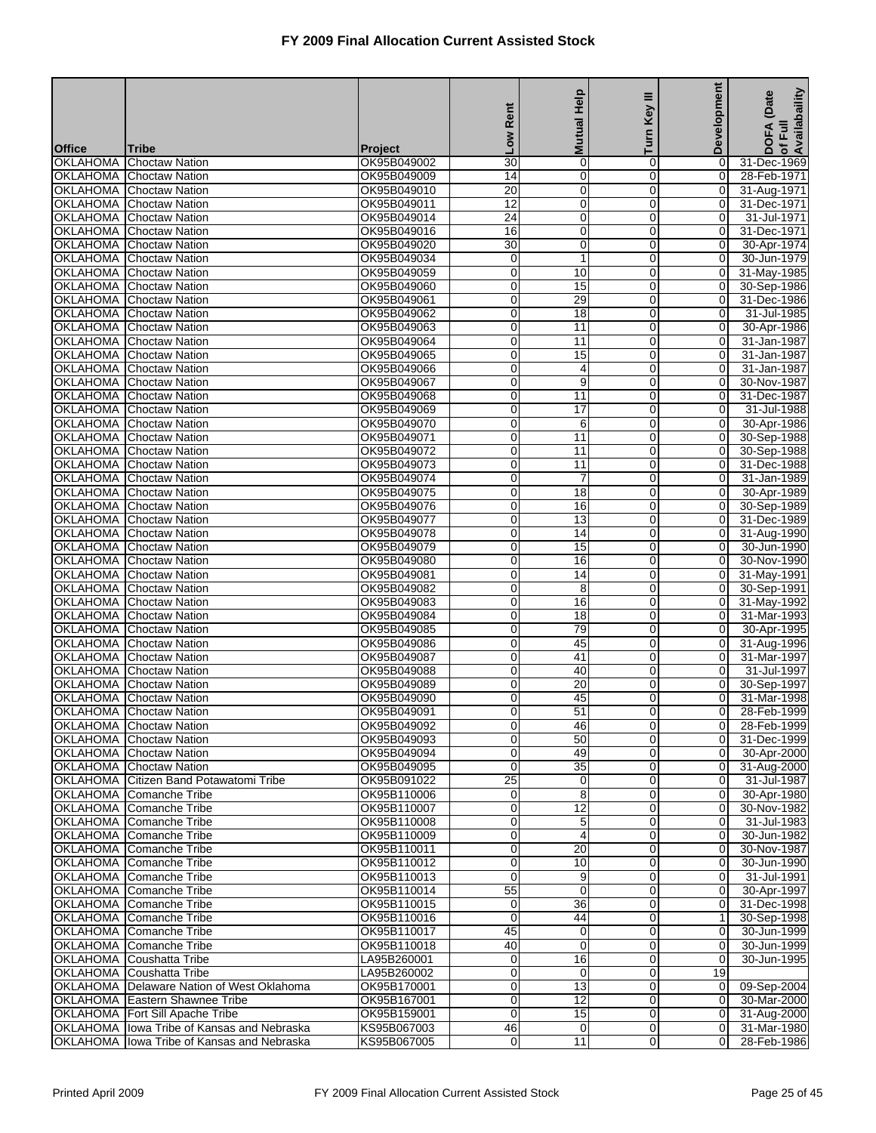|                                    |                                                                          |                            |                 | <b>Mutual Help</b>             | Key III                 | Development                      | of Full<br>Availabaility<br>(Date |
|------------------------------------|--------------------------------------------------------------------------|----------------------------|-----------------|--------------------------------|-------------------------|----------------------------------|-----------------------------------|
|                                    |                                                                          |                            | Rent            |                                | Turn                    |                                  | <b>DOFA</b>                       |
| <b>Office</b>                      | <b>Tribe</b>                                                             | <b>Project</b>             | <b>No</b>       |                                |                         |                                  |                                   |
| <b>OKLAHOMA</b>                    | <b>Choctaw Nation</b>                                                    | OK95B049002                | $\overline{30}$ | $\pmb{0}$                      | 0                       | 0                                | 31-Dec-1969                       |
| <b>OKLAHOMA</b>                    | <b>Choctaw Nation</b>                                                    | OK95B049009                | 14              | $\overline{0}$                 | 0                       | $\overline{0}$                   | 28-Feb-1971                       |
| <b>OKLAHOMA</b><br><b>OKLAHOMA</b> | <b>Choctaw Nation</b>                                                    | OK95B049010<br>OK95B049011 | 20<br>12        | $\pmb{0}$<br>$\mathbf 0$       | 0<br>$\mathbf 0$        | 0<br>$\mathbf 0$                 | 31-Aug-1971<br>31-Dec-1971        |
| <b>OKLAHOMA</b>                    | <b>Choctaw Nation</b><br><b>Choctaw Nation</b>                           | OK95B049014                | $\overline{24}$ | $\mathbf 0$                    | 0                       | 0                                | 31-Jul-1971                       |
| <b>OKLAHOMA</b>                    | <b>Choctaw Nation</b>                                                    | OK95B049016                | 16              | $\mathbf 0$                    | 0                       | 0                                | 31-Dec-1971                       |
| <b>OKLAHOMA</b>                    | <b>Choctaw Nation</b>                                                    | OK95B049020                | 30              | $\overline{0}$                 | $\mathbf 0$             | 0                                | 30-Apr-1974                       |
| <b>OKLAHOMA</b>                    | <b>Choctaw Nation</b>                                                    | OK95B049034                | 0               | $\mathbf{1}$                   | 0                       | 0                                | 30-Jun-1979                       |
|                                    | OKLAHOMA Choctaw Nation                                                  | OK95B049059                | $\mathbf 0$     | 10                             | $\Omega$                | 0                                | 31-May-1985                       |
| <b>OKLAHOMA</b>                    | <b>Choctaw Nation</b>                                                    | OK95B049060                | 0               | 15                             | 0                       | 0                                | 30-Sep-1986                       |
| <b>OKLAHOMA</b>                    | <b>Choctaw Nation</b>                                                    | OK95B049061                | 0               | 29                             | 0                       | 0                                | 31-Dec-1986                       |
| <b>OKLAHOMA</b>                    | <b>Choctaw Nation</b>                                                    | OK95B049062                | 0               | 18                             | $\mathbf 0$             | $\mathbf 0$                      | 31-Jul-1985                       |
| <b>OKLAHOMA</b>                    | <b>Choctaw Nation</b>                                                    | OK95B049063                | 0               | 11                             | 0                       | 0                                | 30-Apr-1986                       |
|                                    | OKLAHOMA Choctaw Nation                                                  | OK95B049064                | 0               | $\overline{11}$                | $\Omega$                | 0                                | 31-Jan-1987                       |
| <b>OKLAHOMA</b>                    | <b>Choctaw Nation</b>                                                    | OK95B049065                | 0               | 15                             | 0                       | 0                                | 31-Jan-1987                       |
| <b>OKLAHOMA</b><br><b>OKLAHOMA</b> | <b>Choctaw Nation</b>                                                    | OK95B049066<br>OK95B049067 | 0               | 4                              | $\mathbf 0$             | $\mathbf 0$                      | 31-Jan-1987                       |
| <b>OKLAHOMA</b>                    | <b>Choctaw Nation</b><br><b>Choctaw Nation</b>                           | OK95B049068                | 0<br>0          | $\overline{9}$<br>11           | 0<br>0                  | $\overline{O}$<br>0              | 30-Nov-1987<br>31-Dec-1987        |
|                                    | OKLAHOMA Choctaw Nation                                                  | OK95B049069                | 0               | $\overline{17}$                | $\Omega$                | 0                                | 31-Jul-1988                       |
| <b>OKLAHOMA</b>                    | <b>Choctaw Nation</b>                                                    | OK95B049070                | 0               | 6                              | 0                       | 0                                | 30-Apr-1986                       |
| <b>OKLAHOMA</b>                    | <b>Choctaw Nation</b>                                                    | OK95B049071                | $\mathbf 0$     | $\overline{11}$                | 0                       | $\mathbf 0$                      | 30-Sep-1988                       |
| <b>OKLAHOMA</b>                    | <b>Choctaw Nation</b>                                                    | OK95B049072                | 0               | 11                             | 0                       | $\overline{0}$                   | 30-Sep-1988                       |
| <b>OKLAHOMA</b>                    | <b>Choctaw Nation</b>                                                    | OK95B049073                | 0               | 11                             | 0                       | 0                                | 31-Dec-1988                       |
|                                    | <b>OKLAHOMA</b> Choctaw Nation                                           | OK95B049074                | $\overline{0}$  | $\overline{7}$                 | $\Omega$                | $\mathbf 0$                      | 31-Jan-1989                       |
| <b>OKLAHOMA</b>                    | <b>Choctaw Nation</b>                                                    | OK95B049075                | 0               | $\overline{18}$                | $\mathbf 0$             | 0                                | 30-Apr-1989                       |
| <b>OKLAHOMA</b>                    | <b>Choctaw Nation</b>                                                    | OK95B049076                | 0               | 16                             | 0                       | $\overline{0}$                   | 30-Sep-1989                       |
| <b>OKLAHOMA</b>                    | <b>Choctaw Nation</b>                                                    | OK95B049077                | 0               | 13                             | 0                       | $\overline{O}$                   | 31-Dec-1989                       |
| <b>OKLAHOMA</b>                    | <b>Choctaw Nation</b>                                                    | OK95B049078                | 0               | 14                             | 0                       | 0                                | 31-Aug-1990                       |
| <b>OKLAHOMA</b>                    | <b>Choctaw Nation</b>                                                    | OK95B049079                | $\overline{0}$  | 15                             | $\mathbf 0$             | 0                                | 30-Jun-1990                       |
| <b>OKLAHOMA</b>                    | <b>Choctaw Nation</b>                                                    | OK95B049080                | 0               | 16                             | $\mathbf 0$             | 0                                | 30-Nov-1990                       |
| <b>OKLAHOMA</b><br><b>OKLAHOMA</b> | <b>Choctaw Nation</b>                                                    | OK95B049081<br>OK95B049082 | 0<br>0          | $\overline{14}$                | 0<br>0                  | $\overline{0}$<br>$\overline{0}$ | 31-May-1991                       |
| <b>OKLAHOMA</b>                    | <b>Choctaw Nation</b><br><b>Choctaw Nation</b>                           | OK95B049083                | 0               | 8<br>16                        | 0                       | 0                                | 30-Sep-1991<br>31-May-1992        |
| <b>OKLAHOMA</b>                    | <b>Choctaw Nation</b>                                                    | OK95B049084                | $\overline{0}$  | $\overline{18}$                | $\Omega$                | 0                                | 31-Mar-1993                       |
| <b>OKLAHOMA</b>                    | <b>Choctaw Nation</b>                                                    | OK95B049085                | 0               | 79                             | $\mathbf 0$             | 0                                | 30-Apr-1995                       |
| <b>OKLAHOMA</b>                    | <b>Choctaw Nation</b>                                                    | OK95B049086                | 0               | 45                             | $\mathbf 0$             | 0                                | 31-Aug-1996                       |
| <b>OKLAHOMA</b>                    | <b>Choctaw Nation</b>                                                    | OK95B049087                | 0               | 41                             | 0                       | $\overline{O}$                   | 31-Mar-1997                       |
| <b>OKLAHOMA</b>                    | <b>Choctaw Nation</b>                                                    | OK95B049088                | 0               | 40                             | 0                       | 0                                | 31-Jul-1997                       |
| <b>OKLAHOMA</b>                    | <b>Choctaw Nation</b>                                                    | OK95B049089                | 0               | $\overline{20}$                | $\Omega$                | 0                                | 30-Sep-1997                       |
| OKLAHOMA                           | <b>Choctaw Nation</b>                                                    | OK95B049090                | 0               | 45                             | 0                       | 0                                | 31-Mar-1998                       |
| <b>OKLAHOMA</b>                    | <b>Choctaw Nation</b>                                                    | OK95B049091                | $\overline{0}$  | $\overline{51}$                | $\overline{0}$          | 0                                | 28-Feb-1999                       |
|                                    | <b>OKLAHOMA</b> Choctaw Nation                                           | OK95B049092                | 0               | 46                             | $\overline{0}$          | 0                                | 28-Feb-1999                       |
|                                    | <b>OKLAHOMA</b> Choctaw Nation                                           | OK95B049093                | 0               | 50                             | $\overline{0}$          | $\overline{0}$                   | 31-Dec-1999                       |
|                                    | <b>OKLAHOMA</b> Choctaw Nation                                           | OK95B049094                | 0               | 49                             | $\Omega$                | $\overline{O}$                   | 30-Apr-2000                       |
|                                    | <b>OKLAHOMA</b> Choctaw Nation<br>OKLAHOMA Citizen Band Potawatomi Tribe | OK95B049095<br>OK95B091022 | 0<br>25         | $\overline{35}$<br>$\mathbf 0$ | 0<br>$\mathbf 0$        | 0<br>$\overline{0}$              | 31-Aug-2000<br>31-Jul-1987        |
|                                    | <b>OKLAHOMA</b> Comanche Tribe                                           | OK95B110006                | $\overline{0}$  | 8                              | $\overline{0}$          | $\overline{0}$                   | 30-Apr-1980                       |
|                                    | OKLAHOMA Comanche Tribe                                                  | OK95B110007                | 0               | 12                             | $\mathbf 0$             | $\overline{0}$                   | 30-Nov-1982                       |
|                                    | OKLAHOMA Comanche Tribe                                                  | OK95B110008                | 0               | 5                              | $\Omega$                | $\overline{O}$                   | 31-Jul-1983                       |
|                                    | OKLAHOMA Comanche Tribe                                                  | OK95B110009                | 0               | 4                              | 0                       | 0                                | 30-Jun-1982                       |
|                                    | OKLAHOMA Comanche Tribe                                                  | OK95B110011                | 0               | $\overline{20}$                | $\mathbf 0$             | $\overline{0}$                   | 30-Nov-1987                       |
|                                    | <b>OKLAHOMA</b> Comanche Tribe                                           | OK95B110012                | 0               | 10                             | $\overline{0}$          | $\overline{0}$                   | 30-Jun-1990                       |
|                                    | OKLAHOMA Comanche Tribe                                                  | OK95B110013                | 0               | 9                              | $\mathbf 0$             | $\overline{0}$                   | 31-Jul-1991                       |
|                                    | OKLAHOMA Comanche Tribe                                                  | OK95B110014                | $\overline{55}$ | $\overline{0}$                 | $\Omega$                | $\overline{O}$                   | 30-Apr-1997                       |
|                                    | OKLAHOMA Comanche Tribe                                                  | OK95B110015                | 0               | 36                             | 0                       | 0                                | 31-Dec-1998                       |
|                                    | OKLAHOMA Comanche Tribe                                                  | OK95B110016                | 0               | 44                             | $\mathbf 0$             | 1                                | 30-Sep-1998                       |
|                                    | <b>OKLAHOMA</b> Comanche Tribe                                           | OK95B110017                | 45              | $\mathbf 0$                    | $\overline{0}$          | $\overline{0}$                   | 30-Jun-1999                       |
|                                    | OKLAHOMA Comanche Tribe                                                  | OK95B110018                | 40              | $\mathbf 0$                    | $\mathbf 0$<br>$\Omega$ | $\overline{0}$<br>$\mathbf 0$    | 30-Jun-1999                       |
|                                    | OKLAHOMA Coushatta Tribe<br>OKLAHOMA Coushatta Tribe                     | LA95B260001<br>LA95B260002 | 0<br>0          | 16<br>0                        | 0                       | 19                               | 30-Jun-1995                       |
|                                    | OKLAHOMA   Delaware Nation of West Oklahoma                              | OK95B170001                | 0               | 13                             | $\mathbf 0$             | 0                                | 09-Sep-2004                       |
|                                    | <b>OKLAHOMA</b> Eastern Shawnee Tribe                                    | OK95B167001                | 0               | 12                             | $\overline{0}$          | $\overline{0}$                   | 30-Mar-2000                       |
|                                    | OKLAHOMA   Fort Sill Apache Tribe                                        | OK95B159001                | 0               | 15                             | $\mathbf 0$             | $\overline{0}$                   | 31-Aug-2000                       |
|                                    | OKLAHOMA Iowa Tribe of Kansas and Nebraska                               | KS95B067003                | 46              | $\mathbf 0$                    | $\mathbf 0$             | $\overline{0}$                   | 31-Mar-1980                       |
|                                    | OKLAHOMA lowa Tribe of Kansas and Nebraska                               | KS95B067005                | 0               | 11                             | $\overline{0}$          | $\overline{0}$                   | 28-Feb-1986                       |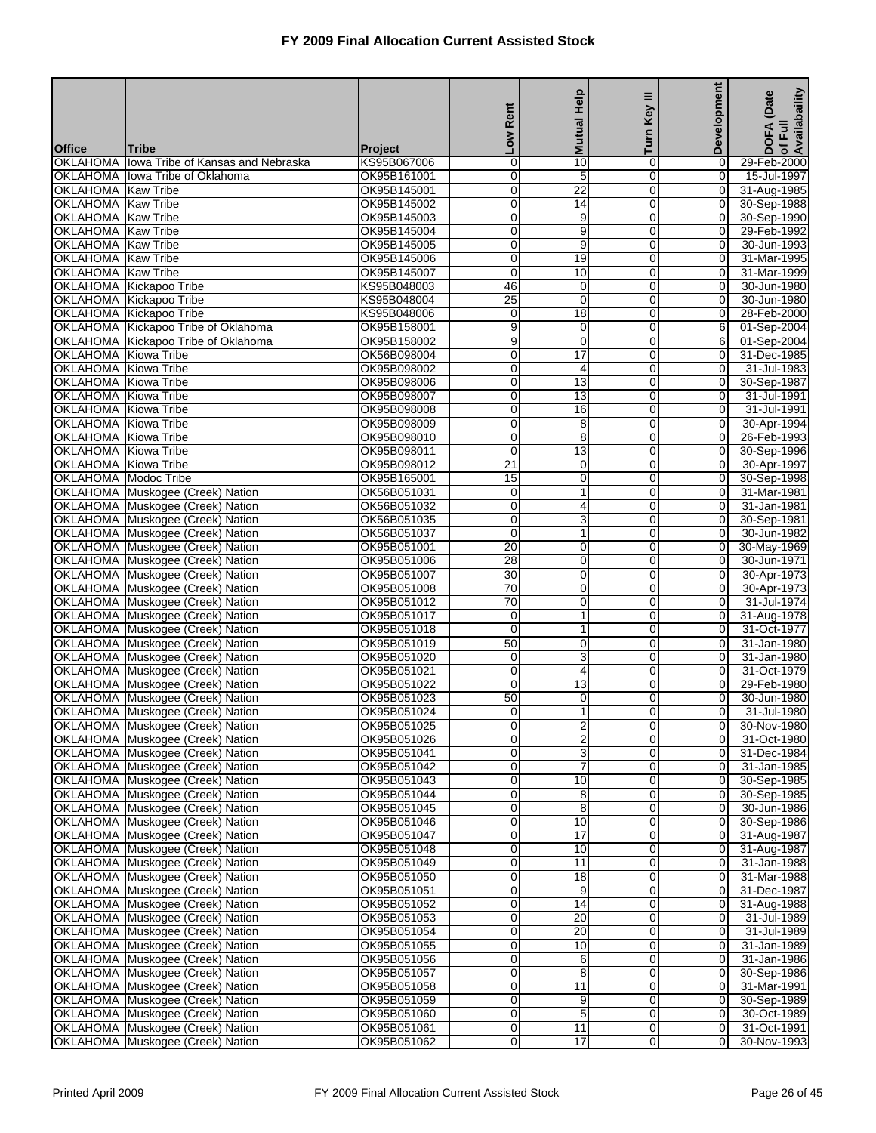| <b>Tribe</b><br>Project<br><b>OKLAHOMA</b><br>lowa Tribe of Kansas and Nebraska<br>KS95B067006<br>0<br>10<br>0<br>$\mathbf 0$<br>29-Feb-2000<br>$\overline{0}$<br>5<br>$\overline{0}$<br>$\overline{0}$<br><b>OKLAHOMA</b><br>Iowa Tribe of Oklahoma<br>OK95B161001<br>15-Jul-1997<br>0<br>$\overline{0}$<br>OKLAHOMA   Kaw Tribe<br>OK95B145001<br>22<br>0<br>31-Aug-1985<br>0<br>$\overline{14}$<br>$\mathbf 0$<br>$\overline{0}$<br>OKLAHOMA Kaw Tribe<br>OK95B145002<br>30-Sep-1988<br>OKLAHOMA Kaw Tribe<br>OK95B145003<br>0<br>9<br>$\mathbf 0$<br>$\overline{0}$<br>30-Sep-1990<br>$\mathbf 0$<br>9<br>$\mathbf 0$<br>$\mathbf 0$<br>OKLAHOMA Kaw Tribe<br>OK95B145004<br>29-Feb-1992<br>OKLAHOMA Kaw Tribe<br>OK95B145005<br>0<br>9<br>0<br>$\overline{0}$<br>30-Jun-1993<br>OKLAHOMA Kaw Tribe<br>OK95B145006<br>0<br>19<br>0<br>$\overline{0}$<br>31-Mar-1995<br>$\mathbf 0$<br>$\mathbf 0$<br>$\overline{0}$<br>OKLAHOMA Kaw Tribe<br>OK95B145007<br>10<br>31-Mar-1999<br>OKLAHOMA Kickapoo Tribe<br>46<br>$\mathbf 0$<br>$\overline{0}$<br>30-Jun-1980<br>KS95B048003<br>$\mathbf 0$<br>$\overline{25}$<br>0<br>$\mathbf 0$<br>$\overline{0}$<br>OKLAHOMA Kickapoo Tribe<br>KS95B048004<br>30-Jun-1980<br>OKLAHOMA Kickapoo Tribe<br>KS95B048006<br>$\overline{18}$<br>0<br>$\overline{0}$<br>28-Feb-2000<br>0<br>9<br>OKLAHOMA Kickapoo Tribe of Oklahoma<br>OK95B158001<br>$\mathbf 0$<br>0<br>6<br>01-Sep-2004<br>9<br>0<br>$\mathbf 0$<br>6<br>OKLAHOMA Kickapoo Tribe of Oklahoma<br>OK95B158002<br>01-Sep-2004<br>OKLAHOMA Kiowa Tribe<br>OK56B098004<br>0<br>$\overline{17}$<br>$\mathbf 0$<br>$\overline{0}$<br>31-Dec-1985<br>OKLAHOMA Kiowa Tribe<br>OK95B098002<br>0<br>4<br>0<br>0<br>31-Jul-1983<br>$\overline{0}$<br>OKLAHOMA Kiowa Tribe<br>OK95B098006<br>0<br>13<br>$\overline{0}$<br>30-Sep-1987<br>OKLAHOMA Kiowa Tribe<br>OK95B098007<br>0<br>13<br>0<br>$\overline{0}$<br>31-Jul-1991<br>0<br>$\mathbf 0$<br>$\overline{0}$<br>OKLAHOMA Kiowa Tribe<br>OK95B098008<br>16<br>31-Jul-1991<br><b>OKLAHOMA</b> Kiowa Tribe<br>OK95B098009<br>0<br>8<br>$\mathbf 0$<br>$\overline{0}$<br>30-Apr-1994<br>$\mathbf 0$<br>8<br>$\mathbf 0$<br>$\overline{0}$<br>OKLAHOMA Kiowa Tribe<br>OK95B098010<br>26-Feb-1993<br>$\overline{0}$<br>0<br>OKLAHOMA Kiowa Tribe<br>OK95B098011<br>13<br>0<br>30-Sep-1996<br>OKLAHOMA Kiowa Tribe<br>OK95B098012<br>21<br>$\mathbf 0$<br>0<br>$\overline{0}$<br>30-Apr-1997<br>0<br>$\mathbf 0$<br>$\overline{0}$<br>OKLAHOMA Modoc Tribe<br>OK95B165001<br>15<br>30-Sep-1998<br>OKLAHOMA Muskogee (Creek) Nation<br>OK56B051031<br>$\mathbf{1}$<br>$\mathbf 0$<br>$\overline{0}$<br>31-Mar-1981<br>0<br>$\mathbf 0$<br>$\mathbf 0$<br>$\overline{0}$<br>OKLAHOMA Muskogee (Creek) Nation<br>OK56B051032<br>4<br>31-Jan-1981<br>OKLAHOMA Muskogee (Creek) Nation<br>OK56B051035<br>0<br>3<br>0<br>$\overline{0}$<br>30-Sep-1981<br>OKLAHOMA Muskogee (Creek) Nation<br>OK56B051037<br>0<br>$\mathbf{1}$<br>0<br>$\overline{0}$<br>30-Jun-1982<br>$\overline{20}$<br>0<br>$\mathbf 0$<br>$\overline{0}$<br>OKLAHOMA Muskogee (Creek) Nation<br>OK95B051001<br>30-May-1969<br>OKLAHOMA Muskogee (Creek) Nation<br>28<br>$\mathbf 0$<br>$\mathbf 0$<br>$\overline{0}$<br>30-Jun-1971<br>OK95B051006<br>$\overline{30}$<br>$\overline{0}$<br>OKLAHOMA Muskogee (Creek) Nation<br>OK95B051007<br>0<br>0<br>30-Apr-1973<br>OKLAHOMA Muskogee (Creek) Nation<br>OK95B051008<br>$\overline{70}$<br>0<br>0<br>$\overline{0}$<br>30-Apr-1973<br>$\mathbf 0$<br>31-Jul-1974<br>OKLAHOMA Muskogee (Creek) Nation<br>OK95B051012<br>70<br>0<br>$\overline{0}$<br>$\mathbf{1}$<br>$\mathbf 0$<br>$\overline{0}$<br>OKLAHOMA Muskogee (Creek) Nation<br>OK95B051017<br>0<br>31-Aug-1978<br>OKLAHOMA Muskogee (Creek) Nation<br>$\mathbf 0$<br>1<br>$\mathbf 0$<br>$\overline{0}$<br>31-Oct-1977<br>OK95B051018<br>OKLAHOMA Muskogee (Creek) Nation<br>OK95B051019<br>50<br>0<br>0<br>0<br>31-Jan-1980<br>3<br>OKLAHOMA Muskogee (Creek) Nation<br>OK95B051020<br>0<br>$\overline{0}$<br>31-Jan-1980<br>0<br>$\overline{4}$<br>$\boldsymbol{0}$<br>OKLAHOMA Muskogee (Creek) Nation<br>OK95B051021<br>0<br>$\overline{0}$<br>31-Oct-1979<br>$\mathbf 0$<br>$\mathbf 0$<br>$\overline{0}$<br>OKLAHOMA Muskogee (Creek) Nation<br>OK95B051022<br>13<br>29-Feb-1980<br>50<br>$\mathbf 0$<br>$\overline{0}$<br>30-Jun-1980<br>OKLAHOMA Muskogee (Creek) Nation<br>OK95B051023<br>0<br>$\overline{0}$<br>OKLAHOMA Muskogee (Creek) Nation<br>OK95B051024<br>0<br>1<br>$\mathbf 0$<br>31-Jul-1980<br>OKLAHOMA Muskogee (Creek) Nation<br>OK95B051025<br>$\overline{0}$<br>$\overline{0}$<br>30-Nov-1980<br>$\mathbf{2}$<br>01<br>$\overline{2}$<br>$\mathbf 0$<br>0<br>$\overline{0}$<br>OKLAHOMA Muskogee (Creek) Nation<br>OK95B051026<br>31-Oct-1980<br>0<br>3<br>$\mathbf 0$<br>$\overline{0}$<br>OKLAHOMA Muskogee (Creek) Nation<br>OK95B051041<br>31-Dec-1984<br>OKLAHOMA Muskogee (Creek) Nation<br>OK95B051042<br>$\overline{0}$<br>7<br>0<br>$\overline{0}$<br>31-Jan-1985<br>OKLAHOMA Muskogee (Creek) Nation<br>OK95B051043<br>0<br>10<br>0<br>$\overline{0}$<br>30-Sep-1985<br>0<br>0<br>OKLAHOMA Muskogee (Creek) Nation<br>OK95B051044<br>8<br>0<br>30-Sep-1985<br>$\mathbf 0$<br>8<br>0<br>$\overline{0}$<br>OKLAHOMA Muskogee (Creek) Nation<br>OK95B051045<br>30-Jun-1986<br>$\mathbf 0$<br>OKLAHOMA Muskogee (Creek) Nation<br>0<br>10<br>$\overline{0}$<br>30-Sep-1986<br>OK95B051046<br>OKLAHOMA Muskogee (Creek) Nation<br>$\overline{17}$<br>0<br>OK95B051047<br>0<br>$\overline{0}$<br>31-Aug-1987<br>OKLAHOMA Muskogee (Creek) Nation<br>0<br>10<br>0<br>0<br>31-Aug-1987<br>OK95B051048<br>OKLAHOMA Muskogee (Creek) Nation<br>0<br>11<br>0<br>$\overline{0}$<br>OK95B051049<br>31-Jan-1988<br>OKLAHOMA Muskogee (Creek) Nation<br>$\mathbf 0$<br>18<br>0<br>$\overline{0}$<br>31-Mar-1988<br>OK95B051050<br>$\mathbf 0$<br>OKLAHOMA Muskogee (Creek) Nation<br>0<br>9<br>$\overline{0}$<br>OK95B051051<br>31-Dec-1987<br>0<br>OKLAHOMA Muskogee (Creek) Nation<br>OK95B051052<br>0<br>14<br>$\overline{0}$<br>31-Aug-1988<br>OKLAHOMA Muskogee (Creek) Nation<br>0<br>20<br>0<br>$\overline{0}$<br>OK95B051053<br>31-Jul-1989<br>0<br>0<br>OKLAHOMA Muskogee (Creek) Nation<br>OK95B051054<br>20<br>$\overline{0}$<br>31-Jul-1989<br>$\mathbf 0$<br>10<br>0<br>$\overline{0}$<br>OKLAHOMA Muskogee (Creek) Nation<br>OK95B051055<br>31-Jan-1989<br>$\mathbf 0$<br>$\mathbf 0$<br>OKLAHOMA Muskogee (Creek) Nation<br>6<br>$\overline{0}$<br>31-Jan-1986<br>OK95B051056<br>8<br>0<br>OKLAHOMA Muskogee (Creek) Nation<br>OK95B051057<br>0<br>$\overline{0}$<br>30-Sep-1986<br>OKLAHOMA Muskogee (Creek) Nation<br>OK95B051058<br>0<br>11<br>0<br>$\overline{0}$<br>31-Mar-1991<br>0<br>0<br>OKLAHOMA Muskogee (Creek) Nation<br>OK95B051059<br>9<br>$\overline{0}$<br>30-Sep-1989<br>$\sqrt{5}$<br>$\mathbf 0$<br>0<br>OKLAHOMA Muskogee (Creek) Nation<br>OK95B051060<br>$\overline{0}$<br>30-Oct-1989<br>0<br>0<br>11<br>$\overline{0}$<br>OKLAHOMA Muskogee (Creek) Nation<br>OK95B051061<br>31-Oct-1991<br>OKLAHOMA Muskogee (Creek) Nation |               |             | Rent       | <b>Mutual Help</b> | Key III | Development    | of Full<br>Availabaility<br>DOFA (Date |
|---------------------------------------------------------------------------------------------------------------------------------------------------------------------------------------------------------------------------------------------------------------------------------------------------------------------------------------------------------------------------------------------------------------------------------------------------------------------------------------------------------------------------------------------------------------------------------------------------------------------------------------------------------------------------------------------------------------------------------------------------------------------------------------------------------------------------------------------------------------------------------------------------------------------------------------------------------------------------------------------------------------------------------------------------------------------------------------------------------------------------------------------------------------------------------------------------------------------------------------------------------------------------------------------------------------------------------------------------------------------------------------------------------------------------------------------------------------------------------------------------------------------------------------------------------------------------------------------------------------------------------------------------------------------------------------------------------------------------------------------------------------------------------------------------------------------------------------------------------------------------------------------------------------------------------------------------------------------------------------------------------------------------------------------------------------------------------------------------------------------------------------------------------------------------------------------------------------------------------------------------------------------------------------------------------------------------------------------------------------------------------------------------------------------------------------------------------------------------------------------------------------------------------------------------------------------------------------------------------------------------------------------------------------------------------------------------------------------------------------------------------------------------------------------------------------------------------------------------------------------------------------------------------------------------------------------------------------------------------------------------------------------------------------------------------------------------------------------------------------------------------------------------------------------------------------------------------------------------------------------------------------------------------------------------------------------------------------------------------------------------------------------------------------------------------------------------------------------------------------------------------------------------------------------------------------------------------------------------------------------------------------------------------------------------------------------------------------------------------------------------------------------------------------------------------------------------------------------------------------------------------------------------------------------------------------------------------------------------------------------------------------------------------------------------------------------------------------------------------------------------------------------------------------------------------------------------------------------------------------------------------------------------------------------------------------------------------------------------------------------------------------------------------------------------------------------------------------------------------------------------------------------------------------------------------------------------------------------------------------------------------------------------------------------------------------------------------------------------------------------------------------------------------------------------------------------------------------------------------------------------------------------------------------------------------------------------------------------------------------------------------------------------------------------------------------------------------------------------------------------------------------------------------------------------------------------------------------------------------------------------------------------------------------------------------------------------------------------------------------------------------------------------------------------------------------------------------------------------------------------------------------------------------------------------------------------------------------------------------------------------------------------------------------------------------------------------------------------------------------------------------------------------------------------------------------------------------------------------------------------------------------------------------------------------------------------------------------------------------------------------------------------------------------------------------------------------------------------------------------------------------------------------------------------------------------------------------------------------------------------------------------------------------------------------------------------------------------------------------------------------------------------------------------------------------------------------------------------------------------------------------------------------------------------------------------------------------------------------------------------------------------------------------------------------------------------------------------------------------------------------------------------------------------------------------------------------------------------------------------------------------------------------------------------------------------------------------------------------------------------------------------------------------------------------------------------------------------------------------------|---------------|-------------|------------|--------------------|---------|----------------|----------------------------------------|
|                                                                                                                                                                                                                                                                                                                                                                                                                                                                                                                                                                                                                                                                                                                                                                                                                                                                                                                                                                                                                                                                                                                                                                                                                                                                                                                                                                                                                                                                                                                                                                                                                                                                                                                                                                                                                                                                                                                                                                                                                                                                                                                                                                                                                                                                                                                                                                                                                                                                                                                                                                                                                                                                                                                                                                                                                                                                                                                                                                                                                                                                                                                                                                                                                                                                                                                                                                                                                                                                                                                                                                                                                                                                                                                                                                                                                                                                                                                                                                                                                                                                                                                                                                                                                                                                                                                                                                                                                                                                                                                                                                                                                                                                                                                                                                                                                                                                                                                                                                                                                                                                                                                                                                                                                                                                                                                                                                                                                                                                                                                                                                                                                                                                                                                                                                                                                                                                                                                                                                                                                                                                                                                                                                                                                                                                                                                                                                                                                                                                                                                                                                                                                                                                                                                                                                                                                                                                                                                                                                                                                                                                                                               | <b>Office</b> |             | <b>NOT</b> |                    | Turn    |                |                                        |
|                                                                                                                                                                                                                                                                                                                                                                                                                                                                                                                                                                                                                                                                                                                                                                                                                                                                                                                                                                                                                                                                                                                                                                                                                                                                                                                                                                                                                                                                                                                                                                                                                                                                                                                                                                                                                                                                                                                                                                                                                                                                                                                                                                                                                                                                                                                                                                                                                                                                                                                                                                                                                                                                                                                                                                                                                                                                                                                                                                                                                                                                                                                                                                                                                                                                                                                                                                                                                                                                                                                                                                                                                                                                                                                                                                                                                                                                                                                                                                                                                                                                                                                                                                                                                                                                                                                                                                                                                                                                                                                                                                                                                                                                                                                                                                                                                                                                                                                                                                                                                                                                                                                                                                                                                                                                                                                                                                                                                                                                                                                                                                                                                                                                                                                                                                                                                                                                                                                                                                                                                                                                                                                                                                                                                                                                                                                                                                                                                                                                                                                                                                                                                                                                                                                                                                                                                                                                                                                                                                                                                                                                                                               |               |             |            |                    |         |                |                                        |
|                                                                                                                                                                                                                                                                                                                                                                                                                                                                                                                                                                                                                                                                                                                                                                                                                                                                                                                                                                                                                                                                                                                                                                                                                                                                                                                                                                                                                                                                                                                                                                                                                                                                                                                                                                                                                                                                                                                                                                                                                                                                                                                                                                                                                                                                                                                                                                                                                                                                                                                                                                                                                                                                                                                                                                                                                                                                                                                                                                                                                                                                                                                                                                                                                                                                                                                                                                                                                                                                                                                                                                                                                                                                                                                                                                                                                                                                                                                                                                                                                                                                                                                                                                                                                                                                                                                                                                                                                                                                                                                                                                                                                                                                                                                                                                                                                                                                                                                                                                                                                                                                                                                                                                                                                                                                                                                                                                                                                                                                                                                                                                                                                                                                                                                                                                                                                                                                                                                                                                                                                                                                                                                                                                                                                                                                                                                                                                                                                                                                                                                                                                                                                                                                                                                                                                                                                                                                                                                                                                                                                                                                                                               |               |             |            |                    |         |                |                                        |
|                                                                                                                                                                                                                                                                                                                                                                                                                                                                                                                                                                                                                                                                                                                                                                                                                                                                                                                                                                                                                                                                                                                                                                                                                                                                                                                                                                                                                                                                                                                                                                                                                                                                                                                                                                                                                                                                                                                                                                                                                                                                                                                                                                                                                                                                                                                                                                                                                                                                                                                                                                                                                                                                                                                                                                                                                                                                                                                                                                                                                                                                                                                                                                                                                                                                                                                                                                                                                                                                                                                                                                                                                                                                                                                                                                                                                                                                                                                                                                                                                                                                                                                                                                                                                                                                                                                                                                                                                                                                                                                                                                                                                                                                                                                                                                                                                                                                                                                                                                                                                                                                                                                                                                                                                                                                                                                                                                                                                                                                                                                                                                                                                                                                                                                                                                                                                                                                                                                                                                                                                                                                                                                                                                                                                                                                                                                                                                                                                                                                                                                                                                                                                                                                                                                                                                                                                                                                                                                                                                                                                                                                                                               |               |             |            |                    |         |                |                                        |
|                                                                                                                                                                                                                                                                                                                                                                                                                                                                                                                                                                                                                                                                                                                                                                                                                                                                                                                                                                                                                                                                                                                                                                                                                                                                                                                                                                                                                                                                                                                                                                                                                                                                                                                                                                                                                                                                                                                                                                                                                                                                                                                                                                                                                                                                                                                                                                                                                                                                                                                                                                                                                                                                                                                                                                                                                                                                                                                                                                                                                                                                                                                                                                                                                                                                                                                                                                                                                                                                                                                                                                                                                                                                                                                                                                                                                                                                                                                                                                                                                                                                                                                                                                                                                                                                                                                                                                                                                                                                                                                                                                                                                                                                                                                                                                                                                                                                                                                                                                                                                                                                                                                                                                                                                                                                                                                                                                                                                                                                                                                                                                                                                                                                                                                                                                                                                                                                                                                                                                                                                                                                                                                                                                                                                                                                                                                                                                                                                                                                                                                                                                                                                                                                                                                                                                                                                                                                                                                                                                                                                                                                                                               |               |             |            |                    |         |                |                                        |
|                                                                                                                                                                                                                                                                                                                                                                                                                                                                                                                                                                                                                                                                                                                                                                                                                                                                                                                                                                                                                                                                                                                                                                                                                                                                                                                                                                                                                                                                                                                                                                                                                                                                                                                                                                                                                                                                                                                                                                                                                                                                                                                                                                                                                                                                                                                                                                                                                                                                                                                                                                                                                                                                                                                                                                                                                                                                                                                                                                                                                                                                                                                                                                                                                                                                                                                                                                                                                                                                                                                                                                                                                                                                                                                                                                                                                                                                                                                                                                                                                                                                                                                                                                                                                                                                                                                                                                                                                                                                                                                                                                                                                                                                                                                                                                                                                                                                                                                                                                                                                                                                                                                                                                                                                                                                                                                                                                                                                                                                                                                                                                                                                                                                                                                                                                                                                                                                                                                                                                                                                                                                                                                                                                                                                                                                                                                                                                                                                                                                                                                                                                                                                                                                                                                                                                                                                                                                                                                                                                                                                                                                                                               |               |             |            |                    |         |                |                                        |
|                                                                                                                                                                                                                                                                                                                                                                                                                                                                                                                                                                                                                                                                                                                                                                                                                                                                                                                                                                                                                                                                                                                                                                                                                                                                                                                                                                                                                                                                                                                                                                                                                                                                                                                                                                                                                                                                                                                                                                                                                                                                                                                                                                                                                                                                                                                                                                                                                                                                                                                                                                                                                                                                                                                                                                                                                                                                                                                                                                                                                                                                                                                                                                                                                                                                                                                                                                                                                                                                                                                                                                                                                                                                                                                                                                                                                                                                                                                                                                                                                                                                                                                                                                                                                                                                                                                                                                                                                                                                                                                                                                                                                                                                                                                                                                                                                                                                                                                                                                                                                                                                                                                                                                                                                                                                                                                                                                                                                                                                                                                                                                                                                                                                                                                                                                                                                                                                                                                                                                                                                                                                                                                                                                                                                                                                                                                                                                                                                                                                                                                                                                                                                                                                                                                                                                                                                                                                                                                                                                                                                                                                                                               |               |             |            |                    |         |                |                                        |
|                                                                                                                                                                                                                                                                                                                                                                                                                                                                                                                                                                                                                                                                                                                                                                                                                                                                                                                                                                                                                                                                                                                                                                                                                                                                                                                                                                                                                                                                                                                                                                                                                                                                                                                                                                                                                                                                                                                                                                                                                                                                                                                                                                                                                                                                                                                                                                                                                                                                                                                                                                                                                                                                                                                                                                                                                                                                                                                                                                                                                                                                                                                                                                                                                                                                                                                                                                                                                                                                                                                                                                                                                                                                                                                                                                                                                                                                                                                                                                                                                                                                                                                                                                                                                                                                                                                                                                                                                                                                                                                                                                                                                                                                                                                                                                                                                                                                                                                                                                                                                                                                                                                                                                                                                                                                                                                                                                                                                                                                                                                                                                                                                                                                                                                                                                                                                                                                                                                                                                                                                                                                                                                                                                                                                                                                                                                                                                                                                                                                                                                                                                                                                                                                                                                                                                                                                                                                                                                                                                                                                                                                                                               |               |             |            |                    |         |                |                                        |
|                                                                                                                                                                                                                                                                                                                                                                                                                                                                                                                                                                                                                                                                                                                                                                                                                                                                                                                                                                                                                                                                                                                                                                                                                                                                                                                                                                                                                                                                                                                                                                                                                                                                                                                                                                                                                                                                                                                                                                                                                                                                                                                                                                                                                                                                                                                                                                                                                                                                                                                                                                                                                                                                                                                                                                                                                                                                                                                                                                                                                                                                                                                                                                                                                                                                                                                                                                                                                                                                                                                                                                                                                                                                                                                                                                                                                                                                                                                                                                                                                                                                                                                                                                                                                                                                                                                                                                                                                                                                                                                                                                                                                                                                                                                                                                                                                                                                                                                                                                                                                                                                                                                                                                                                                                                                                                                                                                                                                                                                                                                                                                                                                                                                                                                                                                                                                                                                                                                                                                                                                                                                                                                                                                                                                                                                                                                                                                                                                                                                                                                                                                                                                                                                                                                                                                                                                                                                                                                                                                                                                                                                                                               |               |             |            |                    |         |                |                                        |
|                                                                                                                                                                                                                                                                                                                                                                                                                                                                                                                                                                                                                                                                                                                                                                                                                                                                                                                                                                                                                                                                                                                                                                                                                                                                                                                                                                                                                                                                                                                                                                                                                                                                                                                                                                                                                                                                                                                                                                                                                                                                                                                                                                                                                                                                                                                                                                                                                                                                                                                                                                                                                                                                                                                                                                                                                                                                                                                                                                                                                                                                                                                                                                                                                                                                                                                                                                                                                                                                                                                                                                                                                                                                                                                                                                                                                                                                                                                                                                                                                                                                                                                                                                                                                                                                                                                                                                                                                                                                                                                                                                                                                                                                                                                                                                                                                                                                                                                                                                                                                                                                                                                                                                                                                                                                                                                                                                                                                                                                                                                                                                                                                                                                                                                                                                                                                                                                                                                                                                                                                                                                                                                                                                                                                                                                                                                                                                                                                                                                                                                                                                                                                                                                                                                                                                                                                                                                                                                                                                                                                                                                                                               |               |             |            |                    |         |                |                                        |
|                                                                                                                                                                                                                                                                                                                                                                                                                                                                                                                                                                                                                                                                                                                                                                                                                                                                                                                                                                                                                                                                                                                                                                                                                                                                                                                                                                                                                                                                                                                                                                                                                                                                                                                                                                                                                                                                                                                                                                                                                                                                                                                                                                                                                                                                                                                                                                                                                                                                                                                                                                                                                                                                                                                                                                                                                                                                                                                                                                                                                                                                                                                                                                                                                                                                                                                                                                                                                                                                                                                                                                                                                                                                                                                                                                                                                                                                                                                                                                                                                                                                                                                                                                                                                                                                                                                                                                                                                                                                                                                                                                                                                                                                                                                                                                                                                                                                                                                                                                                                                                                                                                                                                                                                                                                                                                                                                                                                                                                                                                                                                                                                                                                                                                                                                                                                                                                                                                                                                                                                                                                                                                                                                                                                                                                                                                                                                                                                                                                                                                                                                                                                                                                                                                                                                                                                                                                                                                                                                                                                                                                                                                               |               |             |            |                    |         |                |                                        |
|                                                                                                                                                                                                                                                                                                                                                                                                                                                                                                                                                                                                                                                                                                                                                                                                                                                                                                                                                                                                                                                                                                                                                                                                                                                                                                                                                                                                                                                                                                                                                                                                                                                                                                                                                                                                                                                                                                                                                                                                                                                                                                                                                                                                                                                                                                                                                                                                                                                                                                                                                                                                                                                                                                                                                                                                                                                                                                                                                                                                                                                                                                                                                                                                                                                                                                                                                                                                                                                                                                                                                                                                                                                                                                                                                                                                                                                                                                                                                                                                                                                                                                                                                                                                                                                                                                                                                                                                                                                                                                                                                                                                                                                                                                                                                                                                                                                                                                                                                                                                                                                                                                                                                                                                                                                                                                                                                                                                                                                                                                                                                                                                                                                                                                                                                                                                                                                                                                                                                                                                                                                                                                                                                                                                                                                                                                                                                                                                                                                                                                                                                                                                                                                                                                                                                                                                                                                                                                                                                                                                                                                                                                               |               |             |            |                    |         |                |                                        |
|                                                                                                                                                                                                                                                                                                                                                                                                                                                                                                                                                                                                                                                                                                                                                                                                                                                                                                                                                                                                                                                                                                                                                                                                                                                                                                                                                                                                                                                                                                                                                                                                                                                                                                                                                                                                                                                                                                                                                                                                                                                                                                                                                                                                                                                                                                                                                                                                                                                                                                                                                                                                                                                                                                                                                                                                                                                                                                                                                                                                                                                                                                                                                                                                                                                                                                                                                                                                                                                                                                                                                                                                                                                                                                                                                                                                                                                                                                                                                                                                                                                                                                                                                                                                                                                                                                                                                                                                                                                                                                                                                                                                                                                                                                                                                                                                                                                                                                                                                                                                                                                                                                                                                                                                                                                                                                                                                                                                                                                                                                                                                                                                                                                                                                                                                                                                                                                                                                                                                                                                                                                                                                                                                                                                                                                                                                                                                                                                                                                                                                                                                                                                                                                                                                                                                                                                                                                                                                                                                                                                                                                                                                               |               |             |            |                    |         |                |                                        |
|                                                                                                                                                                                                                                                                                                                                                                                                                                                                                                                                                                                                                                                                                                                                                                                                                                                                                                                                                                                                                                                                                                                                                                                                                                                                                                                                                                                                                                                                                                                                                                                                                                                                                                                                                                                                                                                                                                                                                                                                                                                                                                                                                                                                                                                                                                                                                                                                                                                                                                                                                                                                                                                                                                                                                                                                                                                                                                                                                                                                                                                                                                                                                                                                                                                                                                                                                                                                                                                                                                                                                                                                                                                                                                                                                                                                                                                                                                                                                                                                                                                                                                                                                                                                                                                                                                                                                                                                                                                                                                                                                                                                                                                                                                                                                                                                                                                                                                                                                                                                                                                                                                                                                                                                                                                                                                                                                                                                                                                                                                                                                                                                                                                                                                                                                                                                                                                                                                                                                                                                                                                                                                                                                                                                                                                                                                                                                                                                                                                                                                                                                                                                                                                                                                                                                                                                                                                                                                                                                                                                                                                                                                               |               |             |            |                    |         |                |                                        |
|                                                                                                                                                                                                                                                                                                                                                                                                                                                                                                                                                                                                                                                                                                                                                                                                                                                                                                                                                                                                                                                                                                                                                                                                                                                                                                                                                                                                                                                                                                                                                                                                                                                                                                                                                                                                                                                                                                                                                                                                                                                                                                                                                                                                                                                                                                                                                                                                                                                                                                                                                                                                                                                                                                                                                                                                                                                                                                                                                                                                                                                                                                                                                                                                                                                                                                                                                                                                                                                                                                                                                                                                                                                                                                                                                                                                                                                                                                                                                                                                                                                                                                                                                                                                                                                                                                                                                                                                                                                                                                                                                                                                                                                                                                                                                                                                                                                                                                                                                                                                                                                                                                                                                                                                                                                                                                                                                                                                                                                                                                                                                                                                                                                                                                                                                                                                                                                                                                                                                                                                                                                                                                                                                                                                                                                                                                                                                                                                                                                                                                                                                                                                                                                                                                                                                                                                                                                                                                                                                                                                                                                                                                               |               |             |            |                    |         |                |                                        |
|                                                                                                                                                                                                                                                                                                                                                                                                                                                                                                                                                                                                                                                                                                                                                                                                                                                                                                                                                                                                                                                                                                                                                                                                                                                                                                                                                                                                                                                                                                                                                                                                                                                                                                                                                                                                                                                                                                                                                                                                                                                                                                                                                                                                                                                                                                                                                                                                                                                                                                                                                                                                                                                                                                                                                                                                                                                                                                                                                                                                                                                                                                                                                                                                                                                                                                                                                                                                                                                                                                                                                                                                                                                                                                                                                                                                                                                                                                                                                                                                                                                                                                                                                                                                                                                                                                                                                                                                                                                                                                                                                                                                                                                                                                                                                                                                                                                                                                                                                                                                                                                                                                                                                                                                                                                                                                                                                                                                                                                                                                                                                                                                                                                                                                                                                                                                                                                                                                                                                                                                                                                                                                                                                                                                                                                                                                                                                                                                                                                                                                                                                                                                                                                                                                                                                                                                                                                                                                                                                                                                                                                                                                               |               |             |            |                    |         |                |                                        |
|                                                                                                                                                                                                                                                                                                                                                                                                                                                                                                                                                                                                                                                                                                                                                                                                                                                                                                                                                                                                                                                                                                                                                                                                                                                                                                                                                                                                                                                                                                                                                                                                                                                                                                                                                                                                                                                                                                                                                                                                                                                                                                                                                                                                                                                                                                                                                                                                                                                                                                                                                                                                                                                                                                                                                                                                                                                                                                                                                                                                                                                                                                                                                                                                                                                                                                                                                                                                                                                                                                                                                                                                                                                                                                                                                                                                                                                                                                                                                                                                                                                                                                                                                                                                                                                                                                                                                                                                                                                                                                                                                                                                                                                                                                                                                                                                                                                                                                                                                                                                                                                                                                                                                                                                                                                                                                                                                                                                                                                                                                                                                                                                                                                                                                                                                                                                                                                                                                                                                                                                                                                                                                                                                                                                                                                                                                                                                                                                                                                                                                                                                                                                                                                                                                                                                                                                                                                                                                                                                                                                                                                                                                               |               |             |            |                    |         |                |                                        |
|                                                                                                                                                                                                                                                                                                                                                                                                                                                                                                                                                                                                                                                                                                                                                                                                                                                                                                                                                                                                                                                                                                                                                                                                                                                                                                                                                                                                                                                                                                                                                                                                                                                                                                                                                                                                                                                                                                                                                                                                                                                                                                                                                                                                                                                                                                                                                                                                                                                                                                                                                                                                                                                                                                                                                                                                                                                                                                                                                                                                                                                                                                                                                                                                                                                                                                                                                                                                                                                                                                                                                                                                                                                                                                                                                                                                                                                                                                                                                                                                                                                                                                                                                                                                                                                                                                                                                                                                                                                                                                                                                                                                                                                                                                                                                                                                                                                                                                                                                                                                                                                                                                                                                                                                                                                                                                                                                                                                                                                                                                                                                                                                                                                                                                                                                                                                                                                                                                                                                                                                                                                                                                                                                                                                                                                                                                                                                                                                                                                                                                                                                                                                                                                                                                                                                                                                                                                                                                                                                                                                                                                                                                               |               |             |            |                    |         |                |                                        |
|                                                                                                                                                                                                                                                                                                                                                                                                                                                                                                                                                                                                                                                                                                                                                                                                                                                                                                                                                                                                                                                                                                                                                                                                                                                                                                                                                                                                                                                                                                                                                                                                                                                                                                                                                                                                                                                                                                                                                                                                                                                                                                                                                                                                                                                                                                                                                                                                                                                                                                                                                                                                                                                                                                                                                                                                                                                                                                                                                                                                                                                                                                                                                                                                                                                                                                                                                                                                                                                                                                                                                                                                                                                                                                                                                                                                                                                                                                                                                                                                                                                                                                                                                                                                                                                                                                                                                                                                                                                                                                                                                                                                                                                                                                                                                                                                                                                                                                                                                                                                                                                                                                                                                                                                                                                                                                                                                                                                                                                                                                                                                                                                                                                                                                                                                                                                                                                                                                                                                                                                                                                                                                                                                                                                                                                                                                                                                                                                                                                                                                                                                                                                                                                                                                                                                                                                                                                                                                                                                                                                                                                                                                               |               |             |            |                    |         |                |                                        |
|                                                                                                                                                                                                                                                                                                                                                                                                                                                                                                                                                                                                                                                                                                                                                                                                                                                                                                                                                                                                                                                                                                                                                                                                                                                                                                                                                                                                                                                                                                                                                                                                                                                                                                                                                                                                                                                                                                                                                                                                                                                                                                                                                                                                                                                                                                                                                                                                                                                                                                                                                                                                                                                                                                                                                                                                                                                                                                                                                                                                                                                                                                                                                                                                                                                                                                                                                                                                                                                                                                                                                                                                                                                                                                                                                                                                                                                                                                                                                                                                                                                                                                                                                                                                                                                                                                                                                                                                                                                                                                                                                                                                                                                                                                                                                                                                                                                                                                                                                                                                                                                                                                                                                                                                                                                                                                                                                                                                                                                                                                                                                                                                                                                                                                                                                                                                                                                                                                                                                                                                                                                                                                                                                                                                                                                                                                                                                                                                                                                                                                                                                                                                                                                                                                                                                                                                                                                                                                                                                                                                                                                                                                               |               |             |            |                    |         |                |                                        |
|                                                                                                                                                                                                                                                                                                                                                                                                                                                                                                                                                                                                                                                                                                                                                                                                                                                                                                                                                                                                                                                                                                                                                                                                                                                                                                                                                                                                                                                                                                                                                                                                                                                                                                                                                                                                                                                                                                                                                                                                                                                                                                                                                                                                                                                                                                                                                                                                                                                                                                                                                                                                                                                                                                                                                                                                                                                                                                                                                                                                                                                                                                                                                                                                                                                                                                                                                                                                                                                                                                                                                                                                                                                                                                                                                                                                                                                                                                                                                                                                                                                                                                                                                                                                                                                                                                                                                                                                                                                                                                                                                                                                                                                                                                                                                                                                                                                                                                                                                                                                                                                                                                                                                                                                                                                                                                                                                                                                                                                                                                                                                                                                                                                                                                                                                                                                                                                                                                                                                                                                                                                                                                                                                                                                                                                                                                                                                                                                                                                                                                                                                                                                                                                                                                                                                                                                                                                                                                                                                                                                                                                                                                               |               |             |            |                    |         |                |                                        |
|                                                                                                                                                                                                                                                                                                                                                                                                                                                                                                                                                                                                                                                                                                                                                                                                                                                                                                                                                                                                                                                                                                                                                                                                                                                                                                                                                                                                                                                                                                                                                                                                                                                                                                                                                                                                                                                                                                                                                                                                                                                                                                                                                                                                                                                                                                                                                                                                                                                                                                                                                                                                                                                                                                                                                                                                                                                                                                                                                                                                                                                                                                                                                                                                                                                                                                                                                                                                                                                                                                                                                                                                                                                                                                                                                                                                                                                                                                                                                                                                                                                                                                                                                                                                                                                                                                                                                                                                                                                                                                                                                                                                                                                                                                                                                                                                                                                                                                                                                                                                                                                                                                                                                                                                                                                                                                                                                                                                                                                                                                                                                                                                                                                                                                                                                                                                                                                                                                                                                                                                                                                                                                                                                                                                                                                                                                                                                                                                                                                                                                                                                                                                                                                                                                                                                                                                                                                                                                                                                                                                                                                                                                               |               |             |            |                    |         |                |                                        |
|                                                                                                                                                                                                                                                                                                                                                                                                                                                                                                                                                                                                                                                                                                                                                                                                                                                                                                                                                                                                                                                                                                                                                                                                                                                                                                                                                                                                                                                                                                                                                                                                                                                                                                                                                                                                                                                                                                                                                                                                                                                                                                                                                                                                                                                                                                                                                                                                                                                                                                                                                                                                                                                                                                                                                                                                                                                                                                                                                                                                                                                                                                                                                                                                                                                                                                                                                                                                                                                                                                                                                                                                                                                                                                                                                                                                                                                                                                                                                                                                                                                                                                                                                                                                                                                                                                                                                                                                                                                                                                                                                                                                                                                                                                                                                                                                                                                                                                                                                                                                                                                                                                                                                                                                                                                                                                                                                                                                                                                                                                                                                                                                                                                                                                                                                                                                                                                                                                                                                                                                                                                                                                                                                                                                                                                                                                                                                                                                                                                                                                                                                                                                                                                                                                                                                                                                                                                                                                                                                                                                                                                                                                               |               |             |            |                    |         |                |                                        |
|                                                                                                                                                                                                                                                                                                                                                                                                                                                                                                                                                                                                                                                                                                                                                                                                                                                                                                                                                                                                                                                                                                                                                                                                                                                                                                                                                                                                                                                                                                                                                                                                                                                                                                                                                                                                                                                                                                                                                                                                                                                                                                                                                                                                                                                                                                                                                                                                                                                                                                                                                                                                                                                                                                                                                                                                                                                                                                                                                                                                                                                                                                                                                                                                                                                                                                                                                                                                                                                                                                                                                                                                                                                                                                                                                                                                                                                                                                                                                                                                                                                                                                                                                                                                                                                                                                                                                                                                                                                                                                                                                                                                                                                                                                                                                                                                                                                                                                                                                                                                                                                                                                                                                                                                                                                                                                                                                                                                                                                                                                                                                                                                                                                                                                                                                                                                                                                                                                                                                                                                                                                                                                                                                                                                                                                                                                                                                                                                                                                                                                                                                                                                                                                                                                                                                                                                                                                                                                                                                                                                                                                                                                               |               |             |            |                    |         |                |                                        |
|                                                                                                                                                                                                                                                                                                                                                                                                                                                                                                                                                                                                                                                                                                                                                                                                                                                                                                                                                                                                                                                                                                                                                                                                                                                                                                                                                                                                                                                                                                                                                                                                                                                                                                                                                                                                                                                                                                                                                                                                                                                                                                                                                                                                                                                                                                                                                                                                                                                                                                                                                                                                                                                                                                                                                                                                                                                                                                                                                                                                                                                                                                                                                                                                                                                                                                                                                                                                                                                                                                                                                                                                                                                                                                                                                                                                                                                                                                                                                                                                                                                                                                                                                                                                                                                                                                                                                                                                                                                                                                                                                                                                                                                                                                                                                                                                                                                                                                                                                                                                                                                                                                                                                                                                                                                                                                                                                                                                                                                                                                                                                                                                                                                                                                                                                                                                                                                                                                                                                                                                                                                                                                                                                                                                                                                                                                                                                                                                                                                                                                                                                                                                                                                                                                                                                                                                                                                                                                                                                                                                                                                                                                               |               |             |            |                    |         |                |                                        |
|                                                                                                                                                                                                                                                                                                                                                                                                                                                                                                                                                                                                                                                                                                                                                                                                                                                                                                                                                                                                                                                                                                                                                                                                                                                                                                                                                                                                                                                                                                                                                                                                                                                                                                                                                                                                                                                                                                                                                                                                                                                                                                                                                                                                                                                                                                                                                                                                                                                                                                                                                                                                                                                                                                                                                                                                                                                                                                                                                                                                                                                                                                                                                                                                                                                                                                                                                                                                                                                                                                                                                                                                                                                                                                                                                                                                                                                                                                                                                                                                                                                                                                                                                                                                                                                                                                                                                                                                                                                                                                                                                                                                                                                                                                                                                                                                                                                                                                                                                                                                                                                                                                                                                                                                                                                                                                                                                                                                                                                                                                                                                                                                                                                                                                                                                                                                                                                                                                                                                                                                                                                                                                                                                                                                                                                                                                                                                                                                                                                                                                                                                                                                                                                                                                                                                                                                                                                                                                                                                                                                                                                                                                               |               |             |            |                    |         |                |                                        |
|                                                                                                                                                                                                                                                                                                                                                                                                                                                                                                                                                                                                                                                                                                                                                                                                                                                                                                                                                                                                                                                                                                                                                                                                                                                                                                                                                                                                                                                                                                                                                                                                                                                                                                                                                                                                                                                                                                                                                                                                                                                                                                                                                                                                                                                                                                                                                                                                                                                                                                                                                                                                                                                                                                                                                                                                                                                                                                                                                                                                                                                                                                                                                                                                                                                                                                                                                                                                                                                                                                                                                                                                                                                                                                                                                                                                                                                                                                                                                                                                                                                                                                                                                                                                                                                                                                                                                                                                                                                                                                                                                                                                                                                                                                                                                                                                                                                                                                                                                                                                                                                                                                                                                                                                                                                                                                                                                                                                                                                                                                                                                                                                                                                                                                                                                                                                                                                                                                                                                                                                                                                                                                                                                                                                                                                                                                                                                                                                                                                                                                                                                                                                                                                                                                                                                                                                                                                                                                                                                                                                                                                                                                               |               |             |            |                    |         |                |                                        |
|                                                                                                                                                                                                                                                                                                                                                                                                                                                                                                                                                                                                                                                                                                                                                                                                                                                                                                                                                                                                                                                                                                                                                                                                                                                                                                                                                                                                                                                                                                                                                                                                                                                                                                                                                                                                                                                                                                                                                                                                                                                                                                                                                                                                                                                                                                                                                                                                                                                                                                                                                                                                                                                                                                                                                                                                                                                                                                                                                                                                                                                                                                                                                                                                                                                                                                                                                                                                                                                                                                                                                                                                                                                                                                                                                                                                                                                                                                                                                                                                                                                                                                                                                                                                                                                                                                                                                                                                                                                                                                                                                                                                                                                                                                                                                                                                                                                                                                                                                                                                                                                                                                                                                                                                                                                                                                                                                                                                                                                                                                                                                                                                                                                                                                                                                                                                                                                                                                                                                                                                                                                                                                                                                                                                                                                                                                                                                                                                                                                                                                                                                                                                                                                                                                                                                                                                                                                                                                                                                                                                                                                                                                               |               |             |            |                    |         |                |                                        |
|                                                                                                                                                                                                                                                                                                                                                                                                                                                                                                                                                                                                                                                                                                                                                                                                                                                                                                                                                                                                                                                                                                                                                                                                                                                                                                                                                                                                                                                                                                                                                                                                                                                                                                                                                                                                                                                                                                                                                                                                                                                                                                                                                                                                                                                                                                                                                                                                                                                                                                                                                                                                                                                                                                                                                                                                                                                                                                                                                                                                                                                                                                                                                                                                                                                                                                                                                                                                                                                                                                                                                                                                                                                                                                                                                                                                                                                                                                                                                                                                                                                                                                                                                                                                                                                                                                                                                                                                                                                                                                                                                                                                                                                                                                                                                                                                                                                                                                                                                                                                                                                                                                                                                                                                                                                                                                                                                                                                                                                                                                                                                                                                                                                                                                                                                                                                                                                                                                                                                                                                                                                                                                                                                                                                                                                                                                                                                                                                                                                                                                                                                                                                                                                                                                                                                                                                                                                                                                                                                                                                                                                                                                               |               |             |            |                    |         |                |                                        |
|                                                                                                                                                                                                                                                                                                                                                                                                                                                                                                                                                                                                                                                                                                                                                                                                                                                                                                                                                                                                                                                                                                                                                                                                                                                                                                                                                                                                                                                                                                                                                                                                                                                                                                                                                                                                                                                                                                                                                                                                                                                                                                                                                                                                                                                                                                                                                                                                                                                                                                                                                                                                                                                                                                                                                                                                                                                                                                                                                                                                                                                                                                                                                                                                                                                                                                                                                                                                                                                                                                                                                                                                                                                                                                                                                                                                                                                                                                                                                                                                                                                                                                                                                                                                                                                                                                                                                                                                                                                                                                                                                                                                                                                                                                                                                                                                                                                                                                                                                                                                                                                                                                                                                                                                                                                                                                                                                                                                                                                                                                                                                                                                                                                                                                                                                                                                                                                                                                                                                                                                                                                                                                                                                                                                                                                                                                                                                                                                                                                                                                                                                                                                                                                                                                                                                                                                                                                                                                                                                                                                                                                                                                               |               |             |            |                    |         |                |                                        |
|                                                                                                                                                                                                                                                                                                                                                                                                                                                                                                                                                                                                                                                                                                                                                                                                                                                                                                                                                                                                                                                                                                                                                                                                                                                                                                                                                                                                                                                                                                                                                                                                                                                                                                                                                                                                                                                                                                                                                                                                                                                                                                                                                                                                                                                                                                                                                                                                                                                                                                                                                                                                                                                                                                                                                                                                                                                                                                                                                                                                                                                                                                                                                                                                                                                                                                                                                                                                                                                                                                                                                                                                                                                                                                                                                                                                                                                                                                                                                                                                                                                                                                                                                                                                                                                                                                                                                                                                                                                                                                                                                                                                                                                                                                                                                                                                                                                                                                                                                                                                                                                                                                                                                                                                                                                                                                                                                                                                                                                                                                                                                                                                                                                                                                                                                                                                                                                                                                                                                                                                                                                                                                                                                                                                                                                                                                                                                                                                                                                                                                                                                                                                                                                                                                                                                                                                                                                                                                                                                                                                                                                                                                               |               |             |            |                    |         |                |                                        |
|                                                                                                                                                                                                                                                                                                                                                                                                                                                                                                                                                                                                                                                                                                                                                                                                                                                                                                                                                                                                                                                                                                                                                                                                                                                                                                                                                                                                                                                                                                                                                                                                                                                                                                                                                                                                                                                                                                                                                                                                                                                                                                                                                                                                                                                                                                                                                                                                                                                                                                                                                                                                                                                                                                                                                                                                                                                                                                                                                                                                                                                                                                                                                                                                                                                                                                                                                                                                                                                                                                                                                                                                                                                                                                                                                                                                                                                                                                                                                                                                                                                                                                                                                                                                                                                                                                                                                                                                                                                                                                                                                                                                                                                                                                                                                                                                                                                                                                                                                                                                                                                                                                                                                                                                                                                                                                                                                                                                                                                                                                                                                                                                                                                                                                                                                                                                                                                                                                                                                                                                                                                                                                                                                                                                                                                                                                                                                                                                                                                                                                                                                                                                                                                                                                                                                                                                                                                                                                                                                                                                                                                                                                               |               |             |            |                    |         |                |                                        |
|                                                                                                                                                                                                                                                                                                                                                                                                                                                                                                                                                                                                                                                                                                                                                                                                                                                                                                                                                                                                                                                                                                                                                                                                                                                                                                                                                                                                                                                                                                                                                                                                                                                                                                                                                                                                                                                                                                                                                                                                                                                                                                                                                                                                                                                                                                                                                                                                                                                                                                                                                                                                                                                                                                                                                                                                                                                                                                                                                                                                                                                                                                                                                                                                                                                                                                                                                                                                                                                                                                                                                                                                                                                                                                                                                                                                                                                                                                                                                                                                                                                                                                                                                                                                                                                                                                                                                                                                                                                                                                                                                                                                                                                                                                                                                                                                                                                                                                                                                                                                                                                                                                                                                                                                                                                                                                                                                                                                                                                                                                                                                                                                                                                                                                                                                                                                                                                                                                                                                                                                                                                                                                                                                                                                                                                                                                                                                                                                                                                                                                                                                                                                                                                                                                                                                                                                                                                                                                                                                                                                                                                                                                               |               |             |            |                    |         |                |                                        |
|                                                                                                                                                                                                                                                                                                                                                                                                                                                                                                                                                                                                                                                                                                                                                                                                                                                                                                                                                                                                                                                                                                                                                                                                                                                                                                                                                                                                                                                                                                                                                                                                                                                                                                                                                                                                                                                                                                                                                                                                                                                                                                                                                                                                                                                                                                                                                                                                                                                                                                                                                                                                                                                                                                                                                                                                                                                                                                                                                                                                                                                                                                                                                                                                                                                                                                                                                                                                                                                                                                                                                                                                                                                                                                                                                                                                                                                                                                                                                                                                                                                                                                                                                                                                                                                                                                                                                                                                                                                                                                                                                                                                                                                                                                                                                                                                                                                                                                                                                                                                                                                                                                                                                                                                                                                                                                                                                                                                                                                                                                                                                                                                                                                                                                                                                                                                                                                                                                                                                                                                                                                                                                                                                                                                                                                                                                                                                                                                                                                                                                                                                                                                                                                                                                                                                                                                                                                                                                                                                                                                                                                                                                               |               |             |            |                    |         |                |                                        |
|                                                                                                                                                                                                                                                                                                                                                                                                                                                                                                                                                                                                                                                                                                                                                                                                                                                                                                                                                                                                                                                                                                                                                                                                                                                                                                                                                                                                                                                                                                                                                                                                                                                                                                                                                                                                                                                                                                                                                                                                                                                                                                                                                                                                                                                                                                                                                                                                                                                                                                                                                                                                                                                                                                                                                                                                                                                                                                                                                                                                                                                                                                                                                                                                                                                                                                                                                                                                                                                                                                                                                                                                                                                                                                                                                                                                                                                                                                                                                                                                                                                                                                                                                                                                                                                                                                                                                                                                                                                                                                                                                                                                                                                                                                                                                                                                                                                                                                                                                                                                                                                                                                                                                                                                                                                                                                                                                                                                                                                                                                                                                                                                                                                                                                                                                                                                                                                                                                                                                                                                                                                                                                                                                                                                                                                                                                                                                                                                                                                                                                                                                                                                                                                                                                                                                                                                                                                                                                                                                                                                                                                                                                               |               |             |            |                    |         |                |                                        |
|                                                                                                                                                                                                                                                                                                                                                                                                                                                                                                                                                                                                                                                                                                                                                                                                                                                                                                                                                                                                                                                                                                                                                                                                                                                                                                                                                                                                                                                                                                                                                                                                                                                                                                                                                                                                                                                                                                                                                                                                                                                                                                                                                                                                                                                                                                                                                                                                                                                                                                                                                                                                                                                                                                                                                                                                                                                                                                                                                                                                                                                                                                                                                                                                                                                                                                                                                                                                                                                                                                                                                                                                                                                                                                                                                                                                                                                                                                                                                                                                                                                                                                                                                                                                                                                                                                                                                                                                                                                                                                                                                                                                                                                                                                                                                                                                                                                                                                                                                                                                                                                                                                                                                                                                                                                                                                                                                                                                                                                                                                                                                                                                                                                                                                                                                                                                                                                                                                                                                                                                                                                                                                                                                                                                                                                                                                                                                                                                                                                                                                                                                                                                                                                                                                                                                                                                                                                                                                                                                                                                                                                                                                               |               |             |            |                    |         |                |                                        |
|                                                                                                                                                                                                                                                                                                                                                                                                                                                                                                                                                                                                                                                                                                                                                                                                                                                                                                                                                                                                                                                                                                                                                                                                                                                                                                                                                                                                                                                                                                                                                                                                                                                                                                                                                                                                                                                                                                                                                                                                                                                                                                                                                                                                                                                                                                                                                                                                                                                                                                                                                                                                                                                                                                                                                                                                                                                                                                                                                                                                                                                                                                                                                                                                                                                                                                                                                                                                                                                                                                                                                                                                                                                                                                                                                                                                                                                                                                                                                                                                                                                                                                                                                                                                                                                                                                                                                                                                                                                                                                                                                                                                                                                                                                                                                                                                                                                                                                                                                                                                                                                                                                                                                                                                                                                                                                                                                                                                                                                                                                                                                                                                                                                                                                                                                                                                                                                                                                                                                                                                                                                                                                                                                                                                                                                                                                                                                                                                                                                                                                                                                                                                                                                                                                                                                                                                                                                                                                                                                                                                                                                                                                               |               |             |            |                    |         |                |                                        |
|                                                                                                                                                                                                                                                                                                                                                                                                                                                                                                                                                                                                                                                                                                                                                                                                                                                                                                                                                                                                                                                                                                                                                                                                                                                                                                                                                                                                                                                                                                                                                                                                                                                                                                                                                                                                                                                                                                                                                                                                                                                                                                                                                                                                                                                                                                                                                                                                                                                                                                                                                                                                                                                                                                                                                                                                                                                                                                                                                                                                                                                                                                                                                                                                                                                                                                                                                                                                                                                                                                                                                                                                                                                                                                                                                                                                                                                                                                                                                                                                                                                                                                                                                                                                                                                                                                                                                                                                                                                                                                                                                                                                                                                                                                                                                                                                                                                                                                                                                                                                                                                                                                                                                                                                                                                                                                                                                                                                                                                                                                                                                                                                                                                                                                                                                                                                                                                                                                                                                                                                                                                                                                                                                                                                                                                                                                                                                                                                                                                                                                                                                                                                                                                                                                                                                                                                                                                                                                                                                                                                                                                                                                               |               |             |            |                    |         |                |                                        |
|                                                                                                                                                                                                                                                                                                                                                                                                                                                                                                                                                                                                                                                                                                                                                                                                                                                                                                                                                                                                                                                                                                                                                                                                                                                                                                                                                                                                                                                                                                                                                                                                                                                                                                                                                                                                                                                                                                                                                                                                                                                                                                                                                                                                                                                                                                                                                                                                                                                                                                                                                                                                                                                                                                                                                                                                                                                                                                                                                                                                                                                                                                                                                                                                                                                                                                                                                                                                                                                                                                                                                                                                                                                                                                                                                                                                                                                                                                                                                                                                                                                                                                                                                                                                                                                                                                                                                                                                                                                                                                                                                                                                                                                                                                                                                                                                                                                                                                                                                                                                                                                                                                                                                                                                                                                                                                                                                                                                                                                                                                                                                                                                                                                                                                                                                                                                                                                                                                                                                                                                                                                                                                                                                                                                                                                                                                                                                                                                                                                                                                                                                                                                                                                                                                                                                                                                                                                                                                                                                                                                                                                                                                               |               |             |            |                    |         |                |                                        |
|                                                                                                                                                                                                                                                                                                                                                                                                                                                                                                                                                                                                                                                                                                                                                                                                                                                                                                                                                                                                                                                                                                                                                                                                                                                                                                                                                                                                                                                                                                                                                                                                                                                                                                                                                                                                                                                                                                                                                                                                                                                                                                                                                                                                                                                                                                                                                                                                                                                                                                                                                                                                                                                                                                                                                                                                                                                                                                                                                                                                                                                                                                                                                                                                                                                                                                                                                                                                                                                                                                                                                                                                                                                                                                                                                                                                                                                                                                                                                                                                                                                                                                                                                                                                                                                                                                                                                                                                                                                                                                                                                                                                                                                                                                                                                                                                                                                                                                                                                                                                                                                                                                                                                                                                                                                                                                                                                                                                                                                                                                                                                                                                                                                                                                                                                                                                                                                                                                                                                                                                                                                                                                                                                                                                                                                                                                                                                                                                                                                                                                                                                                                                                                                                                                                                                                                                                                                                                                                                                                                                                                                                                                               |               |             |            |                    |         |                |                                        |
|                                                                                                                                                                                                                                                                                                                                                                                                                                                                                                                                                                                                                                                                                                                                                                                                                                                                                                                                                                                                                                                                                                                                                                                                                                                                                                                                                                                                                                                                                                                                                                                                                                                                                                                                                                                                                                                                                                                                                                                                                                                                                                                                                                                                                                                                                                                                                                                                                                                                                                                                                                                                                                                                                                                                                                                                                                                                                                                                                                                                                                                                                                                                                                                                                                                                                                                                                                                                                                                                                                                                                                                                                                                                                                                                                                                                                                                                                                                                                                                                                                                                                                                                                                                                                                                                                                                                                                                                                                                                                                                                                                                                                                                                                                                                                                                                                                                                                                                                                                                                                                                                                                                                                                                                                                                                                                                                                                                                                                                                                                                                                                                                                                                                                                                                                                                                                                                                                                                                                                                                                                                                                                                                                                                                                                                                                                                                                                                                                                                                                                                                                                                                                                                                                                                                                                                                                                                                                                                                                                                                                                                                                                               |               |             |            |                    |         |                |                                        |
|                                                                                                                                                                                                                                                                                                                                                                                                                                                                                                                                                                                                                                                                                                                                                                                                                                                                                                                                                                                                                                                                                                                                                                                                                                                                                                                                                                                                                                                                                                                                                                                                                                                                                                                                                                                                                                                                                                                                                                                                                                                                                                                                                                                                                                                                                                                                                                                                                                                                                                                                                                                                                                                                                                                                                                                                                                                                                                                                                                                                                                                                                                                                                                                                                                                                                                                                                                                                                                                                                                                                                                                                                                                                                                                                                                                                                                                                                                                                                                                                                                                                                                                                                                                                                                                                                                                                                                                                                                                                                                                                                                                                                                                                                                                                                                                                                                                                                                                                                                                                                                                                                                                                                                                                                                                                                                                                                                                                                                                                                                                                                                                                                                                                                                                                                                                                                                                                                                                                                                                                                                                                                                                                                                                                                                                                                                                                                                                                                                                                                                                                                                                                                                                                                                                                                                                                                                                                                                                                                                                                                                                                                                               |               |             |            |                    |         |                |                                        |
|                                                                                                                                                                                                                                                                                                                                                                                                                                                                                                                                                                                                                                                                                                                                                                                                                                                                                                                                                                                                                                                                                                                                                                                                                                                                                                                                                                                                                                                                                                                                                                                                                                                                                                                                                                                                                                                                                                                                                                                                                                                                                                                                                                                                                                                                                                                                                                                                                                                                                                                                                                                                                                                                                                                                                                                                                                                                                                                                                                                                                                                                                                                                                                                                                                                                                                                                                                                                                                                                                                                                                                                                                                                                                                                                                                                                                                                                                                                                                                                                                                                                                                                                                                                                                                                                                                                                                                                                                                                                                                                                                                                                                                                                                                                                                                                                                                                                                                                                                                                                                                                                                                                                                                                                                                                                                                                                                                                                                                                                                                                                                                                                                                                                                                                                                                                                                                                                                                                                                                                                                                                                                                                                                                                                                                                                                                                                                                                                                                                                                                                                                                                                                                                                                                                                                                                                                                                                                                                                                                                                                                                                                                               |               |             |            |                    |         |                |                                        |
|                                                                                                                                                                                                                                                                                                                                                                                                                                                                                                                                                                                                                                                                                                                                                                                                                                                                                                                                                                                                                                                                                                                                                                                                                                                                                                                                                                                                                                                                                                                                                                                                                                                                                                                                                                                                                                                                                                                                                                                                                                                                                                                                                                                                                                                                                                                                                                                                                                                                                                                                                                                                                                                                                                                                                                                                                                                                                                                                                                                                                                                                                                                                                                                                                                                                                                                                                                                                                                                                                                                                                                                                                                                                                                                                                                                                                                                                                                                                                                                                                                                                                                                                                                                                                                                                                                                                                                                                                                                                                                                                                                                                                                                                                                                                                                                                                                                                                                                                                                                                                                                                                                                                                                                                                                                                                                                                                                                                                                                                                                                                                                                                                                                                                                                                                                                                                                                                                                                                                                                                                                                                                                                                                                                                                                                                                                                                                                                                                                                                                                                                                                                                                                                                                                                                                                                                                                                                                                                                                                                                                                                                                                               |               |             |            |                    |         |                |                                        |
|                                                                                                                                                                                                                                                                                                                                                                                                                                                                                                                                                                                                                                                                                                                                                                                                                                                                                                                                                                                                                                                                                                                                                                                                                                                                                                                                                                                                                                                                                                                                                                                                                                                                                                                                                                                                                                                                                                                                                                                                                                                                                                                                                                                                                                                                                                                                                                                                                                                                                                                                                                                                                                                                                                                                                                                                                                                                                                                                                                                                                                                                                                                                                                                                                                                                                                                                                                                                                                                                                                                                                                                                                                                                                                                                                                                                                                                                                                                                                                                                                                                                                                                                                                                                                                                                                                                                                                                                                                                                                                                                                                                                                                                                                                                                                                                                                                                                                                                                                                                                                                                                                                                                                                                                                                                                                                                                                                                                                                                                                                                                                                                                                                                                                                                                                                                                                                                                                                                                                                                                                                                                                                                                                                                                                                                                                                                                                                                                                                                                                                                                                                                                                                                                                                                                                                                                                                                                                                                                                                                                                                                                                                               |               |             |            |                    |         |                |                                        |
|                                                                                                                                                                                                                                                                                                                                                                                                                                                                                                                                                                                                                                                                                                                                                                                                                                                                                                                                                                                                                                                                                                                                                                                                                                                                                                                                                                                                                                                                                                                                                                                                                                                                                                                                                                                                                                                                                                                                                                                                                                                                                                                                                                                                                                                                                                                                                                                                                                                                                                                                                                                                                                                                                                                                                                                                                                                                                                                                                                                                                                                                                                                                                                                                                                                                                                                                                                                                                                                                                                                                                                                                                                                                                                                                                                                                                                                                                                                                                                                                                                                                                                                                                                                                                                                                                                                                                                                                                                                                                                                                                                                                                                                                                                                                                                                                                                                                                                                                                                                                                                                                                                                                                                                                                                                                                                                                                                                                                                                                                                                                                                                                                                                                                                                                                                                                                                                                                                                                                                                                                                                                                                                                                                                                                                                                                                                                                                                                                                                                                                                                                                                                                                                                                                                                                                                                                                                                                                                                                                                                                                                                                                               |               |             |            |                    |         |                |                                        |
|                                                                                                                                                                                                                                                                                                                                                                                                                                                                                                                                                                                                                                                                                                                                                                                                                                                                                                                                                                                                                                                                                                                                                                                                                                                                                                                                                                                                                                                                                                                                                                                                                                                                                                                                                                                                                                                                                                                                                                                                                                                                                                                                                                                                                                                                                                                                                                                                                                                                                                                                                                                                                                                                                                                                                                                                                                                                                                                                                                                                                                                                                                                                                                                                                                                                                                                                                                                                                                                                                                                                                                                                                                                                                                                                                                                                                                                                                                                                                                                                                                                                                                                                                                                                                                                                                                                                                                                                                                                                                                                                                                                                                                                                                                                                                                                                                                                                                                                                                                                                                                                                                                                                                                                                                                                                                                                                                                                                                                                                                                                                                                                                                                                                                                                                                                                                                                                                                                                                                                                                                                                                                                                                                                                                                                                                                                                                                                                                                                                                                                                                                                                                                                                                                                                                                                                                                                                                                                                                                                                                                                                                                                               |               |             |            |                    |         |                |                                        |
|                                                                                                                                                                                                                                                                                                                                                                                                                                                                                                                                                                                                                                                                                                                                                                                                                                                                                                                                                                                                                                                                                                                                                                                                                                                                                                                                                                                                                                                                                                                                                                                                                                                                                                                                                                                                                                                                                                                                                                                                                                                                                                                                                                                                                                                                                                                                                                                                                                                                                                                                                                                                                                                                                                                                                                                                                                                                                                                                                                                                                                                                                                                                                                                                                                                                                                                                                                                                                                                                                                                                                                                                                                                                                                                                                                                                                                                                                                                                                                                                                                                                                                                                                                                                                                                                                                                                                                                                                                                                                                                                                                                                                                                                                                                                                                                                                                                                                                                                                                                                                                                                                                                                                                                                                                                                                                                                                                                                                                                                                                                                                                                                                                                                                                                                                                                                                                                                                                                                                                                                                                                                                                                                                                                                                                                                                                                                                                                                                                                                                                                                                                                                                                                                                                                                                                                                                                                                                                                                                                                                                                                                                                               |               |             |            |                    |         |                |                                        |
|                                                                                                                                                                                                                                                                                                                                                                                                                                                                                                                                                                                                                                                                                                                                                                                                                                                                                                                                                                                                                                                                                                                                                                                                                                                                                                                                                                                                                                                                                                                                                                                                                                                                                                                                                                                                                                                                                                                                                                                                                                                                                                                                                                                                                                                                                                                                                                                                                                                                                                                                                                                                                                                                                                                                                                                                                                                                                                                                                                                                                                                                                                                                                                                                                                                                                                                                                                                                                                                                                                                                                                                                                                                                                                                                                                                                                                                                                                                                                                                                                                                                                                                                                                                                                                                                                                                                                                                                                                                                                                                                                                                                                                                                                                                                                                                                                                                                                                                                                                                                                                                                                                                                                                                                                                                                                                                                                                                                                                                                                                                                                                                                                                                                                                                                                                                                                                                                                                                                                                                                                                                                                                                                                                                                                                                                                                                                                                                                                                                                                                                                                                                                                                                                                                                                                                                                                                                                                                                                                                                                                                                                                                               |               |             |            |                    |         |                |                                        |
|                                                                                                                                                                                                                                                                                                                                                                                                                                                                                                                                                                                                                                                                                                                                                                                                                                                                                                                                                                                                                                                                                                                                                                                                                                                                                                                                                                                                                                                                                                                                                                                                                                                                                                                                                                                                                                                                                                                                                                                                                                                                                                                                                                                                                                                                                                                                                                                                                                                                                                                                                                                                                                                                                                                                                                                                                                                                                                                                                                                                                                                                                                                                                                                                                                                                                                                                                                                                                                                                                                                                                                                                                                                                                                                                                                                                                                                                                                                                                                                                                                                                                                                                                                                                                                                                                                                                                                                                                                                                                                                                                                                                                                                                                                                                                                                                                                                                                                                                                                                                                                                                                                                                                                                                                                                                                                                                                                                                                                                                                                                                                                                                                                                                                                                                                                                                                                                                                                                                                                                                                                                                                                                                                                                                                                                                                                                                                                                                                                                                                                                                                                                                                                                                                                                                                                                                                                                                                                                                                                                                                                                                                                               |               |             |            |                    |         |                |                                        |
|                                                                                                                                                                                                                                                                                                                                                                                                                                                                                                                                                                                                                                                                                                                                                                                                                                                                                                                                                                                                                                                                                                                                                                                                                                                                                                                                                                                                                                                                                                                                                                                                                                                                                                                                                                                                                                                                                                                                                                                                                                                                                                                                                                                                                                                                                                                                                                                                                                                                                                                                                                                                                                                                                                                                                                                                                                                                                                                                                                                                                                                                                                                                                                                                                                                                                                                                                                                                                                                                                                                                                                                                                                                                                                                                                                                                                                                                                                                                                                                                                                                                                                                                                                                                                                                                                                                                                                                                                                                                                                                                                                                                                                                                                                                                                                                                                                                                                                                                                                                                                                                                                                                                                                                                                                                                                                                                                                                                                                                                                                                                                                                                                                                                                                                                                                                                                                                                                                                                                                                                                                                                                                                                                                                                                                                                                                                                                                                                                                                                                                                                                                                                                                                                                                                                                                                                                                                                                                                                                                                                                                                                                                               |               |             |            |                    |         |                |                                        |
|                                                                                                                                                                                                                                                                                                                                                                                                                                                                                                                                                                                                                                                                                                                                                                                                                                                                                                                                                                                                                                                                                                                                                                                                                                                                                                                                                                                                                                                                                                                                                                                                                                                                                                                                                                                                                                                                                                                                                                                                                                                                                                                                                                                                                                                                                                                                                                                                                                                                                                                                                                                                                                                                                                                                                                                                                                                                                                                                                                                                                                                                                                                                                                                                                                                                                                                                                                                                                                                                                                                                                                                                                                                                                                                                                                                                                                                                                                                                                                                                                                                                                                                                                                                                                                                                                                                                                                                                                                                                                                                                                                                                                                                                                                                                                                                                                                                                                                                                                                                                                                                                                                                                                                                                                                                                                                                                                                                                                                                                                                                                                                                                                                                                                                                                                                                                                                                                                                                                                                                                                                                                                                                                                                                                                                                                                                                                                                                                                                                                                                                                                                                                                                                                                                                                                                                                                                                                                                                                                                                                                                                                                                               |               |             |            |                    |         |                |                                        |
|                                                                                                                                                                                                                                                                                                                                                                                                                                                                                                                                                                                                                                                                                                                                                                                                                                                                                                                                                                                                                                                                                                                                                                                                                                                                                                                                                                                                                                                                                                                                                                                                                                                                                                                                                                                                                                                                                                                                                                                                                                                                                                                                                                                                                                                                                                                                                                                                                                                                                                                                                                                                                                                                                                                                                                                                                                                                                                                                                                                                                                                                                                                                                                                                                                                                                                                                                                                                                                                                                                                                                                                                                                                                                                                                                                                                                                                                                                                                                                                                                                                                                                                                                                                                                                                                                                                                                                                                                                                                                                                                                                                                                                                                                                                                                                                                                                                                                                                                                                                                                                                                                                                                                                                                                                                                                                                                                                                                                                                                                                                                                                                                                                                                                                                                                                                                                                                                                                                                                                                                                                                                                                                                                                                                                                                                                                                                                                                                                                                                                                                                                                                                                                                                                                                                                                                                                                                                                                                                                                                                                                                                                                               |               |             |            |                    |         |                |                                        |
|                                                                                                                                                                                                                                                                                                                                                                                                                                                                                                                                                                                                                                                                                                                                                                                                                                                                                                                                                                                                                                                                                                                                                                                                                                                                                                                                                                                                                                                                                                                                                                                                                                                                                                                                                                                                                                                                                                                                                                                                                                                                                                                                                                                                                                                                                                                                                                                                                                                                                                                                                                                                                                                                                                                                                                                                                                                                                                                                                                                                                                                                                                                                                                                                                                                                                                                                                                                                                                                                                                                                                                                                                                                                                                                                                                                                                                                                                                                                                                                                                                                                                                                                                                                                                                                                                                                                                                                                                                                                                                                                                                                                                                                                                                                                                                                                                                                                                                                                                                                                                                                                                                                                                                                                                                                                                                                                                                                                                                                                                                                                                                                                                                                                                                                                                                                                                                                                                                                                                                                                                                                                                                                                                                                                                                                                                                                                                                                                                                                                                                                                                                                                                                                                                                                                                                                                                                                                                                                                                                                                                                                                                                               |               |             |            |                    |         |                |                                        |
|                                                                                                                                                                                                                                                                                                                                                                                                                                                                                                                                                                                                                                                                                                                                                                                                                                                                                                                                                                                                                                                                                                                                                                                                                                                                                                                                                                                                                                                                                                                                                                                                                                                                                                                                                                                                                                                                                                                                                                                                                                                                                                                                                                                                                                                                                                                                                                                                                                                                                                                                                                                                                                                                                                                                                                                                                                                                                                                                                                                                                                                                                                                                                                                                                                                                                                                                                                                                                                                                                                                                                                                                                                                                                                                                                                                                                                                                                                                                                                                                                                                                                                                                                                                                                                                                                                                                                                                                                                                                                                                                                                                                                                                                                                                                                                                                                                                                                                                                                                                                                                                                                                                                                                                                                                                                                                                                                                                                                                                                                                                                                                                                                                                                                                                                                                                                                                                                                                                                                                                                                                                                                                                                                                                                                                                                                                                                                                                                                                                                                                                                                                                                                                                                                                                                                                                                                                                                                                                                                                                                                                                                                                               |               |             |            |                    |         |                |                                        |
|                                                                                                                                                                                                                                                                                                                                                                                                                                                                                                                                                                                                                                                                                                                                                                                                                                                                                                                                                                                                                                                                                                                                                                                                                                                                                                                                                                                                                                                                                                                                                                                                                                                                                                                                                                                                                                                                                                                                                                                                                                                                                                                                                                                                                                                                                                                                                                                                                                                                                                                                                                                                                                                                                                                                                                                                                                                                                                                                                                                                                                                                                                                                                                                                                                                                                                                                                                                                                                                                                                                                                                                                                                                                                                                                                                                                                                                                                                                                                                                                                                                                                                                                                                                                                                                                                                                                                                                                                                                                                                                                                                                                                                                                                                                                                                                                                                                                                                                                                                                                                                                                                                                                                                                                                                                                                                                                                                                                                                                                                                                                                                                                                                                                                                                                                                                                                                                                                                                                                                                                                                                                                                                                                                                                                                                                                                                                                                                                                                                                                                                                                                                                                                                                                                                                                                                                                                                                                                                                                                                                                                                                                                               |               |             |            |                    |         |                |                                        |
|                                                                                                                                                                                                                                                                                                                                                                                                                                                                                                                                                                                                                                                                                                                                                                                                                                                                                                                                                                                                                                                                                                                                                                                                                                                                                                                                                                                                                                                                                                                                                                                                                                                                                                                                                                                                                                                                                                                                                                                                                                                                                                                                                                                                                                                                                                                                                                                                                                                                                                                                                                                                                                                                                                                                                                                                                                                                                                                                                                                                                                                                                                                                                                                                                                                                                                                                                                                                                                                                                                                                                                                                                                                                                                                                                                                                                                                                                                                                                                                                                                                                                                                                                                                                                                                                                                                                                                                                                                                                                                                                                                                                                                                                                                                                                                                                                                                                                                                                                                                                                                                                                                                                                                                                                                                                                                                                                                                                                                                                                                                                                                                                                                                                                                                                                                                                                                                                                                                                                                                                                                                                                                                                                                                                                                                                                                                                                                                                                                                                                                                                                                                                                                                                                                                                                                                                                                                                                                                                                                                                                                                                                                               |               |             |            |                    |         |                |                                        |
|                                                                                                                                                                                                                                                                                                                                                                                                                                                                                                                                                                                                                                                                                                                                                                                                                                                                                                                                                                                                                                                                                                                                                                                                                                                                                                                                                                                                                                                                                                                                                                                                                                                                                                                                                                                                                                                                                                                                                                                                                                                                                                                                                                                                                                                                                                                                                                                                                                                                                                                                                                                                                                                                                                                                                                                                                                                                                                                                                                                                                                                                                                                                                                                                                                                                                                                                                                                                                                                                                                                                                                                                                                                                                                                                                                                                                                                                                                                                                                                                                                                                                                                                                                                                                                                                                                                                                                                                                                                                                                                                                                                                                                                                                                                                                                                                                                                                                                                                                                                                                                                                                                                                                                                                                                                                                                                                                                                                                                                                                                                                                                                                                                                                                                                                                                                                                                                                                                                                                                                                                                                                                                                                                                                                                                                                                                                                                                                                                                                                                                                                                                                                                                                                                                                                                                                                                                                                                                                                                                                                                                                                                                               |               |             |            |                    |         |                |                                        |
|                                                                                                                                                                                                                                                                                                                                                                                                                                                                                                                                                                                                                                                                                                                                                                                                                                                                                                                                                                                                                                                                                                                                                                                                                                                                                                                                                                                                                                                                                                                                                                                                                                                                                                                                                                                                                                                                                                                                                                                                                                                                                                                                                                                                                                                                                                                                                                                                                                                                                                                                                                                                                                                                                                                                                                                                                                                                                                                                                                                                                                                                                                                                                                                                                                                                                                                                                                                                                                                                                                                                                                                                                                                                                                                                                                                                                                                                                                                                                                                                                                                                                                                                                                                                                                                                                                                                                                                                                                                                                                                                                                                                                                                                                                                                                                                                                                                                                                                                                                                                                                                                                                                                                                                                                                                                                                                                                                                                                                                                                                                                                                                                                                                                                                                                                                                                                                                                                                                                                                                                                                                                                                                                                                                                                                                                                                                                                                                                                                                                                                                                                                                                                                                                                                                                                                                                                                                                                                                                                                                                                                                                                                               |               | OK95B051062 | 0          | 17                 | 0       | $\overline{0}$ | 30-Nov-1993                            |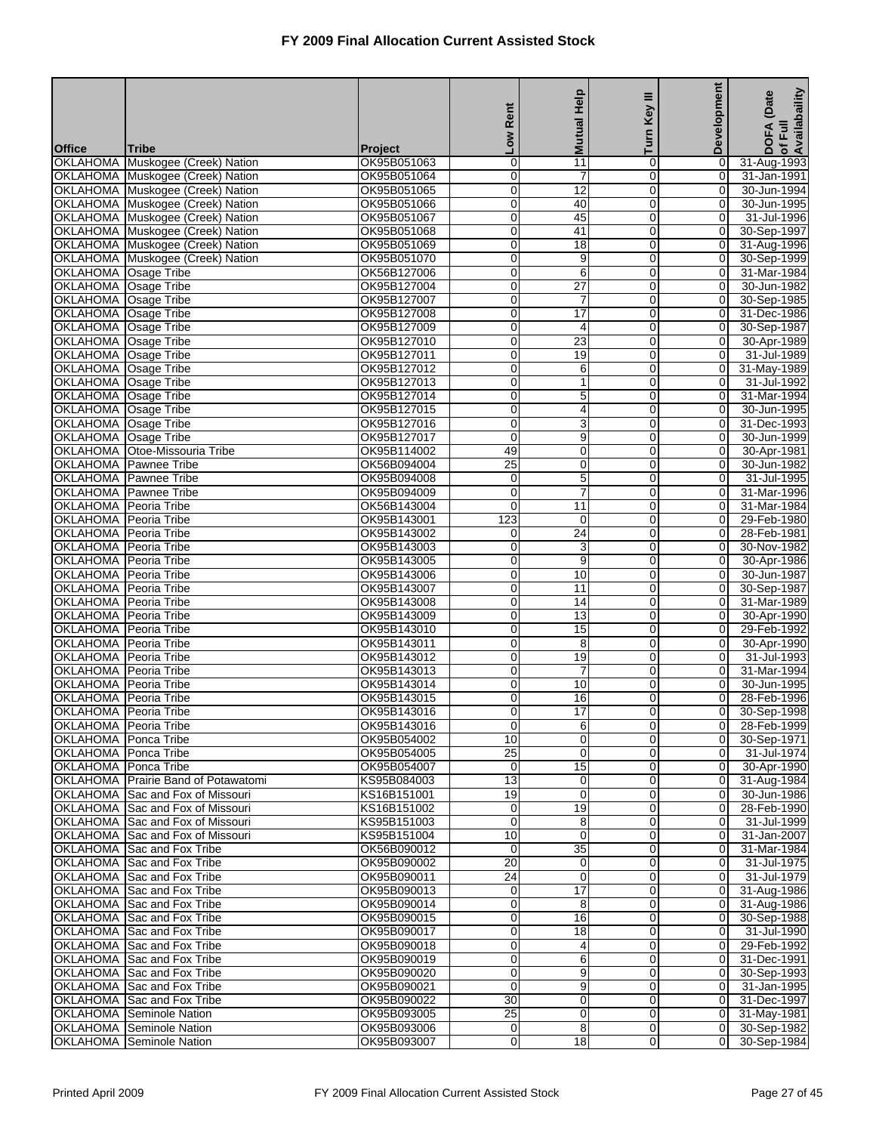| <b>Mutual Help</b><br>Turn<br><b>No7</b><br><b>Office</b><br><b>Tribe</b><br><b>Project</b>                                                                                         | Development<br>0                 |                                  |
|-------------------------------------------------------------------------------------------------------------------------------------------------------------------------------------|----------------------------------|----------------------------------|
|                                                                                                                                                                                     |                                  | of Full<br>Availabaility<br>DOFA |
| $\overline{11}$<br>OKLAHOMA Muskogee (Creek) Nation<br>OK95B051063<br>0<br>0                                                                                                        |                                  | 31-Aug-1993                      |
| OKLAHOMA Muskogee (Creek) Nation<br>OK95B051064<br>0<br>$\overline{7}$<br>$\Omega$                                                                                                  | $\overline{0}$                   | 31-Jan-1991                      |
| OKLAHOMA Muskogee (Creek) Nation<br>12<br>$\mathbf 0$<br>OK95B051065<br>0                                                                                                           | 0                                | 30-Jun-1994                      |
| OK95B051066<br>$\mathbf 0$<br>40<br>$\Omega$<br>OKLAHOMA Muskogee (Creek) Nation                                                                                                    | 0                                | 30-Jun-1995                      |
| OKLAHOMA Muskogee (Creek) Nation<br>OK95B051067<br>0<br>45<br>$\mathbf 0$<br>41<br>OKLAHOMA Muskogee (Creek) Nation<br>OK95B051068<br>0<br>$\mathbf 0$                              | 0<br>$\overline{0}$              | 31-Jul-1996<br>30-Sep-1997       |
| 18<br>OKLAHOMA Muskogee (Creek) Nation<br>OK95B051069<br>0<br>$\mathbf 0$                                                                                                           | $\overline{0}$                   | 31-Aug-1996                      |
| OKLAHOMA Muskogee (Creek) Nation<br>OK95B051070<br>9<br>$\mathbf 0$<br>0                                                                                                            | $\mathbf 0$                      | 30-Sep-1999                      |
| $\overline{6}$<br>$\Omega$<br>OKLAHOMA Osage Tribe<br>OK56B127006<br>$\mathbf 0$                                                                                                    | 0                                | 31-Mar-1984                      |
| OKLAHOMA Osage Tribe<br>OK95B127004<br>0<br>$\overline{27}$<br>0                                                                                                                    | 0                                | 30-Jun-1982                      |
| $\overline{7}$<br><b>OKLAHOMA</b><br>Osage Tribe<br>OK95B127007<br>0<br>$\overline{0}$                                                                                              | 0                                | 30-Sep-1985                      |
| OKLAHOMA Osage Tribe<br>OK95B127008<br>0<br>$\overline{17}$<br>$\overline{0}$<br>$\overline{0}$                                                                                     | $\overline{O}$                   | 31-Dec-1986                      |
| OKLAHOMA Osage Tribe<br>OK95B127009<br>0<br>4<br>$\mathbf 0$<br>$\overline{23}$<br>$\Omega$<br>OKLAHOMA Osage Tribe<br>OK95B127010                                                  | 0<br>0                           | 30-Sep-1987<br>30-Apr-1989       |
| OKLAHOMA Osage Tribe<br>OK95B127011<br>0<br>19<br>$\mathbf 0$                                                                                                                       | 0                                | 31-Jul-1989                      |
| <b>OKLAHOMA</b><br><b>Osage Tribe</b><br>OK95B127012<br>0<br>6<br>$\overline{0}$                                                                                                    | $\overline{0}$                   | 31-May-1989                      |
| OKLAHOMA Osage Tribe<br>OK95B127013<br>0<br>$\mathbf{1}$<br>$\overline{0}$                                                                                                          | $\overline{0}$                   | 31-Jul-1992                      |
| OKLAHOMA Osage Tribe<br>OK95B127014<br>5<br>$\mathbf 0$<br>0                                                                                                                        | 0                                | 31-Mar-1994                      |
| OKLAHOMA Osage Tribe<br>OK95B127015<br>$\mathbf 0$<br>4<br>$\Omega$                                                                                                                 | 0                                | 30-Jun-1995                      |
| OKLAHOMA Osage Tribe<br>OK95B127016<br>0<br>3<br>$\mathbf 0$                                                                                                                        | 0                                | 31-Dec-1993                      |
| 0<br>9<br>OKLAHOMA Osage Tribe<br>OK95B127017<br>$\overline{0}$<br>$\overline{0}$<br>OKLAHOMA Otoe-Missouria Tribe<br>OK95B114002<br>49<br>0                                        | $\mathbf 0$<br>$\overline{0}$    | 30-Jun-1999<br>30-Apr-1981       |
| OKLAHOMA   Pawnee Tribe<br>OK56B094004<br>25<br>$\mathbf 0$<br>0                                                                                                                    | $\mathbf 0$                      | 30-Jun-1982                      |
| $\overline{5}$<br>OKLAHOMA Pawnee Tribe<br>$\Omega$<br>OK95B094008<br>0                                                                                                             | 0                                | 31-Jul-1995                      |
| $\overline{7}$<br>OKLAHOMA Pawnee Tribe<br>OK95B094009<br>0<br>$\mathbf 0$                                                                                                          | 0                                | 31-Mar-1996                      |
| 0<br>$\overline{11}$<br><b>OKLAHOMA</b><br>Peoria Tribe<br>OK56B143004<br>$\overline{0}$                                                                                            | $\overline{0}$                   | 31-Mar-1984                      |
| 123<br>OKLAHOMA Peoria Tribe<br>OK95B143001<br>$\mathbf 0$<br>$\Omega$                                                                                                              | $\overline{0}$                   | 29-Feb-1980                      |
| OKLAHOMA Peoria Tribe<br>OK95B143002<br>24<br>0<br>0                                                                                                                                | $\mathbf 0$                      | 28-Feb-1981                      |
| OKLAHOMA Peoria Tribe<br>OK95B143003<br>$\mathbf 0$<br>3<br>$\Omega$<br>Peoria Tribe<br>0<br>$\mathbf 0$                                                                            | 0                                | 30-Nov-1982                      |
| <b>OKLAHOMA</b><br>OK95B143005<br>9<br>10<br><b>OKLAHOMA</b><br>Peoria Tribe<br>OK95B143006<br>0<br>$\overline{0}$                                                                  | 0<br>$\mathbf 0$                 | 30-Apr-1986<br>30-Jun-1987       |
| <b>OKLAHOMA</b><br>11<br>Peoria Tribe<br>OK95B143007<br>0<br>0                                                                                                                      | $\overline{0}$                   | 30-Sep-1987                      |
| OKLAHOMA Peoria Tribe<br>OK95B143008<br>14<br>$\mathbf 0$<br>0                                                                                                                      | 0                                | 31-Mar-1989                      |
| OKLAHOMA Peoria Tribe<br>$\mathbf 0$<br>$\overline{13}$<br>$\Omega$<br>OK95B143009                                                                                                  | 0                                | 30-Apr-1990                      |
| <b>OKLAHOMA</b><br>Peoria Tribe<br>OK95B143010<br>0<br>15<br>$\mathbf 0$                                                                                                            | 0                                | 29-Feb-1992                      |
| 8<br><b>OKLAHOMA</b><br>Peoria Tribe<br>OK95B143011<br>0<br>$\mathbf 0$                                                                                                             | $\mathbf 0$                      | 30-Apr-1990                      |
| <b>OKLAHOMA</b><br>Peoria Tribe<br>OK95B143012<br>0<br>19<br>0<br>OKLAHOMA Peoria Tribe<br>$\overline{7}$<br>$\overline{0}$<br>0                                                    | $\overline{O}$<br>0              | 31-Jul-1993<br>31-Mar-1994       |
| OK95B143013<br>$\mathbf 0$<br>10<br>$\Omega$<br>OKLAHOMA Peoria Tribe<br>OK95B143014                                                                                                | 0                                | 30-Jun-1995                      |
| OKLAHOMA Peoria Tribe<br>OK95B143015<br>16<br>0<br>0                                                                                                                                | 0                                | 28-Feb-1996                      |
| $\overline{17}$<br>OKLAHOMA Peoria Tribe<br>OK95B143016<br>$\overline{0}$<br>$\overline{0}$                                                                                         | $\overline{0}$                   | 30-Sep-1998                      |
| OKLAHOMA   Peoria Tribe<br>OK95B143016<br>$\overline{0}$<br>6<br>$\overline{0}$                                                                                                     | 01                               | 28-Feb-1999                      |
| 10<br>$\mathbf 0$<br>$\overline{0}$<br>OKLAHOMA   Ponca Tribe<br>OK95B054002                                                                                                        | $\overline{0}$                   | 30-Sep-1971                      |
| $\overline{25}$<br>OKLAHOMA Ponca Tribe<br>OK95B054005<br>$\mathbf 0$<br>$\Omega$                                                                                                   | $\overline{0}$                   | 31-Jul-1974                      |
| OKLAHOMA Ponca Tribe<br>OK95B054007<br>15<br>0<br>0<br>OKLAHOMA Prairie Band of Potawatomi<br>13<br>$\mathbf 0$<br>$\mathbf 0$<br>KS95B084003                                       | 0<br>$\overline{0}$              | 30-Apr-1990<br>31-Aug-1984       |
| OKLAHOMA Sac and Fox of Missouri<br>$\mathbf 0$<br>$\overline{0}$<br>KS16B151001<br>19                                                                                              | $\overline{0}$                   | 30-Jun-1986                      |
| 19<br>$\mathbf 0$<br>OKLAHOMA Sac and Fox of Missouri<br>KS16B151002<br>0                                                                                                           | $\overline{0}$                   | 28-Feb-1990                      |
| $\mathbf 0$<br>OKLAHOMA Sac and Fox of Missouri<br>8<br>$\mathbf 0$<br>KS95B151003                                                                                                  | $\overline{O}$                   | 31-Jul-1999                      |
| OKLAHOMA Sac and Fox of Missouri<br>KS95B151004<br>10<br>0<br>0                                                                                                                     | 0                                | 31-Jan-2007                      |
| OKLAHOMA Sac and Fox Tribe<br>OK56B090012<br>$\mathbf 0$<br>35<br>$\mathbf 0$                                                                                                       | $\overline{0}$                   | 31-Mar-1984                      |
| OKLAHOMA Sac and Fox Tribe<br>$\overline{20}$<br>$\overline{0}$<br>OK95B090002<br>0                                                                                                 | $\overline{0}$                   | 31-Jul-1975                      |
| $\mathbf 0$<br>OKLAHOMA Sac and Fox Tribe<br>OK95B090011<br>24<br>0<br>$\overline{17}$<br>OKLAHOMA Sac and Fox Tribe<br>OK95B090013<br>0<br>$\mathbf 0$                             | $\overline{0}$<br>$\overline{O}$ | 31-Jul-1979<br>31-Aug-1986       |
| OKLAHOMA Sac and Fox Tribe<br>OK95B090014<br>0<br>8<br>0                                                                                                                            | 0                                | 31-Aug-1986                      |
| OKLAHOMA Sac and Fox Tribe<br>OK95B090015<br>0<br>16<br>$\mathbf 0$                                                                                                                 | $\overline{0}$                   | 30-Sep-1988                      |
| OKLAHOMA Sac and Fox Tribe<br>0<br>$\overline{18}$<br>$\overline{0}$<br>OK95B090017                                                                                                 | $\overline{0}$                   | 31-Jul-1990                      |
| $\mathbf 0$<br>OKLAHOMA Sac and Fox Tribe<br>OK95B090018<br>0<br>4                                                                                                                  | $\overline{0}$                   | 29-Feb-1992                      |
| 6<br>OKLAHOMA Sac and Fox Tribe<br>OK95B090019<br>0<br>$\mathbf 0$                                                                                                                  | $\overline{O}$                   | 31-Dec-1991                      |
| OKLAHOMA Sac and Fox Tribe<br>9<br>OK95B090020<br>0<br>0                                                                                                                            | 0                                | 30-Sep-1993                      |
| 9<br>OKLAHOMA Sac and Fox Tribe<br>OK95B090021<br>0<br>$\mathbf 0$                                                                                                                  | $\overline{0}$                   | 31-Jan-1995                      |
| $\overline{30}$<br>$\mathbf 0$<br>$\overline{0}$<br>OKLAHOMA Sac and Fox Tribe<br>OK95B090022<br>25<br>$\mathbf 0$<br>$\mathbf 0$<br><b>OKLAHOMA</b> Seminole Nation<br>OK95B093005 | $\overline{0}$<br>$\overline{0}$ | 31-Dec-1997<br>31-May-1981       |
| 8<br>OKLAHOMA Seminole Nation<br>OK95B093006<br>$\overline{0}$<br>0                                                                                                                 | $\overline{0}$                   | 30-Sep-1982                      |
| OK95B093007<br><b>OKLAHOMA</b> Seminole Nation<br>0<br>18<br>$\overline{0}$                                                                                                         | $\overline{0}$                   | 30-Sep-1984                      |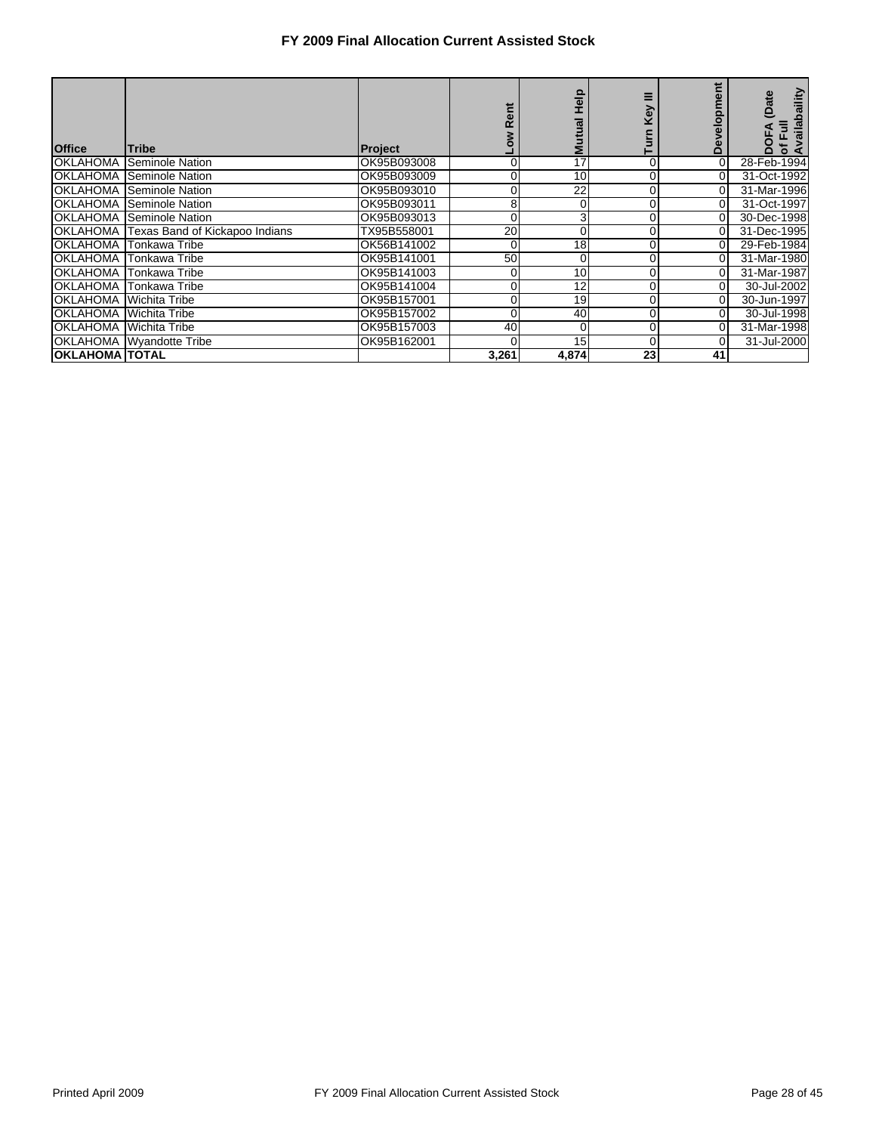| <b>Office</b>                 | <b>Tribe</b>                            | Project     |       | $\frac{1}{2}$<br><b>Mutual</b> | \$ | だ<br><b>Develo</b> | vailabaility<br>(Date<br>Ē<br><b>DOFA</b><br>চ ≼ |
|-------------------------------|-----------------------------------------|-------------|-------|--------------------------------|----|--------------------|--------------------------------------------------|
|                               | <b>OKLAHOMA</b> Seminole Nation         | OK95B093008 | 0     | 17                             |    | 0                  | 28-Feb-1994                                      |
|                               | <b>OKLAHOMA</b> Seminole Nation         | OK95B093009 |       | 10                             |    | $\overline{0}$     | 31-Oct-1992                                      |
|                               | <b>OKLAHOMA Seminole Nation</b>         | OK95B093010 |       | 22                             |    | 0                  | 31-Mar-1996                                      |
|                               | <b>OKLAHOMA Seminole Nation</b>         | OK95B093011 | 8     | 0                              |    | $\overline{0}$     | 31-Oct-1997                                      |
|                               | <b>OKLAHOMA Seminole Nation</b>         | OK95B093013 | 0     | 3                              |    |                    | 30-Dec-1998                                      |
|                               | OKLAHOMA Texas Band of Kickapoo Indians | TX95B558001 | 20    | 0                              |    |                    | 31-Dec-1995                                      |
|                               | OKLAHOMA Tonkawa Tribe                  | OK56B141002 | 0     | 18                             |    | 0                  | 29-Feb-1984                                      |
|                               | IOKLAHOMA ITonkawa Tribe                | OK95B141001 | 50    | 0                              |    | 01                 | 31-Mar-1980                                      |
|                               | IOKLAHOMA ITonkawa Tribe                | OK95B141003 |       | 10                             |    |                    | 31-Mar-1987                                      |
|                               | IOKLAHOMA ITonkawa Tribe                | OK95B141004 | 0     | 12                             |    | 0                  | 30-Jul-2002                                      |
| <b>OKLAHOMA Wichita Tribe</b> |                                         | OK95B157001 |       | 19                             |    | 0                  | 30-Jun-1997                                      |
|                               | <b>OKLAHOMA</b> Wichita Tribe           | OK95B157002 | 0     | 40                             |    | 0                  | 30-Jul-1998                                      |
| OKLAHOMA Wichita Tribe        |                                         | OK95B157003 | 40    | 0                              |    |                    | 31-Mar-1998                                      |
|                               | OKLAHOMA Wyandotte Tribe                | OK95B162001 |       | 15                             |    |                    | 31-Jul-2000                                      |
| <b> OKLAHOMA  TOTAL</b>       |                                         |             | 3,261 | 4,874                          | 23 | 41                 |                                                  |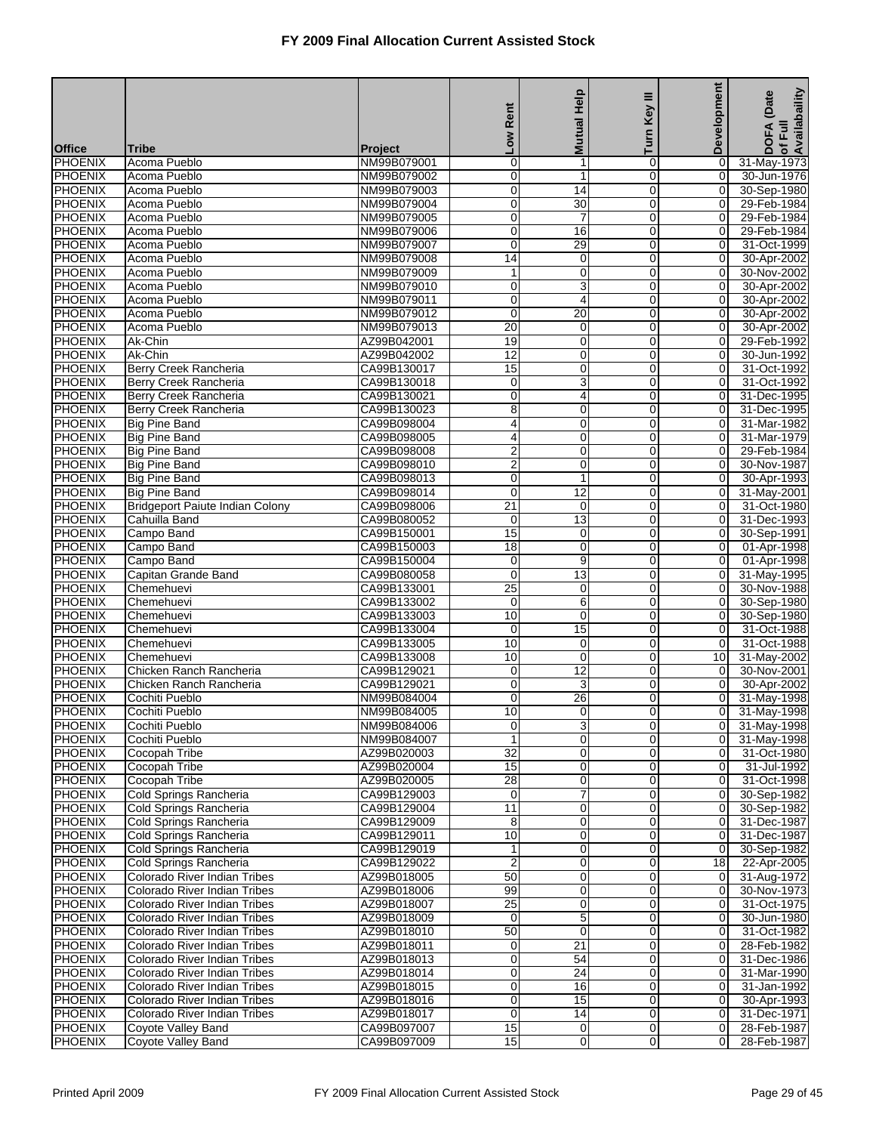|                                  |                                                                |                            |                                |                                 | Ξ                                | Development                      | of Full<br>Availabaility<br>(Date |
|----------------------------------|----------------------------------------------------------------|----------------------------|--------------------------------|---------------------------------|----------------------------------|----------------------------------|-----------------------------------|
|                                  |                                                                |                            | Rent                           | <b>Mutual Help</b>              | <b>Key</b>                       |                                  |                                   |
|                                  |                                                                |                            | <b>MOT</b>                     |                                 | Turn                             |                                  | <b>DOFA</b>                       |
| <b>Office</b><br><b>PHOENIX</b>  | <b>Tribe</b><br>Acoma Pueblo                                   | Project<br>NM99B079001     | 0                              | $\mathbf{1}$                    | 0                                | 0                                | 31-May-1973                       |
| <b>PHOENIX</b>                   | Acoma Pueblo                                                   | NM99B079002                | $\overline{0}$                 | 1                               | $\overline{0}$                   | $\overline{0}$                   | 30-Jun-1976                       |
| PHOENIX                          | Acoma Pueblo                                                   | NM99B079003                | 0                              | 14                              | 0                                | 0                                | 30-Sep-1980                       |
| <b>PHOENIX</b>                   | Acoma Pueblo                                                   | NM99B079004                | $\overline{0}$                 | $\overline{30}$                 | $\mathbf 0$                      | $\mathbf 0$                      | 29-Feb-1984                       |
| <b>PHOENIX</b>                   | Acoma Pueblo                                                   | NM99B079005                | 0                              | 7                               | 0                                | 0                                | 29-Feb-1984                       |
| <b>PHOENIX</b>                   | Acoma Pueblo                                                   | NM99B079006                | 0                              | 16                              | 0                                | 0                                | 29-Feb-1984                       |
| <b>PHOENIX</b><br><b>PHOENIX</b> | Acoma Pueblo<br>Acoma Pueblo                                   | NM99B079007<br>NM99B079008 | 0<br>14                        | 29<br>0                         | $\mathbf 0$<br>0                 | $\overline{O}$<br>0              | 31-Oct-1999<br>30-Apr-2002        |
| <b>PHOENIX</b>                   | Acoma Pueblo                                                   | NM99B079009                | 1                              | 0                               | $\mathbf 0$                      | 0                                | 30-Nov-2002                       |
| <b>PHOENIX</b>                   | Acoma Pueblo                                                   | NM99B079010                | 0                              | 3                               | 0                                | 0                                | 30-Apr-2002                       |
| <b>PHOENIX</b>                   | Acoma Pueblo                                                   | NM99B079011                | 0                              | 4                               | $\mathbf 0$                      | $\mathbf 0$                      | 30-Apr-2002                       |
| <b>PHOENIX</b>                   | Acoma Pueblo                                                   | NM99B079012                | 0                              | 20                              | $\mathbf 0$                      | $\overline{0}$                   | 30-Apr-2002                       |
| <b>PHOENIX</b>                   | Acoma Pueblo                                                   | NM99B079013                | 20                             | 0                               | 0                                | $\mathbf 0$                      | 30-Apr-2002                       |
| <b>PHOENIX</b>                   | Ak-Chin                                                        | AZ99B042001                | 19                             | 0                               | $\mathbf 0$                      | 0                                | 29-Feb-1992                       |
| <b>PHOENIX</b><br><b>PHOENIX</b> | Ak-Chin<br><b>Berry Creek Rancheria</b>                        | AZ99B042002<br>CA99B130017 | $\overline{12}$<br>15          | 0<br>0                          | 0<br>0                           | 0<br>0                           | 30-Jun-1992<br>31-Oct-1992        |
| <b>PHOENIX</b>                   | Berry Creek Rancheria                                          | CA99B130018                | 0                              | 3                               | $\mathbf 0$                      | $\overline{0}$                   | 31-Oct-1992                       |
| <b>PHOENIX</b>                   | Berry Creek Rancheria                                          | CA99B130021                | 0                              | 4                               | 0                                | 0                                | 31-Dec-1995                       |
| <b>PHOENIX</b>                   | Berry Creek Rancheria                                          | CA99B130023                | 8                              | 0                               | $\mathbf 0$                      | 0                                | 31-Dec-1995                       |
| <b>PHOENIX</b>                   | <b>Big Pine Band</b>                                           | CA99B098004                | 4                              | 0                               | 0                                | 0                                | 31-Mar-1982                       |
| <b>PHOENIX</b>                   | <b>Big Pine Band</b>                                           | CA99B098005                | 4                              | 0                               | 0                                | 0                                | 31-Mar-1979                       |
| <b>PHOENIX</b>                   | <b>Big Pine Band</b>                                           | CA99B098008                | $\overline{c}$                 | 0                               | $\mathbf 0$                      | $\overline{0}$                   | 29-Feb-1984                       |
| <b>PHOENIX</b>                   | <b>Big Pine Band</b>                                           | CA99B098010                | $\overline{c}$                 | 0                               | 0                                | 0                                | 30-Nov-1987                       |
| <b>PHOENIX</b>                   | <b>Big Pine Band</b>                                           | CA99B098013                | $\overline{0}$                 | $\mathbf{1}$<br>$\overline{12}$ | $\mathbf 0$                      | 0                                | 30-Apr-1993                       |
| <b>PHOENIX</b><br><b>PHOENIX</b> | <b>Big Pine Band</b><br><b>Bridgeport Paiute Indian Colony</b> | CA99B098014<br>CA99B098006 | 0<br>$\overline{21}$           | 0                               | 0<br>0                           | 0<br>0                           | 31-May-2001<br>31-Oct-1980        |
| <b>PHOENIX</b>                   | Cahuilla Band                                                  | CA99B080052                | 0                              | 13                              | $\mathbf 0$                      | $\overline{0}$                   | 31-Dec-1993                       |
| <b>PHOENIX</b>                   | Campo Band                                                     | CA99B150001                | 15                             | 0                               | 0                                | 0                                | 30-Sep-1991                       |
| <b>PHOENIX</b>                   | Campo Band                                                     | CA99B150003                | $\overline{18}$                | 0                               | $\mathbf 0$                      | 0                                | 01-Apr-1998                       |
| <b>PHOENIX</b>                   | Campo Band                                                     | CA99B150004                | 0                              | 9                               | 0                                | 0                                | 01-Apr-1998                       |
| <b>PHOENIX</b>                   | Capitan Grande Band                                            | CA99B080058                | $\mathbf 0$                    | $\overline{13}$                 | 0                                | $\overline{0}$                   | 31-May-1995                       |
| <b>PHOENIX</b>                   | Chemehuevi                                                     | CA99B133001                | 25                             | 0                               | $\mathbf 0$                      | $\overline{0}$                   | 30-Nov-1988                       |
| <b>PHOENIX</b><br><b>PHOENIX</b> | Chemehuevi<br>Chemehuevi                                       | CA99B133002<br>CA99B133003 | $\mathbf 0$<br>10              | 6<br>0                          | 0<br>$\mathbf 0$                 | 0<br>0                           | 30-Sep-1980<br>30-Sep-1980        |
| <b>PHOENIX</b>                   | Chemehuevi                                                     | CA99B133004                | 0                              | 15                              | 0                                | 0                                | 31-Oct-1988                       |
| <b>PHOENIX</b>                   | Chemehuevi                                                     | CA99B133005                | 10                             | 0                               | $\mathbf 0$                      | 0                                | 31-Oct-1988                       |
| PHOENIX                          | Chemehuevi                                                     | CA99B133008                | 10                             | $\mathbf 0$                     | $\mathbf 0$                      | 10                               | 31-May-2002                       |
| <b>PHOENIX</b>                   | Chicken Ranch Rancheria                                        | CA99B129021                | 0                              | 12                              | 0                                | 0                                | 30-Nov-2001                       |
| <b>PHOENIX</b>                   | Chicken Ranch Rancheria                                        | CA99B129021                | $\overline{0}$                 | 3                               | $\Omega$                         | 0                                | 30-Apr-2002                       |
| <b>PHOENIX</b>                   | Cochiti Pueblo                                                 | NM99B084004                | 0                              | 26                              | 0                                | 0                                | 31-May-1998                       |
| PHOENIX                          | Cochiti Pueblo                                                 | NM99B084005                | $\overline{10}$                | $\mathbf 0$                     | $\overline{0}$                   | $\overline{0}$                   | 31-May-1998                       |
| <b>PHOENIX</b><br>PHOENIX        | Cochiti Pueblo<br>Cochiti Pueblo                               | NM99B084006<br>NM99B084007 | $\overline{0}$<br>$\mathbf{1}$ | 3<br>0                          | $\overline{0}$<br>$\overline{0}$ | $\overline{0}$<br>$\overline{0}$ | 31-May-1998<br>31-May-1998        |
| <b>PHOENIX</b>                   | Cocopah Tribe                                                  | AZ99B020003                | $\overline{32}$                | 0                               | $\mathbf 0$                      | $\mathbf 0$                      | 31-Oct-1980                       |
| <b>PHOENIX</b>                   | Cocopah Tribe                                                  | AZ99B020004                | 15                             | 0                               | $\overline{0}$                   | $\overline{0}$                   | 31-Jul-1992                       |
| <b>PHOENIX</b>                   | Cocopah Tribe                                                  | AZ99B020005                | 28                             | 0                               | $\mathbf 0$                      | 0                                | 31-Oct-1998                       |
| <b>PHOENIX</b>                   | Cold Springs Rancheria                                         | CA99B129003                | $\mathbf 0$                    | 7                               | $\overline{0}$                   | $\overline{0}$                   | 30-Sep-1982                       |
| PHOENIX                          | Cold Springs Rancheria                                         | CA99B129004                | 11                             | 0                               | $\mathbf 0$                      | $\mathbf 0$                      | 30-Sep-1982                       |
| <b>PHOENIX</b>                   | Cold Springs Rancheria                                         | CA99B129009                | 8                              | 0                               | $\mathbf 0$                      | $\boldsymbol{0}$                 | 31-Dec-1987                       |
| <b>PHOENIX</b>                   | Cold Springs Rancheria                                         | CA99B129011                | 10<br>1                        | 0                               | 0<br>$\mathbf 0$                 | 0                                | 31-Dec-1987                       |
| <b>PHOENIX</b><br><b>PHOENIX</b> | Cold Springs Rancheria<br>Cold Springs Rancheria               | CA99B129019<br>CA99B129022 | $\overline{2}$                 | $\pmb{0}$<br>0                  | $\mathbf 0$                      | 0<br>$\overline{18}$             | 30-Sep-1982<br>22-Apr-2005        |
| <b>PHOENIX</b>                   | Colorado River Indian Tribes                                   | AZ99B018005                | 50                             | 0                               | $\mathbf 0$                      | $\mathbf 0$                      | 31-Aug-1972                       |
| PHOENIX                          | Colorado River Indian Tribes                                   | AZ99B018006                | 99                             | 0                               | $\mathbf 0$                      | $\boldsymbol{0}$                 | 30-Nov-1973                       |
| <b>PHOENIX</b>                   | Colorado River Indian Tribes                                   | AZ99B018007                | $\overline{25}$                | 0                               | 0                                | $\overline{0}$                   | 31-Oct-1975                       |
| <b>PHOENIX</b>                   | Colorado River Indian Tribes                                   | AZ99B018009                | $\mathbf 0$                    | $\overline{5}$                  | $\mathbf 0$                      | 0                                | 30-Jun-1980                       |
| <b>PHOENIX</b>                   | Colorado River Indian Tribes                                   | AZ99B018010                | 50                             | 0                               | $\overline{0}$                   | $\overline{0}$                   | 31-Oct-1982                       |
| <b>PHOENIX</b>                   | Colorado River Indian Tribes                                   | AZ99B018011                | $\mathbf 0$                    | 21                              | $\mathbf 0$                      | 0                                | 28-Feb-1982                       |
| PHOENIX                          | Colorado River Indian Tribes                                   | AZ99B018013                | 0<br>0                         | 54                              | $\mathbf 0$                      | $\boldsymbol{0}$                 | 31-Dec-1986                       |
| <b>PHOENIX</b><br><b>PHOENIX</b> | Colorado River Indian Tribes<br>Colorado River Indian Tribes   | AZ99B018014<br>AZ99B018015 | 0                              | 24<br>16                        | 0<br>$\mathbf 0$                 | 0<br>0                           | 31-Mar-1990<br>31-Jan-1992        |
| <b>PHOENIX</b>                   | Colorado River Indian Tribes                                   | AZ99B018016                | $\overline{0}$                 | 15                              | $\overline{0}$                   | $\overline{0}$                   | 30-Apr-1993                       |
| <b>PHOENIX</b>                   | Colorado River Indian Tribes                                   | AZ99B018017                | 0                              | 14                              | $\mathbf 0$                      | $\mathbf 0$                      | 31-Dec-1971                       |
| PHOENIX                          | Coyote Valley Band                                             | CA99B097007                | 15                             | 0                               | $\mathbf 0$                      | $\mathbf 0$                      | 28-Feb-1987                       |
| <b>PHOENIX</b>                   | Coyote Valley Band                                             | CA99B097009                | 15                             | 0                               | 0                                | 0                                | 28-Feb-1987                       |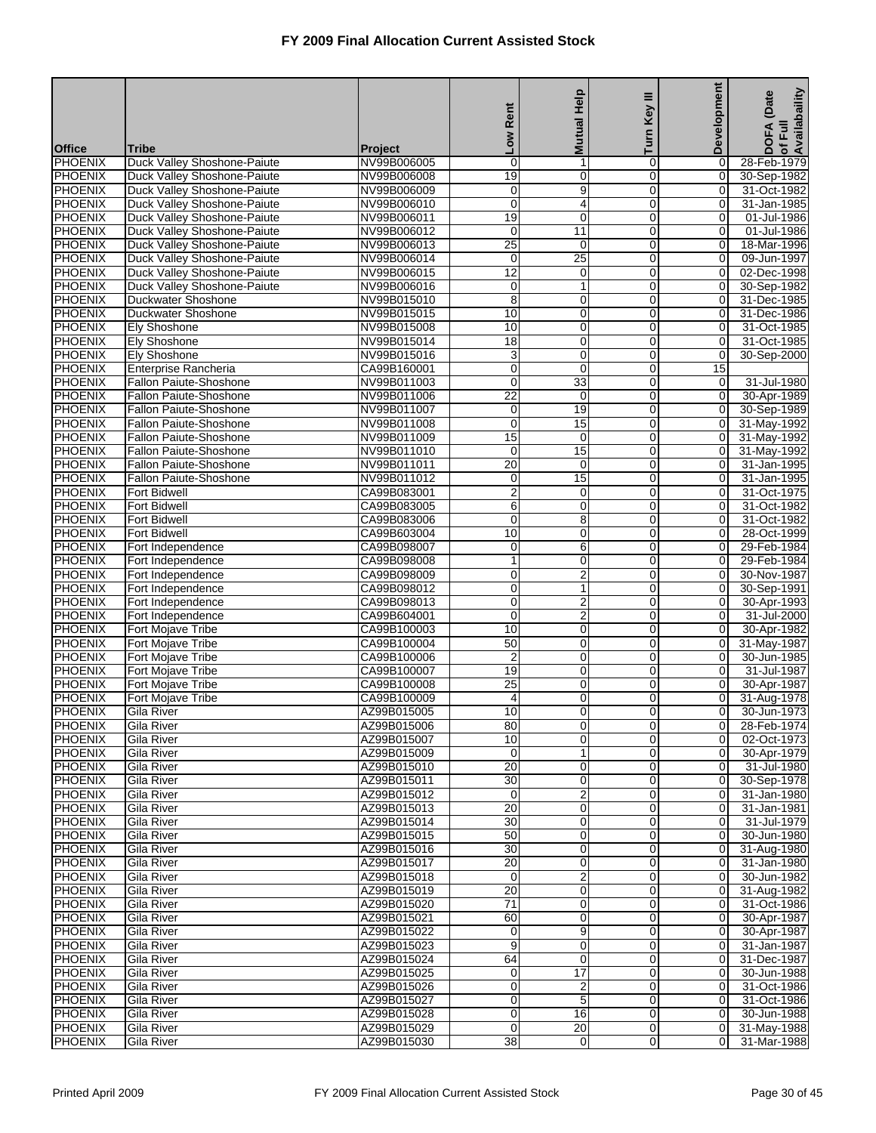|                                  |                                                            |                            |                       | <b>Mutual Help</b>         | ≡                             | Development                      | of Full<br>Availabaility<br>(Date |
|----------------------------------|------------------------------------------------------------|----------------------------|-----------------------|----------------------------|-------------------------------|----------------------------------|-----------------------------------|
|                                  |                                                            |                            | Rent                  |                            | Key                           |                                  |                                   |
| <b>Office</b>                    | Tribe                                                      | <b>Project</b>             | <b>No7</b>            |                            | Turn                          |                                  | <b>DOFA</b>                       |
| <b>PHOENIX</b>                   | Duck Valley Shoshone-Paiute                                | NV99B006005                | $\mathbf 0$           | 1                          | $\mathbf 0$                   | 0                                | 28-Feb-1979                       |
| <b>PHOENIX</b>                   | Duck Valley Shoshone-Paiute                                | NV99B006008                | $\overline{19}$       | 0                          | $\mathbf 0$                   | $\overline{0}$                   | 30-Sep-1982                       |
| <b>PHOENIX</b>                   | Duck Valley Shoshone-Paiute                                | NV99B006009                | 0                     | 9                          | 0                             | 0                                | 31-Oct-1982                       |
| <b>PHOENIX</b><br><b>PHOENIX</b> | Duck Valley Shoshone-Paiute                                | NV99B006010<br>NV99B006011 | $\mathbf 0$<br>19     | 4<br>0                     | $\mathbf 0$<br>0              | 0<br>0                           | 31-Jan-1985                       |
| <b>PHOENIX</b>                   | Duck Valley Shoshone-Paiute<br>Duck Valley Shoshone-Paiute | NV99B006012                | $\mathbf 0$           | 11                         | 0                             | 0                                | 01-Jul-1986<br>01-Jul-1986        |
| <b>PHOENIX</b>                   | Duck Valley Shoshone-Paiute                                | NV99B006013                | 25                    | $\mathbf 0$                | $\mathbf 0$                   | 0                                | 18-Mar-1996                       |
| <b>PHOENIX</b>                   | Duck Valley Shoshone-Paiute                                | NV99B006014                | $\mathbf 0$           | $\overline{25}$            | 0                             | $\mathbf 0$                      | 09-Jun-1997                       |
| <b>PHOENIX</b>                   | Duck Valley Shoshone-Paiute                                | NV99B006015                | $\overline{12}$       | $\mathbf 0$                | $\mathbf 0$                   | 0                                | 02-Dec-1998                       |
| <b>PHOENIX</b>                   | Duck Valley Shoshone-Paiute                                | NV99B006016                | 0                     | 1                          | 0                             | 0                                | 30-Sep-1982                       |
| <b>PHOENIX</b>                   | Duckwater Shoshone                                         | NV99B015010                | 8                     | $\mathbf 0$                | 0                             | 0                                | 31-Dec-1985                       |
| <b>PHOENIX</b>                   | Duckwater Shoshone                                         | NV99B015015                | 10                    | 0                          | $\mathbf 0$                   | 0                                | 31-Dec-1986                       |
| <b>PHOENIX</b><br><b>PHOENIX</b> | Ely Shoshone<br><b>Ely Shoshone</b>                        | NV99B015008<br>NV99B015014 | 10<br>$\overline{18}$ | $\mathbf 0$<br>$\mathbf 0$ | 0<br>$\mathbf 0$              | 0<br>0                           | 31-Oct-1985<br>31-Oct-1985        |
| <b>PHOENIX</b>                   | <b>Ely Shoshone</b>                                        | NV99B015016                | 3                     | 0                          | 0                             | 0                                | 30-Sep-2000                       |
| <b>PHOENIX</b>                   | Enterprise Rancheria                                       | CA99B160001                | $\mathbf 0$           | $\mathbf 0$                | 0                             | 15                               |                                   |
| <b>PHOENIX</b>                   | Fallon Paiute-Shoshone                                     | NV99B011003                | $\mathbf 0$           | 33                         | $\mathbf 0$                   | 0                                | 31-Jul-1980                       |
| <b>PHOENIX</b>                   | Fallon Paiute-Shoshone                                     | NV99B011006                | $\overline{22}$       | $\mathbf 0$                | 0                             | 0                                | 30-Apr-1989                       |
| <b>PHOENIX</b>                   | Fallon Paiute-Shoshone                                     | NV99B011007                | $\mathbf 0$           | 19                         | $\mathbf 0$                   | 0                                | 30-Sep-1989                       |
| <b>PHOENIX</b>                   | Fallon Paiute-Shoshone                                     | NV99B011008                | 0                     | 15                         | 0                             | 0                                | 31-May-1992                       |
| <b>PHOENIX</b>                   | Fallon Paiute-Shoshone                                     | NV99B011009                | $\overline{15}$       | $\mathbf 0$                | 0                             | $\mathbf 0$                      | 31-May-1992                       |
| <b>PHOENIX</b><br><b>PHOENIX</b> | Fallon Paiute-Shoshone<br>Fallon Paiute-Shoshone           | NV99B011010<br>NV99B011011 | $\mathbf 0$<br>20     | 15<br>$\mathbf 0$          | $\mathbf 0$<br>0              | $\overline{O}$<br>$\mathbf 0$    | 31-May-1992<br>31-Jan-1995        |
| <b>PHOENIX</b>                   | Fallon Paiute-Shoshone                                     | NV99B011012                | $\mathbf 0$           | 15                         | $\mathbf 0$                   | 0                                | 31-Jan-1995                       |
| <b>PHOENIX</b>                   | <b>Fort Bidwell</b>                                        | CA99B083001                | $\overline{2}$        | $\pmb{0}$                  | 0                             | 0                                | 31-Oct-1975                       |
| <b>PHOENIX</b>                   | <b>Fort Bidwell</b>                                        | CA99B083005                | 6                     | $\pmb{0}$                  | 0                             | 0                                | 31-Oct-1982                       |
| <b>PHOENIX</b>                   | <b>Fort Bidwell</b>                                        | CA99B083006                | $\mathbf 0$           | 8                          | $\mathbf 0$                   | 0                                | 31-Oct-1982                       |
| <b>PHOENIX</b>                   | <b>Fort Bidwell</b>                                        | CA99B603004                | 10                    | $\mathbf 0$                | 0                             | 0                                | 28-Oct-1999                       |
| <b>PHOENIX</b>                   | Fort Independence                                          | CA99B098007                | 0                     | 6                          | $\mathbf 0$                   | 0                                | 29-Feb-1984                       |
| <b>PHOENIX</b>                   | Fort Independence                                          | CA99B098008                | 1                     | 0                          | 0                             | 0                                | 29-Feb-1984                       |
| <b>PHOENIX</b><br><b>PHOENIX</b> | Fort Independence<br>Fort Independence                     | CA99B098009<br>CA99B098012 | 0<br>0                | $\overline{2}$<br>1        | 0<br>$\mathbf 0$              | 0<br>0                           | 30-Nov-1987<br>30-Sep-1991        |
| PHOENIX                          | Fort Independence                                          | CA99B098013                | 0                     | $\overline{2}$             | 0                             | 0                                | 30-Apr-1993                       |
| <b>PHOENIX</b>                   | Fort Independence                                          | CA99B604001                | $\mathbf 0$           | $\overline{2}$             | $\mathbf 0$                   | 0                                | 31-Jul-2000                       |
| <b>PHOENIX</b>                   | Fort Mojave Tribe                                          | CA99B100003                | 10                    | 0                          | 0                             | 0                                | 30-Apr-1982                       |
| <b>PHOENIX</b>                   | Fort Mojave Tribe                                          | CA99B100004                | 50                    | 0                          | $\mathbf 0$                   | 0                                | 31-May-1987                       |
| <b>PHOENIX</b>                   | Fort Mojave Tribe                                          | CA99B100006                | $\overline{2}$        | 0                          | $\mathbf 0$                   | 0                                | 30-Jun-1985                       |
| <b>PHOENIX</b>                   | Fort Mojave Tribe                                          | CA99B100007                | 19                    | $\mathbf 0$                | 0                             | 0                                | 31-Jul-1987                       |
| <b>PHOENIX</b><br><b>PHOENIX</b> | Fort Mojave Tribe                                          | CA99B100008<br>CA99B100009 | $\overline{25}$       | $\mathbf 0$                | $\Omega$<br>0                 | 0                                | 30-Apr-1987                       |
| <b>PHOENIX</b>                   | Fort Mojave Tribe<br><b>Gila River</b>                     | AZ99B015005                | 4<br>10               | 0<br>0                     | $\overline{0}$                | 0<br>$\overline{O}$              | 31-Aug-1978<br>30-Jun-1973        |
| <b>PHOENIX</b>                   | <b>Gila River</b>                                          | AZ99B015006                | 80                    | $\overline{0}$             | 0                             | 0                                | 28-Feb-1974                       |
| <b>PHOENIX</b>                   | Gila River                                                 | AZ99B015007                | 10                    | $\mathbf 0$                | $\overline{0}$                | $\overline{0}$                   | 02-Oct-1973                       |
| <b>PHOENIX</b>                   | Gila River                                                 | AZ99B015009                | 0                     | 1                          | $\mathbf 0$                   | $\overline{0}$                   | 30-Apr-1979                       |
| <b>PHOENIX</b>                   | Gila River                                                 | AZ99B015010                | $\overline{20}$       | 0                          | $\overline{0}$                | $\overline{0}$                   | 31-Jul-1980                       |
| <b>PHOENIX</b>                   | Gila River                                                 | AZ99B015011                | 30                    | 0                          | $\mathbf 0$                   | $\overline{0}$                   | 30-Sep-1978                       |
| <b>PHOENIX</b>                   | Gila River                                                 | AZ99B015012                | 0                     | $\overline{c}$             | $\overline{0}$                | $\overline{0}$                   | 31-Jan-1980                       |
| <b>PHOENIX</b>                   | Gila River                                                 | AZ99B015013                | 20<br>30              | $\mathbf 0$<br>$\mathbf 0$ | $\mathbf 0$<br>$\mathbf 0$    | $\overline{0}$<br>$\overline{0}$ | 31-Jan-1981                       |
| <b>PHOENIX</b><br><b>PHOENIX</b> | Gila River<br>Gila River                                   | AZ99B015014<br>AZ99B015015 | 50                    | 0                          | 0                             | $\overline{0}$                   | 31-Jul-1979<br>30-Jun-1980        |
| <b>PHOENIX</b>                   | Gila River                                                 | AZ99B015016                | 30                    | 0                          | $\mathbf 0$                   | $\overline{0}$                   | 31-Aug-1980                       |
| <b>PHOENIX</b>                   | Gila River                                                 | AZ99B015017                | $\overline{20}$       | 0                          | $\overline{0}$                | $\overline{0}$                   | 31-Jan-1980                       |
| <b>PHOENIX</b>                   | Gila River                                                 | AZ99B015018                | 0                     | 2                          | $\mathbf 0$                   | $\overline{0}$                   | 30-Jun-1982                       |
| <b>PHOENIX</b>                   | Gila River                                                 | AZ99B015019                | $\overline{20}$       | $\mathbf 0$                | $\mathbf 0$                   | $\overline{0}$                   | 31-Aug-1982                       |
| <b>PHOENIX</b>                   | Gila River                                                 | AZ99B015020                | $\overline{71}$       | 0                          | 0                             | $\overline{0}$                   | 31-Oct-1986                       |
| <b>PHOENIX</b>                   | Gila River                                                 | AZ99B015021                | 60                    | $\pmb{0}$                  | $\mathbf 0$                   | $\overline{0}$                   | 30-Apr-1987                       |
| <b>PHOENIX</b><br><b>PHOENIX</b> | Gila River<br>Gila River                                   | AZ99B015022<br>AZ99B015023 | 0<br>9                | 9<br>$\mathbf 0$           | $\overline{0}$<br>$\mathbf 0$ | $\overline{0}$<br>$\overline{0}$ | 30-Apr-1987<br>31-Jan-1987        |
| <b>PHOENIX</b>                   | Gila River                                                 | AZ99B015024                | 64                    | $\mathbf 0$                | $\mathbf 0$                   | $\overline{0}$                   | 31-Dec-1987                       |
| <b>PHOENIX</b>                   | Gila River                                                 | AZ99B015025                | 0                     | $\overline{17}$            | 0                             | $\overline{0}$                   | 30-Jun-1988                       |
| <b>PHOENIX</b>                   | Gila River                                                 | AZ99B015026                | 0                     | $\overline{\mathbf{c}}$    | $\mathbf 0$                   | $\overline{0}$                   | 31-Oct-1986                       |
| <b>PHOENIX</b>                   | Gila River                                                 | AZ99B015027                | 0                     | 5                          | $\overline{0}$                | $\overline{0}$                   | 31-Oct-1986                       |
| <b>PHOENIX</b>                   | Gila River                                                 | AZ99B015028                | 0                     | 16                         | $\mathbf 0$                   | $\overline{0}$                   | 30-Jun-1988                       |
| <b>PHOENIX</b>                   | Gila River                                                 | AZ99B015029                | $\mathbf 0$           | 20                         | $\overline{0}$                | $\overline{0}$                   | 31-May-1988                       |
| <b>PHOENIX</b>                   | Gila River                                                 | AZ99B015030                | $\overline{38}$       | 0                          | $\overline{0}$                | $\overline{0}$                   | 31-Mar-1988                       |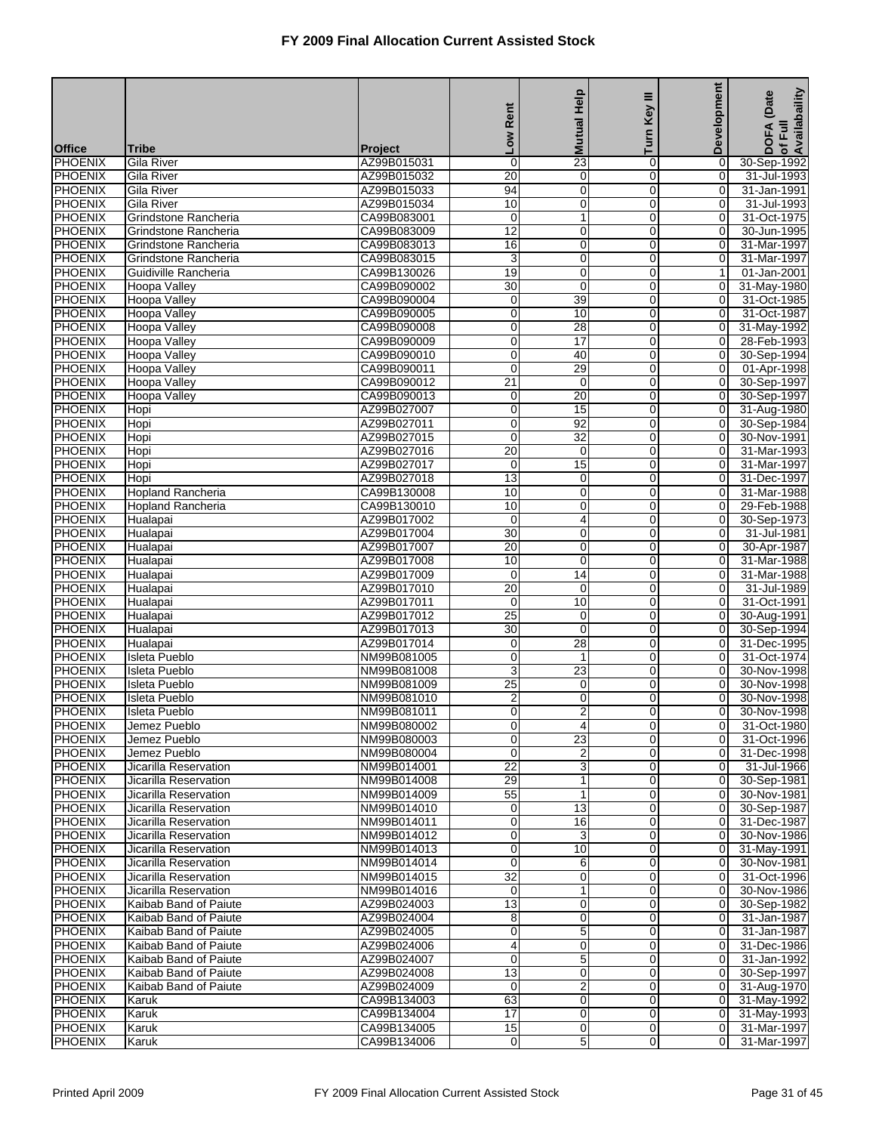|                                  |                                                |                            | Rent                           | <b>Mutual Help</b>             | Ξ<br><b>Key</b>               | Development                      | of Full<br>Availabaility<br>(Date |
|----------------------------------|------------------------------------------------|----------------------------|--------------------------------|--------------------------------|-------------------------------|----------------------------------|-----------------------------------|
| <b>Office</b>                    | Tribe                                          | <b>Project</b>             | <b>No7</b>                     |                                | Turn                          |                                  | <b>DOFA</b>                       |
| <b>PHOENIX</b>                   | Gila River                                     | AZ99B015031                | 0                              | $\overline{23}$                | 0                             | 0                                | 30-Sep-1992                       |
| <b>PHOENIX</b>                   | <b>Gila River</b>                              | AZ99B015032                | 20                             | $\overline{0}$                 | $\overline{0}$                | $\overline{0}$                   | 31-Jul-1993                       |
| <b>PHOENIX</b>                   | Gila River                                     | AZ99B015033                | 94                             | $\mathbf 0$                    | 0                             | 0                                | 31-Jan-1991                       |
| <b>PHOENIX</b>                   | Gila River                                     | AZ99B015034                | 10                             | $\mathbf 0$                    | $\Omega$                      | $\mathbf 0$                      | 31-Jul-1993                       |
| <b>PHOENIX</b>                   | Grindstone Rancheria                           | CA99B083001                | 0                              | $\mathbf{1}$                   | 0                             | 0                                | 31-Oct-1975                       |
| <b>PHOENIX</b><br><b>PHOENIX</b> | Grindstone Rancheria<br>Grindstone Rancheria   | CA99B083009<br>CA99B083013 | $\overline{12}$<br>16          | $\mathbf 0$<br>$\overline{0}$  | 0<br>$\mathbf 0$              | 0<br>0                           | 30-Jun-1995<br>31-Mar-1997        |
| <b>PHOENIX</b>                   | Grindstone Rancheria                           | CA99B083015                | 3                              | $\mathbf 0$                    | 0                             | 0                                | 31-Mar-1997                       |
| <b>PHOENIX</b>                   | Guidiville Rancheria                           | CA99B130026                | 19                             | $\mathbf 0$                    | $\Omega$                      | $\mathbf{1}$                     | 01-Jan-2001                       |
| PHOENIX                          | Hoopa Valley                                   | CA99B090002                | $\overline{30}$                | $\mathbf 0$                    | 0                             | 0                                | 31-May-1980                       |
| <b>PHOENIX</b>                   | Hoopa Valley                                   | CA99B090004                | 0                              | 39                             | 0                             | 0                                | 31-Oct-1985                       |
| <b>PHOENIX</b>                   | <b>Hoopa Valley</b>                            | CA99B090005                | 0                              | 10                             | $\mathbf 0$                   | $\overline{0}$                   | 31-Oct-1987                       |
| <b>PHOENIX</b>                   | Hoopa Valley                                   | CA99B090008                | 0                              | 28                             | 0                             | 0                                | 31-May-1992                       |
| <b>PHOENIX</b>                   | Hoopa Valley                                   | CA99B090009                | $\mathbf 0$                    | 17                             | $\Omega$                      | $\mathbf 0$                      | 28-Feb-1993                       |
| PHOENIX                          | Hoopa Valley                                   | CA99B090010                | 0                              | 40                             | 0                             | 0                                | 30-Sep-1994                       |
| <b>PHOENIX</b><br><b>PHOENIX</b> | Hoopa Valley<br>Hoopa Valley                   | CA99B090011<br>CA99B090012 | $\mathbf 0$<br>$\overline{21}$ | 29<br>$\mathbf 0$              | $\mathbf 0$<br>$\overline{0}$ | 0<br>$\overline{O}$              | 01-Apr-1998<br>30-Sep-1997        |
| <b>PHOENIX</b>                   | Hoopa Valley                                   | CA99B090013                | 0                              | 20                             | 0                             | 0                                | 30-Sep-1997                       |
| <b>PHOENIX</b>                   | Hopi                                           | AZ99B027007                | $\overline{0}$                 | 15                             | $\Omega$                      | $\mathbf 0$                      | 31-Aug-1980                       |
| <b>PHOENIX</b>                   | Hopi                                           | AZ99B027011                | 0                              | 92                             | 0                             | 0                                | 30-Sep-1984                       |
| <b>PHOENIX</b>                   | Hopi                                           | AZ99B027015                | $\mathbf 0$                    | $\overline{32}$                | $\mathbf 0$                   | $\mathbf 0$                      | 30-Nov-1991                       |
| <b>PHOENIX</b>                   | Hopi                                           | AZ99B027016                | 20                             | $\mathbf 0$                    | 0                             | $\overline{O}$                   | 31-Mar-1993                       |
| <b>PHOENIX</b>                   | Hopi                                           | AZ99B027017                | 0                              | 15                             | 0                             | 0                                | 31-Mar-1997                       |
| <b>PHOENIX</b>                   | Hopi                                           | AZ99B027018                | 13                             | $\mathbf 0$                    | $\Omega$                      | $\mathbf 0$                      | 31-Dec-1997                       |
| PHOENIX                          | <b>Hopland Rancheria</b>                       | CA99B130008                | 10                             | $\mathbf 0$                    | $\mathbf 0$                   | 0                                | 31-Mar-1988                       |
| <b>PHOENIX</b><br><b>PHOENIX</b> | <b>Hopland Rancheria</b><br>Hualapai           | CA99B130010<br>AZ99B017002 | 10<br>0                        | $\mathbf 0$<br>$\overline{4}$  | 0<br>0                        | 0<br>$\overline{O}$              | 29-Feb-1988<br>30-Sep-1973        |
| <b>PHOENIX</b>                   | Hualapai                                       | AZ99B017004                | 30                             | $\mathbf 0$                    | 0                             | 0                                | 31-Jul-1981                       |
| <b>PHOENIX</b>                   | Hualapai                                       | AZ99B017007                | $\overline{20}$                | $\mathbf 0$                    | $\Omega$                      | $\mathbf 0$                      | 30-Apr-1987                       |
| PHOENIX                          | Hualapai                                       | AZ99B017008                | 10                             | $\mathbf 0$                    | $\mathbf 0$                   | 0                                | 31-Mar-1988                       |
| <b>PHOENIX</b>                   | Hualapai                                       | AZ99B017009                | $\mathbf 0$                    | $\overline{14}$                | 0                             | $\mathbf 0$                      | 31-Mar-1988                       |
| <b>PHOENIX</b>                   | Hualapai                                       | AZ99B017010                | $\overline{20}$                | $\mathbf 0$                    | 0                             | $\overline{O}$                   | 31-Jul-1989                       |
| <b>PHOENIX</b>                   | Hualapai                                       | AZ99B017011                | 0                              | 10                             | 0                             | 0                                | 31-Oct-1991                       |
| <b>PHOENIX</b>                   | Hualapai                                       | AZ99B017012                | $\overline{25}$                | $\mathbf 0$                    | $\Omega$                      | 0                                | 30-Aug-1991                       |
| PHOENIX<br><b>PHOENIX</b>        | Hualapai<br>Hualapai                           | AZ99B017013<br>AZ99B017014 | 30<br>0                        | $\mathbf 0$<br>$\overline{28}$ | 0<br>0                        | 0<br>0                           | 30-Sep-1994<br>31-Dec-1995        |
| <b>PHOENIX</b>                   | Isleta Pueblo                                  | NM99B081005                | 0                              | $\mathbf{1}$                   | 0                             | 0                                | 31-Oct-1974                       |
| <b>PHOENIX</b>                   | Isleta Pueblo                                  | NM99B081008                | 3                              | 23                             | 0                             | 0                                | 30-Nov-1998                       |
| <b>PHOENIX</b>                   | <b>Isleta Pueblo</b>                           | NM99B081009                | $\overline{25}$                | $\mathbf 0$                    | $\Omega$                      | $\mathbf 0$                      | 30-Nov-1998                       |
| <b>PHOENIX</b>                   | <b>Isleta Pueblo</b>                           | NM99B081010                | $\overline{\mathbf{c}}$        | $\mathbf 0$                    | 0                             | 0                                | 30-Nov-1998                       |
| <b>PHOENIX</b>                   | <b>Isleta Pueblo</b>                           | NM99B081011                | $\overline{0}$                 | $\overline{2}$                 | $\overline{0}$                | 0                                | 30-Nov-1998                       |
| <b>PHOENIX</b>                   | Jemez Pueblo                                   | NM99B080002                | 0                              | 4                              | $\overline{0}$                | 01                               | 31-Oct-1980                       |
| <b>PHOENIX</b>                   | Jemez Pueblo                                   | NM99B080003                | 0                              | $\overline{23}$                | $\overline{0}$                | $\overline{0}$                   | 31-Oct-1996                       |
| <b>PHOENIX</b>                   | Jemez Pueblo                                   | NM99B080004                | 0                              | $\overline{2}$                 | 0                             | $\overline{0}$                   | 31-Dec-1998                       |
| <b>PHOENIX</b><br>PHOENIX        | Jicarilla Reservation<br>Jicarilla Reservation | NM99B014001<br>NM99B014008 | $\overline{22}$<br>29          | 3<br>$\mathbf{1}$              | 0<br>$\mathbf 0$              | $\overline{0}$<br>0              | 31-Jul-1966<br>30-Sep-1981        |
| <b>PHOENIX</b>                   | Jicarilla Reservation                          | NM99B014009                | 55                             | $\mathbf{1}$                   | $\overline{0}$                | $\overline{0}$                   | 30-Nov-1981                       |
| PHOENIX                          | Jicarilla Reservation                          | NM99B014010                | 0                              | 13                             | $\overline{0}$                | $\overline{0}$                   | 30-Sep-1987                       |
| <b>PHOENIX</b>                   | Jicarilla Reservation                          | NM99B014011                | 0                              | 16                             | $\mathbf 0$                   | $\overline{O}$                   | 31-Dec-1987                       |
| <b>PHOENIX</b>                   | Jicarilla Reservation                          | NM99B014012                | 0                              | 3                              | 0                             | $\Omega$                         | 30-Nov-1986                       |
| PHOENIX                          | Jicarilla Reservation                          | NM99B014013                | 0                              | 10                             | $\mathbf 0$                   | $\overline{0}$                   | 31-May-1991                       |
| <b>PHOENIX</b>                   | Jicarilla Reservation                          | NM99B014014                | 0                              | 6                              | $\overline{0}$                | $\overline{0}$                   | 30-Nov-1981                       |
| PHOENIX                          | Jicarilla Reservation                          | NM99B014015                | 32                             | 0                              | $\overline{0}$                | $\overline{0}$                   | 31-Oct-1996                       |
| <b>PHOENIX</b>                   | Jicarilla Reservation                          | NM99B014016                | 0                              | $\mathbf{1}$                   | $\mathbf 0$                   | 0                                | 30-Nov-1986                       |
| <b>PHOENIX</b>                   | Kaibab Band of Paiute                          | AZ99B024003<br>AZ99B024004 | $\overline{13}$                | 0<br>$\mathbf 0$               | 0<br>$\mathbf 0$              | 0                                | 30-Sep-1982                       |
| PHOENIX<br><b>PHOENIX</b>        | Kaibab Band of Paiute<br>Kaibab Band of Paiute | AZ99B024005                | 8<br>0                         | 5                              | $\overline{0}$                | $\overline{0}$<br>$\overline{0}$ | 31-Jan-1987<br>31-Jan-1987        |
| PHOENIX                          | Kaibab Band of Paiute                          | AZ99B024006                | 4                              | 0                              | $\overline{0}$                | $\overline{0}$                   | 31-Dec-1986                       |
| <b>PHOENIX</b>                   | Kaibab Band of Paiute                          | AZ99B024007                | $\mathbf 0$                    | $\overline{5}$                 | $\mathbf 0$                   | $\overline{O}$                   | 31-Jan-1992                       |
| <b>PHOENIX</b>                   | Kaibab Band of Paiute                          | AZ99B024008                | 13                             | 0                              | 0                             | $\Omega$                         | 30-Sep-1997                       |
| <b>PHOENIX</b>                   | Kaibab Band of Paiute                          | AZ99B024009                | $\mathbf 0$                    | $\overline{2}$                 | $\mathbf 0$                   | $\overline{0}$                   | 31-Aug-1970                       |
| <b>PHOENIX</b>                   | Karuk                                          | CA99B134003                | 63                             | $\mathbf 0$                    | $\overline{0}$                | $\overline{0}$                   | 31-May-1992                       |
| PHOENIX                          | Karuk                                          | CA99B134004                | 17                             | $\mathbf 0$                    | $\mathbf 0$                   | $\overline{0}$                   | 31-May-1993                       |
| <b>PHOENIX</b>                   | Karuk                                          | CA99B134005                | 15                             | $\mathbf 0$                    | $\mathbf 0$                   | $\overline{0}$                   | 31-Mar-1997                       |
| <b>PHOENIX</b>                   | Karuk                                          | CA99B134006                | 0                              | 5                              | $\overline{0}$                | 0                                | 31-Mar-1997                       |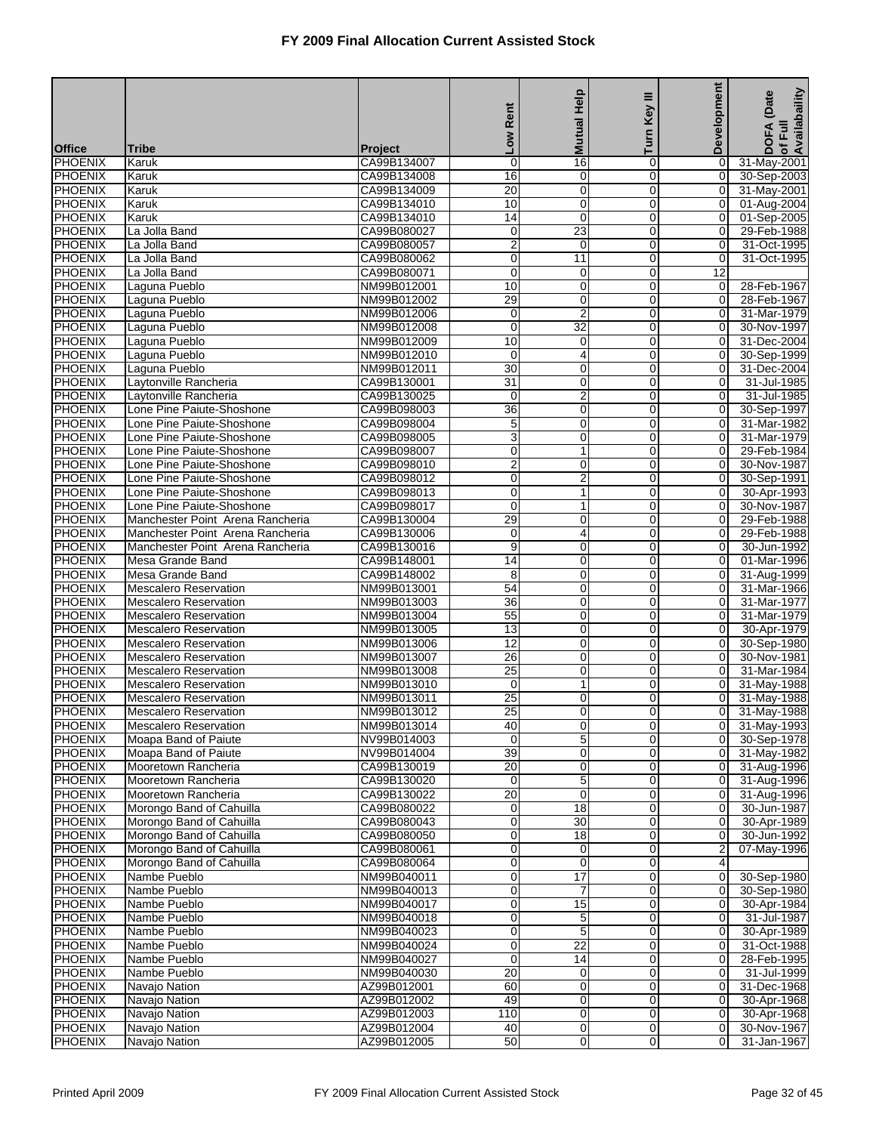|                                  |                                                              |                            | Rent                               | <b>Mutual Help</b>                     | Key III                       | Development                      | Availabaility<br>(Date     |
|----------------------------------|--------------------------------------------------------------|----------------------------|------------------------------------|----------------------------------------|-------------------------------|----------------------------------|----------------------------|
| <b>Office</b>                    | <b>Tribe</b>                                                 | Project                    | $\overline{\phantom{0}}$           |                                        | Turn                          |                                  | <b>DOFA</b><br>of Full     |
| <b>PHOENIX</b>                   | Karuk                                                        | CA99B134007                | $\mathbf 0$                        | 16                                     | 0                             | 0                                | 31-May-2001                |
| <b>PHOENIX</b>                   | Karuk                                                        | CA99B134008                | 16                                 | 0                                      | $\overline{0}$                | $\overline{0}$                   | 30-Sep-2003                |
| <b>PHOENIX</b>                   | Karuk                                                        | CA99B134009                | $\overline{20}$                    | $\mathbf 0$                            | 0                             | $\overline{0}$                   | 31-May-2001                |
| <b>PHOENIX</b><br><b>PHOENIX</b> | Karuk<br>Karuk                                               | CA99B134010<br>CA99B134010 | 10<br>14                           | 0<br>$\mathbf 0$                       | $\mathbf 0$<br>0              | $\overline{0}$<br>$\overline{0}$ | 01-Aug-2004<br>01-Sep-2005 |
| <b>PHOENIX</b>                   | La Jolla Band                                                | CA99B080027                | 0                                  | $\overline{23}$                        | $\mathbf 0$                   | 0                                | 29-Feb-1988                |
| <b>PHOENIX</b>                   | La Jolla Band                                                | CA99B080057                | $\overline{2}$                     | $\mathbf 0$                            | 0                             | $\overline{0}$                   | 31-Oct-1995                |
| <b>PHOENIX</b>                   | La Jolla Band                                                | CA99B080062                | 0                                  | 11                                     | 0                             | $\mathbf 0$                      | 31-Oct-1995                |
| <b>PHOENIX</b>                   | La Jolla Band                                                | CA99B080071                | $\mathbf 0$                        | $\mathbf 0$                            | $\mathbf 0$                   | $\overline{12}$                  |                            |
| <b>PHOENIX</b><br><b>PHOENIX</b> | Laguna Pueblo<br>Laguna Pueblo                               | NM99B012001<br>NM99B012002 | 10<br>29                           | $\mathbf 0$<br>0                       | 0<br>$\mathbf 0$              | $\overline{0}$<br>0              | 28-Feb-1967<br>28-Feb-1967 |
| <b>PHOENIX</b>                   | Laguna Pueblo                                                | NM99B012006                | 0                                  | $\overline{2}$                         | $\overline{0}$                | $\overline{0}$                   | 31-Mar-1979                |
| <b>PHOENIX</b>                   | Laguna Pueblo                                                | NM99B012008                | $\boldsymbol{0}$                   | 32                                     | 0                             | $\mathbf 0$                      | 30-Nov-1997                |
| <b>PHOENIX</b>                   | Laguna Pueblo                                                | NM99B012009                | 10                                 | 0                                      | $\mathbf 0$                   | $\mathbf 0$                      | 31-Dec-2004                |
| <b>PHOENIX</b>                   | Laguna Pueblo                                                | NM99B012010                | 0                                  | 4                                      | 0                             | $\overline{0}$                   | 30-Sep-1999                |
| <b>PHOENIX</b><br><b>PHOENIX</b> | Laguna Pueblo<br>Laytonville Rancheria                       | NM99B012011<br>CA99B130001 | $\overline{30}$<br>$\overline{31}$ | 0<br>0                                 | 0<br>$\overline{0}$           | 0<br>0                           | 31-Dec-2004<br>31-Jul-1985 |
| <b>PHOENIX</b>                   | Laytonville Rancheria                                        | CA99B130025                | 0                                  | $\overline{2}$                         | 0                             | $\overline{0}$                   | 31-Jul-1985                |
| <b>PHOENIX</b>                   | Lone Pine Paiute-Shoshone                                    | CA99B098003                | $\overline{36}$                    | 0                                      | $\mathbf 0$                   | $\overline{0}$                   | 30-Sep-1997                |
| <b>PHOENIX</b>                   | Lone Pine Paiute-Shoshone                                    | CA99B098004                | 5                                  | $\mathbf 0$                            | 0                             | $\overline{0}$                   | 31-Mar-1982                |
| PHOENIX                          | Lone Pine Paiute-Shoshone                                    | CA99B098005                | 3                                  | 0                                      | $\mathbf 0$                   | 0                                | 31-Mar-1979                |
| <b>PHOENIX</b><br><b>PHOENIX</b> | Lone Pine Paiute-Shoshone                                    | CA99B098007                | 0                                  | 1                                      | 0<br>0                        | $\overline{0}$<br>$\mathbf 0$    | 29-Feb-1984<br>30-Nov-1987 |
| <b>PHOENIX</b>                   | Lone Pine Paiute-Shoshone<br>Lone Pine Paiute-Shoshone       | CA99B098010<br>CA99B098012 | $\overline{2}$<br>0                | $\mathbf 0$<br>$\overline{\mathbf{c}}$ | $\mathbf 0$                   | $\mathbf 0$                      | 30-Sep-1991                |
| <b>PHOENIX</b>                   | Lone Pine Paiute-Shoshone                                    | CA99B098013                | 0                                  | 1                                      | 0                             | $\overline{0}$                   | 30-Apr-1993                |
| <b>PHOENIX</b>                   | Lone Pine Paiute-Shoshone                                    | CA99B098017                | $\mathbf 0$                        | 1                                      | $\mathbf 0$                   | $\overline{0}$                   | 30-Nov-1987                |
| <b>PHOENIX</b>                   | Manchester Point Arena Rancheria                             | CA99B130004                | 29                                 | 0                                      | 0                             | $\overline{0}$                   | 29-Feb-1988                |
| <b>PHOENIX</b>                   | Manchester Point Arena Rancheria                             | CA99B130006                | 0                                  | 4                                      | 0                             | $\mathbf 0$                      | 29-Feb-1988                |
| <b>PHOENIX</b><br><b>PHOENIX</b> | Manchester Point Arena Rancheria<br>Mesa Grande Band         | CA99B130016<br>CA99B148001 | 9<br>$\overline{14}$               | 0<br>$\mathbf 0$                       | $\mathbf 0$<br>0              | $\mathbf 0$<br>$\overline{0}$    | 30-Jun-1992<br>01-Mar-1996 |
| <b>PHOENIX</b>                   | Mesa Grande Band                                             | CA99B148002                | 8                                  | 0                                      | 0                             | 0                                | 31-Aug-1999                |
| <b>PHOENIX</b>                   | <b>Mescalero Reservation</b>                                 | NM99B013001                | 54                                 | 0                                      | $\overline{0}$                | $\overline{0}$                   | 31-Mar-1966                |
| <b>PHOENIX</b>                   | <b>Mescalero Reservation</b>                                 | NM99B013003                | $\overline{36}$                    | $\pmb{0}$                              | 0                             | $\mathbf 0$                      | 31-Mar-1977                |
| <b>PHOENIX</b>                   | <b>Mescalero Reservation</b>                                 | NM99B013004                | $\overline{55}$                    | 0                                      | $\mathbf 0$                   | $\mathbf 0$                      | 31-Mar-1979                |
| <b>PHOENIX</b><br>PHOENIX        | <b>Mescalero Reservation</b><br><b>Mescalero Reservation</b> | NM99B013005<br>NM99B013006 | $\overline{13}$<br>$\overline{12}$ | $\mathbf 0$<br>0                       | 0<br>0                        | $\overline{0}$<br>0              | 30-Apr-1979<br>30-Sep-1980 |
| <b>PHOENIX</b>                   | <b>Mescalero Reservation</b>                                 | NM99B013007                | 26                                 | 0                                      | $\overline{0}$                | 0                                | 30-Nov-1981                |
| <b>PHOENIX</b>                   | <b>Mescalero Reservation</b>                                 | NM99B013008                | $\overline{25}$                    | $\mathbf 0$                            | 0                             | $\mathbf 0$                      | 31-Mar-1984                |
| <b>PHOENIX</b>                   | <b>Mescalero Reservation</b>                                 | NM99B013010                | $\mathbf 0$                        | $\mathbf{1}$                           | $\mathbf 0$                   | $\overline{0}$                   | 31-May-1988                |
| <b>PHOENIX</b>                   | <b>Mescalero Reservation</b>                                 | NM99B013011                | 25                                 | 0                                      | 0                             | $\overline{0}$                   | 31-May-1988                |
| <b>PHOENIX</b><br><b>PHOENIX</b> | <b>Mescalero Reservation</b><br><b>Mescalero Reservation</b> | NM99B013012<br>NM99B013014 | $\overline{25}$<br>40              | 0<br>$\overline{0}$                    | $\mathbf 0$<br>$\overline{0}$ | 0<br>0 I                         | 31-May-1988<br>31-May-1993 |
| <b>PHOENIX</b>                   | Moapa Band of Paiute                                         | NV99B014003                | $\mathbf 0$                        | 5                                      | 0                             | $\overline{0}$                   | 30-Sep-1978                |
| <b>PHOENIX</b>                   | Moapa Band of Paiute                                         | NV99B014004                | 39                                 | $\mathbf 0$                            | 0                             | $\overline{0}$                   | 31-May-1982                |
| <b>PHOENIX</b>                   | Mooretown Rancheria                                          | CA99B130019                | 20                                 | 0                                      | 0                             | $\overline{0}$                   | 31-Aug-1996                |
| PHOENIX                          | Mooretown Rancheria                                          | CA99B130020                | $\mathbf 0$                        | 5                                      | 0                             | 0                                | 31-Aug-1996                |
| <b>PHOENIX</b><br><b>PHOENIX</b> | Mooretown Rancheria<br>Morongo Band of Cahuilla              | CA99B130022<br>CA99B080022 | $\overline{20}$<br>$\mathbf 0$     | 0<br>18                                | 0<br>0                        | $\overline{0}$<br>$\overline{0}$ | 31-Aug-1996<br>30-Jun-1987 |
| <b>PHOENIX</b>                   | Morongo Band of Cahuilla                                     | CA99B080043                | 0                                  | 30                                     | $\mathbf 0$                   | $\overline{0}$                   | 30-Apr-1989                |
| <b>PHOENIX</b>                   | Morongo Band of Cahuilla                                     | CA99B080050                | 0                                  | $\overline{18}$                        | 0                             | $\overline{0}$                   | 30-Jun-1992                |
| PHOENIX                          | Morongo Band of Cahuilla                                     | CA99B080061                | 0                                  | 0                                      | 0                             | $\overline{2}$                   | 07-May-1996                |
| <b>PHOENIX</b>                   | Morongo Band of Cahuilla                                     | CA99B080064                | 0                                  | 0                                      | 0                             | $\overline{4}$                   |                            |
| <b>PHOENIX</b><br><b>PHOENIX</b> | Nambe Pueblo<br>Nambe Pueblo                                 | NM99B040011                | $\pmb{0}$<br>0                     | 17<br>7                                | 0<br>$\mathbf 0$              | $\overline{0}$<br>$\overline{0}$ | 30-Sep-1980<br>30-Sep-1980 |
| <b>PHOENIX</b>                   | Nambe Pueblo                                                 | NM99B040013<br>NM99B040017 | 0                                  | 15                                     | 0                             | $\overline{0}$                   | 30-Apr-1984                |
| PHOENIX                          | Nambe Pueblo                                                 | NM99B040018                | 0                                  | 5                                      | 0                             | $\overline{0}$                   | 31-Jul-1987                |
| <b>PHOENIX</b>                   | Nambe Pueblo                                                 | NM99B040023                | $\overline{0}$                     | 5                                      | 0                             | $\overline{0}$                   | 30-Apr-1989                |
| <b>PHOENIX</b>                   | Nambe Pueblo                                                 | NM99B040024                | $\pmb{0}$                          | 22                                     | 0                             | $\overline{0}$                   | 31-Oct-1988                |
| <b>PHOENIX</b>                   | Nambe Pueblo                                                 | NM99B040027                | $\mathbf 0$                        | 14                                     | $\mathbf 0$                   | $\overline{0}$                   | 28-Feb-1995                |
| <b>PHOENIX</b><br>PHOENIX        | Nambe Pueblo<br>Navajo Nation                                | NM99B040030<br>AZ99B012001 | 20<br>60                           | 0<br>0                                 | 0<br>0                        | $\overline{0}$<br>$\overline{0}$ | 31-Jul-1999<br>31-Dec-1968 |
| <b>PHOENIX</b>                   | Navajo Nation                                                | AZ99B012002                | 49                                 | $\mathbf 0$                            | 0                             | $\overline{0}$                   | 30-Apr-1968                |
| <b>PHOENIX</b>                   | Navajo Nation                                                | AZ99B012003                | 110                                | $\mathbf 0$                            | 0                             | $\overline{0}$                   | 30-Apr-1968                |
| <b>PHOENIX</b>                   | Navajo Nation                                                | AZ99B012004                | 40                                 | $\mathbf 0$                            | 0                             | $\overline{0}$                   | 30-Nov-1967                |
| <b>PHOENIX</b>                   | Navajo Nation                                                | AZ99B012005                | 50                                 | 0                                      | 0                             | $\overline{0}$                   | 31-Jan-1967                |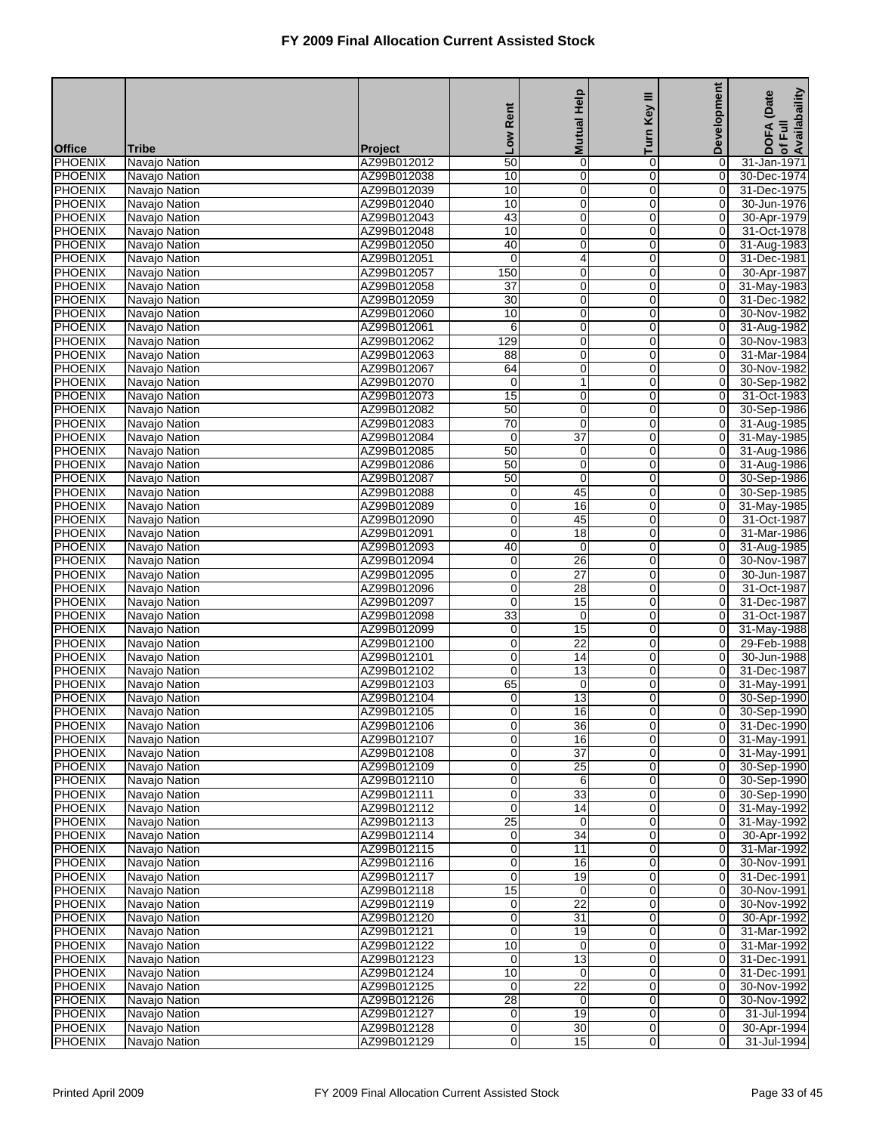|                                  |                                |                            |                     | <b>Mutual Help</b>         | Ξ<br>Key            | <b>Development</b>               | of Full<br>Availabaility<br>(Date |
|----------------------------------|--------------------------------|----------------------------|---------------------|----------------------------|---------------------|----------------------------------|-----------------------------------|
|                                  |                                |                            | Rent                |                            |                     |                                  | <b>DOFA</b>                       |
| <b>Office</b>                    | Tribe                          | <b>Project</b>             | Low                 |                            | Turn                |                                  |                                   |
| <b>PHOENIX</b>                   | Navajo Nation                  | AZ99B012012                | $\overline{50}$     | $\pmb{0}$                  | 0                   | 0                                | 31-Jan-1971                       |
| <b>PHOENIX</b>                   | Navajo Nation                  | AZ99B012038                | 10                  | $\overline{0}$             | $\mathbf 0$         | $\overline{\mathsf{o}}$          | 30-Dec-1974                       |
| <b>PHOENIX</b>                   | Navajo Nation                  | AZ99B012039                | 10                  | $\pmb{0}$                  | 0                   | 0                                | 31-Dec-1975                       |
| <b>PHOENIX</b><br>PHOENIX        | Navajo Nation                  | AZ99B012040                | 10                  | $\mathbf 0$                | $\mathbf 0$<br>0    | 0<br>0                           | 30-Jun-1976                       |
| <b>PHOENIX</b>                   | Navajo Nation<br>Navajo Nation | AZ99B012043<br>AZ99B012048 | 43<br>10            | $\mathbf 0$<br>$\mathbf 0$ | 0                   | $\mathbf 0$                      | 30-Apr-1979<br>31-Oct-1978        |
| <b>PHOENIX</b>                   | Navajo Nation                  | AZ99B012050                | 40                  | $\overline{0}$             | $\mathbf 0$         | $\overline{O}$                   | 31-Aug-1983                       |
| <b>PHOENIX</b>                   | Navajo Nation                  | AZ99B012051                | $\mathbf 0$         | 4                          | 0                   | $\mathbf 0$                      | 31-Dec-1981                       |
| <b>PHOENIX</b>                   | Navajo Nation                  | AZ99B012057                | 150                 | $\mathbf 0$                | $\mathbf 0$         | 0                                | 30-Apr-1987                       |
| PHOENIX                          | Navajo Nation                  | AZ99B012058                | $\overline{37}$     | $\mathbf 0$                | 0                   | 0                                | 31-May-1983                       |
| <b>PHOENIX</b>                   | Navajo Nation                  | AZ99B012059                | $\overline{30}$     | $\mathbf 0$                | $\mathbf 0$         | 0                                | 31-Dec-1982                       |
| <b>PHOENIX</b>                   | Navajo Nation                  | AZ99B012060                | 10                  | $\overline{0}$             | $\overline{0}$      | $\overline{0}$                   | 30-Nov-1982                       |
| PHOENIX                          | Navajo Nation                  | AZ99B012061                | 6                   | $\pmb{0}$                  | 0                   | 0                                | 31-Aug-1982                       |
| <b>PHOENIX</b>                   | Navajo Nation                  | AZ99B012062                | 129                 | $\mathbf 0$                | $\mathbf 0$         | 0                                | 30-Nov-1983                       |
| PHOENIX                          | Navajo Nation                  | AZ99B012063                | 88                  | $\mathbf 0$                | 0                   | 0                                | 31-Mar-1984                       |
| <b>PHOENIX</b><br><b>PHOENIX</b> | Navajo Nation                  | AZ99B012067                | 64                  | $\boldsymbol{0}$           | $\mathbf 0$         | $\mathbf 0$                      | 30-Nov-1982                       |
| <b>PHOENIX</b>                   | Navajo Nation<br>Navajo Nation | AZ99B012070<br>AZ99B012073 | 0<br>15             | $\mathbf{1}$<br>$\pmb{0}$  | $\overline{0}$<br>0 | $\overline{0}$<br>$\overline{0}$ | 30-Sep-1982<br>31-Oct-1983        |
| <b>PHOENIX</b>                   | Navajo Nation                  | AZ99B012082                | 50                  | $\mathbf 0$                | $\mathbf 0$         | 0                                | 30-Sep-1986                       |
| PHOENIX                          | Navajo Nation                  | AZ99B012083                | $\overline{70}$     | $\mathbf 0$                | 0                   | 0                                | 31-Aug-1985                       |
| <b>PHOENIX</b>                   | Navajo Nation                  | AZ99B012084                | 0                   | $\overline{37}$            | $\mathbf 0$         | $\overline{0}$                   | 31-May-1985                       |
| <b>PHOENIX</b>                   | Navajo Nation                  | AZ99B012085                | 50                  | $\mathbf 0$                | $\overline{0}$      | $\overline{0}$                   | 31-Aug-1986                       |
| <b>PHOENIX</b>                   | Navajo Nation                  | AZ99B012086                | 50                  | $\pmb{0}$                  | 0                   | $\mathbf 0$                      | 31-Aug-1986                       |
| <b>PHOENIX</b>                   | Navajo Nation                  | AZ99B012087                | $\overline{50}$     | $\mathbf 0$                | $\mathbf 0$         | $\overline{0}$                   | 30-Sep-1986                       |
| <b>PHOENIX</b>                   | Navajo Nation                  | AZ99B012088                | 0                   | 45                         | 0                   | 0                                | 30-Sep-1985                       |
| <b>PHOENIX</b>                   | Navajo Nation                  | AZ99B012089                | 0                   | 16                         | $\mathbf 0$         | $\overline{0}$                   | 31-May-1985                       |
| <b>PHOENIX</b>                   | Navajo Nation                  | AZ99B012090                | $\overline{0}$      | 45                         | 0                   | $\overline{0}$                   | 31-Oct-1987                       |
| <b>PHOENIX</b>                   | Navajo Nation                  | AZ99B012091                | 0                   | 18                         | 0                   | 0                                | 31-Mar-1986                       |
| <b>PHOENIX</b>                   | Navajo Nation                  | AZ99B012093                | 40                  | $\mathbf 0$                | $\mathbf 0$         | 0                                | 31-Aug-1985                       |
| <b>PHOENIX</b>                   | Navajo Nation                  | AZ99B012094                | 0                   | 26<br>$\overline{27}$      | 0                   | 0                                | 30-Nov-1987                       |
| <b>PHOENIX</b><br><b>PHOENIX</b> | Navajo Nation<br>Navajo Nation | AZ99B012095<br>AZ99B012096 | 0<br>$\overline{0}$ | 28                         | $\mathbf 0$<br>0    | $\mathbf 0$<br>$\overline{0}$    | 30-Jun-1987<br>31-Oct-1987        |
| <b>PHOENIX</b>                   | Navajo Nation                  | AZ99B012097                | 0                   | 15                         | 0                   | 0                                | 31-Dec-1987                       |
| <b>PHOENIX</b>                   | Navajo Nation                  | AZ99B012098                | 33                  | $\mathbf 0$                | $\mathbf 0$         | 0                                | 31-Oct-1987                       |
| <b>PHOENIX</b>                   | Navajo Nation                  | AZ99B012099                | 0                   | 15                         | 0                   | 0                                | 31-May-1988                       |
| <b>PHOENIX</b>                   | Navajo Nation                  | AZ99B012100                | 0                   | $\overline{22}$            | 0                   | $\mathbf 0$                      | 29-Feb-1988                       |
| <b>PHOENIX</b>                   | Navajo Nation                  | AZ99B012101                | 0                   | 14                         | $\mathbf 0$         | $\overline{O}$                   | 30-Jun-1988                       |
| <b>PHOENIX</b>                   | Navajo Nation                  | AZ99B012102                | 0                   | 13                         | $\mathbf 0$         | 0                                | 31-Dec-1987                       |
| <b>PHOENIX</b>                   | Navajo Nation                  | AZ99B012103                | 65                  | $\mathbf 0$                | $\Omega$            | 0                                | 31-May-1991                       |
| <b>PHOENIX</b>                   | Navajo Nation                  | AZ99B012104                | 0                   | 13                         | 0                   | 0                                | 30-Sep-1990                       |
| <b>PHOENIX</b>                   | Navajo Nation                  | AZ99B012105                | $\mathbf 0$         | 16                         | $\overline{0}$      | $\overline{0}$                   | 30-Sep-1990                       |
| <b>PHOENIX</b>                   | Navajo Nation                  | AZ99B012106                | 0                   | 36                         | $\overline{0}$      | 0                                | 31-Dec-1990                       |
| <b>PHOENIX</b><br><b>PHOENIX</b> | Navajo Nation<br>Navajo Nation | AZ99B012107<br>AZ99B012108 | 0<br>0              | 16<br>$\overline{37}$      | $\overline{0}$<br>0 | $\overline{0}$<br>$\overline{0}$ | 31-May-1991<br>31-May-1991        |
| <b>PHOENIX</b>                   | Navajo Nation                  | AZ99B012109                | 0                   | $\overline{25}$            | $\overline{0}$      | 0                                | 30-Sep-1990                       |
| PHOENIX                          | Navajo Nation                  | AZ99B012110                | 0                   | 6                          | $\mathbf 0$         | $\overline{0}$                   | 30-Sep-1990                       |
| <b>PHOENIX</b>                   | Navajo Nation                  | AZ99B012111                | $\overline{0}$      | 33                         | $\mathbf 0$         | $\overline{0}$                   | 30-Sep-1990                       |
| <b>PHOENIX</b>                   | Navajo Nation                  | AZ99B012112                | 0                   | 14                         | $\mathbf 0$         | $\overline{0}$                   | 31-May-1992                       |
| <b>PHOENIX</b>                   | Navajo Nation                  | AZ99B012113                | $\overline{25}$     | $\mathbf 0$                | $\mathbf 0$         | $\overline{O}$                   | 31-May-1992                       |
| <b>PHOENIX</b>                   | Navajo Nation                  | AZ99B012114                | 0                   | $\overline{34}$            | 0                   | 0                                | 30-Apr-1992                       |
| <b>PHOENIX</b>                   | Navajo Nation                  | AZ99B012115                | 0                   | $\overline{11}$            | $\mathbf 0$         | $\overline{0}$                   | 31-Mar-1992                       |
| <b>PHOENIX</b>                   | Navajo Nation                  | AZ99B012116                | $\overline{0}$      | 16                         | $\mathbf 0$         | $\overline{0}$                   | 30-Nov-1991                       |
| PHOENIX                          | Navajo Nation                  | AZ99B012117                | 0                   | 19                         | $\mathbf 0$         | $\overline{0}$                   | 31-Dec-1991                       |
| <b>PHOENIX</b>                   | Navajo Nation                  | AZ99B012118                | $\overline{15}$     | $\mathbf 0$                | 0                   | 0                                | 30-Nov-1991                       |
| <b>PHOENIX</b><br>PHOENIX        | Navajo Nation<br>Navajo Nation | AZ99B012119<br>AZ99B012120 | 0<br>0              | $\overline{22}$<br>31      | 0<br>$\mathbf 0$    | 0<br>$\overline{0}$              | 30-Nov-1992<br>30-Apr-1992        |
| <b>PHOENIX</b>                   | Navajo Nation                  | AZ99B012121                | $\overline{0}$      | 19                         | $\overline{0}$      | $\overline{0}$                   | 31-Mar-1992                       |
| PHOENIX                          | Navajo Nation                  | AZ99B012122                | 10                  | 0                          | $\mathbf 0$         | $\overline{0}$                   | 31-Mar-1992                       |
| <b>PHOENIX</b>                   | Navajo Nation                  | AZ99B012123                | 0                   | $\overline{13}$            | 0                   | 0                                | 31-Dec-1991                       |
| <b>PHOENIX</b>                   | Navajo Nation                  | AZ99B012124                | 10                  | 0                          | 0                   | 0                                | 31-Dec-1991                       |
| PHOENIX                          | Navajo Nation                  | AZ99B012125                | $\mathbf 0$         | $\overline{22}$            | $\mathbf 0$         | $\overline{0}$                   | 30-Nov-1992                       |
| <b>PHOENIX</b>                   | Navajo Nation                  | AZ99B012126                | $\overline{28}$     | $\mathbf 0$                | $\overline{0}$      | $\overline{O}$                   | 30-Nov-1992                       |
| PHOENIX                          | Navajo Nation                  | AZ99B012127                | 0                   | 19                         | $\mathbf 0$         | $\overline{0}$                   | 31-Jul-1994                       |
| <b>PHOENIX</b>                   | Navajo Nation                  | AZ99B012128                | 0                   | $\overline{30}$            | $\mathbf{O}$        | 0                                | 30-Apr-1994                       |
| <b>PHOENIX</b>                   | Navajo Nation                  | AZ99B012129                | 0                   | 15                         | 0                   | $\overline{0}$                   | 31-Jul-1994                       |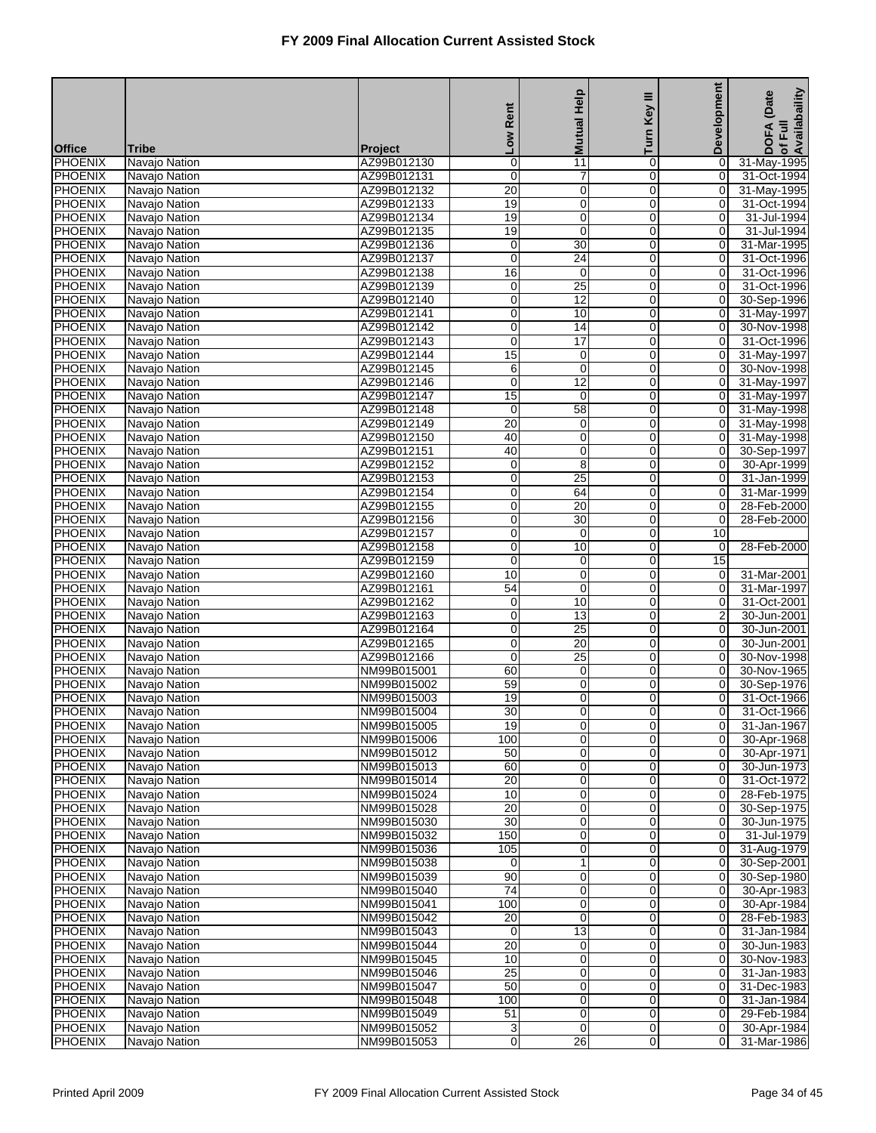|                                  |                                |                               | Rent                | <b>Mutual Help</b>   | Ξ<br>Key                   | Development                      | of Full<br>Availabaility<br>(Date |
|----------------------------------|--------------------------------|-------------------------------|---------------------|----------------------|----------------------------|----------------------------------|-----------------------------------|
|                                  |                                |                               | <b>No</b>           |                      | Turn                       |                                  | <b>DOFA</b>                       |
| <b>Office</b><br><b>PHOENIX</b>  | Tribe<br>Navajo Nation         | <b>Project</b><br>AZ99B012130 | 0                   | 11                   | 0                          |                                  | 31-May-1995                       |
| <b>PHOENIX</b>                   | Navajo Nation                  | AZ99B012131                   | $\overline{0}$      | 7                    | $\mathbf 0$                | 0<br>$\overline{0}$              | 31-Oct-1994                       |
| <b>PHOENIX</b>                   | Navajo Nation                  | AZ99B012132                   | 20                  | $\pmb{0}$            | 0                          | 0                                | 31-May-1995                       |
| <b>PHOENIX</b>                   | Navajo Nation                  | AZ99B012133                   | 19                  | $\mathbf 0$          | $\mathbf 0$                | $\mathbf 0$                      | 31-Oct-1994                       |
| PHOENIX                          | Navajo Nation                  | AZ99B012134                   | 19                  | $\mathbf 0$          | 0                          | 0                                | 31-Jul-1994                       |
| <b>PHOENIX</b>                   | Navajo Nation                  | AZ99B012135                   | 19                  | $\mathbf 0$          | 0                          | $\mathbf 0$                      | 31-Jul-1994                       |
| <b>PHOENIX</b>                   | Navajo Nation                  | AZ99B012136                   | 0                   | 30                   | $\mathbf 0$                | 0                                | 31-Mar-1995                       |
| <b>PHOENIX</b>                   | Navajo Nation                  | AZ99B012137                   | 0                   | 24                   | 0                          | 0                                | 31-Oct-1996                       |
| <b>PHOENIX</b>                   | Navajo Nation                  | AZ99B012138                   | 16                  | $\mathbf 0$          | $\mathbf 0$                | $\mathbf 0$                      | 31-Oct-1996                       |
| PHOENIX                          | Navajo Nation                  | AZ99B012139                   | 0                   | $\overline{25}$      | 0                          | 0                                | 31-Oct-1996                       |
| <b>PHOENIX</b>                   | Navajo Nation                  | AZ99B012140                   | 0                   | 12                   | 0                          | 0                                | 30-Sep-1996                       |
| <b>PHOENIX</b>                   | Navajo Nation                  | AZ99B012141                   | 0                   | 10                   | $\overline{0}$             | $\overline{O}$                   | 31-May-1997                       |
| PHOENIX                          | Navajo Nation                  | AZ99B012142                   | 0                   | 14                   | 0                          | 0                                | 30-Nov-1998                       |
| <b>PHOENIX</b>                   | Navajo Nation                  | AZ99B012143                   | $\overline{0}$      | $\overline{17}$      | $\mathbf 0$                | 0                                | 31-Oct-1996                       |
| PHOENIX                          | Navajo Nation                  | AZ99B012144                   | $\overline{15}$     | $\mathbf 0$          | 0                          | 0                                | 31-May-1997                       |
| <b>PHOENIX</b>                   | Navajo Nation                  | AZ99B012145                   | 6<br>$\overline{0}$ | $\mathbf 0$          | $\mathbf 0$                | 0<br>$\overline{0}$              | 30-Nov-1998                       |
| <b>PHOENIX</b>                   | Navajo Nation                  | AZ99B012146                   |                     | 12                   | $\overline{0}$             |                                  | 31-May-1997                       |
| <b>PHOENIX</b><br><b>PHOENIX</b> | Navajo Nation                  | AZ99B012147<br>AZ99B012148    | 15<br>$\mathbf 0$   | 0<br>$\overline{58}$ | 0<br>$\mathbf 0$           | 0<br>0                           | 31-May-1997                       |
| PHOENIX                          | Navajo Nation<br>Navajo Nation | AZ99B012149                   | $\overline{20}$     | 0                    | 0                          | 0                                | 31-May-1998<br>31-May-1998        |
| <b>PHOENIX</b>                   | Navajo Nation                  | AZ99B012150                   | 40                  | $\mathbf 0$          | $\mathbf 0$                | $\overline{0}$                   | 31-May-1998                       |
| <b>PHOENIX</b>                   | Navajo Nation                  | AZ99B012151                   | 40                  | $\overline{0}$       | 0                          | $\overline{0}$                   | 30-Sep-1997                       |
| <b>PHOENIX</b>                   | Navajo Nation                  | AZ99B012152                   | 0                   | 8                    | 0                          | 0                                | 30-Apr-1999                       |
| <b>PHOENIX</b>                   | Navajo Nation                  | AZ99B012153                   | $\overline{0}$      | $\overline{25}$      | $\mathbf 0$                | $\mathbf 0$                      | 31-Jan-1999                       |
| PHOENIX                          | Navajo Nation                  | AZ99B012154                   | 0                   | 64                   | 0                          | 0                                | 31-Mar-1999                       |
| <b>PHOENIX</b>                   | Navajo Nation                  | AZ99B012155                   | 0                   | $\overline{20}$      | $\mathbf 0$                | $\mathbf 0$                      | 28-Feb-2000                       |
| <b>PHOENIX</b>                   | Navajo Nation                  | AZ99B012156                   | $\overline{0}$      | 30                   | 0                          | $\overline{0}$                   | 28-Feb-2000                       |
| <b>PHOENIX</b>                   | Navajo Nation                  | AZ99B012157                   | 0                   | 0                    | 0                          | 10                               |                                   |
| <b>PHOENIX</b>                   | Navajo Nation                  | AZ99B012158                   | $\overline{0}$      | 10                   | $\mathbf 0$                | $\pmb{0}$                        | 28-Feb-2000                       |
| <b>PHOENIX</b>                   | Navajo Nation                  | AZ99B012159                   | 0                   | $\mathbf 0$          | 0                          | 15                               |                                   |
| <b>PHOENIX</b>                   | Navajo Nation                  | AZ99B012160                   | 10                  | $\mathbf 0$          | 0                          | $\pmb{0}$                        | 31-Mar-2001                       |
| <b>PHOENIX</b>                   | Navajo Nation                  | AZ99B012161                   | 54                  | $\overline{0}$       | 0                          | $\overline{\mathsf{o}}$          | 31-Mar-1997                       |
| <b>PHOENIX</b>                   | Navajo Nation                  | AZ99B012162                   | 0                   | 10                   | 0                          | 0                                | 31-Oct-2001                       |
| <b>PHOENIX</b>                   | Navajo Nation                  | AZ99B012163                   | $\overline{0}$      | 13                   | $\mathbf 0$                | $\overline{2}$                   | 30-Jun-2001                       |
| PHOENIX                          | Navajo Nation                  | AZ99B012164                   | 0                   | $\overline{25}$      | 0                          | 0                                | 30-Jun-2001                       |
| <b>PHOENIX</b>                   | Navajo Nation                  | AZ99B012165                   | 0                   | $\overline{20}$      | 0                          | $\mathbf 0$                      | 30-Jun-2001                       |
| <b>PHOENIX</b>                   | Navajo Nation                  | AZ99B012166                   | 0                   | 25                   | $\mathbf 0$                | $\overline{O}$                   | 30-Nov-1998                       |
| PHOENIX<br><b>PHOENIX</b>        | Navajo Nation                  | NM99B015001<br>NM99B015002    | 60<br>59            | 0<br>$\mathbf 0$     | 0<br>$\Omega$              | 0<br>0                           | 30-Nov-1965<br>30-Sep-1976        |
| <b>PHOENIX</b>                   | Navajo Nation<br>Navajo Nation | NM99B015003                   | 19                  | $\mathbf 0$          | 0                          | 0                                | 31-Oct-1966                       |
| <b>PHOENIX</b>                   | Navajo Nation                  | NM99B015004                   | 30                  | $\mathbf 0$          | $\overline{0}$             | $\mathbf 0$                      | 31-Oct-1966                       |
| <b>PHOENIX</b>                   | Navajo Nation                  | NM99B015005                   | 19                  | 0                    | $\overline{0}$             | 0                                | 31-Jan-1967                       |
| <b>PHOENIX</b>                   | Navajo Nation                  | NM99B015006                   | 100                 | $\mathbf 0$          | $\overline{0}$             | $\mathbf 0$                      | 30-Apr-1968                       |
| <b>PHOENIX</b>                   | Navajo Nation                  | NM99B015012                   | 50                  | $\mathbf 0$          | 0                          | $\overline{O}$                   | 30-Apr-1971                       |
| <b>PHOENIX</b>                   | Navajo Nation                  | NM99B015013                   | 60                  | 0                    | $\overline{0}$             | 0                                | 30-Jun-1973                       |
| PHOENIX                          | Navajo Nation                  | NM99B015014                   | $\overline{20}$     | $\boldsymbol{0}$     | $\mathbf 0$                | $\overline{0}$                   | 31-Oct-1972                       |
| <b>PHOENIX</b>                   | Navajo Nation                  | NM99B015024                   | 10                  | $\pmb{0}$            | $\mathbf 0$                | $\overline{0}$                   | 28-Feb-1975                       |
| <b>PHOENIX</b>                   | Navajo Nation                  | NM99B015028                   | 20                  | $\pmb{0}$            | $\mathbf 0$                | $\overline{0}$                   | 30-Sep-1975                       |
| <b>PHOENIX</b>                   | Navajo Nation                  | NM99B015030                   | $\overline{30}$     | $\mathbf 0$          | $\mathbf 0$                | 0                                | 30-Jun-1975                       |
| <b>PHOENIX</b>                   | Navajo Nation                  | NM99B015032                   | 150                 | 0                    | 0                          | 0                                | 31-Jul-1979                       |
| <b>PHOENIX</b>                   | Navajo Nation                  | NM99B015036                   | 105                 | $\boldsymbol{0}$     | $\mathbf 0$                | $\overline{0}$                   | 31-Aug-1979                       |
| <b>PHOENIX</b>                   | Navajo Nation                  | NM99B015038                   | 0                   | $\mathbf{1}$         | $\mathbf 0$                | $\overline{0}$                   | 30-Sep-2001                       |
| <b>PHOENIX</b>                   | Navajo Nation                  | NM99B015039                   | 90                  | $\pmb{0}$            | $\mathbf 0$                | $\overline{0}$                   | 30-Sep-1980                       |
| <b>PHOENIX</b>                   | Navajo Nation                  | NM99B015040                   | $\overline{74}$     | $\mathbf 0$          | 0                          | 0                                | 30-Apr-1983                       |
| <b>PHOENIX</b>                   | Navajo Nation                  | NM99B015041                   | 100                 | 0                    | 0                          | 0                                | 30-Apr-1984                       |
| <b>PHOENIX</b><br><b>PHOENIX</b> | Navajo Nation                  | NM99B015042                   | 20<br>0             | $\mathbf 0$<br>13    | $\mathbf 0$<br>$\mathbf 0$ | $\overline{0}$<br>$\overline{0}$ | 28-Feb-1983                       |
| PHOENIX                          | Navajo Nation<br>Navajo Nation | NM99B015043<br>NM99B015044    | 20                  | 0                    | $\mathbf 0$                | $\overline{0}$                   | 31-Jan-1984<br>30-Jun-1983        |
| <b>PHOENIX</b>                   | Navajo Nation                  | NM99B015045                   | 10                  | $\mathbf 0$          | 0                          | 0                                | 30-Nov-1983                       |
| <b>PHOENIX</b>                   | Navajo Nation                  | NM99B015046                   | $\overline{25}$     | 0                    | 0                          | 0                                | 31-Jan-1983                       |
| PHOENIX                          | Navajo Nation                  | NM99B015047                   | 50                  | $\boldsymbol{0}$     | $\mathbf 0$                | $\overline{0}$                   | 31-Dec-1983                       |
| <b>PHOENIX</b>                   | Navajo Nation                  | NM99B015048                   | 100                 | $\overline{0}$       | $\overline{0}$             | $\overline{0}$                   | 31-Jan-1984                       |
| PHOENIX                          | Navajo Nation                  | NM99B015049                   | 51                  | $\mathbf 0$          | $\mathbf 0$                | $\overline{0}$                   | 29-Feb-1984                       |
| <b>PHOENIX</b>                   | Navajo Nation                  | NM99B015052                   | 3                   | $\mathbf 0$          | $\mathbf 0$                | $\overline{O}$                   | 30-Apr-1984                       |
| <b>PHOENIX</b>                   | Navajo Nation                  | NM99B015053                   | 0                   | $\overline{26}$      | 0                          | $\overline{0}$                   | 31-Mar-1986                       |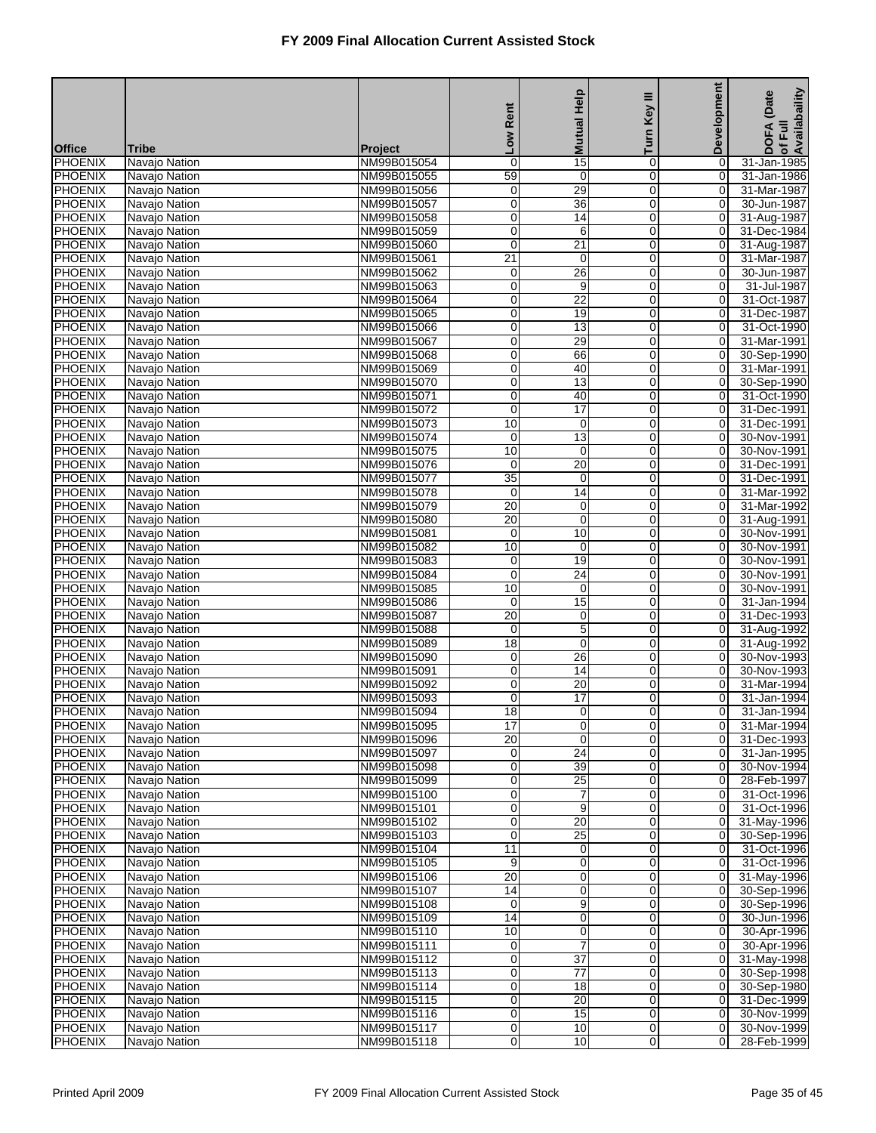|                                  |                                |                            | Rent                 | <b>Mutual Help</b>                | Ξ<br>Key                   | Development                      | of Full<br>Availabaility<br>(Date |
|----------------------------------|--------------------------------|----------------------------|----------------------|-----------------------------------|----------------------------|----------------------------------|-----------------------------------|
| <b>Office</b>                    | Tribe                          | <b>Project</b>             | <b>No7</b>           |                                   | Turn                       |                                  | <b>DOFA</b>                       |
| <b>PHOENIX</b>                   | Navajo Nation                  | NM99B015054                | 0                    | 15                                | 0                          | 0                                | 31-Jan-1985                       |
| <b>PHOENIX</b>                   | Navajo Nation                  | NM99B015055                | 59                   | $\overline{0}$                    | $\mathbf 0$                | $\overline{0}$                   | 31-Jan-1986                       |
| <b>PHOENIX</b>                   | Navajo Nation                  | NM99B015056                | 0                    | 29                                | 0                          | 0                                | 31-Mar-1987                       |
| <b>PHOENIX</b>                   | Navajo Nation                  | NM99B015057                | $\overline{0}$       | 36                                | $\mathbf 0$                | $\mathbf 0$                      | 30-Jun-1987                       |
| PHOENIX<br><b>PHOENIX</b>        | Navajo Nation                  | NM99B015058                | 0<br>$\mathbf 0$     | 14<br>6                           | 0<br>0                     | 0<br>0                           | 31-Aug-1987                       |
| <b>PHOENIX</b>                   | Navajo Nation<br>Navajo Nation | NM99B015059<br>NM99B015060 | $\overline{0}$       | 21                                | $\mathbf 0$                | $\overline{O}$                   | 31-Dec-1984<br>31-Aug-1987        |
| <b>PHOENIX</b>                   | Navajo Nation                  | NM99B015061                | 21                   | 0                                 | 0                          | 0                                | 31-Mar-1987                       |
| <b>PHOENIX</b>                   | Navajo Nation                  | NM99B015062                | 0                    | 26                                | $\mathbf 0$                | $\mathbf 0$                      | 30-Jun-1987                       |
| PHOENIX                          | Navajo Nation                  | NM99B015063                | 0                    | 9                                 | 0                          | 0                                | 31-Jul-1987                       |
| <b>PHOENIX</b>                   | Navajo Nation                  | NM99B015064                | $\mathbf 0$          | $\overline{22}$                   | 0                          | 0                                | 31-Oct-1987                       |
| <b>PHOENIX</b>                   | Navajo Nation                  | NM99B015065                | 0                    | 19                                | $\mathbf 0$                | $\mathbf 0$                      | 31-Dec-1987                       |
| <b>PHOENIX</b>                   | Navajo Nation                  | NM99B015066                | 0<br>$\overline{0}$  | 13<br>29                          | 0<br>$\Omega$              | 0<br>0                           | 31-Oct-1990                       |
| <b>PHOENIX</b><br>PHOENIX        | Navajo Nation<br>Navajo Nation | NM99B015067<br>NM99B015068 | 0                    | 66                                | 0                          | 0                                | 31-Mar-1991<br>30-Sep-1990        |
| <b>PHOENIX</b>                   | Navajo Nation                  | NM99B015069                | 0                    | 40                                | $\mathbf 0$                | 0                                | 31-Mar-1991                       |
| <b>PHOENIX</b>                   | Navajo Nation                  | NM99B015070                | $\overline{0}$       | 13                                | $\overline{0}$             | $\overline{\mathsf{o}}$          | 30-Sep-1990                       |
| <b>PHOENIX</b>                   | Navajo Nation                  | NM99B015071                | 0                    | 40                                | 0                          | 0                                | 31-Oct-1990                       |
| <b>PHOENIX</b>                   | Navajo Nation                  | NM99B015072                | $\overline{0}$       | $\overline{17}$                   | $\mathbf 0$                | $\mathbf 0$                      | 31-Dec-1991                       |
| PHOENIX                          | Navajo Nation                  | NM99B015073                | 10                   | $\mathbf 0$                       | 0                          | 0                                | 31-Dec-1991                       |
| <b>PHOENIX</b>                   | Navajo Nation                  | NM99B015074                | 0                    | $\overline{13}$                   | $\mathbf 0$                | $\mathbf 0$                      | 30-Nov-1991                       |
| <b>PHOENIX</b><br><b>PHOENIX</b> | Navajo Nation                  | NM99B015075<br>NM99B015076 | 10                   | $\mathbf 0$                       | 0                          | $\overline{0}$                   | 30-Nov-1991                       |
| <b>PHOENIX</b>                   | Navajo Nation<br>Navajo Nation | NM99B015077                | 0<br>$\overline{35}$ | 20<br>$\overline{0}$              | 0<br>$\mathbf 0$           | 0<br>$\mathbf 0$                 | 31-Dec-1991<br>31-Dec-1991        |
| PHOENIX                          | Navajo Nation                  | NM99B015078                | 0                    | 14                                | 0                          | 0                                | 31-Mar-1992                       |
| <b>PHOENIX</b>                   | Navajo Nation                  | NM99B015079                | $\overline{20}$      | $\mathbf 0$                       | $\mathbf 0$                | $\mathbf 0$                      | 31-Mar-1992                       |
| <b>PHOENIX</b>                   | Navajo Nation                  | NM99B015080                | $\overline{20}$      | $\overline{0}$                    | 0                          | $\overline{0}$                   | 31-Aug-1991                       |
| <b>PHOENIX</b>                   | Navajo Nation                  | NM99B015081                | 0                    | 10                                | 0                          | 0                                | 30-Nov-1991                       |
| <b>PHOENIX</b>                   | Navajo Nation                  | NM99B015082                | 10                   | $\mathbf 0$                       | $\mathbf 0$                | $\overline{0}$                   | 30-Nov-1991                       |
| PHOENIX                          | Navajo Nation                  | NM99B015083                | 0                    | 19                                | 0                          | 0                                | 30-Nov-1991                       |
| <b>PHOENIX</b><br><b>PHOENIX</b> | Navajo Nation                  | NM99B015084<br>NM99B015085 | 0<br>10              | $\overline{24}$<br>$\overline{0}$ | 0<br>0                     | $\mathbf 0$<br>$\overline{O}$    | 30-Nov-1991<br>30-Nov-1991        |
| <b>PHOENIX</b>                   | Navajo Nation<br>Navajo Nation | NM99B015086                | 0                    | 15                                | 0                          | 0                                | 31-Jan-1994                       |
| <b>PHOENIX</b>                   | Navajo Nation                  | NM99B015087                | $\overline{20}$      | $\mathbf 0$                       | $\mathbf 0$                | $\mathbf 0$                      | 31-Dec-1993                       |
| PHOENIX                          | Navajo Nation                  | NM99B015088                | 0                    | 5                                 | 0                          | 0                                | 31-Aug-1992                       |
| <b>PHOENIX</b>                   | Navajo Nation                  | NM99B015089                | $\overline{18}$      | $\mathbf 0$                       | 0                          | 0                                | 31-Aug-1992                       |
| <b>PHOENIX</b>                   | Navajo Nation                  | NM99B015090                | 0                    | 26                                | $\mathbf 0$                | $\overline{O}$                   | 30-Nov-1993                       |
| <b>PHOENIX</b>                   | Navajo Nation                  | NM99B015091                | 0                    | 14                                | 0                          | 0                                | 30-Nov-1993                       |
| <b>PHOENIX</b>                   | Navajo Nation                  | NM99B015092                | $\overline{0}$       | 20                                | $\Omega$                   | $\mathbf 0$                      | 31-Mar-1994                       |
| <b>PHOENIX</b><br><b>PHOENIX</b> | Navajo Nation<br>Navajo Nation | NM99B015093<br>NM99B015094 | 0<br>$\overline{3}$  | $\overline{17}$<br>$\mathbf 0$    | 0<br>$\overline{0}$        | 0<br>$\mathbf 0$                 | 31-Jan-1994<br>31-Jan-1994        |
| <b>PHOENIX</b>                   | Navajo Nation                  | NM99B015095                | 17                   | 0                                 | $\overline{0}$             | 0                                | 31-Mar-1994                       |
| <b>PHOENIX</b>                   | Navajo Nation                  | NM99B015096                | 20                   | $\mathbf 0$                       | $\overline{0}$             | $\overline{0}$                   | 31-Dec-1993                       |
| <b>PHOENIX</b>                   | Navajo Nation                  | NM99B015097                | 0                    | $\overline{24}$                   | 0                          | $\mathbf 0$                      | 31-Jan-1995                       |
| <b>PHOENIX</b>                   | Navajo Nation                  | NM99B015098                | 0                    | 39                                | 0                          | 0                                | 30-Nov-1994                       |
| PHOENIX                          | Navajo Nation                  | NM99B015099                | 0                    | 25                                | $\mathbf 0$                | 0                                | 28-Feb-1997                       |
| <b>PHOENIX</b>                   | Navajo Nation                  | NM99B015100                | 0                    | 7                                 | $\mathbf 0$                | $\overline{0}$                   | 31-Oct-1996                       |
| PHOENIX<br><b>PHOENIX</b>        | Navajo Nation<br>Navajo Nation | NM99B015101<br>NM99B015102 | 0<br>$\mathbf 0$     | 9<br>20                           | $\mathbf 0$<br>$\mathbf 0$ | $\overline{0}$<br>0              | 31-Oct-1996<br>31-May-1996        |
| <b>PHOENIX</b>                   | Navajo Nation                  | NM99B015103                | 0                    | $\overline{25}$                   | 0                          | 0                                | 30-Sep-1996                       |
| <b>PHOENIX</b>                   | Navajo Nation                  | NM99B015104                | 11                   | $\pmb{0}$                         | $\mathbf 0$                | $\overline{0}$                   | 31-Oct-1996                       |
| <b>PHOENIX</b>                   | Navajo Nation                  | NM99B015105                | 9                    | $\mathbf 0$                       | $\mathbf 0$                | $\overline{0}$                   | 31-Oct-1996                       |
| PHOENIX                          | Navajo Nation                  | NM99B015106                | 20                   | $\pmb{0}$                         | $\mathbf 0$                | $\overline{0}$                   | 31-May-1996                       |
| <b>PHOENIX</b>                   | Navajo Nation                  | NM99B015107                | $\overline{14}$      | $\mathbf 0$                       | 0                          | 0                                | 30-Sep-1996                       |
| <b>PHOENIX</b>                   | Navajo Nation                  | NM99B015108                | 0                    | 9                                 | 0                          | 0                                | 30-Sep-1996                       |
| PHOENIX                          | Navajo Nation                  | NM99B015109                | 14                   | $\boldsymbol{0}$                  | $\mathbf 0$                | $\overline{0}$                   | 30-Jun-1996                       |
| <b>PHOENIX</b>                   | Navajo Nation                  | NM99B015110                | $\overline{10}$      | $\overline{0}$                    | $\overline{0}$             | $\overline{0}$                   | 30-Apr-1996                       |
| PHOENIX<br><b>PHOENIX</b>        | Navajo Nation<br>Navajo Nation | NM99B015111<br>NM99B015112 | 0<br>$\mathbf 0$     | $\overline{7}$<br>$\overline{37}$ | $\mathbf 0$<br>0           | $\overline{0}$<br>$\overline{0}$ | 30-Apr-1996<br>31-May-1998        |
| <b>PHOENIX</b>                   | Navajo Nation                  | NM99B015113                | 0                    | 77                                | 0                          | 0                                | 30-Sep-1998                       |
| PHOENIX                          | Navajo Nation                  | NM99B015114                | 0                    | 18                                | $\mathbf 0$                | $\overline{0}$                   | 30-Sep-1980                       |
| <b>PHOENIX</b>                   | Navajo Nation                  | NM99B015115                | $\overline{0}$       | $\overline{20}$                   | $\overline{0}$             | $\overline{0}$                   | 31-Dec-1999                       |
| PHOENIX                          | Navajo Nation                  | NM99B015116                | 0                    | 15                                | $\mathbf 0$                | $\overline{0}$                   | 30-Nov-1999                       |
| <b>PHOENIX</b>                   | Navajo Nation                  | NM99B015117                | 0                    | 10                                | 0                          | $\overline{0}$                   | 30-Nov-1999                       |
| <b>PHOENIX</b>                   | Navajo Nation                  | NM99B015118                | 0                    | 10                                | $\mathbf 0$                | $\overline{0}$                   | 28-Feb-1999                       |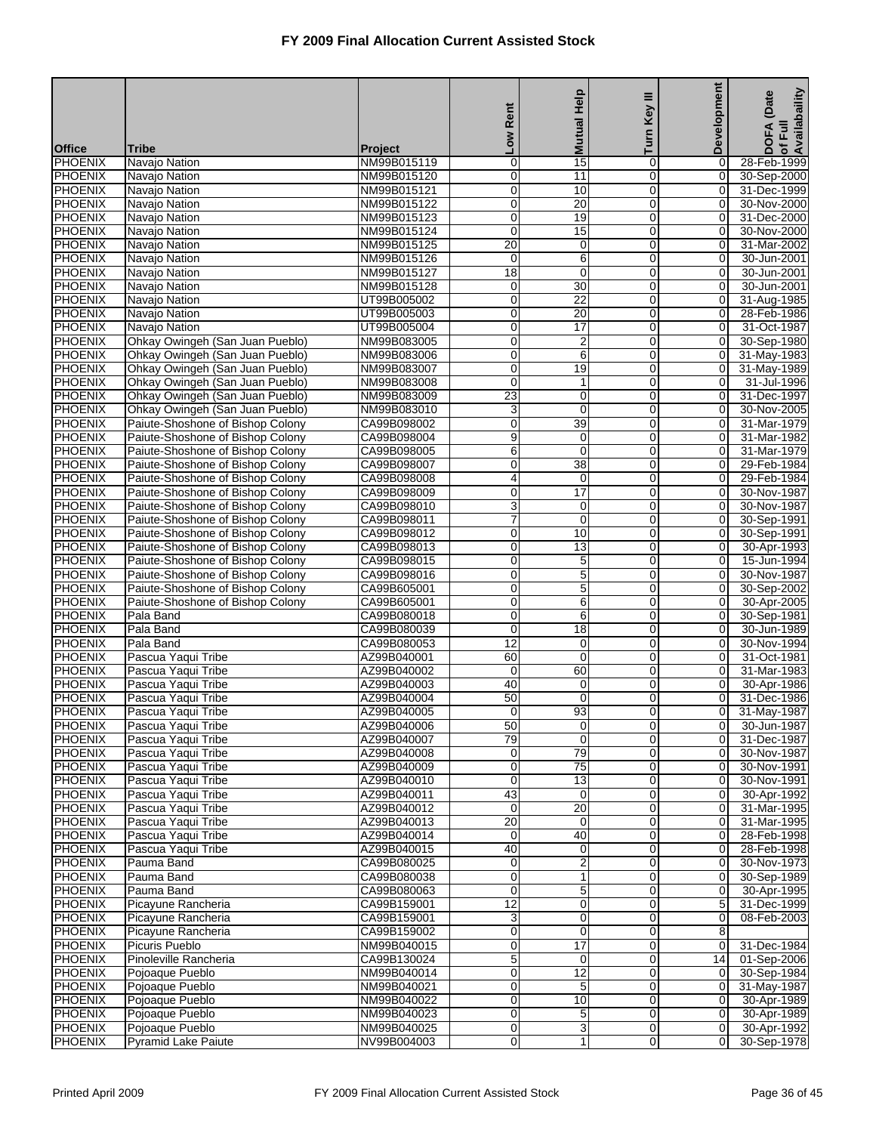|                                  |                                                                      |                            | Low Rent                   | <b>Mutual Help</b>         | Ξ<br>Turn Key       | Development                   | of Full<br>Availabaility<br><b>DOFA</b> (Date |
|----------------------------------|----------------------------------------------------------------------|----------------------------|----------------------------|----------------------------|---------------------|-------------------------------|-----------------------------------------------|
| <b>Office</b>                    | <b>Tribe</b>                                                         | <b>Project</b>             |                            |                            |                     |                               |                                               |
| PHOENIX                          | Navajo Nation                                                        | NM99B015119                | $\mathbf 0$                | 15                         | 0                   | 0                             | 28-Feb-1999                                   |
| <b>PHOENIX</b>                   | Navajo Nation                                                        | NM99B015120                | 0                          | 11                         | 0                   | 0                             | 30-Sep-2000                                   |
| <b>PHOENIX</b>                   | Navajo Nation                                                        | NM99B015121                | $\mathbf 0$                | 10                         | 0                   | 0                             | 31-Dec-1999                                   |
| PHOENIX<br>PHOENIX               | Navajo Nation<br>Navajo Nation                                       | NM99B015122<br>NM99B015123 | $\mathbf 0$<br>$\mathbf 0$ | $\overline{20}$<br>19      | 0<br>0              | 0<br>0                        | 30-Nov-2000<br>31-Dec-2000                    |
| PHOENIX                          | Navajo Nation                                                        | NM99B015124                | $\mathbf 0$                | 15                         | 0                   | $\mathbf 0$                   | 30-Nov-2000                                   |
| <b>PHOENIX</b>                   | Navajo Nation                                                        | NM99B015125                | 20                         | $\pmb{0}$                  | 0                   | 0                             | 31-Mar-2002                                   |
| <b>PHOENIX</b>                   | Navajo Nation                                                        | NM99B015126                | $\mathbf 0$                | $\,6$                      | 0                   | $\mathbf 0$                   | 30-Jun-2001                                   |
| PHOENIX                          | Navajo Nation                                                        | NM99B015127                | 18                         | $\mathbf 0$                | 0                   | 0                             | 30-Jun-2001                                   |
| PHOENIX<br>PHOENIX               | Navajo Nation<br>Navajo Nation                                       | NM99B015128<br>UT99B005002 | 0<br>$\mathbf 0$           | 30<br>$\overline{22}$      | 0<br>0              | 0<br>$\mathbf 0$              | 30-Jun-2001<br>31-Aug-1985                    |
| PHOENIX                          | Navajo Nation                                                        | UT99B005003                | 0                          | 20                         | 0                   | 0                             | 28-Feb-1986                                   |
| <b>PHOENIX</b>                   | Navajo Nation                                                        | UT99B005004                | $\mathbf 0$                | $\overline{17}$            | 0                   | $\mathbf 0$                   | 31-Oct-1987                                   |
| PHOENIX                          | Ohkay Owingeh (San Juan Pueblo)                                      | NM99B083005                | 0                          | $\overline{\mathbf{c}}$    | 0                   | 0                             | 30-Sep-1980                                   |
| PHOENIX                          | Ohkay Owingeh (San Juan Pueblo)                                      | NM99B083006                | $\mathbf 0$                | $6\overline{6}$            | 0                   | 0                             | 31-May-1983                                   |
| PHOENIX                          | Ohkay Owingeh (San Juan Pueblo)                                      | NM99B083007                | $\mathbf 0$                | 19                         | 0                   | $\mathbf 0$                   | 31-May-1989                                   |
| <b>PHOENIX</b>                   | Ohkay Owingeh (San Juan Pueblo)                                      | NM99B083008                | $\mathbf 0$                | 1                          | 0                   | $\mathbf 0$                   | 31-Jul-1996                                   |
| <b>PHOENIX</b>                   | Ohkay Owingeh (San Juan Pueblo)                                      | NM99B083009                | 23                         | $\mathbf 0$                | 0                   | 0                             | 31-Dec-1997                                   |
| PHOENIX<br>PHOENIX               | Ohkay Owingeh (San Juan Pueblo)<br>Paiute-Shoshone of Bishop Colony  | NM99B083010<br>CA99B098002 | 3<br>$\mathbf 0$           | $\mathbf 0$<br>39          | 0<br>0              | 0<br>0                        | 30-Nov-2005<br>31-Mar-1979                    |
| PHOENIX                          | Paiute-Shoshone of Bishop Colony                                     | CA99B098004                | 9                          | $\mathbf 0$                | 0                   | $\mathbf 0$                   | 31-Mar-1982                                   |
| PHOENIX                          | Paiute-Shoshone of Bishop Colony                                     | CA99B098005                | 6                          | $\mathbf 0$                | 0                   | 0                             | 31-Mar-1979                                   |
| <b>PHOENIX</b>                   | Paiute-Shoshone of Bishop Colony                                     | CA99B098007                | $\mathbf 0$                | $\overline{38}$            | 0                   | 0                             | 29-Feb-1984                                   |
| PHOENIX                          | Paiute-Shoshone of Bishop Colony                                     | CA99B098008                | 4                          | $\mathbf 0$                | 0                   | 0                             | 29-Feb-1984                                   |
| PHOENIX                          | Paiute-Shoshone of Bishop Colony                                     | CA99B098009                | $\mathbf 0$                | 17                         | 0                   | 0                             | 30-Nov-1987                                   |
| PHOENIX                          | Paiute-Shoshone of Bishop Colony                                     | CA99B098010                | $\overline{3}$             | $\mathbf 0$                | 0                   | $\mathbf 0$                   | 30-Nov-1987                                   |
| PHOENIX                          | Paiute-Shoshone of Bishop Colony                                     | CA99B098011                | 7                          | $\mathbf 0$                | 0                   | 0                             | 30-Sep-1991                                   |
| <b>PHOENIX</b><br>PHOENIX        | Paiute-Shoshone of Bishop Colony<br>Paiute-Shoshone of Bishop Colony | CA99B098012<br>CA99B098013 | $\mathbf 0$<br>0           | 10<br>13                   | 0<br>0              | $\mathbf 0$<br>0              | 30-Sep-1991<br>30-Apr-1993                    |
| PHOENIX                          | Paiute-Shoshone of Bishop Colony                                     | CA99B098015                | $\mathbf 0$                | $\overline{5}$             | 0                   | 0                             | 15-Jun-1994                                   |
| PHOENIX                          | Paiute-Shoshone of Bishop Colony                                     | CA99B098016                | $\mathbf 0$                | $\mathbf 5$                | 0                   | $\mathbf 0$                   | 30-Nov-1987                                   |
| PHOENIX                          | Paiute-Shoshone of Bishop Colony                                     | CA99B605001                | 0                          | 5                          | 0                   | 0                             | 30-Sep-2002                                   |
| PHOENIX                          | Paiute-Shoshone of Bishop Colony                                     | CA99B605001                | $\mathbf 0$                | 6                          | 0                   | $\mathbf 0$                   | 30-Apr-2005                                   |
| PHOENIX                          | Pala Band                                                            | CA99B080018                | 0                          | 6                          | 0                   | 0                             | 30-Sep-1981                                   |
| PHOENIX                          | Pala Band                                                            | CA99B080039                | $\mathbf 0$                | 18                         | 0                   | 0                             | 30-Jun-1989                                   |
| PHOENIX<br><b>PHOENIX</b>        | Pala Band<br>Pascua Yaqui Tribe                                      | CA99B080053<br>AZ99B040001 | 12<br>60                   | $\mathbf 0$<br>$\mathbf 0$ | 0<br>0              | $\mathbf 0$<br>0              | 30-Nov-1994<br>31-Oct-1981                    |
| PHOENIX                          | Pascua Yaqui Tribe                                                   | AZ99B040002                | $\mathbf 0$                | 60                         | 0                   | 0                             | 31-Mar-1983                                   |
| PHOENIX                          | Pascua Yaqui Tribe                                                   | AZ99B040003                | 40                         | $\mathbf 0$                | 0                   | 0                             | 30-Apr-1986                                   |
| <b>PHOENIX</b>                   | Pascua Yaqui Tribe                                                   | AZ99B040004                | 50                         | $\mathbf 0$                | 0                   | 0                             | 31-Dec-1986                                   |
| PHOENIX                          | Pascua Yaqui Tribe                                                   | AZ99B040005                | $\mathbf 0$                | 93                         | 0                   | 0                             | 31-May-1987                                   |
| <b>PHOENIX</b>                   | Pascua Yaqui Tribe                                                   | AZ99B040006                | 50                         | $\overline{0}$             | 0                   | 0                             | 30-Jun-1987                                   |
| <b>PHOENIX</b>                   | Pascua Yaqui Tribe                                                   | AZ99B040007                | 79                         | $\mathbf 0$                | O                   | $\mathbf 0$                   | 31-Dec-1987                                   |
| <b>PHOENIX</b><br><b>PHOENIX</b> | Pascua Yaqui Tribe<br>Pascua Yaqui Tribe                             | AZ99B040008<br>AZ99B040009 | 0<br>$\mathbf 0$           | 79<br>75                   | 0<br>$\overline{0}$ | $\mathbf 0$<br>0              | 30-Nov-1987<br>30-Nov-1991                    |
| PHOENIX                          | Pascua Yaqui Tribe                                                   | AZ99B040010                | $\mathbf 0$                | 13                         | 0                   | 0                             | 30-Nov-1991                                   |
| <b>PHOENIX</b>                   | Pascua Yaqui Tribe                                                   | AZ99B040011                | 43                         | $\mathbf 0$                | 0                   | $\overline{0}$                | 30-Apr-1992                                   |
| PHOENIX                          | Pascua Yaqui Tribe                                                   | AZ99B040012                | 0                          | 20                         | $\mathbf 0$         | $\mathbf 0$                   | 31-Mar-1995                                   |
| <b>PHOENIX</b>                   | Pascua Yaqui Tribe                                                   | AZ99B040013                | 20                         | $\overline{0}$             | 0                   | $\mathbf 0$                   | 31-Mar-1995                                   |
| <b>PHOENIX</b>                   | Pascua Yaqui Tribe                                                   | AZ99B040014                | 0                          | 40                         | 0                   | 0                             | 28-Feb-1998                                   |
| PHOENIX                          | Pascua Yaqui Tribe                                                   | AZ99B040015                | 40                         | $\mathbf 0$                | 0                   | 0                             | 28-Feb-1998                                   |
| <b>PHOENIX</b>                   | Pauma Band                                                           | CA99B080025                | $\mathbf 0$                | $\overline{2}$             | 0<br>$\mathbf 0$    | $\overline{0}$                | 30-Nov-1973                                   |
| PHOENIX<br><b>PHOENIX</b>        | Pauma Band<br>Pauma Band                                             | CA99B080038<br>CA99B080063 | $\mathbf 0$<br>$\mathbf 0$ | 1<br>5                     | 0                   | 0<br>$\mathbf 0$              | 30-Sep-1989<br>30-Apr-1995                    |
| <b>PHOENIX</b>                   | Picayune Rancheria                                                   | CA99B159001                | $\overline{12}$            | $\mathbf 0$                | 0                   | 5                             | 31-Dec-1999                                   |
| PHOENIX                          | Picayune Rancheria                                                   | CA99B159001                | 3                          | $\mathbf 0$                | 0                   | $\mathbf 0$                   | 08-Feb-2003                                   |
| <b>PHOENIX</b>                   | Picayune Rancheria                                                   | CA99B159002                | $\mathbf 0$                | $\mathbf 0$                | 0                   | 8                             |                                               |
| PHOENIX                          | Picuris Pueblo                                                       | NM99B040015                | $\pmb{0}$                  | $\overline{17}$            | $\mathbf 0$         | 0                             | 31-Dec-1984                                   |
| <b>PHOENIX</b>                   | Pinoleville Rancheria                                                | CA99B130024                | 5                          | $\overline{0}$             | 0                   | 14                            | 01-Sep-2006                                   |
| <b>PHOENIX</b>                   | Pojoaque Pueblo                                                      | NM99B040014                | $\mathbf 0$                | $\overline{12}$            | 0                   | 0                             | 30-Sep-1984                                   |
| PHOENIX<br><b>PHOENIX</b>        | Pojoaque Pueblo<br>Pojoaque Pueblo                                   | NM99B040021<br>NM99B040022 | $\mathbf 0$<br>$\mathbf 0$ | 5<br>10                    | 0<br>0              | $\mathbf 0$<br>$\overline{0}$ | 31-May-1987<br>30-Apr-1989                    |
| PHOENIX                          | Pojoaque Pueblo                                                      | NM99B040023                | $\mathbf 0$                | 5                          | $\mathbf 0$         | $\mathbf 0$                   | 30-Apr-1989                                   |
| <b>PHOENIX</b>                   | Pojoaque Pueblo                                                      | NM99B040025                | $\mathbf 0$                | 3                          | $\overline{0}$      | $\mathbf 0$                   | 30-Apr-1992                                   |
| <b>PHOENIX</b>                   | Pyramid Lake Paiute                                                  | NV99B004003                | 0                          | 1                          | 0                   | $\mathbf 0$                   | 30-Sep-1978                                   |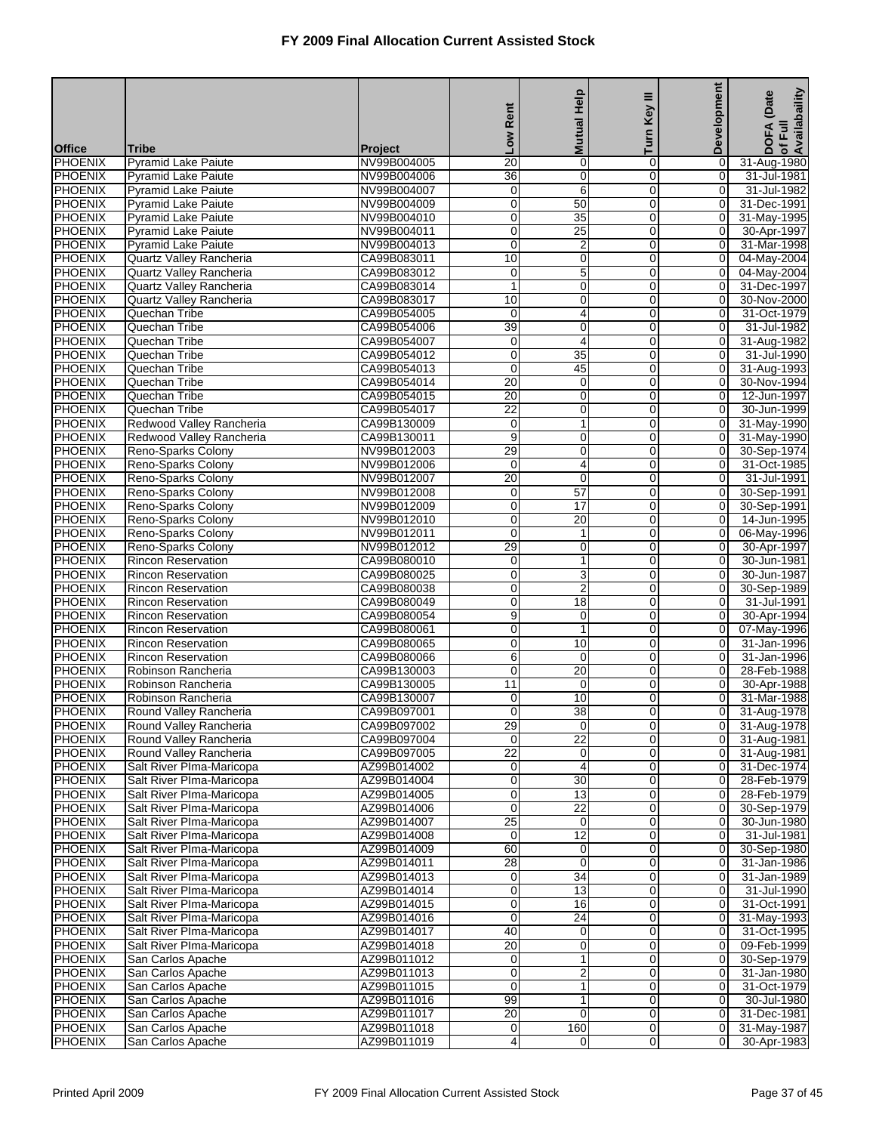|                                  |                                                        |                            | Rent                 | <b>Mutual Help</b>                 | Ξ<br>Key                      | <b>Development</b>            | of Full<br>Availabaility<br>(Date |
|----------------------------------|--------------------------------------------------------|----------------------------|----------------------|------------------------------------|-------------------------------|-------------------------------|-----------------------------------|
| <b>Office</b>                    | <b>Tribe</b>                                           | <b>Project</b>             | <b>No7</b>           |                                    | Turn                          |                               | <b>DOFA</b>                       |
| <b>PHOENIX</b>                   | <b>Pyramid Lake Paiute</b>                             | NV99B004005                | 20                   | $\mathbf 0$                        | 0                             | 0                             | 31-Aug-1980                       |
| <b>PHOENIX</b>                   | <b>Pyramid Lake Paiute</b>                             | NV99B004006                | 36                   | $\overline{0}$                     | $\mathbf 0$                   | $\overline{\mathsf{o}}$       | 31-Jul-1981                       |
| <b>PHOENIX</b>                   | <b>Pyramid Lake Paiute</b>                             | NV99B004007                | 0                    | 6                                  | 0                             | 0                             | 31-Jul-1982                       |
| <b>PHOENIX</b>                   | <b>Pyramid Lake Paiute</b>                             | NV99B004009                | $\overline{0}$       | 50                                 | $\mathbf 0$                   | $\mathbf 0$                   | 31-Dec-1991                       |
| PHOENIX                          | <b>Pyramid Lake Paiute</b>                             | NV99B004010                | 0                    | $\overline{35}$                    | 0                             | 0                             | 31-May-1995                       |
| <b>PHOENIX</b><br><b>PHOENIX</b> | Pyramid Lake Paiute                                    | NV99B004011<br>NV99B004013 | $\mathbf 0$<br>0     | $\overline{25}$                    | 0<br>$\mathbf 0$              | 0<br>$\overline{O}$           | 30-Apr-1997                       |
| <b>PHOENIX</b>                   | <b>Pyramid Lake Paiute</b><br>Quartz Valley Rancheria  | CA99B083011                | 10                   | $\overline{2}$<br>$\pmb{0}$        | 0                             | $\mathbf 0$                   | 31-Mar-1998<br>04-May-2004        |
| <b>PHOENIX</b>                   | Quartz Valley Rancheria                                | CA99B083012                | 0                    | $\overline{5}$                     | $\Omega$                      | 0                             | 04-May-2004                       |
| <b>PHOENIX</b>                   | Quartz Valley Rancheria                                | CA99B083014                | $\mathbf{1}$         | $\mathbf 0$                        | 0                             | 0                             | 31-Dec-1997                       |
| <b>PHOENIX</b>                   | Quartz Valley Rancheria                                | CA99B083017                | 10                   | $\mathbf 0$                        | 0                             | 0                             | 30-Nov-2000                       |
| <b>PHOENIX</b>                   | Quechan Tribe                                          | CA99B054005                | 0                    | 4                                  | $\mathbf 0$                   | $\mathbf 0$                   | 31-Oct-1979                       |
| <b>PHOENIX</b>                   | Quechan Tribe                                          | CA99B054006                | 39                   | $\mathbf 0$                        | 0                             | 0                             | 31-Jul-1982                       |
| <b>PHOENIX</b>                   | Quechan Tribe                                          | CA99B054007                | 0                    | 4                                  | $\Omega$                      | 0                             | 31-Aug-1982                       |
| PHOENIX<br><b>PHOENIX</b>        | Quechan Tribe<br>Quechan Tribe                         | CA99B054012<br>CA99B054013 | 0<br>0               | $\overline{35}$<br>45              | 0                             | 0                             | 31-Jul-1990                       |
| <b>PHOENIX</b>                   | Quechan Tribe                                          | CA99B054014                | 20                   | $\mathbf 0$                        | $\mathbf 0$<br>$\overline{0}$ | 0<br>$\overline{O}$           | 31-Aug-1993<br>30-Nov-1994        |
| <b>PHOENIX</b>                   | Quechan Tribe                                          | CA99B054015                | 20                   | $\pmb{0}$                          | 0                             | 0                             | 12-Jun-1997                       |
| <b>PHOENIX</b>                   | Quechan Tribe                                          | CA99B054017                | $\overline{22}$      | $\mathbf 0$                        | $\Omega$                      | 0                             | 30-Jun-1999                       |
| <b>PHOENIX</b>                   | Redwood Valley Rancheria                               | CA99B130009                | 0                    | $\mathbf{1}$                       | 0                             | 0                             | 31-May-1990                       |
| <b>PHOENIX</b>                   | Redwood Valley Rancheria                               | CA99B130011                | 9                    | $\mathbf 0$                        | $\mathbf 0$                   | $\overline{0}$                | 31-May-1990                       |
| <b>PHOENIX</b>                   | Reno-Sparks Colony                                     | NV99B012003                | 29                   | $\overline{0}$                     | 0                             | $\overline{0}$                | 30-Sep-1974                       |
| <b>PHOENIX</b>                   | Reno-Sparks Colony                                     | NV99B012006                | 0                    | 4                                  | 0                             | 0                             | 31-Oct-1985                       |
| <b>PHOENIX</b>                   | Reno-Sparks Colony                                     | NV99B012007                | $\overline{20}$      | $\overline{0}$                     | $\Omega$                      | 0                             | 31-Jul-1991                       |
| <b>PHOENIX</b><br><b>PHOENIX</b> | Reno-Sparks Colony                                     | NV99B012008<br>NV99B012009 | 0<br>$\mathbf 0$     | $\overline{57}$<br>$\overline{17}$ | $\mathbf 0$<br>$\mathbf 0$    | 0<br>$\overline{0}$           | 30-Sep-1991                       |
| <b>PHOENIX</b>                   | Reno-Sparks Colony<br>Reno-Sparks Colony               | NV99B012010                | $\overline{0}$       | 20                                 | 0                             | $\overline{0}$                | 30-Sep-1991<br>14-Jun-1995        |
| <b>PHOENIX</b>                   | Reno-Sparks Colony                                     | NV99B012011                | 0                    | 1                                  | 0                             | 0                             | 06-May-1996                       |
| <b>PHOENIX</b>                   | Reno-Sparks Colony                                     | NV99B012012                | 29                   | $\mathbf 0$                        | $\mathbf 0$                   | 0                             | 30-Apr-1997                       |
| <b>PHOENIX</b>                   | <b>Rincon Reservation</b>                              | CA99B080010                | 0                    | $\mathbf{1}$                       | 0                             | 0                             | 30-Jun-1981                       |
| <b>PHOENIX</b>                   | Rincon Reservation                                     | CA99B080025                | 0                    | 3                                  | 0                             | $\mathbf 0$                   | 30-Jun-1987                       |
| <b>PHOENIX</b>                   | <b>Rincon Reservation</b>                              | CA99B080038                | 0                    | $\overline{2}$                     | 0                             | $\overline{O}$                | 30-Sep-1989                       |
| <b>PHOENIX</b>                   | <b>Rincon Reservation</b>                              | CA99B080049                | 0                    | 18                                 | 0                             | 0                             | 31-Jul-1991                       |
| <b>PHOENIX</b><br>PHOENIX        | <b>Rincon Reservation</b><br><b>Rincon Reservation</b> | CA99B080054                | 9                    | $\mathbf 0$                        | $\mathbf 0$                   | 0                             | 30-Apr-1994                       |
| <b>PHOENIX</b>                   | Rincon Reservation                                     | CA99B080061<br>CA99B080065 | 0<br>0               | $\mathbf{1}$<br>10                 | 0<br>0                        | 0<br>$\mathbf 0$              | 07-May-1996<br>31-Jan-1996        |
| <b>PHOENIX</b>                   | <b>Rincon Reservation</b>                              | CA99B080066                | 6                    | $\mathbf 0$                        | 0                             | $\overline{O}$                | 31-Jan-1996                       |
| <b>PHOENIX</b>                   | Robinson Rancheria                                     | CA99B130003                | 0                    | 20                                 | 0                             | 0                             | 28-Feb-1988                       |
| <b>PHOENIX</b>                   | Robinson Rancheria                                     | CA99B130005                | $\overline{11}$      | $\mathbf 0$                        | $\Omega$                      | 0                             | 30-Apr-1988                       |
| <b>PHOENIX</b>                   | Robinson Rancheria                                     | CA99B130007                | 0                    | 10                                 | 0                             | 0                             | 31-Mar-1988                       |
| <b>PHOENIX</b>                   | Round Valley Rancheria                                 | CA99B097001                | $\overline{0}$       | $\overline{38}$                    | $\overline{0}$                | $\overline{0}$                | 31-Aug-1978                       |
| <b>PHOENIX</b>                   | Round Valley Rancheria                                 | CA99B097002                | 29                   | 0                                  | $\overline{0}$                | 0                             | 31-Aug-1978                       |
| <b>PHOENIX</b>                   | Round Valley Rancheria                                 | CA99B097004                | $\mathbf 0$          | $\overline{22}$                    | $\mathbf 0$                   | $\overline{0}$                | 31-Aug-1981                       |
| <b>PHOENIX</b><br><b>PHOENIX</b> | Round Valley Rancheria<br>Salt River Plma-Maricopa     | CA99B097005<br>AZ99B014002 | $\overline{22}$<br>0 | $\mathbf 0$                        | 0<br>0                        | $\overline{0}$<br>0           | 31-Aug-1981<br>31-Dec-1974        |
| PHOENIX                          | Salt River Plma-Maricopa                               | AZ99B014004                | 0                    | 4<br>30                            | $\mathbf 0$                   | 0                             | 28-Feb-1979                       |
| <b>PHOENIX</b>                   | Salt River Plma-Maricopa                               | AZ99B014005                | 0                    | 13                                 | $\mathbf 0$                   | $\overline{0}$                | 28-Feb-1979                       |
| PHOENIX                          | Salt River Plma-Maricopa                               | AZ99B014006                | 0                    | 22                                 | $\mathbf 0$                   | 0                             | 30-Sep-1979                       |
| <b>PHOENIX</b>                   | Salt River Plma-Maricopa                               | AZ99B014007                | 25                   | $\mathbf 0$                        | $\mathbf 0$                   | 0                             | 30-Jun-1980                       |
| <b>PHOENIX</b>                   | Salt River Plma-Maricopa                               | AZ99B014008                | 0                    | $\overline{12}$                    | 0                             | 0                             | 31-Jul-1981                       |
| <b>PHOENIX</b>                   | Salt River PIma-Maricopa                               | AZ99B014009                | 60                   | $\pmb{0}$                          | $\mathbf 0$                   | $\overline{0}$                | 30-Sep-1980                       |
| <b>PHOENIX</b>                   | Salt River Plma-Maricopa                               | AZ99B014011                | $\overline{28}$      | $\overline{0}$                     | $\overline{0}$                | $\overline{0}$                | 31-Jan-1986                       |
| <b>PHOENIX</b>                   | Salt River Plma-Maricopa                               | AZ99B014013                | 0                    | 34                                 | $\mathbf 0$                   | 0                             | 31-Jan-1989                       |
| <b>PHOENIX</b><br><b>PHOENIX</b> | Salt River Plma-Maricopa<br>Salt River Plma-Maricopa   | AZ99B014014<br>AZ99B014015 | 0<br>0               | $\overline{13}$<br>16              | $\mathbf 0$<br>0              | 0<br>0                        | 31-Jul-1990<br>31-Oct-1991        |
| PHOENIX                          | Salt River Plma-Maricopa                               | AZ99B014016                | 0                    | 24                                 | $\mathbf 0$                   | $\overline{0}$                | 31-May-1993                       |
| <b>PHOENIX</b>                   | Salt River Plma-Maricopa                               | AZ99B014017                | 40                   | $\pmb{0}$                          | $\overline{0}$                | $\overline{0}$                | 31-Oct-1995                       |
| <b>PHOENIX</b>                   | Salt River Plma-Maricopa                               | AZ99B014018                | 20                   | $\pmb{0}$                          | $\mathbf 0$                   | $\overline{0}$                | 09-Feb-1999                       |
| <b>PHOENIX</b>                   | San Carlos Apache                                      | AZ99B011012                | 0                    | $\mathbf{1}$                       | 0                             | 0                             | 30-Sep-1979                       |
| <b>PHOENIX</b>                   | San Carlos Apache                                      | AZ99B011013                | 0                    | $\overline{\mathbf{c}}$            | 0                             | 0                             | 31-Jan-1980                       |
| <b>PHOENIX</b>                   | San Carlos Apache                                      | AZ99B011015                | 0                    | $\mathbf{1}$                       | $\mathbf 0$                   | $\overline{0}$                | 31-Oct-1979                       |
| <b>PHOENIX</b>                   | San Carlos Apache                                      | AZ99B011016                | 99                   | $\overline{1}$                     | $\overline{0}$                | $\overline{0}$                | 30-Jul-1980                       |
| <b>PHOENIX</b>                   | San Carlos Apache                                      | AZ99B011017                | 20                   | $\mathbf 0$                        | $\mathbf 0$                   | $\overline{0}$                | 31-Dec-1981                       |
| <b>PHOENIX</b><br><b>PHOENIX</b> | San Carlos Apache<br>San Carlos Apache                 | AZ99B011018<br>AZ99B011019 | 0<br>4               | 160<br>0                           | $\mathbf 0$<br>0              | $\mathbf 0$<br>$\overline{0}$ | 31-May-1987<br>30-Apr-1983        |
|                                  |                                                        |                            |                      |                                    |                               |                               |                                   |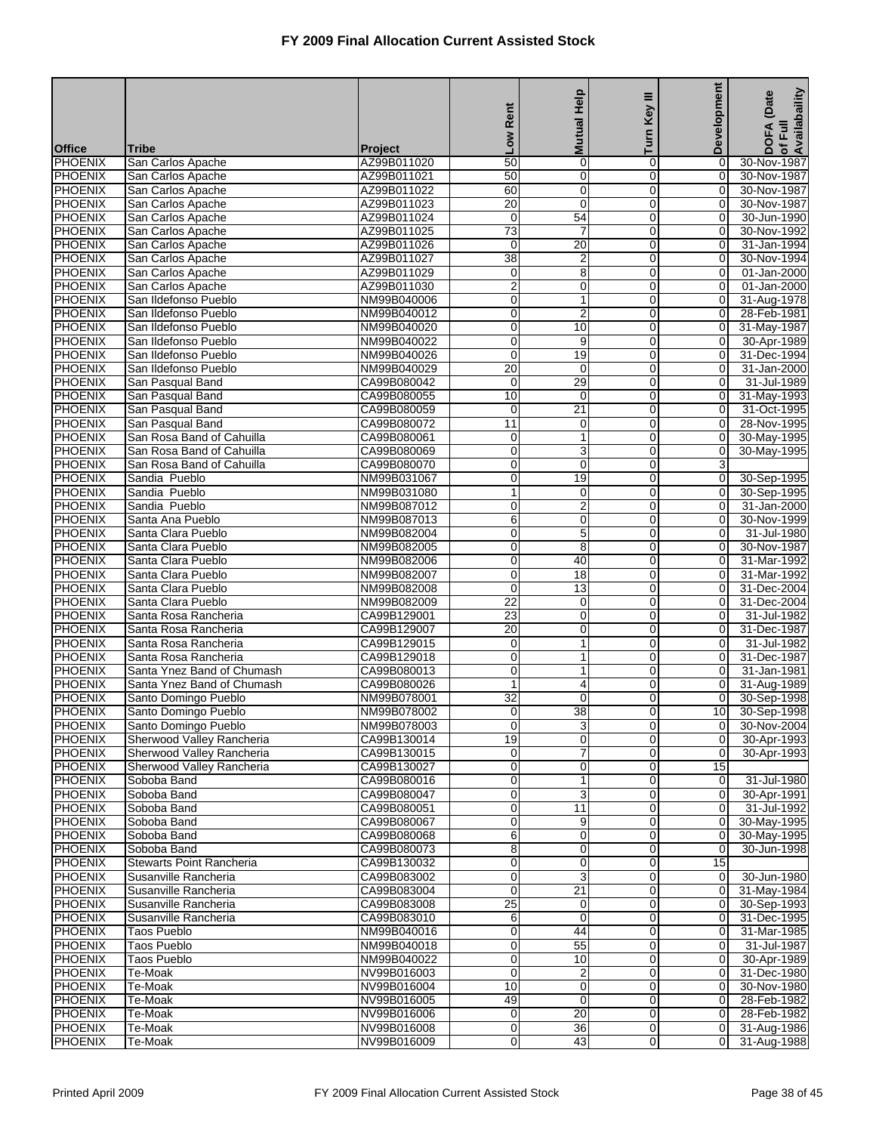|                           |                                                        |                            | Low Rent                   | <b>Mutual Help</b>            | Turn Key III        | Development                   | of Full<br>Availabaility<br>(Date |
|---------------------------|--------------------------------------------------------|----------------------------|----------------------------|-------------------------------|---------------------|-------------------------------|-----------------------------------|
|                           |                                                        |                            |                            |                               |                     |                               | <b>DOFA</b>                       |
| <b>Office</b><br>PHOENIX  | <b>Tribe</b><br>San Carlos Apache                      | Project<br>AZ99B011020     | $\overline{50}$            | $\mathbf 0$                   | 0                   | 0                             | 30-Nov-1987                       |
| <b>PHOENIX</b>            | San Carlos Apache                                      | AZ99B011021                | 50                         | O                             | 0                   | 0                             | 30-Nov-1987                       |
| PHOENIX                   | San Carlos Apache                                      | AZ99B011022                | 60                         | $\pmb{0}$                     | $\overline{0}$      | 0                             | 30-Nov-1987                       |
| PHOENIX                   | San Carlos Apache                                      | AZ99B011023                | $\overline{20}$            | $\mathbf 0$                   | 0                   | 0                             | 30-Nov-1987                       |
| PHOENIX                   | San Carlos Apache                                      | AZ99B011024                | 0<br>$\overline{73}$       | 54<br>$\overline{7}$          | 0                   | 0                             | 30-Jun-1990                       |
| PHOENIX<br>PHOENIX        | San Carlos Apache<br>San Carlos Apache                 | AZ99B011025<br>AZ99B011026 | $\mathbf 0$                | 20                            | 0<br>0              | 0<br>0                        | 30-Nov-1992<br>31-Jan-1994        |
| PHOENIX                   | San Carlos Apache                                      | AZ99B011027                | $\overline{38}$            | $\overline{2}$                | 0                   | 0                             | 30-Nov-1994                       |
| PHOENIX                   | San Carlos Apache                                      | AZ99B011029                | $\mathbf 0$                | $\overline{8}$                | 0                   | 0                             | 01-Jan-2000                       |
| PHOENIX                   | San Carlos Apache                                      | AZ99B011030                | $\overline{2}$             | $\mathbf 0$                   | 0                   | 0                             | 01-Jan-2000                       |
| PHOENIX                   | San Ildefonso Pueblo                                   | NM99B040006                | 0                          | 1                             | 0                   | 0                             | 31-Aug-1978                       |
| PHOENIX<br>PHOENIX        | San Ildefonso Pueblo<br>San Ildefonso Pueblo           | NM99B040012<br>NM99B040020 | 0<br>$\mathbf 0$           | $\overline{2}$<br>10          | 0<br>0              | 0<br>0                        | 28-Feb-1981<br>31-May-1987        |
| PHOENIX                   | San Ildefonso Pueblo                                   | NM99B040022                | $\mathbf 0$                | 9                             | 0                   | 0                             | 30-Apr-1989                       |
| <b>PHOENIX</b>            | San Ildefonso Pueblo                                   | NM99B040026                | $\mathbf 0$                | 19                            | 0                   | 0                             | 31-Dec-1994                       |
| PHOENIX                   | San Ildefonso Pueblo                                   | NM99B040029                | $\overline{20}$            | $\mathbf 0$                   | 0                   | 0                             | 31-Jan-2000                       |
| PHOENIX                   | San Pasqual Band                                       | CA99B080042                | $\mathbf 0$                | 29                            | 0                   | 0                             | 31-Jul-1989                       |
| PHOENIX                   | San Pasqual Band                                       | CA99B080055                | 10                         | $\mathbf 0$                   | 0                   | 0                             | 31-May-1993                       |
| PHOENIX                   | San Pasqual Band                                       | CA99B080059                | $\mathbf 0$                | $\overline{21}$               | 0                   | 0                             | 31-Oct-1995                       |
| PHOENIX                   | San Pasqual Band                                       | CA99B080072                | 11<br>$\mathbf 0$          | $\mathbf 0$<br>$\mathbf{1}$   | 0<br>0              | 0<br>0                        | 28-Nov-1995                       |
| PHOENIX<br>PHOENIX        | San Rosa Band of Cahuilla<br>San Rosa Band of Cahuilla | CA99B080061<br>CA99B080069 | $\mathbf 0$                | 3                             | 0                   | 0                             | 30-May-1995<br>30-May-1995        |
| PHOENIX                   | San Rosa Band of Cahuilla                              | CA99B080070                | $\mathbf 0$                | $\overline{0}$                | 0                   | 3                             |                                   |
| PHOENIX                   | Sandia Pueblo                                          | NM99B031067                | $\mathbf 0$                | 19                            | 0                   | $\boldsymbol{0}$              | 30-Sep-1995                       |
| PHOENIX                   | Sandia Pueblo                                          | NM99B031080                | $\mathbf{1}$               | $\mathbf 0$                   | 0                   | 0                             | 30-Sep-1995                       |
| <b>PHOENIX</b>            | Sandia Pueblo                                          | NM99B087012                | 0                          | $\boldsymbol{2}$              | 0                   | 0                             | 31-Jan-2000                       |
| PHOENIX                   | Santa Ana Pueblo                                       | NM99B087013                | 6                          | $\mathbf 0$                   | 0                   | 0                             | 30-Nov-1999                       |
| <b>PHOENIX</b>            | Santa Clara Pueblo                                     | NM99B082004                | $\mathbf 0$                | 5                             | 0                   | 0                             | 31-Jul-1980                       |
| PHOENIX<br>PHOENIX        | Santa Clara Pueblo<br>Santa Clara Pueblo               | NM99B082005<br>NM99B082006 | $\mathbf 0$<br>$\mathbf 0$ | 8<br>40                       | 0<br>0              | 0<br>0                        | 30-Nov-1987<br>31-Mar-1992        |
| <b>PHOENIX</b>            | Santa Clara Pueblo                                     | NM99B082007                | 0                          | 18                            | 0                   | 0                             | 31-Mar-1992                       |
| <b>PHOENIX</b>            | Santa Clara Pueblo                                     | NM99B082008                | $\mathbf 0$                | 13                            | 0                   | 0                             | 31-Dec-2004                       |
| PHOENIX                   | Santa Clara Pueblo                                     | NM99B082009                | $\overline{22}$            | $\circ$                       | 0                   | 0                             | 31-Dec-2004                       |
| PHOENIX                   | Santa Rosa Rancheria                                   | CA99B129001                | 23                         | $\mathbf 0$                   | 0                   | $\mathbf 0$                   | 31-Jul-1982                       |
| PHOENIX                   | Santa Rosa Rancheria                                   | CA99B129007                | 20                         | $\mathbf 0$                   | 0                   | 0                             | 31-Dec-1987                       |
| <b>PHOENIX</b>            | Santa Rosa Rancheria                                   | CA99B129015                | $\mathbf 0$                | 1                             | 0                   | 0                             | 31-Jul-1982                       |
| <b>PHOENIX</b><br>PHOENIX | Santa Rosa Rancheria<br>Santa Ynez Band of Chumash     | CA99B129018                | $\mathbf 0$<br>$\mathbf 0$ | 1<br>$\mathbf{1}$             | 0<br>0              | 0<br>0                        | 31-Dec-1987<br>31-Jan-1981        |
| PHOENIX                   | Santa Ynez Band of Chumash                             | CA99B080013<br>CA99B080026 | $\mathbf{1}$               | 4                             | 0                   | 0                             | 31-Aug-1989                       |
| <b>PHOENIX</b>            | Santo Domingo Pueblo                                   | NM99B078001                | $\overline{32}$            | $\overline{0}$                | 0                   | $\mathbf 0$                   | 30-Sep-1998                       |
| PHOENIX                   | Santo Domingo Pueblo                                   | NM99B078002                | $\mathbf 0$                | $\overline{38}$               | 0                   | 10                            | 30-Sep-1998                       |
| <b>PHOENIX</b>            | Santo Domingo Pueblo                                   | NM99B078003                | 0                          | $\mathbf{3}$                  | $\overline{0}$      | 0                             | 30-Nov-2004                       |
| <b>PHOENIX</b>            | Sherwood Valley Rancheria                              | CA99B130014                | 19                         | $\overline{0}$                | $\overline{0}$      | $\mathbf 0$                   | 30-Apr-1993                       |
| <b>PHOENIX</b>            | Sherwood Valley Rancheria                              | CA99B130015                | $\mathbf 0$                | $\overline{7}$                | 0                   | $\boldsymbol{0}$              | 30-Apr-1993                       |
| <b>PHOENIX</b>            | Sherwood Valley Rancheria                              | CA99B130027<br>CA99B080016 | 0                          | $\overline{0}$                | 0                   | 15                            |                                   |
| PHOENIX<br><b>PHOENIX</b> | Soboba Band<br>Soboba Band                             | CA99B080047                | $\mathbf 0$<br>$\mathbf 0$ | 1<br>3                        | 0<br>0              | 0<br>0                        | 31-Jul-1980<br>30-Apr-1991        |
| PHOENIX                   | Soboba Band                                            | CA99B080051                | $\pmb{0}$                  | 11                            | $\mathbf 0$         | $\overline{0}$                | 31-Jul-1992                       |
| PHOENIX                   | Soboba Band                                            | CA99B080067                | $\mathbf 0$                | 9                             | 0                   | $\mathbf 0$                   | 30-May-1995                       |
| <b>PHOENIX</b>            | Soboba Band                                            | CA99B080068                | 6                          | $\overline{0}$                | 0                   | $\mathbf 0$                   | 30-May-1995                       |
| PHOENIX                   | Soboba Band                                            | CA99B080073                | 8                          | $\mathbf 0$                   | 0                   | $\mathbf 0$                   | 30-Jun-1998                       |
| <b>PHOENIX</b>            | Stewarts Point Rancheria                               | CA99B130032                | $\mathbf 0$                | $\mathbf 0$                   | 0                   | 15                            |                                   |
| PHOENIX<br>PHOENIX        | Susanville Rancheria<br>Susanville Rancheria           | CA99B083002<br>CA99B083004 | $\mathbf 0$<br>$\mathbf 0$ | $\sqrt{3}$<br>$\overline{21}$ | $\overline{0}$<br>0 | $\mathbf 0$<br>$\overline{0}$ | 30-Jun-1980                       |
| <b>PHOENIX</b>            | Susanville Rancheria                                   | CA99B083008                | $\overline{25}$            | $\overline{0}$                | 0                   | $\overline{0}$                | 31-May-1984<br>30-Sep-1993        |
| PHOENIX                   | Susanville Rancheria                                   | CA99B083010                | 6                          | $\mathbf 0$                   | 0                   | 0                             | 31-Dec-1995                       |
| <b>PHOENIX</b>            | <b>Taos Pueblo</b>                                     | NM99B040016                | $\mathbf 0$                | 44                            | 0                   | 0                             | 31-Mar-1985                       |
| PHOENIX                   | <b>Taos Pueblo</b>                                     | NM99B040018                | $\pmb{0}$                  | 55                            | $\overline{0}$      | $\mathbf 0$                   | 31-Jul-1987                       |
| PHOENIX                   | <b>Taos Pueblo</b>                                     | NM99B040022                | $\mathbf 0$                | $\overline{10}$               | 0                   | $\mathbf 0$                   | 30-Apr-1989                       |
| <b>PHOENIX</b>            | Te-Moak                                                | NV99B016003                | $\mathbf 0$                | $\overline{\mathbf{c}}$       | 0                   | $\overline{0}$                | 31-Dec-1980                       |
| PHOENIX                   | Te-Moak                                                | NV99B016004                | 10                         | $\mathbf 0$                   | 0                   | 0                             | 30-Nov-1980                       |
| <b>PHOENIX</b><br>PHOENIX | Te-Moak<br>Te-Moak                                     | NV99B016005<br>NV99B016006 | 49<br>0                    | $\mathbf 0$<br>20             | 0<br>$\overline{0}$ | 0<br>$\mathbf 0$              | 28-Feb-1982<br>28-Feb-1982        |
| PHOENIX                   | Te-Moak                                                | NV99B016008                | $\mathbf 0$                | 36                            | $\mathbf 0$         | $\overline{0}$                | 31-Aug-1986                       |
| <b>PHOENIX</b>            | Te-Moak                                                | NV99B016009                | 0                          | 43                            | $\overline{0}$      | $\overline{0}$                | 31-Aug-1988                       |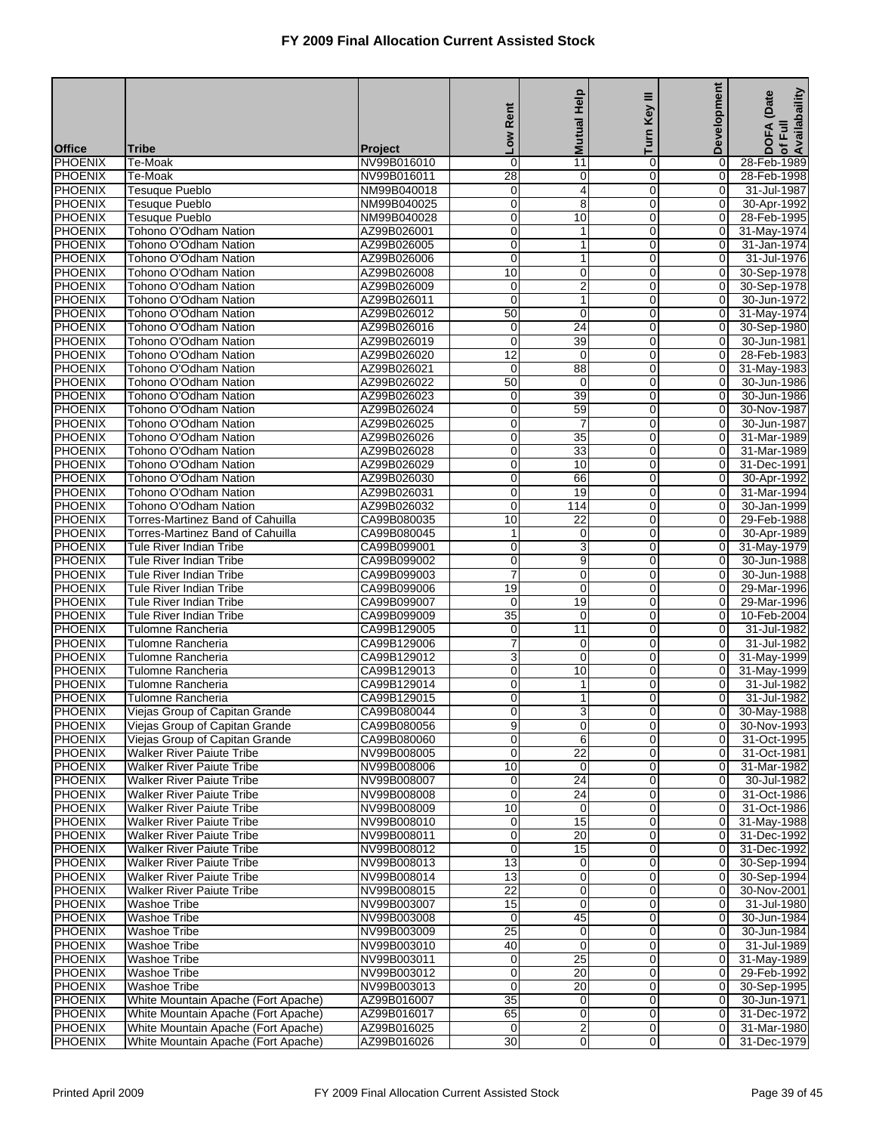|                                  |                                                                      |                            |                     | <b>Mutual Help</b>             | Key III                    | <b>Development</b>            | of Full<br>Availabaility<br>(Date |
|----------------------------------|----------------------------------------------------------------------|----------------------------|---------------------|--------------------------------|----------------------------|-------------------------------|-----------------------------------|
|                                  |                                                                      |                            | Rent                |                                |                            |                               |                                   |
|                                  |                                                                      |                            | <b>NOT</b>          |                                | Turn                       |                               | <b>DOFA</b>                       |
| <b>Office</b>                    | Tribe                                                                | <b>Project</b>             |                     |                                |                            |                               |                                   |
| <b>PHOENIX</b><br><b>PHOENIX</b> | Te-Moak<br>Te-Moak                                                   | NV99B016010<br>NV99B016011 | 0<br>28             | $\overline{11}$<br>0           | 0<br>$\overline{0}$        | 0<br>$\overline{\mathsf{o}}$  | 28-Feb-1989<br>28-Feb-1998        |
| PHOENIX                          | <b>Tesuque Pueblo</b>                                                | NM99B040018                | 0                   | 4                              | 0                          | 0                             | 31-Jul-1987                       |
| <b>PHOENIX</b>                   | <b>Tesuque Pueblo</b>                                                | NM99B040025                | $\overline{0}$      | $\overline{8}$                 | $\mathbf 0$                | $\mathbf 0$                   | 30-Apr-1992                       |
| <b>PHOENIX</b>                   | <b>Tesuque Pueblo</b>                                                | NM99B040028                | 0                   | 10                             | $\mathbf 0$                | 0                             | 28-Feb-1995                       |
| <b>PHOENIX</b>                   | Tohono O'Odham Nation                                                | AZ99B026001                | 0                   | $\mathbf{1}$                   | $\mathbf 0$                | 0                             | 31-May-1974                       |
| <b>PHOENIX</b>                   | Tohono O'Odham Nation                                                | AZ99B026005                | $\overline{0}$      | 1                              | $\mathbf 0$                | $\overline{O}$                | 31-Jan-1974                       |
| <b>PHOENIX</b>                   | Tohono O'Odham Nation                                                | AZ99B026006                | 0                   | 1                              | 0                          | 0                             | 31-Jul-1976                       |
| PHOENIX                          | Tohono O'Odham Nation                                                | AZ99B026008                | 10                  | 0                              | $\mathbf 0$                | $\mathbf 0$                   | 30-Sep-1978                       |
| <b>PHOENIX</b>                   | Tohono O'Odham Nation                                                | AZ99B026009                | 0                   | $\overline{2}$                 | $\mathbf 0$                | 0                             | 30-Sep-1978                       |
| <b>PHOENIX</b><br><b>PHOENIX</b> | Tohono O'Odham Nation<br>Tohono O'Odham Nation                       | AZ99B026011<br>AZ99B026012 | $\mathbf 0$<br>50   | $\mathbf{1}$<br>$\overline{0}$ | $\mathbf 0$<br>$\mathbf 0$ | 0<br>$\overline{0}$           | 30-Jun-1972                       |
| <b>PHOENIX</b>                   | Tohono O'Odham Nation                                                | AZ99B026016                | 0                   | 24                             | 0                          | 0                             | 31-May-1974<br>30-Sep-1980        |
| PHOENIX                          | Tohono O'Odham Nation                                                | AZ99B026019                | $\overline{0}$      | 39                             | $\mathbf 0$                | $\mathbf 0$                   | 30-Jun-1981                       |
| <b>PHOENIX</b>                   | Tohono O'Odham Nation                                                | AZ99B026020                | $\overline{12}$     | 0                              | $\mathbf 0$                | 0                             | 28-Feb-1983                       |
| <b>PHOENIX</b>                   | Tohono O'Odham Nation                                                | AZ99B026021                | $\mathbf 0$         | $\overline{88}$                | $\mathbf 0$                | 0                             | 31-May-1983                       |
| <b>PHOENIX</b>                   | Tohono O'Odham Nation                                                | AZ99B026022                | 50                  | $\mathbf 0$                    | $\mathbf 0$                | $\overline{0}$                | 30-Jun-1986                       |
| <b>PHOENIX</b>                   | Tohono O'Odham Nation                                                | AZ99B026023                | 0                   | 39                             | 0                          | 0                             | 30-Jun-1986                       |
| PHOENIX                          | Tohono O'Odham Nation                                                | AZ99B026024                | $\overline{0}$      | 59                             | $\mathbf 0$                | $\mathbf 0$                   | 30-Nov-1987                       |
| <b>PHOENIX</b>                   | Tohono O'Odham Nation                                                | AZ99B026025                | 0                   | 7                              | $\mathbf 0$                | 0                             | 30-Jun-1987                       |
| <b>PHOENIX</b>                   | Tohono O'Odham Nation                                                | AZ99B026026                | 0                   | $\overline{35}$                | 0                          | 0                             | 31-Mar-1989                       |
| <b>PHOENIX</b>                   | Tohono O'Odham Nation                                                | AZ99B026028                | 0                   | 33                             | $\mathbf 0$                | $\overline{O}$                | 31-Mar-1989                       |
| <b>PHOENIX</b>                   | Tohono O'Odham Nation                                                | AZ99B026029                | 0                   | 10                             | 0                          | 0                             | 31-Dec-1991                       |
| PHOENIX                          | Tohono O'Odham Nation<br>Tohono O'Odham Nation                       | AZ99B026030<br>AZ99B026031 | $\overline{0}$<br>0 | 66                             | $\mathbf 0$<br>$\mathbf 0$ | 0<br>0                        | 30-Apr-1992                       |
| <b>PHOENIX</b><br><b>PHOENIX</b> | Tohono O'Odham Nation                                                | AZ99B026032                | $\mathbf 0$         | 19<br>114                      | $\mathbf 0$                | 0                             | 31-Mar-1994<br>30-Jan-1999        |
| <b>PHOENIX</b>                   | Torres-Martinez Band of Cahuilla                                     | CA99B080035                | 10                  | 22                             | $\mathbf 0$                | $\overline{O}$                | 29-Feb-1988                       |
| <b>PHOENIX</b>                   | Torres-Martinez Band of Cahuilla                                     | CA99B080045                | 1                   | 0                              | 0                          | 0                             | 30-Apr-1989                       |
| <b>PHOENIX</b>                   | <b>Tule River Indian Tribe</b>                                       | CA99B099001                | $\overline{0}$      | $\overline{3}$                 | $\mathbf 0$                | 0                             | 31-May-1979                       |
| <b>PHOENIX</b>                   | <b>Tule River Indian Tribe</b>                                       | CA99B099002                | 0                   | 9                              | $\mathbf 0$                | 0                             | 30-Jun-1988                       |
| <b>PHOENIX</b>                   | Tule River Indian Tribe                                              | CA99B099003                | $\overline{7}$      | 0                              | $\mathbf 0$                | 0                             | 30-Jun-1988                       |
| <b>PHOENIX</b>                   | <b>Tule River Indian Tribe</b>                                       | CA99B099006                | 19                  | 0                              | $\mathbf 0$                | $\overline{O}$                | 29-Mar-1996                       |
| <b>PHOENIX</b>                   | Tule River Indian Tribe                                              | CA99B099007                | $\mathbf 0$         | 19                             | 0                          | 0                             | 29-Mar-1996                       |
| <b>PHOENIX</b>                   | <b>Tule River Indian Tribe</b>                                       | CA99B099009                | $\overline{35}$     | 0                              | $\mathbf 0$                | 0                             | 10-Feb-2004                       |
| <b>PHOENIX</b>                   | Tulomne Rancheria                                                    | CA99B129005                | 0                   | 11                             | 0                          | 0                             | 31-Jul-1982                       |
| <b>PHOENIX</b><br>PHOENIX        | Tulomne Rancheria<br><b>Tulomne Rancheria</b>                        | CA99B129006<br>CA99B129012 | 7                   | 0<br>$\mathbf 0$               | $\mathbf 0$<br>$\mathbf 0$ | 0<br>0                        | 31-Jul-1982                       |
| <b>PHOENIX</b>                   | Tulomne Rancheria                                                    | CA99B129013                | 3<br>0              | 10                             | 0                          | 0                             | 31-May-1999<br>31-May-1999        |
| <b>PHOENIX</b>                   | Tulomne Rancheria                                                    | CA99B129014                | 0                   | 1                              | $\Omega$                   | 0                             | 31-Jul-1982                       |
| <b>PHOENIX</b>                   | Tulomne Rancheria                                                    | CA99B129015                | 0                   | 1                              | 0                          | 0                             | 31-Jul-1982                       |
| PHOENIX                          | Viejas Group of Capitan Grande                                       | CA99B080044                | 0                   | 3                              | $\overline{0}$             | $\overline{0}$                | 30-May-1988                       |
| <b>PHOENIX</b>                   | Viejas Group of Capitan Grande                                       | CA99B080056                | 9                   | 0                              | $\overline{0}$             | $\overline{0}$                | 30-Nov-1993                       |
| PHOENIX                          | Viejas Group of Capitan Grande                                       | CA99B080060                | 0                   | 6                              | $\overline{0}$             | $\overline{0}$                | 31-Oct-1995                       |
| PHOENIX                          | <b>Walker River Paiute Tribe</b>                                     | NV99B008005                | 0                   | $\overline{22}$                | $\mathbf 0$                | $\mathbf 0$                   | 31-Oct-1981                       |
| <b>PHOENIX</b>                   | <b>Walker River Paiute Tribe</b>                                     | NV99B008006                | 10                  | 0                              | $\overline{0}$             | $\overline{0}$                | 31-Mar-1982                       |
| <b>PHOENIX</b>                   | <b>Walker River Paiute Tribe</b>                                     | NV99B008007                | 0                   | $\overline{24}$                | $\mathbf 0$                | $\overline{0}$                | 30-Jul-1982                       |
| <b>PHOENIX</b>                   | <b>Walker River Paiute Tribe</b>                                     | NV99B008008                | 0                   | $\overline{24}$                | $\overline{0}$             | $\mathbf 0$                   | 31-Oct-1986                       |
| PHOENIX                          | <b>Walker River Paiute Tribe</b>                                     | NV99B008009                | 10                  | 0                              | $\mathbf 0$                | $\overline{0}$                | 31-Oct-1986                       |
| PHOENIX<br><b>PHOENIX</b>        | <b>Walker River Paiute Tribe</b><br><b>Walker River Paiute Tribe</b> | NV99B008010<br>NV99B008011 | 0<br>0              | 15<br>20                       | $\mathbf 0$<br>0           | $\mathbf 0$<br>$\overline{0}$ | 31-May-1988<br>31-Dec-1992        |
| <b>PHOENIX</b>                   | <b>Walker River Paiute Tribe</b>                                     | NV99B008012                | $\mathbf 0$         | 15                             | $\mathbf 0$                | $\overline{0}$                | 31-Dec-1992                       |
| <b>PHOENIX</b>                   | <b>Walker River Paiute Tribe</b>                                     | NV99B008013                | $\overline{13}$     | 0                              | $\overline{0}$             | $\overline{0}$                | 30-Sep-1994                       |
| PHOENIX                          | <b>Walker River Paiute Tribe</b>                                     | NV99B008014                | 13                  | 0                              | $\mathbf 0$                | $\overline{0}$                | 30-Sep-1994                       |
| PHOENIX                          | <b>Walker River Paiute Tribe</b>                                     | NV99B008015                | $\overline{22}$     | 0                              | $\mathbf 0$                | $\boldsymbol{0}$              | 30-Nov-2001                       |
| <b>PHOENIX</b>                   | Washoe Tribe                                                         | NV99B003007                | 15                  | 0                              | 0                          | $\overline{0}$                | 31-Jul-1980                       |
| <b>PHOENIX</b>                   | Washoe Tribe                                                         | NV99B003008                | 0                   | 45                             | $\mathbf 0$                | 0                             | 30-Jun-1984                       |
| <b>PHOENIX</b>                   | <b>Washoe Tribe</b>                                                  | NV99B003009                | 25                  | 0                              | $\overline{0}$             | $\mathbf 0$                   | 30-Jun-1984                       |
| PHOENIX                          | <b>Washoe Tribe</b>                                                  | NV99B003010                | 40                  | 0                              | $\mathbf 0$                | $\overline{0}$                | 31-Jul-1989                       |
| PHOENIX                          | Washoe Tribe                                                         | NV99B003011                | 0                   | $\overline{25}$                | $\mathbf 0$                | $\mathbf 0$                   | 31-May-1989                       |
| <b>PHOENIX</b>                   | <b>Washoe Tribe</b><br><b>Washoe Tribe</b>                           | NV99B003012                | 0<br>$\mathbf 0$    | 20<br>$\overline{20}$          | 0<br>$\mathbf 0$           | $\overline{0}$                | 29-Feb-1992                       |
| <b>PHOENIX</b><br><b>PHOENIX</b> | White Mountain Apache (Fort Apache)                                  | NV99B003013<br>AZ99B016007 | 35                  | 0                              | $\overline{0}$             | 0<br>$\overline{0}$           | 30-Sep-1995<br>30-Jun-1971        |
| PHOENIX                          | White Mountain Apache (Fort Apache)                                  | AZ99B016017                | 65                  | 0                              | $\mathbf 0$                | $\overline{0}$                | 31-Dec-1972                       |
| PHOENIX                          | White Mountain Apache (Fort Apache)                                  | AZ99B016025                | $\mathbf 0$         | $\overline{2}$                 | $\mathbf 0$                | $\mathbf 0$                   | 31-Mar-1980                       |
| <b>PHOENIX</b>                   | White Mountain Apache (Fort Apache)                                  | AZ99B016026                | 30                  | 0                              | $\mathbf 0$                | $\overline{0}$                | 31-Dec-1979                       |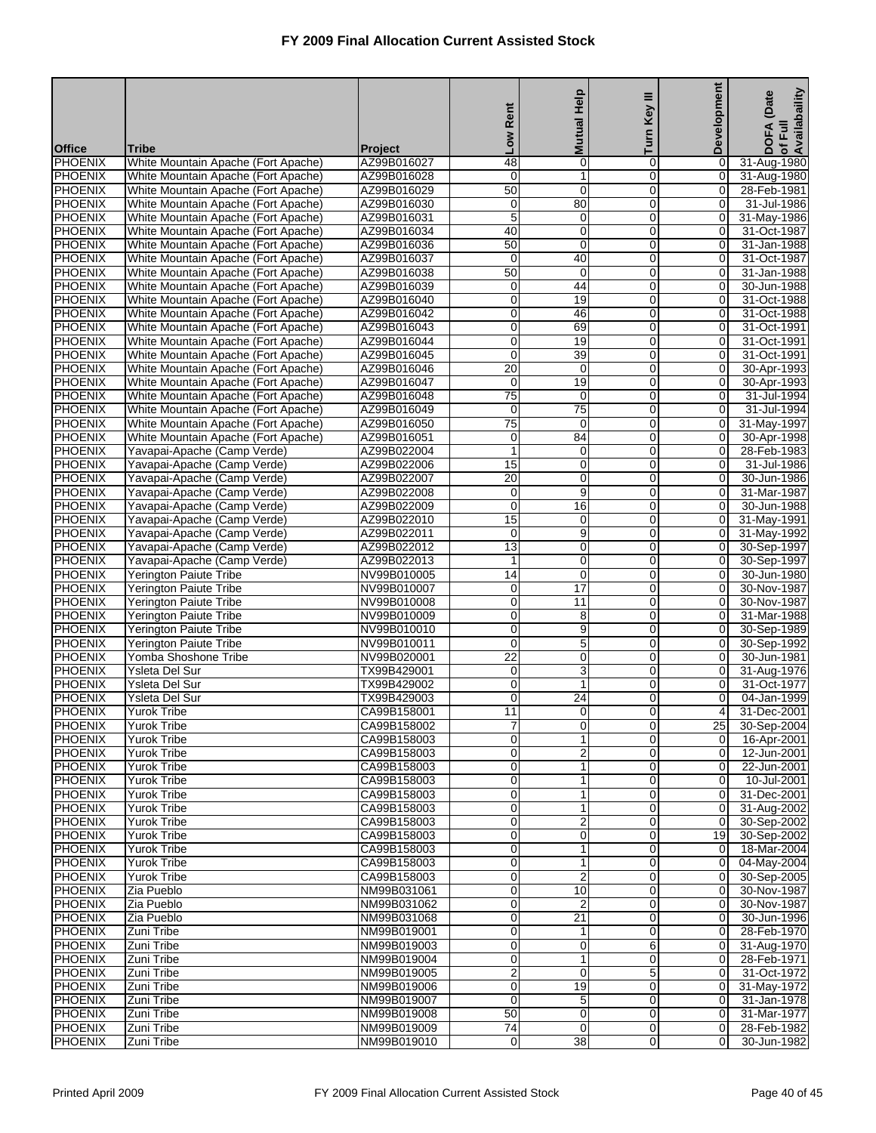|                                  |                                                                            |                            |                                | <b>Mutual Help</b>             | Ξ                             | <b>Development</b>               | of Full<br>Availabaility<br>(Date |
|----------------------------------|----------------------------------------------------------------------------|----------------------------|--------------------------------|--------------------------------|-------------------------------|----------------------------------|-----------------------------------|
|                                  |                                                                            |                            | Rent                           |                                | Key                           |                                  |                                   |
| <b>Office</b>                    | Tribe                                                                      | <b>Project</b>             | <b>No7</b>                     |                                | Turn                          |                                  | <b>DOFA</b>                       |
| <b>PHOENIX</b>                   | White Mountain Apache (Fort Apache)                                        | AZ99B016027                | 48                             | $\mathbf 0$                    | $\mathbf 0$                   | 0                                | 31-Aug-1980                       |
| <b>PHOENIX</b>                   | White Mountain Apache (Fort Apache)                                        | AZ99B016028                | $\mathbf 0$                    | 1                              | $\mathbf 0$                   | 0                                | 31-Aug-1980                       |
| <b>PHOENIX</b><br>PHOENIX        | White Mountain Apache (Fort Apache)                                        | AZ99B016029                | $\overline{50}$                | $\mathbf 0$                    | $\mathbf 0$                   | 0                                | 28-Feb-1981                       |
| <b>PHOENIX</b>                   | White Mountain Apache (Fort Apache)<br>White Mountain Apache (Fort Apache) | AZ99B016030<br>AZ99B016031 | $\mathbf 0$<br>5               | 80<br>0                        | $\mathbf 0$<br>$\mathbf 0$    | 0<br>0                           | 31-Jul-1986<br>31-May-1986        |
| <b>PHOENIX</b>                   | White Mountain Apache (Fort Apache)                                        | AZ99B016034                | 40                             | $\mathbf 0$                    | $\mathbf 0$                   | 0                                | 31-Oct-1987                       |
| <b>PHOENIX</b>                   | White Mountain Apache (Fort Apache)                                        | AZ99B016036                | 50                             | 0                              | $\mathbf 0$                   | 0                                | 31-Jan-1988                       |
| <b>PHOENIX</b>                   | White Mountain Apache (Fort Apache)                                        | AZ99B016037                | 0                              | 40                             | 0                             | 0                                | 31-Oct-1987                       |
| <b>PHOENIX</b>                   | White Mountain Apache (Fort Apache)                                        | AZ99B016038                | $\overline{50}$                | $\mathbf 0$                    | $\Omega$                      | 0                                | 31-Jan-1988                       |
| <b>PHOENIX</b><br><b>PHOENIX</b> | White Mountain Apache (Fort Apache)<br>White Mountain Apache (Fort Apache) | AZ99B016039<br>AZ99B016040 | 0<br>0                         | 44<br>19                       | $\mathbf 0$<br>$\mathbf 0$    | 0<br>0                           | 30-Jun-1988<br>31-Oct-1988        |
| <b>PHOENIX</b>                   | White Mountain Apache (Fort Apache)                                        | AZ99B016042                | 0                              | 46                             | $\mathbf 0$                   | 0                                | 31-Oct-1988                       |
| <b>PHOENIX</b>                   | White Mountain Apache (Fort Apache)                                        | AZ99B016043                | $\mathbf 0$                    | 69                             | 0                             | 0                                | 31-Oct-1991                       |
| <b>PHOENIX</b>                   | White Mountain Apache (Fort Apache)                                        | AZ99B016044                | $\mathbf 0$                    | 19                             | $\Omega$                      | 0                                | 31-Oct-1991                       |
| <b>PHOENIX</b>                   | White Mountain Apache (Fort Apache)                                        | AZ99B016045                | 0                              | 39                             | $\mathbf 0$                   | 0                                | 31-Oct-1991                       |
| <b>PHOENIX</b>                   | White Mountain Apache (Fort Apache)                                        | AZ99B016046                | $\overline{20}$                | $\mathbf 0$                    | $\overline{0}$                | 0                                | 30-Apr-1993                       |
| <b>PHOENIX</b><br><b>PHOENIX</b> | White Mountain Apache (Fort Apache)<br>White Mountain Apache (Fort Apache) | AZ99B016047<br>AZ99B016048 | $\mathbf 0$<br>$\overline{75}$ | 19                             | $\mathbf 0$                   | 0                                | 30-Apr-1993<br>31-Jul-1994        |
| <b>PHOENIX</b>                   | White Mountain Apache (Fort Apache)                                        | AZ99B016049                | $\mathbf 0$                    | $\mathbf 0$<br>$\overline{75}$ | 0<br>$\Omega$                 | 0<br>0                           | 31-Jul-1994                       |
| <b>PHOENIX</b>                   | White Mountain Apache (Fort Apache)                                        | AZ99B016050                | $\overline{75}$                | $\mathbf 0$                    | $\mathbf 0$                   | 0                                | 31-May-1997                       |
| <b>PHOENIX</b>                   | White Mountain Apache (Fort Apache)                                        | AZ99B016051                | $\mathbf 0$                    | 84                             | $\overline{0}$                | 0                                | 30-Apr-1998                       |
| <b>PHOENIX</b>                   | Yavapai-Apache (Camp Verde)                                                | AZ99B022004                | 1                              | $\mathbf 0$                    | $\mathbf 0$                   | 0                                | 28-Feb-1983                       |
| <b>PHOENIX</b>                   | Yavapai-Apache (Camp Verde)                                                | AZ99B022006                | 15                             | $\mathbf 0$                    | 0                             | 0                                | 31-Jul-1986                       |
| <b>PHOENIX</b>                   | Yavapai-Apache (Camp Verde)                                                | AZ99B022007                | $\overline{20}$                | $\mathbf 0$                    | $\Omega$                      | 0                                | 30-Jun-1986                       |
| <b>PHOENIX</b>                   | Yavapai-Apache (Camp Verde)                                                | AZ99B022008<br>AZ99B022009 | 0<br>$\mathbf 0$               | 9                              | $\mathbf 0$                   | 0                                | 31-Mar-1987                       |
| <b>PHOENIX</b><br><b>PHOENIX</b> | Yavapai-Apache (Camp Verde)<br>Yavapai-Apache (Camp Verde)                 | AZ99B022010                | $\overline{15}$                | 16<br>$\mathbf 0$              | $\overline{0}$<br>$\mathbf 0$ | 0<br>0                           | 30-Jun-1988<br>31-May-1991        |
| <b>PHOENIX</b>                   | Yavapai-Apache (Camp Verde)                                                | AZ99B022011                | $\mathbf 0$                    | 9                              | 0                             | $\mathbf 0$                      | 31-May-1992                       |
| <b>PHOENIX</b>                   | Yavapai-Apache (Camp Verde)                                                | AZ99B022012                | 13                             | $\mathbf 0$                    | $\Omega$                      | 0                                | 30-Sep-1997                       |
| <b>PHOENIX</b>                   | Yavapai-Apache (Camp Verde)                                                | AZ99B022013                | $\mathbf{1}$                   | 0                              | $\mathbf 0$                   | 0                                | 30-Sep-1997                       |
| <b>PHOENIX</b>                   | Yerington Paiute Tribe                                                     | NV99B010005                | 14                             | $\mathbf 0$                    | $\overline{0}$                | 0                                | 30-Jun-1980                       |
| <b>PHOENIX</b>                   | <b>Yerington Paiute Tribe</b>                                              | NV99B010007                | 0                              | $\overline{17}$                | $\mathbf 0$                   | 0                                | 30-Nov-1987                       |
| <b>PHOENIX</b><br><b>PHOENIX</b> | Yerington Paiute Tribe                                                     | NV99B010008<br>NV99B010009 | 0<br>$\mathbf 0$               | $\overline{11}$                | 0<br>$\Omega$                 | 0<br>0                           | 30-Nov-1987<br>31-Mar-1988        |
| <b>PHOENIX</b>                   | Yerington Paiute Tribe<br>Yerington Paiute Tribe                           | NV99B010010                | 0                              | 8<br>9                         | $\mathbf 0$                   | 0                                | 30-Sep-1989                       |
| <b>PHOENIX</b>                   | <b>Yerington Paiute Tribe</b>                                              | NV99B010011                | 0                              | 5                              | $\overline{0}$                | $\overline{0}$                   | 30-Sep-1992                       |
| <b>PHOENIX</b>                   | Yomba Shoshone Tribe                                                       | NV99B020001                | $\overline{22}$                | 0                              | 0                             | $\overline{O}$                   | 30-Jun-1981                       |
| <b>PHOENIX</b>                   | Ysleta Del Sur                                                             | TX99B429001                | 0                              | 3                              | 0                             | $\mathbf 0$                      | 31-Aug-1976                       |
| <b>PHOENIX</b>                   | <b>Ysleta Del Sur</b>                                                      | TX99B429002                | $\mathbf 0$                    | $\mathbf{1}$                   | $\Omega$                      | 0                                | 31-Oct-1977                       |
| <b>PHOENIX</b><br><b>PHOENIX</b> | Ysleta Del Sur                                                             | TX99B429003                | 0<br>11                        | $\overline{24}$                | 0                             | 0                                | 04-Jan-1999<br>31-Dec-2001        |
| <b>PHOENIX</b>                   | <b>Yurok Tribe</b><br><b>Yurok Tribe</b>                                   | CA99B158001<br>CA99B158002 | 7                              | $\mathbf 0$<br>$\overline{0}$  | $\Omega$<br>0                 | 4<br>25 <sub>l</sub>             | 30-Sep-2004                       |
| <b>PHOENIX</b>                   | <b>Yurok Tribe</b>                                                         | CA99B158003                | 0                              | 1                              | $\mathbf 0$                   | $\overline{0}$                   | 16-Apr-2001                       |
| <b>PHOENIX</b>                   | <b>Yurok Tribe</b>                                                         | CA99B158003                | 0                              | $\overline{\mathbf{c}}$        | $\mathbf 0$                   | $\overline{0}$                   | $12 - Jun - 2001$                 |
| <b>PHOENIX</b>                   | Yurok Tribe                                                                | CA99B158003                | 0                              | 1                              | 0                             | $\overline{0}$                   | 22-Jun-2001                       |
| <b>PHOENIX</b>                   | Yurok Tribe                                                                | CA99B158003                | 0                              | 1                              | $\mathbf 0$                   | $\overline{0}$                   | 10-Jul-2001                       |
| <b>PHOENIX</b>                   | <b>Yurok Tribe</b>                                                         | CA99B158003                | 0                              | 1                              | $\mathbf 0$                   | $\overline{0}$                   | 31-Dec-2001                       |
| <b>PHOENIX</b><br><b>PHOENIX</b> | <b>Yurok Tribe</b>                                                         | CA99B158003                | 0<br>0                         | 1                              | 0<br>$\mathbf 0$              | $\overline{0}$<br>$\mathbf 0$    | 31-Aug-2002                       |
| <b>PHOENIX</b>                   | <b>Yurok Tribe</b><br><b>Yurok Tribe</b>                                   | CA99B158003<br>CA99B158003 | 0                              | $\overline{\mathbf{c}}$<br>0   | 0                             | 19                               | 30-Sep-2002<br>30-Sep-2002        |
| <b>PHOENIX</b>                   | Yurok Tribe                                                                | CA99B158003                | 0                              | 1                              | $\mathbf 0$                   | $\overline{0}$                   | 18-Mar-2004                       |
| <b>PHOENIX</b>                   | <b>Yurok Tribe</b>                                                         | CA99B158003                | 0                              | 1                              | $\mathbf 0$                   | $\overline{0}$                   | 04-May-2004                       |
| <b>PHOENIX</b>                   | <b>Yurok Tribe</b>                                                         | CA99B158003                | 0                              | $\overline{2}$                 | $\mathbf 0$                   | $\overline{0}$                   | 30-Sep-2005                       |
| <b>PHOENIX</b>                   | Zia Pueblo                                                                 | NM99B031061                | 0                              | 10                             | $\mathbf 0$                   | $\overline{0}$                   | 30-Nov-1987                       |
| <b>PHOENIX</b><br><b>PHOENIX</b> | Zia Pueblo                                                                 | NM99B031062<br>NM99B031068 | 0                              | $\overline{2}$                 | 0                             | $\overline{0}$                   | 30-Nov-1987                       |
| <b>PHOENIX</b>                   | Zia Pueblo<br>Zuni Tribe                                                   | NM99B019001                | 0<br>0                         | 21<br>1                        | $\mathbf 0$<br>$\mathbf 0$    | 0<br>$\overline{0}$              | 30-Jun-1996<br>28-Feb-1970        |
| <b>PHOENIX</b>                   | Zuni Tribe                                                                 | NM99B019003                | 0                              | $\mathbf 0$                    | 6                             | $\overline{0}$                   | 31-Aug-1970                       |
| <b>PHOENIX</b>                   | Zuni Tribe                                                                 | NM99B019004                | 0                              | 1                              | $\mathbf 0$                   | $\mathbf 0$                      | 28-Feb-1971                       |
| <b>PHOENIX</b>                   | Zuni Tribe                                                                 | NM99B019005                | 2                              | 0                              | 5                             | $\overline{0}$                   | 31-Oct-1972                       |
| <b>PHOENIX</b>                   | Zuni Tribe                                                                 | NM99B019006                | 0                              | 19                             | $\mathbf 0$                   | $\overline{0}$                   | 31-May-1972                       |
| <b>PHOENIX</b>                   | Zuni Tribe                                                                 | NM99B019007                | $\mathbf 0$                    | 5                              | $\mathbf 0$                   | $\overline{0}$                   | 31-Jan-1978                       |
| <b>PHOENIX</b><br><b>PHOENIX</b> | Zuni Tribe<br>Zuni Tribe                                                   | NM99B019008<br>NM99B019009 | 50<br>$\overline{74}$          | $\mathbf 0$<br>$\mathbf 0$     | $\mathbf 0$<br>$\overline{0}$ | $\overline{0}$<br>$\overline{0}$ | 31-Mar-1977<br>28-Feb-1982        |
| <b>PHOENIX</b>                   | Zuni Tribe                                                                 | NM99B019010                | 0                              | 38                             | $\overline{0}$                | 0                                | 30-Jun-1982                       |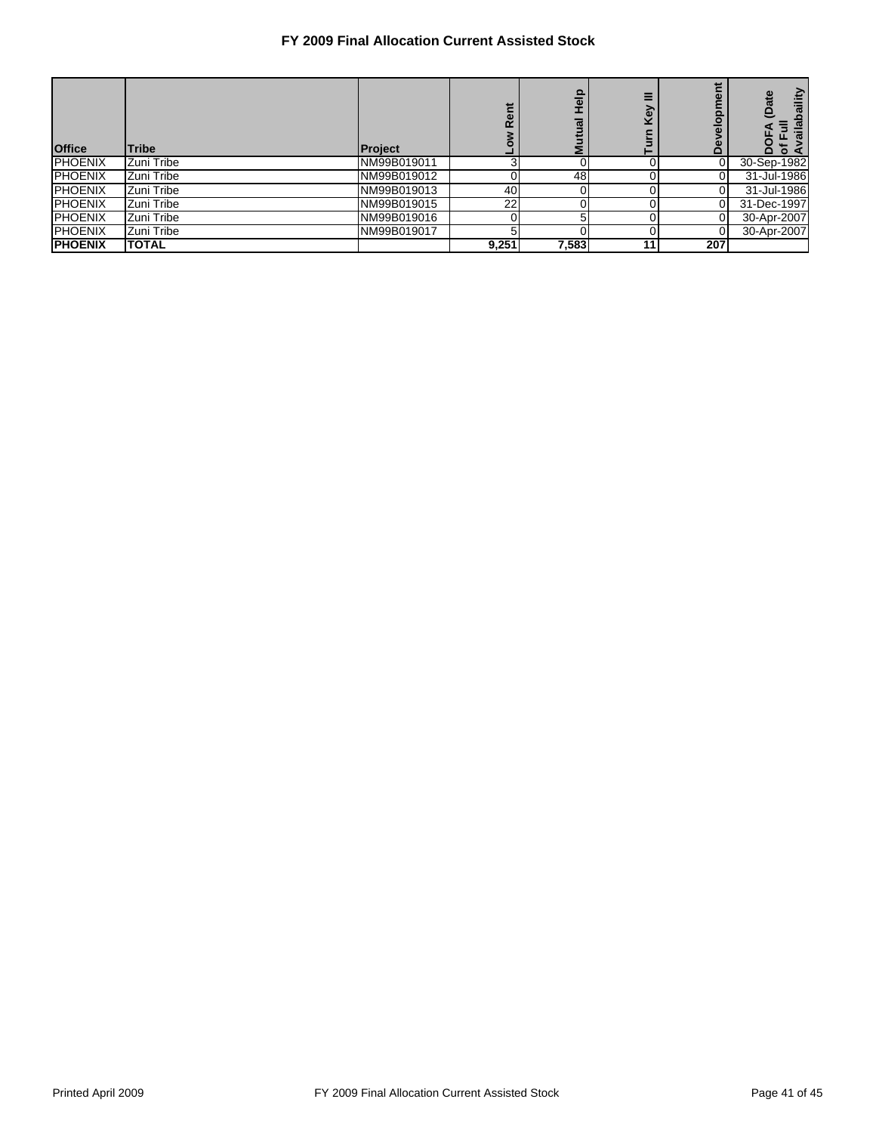| <b>Office</b>  | <b>Tribe</b> | <b>Project</b> | Ë<br>$\mathbf{a}$ | $\frac{1}{2}$<br><u>Ian</u><br>Muti | б               | alopi    | abaility<br>(Date<br>$\overline{a}$<br>≏<br>$\circ$<br>⋖ |
|----------------|--------------|----------------|-------------------|-------------------------------------|-----------------|----------|----------------------------------------------------------|
| <b>PHOENIX</b> | Zuni Tribe   | NM99B019011    | ◠                 |                                     |                 |          | 30-Sep-1982                                              |
| <b>PHOENIX</b> | Zuni Tribe   | NM99B019012    |                   | 48                                  |                 |          | 31-Jul-1986                                              |
| <b>PHOENIX</b> | Zuni Tribe   | NM99B019013    | 40                |                                     |                 |          | 31-Jul-1986                                              |
| <b>PHOENIX</b> | Zuni Tribe   | NM99B019015    | 22                |                                     |                 |          | 31-Dec-1997                                              |
| <b>PHOENIX</b> | Zuni Tribe   | NM99B019016    |                   | 5                                   |                 | 0        | 30-Apr-2007                                              |
| <b>PHOENIX</b> | Zuni Tribe   | NM99B019017    | 5                 |                                     |                 | $\Omega$ | 30-Apr-2007                                              |
| <b>PHOENIX</b> | <b>TOTAL</b> |                | 9,251             | 7,583                               | 11 <sub>1</sub> | 207      |                                                          |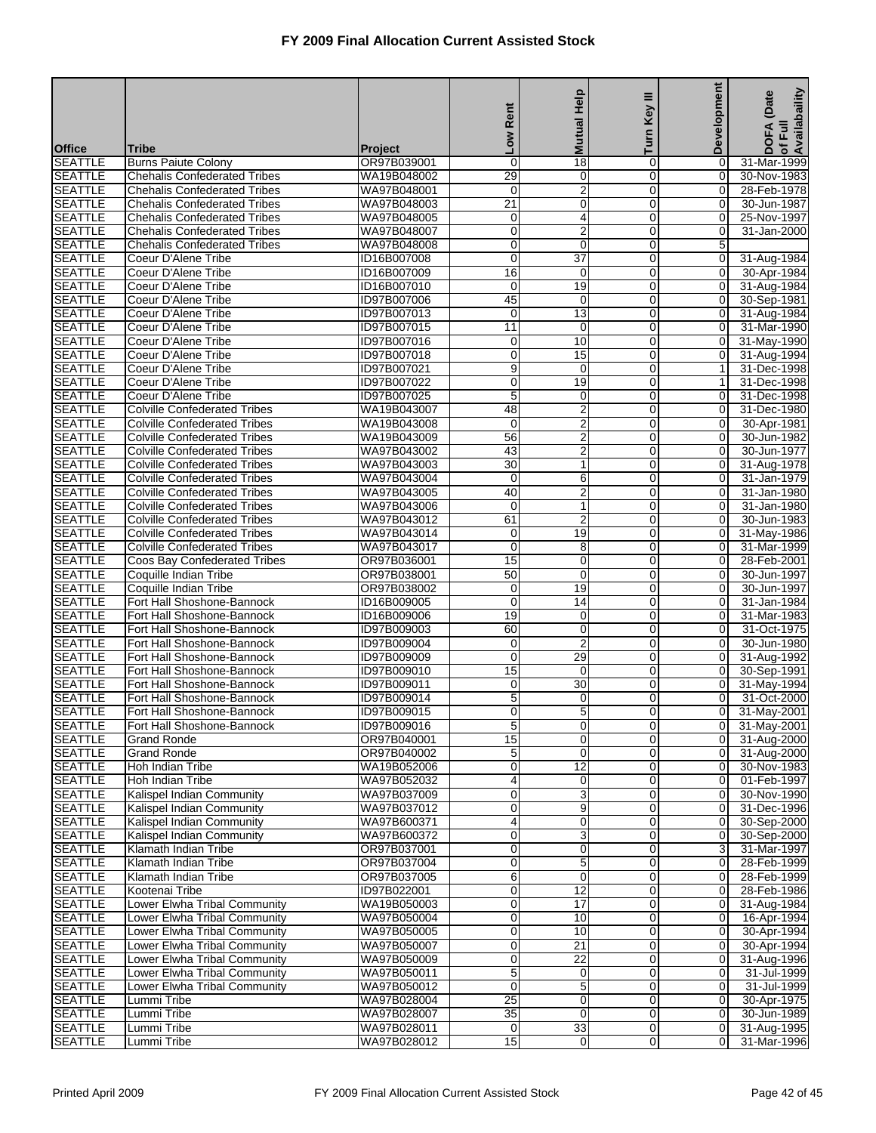|                                  |                                                                            |                               |                      |                         | Ξ                             | <b>Development</b>               |                                   |
|----------------------------------|----------------------------------------------------------------------------|-------------------------------|----------------------|-------------------------|-------------------------------|----------------------------------|-----------------------------------|
|                                  |                                                                            |                               | Rent                 | <b>Mutual Help</b>      | Key                           |                                  | of Full<br>Availabaility<br>(Date |
|                                  |                                                                            |                               | <b>NOT</b>           |                         | Turn                          |                                  | <b>DOFA</b>                       |
| <b>Office</b><br><b>SEATTLE</b>  | Tribe<br><b>Burns Paiute Colony</b>                                        | <b>Project</b><br>OR97B039001 | $\mathbf 0$          | $\overline{18}$         | $\mathbf 0$                   | 0                                | 31-Mar-1999                       |
| <b>SEATTLE</b>                   | <b>Chehalis Confederated Tribes</b>                                        | WA19B048002                   | 29                   | 0                       | $\mathbf 0$                   | $\overline{0}$                   | 30-Nov-1983                       |
| <b>SEATTLE</b>                   | <b>Chehalis Confederated Tribes</b>                                        | WA97B048001                   | $\mathbf 0$          | $\overline{2}$          | $\mathbf 0$                   | 0                                | 28-Feb-1978                       |
| <b>SEATTLE</b>                   | <b>Chehalis Confederated Tribes</b>                                        | WA97B048003                   | $\overline{21}$      | $\boldsymbol{0}$        | $\mathbf 0$                   | 0                                | 30-Jun-1987                       |
| <b>SEATTLE</b>                   | <b>Chehalis Confederated Tribes</b>                                        | WA97B048005                   | 0                    | 4                       | $\mathbf 0$                   | 0                                | 25-Nov-1997                       |
| <b>SEATTLE</b>                   | <b>Chehalis Confederated Tribes</b>                                        | WA97B048007                   | 0                    | $\overline{2}$          | $\mathbf 0$                   | 0                                | 31-Jan-2000                       |
| <b>SEATTLE</b>                   | <b>Chehalis Confederated Tribes</b>                                        | WA97B048008                   | 0                    | 0                       | $\mathbf 0$                   | 5                                |                                   |
| <b>SEATTLE</b><br><b>SEATTLE</b> | Coeur D'Alene Tribe<br>Coeur D'Alene Tribe                                 | ID16B007008<br>ID16B007009    | 0<br>16              | 37<br>$\mathbf 0$       | 0<br>$\mathbf 0$              | $\mathbf 0$<br>0                 | 31-Aug-1984<br>30-Apr-1984        |
| <b>SEATTLE</b>                   | Coeur D'Alene Tribe                                                        | ID16B007010                   | 0                    | 19                      | $\mathbf 0$                   | 0                                | 31-Aug-1984                       |
| <b>SEATTLE</b>                   | Coeur D'Alene Tribe                                                        | ID97B007006                   | 45                   | 0                       | $\overline{0}$                | 0                                | 30-Sep-1981                       |
| <b>SEATTLE</b>                   | Coeur D'Alene Tribe                                                        | ID97B007013                   | 0                    | 13                      | $\mathbf 0$                   | 0                                | 31-Aug-1984                       |
| <b>SEATTLE</b>                   | Coeur D'Alene Tribe                                                        | ID97B007015                   | 11                   | 0                       | 0                             | $\mathbf 0$                      | 31-Mar-1990                       |
| <b>SEATTLE</b>                   | Coeur D'Alene Tribe                                                        | ID97B007016                   | 0                    | 10                      | $\mathbf 0$                   | 0                                | 31-May-1990                       |
| <b>SEATTLE</b>                   | Coeur D'Alene Tribe                                                        | ID97B007018                   | 0                    | 15                      | 0                             | $\mathbf 0$                      | 31-Aug-1994                       |
| <b>SEATTLE</b>                   | Coeur D'Alene Tribe                                                        | ID97B007021                   | 9                    | 0                       | $\overline{0}$                | 1                                | 31-Dec-1998                       |
| <b>SEATTLE</b><br><b>SEATTLE</b> | Coeur D'Alene Tribe<br>Coeur D'Alene Tribe                                 | ID97B007022<br>ID97B007025    | 0<br>5               | 19                      | $\mathbf 0$<br>0              | 1                                | 31-Dec-1998<br>31-Dec-1998        |
| <b>SEATTLE</b>                   | <b>Colville Confederated Tribes</b>                                        | WA19B043007                   | 48                   | 0<br>$\overline{2}$     | $\mathbf 0$                   | 0<br>0                           | 31-Dec-1980                       |
| <b>SEATTLE</b>                   | <b>Colville Confederated Tribes</b>                                        | WA19B043008                   | $\mathbf 0$          | $\overline{2}$          | $\mathbf 0$                   | 0                                | 30-Apr-1981                       |
| <b>SEATTLE</b>                   | <b>Colville Confederated Tribes</b>                                        | WA19B043009                   | 56                   | $\overline{2}$          | $\overline{0}$                | 0                                | 30-Jun-1982                       |
| <b>SEATTLE</b>                   | <b>Colville Confederated Tribes</b>                                        | WA97B043002                   | 43                   | 2                       | $\mathbf 0$                   | 0                                | 30-Jun-1977                       |
| <b>SEATTLE</b>                   | <b>Colville Confederated Tribes</b>                                        | WA97B043003                   | 30                   | $\mathbf{1}$            | 0                             | 0                                | 31-Aug-1978                       |
| <b>SEATTLE</b>                   | <b>Colville Confederated Tribes</b>                                        | WA97B043004                   | $\mathbf 0$          | 6                       | $\mathbf 0$                   | 0                                | 31-Jan-1979                       |
| <b>SEATTLE</b>                   | <b>Colville Confederated Tribes</b>                                        | WA97B043005                   | 40                   | 2                       | $\mathbf 0$                   | 0                                | 31-Jan-1980                       |
| <b>SEATTLE</b>                   | <b>Colville Confederated Tribes</b>                                        | WA97B043006                   | 0                    | $\mathbf{1}$            | $\overline{0}$                | 0                                | 31-Jan-1980                       |
| <b>SEATTLE</b>                   | <b>Colville Confederated Tribes</b><br><b>Colville Confederated Tribes</b> | WA97B043012                   | 61                   | 2<br>19                 | $\mathbf 0$                   | 0                                | 30-Jun-1983                       |
| <b>SEATTLE</b><br><b>SEATTLE</b> | <b>Colville Confederated Tribes</b>                                        | WA97B043014<br>WA97B043017    | 0<br>$\mathbf 0$     | 8                       | 0<br>$\mathbf 0$              | 0<br>0                           | 31-May-1986<br>31-Mar-1999        |
| <b>SEATTLE</b>                   | Coos Bay Confederated Tribes                                               | OR97B036001                   | 15                   | 0                       | $\mathbf 0$                   | 0                                | 28-Feb-2001                       |
| <b>SEATTLE</b>                   | Coquille Indian Tribe                                                      | OR97B038001                   | 50                   | 0                       | $\overline{0}$                | 0                                | 30-Jun-1997                       |
| <b>SEATTLE</b>                   | Coquille Indian Tribe                                                      | OR97B038002                   | 0                    | 19                      | $\mathbf 0$                   | 0                                | 30-Jun-1997                       |
| <b>SEATTLE</b>                   | Fort Hall Shoshone-Bannock                                                 | ID16B009005                   | $\mathbf 0$          | 14                      | 0                             | 0                                | 31-Jan-1984                       |
| <b>SEATTLE</b>                   | Fort Hall Shoshone-Bannock                                                 | ID16B009006                   | 19                   | $\mathbf 0$             | $\mathbf 0$                   | 0                                | 31-Mar-1983                       |
| <b>SEATTLE</b>                   | Fort Hall Shoshone-Bannock                                                 | ID97B009003                   | 60                   | 0                       | $\mathbf 0$                   | 0                                | 31-Oct-1975                       |
| <b>SEATTLE</b>                   | Fort Hall Shoshone-Bannock                                                 | ID97B009004                   | 0                    | $\overline{\mathbf{c}}$ | $\overline{0}$                | 0                                | 30-Jun-1980                       |
| <b>SEATTLE</b><br><b>SEATTLE</b> | Fort Hall Shoshone-Bannock<br>Fort Hall Shoshone-Bannock                   | ID97B009009<br>ID97B009010    | 0<br>$\overline{15}$ | 29<br>0                 | $\mathbf 0$<br>0              | 0<br>$\mathbf 0$                 | 31-Aug-1992<br>30-Sep-1991        |
| <b>SEATTLE</b>                   | Fort Hall Shoshone-Bannock                                                 | ID97B009011                   | 0                    | $\overline{30}$         | $\Omega$                      | 0                                | 31-May-1994                       |
| <b>SEATTLE</b>                   | Fort Hall Shoshone-Bannock                                                 | ID97B009014                   | 5                    | 0                       | 0                             | 0                                | 31-Oct-2000                       |
| <b>SEATTLE</b>                   | Fort Hall Shoshone-Bannock                                                 | ID97B009015                   | $\overline{0}$       | 5                       | $\overline{0}$                | $\overline{0}$                   | 31-May-2001                       |
| <b>SEATTLE</b>                   | Fort Hall Shoshone-Bannock                                                 | ID97B009016                   | 5 <sub>5</sub>       | $\overline{0}$          | 0                             | 0                                | 31-May-2001                       |
| <b>SEATTLE</b>                   | <b>Grand Ronde</b>                                                         | OR97B040001                   | 15                   | $\pmb{0}$               | $\overline{0}$                | $\overline{0}$                   | 31-Aug-2000                       |
| <b>SEATTLE</b>                   | <b>Grand Ronde</b>                                                         | OR97B040002                   | 5                    | 0                       | $\mathbf 0$                   | $\overline{0}$                   | 31-Aug-2000                       |
| <b>SEATTLE</b>                   | Hoh Indian Tribe                                                           | WA19B052006                   | 0                    | $\overline{12}$         | $\overline{0}$                | $\overline{0}$                   | 30-Nov-1983                       |
| <b>SEATTLE</b>                   | Hoh Indian Tribe                                                           | WA97B052032                   | 4                    | 0                       | $\mathbf 0$                   | $\overline{0}$                   | 01-Feb-1997                       |
| <b>SEATTLE</b>                   | Kalispel Indian Community<br>Kalispel Indian Community                     | WA97B037009                   | 0<br>0               | 3                       | $\overline{0}$<br>$\mathbf 0$ | $\overline{0}$                   | 30-Nov-1990                       |
| <b>SEATTLE</b><br><b>SEATTLE</b> | Kalispel Indian Community                                                  | WA97B037012<br>WA97B600371    | 4                    | $\overline{9}$<br>0     | $\mathbf 0$                   | $\overline{0}$<br>$\overline{0}$ | 31-Dec-1996<br>30-Sep-2000        |
| <b>SEATTLE</b>                   | Kalispel Indian Community                                                  | WA97B600372                   | 0                    | 3                       | 0                             | $\overline{0}$                   | 30-Sep-2000                       |
| <b>SEATTLE</b>                   | Klamath Indian Tribe                                                       | OR97B037001                   | 0                    | 0                       | $\mathbf 0$                   | 3                                | 31-Mar-1997                       |
| <b>SEATTLE</b>                   | Klamath Indian Tribe                                                       | OR97B037004                   | 0                    | 5                       | $\overline{0}$                | $\overline{0}$                   | 28-Feb-1999                       |
| <b>SEATTLE</b>                   | Klamath Indian Tribe                                                       | OR97B037005                   | 6                    | 0                       | $\mathbf 0$                   | $\overline{0}$                   | 28-Feb-1999                       |
| <b>SEATTLE</b>                   | Kootenai Tribe                                                             | ID97B022001                   | 0                    | $\overline{12}$         | $\mathbf 0$                   | $\overline{0}$                   | 28-Feb-1986                       |
| <b>SEATTLE</b>                   | Lower Elwha Tribal Community                                               | WA19B050003                   | 0                    | $\overline{17}$         | 0                             | $\overline{0}$                   | 31-Aug-1984                       |
| <b>SEATTLE</b>                   | Lower Elwha Tribal Community                                               | WA97B050004                   | 0                    | 10                      | $\mathbf 0$                   | $\mathbf 0$                      | 16-Apr-1994                       |
| <b>SEATTLE</b>                   | Lower Elwha Tribal Community                                               | WA97B050005                   | 0                    | 10                      | $\overline{0}$                | $\overline{0}$                   | 30-Apr-1994                       |
| <b>SEATTLE</b><br><b>SEATTLE</b> | Lower Elwha Tribal Community<br>Lower Elwha Tribal Community               | WA97B050007<br>WA97B050009    | 0<br>0               | 21<br>$\overline{22}$   | $\mathbf 0$<br>$\mathbf 0$    | $\overline{0}$<br>$\overline{0}$ | 30-Apr-1994<br>31-Aug-1996        |
| <b>SEATTLE</b>                   | Lower Elwha Tribal Community                                               | WA97B050011                   | 5                    | 0                       | 0                             | $\overline{0}$                   | 31-Jul-1999                       |
| <b>SEATTLE</b>                   | Lower Elwha Tribal Community                                               | WA97B050012                   | $\mathbf 0$          | $\overline{5}$          | $\mathbf 0$                   | $\overline{0}$                   | 31-Jul-1999                       |
| <b>SEATTLE</b>                   | Lummi Tribe                                                                | WA97B028004                   | 25                   | 0                       | $\overline{0}$                | $\overline{0}$                   | 30-Apr-1975                       |
| <b>SEATTLE</b>                   | Lummi Tribe                                                                | WA97B028007                   | 35                   | 0                       | $\mathbf 0$                   | $\overline{0}$                   | 30-Jun-1989                       |
| <b>SEATTLE</b>                   | Lummi Tribe                                                                | WA97B028011                   | $\mathbf 0$          | 33                      | $\overline{0}$                | $\overline{0}$                   | 31-Aug-1995                       |
| <b>SEATTLE</b>                   | Lummi Tribe                                                                | WA97B028012                   | 15                   | 0                       | $\overline{0}$                | $\overline{0}$                   | 31-Mar-1996                       |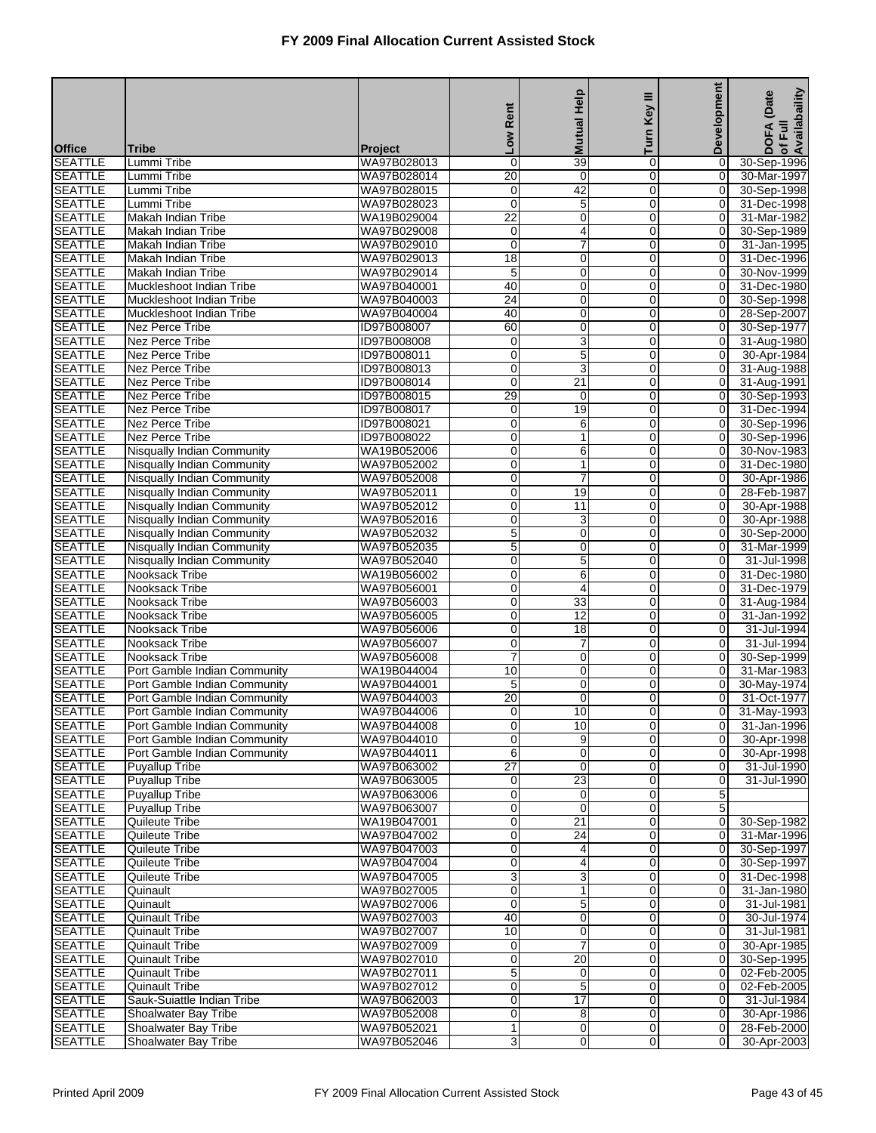|                                  |                                                              |                            |                      |                             | Ξ                             | <b>Development</b>               | of Full<br>Availabaility<br>(Date |
|----------------------------------|--------------------------------------------------------------|----------------------------|----------------------|-----------------------------|-------------------------------|----------------------------------|-----------------------------------|
|                                  |                                                              |                            | Rent                 | <b>Mutual Help</b>          | Key                           |                                  |                                   |
| <b>Office</b>                    | Tribe                                                        | <b>Project</b>             | <b>NOT</b>           |                             | Turn                          |                                  | <b>DOFA</b>                       |
| <b>SEATTLE</b>                   | Lummi Tribe                                                  | WA97B028013                | 0                    | 39                          | $\mathbf 0$                   | 0                                | 30-Sep-1996                       |
| <b>SEATTLE</b>                   | Lummi Tribe                                                  | WA97B028014                | 20                   | $\mathbf 0$                 | $\Omega$                      | $\overline{0}$                   | 30-Mar-1997                       |
| <b>SEATTLE</b>                   | Lummi Tribe                                                  | WA97B028015                | 0                    | 42                          | $\mathbf 0$                   | $\mathbf 0$                      | 30-Sep-1998                       |
| <b>SEATTLE</b>                   | Lummi Tribe                                                  | WA97B028023                | $\overline{0}$<br>22 | $\overline{5}$<br>0         | $\mathbf 0$<br>$\mathbf 0$    | 0<br>0                           | 31-Dec-1998                       |
| <b>SEATTLE</b><br><b>SEATTLE</b> | Makah Indian Tribe<br><b>Makah Indian Tribe</b>              | WA19B029004<br>WA97B029008 | 0                    | 4                           | $\overline{0}$                | 0                                | 31-Mar-1982<br>30-Sep-1989        |
| <b>SEATTLE</b>                   | Makah Indian Tribe                                           | WA97B029010                | 0                    | 7                           | $\mathbf 0$                   | $\overline{O}$                   | 31-Jan-1995                       |
| <b>SEATTLE</b>                   | Makah Indian Tribe                                           | WA97B029013                | $\overline{18}$      | 0                           | $\mathbf 0$                   | $\overline{O}$                   | 31-Dec-1996                       |
| <b>SEATTLE</b>                   | Makah Indian Tribe                                           | WA97B029014                | 5                    | $\mathbf 0$                 | $\mathbf 0$                   | 0                                | 30-Nov-1999                       |
| <b>SEATTLE</b>                   | Muckleshoot Indian Tribe                                     | WA97B040001                | 40                   | 0                           | $\mathbf 0$                   | 0                                | 31-Dec-1980                       |
| <b>SEATTLE</b>                   | Muckleshoot Indian Tribe                                     | WA97B040003                | $\overline{24}$      | 0                           | $\overline{0}$                | 0                                | 30-Sep-1998                       |
| <b>SEATTLE</b>                   | Muckleshoot Indian Tribe                                     | WA97B040004                | 40                   | 0                           | $\mathbf 0$                   | $\overline{O}$                   | 28-Sep-2007                       |
| <b>SEATTLE</b><br><b>SEATTLE</b> | Nez Perce Tribe<br>Nez Perce Tribe                           | ID97B008007<br>ID97B008008 | 60<br>0              | $\pmb{0}$<br>$\overline{3}$ | $\mathbf 0$<br>$\mathbf 0$    | $\mathbf 0$<br>0                 | 30-Sep-1977<br>31-Aug-1980        |
| <b>SEATTLE</b>                   | Nez Perce Tribe                                              | ID97B008011                | 0                    | 5                           | $\mathbf 0$                   | $\overline{O}$                   | 30-Apr-1984                       |
| <b>SEATTLE</b>                   | Nez Perce Tribe                                              | ID97B008013                | 0                    | 3                           | $\overline{0}$                | $\mathbf 0$                      | 31-Aug-1988                       |
| <b>SEATTLE</b>                   | <b>Nez Perce Tribe</b>                                       | ID97B008014                | 0                    | $\overline{21}$             | $\mathbf 0$                   | 0                                | 31-Aug-1991                       |
| <b>SEATTLE</b>                   | <b>Nez Perce Tribe</b>                                       | ID97B008015                | 29                   | 0                           | $\mathbf 0$                   | $\mathbf 0$                      | 30-Sep-1993                       |
| <b>SEATTLE</b>                   | Nez Perce Tribe                                              | ID97B008017                | 0                    | 19                          | $\mathbf 0$                   | 0                                | 31-Dec-1994                       |
| <b>SEATTLE</b>                   | <b>Nez Perce Tribe</b>                                       | ID97B008021                | 0                    | 6                           | $\mathbf 0$                   | 0                                | 30-Sep-1996                       |
| <b>SEATTLE</b>                   | Nez Perce Tribe                                              | ID97B008022                | 0                    | $\mathbf{1}$                | $\overline{0}$                | 0                                | 30-Sep-1996                       |
| <b>SEATTLE</b>                   | Nisqually Indian Community                                   | WA19B052006                | 0                    | 6                           | $\mathbf 0$                   | 0                                | 30-Nov-1983                       |
| <b>SEATTLE</b><br><b>SEATTLE</b> | Nisqually Indian Community<br>Nisqually Indian Community     | WA97B052002<br>WA97B052008 | 0<br>0               | 1<br>$\overline{7}$         | $\mathbf 0$<br>$\mathbf 0$    | $\mathbf 0$<br>$\mathbf 0$       | 31-Dec-1980<br>30-Apr-1986        |
| <b>SEATTLE</b>                   | Nisqually Indian Community                                   | WA97B052011                | 0                    | 19                          | $\mathbf 0$                   | 0                                | 28-Feb-1987                       |
| <b>SEATTLE</b>                   | Nisqually Indian Community                                   | WA97B052012                | 0                    | 11                          | $\overline{0}$                | 0                                | 30-Apr-1988                       |
| <b>SEATTLE</b>                   | Nisqually Indian Community                                   | WA97B052016                | 0                    | 3                           | $\mathbf 0$                   | $\overline{O}$                   | 30-Apr-1988                       |
| <b>SEATTLE</b>                   | Nisqually Indian Community                                   | WA97B052032                | 5                    | $\pmb{0}$                   | 0                             | $\mathbf 0$                      | 30-Sep-2000                       |
| <b>SEATTLE</b>                   | Nisqually Indian Community                                   | WA97B052035                | 5                    | $\mathbf 0$                 | $\mathbf 0$                   | 0                                | 31-Mar-1999                       |
| <b>SEATTLE</b>                   | Nisqually Indian Community                                   | WA97B052040                | 0                    | 5                           | $\mathbf 0$                   | 0                                | 31-Jul-1998                       |
| <b>SEATTLE</b>                   | Nooksack Tribe                                               | WA19B056002                | 0                    | 6                           | $\overline{0}$                | 0                                | 31-Dec-1980                       |
| <b>SEATTLE</b>                   | Nooksack Tribe                                               | WA97B056001                | 0                    | 4                           | $\mathbf 0$                   | 0                                | 31-Dec-1979                       |
| <b>SEATTLE</b><br><b>SEATTLE</b> | Nooksack Tribe<br>Nooksack Tribe                             | WA97B056003<br>WA97B056005 | 0<br>0               | 33<br>$\overline{12}$       | 0<br>$\mathbf 0$              | 0<br>0                           | 31-Aug-1984<br>31-Jan-1992        |
| <b>SEATTLE</b>                   | Nooksack Tribe                                               | WA97B056006                | 0                    | $\overline{18}$             | $\mathbf 0$                   | 0                                | 31-Jul-1994                       |
| <b>SEATTLE</b>                   | Nooksack Tribe                                               | WA97B056007                | 0                    | 7                           | $\overline{0}$                | 0                                | 31-Jul-1994                       |
| <b>SEATTLE</b>                   | Nooksack Tribe                                               | WA97B056008                | 7                    | 0                           | $\mathbf 0$                   | 0                                | 30-Sep-1999                       |
| <b>SEATTLE</b>                   | Port Gamble Indian Community                                 | WA19B044004                | 10                   | 0                           | 0                             | $\mathbf 0$                      | 31-Mar-1983                       |
| <b>SEATTLE</b>                   | Port Gamble Indian Community                                 | WA97B044001                | 5                    | $\mathbf 0$                 | $\Omega$                      | $\mathbf 0$                      | 30-May-1974                       |
| <b>SEATTLE</b>                   | Port Gamble Indian Community                                 | WA97B044003                | 20                   | 0                           | $\mathbf 0$                   | $\overline{0}$                   | 31-Oct-1977                       |
| <b>SEATTLE</b>                   | Port Gamble Indian Community                                 | WA97B044006                | $\overline{O}$       | 10                          | $\overline{0}$                | $\overline{0}$                   | 31-May-1993                       |
| <b>SEATTLE</b>                   | Port Gamble Indian Community                                 | WA97B044008                | 0<br>0               | 10                          | 0<br>$\overline{0}$           | 0<br>$\overline{0}$              | 31-Jan-1996                       |
| <b>SEATTLE</b><br><b>SEATTLE</b> | Port Gamble Indian Community<br>Port Gamble Indian Community | WA97B044010<br>WA97B044011 | 6                    | 9<br>0                      | $\overline{0}$                | $\mathbf 0$                      | 30-Apr-1998<br>30-Apr-1998        |
| <b>SEATTLE</b>                   | Puyallup Tribe                                               | WA97B063002                | $\overline{27}$      | 0                           | $\overline{0}$                | 0                                | 31-Jul-1990                       |
| <b>SEATTLE</b>                   | <b>Puyallup Tribe</b>                                        | WA97B063005                | 0                    | 23                          | $\mathbf 0$                   | 0                                | 31-Jul-1990                       |
| <b>SEATTLE</b>                   | <b>Puyallup Tribe</b>                                        | WA97B063006                | 0                    | 0                           | $\overline{0}$                | 5                                |                                   |
| <b>SEATTLE</b>                   | <b>Puyallup Tribe</b>                                        | WA97B063007                | 0                    | 0                           | $\mathbf 0$                   | 5                                |                                   |
| <b>SEATTLE</b>                   | Quileute Tribe                                               | WA19B047001                | 0                    | 21                          | $\mathbf 0$                   | $\overline{0}$                   | 30-Sep-1982                       |
| <b>SEATTLE</b>                   | <b>Quileute Tribe</b>                                        | WA97B047002                | 0                    | $\overline{24}$             | 0                             | $\overline{0}$                   | 31-Mar-1996                       |
| <b>SEATTLE</b>                   | Quileute Tribe                                               | WA97B047003<br>WA97B047004 | 0                    | 4                           | $\mathbf 0$<br>$\overline{0}$ | $\overline{0}$<br>$\overline{0}$ | 30-Sep-1997                       |
| <b>SEATTLE</b><br><b>SEATTLE</b> | Quileute Tribe<br>Quileute Tribe                             | WA97B047005                | 0<br>3               | 4<br>3                      | $\mathbf 0$                   | $\overline{0}$                   | 30-Sep-1997<br>31-Dec-1998        |
| <b>SEATTLE</b>                   | Quinault                                                     | WA97B027005                | 0                    | $\mathbf{1}$                | $\mathbf 0$                   | $\mathbf 0$                      | 31-Jan-1980                       |
| <b>SEATTLE</b>                   | Quinault                                                     | WA97B027006                | 0                    | 5                           | 0                             | 0                                | 31-Jul-1981                       |
| <b>SEATTLE</b>                   | <b>Quinault Tribe</b>                                        | WA97B027003                | 40                   | 0                           | $\mathbf 0$                   | $\mathbf 0$                      | 30-Jul-1974                       |
| <b>SEATTLE</b>                   | <b>Quinault Tribe</b>                                        | WA97B027007                | $\overline{10}$      | 0                           | $\overline{0}$                | $\overline{0}$                   | 31-Jul-1981                       |
| <b>SEATTLE</b>                   | <b>Quinault Tribe</b>                                        | WA97B027009                | 0                    | $\overline{7}$              | $\mathbf 0$                   | $\overline{0}$                   | 30-Apr-1985                       |
| <b>SEATTLE</b>                   | <b>Quinault Tribe</b>                                        | WA97B027010                | 0                    | 20                          | $\mathbf 0$                   | $\overline{0}$                   | 30-Sep-1995                       |
| <b>SEATTLE</b>                   | <b>Quinault Tribe</b>                                        | WA97B027011                | 5                    | 0                           | 0                             | $\overline{0}$                   | 02-Feb-2005                       |
| <b>SEATTLE</b><br><b>SEATTLE</b> | <b>Quinault Tribe</b><br>Sauk-Suiattle Indian Tribe          | WA97B027012<br>WA97B062003 | $\pmb{0}$<br>0       | 5<br>17                     | $\mathbf 0$<br>$\overline{0}$ | $\mathbf 0$<br>$\overline{0}$    | 02-Feb-2005<br>31-Jul-1984        |
| <b>SEATTLE</b>                   | Shoalwater Bay Tribe                                         | WA97B052008                | 0                    | 8                           | $\mathbf 0$                   | $\overline{0}$                   | 30-Apr-1986                       |
| <b>SEATTLE</b>                   | Shoalwater Bay Tribe                                         | WA97B052021                | 1                    | 0                           | $\overline{0}$                | $\overline{0}$                   | 28-Feb-2000                       |
| <b>SEATTLE</b>                   | Shoalwater Bay Tribe                                         | WA97B052046                | 3                    | 0                           | $\overline{0}$                | $\overline{0}$                   | 30-Apr-2003                       |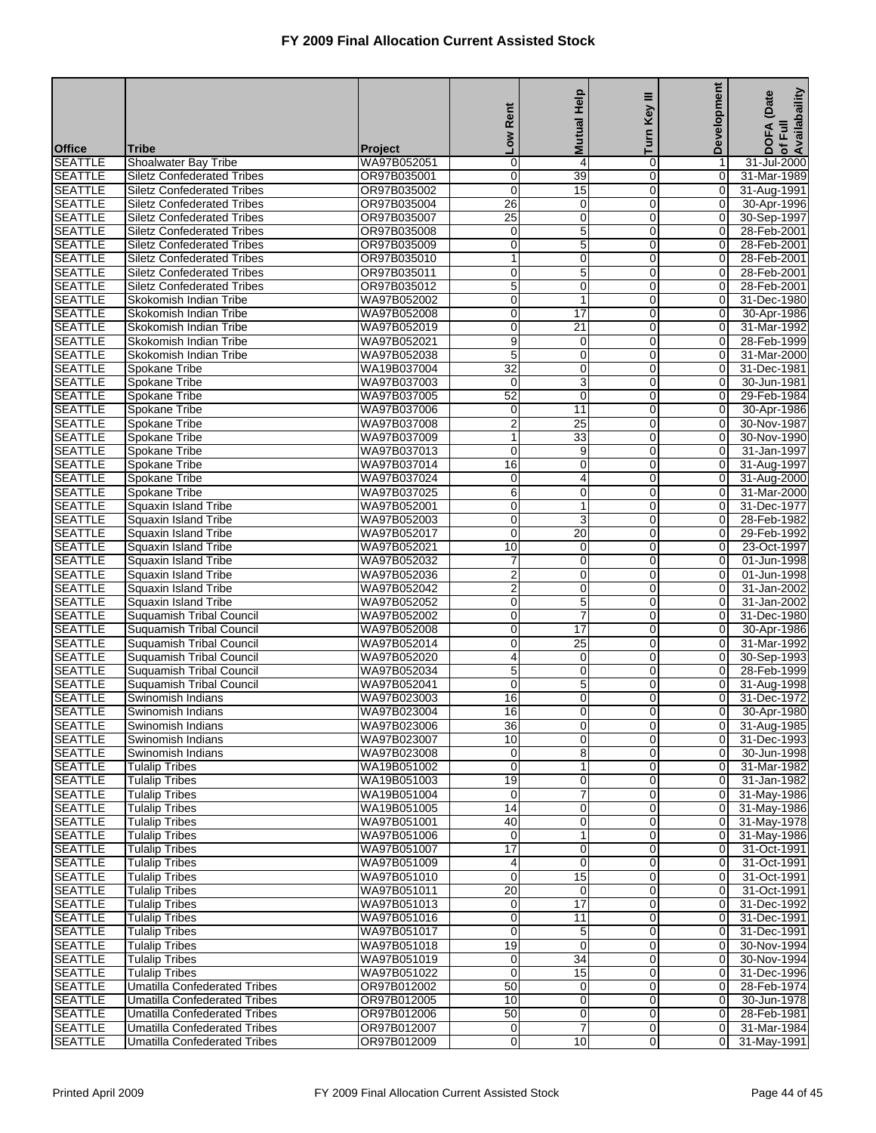|                                  |                                                                        |                            |                               | <b>Mutual Help</b>    | Ξ<br>Key                      | <b>Development</b>               | of Full<br>Availabaility<br>(Date |
|----------------------------------|------------------------------------------------------------------------|----------------------------|-------------------------------|-----------------------|-------------------------------|----------------------------------|-----------------------------------|
|                                  |                                                                        |                            | Rent                          |                       | Turn                          |                                  | <b>DOFA</b>                       |
| <b>Office</b>                    | <b>Tribe</b>                                                           | <b>Project</b>             | <b>No7</b>                    |                       |                               |                                  |                                   |
| <b>SEATTLE</b>                   | Shoalwater Bay Tribe                                                   | WA97B052051                | 0                             | 4                     | $\mathbf 0$                   | 1                                | 31-Jul-2000                       |
| <b>SEATTLE</b>                   | <b>Siletz Confederated Tribes</b>                                      | OR97B035001                | 0                             | 39                    | $\Omega$                      | $\overline{0}$                   | 31-Mar-1989                       |
| <b>SEATTLE</b>                   | <b>Siletz Confederated Tribes</b>                                      | OR97B035002                | $\mathbf 0$<br>26             | 15                    | $\mathbf 0$                   | $\mathbf 0$                      | 31-Aug-1991                       |
| <b>SEATTLE</b><br><b>SEATTLE</b> | <b>Siletz Confederated Tribes</b><br><b>Siletz Confederated Tribes</b> | OR97B035004<br>OR97B035007 | $\overline{25}$               | $\mathbf 0$<br>0      | $\mathbf 0$<br>$\mathbf 0$    | $\mathbf 0$<br>$\overline{O}$    | 30-Apr-1996<br>30-Sep-1997        |
| <b>SEATTLE</b>                   | <b>Siletz Confederated Tribes</b>                                      | OR97B035008                | 0                             | $\overline{5}$        | $\overline{0}$                | 0                                | 28-Feb-2001                       |
| <b>SEATTLE</b>                   | <b>Siletz Confederated Tribes</b>                                      | OR97B035009                | 0                             | 5                     | $\mathbf 0$                   | 0                                | 28-Feb-2001                       |
| <b>SEATTLE</b>                   | <b>Siletz Confederated Tribes</b>                                      | OR97B035010                | 1                             | $\pmb{0}$             | 0                             | $\mathbf 0$                      | 28-Feb-2001                       |
| <b>SEATTLE</b>                   | <b>Siletz Confederated Tribes</b>                                      | OR97B035011                | 0                             | $\overline{5}$        | $\mathbf 0$                   | 0                                | 28-Feb-2001                       |
| <b>SEATTLE</b>                   | <b>Siletz Confederated Tribes</b>                                      | OR97B035012                | 5                             | 0                     | $\mathbf 0$                   | 0                                | 28-Feb-2001                       |
| <b>SEATTLE</b>                   | Skokomish Indian Tribe                                                 | WA97B052002                | 0                             | 1                     | $\overline{0}$                | 0                                | 31-Dec-1980                       |
| <b>SEATTLE</b>                   | Skokomish Indian Tribe                                                 | WA97B052008                | 0                             | $\overline{17}$       | $\mathbf 0$                   | 0                                | 30-Apr-1986                       |
| <b>SEATTLE</b>                   | Skokomish Indian Tribe                                                 | WA97B052019                | 0                             | $\overline{21}$       | 0                             | $\overline{O}$                   | 31-Mar-1992                       |
| <b>SEATTLE</b>                   | Skokomish Indian Tribe                                                 | WA97B052021                | 9                             | $\mathbf 0$           | $\mathbf 0$                   | 0                                | 28-Feb-1999                       |
| <b>SEATTLE</b>                   | Skokomish Indian Tribe                                                 | WA97B052038                | 5                             | 0                     | $\mathbf 0$                   | 0                                | 31-Mar-2000                       |
| <b>SEATTLE</b>                   | Spokane Tribe                                                          | WA19B037004                | $\overline{32}$               | 0                     | $\overline{0}$                | 0                                | 31-Dec-1981                       |
| <b>SEATTLE</b>                   | Spokane Tribe                                                          | WA97B037003                | 0                             | 3                     | $\mathbf 0$                   | 0                                | 30-Jun-1981                       |
| <b>SEATTLE</b>                   | Spokane Tribe                                                          | WA97B037005                | 52                            | $\pmb{0}$             | $\mathbf 0$                   | 0                                | 29-Feb-1984                       |
| <b>SEATTLE</b>                   | <b>Spokane Tribe</b>                                                   | WA97B037006                | 0                             | $\overline{11}$       | $\mathbf 0$                   | $\mathbf 0$                      | 30-Apr-1986                       |
| <b>SEATTLE</b>                   | Spokane Tribe                                                          | WA97B037008                | $\overline{2}$                | $\overline{25}$       | $\mathbf 0$                   | 0                                | 30-Nov-1987                       |
| <b>SEATTLE</b>                   | Spokane Tribe                                                          | WA97B037009                | 1                             | $\overline{33}$       | $\overline{0}$                | 0                                | 30-Nov-1990                       |
| <b>SEATTLE</b>                   | Spokane Tribe                                                          | WA97B037013                | 0                             | 9                     | $\mathbf 0$                   | 0                                | 31-Jan-1997                       |
| <b>SEATTLE</b><br><b>SEATTLE</b> | Spokane Tribe                                                          | WA97B037014                | $\overline{16}$               | $\pmb{0}$             | 0                             | $\mathbf 0$                      | 31-Aug-1997                       |
| <b>SEATTLE</b>                   | Spokane Tribe<br>Spokane Tribe                                         | WA97B037024<br>WA97B037025 | 0<br>6                        | 4<br>0                | $\mathbf 0$<br>$\mathbf 0$    | 0<br>$\overline{O}$              | 31-Aug-2000<br>31-Mar-2000        |
| <b>SEATTLE</b>                   | Squaxin Island Tribe                                                   | WA97B052001                | 0                             | $\mathbf{1}$          | $\overline{0}$                | 0                                | 31-Dec-1977                       |
| <b>SEATTLE</b>                   | Squaxin Island Tribe                                                   | WA97B052003                | 0                             | 3                     | $\mathbf 0$                   | 0                                | 28-Feb-1982                       |
| <b>SEATTLE</b>                   | Squaxin Island Tribe                                                   | WA97B052017                | $\mathbf 0$                   | 20                    | 0                             | 0                                | 29-Feb-1992                       |
| <b>SEATTLE</b>                   | Squaxin Island Tribe                                                   | WA97B052021                | 10                            | $\mathbf 0$           | $\mathbf 0$                   | 0                                | 23-Oct-1997                       |
| <b>SEATTLE</b>                   | Squaxin Island Tribe                                                   | WA97B052032                | 7                             | 0                     | $\mathbf 0$                   | 0                                | 01-Jun-1998                       |
| <b>SEATTLE</b>                   | Squaxin Island Tribe                                                   | WA97B052036                | $\overline{2}$                | 0                     | $\overline{0}$                | 0                                | 01-Jun-1998                       |
| <b>SEATTLE</b>                   | Squaxin Island Tribe                                                   | WA97B052042                | $\overline{c}$                | 0                     | $\mathbf 0$                   | 0                                | 31-Jan-2002                       |
| <b>SEATTLE</b>                   | Squaxin Island Tribe                                                   | WA97B052052                | 0                             | 5                     | 0                             | 0                                | 31-Jan-2002                       |
| <b>SEATTLE</b>                   | Suquamish Tribal Council                                               | WA97B052002                | 0                             | 7                     | $\mathbf 0$                   | 0                                | 31-Dec-1980                       |
| <b>SEATTLE</b>                   | Suquamish Tribal Council                                               | WA97B052008                | 0                             | $\overline{17}$       | $\mathbf 0$                   | 0                                | 30-Apr-1986                       |
| <b>SEATTLE</b>                   | Suquamish Tribal Council                                               | WA97B052014                | 0                             | $\overline{25}$       | $\overline{0}$                | 0                                | 31-Mar-1992                       |
| <b>SEATTLE</b>                   | Suquamish Tribal Council                                               | WA97B052020                | 4                             | 0                     | $\mathbf 0$                   | 0                                | 30-Sep-1993                       |
| <b>SEATTLE</b>                   | Suquamish Tribal Council                                               | WA97B052034                | 5                             | 0                     | 0                             | $\mathbf 0$                      | 28-Feb-1999                       |
| <b>SEATTLE</b>                   | Suquamish Tribal Council                                               | WA97B052041                | $\mathbf 0$                   | $\overline{5}$        | $\Omega$                      | 0                                | 31-Aug-1998                       |
| <b>SEATTLE</b><br><b>SEATTLE</b> | Swinomish Indians                                                      | WA97B023003<br>WA97B023004 | 16<br>$\overline{16}$         | 0<br>$\overline{0}$   | 0<br>$\overline{0}$           | 0<br>$\overline{O}$              | 31-Dec-1972<br>30-Apr-1980        |
| <b>SEATTLE</b>                   | Swinomish Indians<br>Swinomish Indians                                 | WA97B023006                | 36                            | $\overline{0}$        | 0                             | 01                               | 31-Aug-1985                       |
| <b>SEATTLE</b>                   | Swinomish Indians                                                      | WA97B023007                | 10                            | 0                     | $\overline{0}$                | 0                                | 31-Dec-1993                       |
| <b>SEATTLE</b>                   | Swinomish Indians                                                      | WA97B023008                | $\overline{0}$                | 8                     | $\overline{0}$                | $\overline{0}$                   | 30-Jun-1998                       |
| <b>SEATTLE</b>                   | <b>Tulalip Tribes</b>                                                  | WA19B051002                | 0                             | 1                     | $\overline{0}$                | $\overline{0}$                   | 31-Mar-1982                       |
| <b>SEATTLE</b>                   | <b>Tulalip Tribes</b>                                                  | WA19B051003                | 19                            | 0                     | $\mathbf 0$                   | $\overline{0}$                   | 31-Jan-1982                       |
| <b>SEATTLE</b>                   | <b>Tulalip Tribes</b>                                                  | WA19B051004                | 0                             | 7                     | $\overline{0}$                | $\overline{0}$                   | 31-May-1986                       |
| <b>SEATTLE</b>                   | <b>Tulalip Tribes</b>                                                  | WA19B051005                | 14                            | 0                     | $\mathbf 0$                   | $\overline{0}$                   | 31-May-1986                       |
| <b>SEATTLE</b>                   | <b>Tulalip Tribes</b>                                                  | WA97B051001                | 40                            | 0                     | $\mathbf 0$                   | $\overline{0}$                   | 31-May-1978                       |
| <b>SEATTLE</b>                   | <b>Tulalip Tribes</b>                                                  | WA97B051006                | 0                             | 1                     | $\overline{0}$                | $\overline{0}$                   | 31-May-1986                       |
| <b>SEATTLE</b>                   | <b>Tulalip Tribes</b>                                                  | WA97B051007                | 17                            | 0                     | $\mathbf 0$                   | $\overline{0}$                   | 31-Oct-1991                       |
| <b>SEATTLE</b>                   | <b>Tulalip Tribes</b>                                                  | WA97B051009                | 4                             | 0                     | $\overline{0}$                | $\overline{0}$                   | 31-Oct-1991                       |
| <b>SEATTLE</b>                   | <b>Tulalip Tribes</b>                                                  | WA97B051010                | $\mathbf 0$                   | 15                    | $\mathbf 0$                   | $\overline{0}$                   | 31-Oct-1991                       |
| <b>SEATTLE</b>                   | <b>Tulalip Tribes</b>                                                  | WA97B051011                | $\overline{20}$               | 0                     | $\mathbf 0$                   | $\overline{0}$                   | 31-Oct-1991                       |
| <b>SEATTLE</b>                   | <b>Tulalip Tribes</b>                                                  | WA97B051013                | 0                             | $\overline{17}$       | $\overline{0}$                | $\overline{0}$                   | 31-Dec-1992                       |
| <b>SEATTLE</b>                   | <b>Tulalip Tribes</b>                                                  | WA97B051016                | $\pmb{0}$                     | 11                    | $\mathbf 0$                   | $\overline{0}$                   | 31-Dec-1991                       |
| <b>SEATTLE</b>                   | <b>Tulalip Tribes</b>                                                  | WA97B051017                | 0                             | 5                     | $\overline{0}$                | $\overline{0}$                   | 31-Dec-1991                       |
| <b>SEATTLE</b>                   | <b>Tulalip Tribes</b>                                                  | WA97B051018                | 19                            | 0                     | $\mathbf 0$                   | $\overline{0}$                   | 30-Nov-1994                       |
| <b>SEATTLE</b><br><b>SEATTLE</b> | <b>Tulalip Tribes</b><br>Tulalip Tribes                                | WA97B051019<br>WA97B051022 | $\overline{0}$<br>$\mathbf 0$ | $\overline{34}$<br>15 | $\mathbf 0$<br>$\overline{0}$ | $\overline{0}$<br>$\overline{0}$ | 30-Nov-1994<br>31-Dec-1996        |
| <b>SEATTLE</b>                   | <b>Umatilla Confederated Tribes</b>                                    | OR97B012002                | 50                            | 0                     | $\mathbf 0$                   | $\overline{0}$                   | 28-Feb-1974                       |
| <b>SEATTLE</b>                   | <b>Umatilla Confederated Tribes</b>                                    | OR97B012005                | 10                            | 0                     | $\overline{0}$                | $\overline{0}$                   | 30-Jun-1978                       |
| <b>SEATTLE</b>                   | <b>Umatilla Confederated Tribes</b>                                    | OR97B012006                | 50                            | 0                     | $\mathbf 0$                   | $\overline{0}$                   | 28-Feb-1981                       |
| <b>SEATTLE</b>                   | Umatilla Confederated Tribes                                           | OR97B012007                | $\overline{0}$                | 7                     | $\overline{0}$                | $\overline{0}$                   | 31-Mar-1984                       |
| <b>SEATTLE</b>                   | <b>Umatilla Confederated Tribes</b>                                    | OR97B012009                | 0                             | 10                    | $\mathbf 0$                   | 0                                | 31-May-1991                       |